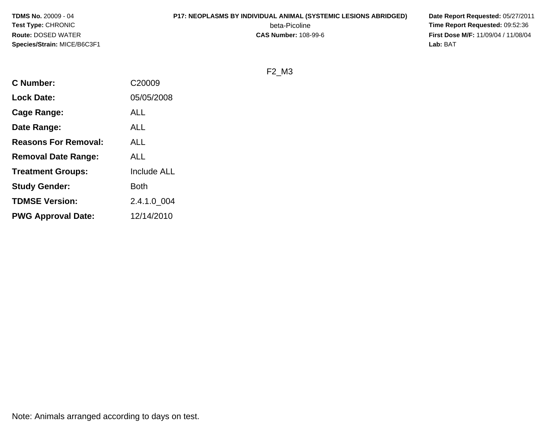#### **P17: NEOPLASMS BY INDIVIDUAL ANIMAL (SYSTEMIC LESIONS ABRIDGED) Date Report Requested:** 05/27/2011

beta-Picoline<br>CAS Number: 108-99-6

 **Time Report Requested:** 09:52:36 **First Dose M/F:** 11/09/04 / 11/08/04<br>Lab: BAT **Lab:** BAT

F2\_M3

| <b>C</b> Number:            | C20009             |
|-----------------------------|--------------------|
| <b>Lock Date:</b>           | 05/05/2008         |
| Cage Range:                 | <b>ALL</b>         |
| Date Range:                 | ALL                |
| <b>Reasons For Removal:</b> | ALL                |
| <b>Removal Date Range:</b>  | ALL                |
| <b>Treatment Groups:</b>    | <b>Include ALL</b> |
| <b>Study Gender:</b>        | Both               |
| <b>TDMSE Version:</b>       | 2.4.1.0 004        |
| <b>PWG Approval Date:</b>   | 12/14/2010         |
|                             |                    |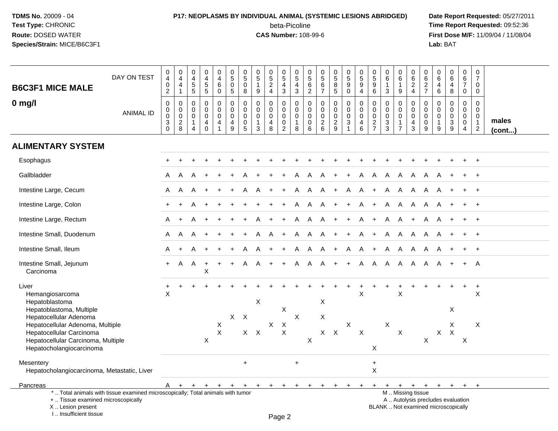### **P17: NEOPLASMS BY INDIVIDUAL ANIMAL (SYSTEMIC LESIONS ABRIDGED) Date Report Requested:** 05/27/2011 beta-Picoline<br>CAS Number: 108-99-6

| <b>B6C3F1 MICE MALE</b>                                                                                                                                            | DAY ON TEST      | $\pmb{0}$<br>$\overline{4}$<br>$\pmb{0}$<br>$\overline{2}$   | $_4^{\rm 0}$<br>4<br>$\mathbf{1}$                       | $\begin{array}{c} 0 \\ 4 \\ 5 \end{array}$<br>5                 | $\pmb{0}$<br>$\frac{4}{5}$<br>5                        | $\pmb{0}$<br>$\overline{4}$<br>$\,6\,$<br>$\mathbf 0$                   | $\pmb{0}$<br>$\overline{5}$<br>$\mathbf 0$<br>$5\phantom{.0}$                   | $\mathsf 0$<br>$\overline{5}$<br>$\mathbf 0$<br>8   | $\begin{array}{c} 0 \\ 5 \end{array}$<br>$\mathbf{1}$<br>$9\,$          | $\begin{array}{c} 0 \\ 5 \\ 2 \end{array}$<br>$\overline{4}$     | $\begin{array}{c} 0 \\ 5 \end{array}$<br>$\overline{4}$<br>3                 | $\begin{smallmatrix}0\\5\end{smallmatrix}$<br>4<br>$\sqrt{3}$ | $\begin{array}{c} 0 \\ 5 \\ 6 \end{array}$<br>$\overline{2}$ | 0<br>$\overline{5}$<br>$\,6\,$<br>$\overline{7}$                   | $\begin{array}{c} 0 \\ 5 \\ 8 \end{array}$<br>5  | $\begin{array}{c} 0 \\ 5 \\ 9 \end{array}$<br>$\mathbf 0$                          | $\begin{array}{c} 0 \\ 5 \\ 9 \end{array}$<br>$\overline{4}$ | $\begin{smallmatrix} 0\\5 \end{smallmatrix}$<br>$\boldsymbol{9}$<br>$6\phantom{1}$ | $_{6}^{\rm o}$<br>$\mathbf{1}$<br>3                                       | $\pmb{0}$<br>$6\phantom{a}$<br>$\overline{1}$<br>9                | $\pmb{0}$<br>$\,6\,$<br>$\boldsymbol{2}$<br>$\overline{4}$     | $\pmb{0}$<br>$\,6\,$<br>$\overline{2}$<br>$\overline{7}$              | $\pmb{0}$<br>$6\overline{6}$<br>$\overline{4}$<br>$6\phantom{1}$              | $_{6}^{\rm 0}$<br>4<br>8                                                 | $\pmb{0}$<br>$6\phantom{a}$<br>$\overline{7}$<br>$\mathsf{O}\xspace$           | $\pmb{0}$<br>$\overline{7}$<br>0<br>$\mathbf 0$                             |                       |
|--------------------------------------------------------------------------------------------------------------------------------------------------------------------|------------------|--------------------------------------------------------------|---------------------------------------------------------|-----------------------------------------------------------------|--------------------------------------------------------|-------------------------------------------------------------------------|---------------------------------------------------------------------------------|-----------------------------------------------------|-------------------------------------------------------------------------|------------------------------------------------------------------|------------------------------------------------------------------------------|---------------------------------------------------------------|--------------------------------------------------------------|--------------------------------------------------------------------|--------------------------------------------------|------------------------------------------------------------------------------------|--------------------------------------------------------------|------------------------------------------------------------------------------------|---------------------------------------------------------------------------|-------------------------------------------------------------------|----------------------------------------------------------------|-----------------------------------------------------------------------|-------------------------------------------------------------------------------|--------------------------------------------------------------------------|--------------------------------------------------------------------------------|-----------------------------------------------------------------------------|-----------------------|
| $0$ mg/l                                                                                                                                                           | <b>ANIMAL ID</b> | $\mathbf 0$<br>$\pmb{0}$<br>$\pmb{0}$<br>$\mathfrak{S}$<br>0 | $\pmb{0}$<br>$\mathsf 0$<br>$\mathbf 0$<br>$_{\rm 8}^2$ | $\mathbf 0$<br>0<br>$\pmb{0}$<br>$\mathbf{1}$<br>$\overline{4}$ | $\pmb{0}$<br>$\mathbf 0$<br>$\pmb{0}$<br>4<br>$\Omega$ | $\pmb{0}$<br>$\pmb{0}$<br>$\pmb{0}$<br>$\overline{a}$<br>$\overline{1}$ | $\mathbf 0$<br>$\mathbf 0$<br>$\mathbf 0$<br>$\overline{a}$<br>$\boldsymbol{9}$ | 0<br>$\mathbf 0$<br>$\mathbf 0$<br>$\mathbf 0$<br>5 | $\mathsf 0$<br>$\pmb{0}$<br>$\mathbf 0$<br>$\mathbf{1}$<br>$\mathbf{3}$ | $\mathbf 0$<br>$\mathbf 0$<br>$\mathbf 0$<br>$\overline{4}$<br>8 | $\pmb{0}$<br>$\mathsf{O}\xspace$<br>$\pmb{0}$<br>$\pmb{0}$<br>$\overline{2}$ | $\mathbf 0$<br>$\mathbf 0$<br>$\pmb{0}$<br>$\mathbf{1}$<br>8  | $\pmb{0}$<br>$\mathbf 0$<br>$\mathbf 0$<br>$\mathbf 0$<br>6  | $\mathbf 0$<br>$\mathbf 0$<br>$\mathsf{O}\xspace$<br>$\frac{2}{6}$ | 0<br>$\mathbf 0$<br>$\mathbf 0$<br>$\frac{2}{9}$ | $\pmb{0}$<br>$\pmb{0}$<br>$\mathbf 0$<br>$\ensuremath{\mathsf{3}}$<br>$\mathbf{1}$ | $\pmb{0}$<br>$\mathsf 0$<br>$\pmb{0}$<br>4<br>$6\phantom{a}$ | $\mathbf 0$<br>0<br>$\pmb{0}$<br>$\frac{2}{7}$                                     | $\mathbf 0$<br>$\mathbf 0$<br>$\mathsf 0$<br>$\sqrt{3}$<br>$\overline{3}$ | $\pmb{0}$<br>0<br>$\mathbf 0$<br>$\overline{1}$<br>$\overline{7}$ | $\mathbf 0$<br>$\mathbf 0$<br>$\mathbf 0$<br>4<br>$\mathbf{3}$ | $\mathbf 0$<br>$\mathbf 0$<br>$\mathsf{O}\xspace$<br>$\mathbf 0$<br>9 | $\mathbf 0$<br>$\mathbf 0$<br>$\mathbf 0$<br>$\overline{1}$<br>$\overline{9}$ | $\overline{0}$<br>$\mathbf 0$<br>$\boldsymbol{0}$<br>$\frac{3}{9}$       | $\pmb{0}$<br>$\mathbf 0$<br>$\mathsf{O}\xspace$<br>$\pmb{0}$<br>$\overline{4}$ | $\mathbf 0$<br>$\mathbf 0$<br>$\mathbf 0$<br>$\mathbf{1}$<br>$\overline{2}$ | males<br>$($ cont $)$ |
| <b>ALIMENTARY SYSTEM</b>                                                                                                                                           |                  |                                                              |                                                         |                                                                 |                                                        |                                                                         |                                                                                 |                                                     |                                                                         |                                                                  |                                                                              |                                                               |                                                              |                                                                    |                                                  |                                                                                    |                                                              |                                                                                    |                                                                           |                                                                   |                                                                |                                                                       |                                                                               |                                                                          |                                                                                |                                                                             |                       |
| Esophagus                                                                                                                                                          |                  |                                                              |                                                         |                                                                 |                                                        |                                                                         |                                                                                 |                                                     |                                                                         |                                                                  |                                                                              |                                                               |                                                              |                                                                    |                                                  |                                                                                    |                                                              |                                                                                    |                                                                           |                                                                   |                                                                |                                                                       |                                                                               |                                                                          |                                                                                |                                                                             |                       |
| Gallbladder                                                                                                                                                        |                  | A                                                            | A                                                       |                                                                 |                                                        |                                                                         |                                                                                 |                                                     |                                                                         |                                                                  |                                                                              |                                                               | A                                                            |                                                                    |                                                  |                                                                                    | A                                                            | A                                                                                  | A                                                                         | A                                                                 | A                                                              | A                                                                     |                                                                               |                                                                          |                                                                                |                                                                             |                       |
| Intestine Large, Cecum                                                                                                                                             |                  | A                                                            | A                                                       |                                                                 |                                                        |                                                                         |                                                                                 |                                                     |                                                                         |                                                                  |                                                                              | A                                                             | A                                                            | A                                                                  | $+$                                              | A                                                                                  | A                                                            | $+$                                                                                | A                                                                         | A                                                                 | A                                                              | A                                                                     | $\mathsf{A}$                                                                  |                                                                          |                                                                                | $+$                                                                         |                       |
| Intestine Large, Colon                                                                                                                                             |                  |                                                              |                                                         |                                                                 |                                                        |                                                                         |                                                                                 |                                                     |                                                                         |                                                                  |                                                                              | A                                                             | A                                                            | A                                                                  | $+$                                              | $+$                                                                                | A                                                            | $+$                                                                                | A                                                                         | - A                                                               | A                                                              | A                                                                     | A                                                                             |                                                                          | $+$                                                                            | $+$                                                                         |                       |
| Intestine Large, Rectum                                                                                                                                            |                  | A                                                            | $+$                                                     | А                                                               |                                                        |                                                                         |                                                                                 |                                                     |                                                                         |                                                                  | $\ddot{}$                                                                    | A                                                             | A                                                            | A                                                                  | $+$                                              | $+$                                                                                | A                                                            | $\ddot{}$                                                                          | A                                                                         | A                                                                 | $+$                                                            | A                                                                     | A                                                                             | $\ddot{}$                                                                | $\ddot{}$                                                                      | $+$                                                                         |                       |
| Intestine Small, Duodenum                                                                                                                                          |                  | A                                                            | A                                                       | A                                                               |                                                        |                                                                         |                                                                                 |                                                     |                                                                         | A                                                                | $\ddot{}$                                                                    | A                                                             | A                                                            | A                                                                  | $+$                                              | $+$                                                                                | A                                                            | $+$                                                                                | A                                                                         | A                                                                 | $\mathsf{A}$                                                   | A                                                                     | A                                                                             | $\ddot{}$                                                                | $\ddot{}$                                                                      | $+$                                                                         |                       |
| Intestine Small, Ileum                                                                                                                                             |                  | A                                                            | $\ddot{}$                                               | А                                                               |                                                        |                                                                         |                                                                                 | Α                                                   |                                                                         | $\ddot{}$                                                        | $\ddot{}$                                                                    | A                                                             | A                                                            | A                                                                  | $+$                                              | A                                                                                  | A                                                            | $+$                                                                                | A                                                                         | A                                                                 | A                                                              | A                                                                     | A                                                                             | $\ddot{}$                                                                | $+$                                                                            | $+$                                                                         |                       |
| Intestine Small, Jejunum<br>Carcinoma                                                                                                                              |                  | $+$                                                          | A                                                       | A                                                               | $\ddot{}$<br>X                                         |                                                                         |                                                                                 | Α                                                   |                                                                         |                                                                  |                                                                              | A                                                             | A                                                            | A                                                                  | $+$                                              | $+$                                                                                | $\mathsf{A}$                                                 | $\mathsf{A}$                                                                       | $\mathsf{A}$                                                              | $\overline{A}$                                                    | $\mathsf{A}$                                                   | A                                                                     | A                                                                             |                                                                          | $\pm$                                                                          | A                                                                           |                       |
| Liver<br>Hemangiosarcoma<br>Hepatoblastoma<br>Hepatoblastoma, Multiple<br>Hepatocellular Adenoma                                                                   |                  | $\ddot{}$<br>$\boldsymbol{\mathsf{X}}$                       |                                                         |                                                                 |                                                        |                                                                         | $\times$                                                                        | $\mathsf{X}$                                        | $\pmb{\times}$                                                          |                                                                  | X                                                                            | X                                                             |                                                              | X<br>X                                                             |                                                  |                                                                                    | $\sf X$                                                      |                                                                                    |                                                                           | $\sf X$                                                           |                                                                |                                                                       |                                                                               | $\ddot{}$<br>Χ                                                           | $\ddot{}$                                                                      | $\ddot{}$<br>X                                                              |                       |
| Hepatocellular Adenoma, Multiple<br>Hepatocellular Carcinoma<br>Hepatocellular Carcinoma, Multiple<br>Hepatocholangiocarcinoma                                     |                  |                                                              |                                                         |                                                                 | X                                                      | X<br>$\sf X$                                                            |                                                                                 |                                                     | $X$ $X$                                                                 | $\mathsf X$                                                      | $\frac{x}{x}$                                                                |                                                               | $\boldsymbol{\mathsf{X}}$                                    |                                                                    | $X$ $X$                                          | $\mathsf X$                                                                        | $\mathsf{X}$                                                 | X                                                                                  | X                                                                         | $\boldsymbol{\mathsf{X}}$                                         |                                                                | X                                                                     | $\mathsf{X}$                                                                  | X<br>$\times$                                                            | $\boldsymbol{\mathsf{X}}$                                                      | $\boldsymbol{\mathsf{X}}$                                                   |                       |
| Mesentery<br>Hepatocholangiocarcinoma, Metastatic, Liver                                                                                                           |                  |                                                              |                                                         |                                                                 |                                                        |                                                                         |                                                                                 | $\ddot{}$                                           |                                                                         |                                                                  |                                                                              | $\ddot{}$                                                     |                                                              |                                                                    |                                                  |                                                                                    |                                                              | $+$<br>$\mathsf X$                                                                 |                                                                           |                                                                   |                                                                |                                                                       |                                                                               |                                                                          |                                                                                |                                                                             |                       |
| Pancreas                                                                                                                                                           |                  |                                                              | A + + +                                                 |                                                                 |                                                        | $+$                                                                     | $+$                                                                             | $+$                                                 | $+$                                                                     | $+$                                                              | $+$                                                                          | $+$                                                           | ÷                                                            | ÷                                                                  | $\ddot{}$                                        |                                                                                    | $+$                                                          | $+$                                                                                | $+$                                                                       | $+$ $+$                                                           |                                                                |                                                                       | $+$ $+$ $+$                                                                   |                                                                          | $+$                                                                            | $+$                                                                         |                       |
| *  Total animals with tissue examined microscopically; Total animals with tumor<br>+  Tissue examined microscopically<br>X Lesion present<br>I Insufficient tissue |                  |                                                              |                                                         |                                                                 |                                                        |                                                                         |                                                                                 |                                                     |                                                                         |                                                                  | Page 2                                                                       |                                                               |                                                              |                                                                    |                                                  |                                                                                    |                                                              |                                                                                    |                                                                           |                                                                   | M  Missing tissue                                              |                                                                       |                                                                               | A  Autolysis precludes evaluation<br>BLANK  Not examined microscopically |                                                                                |                                                                             |                       |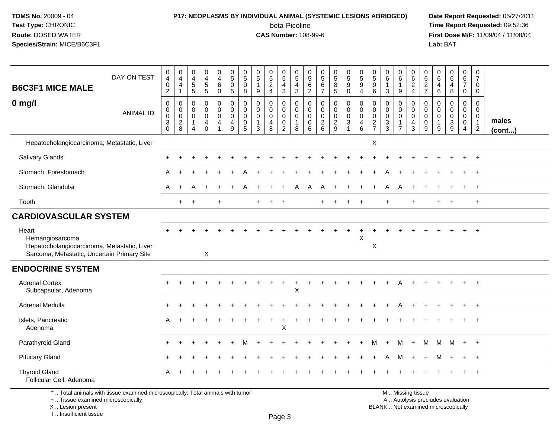# **P17: NEOPLASMS BY INDIVIDUAL ANIMAL (SYSTEMIC LESIONS ABRIDGED) Date Report Requested:** 05/27/2011

beta-Picoline<br>CAS Number: 108-99-6

 **Time Report Requested:** 09:52:36 **First Dose M/F:** 11/09/04 / 11/08/04<br>Lab: BAT **Lab:** BAT

| <b>B6C3F1 MICE MALE</b>                                                                                                | DAY ON TEST                                                                     | 0<br>$\overline{4}$<br>$\pmb{0}$<br>$\sqrt{2}$                    | $\pmb{0}$<br>$\overline{4}$<br>$\overline{4}$<br>$\mathbf{1}$   | $\begin{smallmatrix}0\0\4\end{smallmatrix}$<br>$\,$ 5 $\,$<br>5   | $\begin{array}{c} 0 \\ 4 \end{array}$<br>5<br>$5\phantom{.0}$ | $\begin{smallmatrix}0\\4\end{smallmatrix}$<br>$\,6\,$<br>$\mathbf 0$ | $\begin{array}{c} 0 \\ 5 \end{array}$<br>$\overline{0}$<br>$\sqrt{5}$ | $\pmb{0}$<br>$\overline{5}$<br>$\mathsf{O}\xspace$<br>8 | $\begin{array}{c} 0 \\ 5 \end{array}$<br>$\overline{1}$<br>9              | $\begin{array}{c} 0 \\ 5 \end{array}$<br>$\frac{2}{4}$ | $\begin{array}{c} 0 \\ 5 \\ 4 \\ 3 \end{array}$                                                 | $\begin{array}{c} 0 \\ 5 \end{array}$<br>4<br>$\mathbf{3}$ | 0<br>$\overline{5}$<br>$\frac{6}{2}$                        | $0$<br>5<br>6<br>7                                  | $\begin{array}{c} 0 \\ 5 \end{array}$<br>$\overline{8}$<br>5 | $\begin{array}{c} 0 \\ 5 \end{array}$<br>$\overline{9}$<br>$\mathbf 0$ | $\begin{array}{c} 0 \\ 5 \end{array}$<br>$\boldsymbol{9}$<br>$\overline{4}$ | $\begin{array}{c} 0 \\ 5 \\ 9 \end{array}$<br>$\,6\,$ | $\begin{array}{c} 0 \\ 6 \end{array}$<br>3 | $\mathbf 0$<br>$\overline{6}$<br>$\overline{1}$<br>9              | $\pmb{0}$<br>$\overline{6}$<br>$\overline{2}$<br>$\overline{4}$               | $\mathbf 0$<br>$6\phantom{1}6$<br>$\frac{2}{7}$               | 0<br>6<br>4<br>6                           | $_{6}^{\rm 0}$<br>$\overline{4}$<br>8          | $\begin{array}{c} 0 \\ 6 \\ 7 \end{array}$<br>$\mathbf 0$ | $\begin{array}{c} 0 \\ 7 \end{array}$<br>0<br>0                             |                 |
|------------------------------------------------------------------------------------------------------------------------|---------------------------------------------------------------------------------|-------------------------------------------------------------------|-----------------------------------------------------------------|-------------------------------------------------------------------|---------------------------------------------------------------|----------------------------------------------------------------------|-----------------------------------------------------------------------|---------------------------------------------------------|---------------------------------------------------------------------------|--------------------------------------------------------|-------------------------------------------------------------------------------------------------|------------------------------------------------------------|-------------------------------------------------------------|-----------------------------------------------------|--------------------------------------------------------------|------------------------------------------------------------------------|-----------------------------------------------------------------------------|-------------------------------------------------------|--------------------------------------------|-------------------------------------------------------------------|-------------------------------------------------------------------------------|---------------------------------------------------------------|--------------------------------------------|------------------------------------------------|-----------------------------------------------------------|-----------------------------------------------------------------------------|-----------------|
| $0$ mg/l                                                                                                               | <b>ANIMAL ID</b>                                                                | $\mathbf 0$<br>$\pmb{0}$<br>$\mathsf 0$<br>$\sqrt{3}$<br>$\Omega$ | $\mathbf 0$<br>$\mathbf 0$<br>$\boldsymbol{0}$<br>$\frac{2}{8}$ | 0<br>$\mathbf 0$<br>$\mathbf 0$<br>$\mathbf{1}$<br>$\overline{4}$ | 0<br>$\mathbf 0$<br>$\mathbf 0$<br>4<br>$\Omega$              | 0<br>$\mathbf 0$<br>$\mathbf 0$<br>4<br>1                            | $\pmb{0}$<br>$\mathbf 0$<br>$\mathbf 0$<br>$\overline{4}$<br>9        | 0<br>$\Omega$<br>$\mathbf 0$<br>0<br>5                  | $\mathbf 0$<br>$\mathbf 0$<br>$\mathbf 0$<br>$\mathbf{1}$<br>$\mathbf{3}$ | 0<br>$\mathbf 0$<br>$\mathbf 0$<br>$\overline{4}$<br>8 | 0<br>$\ddot{\mathbf{0}}$<br>$\mathsf{O}\xspace$<br>$\begin{smallmatrix} 0\\2 \end{smallmatrix}$ | 0<br>$\mathbf 0$<br>$\mathbf 0$<br>$\mathbf{1}$<br>8       | $\mathbf 0$<br>$\mathbf 0$<br>$\mathbf 0$<br>$\pmb{0}$<br>6 | $\mathbf 0$<br>$\mathsf{O}\xspace$<br>$\frac{0}{2}$ | $\mathbf 0$<br>$\mathbf 0$<br>$\pmb{0}$<br>$\frac{2}{9}$     | $\pmb{0}$<br>$\pmb{0}$<br>$\mathbf 0$<br>$\sqrt{3}$<br>$\overline{1}$  | 0<br>$\mathbf 0$<br>0<br>4<br>6                                             | 0<br>$\mathbf 0$<br>$\mathbf 0$<br>$\frac{2}{7}$      | 0<br>0<br>$\pmb{0}$<br>$\frac{3}{3}$       | 0<br>$\mathbf 0$<br>$\mathbf 0$<br>$\mathbf{1}$<br>$\overline{7}$ | $\mathbf 0$<br>$\mathbf 0$<br>$\mathbf 0$<br>$\overline{4}$<br>$\overline{3}$ | $\mathbf 0$<br>$\mathbf 0$<br>$\mathbf 0$<br>$\mathbf 0$<br>9 | 0<br>$\mathbf 0$<br>0<br>$\mathbf{1}$<br>9 | 0<br>$\mathbf 0$<br>$\pmb{0}$<br>$\frac{3}{9}$ | 0<br>$\mathbf 0$<br>$\mathbf 0$<br>$\mathbf 0$<br>4       | $\mathbf 0$<br>$\mathbf 0$<br>$\mathbf 0$<br>$\mathbf{1}$<br>$\overline{2}$ | males<br>(cont) |
| Hepatocholangiocarcinoma, Metastatic, Liver                                                                            |                                                                                 |                                                                   |                                                                 |                                                                   |                                                               |                                                                      |                                                                       |                                                         |                                                                           |                                                        |                                                                                                 |                                                            |                                                             |                                                     |                                                              |                                                                        |                                                                             | X                                                     |                                            |                                                                   |                                                                               |                                                               |                                            |                                                |                                                           |                                                                             |                 |
| Salivary Glands                                                                                                        |                                                                                 |                                                                   |                                                                 |                                                                   |                                                               |                                                                      |                                                                       |                                                         |                                                                           |                                                        |                                                                                                 |                                                            |                                                             |                                                     |                                                              |                                                                        |                                                                             |                                                       |                                            |                                                                   |                                                                               |                                                               |                                            |                                                |                                                           | $\div$                                                                      |                 |
| Stomach, Forestomach                                                                                                   |                                                                                 |                                                                   |                                                                 |                                                                   |                                                               |                                                                      |                                                                       |                                                         |                                                                           |                                                        |                                                                                                 |                                                            |                                                             |                                                     |                                                              |                                                                        |                                                                             |                                                       |                                            |                                                                   |                                                                               |                                                               |                                            |                                                |                                                           | $\ddot{}$                                                                   |                 |
| Stomach, Glandular                                                                                                     |                                                                                 | A                                                                 | $\div$                                                          |                                                                   |                                                               |                                                                      |                                                                       |                                                         |                                                                           |                                                        |                                                                                                 | А                                                          | A                                                           |                                                     |                                                              |                                                                        |                                                                             |                                                       |                                            |                                                                   |                                                                               |                                                               |                                            |                                                |                                                           | $\ddot{}$                                                                   |                 |
| Tooth                                                                                                                  |                                                                                 |                                                                   | $\ddot{}$                                                       | $\overline{ }$                                                    |                                                               |                                                                      |                                                                       |                                                         |                                                                           |                                                        |                                                                                                 |                                                            |                                                             |                                                     |                                                              |                                                                        |                                                                             |                                                       | $\ddot{}$                                  |                                                                   | ÷                                                                             |                                                               | $\ddot{}$                                  | $\overline{+}$                                 |                                                           | $\ddot{}$                                                                   |                 |
| <b>CARDIOVASCULAR SYSTEM</b>                                                                                           |                                                                                 |                                                                   |                                                                 |                                                                   |                                                               |                                                                      |                                                                       |                                                         |                                                                           |                                                        |                                                                                                 |                                                            |                                                             |                                                     |                                                              |                                                                        |                                                                             |                                                       |                                            |                                                                   |                                                                               |                                                               |                                            |                                                |                                                           |                                                                             |                 |
| Heart<br>Hemangiosarcoma<br>Hepatocholangiocarcinoma, Metastatic, Liver<br>Sarcoma, Metastatic, Uncertain Primary Site |                                                                                 |                                                                   |                                                                 |                                                                   | X                                                             |                                                                      |                                                                       |                                                         |                                                                           |                                                        |                                                                                                 |                                                            |                                                             |                                                     |                                                              |                                                                        | X                                                                           | X                                                     |                                            |                                                                   |                                                                               |                                                               |                                            |                                                |                                                           |                                                                             |                 |
| <b>ENDOCRINE SYSTEM</b>                                                                                                |                                                                                 |                                                                   |                                                                 |                                                                   |                                                               |                                                                      |                                                                       |                                                         |                                                                           |                                                        |                                                                                                 |                                                            |                                                             |                                                     |                                                              |                                                                        |                                                                             |                                                       |                                            |                                                                   |                                                                               |                                                               |                                            |                                                |                                                           |                                                                             |                 |
| <b>Adrenal Cortex</b><br>Subcapsular, Adenoma                                                                          |                                                                                 |                                                                   |                                                                 |                                                                   |                                                               |                                                                      |                                                                       |                                                         |                                                                           |                                                        |                                                                                                 | $\ddot{}$<br>X                                             |                                                             |                                                     |                                                              |                                                                        |                                                                             |                                                       |                                            |                                                                   |                                                                               |                                                               |                                            |                                                |                                                           | $\overline{+}$                                                              |                 |
| Adrenal Medulla                                                                                                        |                                                                                 |                                                                   |                                                                 |                                                                   |                                                               |                                                                      |                                                                       |                                                         |                                                                           |                                                        |                                                                                                 |                                                            |                                                             |                                                     |                                                              |                                                                        |                                                                             |                                                       |                                            |                                                                   |                                                                               |                                                               |                                            |                                                |                                                           | $+$                                                                         |                 |
| Islets, Pancreatic<br>Adenoma                                                                                          |                                                                                 | A                                                                 |                                                                 |                                                                   |                                                               |                                                                      |                                                                       |                                                         |                                                                           |                                                        | X                                                                                               |                                                            |                                                             |                                                     |                                                              |                                                                        |                                                                             |                                                       |                                            |                                                                   |                                                                               |                                                               |                                            |                                                |                                                           |                                                                             |                 |
| Parathyroid Gland                                                                                                      |                                                                                 |                                                                   |                                                                 |                                                                   |                                                               |                                                                      |                                                                       |                                                         |                                                                           |                                                        |                                                                                                 |                                                            |                                                             |                                                     |                                                              |                                                                        |                                                                             |                                                       |                                            | м                                                                 |                                                                               | м                                                             | M                                          | M                                              | $+$                                                       | $+$                                                                         |                 |
| <b>Pituitary Gland</b>                                                                                                 |                                                                                 |                                                                   |                                                                 |                                                                   |                                                               |                                                                      |                                                                       |                                                         |                                                                           |                                                        |                                                                                                 |                                                            |                                                             |                                                     |                                                              |                                                                        |                                                                             |                                                       |                                            | м                                                                 |                                                                               |                                                               | м                                          |                                                |                                                           | $\overline{+}$                                                              |                 |
| <b>Thyroid Gland</b><br>Follicular Cell, Adenoma                                                                       |                                                                                 |                                                                   |                                                                 |                                                                   |                                                               |                                                                      |                                                                       |                                                         |                                                                           |                                                        |                                                                                                 |                                                            |                                                             |                                                     |                                                              |                                                                        |                                                                             |                                                       |                                            |                                                                   |                                                                               |                                                               |                                            |                                                |                                                           |                                                                             |                 |
|                                                                                                                        | *  Total animals with tissue examined microscopically; Total animals with tumor |                                                                   |                                                                 |                                                                   |                                                               |                                                                      |                                                                       |                                                         |                                                                           |                                                        |                                                                                                 |                                                            |                                                             |                                                     |                                                              |                                                                        |                                                                             |                                                       |                                            |                                                                   | M  Missing tissue                                                             |                                                               |                                            |                                                |                                                           |                                                                             |                 |

+ .. Tissue examined microscopically

X .. Lesion present

I .. Insufficient tissue

y the contract of the contract of the contract of the contract of the contract of  $\mathsf A$  . Autolysis precludes evaluation Lesion present BLANK .. Not examined microscopically

Page 3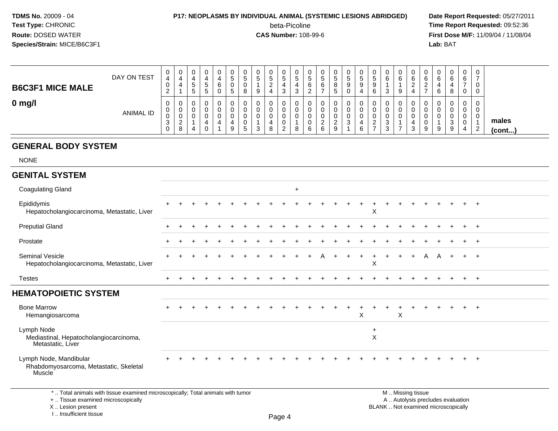# **P17: NEOPLASMS BY INDIVIDUAL ANIMAL (SYSTEMIC LESIONS ABRIDGED)** Date Report Requested: 05/27/2011<br>beta-Picoline **beta-port Report Requested: 09:52:36**

beta-Picoline

**beta-Picoline**<br> **CAS Number:** 108-99-6<br> **CAS Number:** 108-99-6<br> **CAS Number:** 108-99-6 **First Dose M/F:** 11/09/04 / 11/08/04 Lab: BAT **Lab:** BAT

| <b>B6C3F1 MICE MALE</b> | DAY ON TEST      | 0<br>4<br>0<br>$\sim$<br><u>.</u>      | 0<br>4<br>4                              | 0<br>ັ<br>∽<br>ັ | 0<br>C<br>৾৾ | 0<br>6<br>0 | υ<br>v<br>5 | 0<br>ಾ<br>0<br>8      | 0<br>C.<br>9          | $\overline{0}$<br>G<br>∠<br>4 | 0<br>5<br>3                         | v<br>G<br>4<br>વ | ີວ<br>6 | ◡<br>C.<br>O                                 | ູບ<br>8<br>u | ◡<br>ວ | U<br>G<br>9                | v<br>ა<br>9<br>6                              | ◡<br>U             | v<br>6<br>9      | v<br>$\epsilon$<br>о<br>∼ | U<br>6<br>b      | 0<br>6<br>୪      | 0<br>6<br>-<br>0      | 0           |                       |
|-------------------------|------------------|----------------------------------------|------------------------------------------|------------------|--------------|-------------|-------------|-----------------------|-----------------------|-------------------------------|-------------------------------------|------------------|---------|----------------------------------------------|--------------|--------|----------------------------|-----------------------------------------------|--------------------|------------------|---------------------------|------------------|------------------|-----------------------|-------------|-----------------------|
| $0$ mg/l                | <b>ANIMAL ID</b> | 0<br>0<br>0<br>ົ<br>J.<br>$\mathbf{0}$ | U<br>U<br>U<br>$\Omega$<br><u>_</u><br>8 | υ<br>0<br>υ<br>4 |              | 0<br>0<br>0 | 9           | U<br>0<br>0<br>0<br>÷ | 0<br>0<br>0<br>◠<br>◡ | 0<br>4<br>8                   | v<br>v<br>0<br>0<br>C<br>$\epsilon$ | v<br>v<br>ν<br>8 | 6       | ◡<br>◡<br>◡<br><sup>o</sup><br><u>_</u><br>6 | ົ<br>∼<br>9  | v<br>ت | v<br>U<br>U<br>$\sim$<br>с | v<br>υ<br>0<br>ົ<br><u>_</u><br>$\rightarrow$ | ັບ<br>v<br>ັບ<br>ັ | $\mathbf 0$<br>- | ν<br>U<br>U<br>9          | υ<br>U<br>υ<br>9 | 0<br>0<br>3<br>9 | 0<br>0<br>0<br>0<br>4 | $\sim$<br>∠ | males<br>$($ cont $)$ |

#### **GENERAL BODY SYSTEM**

I .. Insufficient tissue

NONE

#### **GENITAL SYSTEM**Coagulating Gland $\alpha$ Epididymis <sup>+</sup> <sup>+</sup> <sup>+</sup> <sup>+</sup> <sup>+</sup> <sup>+</sup> <sup>+</sup> <sup>+</sup> <sup>+</sup> <sup>+</sup> <sup>+</sup> <sup>+</sup> <sup>+</sup> <sup>+</sup> <sup>+</sup> <sup>+</sup> <sup>+</sup> <sup>+</sup> <sup>+</sup> <sup>+</sup> <sup>+</sup> <sup>+</sup> <sup>+</sup> <sup>+</sup> <sup>+</sup> Hepatocholangiocarcinoma, Metastatic, Liverr X Preputial Glandd  $+$  <sup>+</sup> <sup>+</sup> <sup>+</sup> <sup>+</sup> <sup>+</sup> <sup>+</sup> <sup>+</sup> <sup>+</sup> <sup>+</sup> <sup>+</sup> <sup>+</sup> <sup>+</sup> <sup>+</sup> <sup>+</sup> <sup>+</sup> <sup>+</sup> <sup>+</sup> <sup>+</sup> <sup>+</sup> <sup>+</sup> <sup>+</sup> <sup>+</sup> <sup>+</sup> <sup>+</sup> Prostate $e$  + <sup>+</sup> <sup>+</sup> <sup>+</sup> <sup>+</sup> <sup>+</sup> <sup>+</sup> <sup>+</sup> <sup>+</sup> <sup>+</sup> <sup>+</sup> <sup>+</sup> <sup>+</sup> <sup>+</sup> <sup>+</sup> <sup>+</sup> <sup>+</sup> <sup>+</sup> <sup>+</sup> <sup>+</sup> <sup>+</sup> <sup>+</sup> <sup>+</sup> <sup>+</sup> <sup>+</sup> Seminal Vesicleminal Vesicle<br>Hepatocholangiocarcinoma, Metastatic, Liver <sup>+</sup> <sup>+</sup> <sup>+</sup> <sup>+</sup> <sup>+</sup> <sup>+</sup> <sup>+</sup> <sup>+</sup> <sup>+</sup> <sup>+</sup> <sup>+</sup> <sup>A</sup> <sup>+</sup> <sup>+</sup> <sup>+</sup> <sup>+</sup> <sup>+</sup> <sup>+</sup> <sup>+</sup> <sup>A</sup> <sup>A</sup> <sup>+</sup> <sup>+</sup> <sup>+</sup> r X **Testes**  <sup>+</sup> <sup>+</sup> <sup>+</sup> <sup>+</sup> <sup>+</sup> <sup>+</sup> <sup>+</sup> <sup>+</sup> <sup>+</sup> <sup>+</sup> <sup>+</sup> <sup>+</sup> <sup>+</sup> <sup>+</sup> <sup>+</sup> <sup>+</sup> <sup>+</sup> <sup>+</sup> <sup>+</sup> <sup>+</sup> <sup>+</sup> <sup>+</sup> <sup>+</sup> <sup>+</sup> <sup>+</sup> **HEMATOPOIETIC SYSTEM**Bone Marrow <sup>+</sup> <sup>+</sup> <sup>+</sup> <sup>+</sup> <sup>+</sup> <sup>+</sup> <sup>+</sup> <sup>+</sup> <sup>+</sup> <sup>+</sup> <sup>+</sup> <sup>+</sup> <sup>+</sup> <sup>+</sup> <sup>+</sup> <sup>+</sup> <sup>+</sup> <sup>+</sup> <sup>+</sup> <sup>+</sup> <sup>+</sup> <sup>+</sup> <sup>+</sup> <sup>+</sup> <sup>+</sup> Hemangiosarcoma $\alpha$  <sup>X</sup> Lymph Nodee de la construcción de la construcción de la construcción de la construcción de la construcción de la construcción<br>En la construcción de la construcción de la construcción de la construcción de la construcción de la const XMediastinal, Hepatocholangiocarcinoma,Metastatic, LiverLymph Node, Mandibularr + <sup>+</sup> <sup>+</sup> <sup>+</sup> <sup>+</sup> <sup>+</sup> <sup>+</sup> <sup>+</sup> <sup>+</sup> <sup>+</sup> <sup>+</sup> <sup>+</sup> <sup>+</sup> <sup>+</sup> <sup>+</sup> <sup>+</sup> <sup>+</sup> <sup>+</sup> <sup>+</sup> <sup>+</sup> <sup>+</sup> <sup>+</sup> <sup>+</sup> <sup>+</sup> <sup>+</sup> Rhabdomyosarcoma, Metastatic, SkeletalMuscle<sup>®</sup> \* .. Total animals with tissue examined microscopically; Total animals with tumor M .. Missing tissuey the contract of the contract of the contract of the contract of the contract of  $\mathsf A$  . Autolysis precludes evaluation + .. Tissue examined microscopically Lesion present BLANK .. Not examined microscopicallyX .. Lesion present

Page 4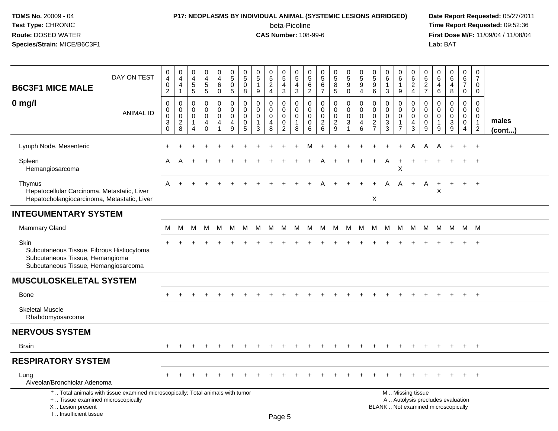# **P17: NEOPLASMS BY INDIVIDUAL ANIMAL (SYSTEMIC LESIONS ABRIDGED) Date Report Requested:** 05/27/2011

beta-Picoline<br>CAS Number: 108-99-6

| <b>B6C3F1 MICE MALE</b>                                                                                                             | DAY ON TEST                                                                     | 0<br>$\overline{4}$<br>$\mathbf 0$<br>$\overline{2}$ | $\pmb{0}$<br>$\overline{4}$<br>4<br>$\mathbf{1}$ | $\pmb{0}$<br>$\overline{4}$<br>$\,$ 5 $\,$<br>$\overline{5}$ | $\pmb{0}$<br>$\overline{4}$<br>$\sqrt{5}$<br>$\sqrt{5}$     | $\pmb{0}$<br>$\overline{4}$<br>$\,6\,$<br>$\mathsf{O}\xspace$               | $\pmb{0}$<br>$\overline{5}$<br>$\mathbf 0$<br>$5\phantom{.0}$    | 0<br>$\overline{5}$<br>$\mathbf 0$<br>8 | 0<br>$\overline{5}$<br>$\mathbf{1}$<br>9             | $\begin{array}{c} 0 \\ 5 \end{array}$<br>$\overline{c}$<br>$\overline{4}$ | $\begin{array}{c} 0 \\ 5 \end{array}$<br>4<br>$\sqrt{3}$ | $\mathbf 0$<br>$\overline{5}$<br>$\overline{4}$<br>$\mathbf{3}$  | 0<br>$\sqrt{5}$<br>$\,6\,$<br>$\overline{c}$ | 0<br>$\overline{5}$<br>6<br>$\overline{7}$                | $\pmb{0}$<br>$\overline{5}$<br>8<br>5                  | 0<br>$\overline{5}$<br>9<br>$\mathbf 0$            | $\begin{smallmatrix} 0\\5 \end{smallmatrix}$<br>$\boldsymbol{9}$<br>$\overline{4}$ | $\pmb{0}$<br>$\overline{5}$<br>$9\,$<br>$\,6\,$                               | 0<br>6<br>-1<br>3                                   | 0<br>$\,6\,$<br>1<br>$\boldsymbol{9}$                             | 0<br>$\,6\,$<br>$\boldsymbol{2}$<br>$\overline{4}$                                            | 0<br>$\,6$<br>$\overline{c}$<br>$\overline{7}$ | 0<br>$\,6$<br>4<br>$\,6$                                    | $\pmb{0}$<br>$6\overline{6}$<br>4<br>8              | $\mathbf 0$<br>$\,6\,$<br>$\overline{7}$<br>$\mathbf 0$                    | $\mathbf 0$<br>$\overline{7}$<br>$\mathbf 0$<br>$\mathbf 0$    |                       |
|-------------------------------------------------------------------------------------------------------------------------------------|---------------------------------------------------------------------------------|------------------------------------------------------|--------------------------------------------------|--------------------------------------------------------------|-------------------------------------------------------------|-----------------------------------------------------------------------------|------------------------------------------------------------------|-----------------------------------------|------------------------------------------------------|---------------------------------------------------------------------------|----------------------------------------------------------|------------------------------------------------------------------|----------------------------------------------|-----------------------------------------------------------|--------------------------------------------------------|----------------------------------------------------|------------------------------------------------------------------------------------|-------------------------------------------------------------------------------|-----------------------------------------------------|-------------------------------------------------------------------|-----------------------------------------------------------------------------------------------|------------------------------------------------|-------------------------------------------------------------|-----------------------------------------------------|----------------------------------------------------------------------------|----------------------------------------------------------------|-----------------------|
| $0$ mg/l                                                                                                                            | <b>ANIMAL ID</b>                                                                | 0<br>0<br>0<br>3<br>$\mathbf 0$                      | 0<br>0<br>$\mathsf 0$<br>$\sqrt{2}$<br>8         | 0<br>0<br>0<br>$\overline{1}$<br>$\overline{4}$              | $\mathbf 0$<br>$\mathbf 0$<br>$\pmb{0}$<br>4<br>$\mathbf 0$ | 0<br>$\mathbf 0$<br>$\mathsf{O}\xspace$<br>$\overline{4}$<br>$\overline{1}$ | $\mathbf 0$<br>$\mathbf 0$<br>$\mathbf 0$<br>$\overline{4}$<br>9 | 0<br>$\Omega$<br>$\mathbf 0$<br>0<br>5  | 0<br>$\mathbf 0$<br>$\mathbf 0$<br>$\mathbf{1}$<br>3 | 0<br>$\mathbf 0$<br>$\mathbf 0$<br>4<br>8                                 | 0<br>0<br>0<br>$\mathbf 0$<br>$\overline{2}$             | $\mathbf 0$<br>$\mathbf 0$<br>$\mathbf 0$<br>$\overline{1}$<br>8 | 0<br>$\Omega$<br>$\mathbf 0$<br>0<br>6       | $\mathbf 0$<br>$\Omega$<br>$\mathbf 0$<br>$\sqrt{2}$<br>6 | 0<br>$\mathbf 0$<br>$\mathbf 0$<br>$\overline{c}$<br>9 | 0<br>$\mathbf 0$<br>$\pmb{0}$<br>$\mathbf{3}$<br>1 | $\mathbf 0$<br>$\mathbf 0$<br>$\pmb{0}$<br>4<br>6                                  | $\mathbf 0$<br>$\mathbf 0$<br>$\mathbf 0$<br>$\overline{2}$<br>$\overline{7}$ | $\mathbf 0$<br>$\mathbf 0$<br>$\mathbf 0$<br>3<br>3 | 0<br>$\mathbf 0$<br>$\mathbf 0$<br>$\mathbf{1}$<br>$\overline{7}$ | 0<br>$\mathbf 0$<br>$\mathbf 0$<br>4<br>3                                                     | 0<br>$\Omega$<br>$\mathbf 0$<br>0<br>9         | $\mathbf 0$<br>$\Omega$<br>$\mathbf 0$<br>$\mathbf{1}$<br>9 | $\mathbf 0$<br>$\mathbf 0$<br>$\mathbf 0$<br>3<br>9 | $\mathbf 0$<br>$\mathbf 0$<br>$\mathbf 0$<br>$\mathbf 0$<br>$\overline{4}$ | $\mathbf 0$<br>$\Omega$<br>0<br>$\mathbf{1}$<br>$\overline{2}$ | males<br>$($ cont $)$ |
| Lymph Node, Mesenteric                                                                                                              |                                                                                 |                                                      |                                                  |                                                              |                                                             |                                                                             |                                                                  |                                         |                                                      |                                                                           |                                                          |                                                                  |                                              |                                                           |                                                        |                                                    |                                                                                    |                                                                               |                                                     |                                                                   |                                                                                               | Α                                              |                                                             |                                                     | $\ddot{}$                                                                  | $+$                                                            |                       |
| Spleen<br>Hemangiosarcoma                                                                                                           |                                                                                 | A                                                    | A                                                |                                                              |                                                             |                                                                             |                                                                  |                                         |                                                      |                                                                           |                                                          |                                                                  |                                              |                                                           |                                                        |                                                    |                                                                                    |                                                                               | Α                                                   | $\ddot{}$<br>X                                                    |                                                                                               |                                                |                                                             |                                                     | $\ddot{}$                                                                  | $+$                                                            |                       |
| Thymus<br>Hepatocellular Carcinoma, Metastatic, Liver<br>Hepatocholangiocarcinoma, Metastatic, Liver                                |                                                                                 | A                                                    |                                                  |                                                              |                                                             |                                                                             |                                                                  |                                         |                                                      |                                                                           |                                                          |                                                                  |                                              |                                                           |                                                        |                                                    |                                                                                    | X                                                                             | A                                                   | A                                                                 | $+$                                                                                           | A                                              | $\ddot{}$<br>X                                              | $\div$                                              | $+$                                                                        | $+$                                                            |                       |
| <b>INTEGUMENTARY SYSTEM</b>                                                                                                         |                                                                                 |                                                      |                                                  |                                                              |                                                             |                                                                             |                                                                  |                                         |                                                      |                                                                           |                                                          |                                                                  |                                              |                                                           |                                                        |                                                    |                                                                                    |                                                                               |                                                     |                                                                   |                                                                                               |                                                |                                                             |                                                     |                                                                            |                                                                |                       |
| <b>Mammary Gland</b>                                                                                                                |                                                                                 | М                                                    | M                                                | M                                                            | M                                                           | M                                                                           | M                                                                | М                                       | М                                                    | M                                                                         | M                                                        | M                                                                | M                                            |                                                           | M M                                                    | M                                                  | M                                                                                  | M                                                                             | M                                                   | M                                                                 | M                                                                                             | M                                              | M                                                           |                                                     | M M M                                                                      |                                                                |                       |
| <b>Skin</b><br>Subcutaneous Tissue, Fibrous Histiocytoma<br>Subcutaneous Tissue, Hemangioma<br>Subcutaneous Tissue, Hemangiosarcoma |                                                                                 |                                                      |                                                  |                                                              |                                                             |                                                                             |                                                                  |                                         |                                                      |                                                                           |                                                          |                                                                  |                                              |                                                           |                                                        |                                                    |                                                                                    |                                                                               |                                                     |                                                                   |                                                                                               |                                                |                                                             |                                                     |                                                                            |                                                                |                       |
| <b>MUSCULOSKELETAL SYSTEM</b>                                                                                                       |                                                                                 |                                                      |                                                  |                                                              |                                                             |                                                                             |                                                                  |                                         |                                                      |                                                                           |                                                          |                                                                  |                                              |                                                           |                                                        |                                                    |                                                                                    |                                                                               |                                                     |                                                                   |                                                                                               |                                                |                                                             |                                                     |                                                                            |                                                                |                       |
| <b>Bone</b>                                                                                                                         |                                                                                 |                                                      |                                                  |                                                              |                                                             |                                                                             |                                                                  |                                         |                                                      |                                                                           |                                                          |                                                                  |                                              |                                                           |                                                        |                                                    |                                                                                    |                                                                               |                                                     |                                                                   |                                                                                               |                                                |                                                             |                                                     | $\pm$                                                                      | $+$                                                            |                       |
| <b>Skeletal Muscle</b><br>Rhabdomyosarcoma                                                                                          |                                                                                 |                                                      |                                                  |                                                              |                                                             |                                                                             |                                                                  |                                         |                                                      |                                                                           |                                                          |                                                                  |                                              |                                                           |                                                        |                                                    |                                                                                    |                                                                               |                                                     |                                                                   |                                                                                               |                                                |                                                             |                                                     |                                                                            |                                                                |                       |
| <b>NERVOUS SYSTEM</b>                                                                                                               |                                                                                 |                                                      |                                                  |                                                              |                                                             |                                                                             |                                                                  |                                         |                                                      |                                                                           |                                                          |                                                                  |                                              |                                                           |                                                        |                                                    |                                                                                    |                                                                               |                                                     |                                                                   |                                                                                               |                                                |                                                             |                                                     |                                                                            |                                                                |                       |
| <b>Brain</b>                                                                                                                        |                                                                                 |                                                      |                                                  |                                                              |                                                             |                                                                             |                                                                  |                                         |                                                      |                                                                           |                                                          |                                                                  |                                              |                                                           |                                                        |                                                    |                                                                                    |                                                                               |                                                     |                                                                   |                                                                                               |                                                |                                                             |                                                     | $\pm$                                                                      | $+$                                                            |                       |
| <b>RESPIRATORY SYSTEM</b>                                                                                                           |                                                                                 |                                                      |                                                  |                                                              |                                                             |                                                                             |                                                                  |                                         |                                                      |                                                                           |                                                          |                                                                  |                                              |                                                           |                                                        |                                                    |                                                                                    |                                                                               |                                                     |                                                                   |                                                                                               |                                                |                                                             |                                                     |                                                                            |                                                                |                       |
| Lung<br>Alveolar/Bronchiolar Adenoma                                                                                                |                                                                                 |                                                      |                                                  |                                                              |                                                             |                                                                             |                                                                  |                                         |                                                      |                                                                           |                                                          |                                                                  |                                              |                                                           |                                                        |                                                    |                                                                                    |                                                                               |                                                     |                                                                   |                                                                                               |                                                |                                                             |                                                     |                                                                            | $^{+}$                                                         |                       |
| +  Tissue examined microscopically<br>X  Lesion present<br>I Insufficient tissue                                                    | *  Total animals with tissue examined microscopically; Total animals with tumor |                                                      |                                                  |                                                              |                                                             |                                                                             |                                                                  |                                         |                                                      |                                                                           | DaoE                                                     |                                                                  |                                              |                                                           |                                                        |                                                    |                                                                                    |                                                                               |                                                     |                                                                   | M  Missing tissue<br>A  Autolysis precludes evaluation<br>BLANK  Not examined microscopically |                                                |                                                             |                                                     |                                                                            |                                                                |                       |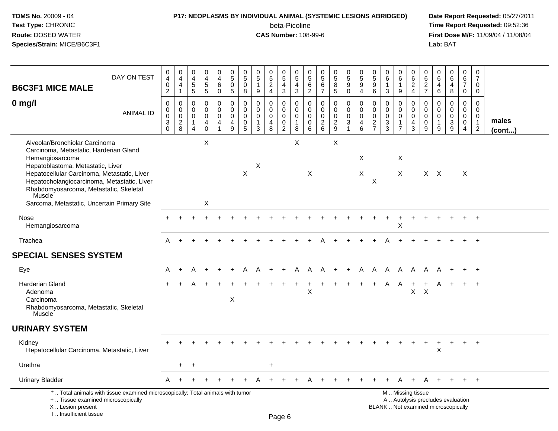#### **P17: NEOPLASMS BY INDIVIDUAL ANIMAL (SYSTEMIC LESIONS ABRIDGED) Date Report Requested:** 05/27/2011

beta-Picoline<br>CAS Number: 108-99-6

| <b>B6C3F1 MICE MALE</b>                                                                                                                                                                                                                                                  | DAY ON TEST      | $\pmb{0}$<br>$\overline{4}$<br>$\mathbf 0$<br>$\overline{2}$           | $_4^{\rm 0}$<br>4<br>$\mathbf{1}$              | 0<br>4<br>$\,$ 5 $\,$<br>$\sqrt{5}$                     | $\pmb{0}$<br>$\overline{4}$<br>$\sqrt{5}$<br>$\sqrt{5}$       | 0<br>$\overline{4}$<br>$\,6\,$<br>$\mathbf 0$       | $\pmb{0}$<br>$\overline{5}$<br>$\mathbf 0$<br>$\sqrt{5}$ | 0<br>5<br>0<br>8                          | 0<br>$\overline{5}$<br>$\mathbf{1}$<br>9          | $^{\rm 0}_{\rm 5}$<br>$\boldsymbol{2}$<br>$\overline{4}$ | 0<br>$\overline{5}$<br>4<br>3                                              | 0<br>$\overline{5}$<br>$\overline{4}$<br>$\mathbf{3}$            | 0<br>$\sqrt{5}$<br>$\,6$<br>$\sqrt{2}$    | 0<br>$\overline{5}$<br>6<br>$\overline{7}$                    | $^{\rm 0}_{\rm 5}$<br>8<br>5           | $\begin{array}{c} 0 \\ 5 \end{array}$<br>$\boldsymbol{9}$<br>$\mathsf 0$    | $^{\rm 0}_{\rm 5}$<br>$\boldsymbol{9}$<br>$\overline{4}$ | $\pmb{0}$<br>$\frac{5}{9}$<br>$\,6\,$                      | 0<br>$6\phantom{a}$<br>-1<br>$\mathbf{3}$        | 0<br>$\,6\,$<br>1<br>$9\,$                                             | 0<br>6<br>$\frac{2}{4}$                                                                       | 0<br>6<br>$\frac{2}{7}$                   | 0<br>$\,6$<br>$\overline{4}$<br>$\,6$          | $\pmb{0}$<br>$6^{\circ}$<br>$\overline{4}$<br>8                                          | $\mathbf 0$<br>$\,6\,$<br>$\boldsymbol{7}$<br>$\mathsf{O}\xspace$                  | $\pmb{0}$<br>$\overline{7}$<br>$\mathbf 0$<br>$\mathbf 0$                |                       |
|--------------------------------------------------------------------------------------------------------------------------------------------------------------------------------------------------------------------------------------------------------------------------|------------------|------------------------------------------------------------------------|------------------------------------------------|---------------------------------------------------------|---------------------------------------------------------------|-----------------------------------------------------|----------------------------------------------------------|-------------------------------------------|---------------------------------------------------|----------------------------------------------------------|----------------------------------------------------------------------------|------------------------------------------------------------------|-------------------------------------------|---------------------------------------------------------------|----------------------------------------|-----------------------------------------------------------------------------|----------------------------------------------------------|------------------------------------------------------------|--------------------------------------------------|------------------------------------------------------------------------|-----------------------------------------------------------------------------------------------|-------------------------------------------|------------------------------------------------|------------------------------------------------------------------------------------------|------------------------------------------------------------------------------------|--------------------------------------------------------------------------|-----------------------|
| $0$ mg/l                                                                                                                                                                                                                                                                 | <b>ANIMAL ID</b> | $\mathbf 0$<br>$\pmb{0}$<br>$\pmb{0}$<br>$\mathfrak{S}$<br>$\mathbf 0$ | 0<br>0<br>$\mathbf 0$<br>$\boldsymbol{2}$<br>8 | $\mathbf 0$<br>0<br>$\mathbf 0$<br>-1<br>$\overline{4}$ | $\mathbf 0$<br>$\mathbf 0$<br>$\mathbf 0$<br>4<br>$\mathbf 0$ | 0<br>0<br>$\pmb{0}$<br>4<br>$\overline{\mathbf{1}}$ | $\mathbf 0$<br>$\mathbf 0$<br>$\mathbf 0$<br>4<br>9      | 0<br>$\mathbf 0$<br>$\mathbf 0$<br>0<br>5 | 0<br>$\Omega$<br>$\mathbf 0$<br>$\mathbf{1}$<br>3 | $\mathbf 0$<br>$\mathbf 0$<br>$\pmb{0}$<br>4<br>8        | $\mathbf 0$<br>$\mathbf 0$<br>$\mathbf 0$<br>$\mathbf 0$<br>$\overline{2}$ | $\mathbf 0$<br>$\mathbf 0$<br>$\mathbf 0$<br>$\overline{1}$<br>8 | 0<br>$\mathbf 0$<br>$\mathbf 0$<br>0<br>6 | $\mathbf 0$<br>$\Omega$<br>$\mathbf 0$<br>$\overline{c}$<br>6 | 0<br>$\mathbf 0$<br>0<br>$\frac{2}{9}$ | $\mathbf 0$<br>$\mathbf 0$<br>$\mathbf 0$<br>$\mathbf{3}$<br>$\overline{1}$ | $\mathbf 0$<br>$\mathbf 0$<br>$\mathbf 0$<br>4<br>6      | $\mathbf 0$<br>$\mathbf 0$<br>$\mathbf 0$<br>$\frac{2}{7}$ | $\mathbf 0$<br>$\Omega$<br>$\mathbf 0$<br>3<br>3 | 0<br>$\mathbf 0$<br>$\boldsymbol{0}$<br>$\mathbf{1}$<br>$\overline{7}$ | 0<br>$\mathbf 0$<br>$\mathbf 0$<br>4<br>3                                                     | 0<br>$\mathbf 0$<br>0<br>$\mathbf 0$<br>9 | 0<br>$\mathbf 0$<br>0<br>$\mathbf{1}$<br>$9\,$ | $\mathbf 0$<br>$\mathbf 0$<br>$\pmb{0}$<br>$\ensuremath{\mathsf{3}}$<br>$\boldsymbol{9}$ | $\mathbf 0$<br>$\mathbf 0$<br>$\mathsf{O}\xspace$<br>$\mathbf 0$<br>$\overline{a}$ | $\mathbf 0$<br>$\Omega$<br>$\mathbf 0$<br>$\mathbf{1}$<br>$\overline{2}$ | males<br>$($ cont $)$ |
| Alveolar/Bronchiolar Carcinoma<br>Carcinoma, Metastatic, Harderian Gland<br>Hemangiosarcoma<br>Hepatoblastoma, Metastatic, Liver<br>Hepatocellular Carcinoma, Metastatic, Liver<br>Hepatocholangiocarcinoma, Metastatic, Liver<br>Rhabdomyosarcoma, Metastatic, Skeletal |                  |                                                                        |                                                |                                                         | X                                                             |                                                     |                                                          | $\mathsf X$                               | X                                                 |                                                          |                                                                            | X                                                                | $\boldsymbol{\mathsf{X}}$                 |                                                               | X                                      |                                                                             | X<br>X                                                   | $\mathsf X$                                                |                                                  | Χ<br>X                                                                 |                                                                                               |                                           | $X$ $X$                                        |                                                                                          | Χ                                                                                  |                                                                          |                       |
| Muscle<br>Sarcoma, Metastatic, Uncertain Primary Site                                                                                                                                                                                                                    |                  |                                                                        |                                                |                                                         | X                                                             |                                                     |                                                          |                                           |                                                   |                                                          |                                                                            |                                                                  |                                           |                                                               |                                        |                                                                             |                                                          |                                                            |                                                  |                                                                        |                                                                                               |                                           |                                                |                                                                                          |                                                                                    |                                                                          |                       |
| Nose<br>Hemangiosarcoma                                                                                                                                                                                                                                                  |                  |                                                                        |                                                |                                                         |                                                               |                                                     |                                                          |                                           |                                                   |                                                          |                                                                            |                                                                  |                                           |                                                               |                                        |                                                                             |                                                          |                                                            |                                                  | X                                                                      |                                                                                               |                                           |                                                |                                                                                          | ÷.                                                                                 | $+$                                                                      |                       |
| Trachea                                                                                                                                                                                                                                                                  |                  | A                                                                      | $+$                                            |                                                         |                                                               |                                                     |                                                          |                                           |                                                   |                                                          |                                                                            |                                                                  |                                           |                                                               | $\overline{+}$                         | $\ddot{}$                                                                   | $\ddot{}$                                                | $\pm$                                                      | A                                                | $+$                                                                    | $\overline{+}$                                                                                |                                           |                                                |                                                                                          |                                                                                    | $+$                                                                      |                       |
| <b>SPECIAL SENSES SYSTEM</b>                                                                                                                                                                                                                                             |                  |                                                                        |                                                |                                                         |                                                               |                                                     |                                                          |                                           |                                                   |                                                          |                                                                            |                                                                  |                                           |                                                               |                                        |                                                                             |                                                          |                                                            |                                                  |                                                                        |                                                                                               |                                           |                                                |                                                                                          |                                                                                    |                                                                          |                       |
| Eye                                                                                                                                                                                                                                                                      |                  | A                                                                      | $\ddot{}$                                      |                                                         |                                                               |                                                     |                                                          |                                           |                                                   |                                                          | $\ddot{}$                                                                  | A                                                                | Α                                         | A                                                             | $+$                                    | $+$                                                                         | A                                                        | $\mathsf{A}$                                               | $\mathsf{A}$                                     | - A                                                                    | A                                                                                             | A                                         | A                                              | $\ddot{}$                                                                                | $+$                                                                                | $+$                                                                      |                       |
| <b>Harderian Gland</b><br>Adenoma<br>Carcinoma<br>Rhabdomyosarcoma, Metastatic, Skeletal<br>Muscle                                                                                                                                                                       |                  | $+$                                                                    | $\pm$                                          | A                                                       |                                                               |                                                     | $\pmb{\times}$                                           |                                           |                                                   |                                                          |                                                                            |                                                                  | X                                         |                                                               |                                        |                                                                             | $\ddot{}$                                                | $\ddot{}$                                                  | A                                                | A                                                                      | $\ddot{}$<br>$\mathsf{X}$                                                                     | $\ddot{}$<br>$\mathsf{X}$                 | A                                              | $\ddot{}$                                                                                | $+$                                                                                | $+$                                                                      |                       |
| <b>URINARY SYSTEM</b>                                                                                                                                                                                                                                                    |                  |                                                                        |                                                |                                                         |                                                               |                                                     |                                                          |                                           |                                                   |                                                          |                                                                            |                                                                  |                                           |                                                               |                                        |                                                                             |                                                          |                                                            |                                                  |                                                                        |                                                                                               |                                           |                                                |                                                                                          |                                                                                    |                                                                          |                       |
| Kidney<br>Hepatocellular Carcinoma, Metastatic, Liver                                                                                                                                                                                                                    |                  |                                                                        |                                                |                                                         |                                                               |                                                     |                                                          |                                           |                                                   |                                                          |                                                                            |                                                                  |                                           |                                                               |                                        |                                                                             |                                                          |                                                            |                                                  |                                                                        |                                                                                               |                                           | X                                              |                                                                                          | $\pm$                                                                              | $+$                                                                      |                       |
| Urethra                                                                                                                                                                                                                                                                  |                  |                                                                        | $\ddot{}$                                      | $\div$                                                  |                                                               |                                                     |                                                          |                                           |                                                   | $\ddot{}$                                                |                                                                            |                                                                  |                                           |                                                               |                                        |                                                                             |                                                          |                                                            |                                                  |                                                                        |                                                                                               |                                           |                                                |                                                                                          |                                                                                    |                                                                          |                       |
| <b>Urinary Bladder</b>                                                                                                                                                                                                                                                   |                  | A                                                                      | $\div$                                         |                                                         |                                                               |                                                     |                                                          |                                           |                                                   |                                                          |                                                                            |                                                                  |                                           |                                                               |                                        |                                                                             |                                                          |                                                            |                                                  |                                                                        |                                                                                               |                                           |                                                |                                                                                          |                                                                                    | $\ddot{}$                                                                |                       |
| *  Total animals with tissue examined microscopically; Total animals with tumor<br>+  Tissue examined microscopically<br>X  Lesion present<br>I Insufficient tissue                                                                                                      |                  |                                                                        |                                                |                                                         |                                                               |                                                     |                                                          |                                           |                                                   |                                                          | Dao &                                                                      |                                                                  |                                           |                                                               |                                        |                                                                             |                                                          |                                                            |                                                  |                                                                        | M  Missing tissue<br>A  Autolysis precludes evaluation<br>BLANK  Not examined microscopically |                                           |                                                |                                                                                          |                                                                                    |                                                                          |                       |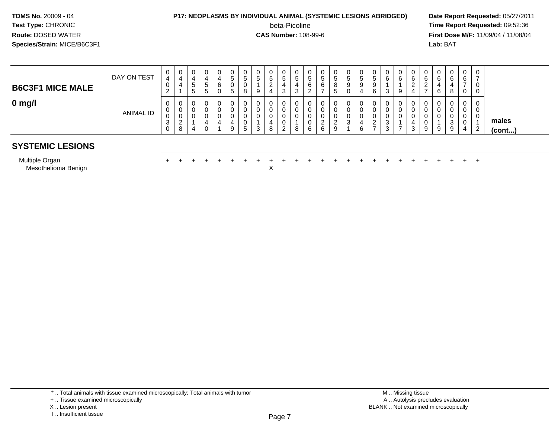# **P17: NEOPLASMS BY INDIVIDUAL ANIMAL (SYSTEMIC LESIONS ABRIDGED)** Date Report Requested: 05/27/2011<br>beta-Picoline **beta-port Report Requested: 09:52:36**

beta-Picoline

**beta-Picoline**<br> **CAS Number:** 108-99-6<br> **CAS Number:** 108-99-6<br> **CAS Number:** 108-99-6 **First Dose M/F:** 11/09/04 / 11/08/04<br>**Lab:** BAT **Lab:** BAT

| <b>B6C3F1 MICE MALE</b> | DAY ON TEST | _ | U                  | U<br>◡<br>ರ      | .៦ | 4<br>6<br>U | 0<br>G<br>0<br>C. | C | G | U<br>N<br>▵      | υ<br><sub>5</sub><br>3            | U<br>$\mathbf{p}$<br>4 | υ<br>ົວ<br>U             | 0<br>C<br>b                           | J<br>ູບ | U<br>€<br>9           | U<br>.៦<br>9<br>b            | 0<br>6<br>3                | 0<br>6<br>9 | U<br>$\sim$<br>b                 |   | b<br>O      | ⌒      | 0<br>6<br>0           | 0<br>$\rightarrow$<br>0 |                       |
|-------------------------|-------------|---|--------------------|------------------|----|-------------|-------------------|---|---|------------------|-----------------------------------|------------------------|--------------------------|---------------------------------------|---------|-----------------------|------------------------------|----------------------------|-------------|----------------------------------|---|-------------|--------|-----------------------|-------------------------|-----------------------|
| $0$ mg/l                | ANIMAL ID   |   | J<br>ັບ<br>ັບ<br>8 | U<br>U<br>U<br>4 |    | ັບ          | 0<br>0<br>0<br>9  |   |   | ν<br>u<br>υ<br>8 | U<br>U<br>υ<br>U<br>ົ<br><u>L</u> | 0<br>0<br>0<br>o       | υ<br>ັບ<br>ັບ<br>ັບ<br>O | 0<br>0<br>0<br><sup>o</sup><br>_<br>6 |         | v<br>u<br>u<br>c<br>O | U<br>ν<br>ν<br><u>_</u><br>- | 0<br>0<br>0<br>ີ<br>◡<br>3 | 0<br>0<br>0 | 0<br>0<br>υ<br><sup>o</sup><br>ບ | 9 | v<br>ບ<br>u | J<br>g | 0<br>0<br>0<br>0<br>4 | 0<br>0<br>0<br>2        | males<br>$($ cont $)$ |

#### **SYSTEMIC LESIONS**

Multiple Organ

n  $+$ <sup>+</sup> <sup>+</sup> <sup>+</sup> <sup>+</sup> <sup>+</sup> <sup>+</sup> <sup>+</sup> <sup>+</sup> <sup>+</sup> <sup>+</sup> <sup>+</sup> <sup>+</sup> <sup>+</sup> <sup>+</sup> <sup>+</sup> <sup>+</sup> <sup>+</sup> <sup>+</sup> <sup>+</sup> <sup>+</sup> <sup>+</sup> <sup>+</sup> <sup>+</sup> <sup>+</sup>

Mesothelioma Benignn  $X$ 

\* .. Total animals with tissue examined microscopically; Total animals with tumor

X .. Lesion present

I .. Insufficient tissue

<sup>+ ..</sup> Tissue examined microscopically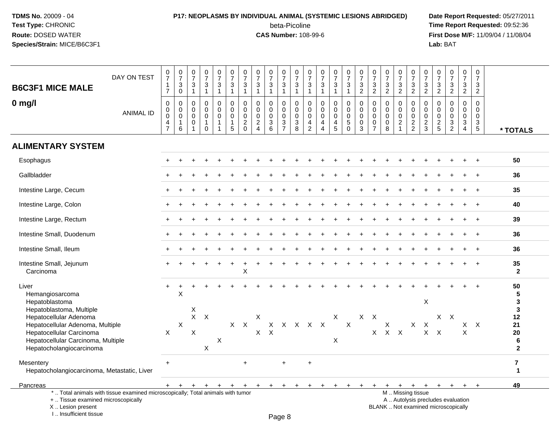### **P17: NEOPLASMS BY INDIVIDUAL ANIMAL (SYSTEMIC LESIONS ABRIDGED) Date Report Requested:** 05/27/2011

beta-Picoline<br>CAS Number: 108-99-6

| <b>B6C3F1 MICE MALE</b>                                                                                                                                                              | DAY ON TEST      | $\frac{0}{7}$<br>$\mathbf{1}$<br>$\overline{7}$                     | $\frac{0}{7}$<br>$\ensuremath{\mathsf{3}}$<br>$\mathbf 0$ | $\frac{0}{7}$<br>$\frac{3}{1}$                                | $\frac{0}{7}$<br>$\mathbf{3}$<br>$\mathbf{1}$    | $\frac{0}{7}$<br>$\sqrt{3}$<br>$\mathbf{1}$                 | $\frac{0}{7}$<br>$\mathbf 3$<br>$\mathbf{1}$               | $\frac{0}{7}$<br>$\ensuremath{\mathsf{3}}$<br>$\mathbf{1}$ | $\begin{array}{c} 0 \\ 7 \\ 3 \\ 1 \end{array}$          | $\frac{0}{7}$<br>$\frac{3}{1}$                   | 0<br>$\overline{7}$<br>$\frac{3}{1}$                    | $\frac{0}{7}$<br>$\ensuremath{\mathsf{3}}$<br>$\mathbf{1}$ | 0<br>$\frac{5}{7}$<br>3<br>$\mathbf{1}$                       | $\frac{0}{7}$<br>$\mathbf{3}$<br>$\mathbf{1}$          | $\frac{0}{7}$<br>$\frac{3}{1}$                                                | $\frac{0}{7}$<br>$\mathbf 3$<br>$\mathbf{1}$                         | $\frac{0}{7}$<br>$\frac{3}{2}$                      | $\frac{0}{7}$<br>$\frac{3}{2}$                                           | $\frac{0}{7}$<br>$\frac{3}{2}$                   | 0<br>$\overline{7}$<br>$\frac{3}{2}$                                                          | $\frac{0}{7}$<br>$\mathsf 3$<br>$\overline{2}$           | 0<br>$\overline{7}$<br>$\frac{3}{2}$                    | $\frac{0}{7}$<br>$\frac{3}{2}$                | $\begin{smallmatrix}0\\7\end{smallmatrix}$<br>$\frac{3}{2}$ | $\frac{0}{7}$<br>$\mathbf{3}$<br>$\overline{2}$                               | 0<br>$\overline{7}$<br>3<br>$\overline{2}$       |                                                     |
|--------------------------------------------------------------------------------------------------------------------------------------------------------------------------------------|------------------|---------------------------------------------------------------------|-----------------------------------------------------------|---------------------------------------------------------------|--------------------------------------------------|-------------------------------------------------------------|------------------------------------------------------------|------------------------------------------------------------|----------------------------------------------------------|--------------------------------------------------|---------------------------------------------------------|------------------------------------------------------------|---------------------------------------------------------------|--------------------------------------------------------|-------------------------------------------------------------------------------|----------------------------------------------------------------------|-----------------------------------------------------|--------------------------------------------------------------------------|--------------------------------------------------|-----------------------------------------------------------------------------------------------|----------------------------------------------------------|---------------------------------------------------------|-----------------------------------------------|-------------------------------------------------------------|-------------------------------------------------------------------------------|--------------------------------------------------|-----------------------------------------------------|
| $0$ mg/l                                                                                                                                                                             | <b>ANIMAL ID</b> | $\mathbf 0$<br>0<br>$\mathbf 0$<br>$\overline{4}$<br>$\overline{7}$ | $\pmb{0}$<br>$\mathbf 0$<br>$\mathbf 0$<br>1<br>6         | $\mathbf 0$<br>$\Omega$<br>$\mathbf 0$<br>0<br>$\overline{1}$ | $\mathbf 0$<br>$\mathsf 0$<br>0<br>1<br>$\Omega$ | $\mathbf 0$<br>$\mathbf 0$<br>$\mathbf 0$<br>$\overline{1}$ | $\pmb{0}$<br>$\pmb{0}$<br>$\mathsf 0$<br>$\mathbf{1}$<br>5 | $\mathbf 0$<br>0<br>0<br>$\sqrt{2}$<br>$\Omega$            | $\mathbf 0$<br>$\pmb{0}$<br>$\mathbf 0$<br>$\frac{2}{4}$ | 0<br>$\mathbf 0$<br>$\mathbf 0$<br>$\frac{3}{6}$ | $\mathbf 0$<br>$\Omega$<br>$\mathbf 0$<br>$\frac{3}{7}$ | $\pmb{0}$<br>$\mathbf 0$<br>$\mathbf 0$<br>$\frac{3}{8}$   | $\mathbf 0$<br>$\Omega$<br>$\mathbf 0$<br>4<br>$\overline{2}$ | 0<br>$\mathsf 0$<br>$\mathsf 0$<br>4<br>$\overline{4}$ | $\mathbf 0$<br>$\mathbf 0$<br>$\mathbf 0$<br>$\overline{4}$<br>$\overline{5}$ | $\pmb{0}$<br>$\mathsf 0$<br>$\pmb{0}$<br>$\overline{5}$ <sup>0</sup> | $\mathbf 0$<br>0<br>$\mathbf 0$<br>$\mathbf 0$<br>3 | $\mathbf 0$<br>$\pmb{0}$<br>$\mathbf 0$<br>$\mathbf 0$<br>$\overline{7}$ | 0<br>$\mathbf 0$<br>$\mathbf 0$<br>$\frac{0}{8}$ | $\mathbf 0$<br>0<br>$\mathbf 0$<br>$\frac{2}{1}$                                              | $\pmb{0}$<br>$\mathbf 0$<br>$\mathbf 0$<br>$\frac{2}{2}$ | $\mathbf 0$<br>$\Omega$<br>$\mathbf 0$<br>$\frac{2}{3}$ | 0<br>$\Omega$<br>$\mathbf 0$<br>$\frac{2}{5}$ | 0<br>$\mathbf 0$<br>$\mathbf 0$<br>$\frac{3}{2}$            | $\mathsf 0$<br>$\mathbf 0$<br>$\mathbf 0$<br>$\overline{3}$<br>$\overline{4}$ | $\mathbf 0$<br>$\Omega$<br>$\mathbf 0$<br>3<br>5 | * TOTALS                                            |
| <b>ALIMENTARY SYSTEM</b>                                                                                                                                                             |                  |                                                                     |                                                           |                                                               |                                                  |                                                             |                                                            |                                                            |                                                          |                                                  |                                                         |                                                            |                                                               |                                                        |                                                                               |                                                                      |                                                     |                                                                          |                                                  |                                                                                               |                                                          |                                                         |                                               |                                                             |                                                                               |                                                  |                                                     |
| Esophagus                                                                                                                                                                            |                  |                                                                     |                                                           |                                                               |                                                  |                                                             |                                                            |                                                            |                                                          |                                                  |                                                         |                                                            |                                                               |                                                        |                                                                               |                                                                      |                                                     |                                                                          |                                                  |                                                                                               |                                                          |                                                         |                                               |                                                             |                                                                               |                                                  | 50                                                  |
| Gallbladder                                                                                                                                                                          |                  |                                                                     |                                                           |                                                               |                                                  |                                                             |                                                            |                                                            |                                                          |                                                  |                                                         |                                                            |                                                               |                                                        |                                                                               |                                                                      |                                                     |                                                                          |                                                  |                                                                                               |                                                          |                                                         |                                               |                                                             |                                                                               |                                                  |                                                     |
|                                                                                                                                                                                      |                  |                                                                     |                                                           |                                                               |                                                  |                                                             |                                                            |                                                            |                                                          |                                                  |                                                         |                                                            |                                                               |                                                        |                                                                               |                                                                      |                                                     |                                                                          |                                                  |                                                                                               |                                                          |                                                         |                                               |                                                             |                                                                               |                                                  | 36                                                  |
| Intestine Large, Cecum                                                                                                                                                               |                  |                                                                     |                                                           |                                                               |                                                  |                                                             |                                                            |                                                            |                                                          |                                                  |                                                         |                                                            |                                                               |                                                        |                                                                               |                                                                      |                                                     |                                                                          |                                                  |                                                                                               |                                                          |                                                         |                                               |                                                             |                                                                               | $\div$                                           | 35                                                  |
| Intestine Large, Colon                                                                                                                                                               |                  |                                                                     |                                                           |                                                               |                                                  |                                                             |                                                            |                                                            |                                                          |                                                  |                                                         |                                                            |                                                               |                                                        |                                                                               |                                                                      |                                                     |                                                                          |                                                  |                                                                                               |                                                          |                                                         |                                               |                                                             |                                                                               |                                                  | 40                                                  |
| Intestine Large, Rectum                                                                                                                                                              |                  |                                                                     |                                                           |                                                               |                                                  |                                                             |                                                            |                                                            |                                                          |                                                  |                                                         |                                                            |                                                               |                                                        |                                                                               |                                                                      |                                                     |                                                                          |                                                  |                                                                                               |                                                          |                                                         |                                               |                                                             |                                                                               |                                                  | 39                                                  |
| Intestine Small, Duodenum                                                                                                                                                            |                  |                                                                     |                                                           |                                                               |                                                  |                                                             |                                                            |                                                            |                                                          |                                                  |                                                         |                                                            |                                                               |                                                        |                                                                               |                                                                      |                                                     |                                                                          |                                                  |                                                                                               |                                                          |                                                         |                                               |                                                             |                                                                               |                                                  | 36                                                  |
| Intestine Small, Ileum                                                                                                                                                               |                  |                                                                     |                                                           |                                                               |                                                  |                                                             |                                                            |                                                            |                                                          |                                                  |                                                         |                                                            |                                                               |                                                        |                                                                               |                                                                      |                                                     |                                                                          |                                                  |                                                                                               |                                                          |                                                         |                                               |                                                             |                                                                               |                                                  | 36                                                  |
| Intestine Small, Jejunum<br>Carcinoma                                                                                                                                                |                  |                                                                     |                                                           |                                                               |                                                  |                                                             |                                                            | X                                                          |                                                          |                                                  |                                                         |                                                            |                                                               |                                                        |                                                                               |                                                                      |                                                     |                                                                          |                                                  |                                                                                               |                                                          |                                                         |                                               |                                                             |                                                                               |                                                  | 35<br>$\mathbf{2}$                                  |
| Liver<br>Hemangiosarcoma<br>Hepatoblastoma                                                                                                                                           |                  | $\ddot{}$                                                           | X                                                         |                                                               |                                                  |                                                             |                                                            |                                                            |                                                          |                                                  |                                                         |                                                            |                                                               |                                                        |                                                                               |                                                                      |                                                     |                                                                          |                                                  |                                                                                               |                                                          | $\mathsf X$                                             |                                               |                                                             |                                                                               |                                                  | 50<br>5<br>3                                        |
| Hepatoblastoma, Multiple<br>Hepatocellular Adenoma<br>Hepatocellular Adenoma, Multiple<br>Hepatocellular Carcinoma<br>Hepatocellular Carcinoma, Multiple<br>Hepatocholangiocarcinoma |                  | X                                                                   | $\boldsymbol{\mathsf{X}}$                                 | X<br>X                                                        | $X$ $X$<br>X                                     | X                                                           |                                                            | $X$ $X$                                                    | X                                                        | $X$ $X$                                          |                                                         |                                                            | $X$ $X$ $X$ $X$ $X$                                           |                                                        | X<br>X                                                                        | $\mathsf{X}$                                                         |                                                     | $X$ $X$                                                                  | $\boldsymbol{\mathsf{X}}$<br>$X$ $X$ $X$         |                                                                                               |                                                          | $X$ $X$                                                 | $X$ $X$                                       | X X                                                         | $\pmb{\times}$                                                                | $X$ $X$                                          | 3<br>12<br>21<br>20<br>6<br>$\overline{\mathbf{2}}$ |
| Mesentery<br>Hepatocholangiocarcinoma, Metastatic, Liver                                                                                                                             |                  | $\ddot{}$                                                           |                                                           |                                                               |                                                  |                                                             |                                                            | $\ddot{}$                                                  |                                                          |                                                  | $\ddot{}$                                               |                                                            | $\ddot{}$                                                     |                                                        |                                                                               |                                                                      |                                                     |                                                                          |                                                  |                                                                                               |                                                          |                                                         |                                               |                                                             |                                                                               |                                                  | $\overline{7}$<br>$\mathbf 1$                       |
| Pancreas                                                                                                                                                                             |                  | $+$                                                                 |                                                           |                                                               |                                                  |                                                             |                                                            |                                                            | $\overline{ }$                                           | ÷                                                |                                                         |                                                            |                                                               |                                                        |                                                                               |                                                                      |                                                     |                                                                          |                                                  | $\ddot{}$                                                                                     | $+$                                                      | $+$                                                     | $+$                                           | $+$                                                         | $\ddot{}$                                                                     |                                                  | 49                                                  |
| *  Total animals with tissue examined microscopically; Total animals with tumor<br>+  Tissue examined microscopically<br>X  Lesion present<br>I Insufficient tissue                  |                  |                                                                     |                                                           |                                                               |                                                  |                                                             |                                                            |                                                            |                                                          |                                                  | Dao 9                                                   |                                                            |                                                               |                                                        |                                                                               |                                                                      |                                                     |                                                                          |                                                  | M  Missing tissue<br>A  Autolysis precludes evaluation<br>BLANK  Not examined microscopically |                                                          |                                                         |                                               |                                                             |                                                                               |                                                  |                                                     |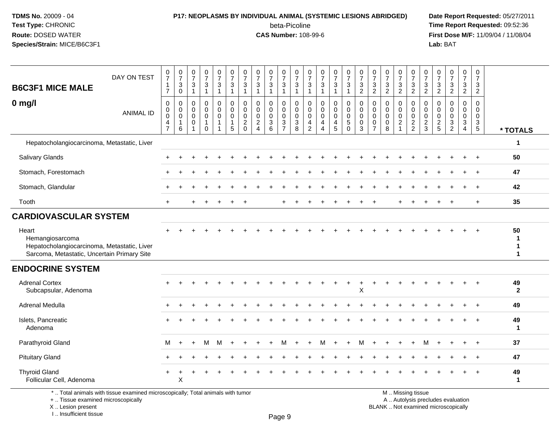### **P17: NEOPLASMS BY INDIVIDUAL ANIMAL (SYSTEMIC LESIONS ABRIDGED) Date Report Requested:** 05/27/2011

beta-Picoline<br>CAS Number: 108-99-6

 **Time Report Requested:** 09:52:36 **First Dose M/F:** 11/09/04 / 11/08/04<br>Lab: BAT **Lab:** BAT

| <b>B6C3F1 MICE MALE</b>                                                                                                | DAY ON TEST                                                                     | $\frac{0}{7}$<br>$\mathbf{1}$<br>$\overline{7}$                           | $\frac{0}{7}$<br>$\mathbf{3}$<br>$\mathbf 0$ | $\frac{0}{7}$<br>$\frac{3}{1}$                                   | $\frac{0}{7}$<br>$\ensuremath{\mathsf{3}}$<br>$\mathbf{1}$ | 0<br>$\overline{7}$<br>3<br>$\mathbf{1}$ | $\frac{0}{7}$<br>$\frac{3}{1}$                                 | $\frac{0}{7}$<br>$\ensuremath{\mathsf{3}}$<br>$\overline{1}$     | $\pmb{0}$<br>$\overline{7}$<br>$\ensuremath{\mathsf{3}}$<br>$\mathbf{1}$  | $\frac{0}{7}$<br>3<br>$\mathbf{1}$                | 0<br>$\overline{7}$<br>3<br>$\mathbf{1}$                             | $\begin{array}{c} 0 \\ 7 \end{array}$<br>$\ensuremath{\mathsf{3}}$<br>$\mathbf{1}$ | $\frac{0}{7}$<br>$\frac{3}{1}$                             | $\frac{0}{7}$<br>$\frac{3}{1}$                                                     | $\frac{0}{7}$<br>3<br>$\mathbf{1}$        | $\frac{0}{7}$<br>$\frac{1}{3}$                                 | $\begin{smallmatrix}0\\7\end{smallmatrix}$<br>$\frac{3}{2}$ | 0<br>$\overline{7}$<br>$\frac{3}{2}$                          | $\frac{0}{7}$<br>$\frac{3}{2}$                               | $\frac{0}{7}$<br>$\frac{3}{2}$                                       | $\frac{0}{7}$<br>$\frac{3}{2}$                             | 0<br>$\overline{7}$<br>$\ensuremath{\mathsf{3}}$<br>$\overline{2}$ | 0<br>$\overline{7}$<br>$\frac{3}{2}$          | $\frac{0}{7}$<br>$\frac{3}{2}$                | $\pmb{0}$<br>$\overline{7}$<br>$\frac{3}{2}$                                                | $\mathbf 0$<br>$\overline{7}$<br>$\sqrt{3}$<br>$\overline{c}$        |                    |
|------------------------------------------------------------------------------------------------------------------------|---------------------------------------------------------------------------------|---------------------------------------------------------------------------|----------------------------------------------|------------------------------------------------------------------|------------------------------------------------------------|------------------------------------------|----------------------------------------------------------------|------------------------------------------------------------------|---------------------------------------------------------------------------|---------------------------------------------------|----------------------------------------------------------------------|------------------------------------------------------------------------------------|------------------------------------------------------------|------------------------------------------------------------------------------------|-------------------------------------------|----------------------------------------------------------------|-------------------------------------------------------------|---------------------------------------------------------------|--------------------------------------------------------------|----------------------------------------------------------------------|------------------------------------------------------------|--------------------------------------------------------------------|-----------------------------------------------|-----------------------------------------------|---------------------------------------------------------------------------------------------|----------------------------------------------------------------------|--------------------|
| $0$ mg/l                                                                                                               | <b>ANIMAL ID</b>                                                                | $\pmb{0}$<br>$\pmb{0}$<br>$\mathbf 0$<br>$\overline{4}$<br>$\overline{7}$ | 0<br>$\mathbf 0$<br>$\mathbf 0$<br>1<br>6    | $\mathbf 0$<br>$\mathbf 0$<br>$\mathbf 0$<br>0<br>$\overline{1}$ | 0<br>$\Omega$<br>$\mathbf 0$<br>$\mathbf{1}$<br>$\Omega$   | 0<br>$\mathbf 0$<br>$\mathbf 0$<br>1     | $\mathbf 0$<br>$\mathbf 0$<br>$\mathbf 0$<br>$\mathbf{1}$<br>5 | $\mathbf 0$<br>$\Omega$<br>$\mathbf 0$<br>$\sqrt{2}$<br>$\Omega$ | $\mathbf 0$<br>$\mathbf 0$<br>$\mathbf 0$<br>$\sqrt{2}$<br>$\overline{4}$ | 0<br>$\mathbf{0}$<br>$\mathbf 0$<br>$\frac{3}{6}$ | 0<br>$\mathbf 0$<br>0<br>$\ensuremath{\mathsf{3}}$<br>$\overline{7}$ | $\mathbf 0$<br>$\mathbf 0$<br>0<br>$\frac{3}{8}$                                   | $\mathbf 0$<br>$\mathbf 0$<br>$\mathbf 0$<br>$\frac{4}{2}$ | $\mathbf 0$<br>$\Omega$<br>$\mathbf 0$<br>$\overline{4}$<br>$\boldsymbol{\Lambda}$ | 0<br>$\mathbf 0$<br>$\mathbf 0$<br>4<br>5 | $\pmb{0}$<br>$\mathbf 0$<br>0<br>$\overline{5}$<br>$\mathbf 0$ | $\mathsf 0$<br>$\mathbf 0$<br>0<br>$\mathbf 0$<br>3         | $\mathbf 0$<br>$\Omega$<br>$\mathbf 0$<br>0<br>$\overline{7}$ | $\mathbf 0$<br>$\mathbf{0}$<br>$\mathbf 0$<br>$\pmb{0}$<br>8 | 0<br>$\mathbf{0}$<br>$\mathbf 0$<br>$\overline{c}$<br>$\overline{1}$ | $\mathbf 0$<br>$\mathbf 0$<br>$\mathbf 0$<br>$\frac{2}{2}$ | $\mathbf 0$<br>$\Omega$<br>$\mathbf 0$<br>$\frac{2}{3}$            | $\mathbf 0$<br>$\Omega$<br>0<br>$\frac{2}{5}$ | 0<br>$\Omega$<br>$\mathbf 0$<br>$\frac{3}{2}$ | $\mathbf 0$<br>$\overline{0}$<br>$\mathbf 0$<br>$\ensuremath{\mathsf{3}}$<br>$\overline{4}$ | $\Omega$<br>$\mathbf 0$<br>$\mathbf 0$<br>$\mathbf{3}$<br>$\sqrt{5}$ | * TOTALS           |
| Hepatocholangiocarcinoma, Metastatic, Liver                                                                            |                                                                                 |                                                                           |                                              |                                                                  |                                                            |                                          |                                                                |                                                                  |                                                                           |                                                   |                                                                      |                                                                                    |                                                            |                                                                                    |                                           |                                                                |                                                             |                                                               |                                                              |                                                                      |                                                            |                                                                    |                                               |                                               |                                                                                             |                                                                      | 1                  |
| <b>Salivary Glands</b>                                                                                                 |                                                                                 |                                                                           |                                              |                                                                  |                                                            |                                          |                                                                |                                                                  |                                                                           |                                                   |                                                                      |                                                                                    |                                                            |                                                                                    |                                           |                                                                |                                                             |                                                               |                                                              |                                                                      |                                                            |                                                                    |                                               |                                               |                                                                                             | $\ddot{}$                                                            | 50                 |
| Stomach, Forestomach                                                                                                   |                                                                                 |                                                                           |                                              |                                                                  |                                                            |                                          |                                                                |                                                                  |                                                                           |                                                   |                                                                      |                                                                                    |                                                            |                                                                                    |                                           |                                                                |                                                             |                                                               |                                                              |                                                                      |                                                            |                                                                    |                                               |                                               |                                                                                             |                                                                      | 47                 |
| Stomach, Glandular                                                                                                     |                                                                                 |                                                                           |                                              |                                                                  |                                                            |                                          |                                                                |                                                                  |                                                                           |                                                   |                                                                      |                                                                                    |                                                            |                                                                                    |                                           |                                                                |                                                             |                                                               |                                                              |                                                                      |                                                            |                                                                    |                                               |                                               |                                                                                             |                                                                      | 42                 |
| Tooth                                                                                                                  |                                                                                 | $\ddot{}$                                                                 |                                              |                                                                  |                                                            |                                          |                                                                |                                                                  |                                                                           |                                                   |                                                                      |                                                                                    |                                                            |                                                                                    |                                           |                                                                |                                                             |                                                               |                                                              |                                                                      |                                                            |                                                                    |                                               |                                               |                                                                                             | $\div$                                                               | 35                 |
| <b>CARDIOVASCULAR SYSTEM</b>                                                                                           |                                                                                 |                                                                           |                                              |                                                                  |                                                            |                                          |                                                                |                                                                  |                                                                           |                                                   |                                                                      |                                                                                    |                                                            |                                                                                    |                                           |                                                                |                                                             |                                                               |                                                              |                                                                      |                                                            |                                                                    |                                               |                                               |                                                                                             |                                                                      |                    |
| Heart<br>Hemangiosarcoma<br>Hepatocholangiocarcinoma, Metastatic, Liver<br>Sarcoma, Metastatic, Uncertain Primary Site |                                                                                 |                                                                           |                                              |                                                                  |                                                            |                                          |                                                                |                                                                  |                                                                           |                                                   |                                                                      |                                                                                    |                                                            |                                                                                    |                                           |                                                                |                                                             |                                                               |                                                              |                                                                      |                                                            |                                                                    |                                               |                                               |                                                                                             | $\div$                                                               | 50<br>1<br>1       |
| <b>ENDOCRINE SYSTEM</b>                                                                                                |                                                                                 |                                                                           |                                              |                                                                  |                                                            |                                          |                                                                |                                                                  |                                                                           |                                                   |                                                                      |                                                                                    |                                                            |                                                                                    |                                           |                                                                |                                                             |                                                               |                                                              |                                                                      |                                                            |                                                                    |                                               |                                               |                                                                                             |                                                                      |                    |
| <b>Adrenal Cortex</b><br>Subcapsular, Adenoma                                                                          |                                                                                 |                                                                           |                                              |                                                                  |                                                            |                                          |                                                                |                                                                  |                                                                           |                                                   |                                                                      |                                                                                    |                                                            |                                                                                    |                                           |                                                                | $\sf X$                                                     |                                                               |                                                              |                                                                      |                                                            |                                                                    |                                               |                                               |                                                                                             |                                                                      | 49<br>$\mathbf{2}$ |
| Adrenal Medulla                                                                                                        |                                                                                 |                                                                           |                                              |                                                                  |                                                            |                                          |                                                                |                                                                  |                                                                           |                                                   |                                                                      |                                                                                    |                                                            |                                                                                    |                                           |                                                                |                                                             |                                                               |                                                              |                                                                      |                                                            |                                                                    |                                               |                                               |                                                                                             |                                                                      | 49                 |
| Islets, Pancreatic<br>Adenoma                                                                                          |                                                                                 |                                                                           |                                              |                                                                  |                                                            |                                          |                                                                |                                                                  |                                                                           |                                                   |                                                                      |                                                                                    |                                                            |                                                                                    |                                           |                                                                |                                                             |                                                               |                                                              |                                                                      |                                                            |                                                                    |                                               |                                               |                                                                                             |                                                                      | 49<br>$\mathbf{1}$ |
| Parathyroid Gland                                                                                                      |                                                                                 | М                                                                         | $\div$                                       |                                                                  | м                                                          | M                                        |                                                                |                                                                  |                                                                           |                                                   | м                                                                    |                                                                                    |                                                            | м                                                                                  | $+$                                       |                                                                | м                                                           |                                                               |                                                              |                                                                      |                                                            |                                                                    |                                               |                                               |                                                                                             |                                                                      | 37                 |
| <b>Pituitary Gland</b>                                                                                                 |                                                                                 |                                                                           |                                              |                                                                  |                                                            |                                          |                                                                |                                                                  |                                                                           |                                                   |                                                                      |                                                                                    |                                                            |                                                                                    |                                           |                                                                |                                                             |                                                               |                                                              |                                                                      |                                                            |                                                                    |                                               |                                               |                                                                                             | $\div$                                                               | 47                 |
| <b>Thyroid Gland</b><br>Follicular Cell, Adenoma                                                                       |                                                                                 |                                                                           | X                                            |                                                                  |                                                            |                                          |                                                                |                                                                  |                                                                           |                                                   |                                                                      |                                                                                    |                                                            |                                                                                    |                                           |                                                                |                                                             |                                                               |                                                              |                                                                      |                                                            |                                                                    |                                               |                                               |                                                                                             |                                                                      | 49<br>$\mathbf{1}$ |
| +  Tissue examined microscopically                                                                                     | *  Total animals with tissue examined microscopically; Total animals with tumor |                                                                           |                                              |                                                                  |                                                            |                                          |                                                                |                                                                  |                                                                           |                                                   |                                                                      |                                                                                    |                                                            |                                                                                    |                                           |                                                                |                                                             |                                                               |                                                              |                                                                      | M  Missing tissue                                          | A  Autolysis precludes evaluation                                  |                                               |                                               |                                                                                             |                                                                      |                    |

X .. Lesion present

I .. Insufficient tissue

Page 9

Lesion present BLANK .. Not examined microscopically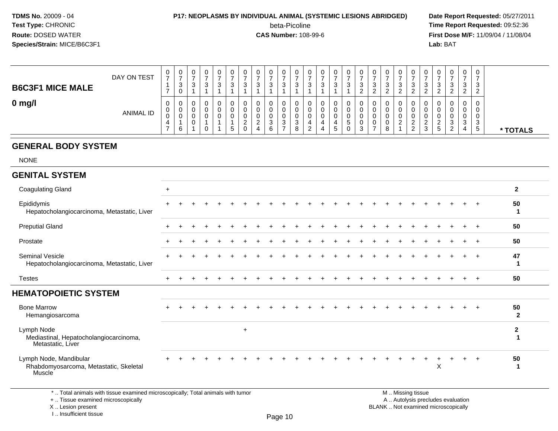#### **P17: NEOPLASMS BY INDIVIDUAL ANIMAL (SYSTEMIC LESIONS ABRIDGED) Date Report Requested:** 05/27/2011

beta-Picoline<br>CAS Number: 108-99-6

 **Time Report Requested:** 09:52:36 **First Dose M/F:** 11/09/04 / 11/08/04<br>**Lab:** BAT **Lab:** BAT

| <b>B6C3F1 MICE MALE</b> | DAY ON TEST      | - | 0<br>◠<br>ა<br>0 | ◡<br>ົ | 0<br>3           | 0<br>ົ<br>ັ | v<br>◠<br>J |   | <b>U</b>             | υ<br>⌒<br>w      | 0<br>J.           | ◡<br>3      | 0<br>◠<br>ັ                  |   | - | v<br>ت      | U<br>3                | 0<br>-<br>ົ<br>◡<br>ົ<br><u>_</u>  | 0<br>3<br>ົ           | ັ |   | U.<br>⌒<br>د                             |               | 0<br>3                                   | U<br>ົ<br>ັ           | 0<br>3<br>ົ                   |          |
|-------------------------|------------------|---|------------------|--------|------------------|-------------|-------------|---|----------------------|------------------|-------------------|-------------|------------------------------|---|---|-------------|-----------------------|------------------------------------|-----------------------|---|---|------------------------------------------|---------------|------------------------------------------|-----------------------|-------------------------------|----------|
| $0 \text{ mg/l}$        | <b>ANIMAL ID</b> | U | 0<br>0<br>v<br>6 | U<br>J | 0<br>0<br>0<br>0 | 0<br>U<br>υ | v<br>đ      | _ | <b>U</b><br><u>.</u> | υ<br>◠<br>ັ<br>6 | 0<br>0<br>0<br>ັບ | v<br>ა<br>8 | 0<br>0<br>0<br>ີ<br><u>.</u> | 4 |   | ν<br>C<br>U | 0<br>0<br>O<br>U<br>3 | 0<br>0<br>0<br>0<br>$\overline{ }$ | 0<br>0<br>0<br>0<br>8 |   | _ | $\mathbf{0}$<br>υ<br>υ<br><u>.</u><br>د. | <u>.</u><br>г | 0<br>0<br>0<br>ാ<br>- 0<br>◠<br><u>_</u> | U<br>v<br>v<br>ັ<br>4 | 0<br>0<br>0<br>ົ<br>- 0<br>.5 | * TOTALS |

#### **GENERAL BODY SYSTEM**

NONE

### **GENITAL SYSTEM**

| <b>Coagulating Gland</b>                                                                                                                                                                                                                                                                                                                                                                                                                                          | $\ddot{}$ |                                                                                                                 |  |     |  |  |  |  |  |                                                                                         |  |   |  |        | $\mathbf{2}$       |
|-------------------------------------------------------------------------------------------------------------------------------------------------------------------------------------------------------------------------------------------------------------------------------------------------------------------------------------------------------------------------------------------------------------------------------------------------------------------|-----------|-----------------------------------------------------------------------------------------------------------------|--|-----|--|--|--|--|--|-----------------------------------------------------------------------------------------|--|---|--|--------|--------------------|
| Epididymis<br>Hepatocholangiocarcinoma, Metastatic, Liver                                                                                                                                                                                                                                                                                                                                                                                                         |           |                                                                                                                 |  |     |  |  |  |  |  |                                                                                         |  |   |  | $+$    | 50<br>ำ            |
| <b>Preputial Gland</b>                                                                                                                                                                                                                                                                                                                                                                                                                                            |           |                                                                                                                 |  |     |  |  |  |  |  |                                                                                         |  |   |  | $+$    | 50                 |
| Prostate                                                                                                                                                                                                                                                                                                                                                                                                                                                          |           |                                                                                                                 |  |     |  |  |  |  |  |                                                                                         |  |   |  | $+$    | 50                 |
| Seminal Vesicle<br>Hepatocholangiocarcinoma, Metastatic, Liver                                                                                                                                                                                                                                                                                                                                                                                                    |           |                                                                                                                 |  |     |  |  |  |  |  |                                                                                         |  |   |  | $+$    | 47                 |
| Testes                                                                                                                                                                                                                                                                                                                                                                                                                                                            |           |                                                                                                                 |  |     |  |  |  |  |  |                                                                                         |  |   |  | $^{+}$ | 50                 |
| <b>HEMATOPOIETIC SYSTEM</b>                                                                                                                                                                                                                                                                                                                                                                                                                                       |           |                                                                                                                 |  |     |  |  |  |  |  |                                                                                         |  |   |  |        |                    |
| <b>Bone Marrow</b><br>Hemangiosarcoma                                                                                                                                                                                                                                                                                                                                                                                                                             |           |                                                                                                                 |  |     |  |  |  |  |  |                                                                                         |  |   |  |        | 50<br>$\mathbf{2}$ |
| Lymph Node<br>Mediastinal, Hepatocholangiocarcinoma,<br>Metastatic, Liver                                                                                                                                                                                                                                                                                                                                                                                         |           |                                                                                                                 |  | $+$ |  |  |  |  |  |                                                                                         |  |   |  |        | 2                  |
| Lymph Node, Mandibular<br>Rhabdomyosarcoma, Metastatic, Skeletal<br>Muscle <sup>1</sup>                                                                                                                                                                                                                                                                                                                                                                           |           |                                                                                                                 |  |     |  |  |  |  |  |                                                                                         |  | X |  | $\div$ | 50                 |
| $\mathcal{A} = \mathcal{A} + \mathcal{A} + \mathcal{A} + \mathcal{A} + \mathcal{A} + \mathcal{A} + \mathcal{A} + \mathcal{A} + \mathcal{A} + \mathcal{A} + \mathcal{A} + \mathcal{A} + \mathcal{A} + \mathcal{A} + \mathcal{A} + \mathcal{A} + \mathcal{A} + \mathcal{A} + \mathcal{A} + \mathcal{A} + \mathcal{A} + \mathcal{A} + \mathcal{A} + \mathcal{A} + \mathcal{A} + \mathcal{A} + \mathcal{A} + \mathcal{A} + \mathcal{A} + \mathcal{A} + \mathcal$<br>. |           | the contract of the contract of the contract of the contract of the contract of the contract of the contract of |  |     |  |  |  |  |  | $\mathbf{r}$ , $\mathbf{r}$ , $\mathbf{r}$ , $\mathbf{r}$ , $\mathbf{r}$ , $\mathbf{r}$ |  |   |  |        |                    |

\* .. Total animals with tissue examined microscopically; Total animals with tumor

+ .. Tissue examined microscopically

X .. Lesion present

I .. Insufficient tissue

M .. Missing tissue

y the contract of the contract of the contract of the contract of the contract of  $\mathsf A$  . Autolysis precludes evaluation Lesion present BLANK .. Not examined microscopically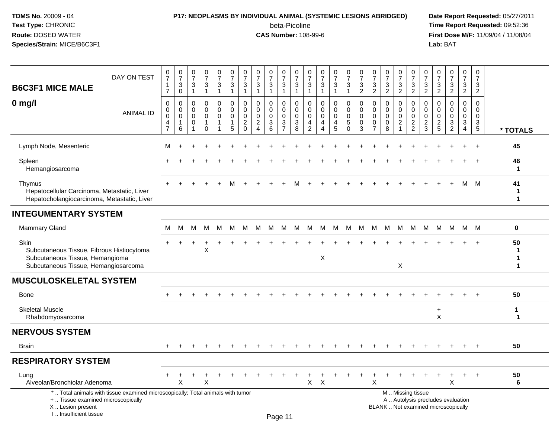### **P17: NEOPLASMS BY INDIVIDUAL ANIMAL (SYSTEMIC LESIONS ABRIDGED) Date Report Requested:** 05/27/2011

beta-Picoline<br>CAS Number: 108-99-6

| <b>B6C3F1 MICE MALE</b>                                                                                                      | DAY ON TEST                                                                     | 0<br>$\overline{7}$<br>$\mathbf{1}$<br>$\overline{7}$ | $\frac{0}{7}$<br>3<br>$\mathbf 0$ | $\boldsymbol{0}$<br>$\overline{7}$<br>$\ensuremath{\mathsf{3}}$<br>$\mathbf{1}$ | $\frac{0}{7}$<br>$\ensuremath{\mathsf{3}}$<br>$\mathbf{1}$ | $\frac{0}{7}$<br>$\ensuremath{\mathsf{3}}$<br>$\overline{1}$ | $\frac{0}{7}$<br>$\sqrt{3}$<br>$\mathbf{1}$                    | $\frac{0}{7}$<br>3<br>$\mathbf{1}$                                 | 0<br>$\overline{7}$<br>$\ensuremath{\mathsf{3}}$<br>$\mathbf{1}$      | $\frac{0}{7}$<br>$\ensuremath{\mathsf{3}}$<br>$\mathbf{1}$                     | 0<br>$\overline{7}$<br>$\mathsf 3$<br>$\mathbf{1}$                             | $\pmb{0}$<br>$\overline{7}$<br>$\sqrt{3}$<br>$\overline{1}$               | $\pmb{0}$<br>$\overline{7}$<br>$\ensuremath{\mathsf{3}}$<br>$\mathbf{1}$ | 0<br>$\overline{7}$<br>3<br>$\mathbf{1}$  | $\frac{0}{7}$<br>3<br>$\mathbf{1}$        | $\begin{smallmatrix}0\\7\end{smallmatrix}$<br>$\ensuremath{\mathsf{3}}$<br>$\mathbf{1}$ | $\frac{0}{7}$<br>$\ensuremath{\mathsf{3}}$<br>$\overline{2}$         | $\frac{0}{7}$<br>$\mathbf{3}$<br>2                               | $\pmb{0}$<br>$\overline{7}$<br>$\ensuremath{\mathsf{3}}$<br>$\overline{2}$ | $\pmb{0}$<br>$\overline{7}$<br>3<br>$\overline{2}$     | 0<br>$\overline{7}$<br>$\frac{3}{2}$           | $\frac{0}{7}$<br>$\ensuremath{\mathsf{3}}$<br>$\overline{2}$ | 0<br>$\overline{7}$<br>$\mathbf{3}$<br>$\overline{2}$ | $\begin{smallmatrix}0\\7\end{smallmatrix}$<br>$\frac{3}{2}$              | $\pmb{0}$<br>$\overline{7}$<br>$\mathbf{3}$<br>$\overline{2}$                  | 0<br>$\overline{7}$<br>$\sqrt{3}$<br>$\overline{2}$                             |                              |
|------------------------------------------------------------------------------------------------------------------------------|---------------------------------------------------------------------------------|-------------------------------------------------------|-----------------------------------|---------------------------------------------------------------------------------|------------------------------------------------------------|--------------------------------------------------------------|----------------------------------------------------------------|--------------------------------------------------------------------|-----------------------------------------------------------------------|--------------------------------------------------------------------------------|--------------------------------------------------------------------------------|---------------------------------------------------------------------------|--------------------------------------------------------------------------|-------------------------------------------|-------------------------------------------|-----------------------------------------------------------------------------------------|----------------------------------------------------------------------|------------------------------------------------------------------|----------------------------------------------------------------------------|--------------------------------------------------------|------------------------------------------------|--------------------------------------------------------------|-------------------------------------------------------|--------------------------------------------------------------------------|--------------------------------------------------------------------------------|---------------------------------------------------------------------------------|------------------------------|
| $0$ mg/l                                                                                                                     | <b>ANIMAL ID</b>                                                                | 0<br>0<br>0<br>4<br>$\overline{7}$                    | 0<br>$\mathbf 0$<br>0<br>1<br>6   | 0<br>$\mathbf 0$<br>0<br>$\pmb{0}$<br>-1                                        | 0<br>$\mathbf 0$<br>$\mathbf 0$<br>$\mathbf 0$             | 0<br>0<br>$\mathbf 0$<br>-1<br>-1                            | $\mathbf 0$<br>$\mathbf 0$<br>$\mathbf 0$<br>$\mathbf{1}$<br>5 | 0<br>$\mathbf 0$<br>$\mathbf 0$<br>$\boldsymbol{2}$<br>$\mathbf 0$ | 0<br>$\mathbf 0$<br>$\mathbf 0$<br>$\boldsymbol{2}$<br>$\overline{4}$ | $\mathbf 0$<br>$\mathbf 0$<br>0<br>$\ensuremath{\mathsf{3}}$<br>$6\phantom{a}$ | 0<br>$\mathbf 0$<br>$\mathbf 0$<br>$\ensuremath{\mathsf{3}}$<br>$\overline{7}$ | $\mathbf 0$<br>$\mathbf 0$<br>$\mathbf 0$<br>$\sqrt{3}$<br>$\overline{8}$ | 0<br>$\mathbf 0$<br>$\mathbf 0$<br>$\overline{4}$<br>$\overline{2}$      | 0<br>$\mathbf 0$<br>$\mathbf 0$<br>4<br>4 | 0<br>$\mathbf 0$<br>$\mathbf 0$<br>4<br>5 | 0<br>0<br>$\boldsymbol{0}$<br>$\sqrt{5}$<br>$\mathbf 0$                                 | $\mathbf 0$<br>$\mathbf 0$<br>$\mathbf 0$<br>$\pmb{0}$<br>$\sqrt{3}$ | 0<br>$\mathbf 0$<br>$\mathbf 0$<br>$\mathbf 0$<br>$\overline{7}$ | $\mathbf 0$<br>$\mathbf{0}$<br>$\mathbf 0$<br>$\mathbf 0$<br>8             | 0<br>$\mathbf 0$<br>$\mathbf 0$<br>$\overline{c}$<br>1 | 0<br>$\mathbf 0$<br>$\pmb{0}$<br>$\frac{2}{2}$ | $\mathbf 0$<br>$\mathbf 0$<br>$\mathbf 0$<br>$\frac{2}{3}$   | 0<br>$\mathbf 0$<br>$\mathbf 0$<br>$\frac{2}{5}$      | $\mathbf 0$<br>$\mathbf{0}$<br>$\mathbf 0$<br>$\frac{3}{2}$              | 0<br>$\mathbf 0$<br>$\mathbf 0$<br>$\ensuremath{\mathsf{3}}$<br>$\overline{4}$ | $\mathbf 0$<br>$\mathbf 0$<br>0<br>$\ensuremath{\mathsf{3}}$<br>$5\phantom{.0}$ | * TOTALS                     |
| Lymph Node, Mesenteric                                                                                                       |                                                                                 | м                                                     |                                   |                                                                                 |                                                            |                                                              |                                                                |                                                                    |                                                                       |                                                                                |                                                                                |                                                                           |                                                                          |                                           |                                           |                                                                                         |                                                                      |                                                                  |                                                                            |                                                        |                                                |                                                              |                                                       |                                                                          |                                                                                |                                                                                 | 45                           |
| Spleen<br>Hemangiosarcoma                                                                                                    |                                                                                 |                                                       |                                   |                                                                                 |                                                            |                                                              |                                                                |                                                                    |                                                                       |                                                                                |                                                                                |                                                                           |                                                                          |                                           |                                           |                                                                                         |                                                                      |                                                                  |                                                                            |                                                        |                                                |                                                              |                                                       |                                                                          |                                                                                | $\overline{+}$                                                                  | 46<br>$\mathbf 1$            |
| Thymus<br>Hepatocellular Carcinoma, Metastatic, Liver<br>Hepatocholangiocarcinoma, Metastatic, Liver                         |                                                                                 |                                                       |                                   |                                                                                 |                                                            |                                                              |                                                                |                                                                    |                                                                       |                                                                                |                                                                                |                                                                           |                                                                          |                                           |                                           |                                                                                         |                                                                      |                                                                  |                                                                            |                                                        |                                                |                                                              |                                                       |                                                                          | M                                                                              | M                                                                               | 41<br>-1<br>$\mathbf{1}$     |
| <b>INTEGUMENTARY SYSTEM</b>                                                                                                  |                                                                                 |                                                       |                                   |                                                                                 |                                                            |                                                              |                                                                |                                                                    |                                                                       |                                                                                |                                                                                |                                                                           |                                                                          |                                           |                                           |                                                                                         |                                                                      |                                                                  |                                                                            |                                                        |                                                |                                                              |                                                       |                                                                          |                                                                                |                                                                                 |                              |
| Mammary Gland                                                                                                                |                                                                                 | М                                                     | M                                 | M                                                                               | M                                                          | M                                                            | M                                                              | M                                                                  | M                                                                     | M                                                                              | M                                                                              | M                                                                         | M                                                                        | M                                         | M                                         | M                                                                                       | M                                                                    | M                                                                | M                                                                          | M                                                      | M                                              | M                                                            | м                                                     | M                                                                        |                                                                                | M M                                                                             | $\mathbf 0$                  |
| Skin<br>Subcutaneous Tissue, Fibrous Histiocytoma<br>Subcutaneous Tissue, Hemangioma<br>Subcutaneous Tissue, Hemangiosarcoma |                                                                                 |                                                       |                                   |                                                                                 | Χ                                                          |                                                              |                                                                |                                                                    |                                                                       |                                                                                |                                                                                |                                                                           |                                                                          | $\sf X$                                   |                                           |                                                                                         |                                                                      |                                                                  |                                                                            | X                                                      |                                                |                                                              |                                                       |                                                                          |                                                                                |                                                                                 | 50<br>-1<br>1<br>$\mathbf 1$ |
| <b>MUSCULOSKELETAL SYSTEM</b>                                                                                                |                                                                                 |                                                       |                                   |                                                                                 |                                                            |                                                              |                                                                |                                                                    |                                                                       |                                                                                |                                                                                |                                                                           |                                                                          |                                           |                                           |                                                                                         |                                                                      |                                                                  |                                                                            |                                                        |                                                |                                                              |                                                       |                                                                          |                                                                                |                                                                                 |                              |
| Bone                                                                                                                         |                                                                                 |                                                       |                                   |                                                                                 |                                                            |                                                              |                                                                |                                                                    |                                                                       |                                                                                |                                                                                |                                                                           |                                                                          |                                           |                                           |                                                                                         |                                                                      |                                                                  |                                                                            |                                                        |                                                |                                                              |                                                       |                                                                          |                                                                                |                                                                                 | 50                           |
| <b>Skeletal Muscle</b><br>Rhabdomyosarcoma                                                                                   |                                                                                 |                                                       |                                   |                                                                                 |                                                            |                                                              |                                                                |                                                                    |                                                                       |                                                                                |                                                                                |                                                                           |                                                                          |                                           |                                           |                                                                                         |                                                                      |                                                                  |                                                                            |                                                        |                                                |                                                              | $\ddot{}$<br>$\mathsf X$                              |                                                                          |                                                                                |                                                                                 | $\mathbf{1}$<br>$\mathbf{1}$ |
| <b>NERVOUS SYSTEM</b>                                                                                                        |                                                                                 |                                                       |                                   |                                                                                 |                                                            |                                                              |                                                                |                                                                    |                                                                       |                                                                                |                                                                                |                                                                           |                                                                          |                                           |                                           |                                                                                         |                                                                      |                                                                  |                                                                            |                                                        |                                                |                                                              |                                                       |                                                                          |                                                                                |                                                                                 |                              |
| <b>Brain</b>                                                                                                                 |                                                                                 |                                                       |                                   |                                                                                 |                                                            |                                                              |                                                                |                                                                    |                                                                       |                                                                                |                                                                                |                                                                           |                                                                          |                                           |                                           |                                                                                         |                                                                      |                                                                  |                                                                            |                                                        |                                                |                                                              |                                                       |                                                                          |                                                                                |                                                                                 | 50                           |
| <b>RESPIRATORY SYSTEM</b>                                                                                                    |                                                                                 |                                                       |                                   |                                                                                 |                                                            |                                                              |                                                                |                                                                    |                                                                       |                                                                                |                                                                                |                                                                           |                                                                          |                                           |                                           |                                                                                         |                                                                      |                                                                  |                                                                            |                                                        |                                                |                                                              |                                                       |                                                                          |                                                                                |                                                                                 |                              |
| Lung<br>Alveolar/Bronchiolar Adenoma                                                                                         |                                                                                 |                                                       | $\mathsf X$                       |                                                                                 | X                                                          |                                                              |                                                                |                                                                    |                                                                       |                                                                                |                                                                                |                                                                           | $\mathsf{X}$                                                             | $\boldsymbol{\mathsf{X}}$                 |                                           |                                                                                         |                                                                      | X                                                                |                                                                            |                                                        |                                                |                                                              |                                                       | X                                                                        |                                                                                |                                                                                 | 50<br>6                      |
| +  Tissue examined microscopically<br>X  Lesion present<br>I Insufficient tissue                                             | *  Total animals with tissue examined microscopically; Total animals with tumor |                                                       |                                   |                                                                                 |                                                            |                                                              |                                                                |                                                                    |                                                                       |                                                                                | $D_{200}$ 11                                                                   |                                                                           |                                                                          |                                           |                                           |                                                                                         |                                                                      |                                                                  |                                                                            |                                                        | M  Missing tissue                              |                                                              |                                                       | A  Autolysis precludes evaluation<br>BLANK  Not examined microscopically |                                                                                |                                                                                 |                              |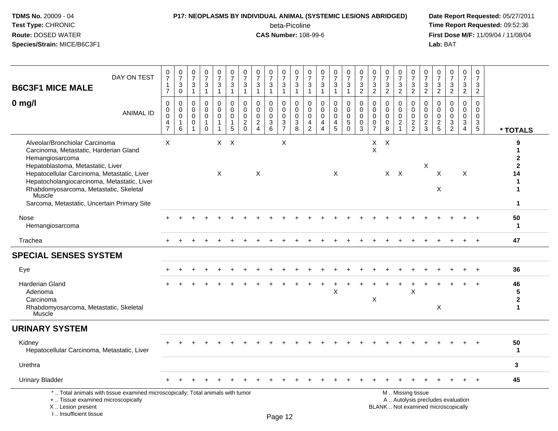#### **P17: NEOPLASMS BY INDIVIDUAL ANIMAL (SYSTEMIC LESIONS ABRIDGED) Date Report Requested:** 05/27/2011

beta-Picoline<br>CAS Number: 108-99-6

| <b>B6C3F1 MICE MALE</b>                                                                                                                                                                                                                                                                                                           | DAY ON TEST                                                                     | $\frac{0}{7}$<br>$\mathbf{1}$<br>$\overline{7}$                           | $\frac{0}{7}$<br>3<br>$\pmb{0}$                   | 0<br>$\overline{7}$<br>3<br>$\mathbf{1}$         | $\frac{0}{7}$<br>$\sqrt{3}$<br>$\mathbf{1}$                 | $\frac{0}{7}$<br>$\mathbf{3}$<br>$\mathbf{1}$ | 0<br>$\overline{7}$<br>3<br>$\mathbf{1}$         | $\frac{0}{7}$<br>3<br>$\mathbf{1}$                             | 0<br>$\overline{7}$<br>$\mathbf{3}$<br>$\mathbf{1}$ | $\frac{0}{7}$<br>$\mathbf{3}$<br>$\mathbf{1}$                                | 0<br>$\boldsymbol{7}$<br>$\sqrt{3}$<br>$\overline{1}$      | $\frac{0}{7}$<br>$\frac{3}{1}$                            | $\frac{0}{7}$<br>3<br>1                          | 0<br>$\overline{7}$<br>3<br>$\mathbf{1}$                                   | $\frac{0}{7}$<br>$\mathbf{3}$<br>$\mathbf{1}$ | 0<br>$\overline{7}$<br>3<br>$\mathbf{1}$                      | $\frac{0}{7}$<br>$\sqrt{3}$<br>$\overline{2}$                         | $\frac{0}{7}$<br>3<br>$\sqrt{2}$                                        | 0<br>$\boldsymbol{7}$<br>$\sqrt{3}$<br>$\overline{2}$       | $\frac{0}{7}$<br>3<br>$\overline{2}$                      | $\pmb{0}$<br>$\boldsymbol{7}$<br>$\frac{3}{2}$            | 0<br>$\overline{7}$<br>$\frac{3}{2}$                    | 0<br>$\overline{7}$<br>$\mathbf{3}$<br>$\overline{2}$ | 0<br>$\overline{7}$<br>$\sqrt{3}$<br>$\overline{2}$                      | $\frac{0}{7}$<br>3<br>$\overline{2}$             | 0<br>$\overline{7}$<br>$\sqrt{3}$<br>$\overline{2}$            |                                             |
|-----------------------------------------------------------------------------------------------------------------------------------------------------------------------------------------------------------------------------------------------------------------------------------------------------------------------------------|---------------------------------------------------------------------------------|---------------------------------------------------------------------------|---------------------------------------------------|--------------------------------------------------|-------------------------------------------------------------|-----------------------------------------------|--------------------------------------------------|----------------------------------------------------------------|-----------------------------------------------------|------------------------------------------------------------------------------|------------------------------------------------------------|-----------------------------------------------------------|--------------------------------------------------|----------------------------------------------------------------------------|-----------------------------------------------|---------------------------------------------------------------|-----------------------------------------------------------------------|-------------------------------------------------------------------------|-------------------------------------------------------------|-----------------------------------------------------------|-----------------------------------------------------------|---------------------------------------------------------|-------------------------------------------------------|--------------------------------------------------------------------------|--------------------------------------------------|----------------------------------------------------------------|---------------------------------------------|
| $0$ mg/l                                                                                                                                                                                                                                                                                                                          | <b>ANIMAL ID</b>                                                                | $\pmb{0}$<br>$\pmb{0}$<br>$\mathbf 0$<br>$\overline{4}$<br>$\overline{7}$ | $\Omega$<br>0<br>$\mathbf 0$<br>$\mathbf{1}$<br>6 | $\mathbf{0}$<br>0<br>$\mathbf{0}$<br>$\mathbf 0$ | $\mathbf 0$<br>$\mathbf 0$<br>$\mathbf 0$<br>-1<br>$\Omega$ | $\Omega$<br>0<br>$\mathbf 0$<br>1<br>1        | $\Omega$<br>$\mathbf 0$<br>$\mathbf 0$<br>1<br>5 | $\mathbf 0$<br>0<br>$\pmb{0}$<br>$\overline{c}$<br>$\mathbf 0$ | $\Omega$<br>0<br>$\mathbf 0$<br>$\frac{2}{4}$       | $\mathbf{0}$<br>$\mathbf 0$<br>$\mathbf 0$<br>$\mathbf{3}$<br>$6\phantom{1}$ | $\mathbf 0$<br>$\mathbf 0$<br>$\mathbf 0$<br>$\frac{3}{7}$ | $\Omega$<br>$\mathbf 0$<br>$\mathbf 0$<br>$\sqrt{3}$<br>8 | $\Omega$<br>0<br>$\Omega$<br>4<br>$\overline{2}$ | $\Omega$<br>$\mathbf 0$<br>$\mathbf 0$<br>$\overline{4}$<br>$\overline{4}$ | $\Omega$<br>0<br>$\mathbf 0$<br>4<br>5        | $\mathbf 0$<br>0<br>$\mathbf 0$<br>$\,$ 5 $\,$<br>$\mathbf 0$ | $\Omega$<br>$\mathbf 0$<br>$\mathbf 0$<br>$\mathbf 0$<br>$\mathbf{3}$ | $\Omega$<br>$\mathbf 0$<br>$\mathbf 0$<br>$\mathbf 0$<br>$\overline{7}$ | $\mathbf 0$<br>$\mathbf 0$<br>$\mathbf 0$<br>$\pmb{0}$<br>8 | $\mathbf{0}$<br>$\mathbf 0$<br>$\Omega$<br>$\overline{c}$ | $\mathbf 0$<br>$\mathsf{O}$<br>$\pmb{0}$<br>$\frac{2}{2}$ | $\Omega$<br>$\mathbf 0$<br>$\mathbf 0$<br>$\frac{2}{3}$ | $\Omega$<br>0<br>$\mathbf{0}$<br>$\frac{2}{5}$        | $\Omega$<br>$\Omega$<br>$\Omega$<br>3<br>$\overline{2}$                  | $\Omega$<br>$\mathbf 0$<br>$\mathbf 0$<br>3<br>4 | $\Omega$<br>0<br>$\mathbf 0$<br>$\mathbf{3}$<br>$\overline{5}$ | * TOTALS                                    |
| Alveolar/Bronchiolar Carcinoma<br>Carcinoma, Metastatic, Harderian Gland<br>Hemangiosarcoma<br>Hepatoblastoma, Metastatic, Liver<br>Hepatocellular Carcinoma, Metastatic, Liver<br>Hepatocholangiocarcinoma, Metastatic, Liver<br>Rhabdomyosarcoma, Metastatic, Skeletal<br>Muscle<br>Sarcoma, Metastatic, Uncertain Primary Site |                                                                                 | X                                                                         |                                                   |                                                  |                                                             | $\times$                                      | $X$ $X$                                          |                                                                | $\sf X$                                             |                                                                              | X                                                          |                                                           |                                                  |                                                                            | X                                             |                                                               |                                                                       | X<br>X                                                                  | $\times$                                                    | $X$ $X$                                                   |                                                           | Χ                                                       | X<br>X                                                |                                                                          | X                                                |                                                                | 9<br>2<br>$\mathbf{2}$<br>14<br>1<br>1<br>1 |
| Nose<br>Hemangiosarcoma                                                                                                                                                                                                                                                                                                           |                                                                                 |                                                                           |                                                   |                                                  |                                                             |                                               |                                                  |                                                                |                                                     |                                                                              |                                                            |                                                           |                                                  |                                                                            |                                               |                                                               |                                                                       |                                                                         |                                                             |                                                           |                                                           |                                                         |                                                       |                                                                          |                                                  |                                                                | 50<br>$\mathbf 1$                           |
| Trachea                                                                                                                                                                                                                                                                                                                           |                                                                                 |                                                                           |                                                   |                                                  |                                                             |                                               |                                                  |                                                                |                                                     |                                                                              |                                                            |                                                           |                                                  |                                                                            |                                               |                                                               |                                                                       |                                                                         |                                                             |                                                           |                                                           |                                                         |                                                       |                                                                          |                                                  | $+$                                                            | 47                                          |
| <b>SPECIAL SENSES SYSTEM</b>                                                                                                                                                                                                                                                                                                      |                                                                                 |                                                                           |                                                   |                                                  |                                                             |                                               |                                                  |                                                                |                                                     |                                                                              |                                                            |                                                           |                                                  |                                                                            |                                               |                                                               |                                                                       |                                                                         |                                                             |                                                           |                                                           |                                                         |                                                       |                                                                          |                                                  |                                                                |                                             |
| Eye                                                                                                                                                                                                                                                                                                                               |                                                                                 |                                                                           |                                                   |                                                  |                                                             |                                               |                                                  |                                                                |                                                     |                                                                              |                                                            |                                                           |                                                  |                                                                            |                                               |                                                               |                                                                       |                                                                         |                                                             |                                                           |                                                           |                                                         |                                                       |                                                                          |                                                  | $\ddot{}$                                                      | 36                                          |
| <b>Harderian Gland</b><br>Adenoma<br>Carcinoma<br>Rhabdomyosarcoma, Metastatic, Skeletal<br>Muscle <sup>®</sup>                                                                                                                                                                                                                   |                                                                                 |                                                                           |                                                   |                                                  |                                                             |                                               |                                                  |                                                                |                                                     |                                                                              |                                                            |                                                           |                                                  |                                                                            | Χ                                             |                                                               |                                                                       | $\boldsymbol{\mathsf{X}}$                                               |                                                             |                                                           | X                                                         |                                                         | $\times$                                              |                                                                          |                                                  | $\ddot{}$                                                      | 46<br>5<br>$\mathbf 2$<br>1                 |
| <b>URINARY SYSTEM</b>                                                                                                                                                                                                                                                                                                             |                                                                                 |                                                                           |                                                   |                                                  |                                                             |                                               |                                                  |                                                                |                                                     |                                                                              |                                                            |                                                           |                                                  |                                                                            |                                               |                                                               |                                                                       |                                                                         |                                                             |                                                           |                                                           |                                                         |                                                       |                                                                          |                                                  |                                                                |                                             |
| Kidney<br>Hepatocellular Carcinoma, Metastatic, Liver                                                                                                                                                                                                                                                                             |                                                                                 |                                                                           |                                                   |                                                  |                                                             |                                               |                                                  |                                                                |                                                     |                                                                              |                                                            |                                                           |                                                  |                                                                            |                                               |                                                               |                                                                       |                                                                         |                                                             |                                                           |                                                           |                                                         |                                                       |                                                                          |                                                  |                                                                | 50<br>$\mathbf 1$                           |
| Urethra                                                                                                                                                                                                                                                                                                                           |                                                                                 |                                                                           |                                                   |                                                  |                                                             |                                               |                                                  |                                                                |                                                     |                                                                              |                                                            |                                                           |                                                  |                                                                            |                                               |                                                               |                                                                       |                                                                         |                                                             |                                                           |                                                           |                                                         |                                                       |                                                                          |                                                  |                                                                | 3                                           |
| <b>Urinary Bladder</b>                                                                                                                                                                                                                                                                                                            |                                                                                 |                                                                           |                                                   |                                                  |                                                             |                                               |                                                  |                                                                |                                                     |                                                                              |                                                            |                                                           |                                                  |                                                                            |                                               |                                                               |                                                                       |                                                                         |                                                             |                                                           |                                                           |                                                         |                                                       |                                                                          |                                                  |                                                                | 45                                          |
| +  Tissue examined microscopically<br>X  Lesion present<br>I Insufficient tissue                                                                                                                                                                                                                                                  | *  Total animals with tissue examined microscopically; Total animals with tumor |                                                                           |                                                   |                                                  |                                                             |                                               |                                                  |                                                                |                                                     |                                                                              | $D_{200}$ 12                                               |                                                           |                                                  |                                                                            |                                               |                                                               |                                                                       |                                                                         |                                                             |                                                           | M  Missing tissue                                         |                                                         |                                                       | A  Autolysis precludes evaluation<br>BLANK  Not examined microscopically |                                                  |                                                                |                                             |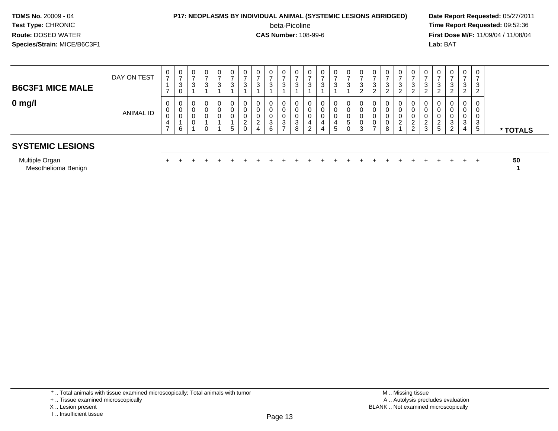#### **P17: NEOPLASMS BY INDIVIDUAL ANIMAL (SYSTEMIC LESIONS ABRIDGED) Date Report Requested:** 05/27/2011

beta-Picoline<br>CAS Number: 108-99-6

| <b>B6C3F1 MICE MALE</b> | DAY ON TEST | 0<br>$\rightarrow$ | U<br>-<br>3<br><b>U</b>          |  | 0<br>3      | U<br>2 | 0<br>3           | 0<br>3 | 0<br>3                | 0<br>ົ<br>◡                      | 3      |  | U<br>3                      | U<br>3                           | U<br>-<br>-3<br>ົ<br><u>.</u> | 0<br>3           | 0<br>3<br>ົ           |   | U<br>3                           |   | $\mathbf{0}$<br>3<br>റ              | $\mathbf{0}$<br>-<br>3<br>ົ<br>∠ | 0<br>3<br>$\mathcal{D}$          |          |
|-------------------------|-------------|--------------------|----------------------------------|--|-------------|--------|------------------|--------|-----------------------|----------------------------------|--------|--|-----------------------------|----------------------------------|-------------------------------|------------------|-----------------------|---|----------------------------------|---|-------------------------------------|----------------------------------|----------------------------------|----------|
| $0$ mg/l                | ANIMAL ID   | 0<br>0<br>0<br>4   | $\overline{0}$<br>. U<br>U<br>-6 |  | 0<br>0<br>υ | 5      | 0<br>0<br>U<br>0 | 0<br>4 | 0<br>0<br>0<br>3<br>6 | 0<br>0<br>0<br><sup>o</sup><br>ັ | J<br>8 |  | U<br>U<br>U<br>$\mathbf{p}$ | 0<br>0<br>0<br><sub>5</sub><br>0 | U<br>3                        | 0<br>U<br>U<br>U | 0<br>U<br>υ<br>0<br>8 | ∠ | $\mathbf{0}$<br>υ<br>υ<br>ົ<br>د | 5 | 0<br>0<br>0<br>3<br>າ<br>$\epsilon$ | 0<br>0<br>0<br>3<br>4            | 0<br>U<br>U<br>3<br>$\mathbf{p}$ | * TOTALS |
| <b>SYSTEMIC LESIONS</b> |             |                    |                                  |  |             |        |                  |        |                       |                                  |        |  |                             |                                  |                               |                  |                       |   |                                  |   |                                     |                                  |                                  |          |

| <b>Multiple Organ</b> |  |  |  |  |  |  |  |  |  |  |  |  |  | 50 |
|-----------------------|--|--|--|--|--|--|--|--|--|--|--|--|--|----|
| Mesothelioma Benign   |  |  |  |  |  |  |  |  |  |  |  |  |  |    |

<sup>\* ..</sup> Total animals with tissue examined microscopically; Total animals with tumor

<sup>+ ..</sup> Tissue examined microscopically

X .. Lesion present

I .. Insufficient tissue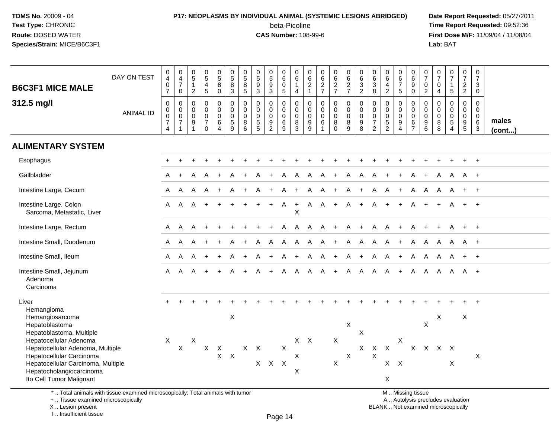# **P17: NEOPLASMS BY INDIVIDUAL ANIMAL (SYSTEMIC LESIONS ABRIDGED) Date Report Requested:** 05/27/2011

beta-Picoline<br>CAS Number: 108-99-6

 **Time Report Requested:** 09:52:36 **First Dose M/F:** 11/09/04 / 11/08/04<br>Lab: BAT **Lab:** BAT

| <b>B6C3F1 MICE MALE</b>                                                                                                | DAY ON TEST      | $\boldsymbol{0}$<br>$\overline{\mathbf{4}}$<br>$\mathbf 0$<br>$\overline{7}$ | $\pmb{0}$<br>$\overline{4}$<br>$\overline{7}$<br>$\mathbf 0$              | 0<br>$\overline{5}$<br>$\mathbf{1}$<br>$\overline{2}$ | $\begin{array}{c} 0 \\ 5 \end{array}$<br>$\overline{\mathbf{4}}$<br>$\sqrt{5}$ | $\begin{array}{c} 0 \\ 5 \end{array}$<br>8<br>$\mathsf{O}\xspace$ | $\begin{array}{c} 0 \\ 5 \end{array}$<br>8<br>$\mathbf{3}$ | $\begin{array}{c} 0 \\ 5 \end{array}$<br>$\overline{8}$<br>$\sqrt{5}$ | 0<br>9<br>3                                                | $\begin{array}{c} 0 \\ 5 \end{array}$<br>$\frac{9}{3}$    | $\begin{array}{c} 0 \\ 6 \end{array}$<br>$\pmb{0}$<br>$\sqrt{5}$ | 0<br>$\,6\,$<br>$\mathbf{1}$<br>$\overline{4}$                      | 0<br>$\,6\,$<br>$\sqrt{2}$<br>$\overline{1}$                       | 0<br>$\overline{6}$<br>$\frac{2}{7}$                             | 0627                                              | 0627                                                             | $\begin{array}{c} 0 \\ 6 \end{array}$<br>$\frac{3}{2}$           | $\pmb{0}$<br>6<br>$\sqrt{3}$<br>$\bf8$                                      | $\begin{array}{c} 0 \\ 6 \end{array}$<br>$\overline{4}$<br>$\overline{2}$ | $\begin{array}{c} 0 \\ 6 \end{array}$<br>$\overline{7}$<br>$5\phantom{.0}$ | $\begin{matrix} 0 \\ 6 \end{matrix}$<br>$\overline{9}$ 0            | 0<br>$\overline{7}$<br>$\pmb{0}$<br>$\overline{2}$ | 0<br>$\overline{7}$<br>0<br>$\overline{4}$ | $\begin{array}{c} 0 \\ 7 \end{array}$<br>$\mathbf{1}$<br>$\sqrt{5}$             | $\begin{array}{c} 0 \\ 7 \end{array}$<br>$\frac{2}{2}$                 | $\begin{array}{c} 0 \\ 7 \end{array}$<br>3<br>$\mathbf 0$ |                 |
|------------------------------------------------------------------------------------------------------------------------|------------------|------------------------------------------------------------------------------|---------------------------------------------------------------------------|-------------------------------------------------------|--------------------------------------------------------------------------------|-------------------------------------------------------------------|------------------------------------------------------------|-----------------------------------------------------------------------|------------------------------------------------------------|-----------------------------------------------------------|------------------------------------------------------------------|---------------------------------------------------------------------|--------------------------------------------------------------------|------------------------------------------------------------------|---------------------------------------------------|------------------------------------------------------------------|------------------------------------------------------------------|-----------------------------------------------------------------------------|---------------------------------------------------------------------------|----------------------------------------------------------------------------|---------------------------------------------------------------------|----------------------------------------------------|--------------------------------------------|---------------------------------------------------------------------------------|------------------------------------------------------------------------|-----------------------------------------------------------|-----------------|
| 312.5 mg/l                                                                                                             | <b>ANIMAL ID</b> | $\pmb{0}$<br>$_{\rm 0}^{\rm 0}$<br>$\overline{7}$<br>$\overline{4}$          | 0<br>$\mathbf 0$<br>$\ddot{\mathbf{0}}$<br>$\overline{7}$<br>$\mathbf{1}$ | 0<br>$\mathbf 0$<br>0<br>$\boldsymbol{9}$             | $\mathbf 0$<br>$\pmb{0}$<br>$\pmb{0}$<br>$\overline{7}$<br>$\Omega$            | 0<br>$\mathbf 0$<br>$\pmb{0}$<br>$\,6\,$<br>$\overline{4}$        | 0<br>$\mathbf 0$<br>$\pmb{0}$<br>$\mathbf 5$<br>9          | $\mathsf{O}\xspace$<br>0<br>$\mathsf{O}\xspace$<br>$\bf 8$<br>6       | $\mathbf 0$<br>$\mathbf 0$<br>$\mathbf 0$<br>$\frac{5}{5}$ | 0<br>0<br>$\pmb{0}$<br>$\boldsymbol{9}$<br>$\overline{2}$ | 0<br>0<br>$\mathbf 0$<br>$\,6\,$<br>9                            | $\mathbf 0$<br>$\mathbf 0$<br>$\mathbf 0$<br>$\, 8$<br>$\mathbf{3}$ | $\mathbf 0$<br>$\mathbf 0$<br>$\mathbf 0$<br>$\boldsymbol{9}$<br>9 | $\pmb{0}$<br>$\mathbf 0$<br>$\pmb{0}$<br>$\,6$<br>$\overline{1}$ | 0<br>$\mathbf 0$<br>$\mathsf{O}$<br>8<br>$\Omega$ | $\pmb{0}$<br>$\mathbf 0$<br>$\ddot{\mathbf{0}}$<br>$\frac{8}{9}$ | $\mathbf 0$<br>$\ddot{\mathbf{0}}$<br>$\pmb{0}$<br>$\frac{9}{8}$ | $\pmb{0}$<br>$\mathbf 0$<br>$\pmb{0}$<br>$\boldsymbol{7}$<br>$\overline{2}$ | $\pmb{0}$<br>$\mathbf 0$<br>$\pmb{0}$<br>$\frac{5}{2}$                    | 0<br>$\mathbf{0}$<br>$\mathbf 0$<br>$\boldsymbol{9}$<br>$\overline{4}$     | $\pmb{0}$<br>$\mathsf{O}\xspace$<br>$\overline{0}$<br>$\frac{6}{7}$ | 0<br>$\mathbf 0$<br>$\mathbf 0$<br>9<br>6          | 0<br>$\mathbf 0$<br>0<br>$\bf 8$<br>8      | $\mathbf 0$<br>$\mathsf{O}\xspace$<br>$\pmb{0}$<br>$\sqrt{5}$<br>$\overline{4}$ | 0<br>$\mathbf 0$<br>$\mathbf 0$<br>$\boldsymbol{9}$<br>$5\phantom{.0}$ | $\mathbf 0$<br>$\overline{0}$<br>$\mathbf 0$<br>6<br>3    | males<br>(cont) |
| <b>ALIMENTARY SYSTEM</b>                                                                                               |                  |                                                                              |                                                                           |                                                       |                                                                                |                                                                   |                                                            |                                                                       |                                                            |                                                           |                                                                  |                                                                     |                                                                    |                                                                  |                                                   |                                                                  |                                                                  |                                                                             |                                                                           |                                                                            |                                                                     |                                                    |                                            |                                                                                 |                                                                        |                                                           |                 |
| Esophagus                                                                                                              |                  |                                                                              |                                                                           |                                                       |                                                                                |                                                                   |                                                            |                                                                       |                                                            |                                                           |                                                                  |                                                                     |                                                                    |                                                                  |                                                   |                                                                  |                                                                  |                                                                             |                                                                           |                                                                            |                                                                     |                                                    |                                            |                                                                                 |                                                                        | $+$                                                       |                 |
| Gallbladder                                                                                                            |                  |                                                                              |                                                                           |                                                       |                                                                                |                                                                   |                                                            |                                                                       |                                                            |                                                           |                                                                  | A                                                                   |                                                                    |                                                                  |                                                   | A                                                                | A                                                                |                                                                             |                                                                           |                                                                            |                                                                     |                                                    |                                            |                                                                                 | A                                                                      | $+$                                                       |                 |
| Intestine Large, Cecum                                                                                                 |                  | A                                                                            | A                                                                         | A                                                     |                                                                                |                                                                   |                                                            |                                                                       |                                                            |                                                           | A                                                                |                                                                     | A                                                                  | A                                                                | $+$                                               | A                                                                | $+$                                                              | A                                                                           | A                                                                         | $+$                                                                        | A                                                                   | A                                                  | A                                          | A                                                                               | $+$                                                                    | $+$                                                       |                 |
| Intestine Large, Colon<br>Sarcoma, Metastatic, Liver                                                                   |                  | A                                                                            | A                                                                         | A                                                     |                                                                                |                                                                   |                                                            |                                                                       |                                                            | $+$                                                       | A                                                                | $+$<br>$\times$                                                     |                                                                    | A A                                                              | $+$                                               | A                                                                | $+$                                                              | $\mathsf{A}$                                                                | $+$                                                                       | $+$                                                                        | A                                                                   |                                                    |                                            |                                                                                 | $+$                                                                    | $+$                                                       |                 |
| Intestine Large, Rectum                                                                                                |                  | A                                                                            | A                                                                         | A                                                     |                                                                                |                                                                   |                                                            |                                                                       |                                                            |                                                           | A                                                                | A                                                                   | $\mathsf{A}$                                                       | A                                                                | $+$                                               | A                                                                | $+$                                                              | A                                                                           | A                                                                         | $+$                                                                        | A                                                                   | $\ddot{}$                                          | $+$                                        | A                                                                               | $+$                                                                    | $+$                                                       |                 |
| Intestine Small, Duodenum                                                                                              |                  | A                                                                            | A                                                                         |                                                       |                                                                                |                                                                   |                                                            |                                                                       |                                                            | A                                                         | A                                                                | A                                                                   | $\mathsf{A}$                                                       | $\mathsf{A}$                                                     | $+$                                               | A                                                                | A                                                                | A                                                                           | A                                                                         | $+$                                                                        | A                                                                   | A                                                  | A                                          | A                                                                               | A +                                                                    |                                                           |                 |
| Intestine Small, Ileum                                                                                                 |                  | A                                                                            | A                                                                         | A                                                     |                                                                                |                                                                   |                                                            |                                                                       |                                                            |                                                           | A                                                                | $+$                                                                 | A                                                                  | $\mathsf{A}$                                                     | $+$                                               | A                                                                | $+$                                                              | A                                                                           | $\mathsf{A}$                                                              | $+$                                                                        | A                                                                   | $\mathsf{A}$                                       | A                                          |                                                                                 | $+$                                                                    | $+$                                                       |                 |
| Intestine Small, Jejunum<br>Adenoma<br>Carcinoma                                                                       |                  | A                                                                            | A                                                                         | A                                                     |                                                                                | $\ddot{}$                                                         |                                                            | $\ddot{}$                                                             | A                                                          | $\ddot{}$                                                 | A                                                                | $\mathsf{A}$                                                        | $\mathsf{A}$                                                       | A                                                                | $+$                                               | $\overline{A}$                                                   | $\mathsf{A}$                                                     | A                                                                           | A                                                                         | $+$                                                                        | A                                                                   | A                                                  | $\mathsf{A}$                               | A                                                                               | A +                                                                    |                                                           |                 |
| Liver                                                                                                                  |                  |                                                                              |                                                                           |                                                       |                                                                                |                                                                   |                                                            |                                                                       |                                                            |                                                           |                                                                  |                                                                     |                                                                    |                                                                  |                                                   |                                                                  |                                                                  |                                                                             |                                                                           |                                                                            |                                                                     |                                                    |                                            |                                                                                 |                                                                        |                                                           |                 |
| Hemangioma<br>Hemangiosarcoma<br>Hepatoblastoma<br>Hepatoblastoma, Multiple                                            |                  |                                                                              |                                                                           |                                                       |                                                                                |                                                                   | $\sf X$                                                    |                                                                       |                                                            |                                                           |                                                                  |                                                                     |                                                                    |                                                                  |                                                   | X                                                                | X                                                                |                                                                             |                                                                           |                                                                            |                                                                     | X                                                  | X                                          |                                                                                 | X                                                                      |                                                           |                 |
| Hepatocellular Adenoma<br>Hepatocellular Adenoma, Multiple                                                             |                  | $\boldsymbol{\mathsf{X}}$                                                    | $\boldsymbol{\mathsf{X}}$                                                 | X                                                     | $\mathsf{X}$                                                                   | $\mathsf X$                                                       |                                                            |                                                                       | $X$ $X$                                                    |                                                           | $\boldsymbol{\mathsf{X}}$                                        |                                                                     | $X$ $X$                                                            |                                                                  | X                                                 |                                                                  | $\mathsf{X}$                                                     | $\mathsf{X}$                                                                | $\sf X$                                                                   | Χ                                                                          | $\mathsf{X}$                                                        | $\mathsf{X}$                                       |                                            | $X$ $X$                                                                         |                                                                        |                                                           |                 |
| Hepatocellular Carcinoma<br>Hepatocellular Carcinoma, Multiple<br>Hepatocholangiocarcinoma<br>Ito Cell Tumor Malignant |                  |                                                                              |                                                                           |                                                       |                                                                                | $\mathsf{X}$                                                      | $\mathsf{X}$                                               |                                                                       |                                                            | $X$ $X$ $X$                                               |                                                                  | X<br>X                                                              |                                                                    |                                                                  | X                                                 | X                                                                |                                                                  | X                                                                           | $X$ $X$<br>$\sf X$                                                        |                                                                            |                                                                     |                                                    |                                            | X                                                                               |                                                                        | X                                                         |                 |
| *  Total animals with tissue examined microscopically; Total animals with tumor                                        |                  |                                                                              |                                                                           |                                                       |                                                                                |                                                                   |                                                            |                                                                       |                                                            |                                                           |                                                                  |                                                                     |                                                                    |                                                                  |                                                   |                                                                  |                                                                  |                                                                             |                                                                           |                                                                            | M  Missing tissue                                                   |                                                    |                                            |                                                                                 |                                                                        |                                                           |                 |

+ .. Tissue examined microscopically

X .. Lesion present

I .. Insufficient tissue

y the contract of the contract of the contract of the contract of the contract of  $\mathsf A$  . Autolysis precludes evaluation

Lesion present BLANK .. Not examined microscopically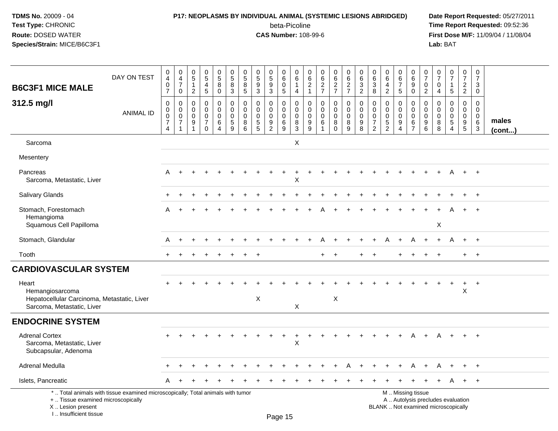#### **P17: NEOPLASMS BY INDIVIDUAL ANIMAL (SYSTEMIC LESIONS ABRIDGED) Date Report Requested:** 05/27/2011

beta-Picoline<br>CAS Number: 108-99-6

 **Time Report Requested:** 09:52:36 **First Dose M/F:** 11/09/04 / 11/08/04<br>Lab: BAT **Lab:** BAT

| <b>B6C3F1 MICE MALE</b>                                                                                                                   | DAY ON TEST      | 0<br>4<br>$\mathbf 0$<br>$\overline{7}$                                     | 0<br>$\frac{4}{7}$<br>$\mathbf 0$                    | 0<br>$\sqrt{5}$<br>$\mathbf{1}$<br>$\overline{2}$ | $\begin{array}{c} 0 \\ 5 \end{array}$<br>$\overline{4}$<br>$\sqrt{5}$ | $\begin{array}{c} 0 \\ 5 \\ 8 \end{array}$<br>$\mathbf 0$                | $\pmb{0}$<br>$\overline{5}$<br>8<br>$\mathbf{3}$               | 0<br>$\sqrt{5}$<br>8<br>$\sqrt{5}$                  | $\begin{array}{c} 0 \\ 5 \\ 9 \end{array}$<br>$\mathbf{3}$              | $\begin{array}{c} 0 \\ 5 \\ 9 \end{array}$<br>3        | 0<br>6<br>0<br>5                    | $\mathbf 0$<br>$\,6\,$<br>$\mathbf 1$<br>$\overline{4}$     | 0<br>6<br>$\sqrt{2}$<br>$\mathbf 1$ | 0<br>$\,6\,$<br>$\overline{2}$<br>$\overline{7}$ | 0<br>$\frac{6}{2}$<br>$\overline{7}$ | 0<br>$\frac{6}{2}$<br>$\overline{7}$                | 0<br>$\,6\,$<br>$\overline{3}$<br>$\overline{2}$             | $\mathbf 0$<br>$\frac{6}{3}$<br>8                  | 0<br>$\,6\,$<br>$\overline{4}$<br>$\overline{2}$                          | 0<br>$6\phantom{1}$<br>$\overline{7}$<br>5 | 0<br>$6\overline{6}$<br>$\overline{9}$<br>$\mathbf 0$          | 0<br>$\overline{7}$<br>$\mathbf 0$<br>$\overline{2}$ | 0<br>$\overline{7}$<br>0<br>4   | $\pmb{0}$<br>$\overline{7}$<br>$\mathbf 1$<br>5                                  | 0<br>$\overline{7}$<br>$\overline{c}$<br>$\overline{2}$          | 0<br>$\overline{7}$<br>3<br>$\mathbf 0$                                     |                 |
|-------------------------------------------------------------------------------------------------------------------------------------------|------------------|-----------------------------------------------------------------------------|------------------------------------------------------|---------------------------------------------------|-----------------------------------------------------------------------|--------------------------------------------------------------------------|----------------------------------------------------------------|-----------------------------------------------------|-------------------------------------------------------------------------|--------------------------------------------------------|-------------------------------------|-------------------------------------------------------------|-------------------------------------|--------------------------------------------------|--------------------------------------|-----------------------------------------------------|--------------------------------------------------------------|----------------------------------------------------|---------------------------------------------------------------------------|--------------------------------------------|----------------------------------------------------------------|------------------------------------------------------|---------------------------------|----------------------------------------------------------------------------------|------------------------------------------------------------------|-----------------------------------------------------------------------------|-----------------|
| 312.5 mg/l                                                                                                                                | <b>ANIMAL ID</b> | $\mathbf 0$<br>$\pmb{0}$<br>$\mathbf 0$<br>$\overline{7}$<br>$\overline{4}$ | 0<br>$\pmb{0}$<br>$\mathbf 0$<br>$\overline{7}$<br>1 | $\mathbf 0$<br>0<br>$\mathbf 0$<br>9              | $\mathbf 0$<br>$\mathbf 0$<br>$\pmb{0}$<br>$\overline{7}$<br>$\Omega$ | $\mathbf 0$<br>$\mathbf 0$<br>$\mathsf 0$<br>6<br>$\boldsymbol{\Lambda}$ | $\pmb{0}$<br>$\mathbf 0$<br>$\mathbf 0$<br>$\overline{5}$<br>9 | $\mathbf 0$<br>$\mathbf 0$<br>$\mathbf 0$<br>8<br>6 | $\mathbf 0$<br>$\pmb{0}$<br>$\mathbf 0$<br>$\sqrt{5}$<br>$\overline{5}$ | $\mathbf 0$<br>0<br>$\mathbf 0$<br>9<br>$\overline{2}$ | 0<br>0<br>$\mathsf 0$<br>$\,6$<br>9 | $\mathbf 0$<br>$\boldsymbol{0}$<br>$\pmb{0}$<br>$\, 8$<br>3 | 0<br>$\mathbf 0$<br>0<br>9<br>9     | $\mathbf 0$<br>$\mathbf 0$<br>$\Omega$<br>6      | 0<br>0<br>$\pmb{0}$<br>8<br>$\Omega$ | $\mathsf 0$<br>$\mathbf 0$<br>$\mathbf 0$<br>8<br>9 | $\pmb{0}$<br>$\pmb{0}$<br>$\pmb{0}$<br>$\boldsymbol{9}$<br>8 | 0<br>$\pmb{0}$<br>$\pmb{0}$<br>$\overline{7}$<br>2 | $\mathbf 0$<br>$\mathbf 0$<br>$\mathbf 0$<br>$\sqrt{5}$<br>$\overline{2}$ | 0<br>$\mathbf 0$<br>$\mathbf 0$<br>9<br>4  | 0<br>$\mathbf 0$<br>$\ddot{\mathbf{0}}$<br>6<br>$\overline{7}$ | $\mathbf 0$<br>$\mathbf 0$<br>$\mathbf 0$<br>9<br>6  | 0<br>0<br>$\mathbf 0$<br>8<br>8 | $\mathbf 0$<br>$\mathbf 0$<br>$\pmb{0}$<br>$\,$ 5 $\,$<br>$\boldsymbol{\Lambda}$ | $\mathbf 0$<br>$\mathbf 0$<br>$\mathbf 0$<br>9<br>$\overline{5}$ | $\mathbf 0$<br>$\mathbf 0$<br>$\mathbf 0$<br>6<br>$\ensuremath{\mathsf{3}}$ | males<br>(cont) |
| Sarcoma                                                                                                                                   |                  |                                                                             |                                                      |                                                   |                                                                       |                                                                          |                                                                |                                                     |                                                                         |                                                        |                                     | X                                                           |                                     |                                                  |                                      |                                                     |                                                              |                                                    |                                                                           |                                            |                                                                |                                                      |                                 |                                                                                  |                                                                  |                                                                             |                 |
| Mesentery                                                                                                                                 |                  |                                                                             |                                                      |                                                   |                                                                       |                                                                          |                                                                |                                                     |                                                                         |                                                        |                                     |                                                             |                                     |                                                  |                                      |                                                     |                                                              |                                                    |                                                                           |                                            |                                                                |                                                      |                                 |                                                                                  |                                                                  |                                                                             |                 |
| Pancreas<br>Sarcoma, Metastatic, Liver                                                                                                    |                  | A                                                                           |                                                      |                                                   |                                                                       |                                                                          |                                                                |                                                     |                                                                         |                                                        |                                     | $\sf X$                                                     |                                     |                                                  |                                      |                                                     |                                                              |                                                    |                                                                           |                                            |                                                                |                                                      |                                 |                                                                                  | $+$                                                              | $+$                                                                         |                 |
| <b>Salivary Glands</b>                                                                                                                    |                  |                                                                             |                                                      |                                                   |                                                                       |                                                                          |                                                                |                                                     |                                                                         |                                                        |                                     |                                                             |                                     |                                                  |                                      |                                                     |                                                              |                                                    |                                                                           |                                            |                                                                |                                                      |                                 |                                                                                  |                                                                  |                                                                             |                 |
| Stomach, Forestomach<br>Hemangioma<br>Squamous Cell Papilloma                                                                             |                  | A                                                                           |                                                      |                                                   |                                                                       |                                                                          |                                                                |                                                     |                                                                         |                                                        |                                     |                                                             |                                     |                                                  |                                      |                                                     |                                                              |                                                    |                                                                           |                                            |                                                                |                                                      | X                               |                                                                                  |                                                                  |                                                                             |                 |
| Stomach, Glandular                                                                                                                        |                  | A                                                                           |                                                      |                                                   |                                                                       |                                                                          |                                                                |                                                     |                                                                         |                                                        |                                     |                                                             |                                     |                                                  |                                      |                                                     |                                                              |                                                    |                                                                           |                                            |                                                                |                                                      | $\ddot{}$                       | A                                                                                | $+$                                                              | $+$                                                                         |                 |
| Tooth                                                                                                                                     |                  |                                                                             |                                                      |                                                   |                                                                       |                                                                          |                                                                |                                                     |                                                                         |                                                        |                                     |                                                             |                                     |                                                  |                                      |                                                     |                                                              |                                                    |                                                                           |                                            |                                                                |                                                      |                                 |                                                                                  | $+$                                                              | $+$                                                                         |                 |
| <b>CARDIOVASCULAR SYSTEM</b>                                                                                                              |                  |                                                                             |                                                      |                                                   |                                                                       |                                                                          |                                                                |                                                     |                                                                         |                                                        |                                     |                                                             |                                     |                                                  |                                      |                                                     |                                                              |                                                    |                                                                           |                                            |                                                                |                                                      |                                 |                                                                                  |                                                                  |                                                                             |                 |
| Heart<br>Hemangiosarcoma<br>Hepatocellular Carcinoma, Metastatic, Liver<br>Sarcoma, Metastatic, Liver                                     |                  |                                                                             |                                                      |                                                   |                                                                       |                                                                          |                                                                |                                                     | X                                                                       |                                                        |                                     | X                                                           |                                     |                                                  | X                                    |                                                     |                                                              |                                                    |                                                                           |                                            |                                                                |                                                      |                                 |                                                                                  | $\ddot{}$<br>X                                                   | $+$                                                                         |                 |
| <b>ENDOCRINE SYSTEM</b>                                                                                                                   |                  |                                                                             |                                                      |                                                   |                                                                       |                                                                          |                                                                |                                                     |                                                                         |                                                        |                                     |                                                             |                                     |                                                  |                                      |                                                     |                                                              |                                                    |                                                                           |                                            |                                                                |                                                      |                                 |                                                                                  |                                                                  |                                                                             |                 |
| <b>Adrenal Cortex</b><br>Sarcoma, Metastatic, Liver<br>Subcapsular, Adenoma                                                               |                  |                                                                             |                                                      |                                                   |                                                                       |                                                                          |                                                                |                                                     |                                                                         |                                                        | $\ddot{}$                           | $\ddot{}$<br>$\boldsymbol{\mathsf{X}}$                      | $\ddot{}$                           |                                                  | $\ddot{}$                            |                                                     | $\ddot{}$                                                    |                                                    |                                                                           | $+$                                        | $\mathsf{A}$                                                   | $+$                                                  | A                               | $+$                                                                              | $+$                                                              | $+$                                                                         |                 |
| Adrenal Medulla                                                                                                                           |                  |                                                                             |                                                      |                                                   |                                                                       |                                                                          |                                                                |                                                     |                                                                         |                                                        |                                     |                                                             |                                     |                                                  |                                      |                                                     |                                                              |                                                    |                                                                           |                                            |                                                                |                                                      |                                 |                                                                                  |                                                                  | $^{+}$                                                                      |                 |
| Islets, Pancreatic                                                                                                                        |                  | A                                                                           |                                                      |                                                   |                                                                       |                                                                          |                                                                |                                                     |                                                                         |                                                        |                                     |                                                             |                                     |                                                  |                                      |                                                     |                                                              |                                                    |                                                                           |                                            |                                                                |                                                      |                                 | A                                                                                | $+$                                                              | $+$                                                                         |                 |
| *  Total animals with tissue examined microscopically; Total animals with tumor<br>+  Tissue examined microscopically<br>X Lesion present |                  |                                                                             |                                                      |                                                   |                                                                       |                                                                          |                                                                |                                                     |                                                                         |                                                        |                                     |                                                             |                                     |                                                  |                                      |                                                     |                                                              |                                                    |                                                                           |                                            | M  Missing tissue                                              |                                                      |                                 | A  Autolysis precludes evaluation<br>BLANK  Not examined microscopically         |                                                                  |                                                                             |                 |

I .. Insufficient tissue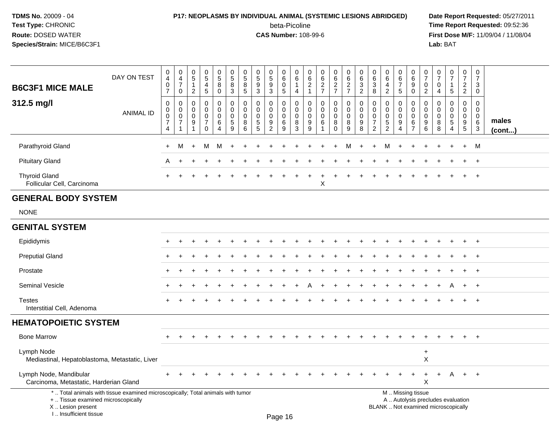## **P17: NEOPLASMS BY INDIVIDUAL ANIMAL (SYSTEMIC LESIONS ABRIDGED) Date Report Requested:** 05/27/2011

beta-Picoline<br>CAS Number: 108-99-6

| <b>B6C3F1 MICE MALE</b>                                                                                                                                             | DAY ON TEST      | 0<br>$\overline{4}$<br>0<br>$\overline{7}$           | $\begin{smallmatrix}0\0\4\end{smallmatrix}$<br>$\overline{7}$<br>0 | $\pmb{0}$<br>$\overline{5}$<br>$\mathbf{1}$<br>$\overline{c}$ | $\begin{array}{c} 0 \\ 5 \end{array}$<br>$\overline{a}$<br>$\sqrt{5}$ | 0<br>$\overline{5}$<br>8<br>0   | $\mathbf 0$<br>$\overline{5}$<br>8<br>$\mathbf{3}$         | 0<br>$\overline{5}$<br>8<br>5   | 0<br>$\overline{5}$<br>9<br>3                             | $\begin{array}{c} 0 \\ 5 \end{array}$<br>$9\,$<br>3            | $\mathbf 0$<br>$\,6\,$<br>$\mathbf 0$<br>$\,$ 5 $\,$ | 0<br>$\,6$<br>$\overline{1}$<br>$\overline{4}$      | $\mathbf 0$<br>$\,6$<br>$\overline{2}$<br>$\mathbf{1}$ | $\pmb{0}$<br>$6\phantom{a}$<br>$\overline{2}$<br>$\overline{7}$ | $_{6}^{\rm 0}$<br>$\overline{2}$<br>$\overline{7}$ | $\pmb{0}$<br>$\overline{6}$<br>$\overline{2}$<br>$\overline{7}$ | $\mathbf 0$<br>$\,6\,$<br>$\sqrt{3}$<br>$\overline{2}$ | 0<br>6<br>$\mathbf{3}$<br>8                                                   | $\mathbf 0$<br>6<br>$\overline{4}$<br>$\overline{c}$                   | 0<br>$6\overline{6}$<br>$\overline{7}$<br>5                     | 0<br>$6\overline{6}$<br>9<br>0                                   | $\mathbf 0$<br>$\overline{7}$<br>$\mathbf 0$<br>$\overline{2}$ | $\boldsymbol{0}$<br>$\overline{7}$<br>$\mathbf 0$<br>$\overline{4}$ | $\pmb{0}$<br>$\overline{7}$<br>$\mathbf{1}$<br>$\sqrt{5}$  | 0<br>$\overline{7}$<br>$\overline{2}$<br>$\overline{2}$ | $\pmb{0}$<br>$\overline{7}$<br>3<br>$\mathbf 0$                        |                 |
|---------------------------------------------------------------------------------------------------------------------------------------------------------------------|------------------|------------------------------------------------------|--------------------------------------------------------------------|---------------------------------------------------------------|-----------------------------------------------------------------------|---------------------------------|------------------------------------------------------------|---------------------------------|-----------------------------------------------------------|----------------------------------------------------------------|------------------------------------------------------|-----------------------------------------------------|--------------------------------------------------------|-----------------------------------------------------------------|----------------------------------------------------|-----------------------------------------------------------------|--------------------------------------------------------|-------------------------------------------------------------------------------|------------------------------------------------------------------------|-----------------------------------------------------------------|------------------------------------------------------------------|----------------------------------------------------------------|---------------------------------------------------------------------|------------------------------------------------------------|---------------------------------------------------------|------------------------------------------------------------------------|-----------------|
| 312.5 mg/l                                                                                                                                                          | <b>ANIMAL ID</b> | $\mathbf 0$<br>0<br>$\pmb{0}$<br>$\overline{7}$<br>4 | $\mathbf 0$<br>0<br>$\mathbf 0$<br>$\overline{7}$<br>$\mathbf{1}$  | $\Omega$<br>0<br>0<br>9<br>$\mathbf 1$                        | $\mathbf 0$<br>0<br>$\pmb{0}$<br>$\overline{7}$<br>$\mathbf 0$        | 0<br>$\mathbf 0$<br>0<br>6<br>4 | $\mathbf 0$<br>$\mathbf 0$<br>$\pmb{0}$<br>$\sqrt{5}$<br>9 | 0<br>0<br>$\mathbf 0$<br>8<br>6 | $\Omega$<br>$\mathbf 0$<br>$\mathbf 0$<br>$\sqrt{5}$<br>5 | $\mathbf 0$<br>$\mathbf 0$<br>$\pmb{0}$<br>9<br>$\overline{2}$ | $\mathbf 0$<br>$\mathbf 0$<br>$\mathbf 0$<br>6<br>9  | $\mathbf 0$<br>$\mathbf 0$<br>$\mathbf 0$<br>8<br>3 | $\mathbf 0$<br>0<br>$\mathbf 0$<br>9<br>9              | $\mathbf 0$<br>0<br>$\mathbf 0$<br>6<br>1                       | $\mathbf 0$<br>0<br>$\mathbf 0$<br>8<br>$\Omega$   | $\mathbf 0$<br>0<br>$\mathbf 0$<br>8<br>$\boldsymbol{9}$        | $\mathbf 0$<br>$\mathbf 0$<br>$\mathbf 0$<br>9<br>8    | $\mathbf 0$<br>$\mathbf 0$<br>$\mathbf 0$<br>$\overline{7}$<br>$\overline{c}$ | $\mathbf 0$<br>$\Omega$<br>$\mathbf 0$<br>$\sqrt{5}$<br>$\overline{2}$ | 0<br>$\mathbf 0$<br>$\mathbf 0$<br>9<br>$\overline{\mathbf{4}}$ | $\mathbf 0$<br>$\mathbf 0$<br>$\mathbf 0$<br>6<br>$\overline{7}$ | $\mathbf 0$<br>$\mathbf 0$<br>$\mathbf 0$<br>9<br>6            | $\Omega$<br>0<br>$\mathbf 0$<br>8<br>8                              | $\Omega$<br>$\Omega$<br>$\mathbf 0$<br>5<br>$\overline{4}$ | $\mathbf 0$<br>$\mathbf 0$<br>$\mathbf 0$<br>9<br>5     | $\mathbf 0$<br>$\mathbf 0$<br>$\mathsf{O}\xspace$<br>6<br>$\mathbf{3}$ | males<br>(cont) |
| Parathyroid Gland                                                                                                                                                   |                  | $\ddot{}$                                            | M                                                                  | $\ddot{}$                                                     | M                                                                     | м                               |                                                            |                                 |                                                           |                                                                |                                                      |                                                     |                                                        |                                                                 |                                                    |                                                                 |                                                        |                                                                               | М                                                                      |                                                                 |                                                                  |                                                                |                                                                     |                                                            | $\ddot{}$                                               | M                                                                      |                 |
| <b>Pituitary Gland</b>                                                                                                                                              |                  | A                                                    |                                                                    |                                                               |                                                                       |                                 |                                                            |                                 |                                                           |                                                                |                                                      |                                                     |                                                        |                                                                 |                                                    |                                                                 |                                                        |                                                                               |                                                                        |                                                                 |                                                                  |                                                                |                                                                     |                                                            |                                                         | $\overline{1}$                                                         |                 |
| <b>Thyroid Gland</b><br>Follicular Cell, Carcinoma                                                                                                                  |                  |                                                      |                                                                    |                                                               |                                                                       |                                 |                                                            |                                 |                                                           |                                                                |                                                      |                                                     |                                                        | X                                                               |                                                    |                                                                 |                                                        |                                                                               |                                                                        |                                                                 |                                                                  |                                                                |                                                                     |                                                            |                                                         | $\ddot{}$                                                              |                 |
| <b>GENERAL BODY SYSTEM</b>                                                                                                                                          |                  |                                                      |                                                                    |                                                               |                                                                       |                                 |                                                            |                                 |                                                           |                                                                |                                                      |                                                     |                                                        |                                                                 |                                                    |                                                                 |                                                        |                                                                               |                                                                        |                                                                 |                                                                  |                                                                |                                                                     |                                                            |                                                         |                                                                        |                 |
| <b>NONE</b>                                                                                                                                                         |                  |                                                      |                                                                    |                                                               |                                                                       |                                 |                                                            |                                 |                                                           |                                                                |                                                      |                                                     |                                                        |                                                                 |                                                    |                                                                 |                                                        |                                                                               |                                                                        |                                                                 |                                                                  |                                                                |                                                                     |                                                            |                                                         |                                                                        |                 |
| <b>GENITAL SYSTEM</b>                                                                                                                                               |                  |                                                      |                                                                    |                                                               |                                                                       |                                 |                                                            |                                 |                                                           |                                                                |                                                      |                                                     |                                                        |                                                                 |                                                    |                                                                 |                                                        |                                                                               |                                                                        |                                                                 |                                                                  |                                                                |                                                                     |                                                            |                                                         |                                                                        |                 |
| Epididymis                                                                                                                                                          |                  |                                                      |                                                                    |                                                               |                                                                       |                                 |                                                            |                                 |                                                           |                                                                |                                                      |                                                     |                                                        |                                                                 |                                                    |                                                                 |                                                        |                                                                               |                                                                        |                                                                 |                                                                  |                                                                |                                                                     |                                                            | $\div$                                                  | $^{+}$                                                                 |                 |
| <b>Preputial Gland</b>                                                                                                                                              |                  |                                                      |                                                                    |                                                               |                                                                       |                                 |                                                            |                                 |                                                           |                                                                |                                                      |                                                     |                                                        |                                                                 |                                                    |                                                                 |                                                        |                                                                               |                                                                        |                                                                 |                                                                  |                                                                |                                                                     |                                                            | ÷                                                       | $\overline{+}$                                                         |                 |
| Prostate                                                                                                                                                            |                  |                                                      |                                                                    |                                                               |                                                                       |                                 |                                                            |                                 |                                                           |                                                                |                                                      |                                                     |                                                        |                                                                 |                                                    |                                                                 |                                                        |                                                                               |                                                                        |                                                                 |                                                                  |                                                                |                                                                     |                                                            |                                                         | $\ddot{}$                                                              |                 |
| <b>Seminal Vesicle</b>                                                                                                                                              |                  |                                                      |                                                                    |                                                               |                                                                       |                                 |                                                            |                                 |                                                           |                                                                |                                                      |                                                     |                                                        |                                                                 |                                                    |                                                                 |                                                        |                                                                               |                                                                        |                                                                 |                                                                  |                                                                |                                                                     | A                                                          | $\ddot{}$                                               | $\overline{1}$                                                         |                 |
| <b>Testes</b><br>Interstitial Cell, Adenoma                                                                                                                         |                  |                                                      |                                                                    |                                                               |                                                                       |                                 |                                                            |                                 |                                                           |                                                                |                                                      |                                                     |                                                        |                                                                 |                                                    |                                                                 |                                                        |                                                                               |                                                                        |                                                                 |                                                                  |                                                                |                                                                     |                                                            |                                                         |                                                                        |                 |
| <b>HEMATOPOIETIC SYSTEM</b>                                                                                                                                         |                  |                                                      |                                                                    |                                                               |                                                                       |                                 |                                                            |                                 |                                                           |                                                                |                                                      |                                                     |                                                        |                                                                 |                                                    |                                                                 |                                                        |                                                                               |                                                                        |                                                                 |                                                                  |                                                                |                                                                     |                                                            |                                                         |                                                                        |                 |
| <b>Bone Marrow</b>                                                                                                                                                  |                  |                                                      | ٠                                                                  |                                                               |                                                                       |                                 |                                                            |                                 |                                                           |                                                                |                                                      |                                                     |                                                        |                                                                 |                                                    |                                                                 |                                                        |                                                                               |                                                                        |                                                                 |                                                                  |                                                                |                                                                     |                                                            | $\ddot{}$                                               | $\ddot{}$                                                              |                 |
| Lymph Node<br>Mediastinal, Hepatoblastoma, Metastatic, Liver                                                                                                        |                  |                                                      |                                                                    |                                                               |                                                                       |                                 |                                                            |                                 |                                                           |                                                                |                                                      |                                                     |                                                        |                                                                 |                                                    |                                                                 |                                                        |                                                                               |                                                                        |                                                                 |                                                                  | $\ddot{}$<br>X                                                 |                                                                     |                                                            |                                                         |                                                                        |                 |
| Lymph Node, Mandibular<br>Carcinoma, Metastatic, Harderian Gland                                                                                                    |                  |                                                      |                                                                    |                                                               |                                                                       |                                 |                                                            |                                 |                                                           |                                                                |                                                      |                                                     |                                                        |                                                                 |                                                    |                                                                 |                                                        |                                                                               |                                                                        |                                                                 | $\ddot{}$                                                        | $\ddot{}$<br>X                                                 | $+$                                                                 | A                                                          | $+$                                                     | $+$                                                                    |                 |
| *  Total animals with tissue examined microscopically; Total animals with tumor<br>+  Tissue examined microscopically<br>X  Lesion present<br>I Insufficient tissue |                  |                                                      |                                                                    |                                                               |                                                                       |                                 |                                                            |                                 |                                                           |                                                                | Dano 16                                              |                                                     |                                                        |                                                                 |                                                    |                                                                 |                                                        |                                                                               | BLANK  Not examined microscopically                                    |                                                                 | M  Missing tissue<br>A  Autolysis precludes evaluation           |                                                                |                                                                     |                                                            |                                                         |                                                                        |                 |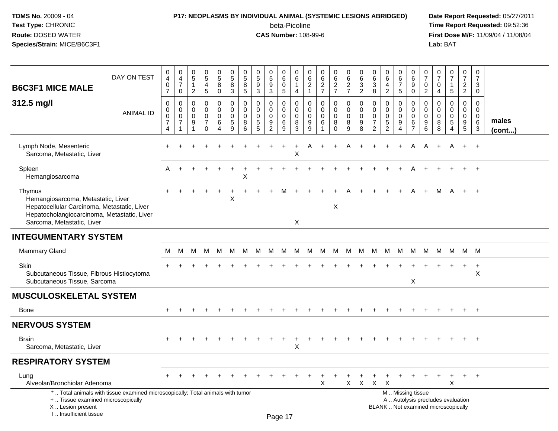### **P17: NEOPLASMS BY INDIVIDUAL ANIMAL (SYSTEMIC LESIONS ABRIDGED) Date Report Requested:** 05/27/2011

beta-Picoline<br>CAS Number: 108-99-6

| DAY ON TEST<br><b>B6C3F1 MICE MALE</b>                                                                                                                                   | 0<br>$\overline{4}$<br>$\mathbf 0$<br>$\overline{7}$         | $\boldsymbol{0}$<br>$\overline{4}$<br>$\overline{7}$<br>0 | $\pmb{0}$<br>$5\phantom{.0}$<br>$\overline{1}$<br>$\sqrt{2}$ | $\begin{array}{c} 0 \\ 5 \end{array}$<br>4<br>5             | $\begin{array}{c} 0 \\ 5 \end{array}$<br>8<br>0               | $\begin{array}{c} 0 \\ 5 \end{array}$<br>$\overline{8}$<br>$\mathbf{3}$ | $\pmb{0}$<br>$\sqrt{5}$<br>$\overline{8}$<br>$\sqrt{5}$ | $\pmb{0}$<br>$\sqrt{5}$<br>9<br>3               | 0<br>$\sqrt{5}$<br>$9\,$<br>$\sqrt{3}$               | 0<br>$\,6\,$<br>0<br>5                     | 0<br>6<br>$\mathbf{1}$<br>$\overline{4}$ | $\pmb{0}$<br>6<br>$\overline{c}$<br>$\mathbf{1}$ | $\begin{array}{c} 0 \\ 6 \end{array}$<br>$\frac{2}{7}$ | $\begin{array}{c} 0 \\ 6 \end{array}$<br>$\frac{2}{7}$         | 0<br>$\,6\,$<br>$\frac{2}{7}$                       | 0<br>$\,6\,$<br>3<br>$\overline{c}$              | 0<br>$\,6\,$<br>$\sqrt{3}$<br>8                                     | 0<br>6<br>$\overline{4}$<br>$\overline{c}$                    | 0<br>6<br>$\overline{7}$<br>5             | $\mathbf 0$<br>$\,6\,$<br>$\overline{9}$<br>$\mathbf 0$                          | 0<br>$\overline{7}$<br>$\mathbf{0}$<br>$\overline{2}$ | $\pmb{0}$<br>$\overline{7}$<br>$\Omega$<br>4 | $\frac{0}{7}$<br>1<br>5                                 | $\pmb{0}$<br>$\overline{7}$<br>$\overline{2}$<br>$\overline{2}$ | $\pmb{0}$<br>$\overline{7}$<br>3<br>$\mathbf 0$       |                       |
|--------------------------------------------------------------------------------------------------------------------------------------------------------------------------|--------------------------------------------------------------|-----------------------------------------------------------|--------------------------------------------------------------|-------------------------------------------------------------|---------------------------------------------------------------|-------------------------------------------------------------------------|---------------------------------------------------------|-------------------------------------------------|------------------------------------------------------|--------------------------------------------|------------------------------------------|--------------------------------------------------|--------------------------------------------------------|----------------------------------------------------------------|-----------------------------------------------------|--------------------------------------------------|---------------------------------------------------------------------|---------------------------------------------------------------|-------------------------------------------|----------------------------------------------------------------------------------|-------------------------------------------------------|----------------------------------------------|---------------------------------------------------------|-----------------------------------------------------------------|-------------------------------------------------------|-----------------------|
| 312.5 mg/l<br><b>ANIMAL ID</b>                                                                                                                                           | $\pmb{0}$<br>$\mathsf 0$<br>$\pmb{0}$<br>$\overline{7}$<br>4 | 0<br>$\mathsf{O}\xspace$<br>0<br>$\overline{7}$<br>-1     | $\Omega$<br>$\mathbf 0$<br>$\Omega$<br>9<br>1                | 0<br>$\mathbf 0$<br>$\pmb{0}$<br>$\overline{7}$<br>$\Omega$ | 0<br>$\mathbf 0$<br>$\pmb{0}$<br>6<br>$\overline{\mathbf{4}}$ | $\pmb{0}$<br>$\pmb{0}$<br>$\mathbf 0$<br>5<br>9                         | $\mathbf{0}$<br>$\mathbf 0$<br>0<br>8<br>6              | $\Omega$<br>$\mathbf 0$<br>0<br>$\sqrt{5}$<br>5 | 0<br>$\mathbf 0$<br>$\pmb{0}$<br>9<br>$\overline{2}$ | $\mathbf{0}$<br>$\mathbf 0$<br>0<br>6<br>9 | 0<br>$\mathsf{O}\xspace$<br>0<br>8<br>3  | $\Omega$<br>$\mathbf 0$<br>$\Omega$<br>9<br>9    | $\mathbf 0$<br>$\pmb{0}$<br>$\pmb{0}$<br>$\,6\,$       | 0<br>$\mathsf{O}\xspace$<br>$\pmb{0}$<br>$\bf8$<br>$\mathbf 0$ | $\mathbf 0$<br>$\mathsf 0$<br>$\mathbf 0$<br>8<br>9 | $\Omega$<br>$\mathbf 0$<br>$\mathbf 0$<br>9<br>8 | 0<br>$\mathbf 0$<br>$\mathbf 0$<br>$\overline{7}$<br>$\overline{2}$ | $\Omega$<br>$\mathbf 0$<br>$\mathbf 0$<br>5<br>$\overline{2}$ | 0<br>$\mathbf 0$<br>$\mathbf 0$<br>9<br>4 | $\mathbf 0$<br>$\boldsymbol{0}$<br>$\boldsymbol{0}$<br>$\,6\,$<br>$\overline{7}$ | $\Omega$<br>$\mathbf 0$<br>$\Omega$<br>9<br>6         | $\Omega$<br>$\Omega$<br>$\Omega$<br>8<br>8   | 0<br>$\mathbf 0$<br>$\mathsf 0$<br>$5\phantom{.0}$<br>4 | 0<br>$\mathbf 0$<br>0<br>9<br>5                                 | $\Omega$<br>$\mathbf 0$<br>0<br>$\,6\,$<br>$\sqrt{3}$ | males<br>$($ cont $)$ |
| Lymph Node, Mesenteric<br>Sarcoma, Metastatic, Liver                                                                                                                     |                                                              |                                                           |                                                              |                                                             |                                                               |                                                                         |                                                         |                                                 |                                                      |                                            | X                                        | A                                                |                                                        |                                                                |                                                     |                                                  |                                                                     |                                                               |                                           | A                                                                                | A                                                     | $\ddot{}$                                    | A                                                       | $+$                                                             | $+$                                                   |                       |
| Spleen<br>Hemangiosarcoma                                                                                                                                                | Α                                                            |                                                           |                                                              |                                                             |                                                               |                                                                         | Х                                                       |                                                 |                                                      |                                            |                                          |                                                  |                                                        |                                                                |                                                     |                                                  |                                                                     |                                                               |                                           |                                                                                  |                                                       |                                              |                                                         |                                                                 |                                                       |                       |
| Thymus<br>Hemangiosarcoma, Metastatic, Liver<br>Hepatocellular Carcinoma, Metastatic, Liver<br>Hepatocholangiocarcinoma, Metastatic, Liver<br>Sarcoma, Metastatic, Liver |                                                              |                                                           |                                                              |                                                             |                                                               | X                                                                       |                                                         |                                                 |                                                      |                                            | X                                        |                                                  |                                                        | X                                                              |                                                     |                                                  |                                                                     |                                                               |                                           |                                                                                  | $+$                                                   | м                                            | A                                                       | $+$                                                             | $+$                                                   |                       |
| <b>INTEGUMENTARY SYSTEM</b>                                                                                                                                              |                                                              |                                                           |                                                              |                                                             |                                                               |                                                                         |                                                         |                                                 |                                                      |                                            |                                          |                                                  |                                                        |                                                                |                                                     |                                                  |                                                                     |                                                               |                                           |                                                                                  |                                                       |                                              |                                                         |                                                                 |                                                       |                       |
| <b>Mammary Gland</b>                                                                                                                                                     | м                                                            | м                                                         | M                                                            | M                                                           | M                                                             | M                                                                       | M                                                       | M                                               | M                                                    | M                                          | M                                        | M                                                | M M                                                    |                                                                | M                                                   | M                                                | M                                                                   | M                                                             | M                                         | M                                                                                | M                                                     |                                              | M M                                                     | M M                                                             |                                                       |                       |
| <b>Skin</b><br>Subcutaneous Tissue, Fibrous Histiocytoma<br>Subcutaneous Tissue, Sarcoma                                                                                 |                                                              |                                                           |                                                              |                                                             |                                                               |                                                                         |                                                         |                                                 |                                                      |                                            |                                          |                                                  |                                                        |                                                                |                                                     |                                                  |                                                                     |                                                               |                                           | X                                                                                |                                                       |                                              |                                                         | $\ddot{}$                                                       | $+$<br>X                                              |                       |
| <b>MUSCULOSKELETAL SYSTEM</b>                                                                                                                                            |                                                              |                                                           |                                                              |                                                             |                                                               |                                                                         |                                                         |                                                 |                                                      |                                            |                                          |                                                  |                                                        |                                                                |                                                     |                                                  |                                                                     |                                                               |                                           |                                                                                  |                                                       |                                              |                                                         |                                                                 |                                                       |                       |
| Bone                                                                                                                                                                     |                                                              |                                                           |                                                              |                                                             |                                                               |                                                                         |                                                         |                                                 |                                                      |                                            |                                          |                                                  |                                                        |                                                                |                                                     |                                                  |                                                                     |                                                               |                                           |                                                                                  |                                                       |                                              |                                                         |                                                                 |                                                       |                       |
| <b>NERVOUS SYSTEM</b>                                                                                                                                                    |                                                              |                                                           |                                                              |                                                             |                                                               |                                                                         |                                                         |                                                 |                                                      |                                            |                                          |                                                  |                                                        |                                                                |                                                     |                                                  |                                                                     |                                                               |                                           |                                                                                  |                                                       |                                              |                                                         |                                                                 |                                                       |                       |
| <b>Brain</b><br>Sarcoma, Metastatic, Liver                                                                                                                               |                                                              |                                                           |                                                              |                                                             |                                                               |                                                                         |                                                         |                                                 |                                                      |                                            | X                                        |                                                  |                                                        |                                                                |                                                     |                                                  |                                                                     |                                                               |                                           |                                                                                  |                                                       |                                              |                                                         |                                                                 |                                                       |                       |
| <b>RESPIRATORY SYSTEM</b>                                                                                                                                                |                                                              |                                                           |                                                              |                                                             |                                                               |                                                                         |                                                         |                                                 |                                                      |                                            |                                          |                                                  |                                                        |                                                                |                                                     |                                                  |                                                                     |                                                               |                                           |                                                                                  |                                                       |                                              |                                                         |                                                                 |                                                       |                       |
| Lung<br>Alveolar/Bronchiolar Adenoma                                                                                                                                     |                                                              |                                                           |                                                              |                                                             |                                                               |                                                                         |                                                         |                                                 |                                                      |                                            |                                          |                                                  | X                                                      |                                                                | $X -$                                               | $X$ $X$                                          |                                                                     | $\times$                                                      |                                           |                                                                                  |                                                       |                                              | X                                                       |                                                                 | $\ddot{}$                                             |                       |
| *  Total animals with tissue examined microscopically; Total animals with tumor<br>+  Tissue examined microscopically<br>X  Lesion present<br>I., Insufficient tissue    |                                                              |                                                           |                                                              |                                                             |                                                               |                                                                         |                                                         |                                                 |                                                      | Dao 47                                     |                                          |                                                  |                                                        |                                                                |                                                     |                                                  |                                                                     | M  Missing tissue<br>BLANK  Not examined microscopically      |                                           | A  Autolysis precludes evaluation                                                |                                                       |                                              |                                                         |                                                                 |                                                       |                       |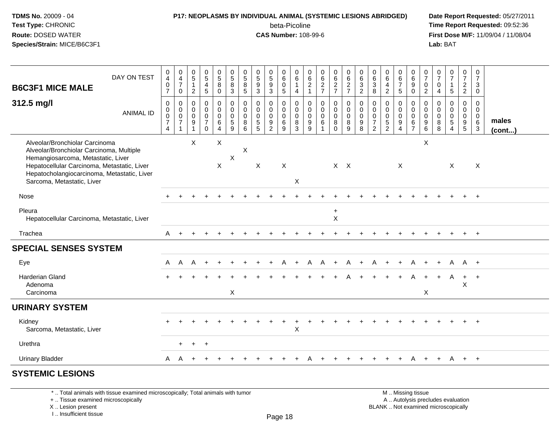# **P17: NEOPLASMS BY INDIVIDUAL ANIMAL (SYSTEMIC LESIONS ABRIDGED) Date Report Requested:** 05/27/2011

beta-Picoline<br>CAS Number: 108-99-6

 **Time Report Requested:** 09:52:36 **First Dose M/F:** 11/09/04 / 11/08/04<br>Lab: BAT **Lab:** BAT

| DAY ON TEST                                                                                                                                                                                                                                  | 0                                                                | $\begin{smallmatrix}0\\4\end{smallmatrix}$                          |                                                                           | $\begin{array}{c} 0 \\ 5 \end{array}$                         |                                                                    |                                                              | $\begin{array}{c} 0 \\ 5 \end{array}$            |                                                              | $\begin{array}{c} 0 \\ 5 \end{array}$                  | 0                                         | 0                                         | $_{6}^{\rm 0}$                                      |                                                          |                                                                                  |                                                      | 0                                         |                                                                          | 0                                                   | 0                                                                 |                                                                           | 0                                               | $\frac{0}{7}$                             | $\frac{0}{7}$                             | $\frac{0}{7}$                             | 0                                                   |                       |
|----------------------------------------------------------------------------------------------------------------------------------------------------------------------------------------------------------------------------------------------|------------------------------------------------------------------|---------------------------------------------------------------------|---------------------------------------------------------------------------|---------------------------------------------------------------|--------------------------------------------------------------------|--------------------------------------------------------------|--------------------------------------------------|--------------------------------------------------------------|--------------------------------------------------------|-------------------------------------------|-------------------------------------------|-----------------------------------------------------|----------------------------------------------------------|----------------------------------------------------------------------------------|------------------------------------------------------|-------------------------------------------|--------------------------------------------------------------------------|-----------------------------------------------------|-------------------------------------------------------------------|---------------------------------------------------------------------------|-------------------------------------------------|-------------------------------------------|-------------------------------------------|-------------------------------------------|-----------------------------------------------------|-----------------------|
| <b>B6C3F1 MICE MALE</b>                                                                                                                                                                                                                      | $\overline{4}$<br>$\mathbf 0$<br>$\overline{7}$                  | $\overline{7}$<br>$\mathbf 0$                                       | $\begin{array}{c} 0 \\ 5 \\ 1 \end{array}$<br>$\overline{c}$              | $\overline{4}$<br>5                                           | $\begin{array}{c} 0 \\ 5 \\ 8 \end{array}$<br>$\mathbf 0$          | $\begin{array}{c} 0 \\ 5 \\ 8 \end{array}$<br>$\overline{3}$ | $\bf8$<br>$\overline{5}$                         | $\begin{array}{c} 0 \\ 5 \\ 9 \end{array}$<br>$\overline{3}$ | 9<br>$\mathbf{3}$                                      | $\,6\,$<br>$\mathsf{O}$<br>$\sqrt{5}$     | $\,6\,$<br>$\mathbf{1}$<br>$\overline{4}$ | $\overline{c}$<br>$\mathbf{1}$                      | 0627                                                     | 0627                                                                             | $062$<br>$77$                                        | $\,6\,$<br>$\mathbf{3}$<br>$\overline{2}$ | $\begin{matrix} 0 \\ 6 \\ 3 \end{matrix}$<br>$\overline{8}$              | $6\overline{6}$<br>$\overline{4}$<br>$\overline{2}$ | $6\overline{6}$<br>$\overline{7}$<br>5                            | $\begin{matrix} 0 \\ 6 \\ 9 \end{matrix}$<br>$\overline{0}$               | $\overline{7}$<br>$\mathbf 0$<br>$\overline{2}$ | $\mathbf 0$<br>4                          | $\mathbf{1}$<br>5                         | $\overline{2}$<br>$\overline{2}$          | $\overline{7}$<br>3<br>$\mathbf 0$                  |                       |
| 312.5 mg/l<br><b>ANIMAL ID</b>                                                                                                                                                                                                               | $\mathbf 0$<br>$\mathbf 0$<br>$\mathsf 0$<br>$\overline{7}$<br>4 | $\mathbf 0$<br>$\mathbf 0$<br>$\mathsf{O}\xspace$<br>$\overline{7}$ | $\boldsymbol{0}$<br>$\mathbf 0$<br>$\mathbf 0$<br>$9\,$<br>$\overline{1}$ | 0<br>$\mathbf 0$<br>$\mathbf 0$<br>$\overline{7}$<br>$\Omega$ | $\begin{smallmatrix}0\0\0\end{smallmatrix}$<br>6<br>$\overline{4}$ | $\pmb{0}$<br>$\pmb{0}$<br>$\mathbf 0$<br>$\sqrt{5}$<br>9     | $\mathbf 0$<br>$\mathbf 0$<br>$\Omega$<br>8<br>6 | $\mathbf 0$<br>$\mathbf 0$<br>$\mathbf 0$<br>$\sqrt{5}$<br>5 | 0<br>$\mathbf 0$<br>$\mathbf 0$<br>9<br>$\overline{2}$ | 0<br>$\mathbf 0$<br>$\mathbf 0$<br>6<br>9 | 0<br>0<br>$\mathbf 0$<br>8<br>3           | $\mathbf 0$<br>$\mathbf 0$<br>$\mathbf 0$<br>9<br>9 | $\pmb{0}$<br>$\mathsf{O}\xspace$<br>$\pmb{0}$<br>$\,6\,$ | $\begin{smallmatrix} 0\\0 \end{smallmatrix}$<br>$\pmb{0}$<br>$\,8\,$<br>$\Omega$ | $\pmb{0}$<br>$\overline{0}$<br>$\mathbf 0$<br>8<br>9 | $\mathbf 0$<br>0<br>$\mathbf 0$<br>9<br>8 | 0<br>$\begin{smallmatrix} 0\\0 \end{smallmatrix}$<br>$\overline{7}$<br>2 | 0<br>$\mathbf 0$<br>$\mathbf 0$<br>5<br>2           | 0<br>$\overline{0}$<br>$\mathbf 0$<br>9<br>$\boldsymbol{\Lambda}$ | $\mathbf 0$<br>$\mathbf 0$<br>$\overline{0}$<br>$\,6\,$<br>$\overline{7}$ | 0<br>$\mathbf{0}$<br>$\mathbf 0$<br>9<br>6      | 0<br>$\mathbf 0$<br>$\mathbf 0$<br>8<br>8 | 0<br>$\mathbf 0$<br>$\mathsf 0$<br>5<br>4 | 0<br>$\mathbf 0$<br>$\mathbf 0$<br>9<br>5 | $\mathbf 0$<br>$\mathbf 0$<br>$\mathbf 0$<br>6<br>3 | males<br>$($ cont $)$ |
| Alveolar/Bronchiolar Carcinoma<br>Alveolar/Bronchiolar Carcinoma, Multiple<br>Hemangiosarcoma, Metastatic, Liver<br>Hepatocellular Carcinoma, Metastatic, Liver<br>Hepatocholangiocarcinoma, Metastatic, Liver<br>Sarcoma, Metastatic, Liver |                                                                  |                                                                     | $\boldsymbol{\mathsf{X}}$                                                 |                                                               | $\boldsymbol{\mathsf{X}}$<br>$\mathsf{X}$                          | X                                                            | X                                                | X                                                            |                                                        | $\boldsymbol{\mathsf{X}}$                 | X                                         |                                                     |                                                          |                                                                                  | $X$ $X$                                              |                                           |                                                                          |                                                     | X                                                                 |                                                                           | $\boldsymbol{\mathsf{X}}$                       |                                           | X                                         |                                           | X                                                   |                       |
| Nose                                                                                                                                                                                                                                         |                                                                  |                                                                     |                                                                           |                                                               |                                                                    |                                                              |                                                  |                                                              |                                                        |                                           |                                           |                                                     |                                                          |                                                                                  |                                                      |                                           |                                                                          |                                                     |                                                                   |                                                                           |                                                 |                                           |                                           |                                           | $+$                                                 |                       |
| Pleura<br>Hepatocellular Carcinoma, Metastatic, Liver                                                                                                                                                                                        |                                                                  |                                                                     |                                                                           |                                                               |                                                                    |                                                              |                                                  |                                                              |                                                        |                                           |                                           |                                                     |                                                          | $\ddot{}$<br>$\times$                                                            |                                                      |                                           |                                                                          |                                                     |                                                                   |                                                                           |                                                 |                                           |                                           |                                           |                                                     |                       |
| Trachea                                                                                                                                                                                                                                      | A                                                                |                                                                     |                                                                           |                                                               |                                                                    |                                                              |                                                  |                                                              |                                                        |                                           |                                           |                                                     |                                                          |                                                                                  |                                                      |                                           |                                                                          |                                                     |                                                                   |                                                                           |                                                 |                                           |                                           |                                           | $+$                                                 |                       |
| <b>SPECIAL SENSES SYSTEM</b>                                                                                                                                                                                                                 |                                                                  |                                                                     |                                                                           |                                                               |                                                                    |                                                              |                                                  |                                                              |                                                        |                                           |                                           |                                                     |                                                          |                                                                                  |                                                      |                                           |                                                                          |                                                     |                                                                   |                                                                           |                                                 |                                           |                                           |                                           |                                                     |                       |
| Eye                                                                                                                                                                                                                                          | A                                                                | $\mathsf{A}$                                                        | A                                                                         | $\ddot{}$                                                     |                                                                    |                                                              |                                                  |                                                              |                                                        |                                           |                                           | A                                                   | A                                                        | $+$                                                                              | A                                                    | $\ddot{}$                                 | A                                                                        | $+$                                                 | $\ddot{}$                                                         | A                                                                         | $\ddot{}$                                       | $\ddot{}$                                 | A                                         | A +                                       |                                                     |                       |
| Harderian Gland<br>Adenoma<br>Carcinoma                                                                                                                                                                                                      |                                                                  |                                                                     |                                                                           |                                                               |                                                                    | $\pmb{\times}$                                               |                                                  |                                                              |                                                        |                                           |                                           |                                                     |                                                          |                                                                                  |                                                      |                                           |                                                                          | $\ddot{}$                                           | $\ddot{}$                                                         | A                                                                         | $+$<br>$\boldsymbol{\mathsf{X}}$                | $\ddot{}$                                 | A                                         | X                                         | $+$ $+$                                             |                       |
| <b>URINARY SYSTEM</b>                                                                                                                                                                                                                        |                                                                  |                                                                     |                                                                           |                                                               |                                                                    |                                                              |                                                  |                                                              |                                                        |                                           |                                           |                                                     |                                                          |                                                                                  |                                                      |                                           |                                                                          |                                                     |                                                                   |                                                                           |                                                 |                                           |                                           |                                           |                                                     |                       |
| Kidney<br>Sarcoma, Metastatic, Liver                                                                                                                                                                                                         |                                                                  |                                                                     |                                                                           |                                                               |                                                                    |                                                              |                                                  |                                                              |                                                        |                                           | X                                         |                                                     |                                                          |                                                                                  |                                                      |                                           |                                                                          |                                                     |                                                                   |                                                                           |                                                 |                                           |                                           |                                           | $+$                                                 |                       |
| Urethra                                                                                                                                                                                                                                      |                                                                  | $\pm$                                                               | $+$                                                                       | $^{+}$                                                        |                                                                    |                                                              |                                                  |                                                              |                                                        |                                           |                                           |                                                     |                                                          |                                                                                  |                                                      |                                           |                                                                          |                                                     |                                                                   |                                                                           |                                                 |                                           |                                           |                                           |                                                     |                       |
| <b>Urinary Bladder</b>                                                                                                                                                                                                                       | A                                                                |                                                                     |                                                                           |                                                               |                                                                    |                                                              |                                                  |                                                              |                                                        |                                           |                                           |                                                     |                                                          |                                                                                  |                                                      |                                           |                                                                          |                                                     |                                                                   | A                                                                         | $+$                                             | $+$                                       | A                                         | $+$                                       | $+$                                                 |                       |
| <b>SYSTEMIC LESIONS</b>                                                                                                                                                                                                                      |                                                                  |                                                                     |                                                                           |                                                               |                                                                    |                                                              |                                                  |                                                              |                                                        |                                           |                                           |                                                     |                                                          |                                                                                  |                                                      |                                           |                                                                          |                                                     |                                                                   |                                                                           |                                                 |                                           |                                           |                                           |                                                     |                       |

\* .. Total animals with tissue examined microscopically; Total animals with tumor

+ .. Tissue examined microscopically

X .. Lesion present

I .. Insufficient tissue

M .. Missing tissue y the contract of the contract of the contract of the contract of the contract of  $\mathsf A$  . Autolysis precludes evaluation Lesion present BLANK .. Not examined microscopically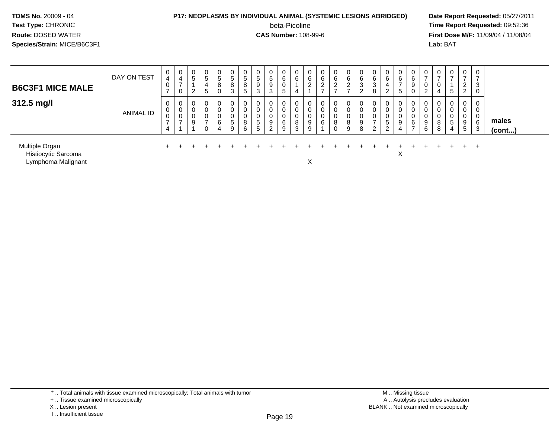#### **P17: NEOPLASMS BY INDIVIDUAL ANIMAL (SYSTEMIC LESIONS ABRIDGED) Date Report Requested:** 05/27/2011

beta-Picoline<br>CAS Number: 108-99-6

 **Time Report Requested:** 09:52:36 **First Dose M/F:** 11/09/04 / 11/08/04<br>Lab: BAT **Lab:** BAT

| <b>B6C3F1 MICE MALE</b> | DAY ON TEST      | $\mathbf{0}$<br>4<br>0     | $\overline{0}$<br>4<br>$\rightarrow$<br>U | 0<br>G<br>ົ                | <sub>5</sub><br>4<br>Э | -<br>5<br>8 | 0<br>đ<br>8<br>3 | U<br>đ<br>8<br><sub>5</sub> | 0<br>5<br>9<br>3      | $\overline{0}$<br>.5<br>9<br>3 | 0<br>6<br>0<br><sub>5</sub> | 6           | 6 | 6 | 0<br>6<br>$\epsilon$ | $\mathbf{0}$<br>6<br>$\epsilon$ | U<br>6<br>3<br>2      | 0<br>6<br>3<br>8 | -6<br>∠            | 6 | $\mathbf{0}$<br>⌒<br>9 | U<br>U                | 0<br>0<br>4      | 0<br>-<br>5            | 0<br>$\rightarrow$<br>2<br>ົ<br>$\epsilon$ | ົ<br>చ   |                 |
|-------------------------|------------------|----------------------------|-------------------------------------------|----------------------------|------------------------|-------------|------------------|-----------------------------|-----------------------|--------------------------------|-----------------------------|-------------|---|---|----------------------|---------------------------------|-----------------------|------------------|--------------------|---|------------------------|-----------------------|------------------|------------------------|--------------------------------------------|----------|-----------------|
| 312.5 mg/l              | <b>ANIMAL ID</b> | $\mathbf 0$<br>0<br>0<br>4 | 0<br>U<br>U                               | $\mathbf 0$<br>0<br>0<br>9 |                        | 6           | 0<br>0<br>5<br>9 | 0<br>0<br>0<br>8<br>6       | 0<br>0<br>0<br>5<br>5 | 0<br>0<br>9<br>ົ               | 0<br>0<br>0<br>6<br>9       | 8<br>ີ<br>đ |   | ⌒ | 0<br>0<br>8<br>0     | 0<br>0<br>0<br>8<br>9           | 0<br>0<br>0<br>9<br>8 | 0<br>0<br>0<br>2 | G<br>$\mathcal{D}$ |   | ⌒<br>6                 | O<br>U<br>9<br>⌒<br>b | 0<br>0<br>8<br>8 | 0<br>0<br>0<br>.5<br>4 | 0<br>0<br>0<br>9<br>5                      | 6<br>-3  | males<br>(cont) |
| Multiple Organ          |                  |                            |                                           |                            |                        |             |                  |                             |                       |                                |                             |             |   |   |                      |                                 |                       |                  |                    |   |                        |                       |                  |                        |                                            | <u>+</u> |                 |

Histiocytic Sarcoma

a and the contract of the contract of the contract of the contract of the contract of the contract of the contract of the contract of the contract of the contract of the contract of the contract of the contract of the cont Lymphoma Malignant

t and the set of the set of the set of the set of the set of the set of the set of the set of the set of the s

<sup>\* ..</sup> Total animals with tissue examined microscopically; Total animals with tumor

<sup>+ ..</sup> Tissue examined microscopically

X .. Lesion present

I .. Insufficient tissue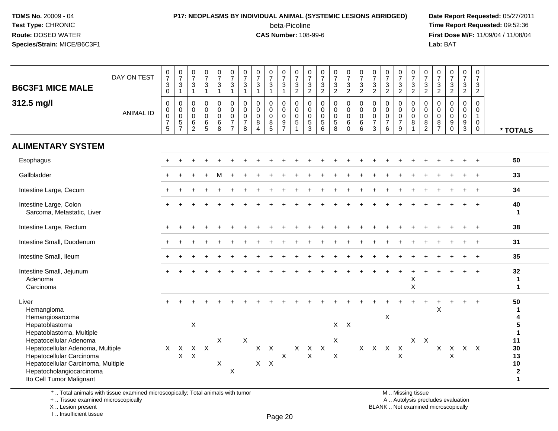### **P17: NEOPLASMS BY INDIVIDUAL ANIMAL (SYSTEMIC LESIONS ABRIDGED) Date Report Requested:** 05/27/2011

beta-Picoline<br>CAS Number: 108-99-6

 **Time Report Requested:** 09:52:36 **First Dose M/F:** 11/09/04 / 11/08/04<br>Lab: BAT **Lab:** BAT

| <b>B6C3F1 MICE MALE</b>                                                                                                                                    | DAY ON TEST      | $\frac{0}{7}$<br>$\sqrt{3}$<br>$\mathbf 0$                                         | $\frac{0}{7}$<br>$\sqrt{3}$<br>$\mathbf{1}$                      | $\frac{0}{7}$<br>$\sqrt{3}$<br>$\overline{1}$                 | $\frac{0}{7}$<br>$\mathbf{3}$<br>$\mathbf{1}$          | $\begin{array}{c} 0 \\ 7 \end{array}$<br>$\mathbf{3}$<br>$\mathbf{1}$ | $\frac{0}{7}$<br>$\mathbf 3$<br>$\mathbf{1}$                                | $\begin{array}{c} 0 \\ 7 \end{array}$<br>$\mathbf{3}$<br>$\mathbf{1}$ | $\begin{array}{c} 0 \\ 7 \end{array}$<br>$\ensuremath{\mathsf{3}}$<br>$\mathbf{1}$ | $\frac{0}{7}$<br>$\ensuremath{\mathsf{3}}$<br>$\overline{1}$ | $\begin{array}{c} 0 \\ 7 \end{array}$<br>$\frac{3}{1}$     | $\frac{0}{7}$<br>3<br>$\overline{c}$ | $\frac{0}{7}$<br>$\frac{3}{2}$                                     | $\frac{0}{7}$<br>$\mathbf{3}$<br>$\overline{2}$                      | $\frac{0}{7}$<br>$\frac{3}{2}$                                               | $\begin{array}{c} 0 \\ 7 \end{array}$<br>$\frac{3}{2}$          | $\begin{array}{c} 0 \\ 7 \end{array}$<br>$\frac{3}{2}$         | $\frac{0}{7}$<br>$\frac{3}{2}$                                            | $\frac{0}{7}$<br>$\frac{3}{2}$                                 | $\frac{0}{7}$<br>$\frac{3}{2}$                                                      | 0<br>$\overline{7}$<br>$\mathbf{3}$<br>$\overline{2}$         | $\begin{smallmatrix}0\\7\end{smallmatrix}$<br>$\frac{3}{2}$                                         | $\begin{array}{c} 0 \\ 7 \end{array}$<br>$\frac{3}{2}$                 | $\begin{array}{c} 0 \\ 7 \end{array}$<br>$\frac{3}{2}$  | 0<br>$\overline{7}$<br>$\ensuremath{\mathsf{3}}$<br>$\overline{2}$ | $\pmb{0}$<br>$\overline{7}$<br>3<br>$\overline{2}$                 |                                                |
|------------------------------------------------------------------------------------------------------------------------------------------------------------|------------------|------------------------------------------------------------------------------------|------------------------------------------------------------------|---------------------------------------------------------------|--------------------------------------------------------|-----------------------------------------------------------------------|-----------------------------------------------------------------------------|-----------------------------------------------------------------------|------------------------------------------------------------------------------------|--------------------------------------------------------------|------------------------------------------------------------|--------------------------------------|--------------------------------------------------------------------|----------------------------------------------------------------------|------------------------------------------------------------------------------|-----------------------------------------------------------------|----------------------------------------------------------------|---------------------------------------------------------------------------|----------------------------------------------------------------|-------------------------------------------------------------------------------------|---------------------------------------------------------------|-----------------------------------------------------------------------------------------------------|------------------------------------------------------------------------|---------------------------------------------------------|--------------------------------------------------------------------|--------------------------------------------------------------------|------------------------------------------------|
| 312.5 mg/l                                                                                                                                                 | <b>ANIMAL ID</b> | $\boldsymbol{0}$<br>$\mathbf 0$<br>$\mathbf 0$<br>$\overline{7}$<br>$\overline{5}$ | 0<br>$\mathbf 0$<br>$\mathbf 0$<br>$\,$ 5 $\,$<br>$\overline{7}$ | $\Omega$<br>$\mathbf 0$<br>$\mathbf 0$<br>6<br>$\overline{2}$ | 0<br>$\mathbf 0$<br>$\mathbf 0$<br>6<br>$\overline{5}$ | 0<br>$\ddot{\mathbf{0}}$<br>$\pmb{0}$<br>$\,6\,$<br>$\overline{8}$    | $\mathsf 0$<br>$\mathbf 0$<br>$\pmb{0}$<br>$\overline{7}$<br>$\overline{7}$ | $\Omega$<br>$\mathbf 0$<br>0<br>$\overline{7}$<br>8                   | $\mathbf 0$<br>$\mathbf 0$<br>$\mathbf 0$<br>$\bf 8$<br>$\boldsymbol{\Lambda}$     | 0<br>$\mathbf 0$<br>$\mathbf 0$<br>$^8_5$                    | $\mathbf 0$<br>$\mathbf 0$<br>$\mathbf 0$<br>$\frac{9}{7}$ | 0<br>$\mathbf 0$<br>$\mathbf 0$<br>5 | $\mathsf{O}\xspace$<br>$\mathbf 0$<br>$\mathbf 0$<br>$\frac{5}{3}$ | $\mathsf{O}$<br>$\overline{0}$<br>$\mathbf 0$<br>5<br>$\overline{6}$ | $\pmb{0}$<br>$\bar{0}$<br>$\pmb{0}$<br>$\begin{array}{c} 5 \\ 8 \end{array}$ | $\pmb{0}$<br>$\overline{0}$<br>$\pmb{0}$<br>$\,6\,$<br>$\Omega$ | $\mathbf 0$<br>$\mathbf 0$<br>$\pmb{0}$<br>6<br>$\overline{6}$ | $\mathbf 0$<br>$\mathbf 0$<br>$\pmb{0}$<br>$\overline{7}$<br>$\mathbf{3}$ | 0<br>$\mathbf 0$<br>$\mathsf{O}\xspace$<br>$\overline{7}$<br>6 | $\mathbf 0$<br>$\ddot{\mathbf{0}}$<br>$\pmb{0}$<br>$\overline{7}$<br>$\overline{9}$ | $\mathbf 0$<br>$\mathbf 0$<br>$\mathbf 0$<br>8<br>$\mathbf 1$ | $\mathsf{O}\xspace$<br>$\mathbf 0$<br>$\mathbf 0$<br>$\begin{smallmatrix} 8 \\ 2 \end{smallmatrix}$ | $\mathbf 0$<br>$\mathbf 0$<br>$\mathbf 0$<br>$\bf 8$<br>$\overline{7}$ | $\mathbf 0$<br>$\mathbf 0$<br>$\mathbf 0$<br>$_{0}^{9}$ | 0<br>$\mathbf 0$<br>$\mathbf 0$<br>$\frac{9}{3}$                   | $\Omega$<br>$\Omega$<br>$\mathbf{1}$<br>$\mathbf 0$<br>$\mathbf 0$ | * TOTALS                                       |
| <b>ALIMENTARY SYSTEM</b>                                                                                                                                   |                  |                                                                                    |                                                                  |                                                               |                                                        |                                                                       |                                                                             |                                                                       |                                                                                    |                                                              |                                                            |                                      |                                                                    |                                                                      |                                                                              |                                                                 |                                                                |                                                                           |                                                                |                                                                                     |                                                               |                                                                                                     |                                                                        |                                                         |                                                                    |                                                                    |                                                |
| Esophagus                                                                                                                                                  |                  |                                                                                    |                                                                  |                                                               |                                                        |                                                                       |                                                                             |                                                                       |                                                                                    |                                                              |                                                            |                                      |                                                                    |                                                                      |                                                                              |                                                                 |                                                                |                                                                           |                                                                |                                                                                     |                                                               |                                                                                                     |                                                                        |                                                         |                                                                    |                                                                    | 50                                             |
| Gallbladder                                                                                                                                                |                  |                                                                                    |                                                                  |                                                               |                                                        |                                                                       |                                                                             |                                                                       |                                                                                    |                                                              |                                                            |                                      |                                                                    |                                                                      |                                                                              |                                                                 |                                                                |                                                                           |                                                                |                                                                                     |                                                               |                                                                                                     |                                                                        |                                                         |                                                                    |                                                                    | 33                                             |
| Intestine Large, Cecum                                                                                                                                     |                  |                                                                                    |                                                                  |                                                               |                                                        |                                                                       |                                                                             |                                                                       |                                                                                    |                                                              |                                                            |                                      |                                                                    |                                                                      |                                                                              |                                                                 |                                                                |                                                                           |                                                                |                                                                                     |                                                               |                                                                                                     |                                                                        |                                                         |                                                                    |                                                                    | 34                                             |
| Intestine Large, Colon<br>Sarcoma, Metastatic, Liver                                                                                                       |                  |                                                                                    |                                                                  |                                                               |                                                        |                                                                       |                                                                             |                                                                       |                                                                                    |                                                              |                                                            |                                      |                                                                    |                                                                      |                                                                              |                                                                 |                                                                |                                                                           |                                                                |                                                                                     |                                                               |                                                                                                     |                                                                        |                                                         |                                                                    |                                                                    | 40<br>$\mathbf{1}$                             |
| Intestine Large, Rectum                                                                                                                                    |                  |                                                                                    |                                                                  |                                                               |                                                        |                                                                       |                                                                             |                                                                       |                                                                                    |                                                              |                                                            |                                      |                                                                    |                                                                      |                                                                              |                                                                 |                                                                |                                                                           |                                                                |                                                                                     |                                                               |                                                                                                     |                                                                        |                                                         |                                                                    | $\ddot{}$                                                          | 38                                             |
| Intestine Small, Duodenum                                                                                                                                  |                  |                                                                                    |                                                                  |                                                               |                                                        |                                                                       |                                                                             |                                                                       |                                                                                    |                                                              |                                                            |                                      |                                                                    |                                                                      |                                                                              |                                                                 |                                                                |                                                                           |                                                                |                                                                                     |                                                               |                                                                                                     |                                                                        |                                                         |                                                                    |                                                                    | 31                                             |
| Intestine Small, Ileum                                                                                                                                     |                  |                                                                                    |                                                                  |                                                               |                                                        |                                                                       |                                                                             |                                                                       |                                                                                    |                                                              |                                                            |                                      |                                                                    |                                                                      |                                                                              |                                                                 |                                                                |                                                                           |                                                                |                                                                                     |                                                               |                                                                                                     |                                                                        |                                                         |                                                                    |                                                                    | 35                                             |
| Intestine Small, Jejunum<br>Adenoma<br>Carcinoma                                                                                                           |                  |                                                                                    |                                                                  |                                                               |                                                        |                                                                       |                                                                             |                                                                       |                                                                                    |                                                              |                                                            |                                      |                                                                    |                                                                      |                                                                              |                                                                 |                                                                |                                                                           |                                                                |                                                                                     | Χ<br>X                                                        |                                                                                                     |                                                                        |                                                         |                                                                    | $+$                                                                | 32<br>1<br>$\mathbf{1}$                        |
| Liver<br>Hemangioma<br>Hemangiosarcoma                                                                                                                     |                  |                                                                                    |                                                                  |                                                               |                                                        |                                                                       |                                                                             |                                                                       |                                                                                    |                                                              |                                                            |                                      |                                                                    |                                                                      |                                                                              |                                                                 |                                                                |                                                                           | X                                                              |                                                                                     |                                                               |                                                                                                     | X                                                                      |                                                         |                                                                    | $\div$                                                             | 50<br>1<br>4                                   |
| Hepatoblastoma<br>Hepatoblastoma, Multiple<br>Hepatocellular Adenoma                                                                                       |                  |                                                                                    |                                                                  | $\mathsf X$                                                   |                                                        | X                                                                     |                                                                             | X                                                                     |                                                                                    |                                                              |                                                            |                                      |                                                                    |                                                                      | X                                                                            | $X$ $X$                                                         |                                                                |                                                                           |                                                                |                                                                                     |                                                               | $X$ $X$                                                                                             |                                                                        |                                                         |                                                                    |                                                                    | 5<br>$\mathbf{1}$<br>11                        |
| Hepatocellular Adenoma, Multiple<br>Hepatocellular Carcinoma<br>Hepatocellular Carcinoma, Multiple<br>Hepatocholangiocarcinoma<br>Ito Cell Tumor Malignant |                  | $\mathsf{X}$                                                                       | $\boldsymbol{\mathsf{X}}$<br>$\mathsf{X}$                        | $\mathsf{X}$<br>$\boldsymbol{\mathsf{X}}$                     | $\boldsymbol{X}$                                       | X                                                                     | X                                                                           |                                                                       | $X$ $X$<br>$X$ $X$                                                                 |                                                              | $\mathsf{X}$                                               | $\mathsf X$                          | $\mathsf{X}$<br>$\mathsf{X}$                                       | $\boldsymbol{\mathsf{X}}$                                            | $\mathsf{x}$                                                                 |                                                                 |                                                                | X X X                                                                     |                                                                | $\mathsf{X}$<br>X                                                                   |                                                               |                                                                                                     | X                                                                      | $\mathsf{X}$<br>$\overline{\mathsf{X}}$                 | $X$ $X$                                                            |                                                                    | 30<br>13<br>10<br>$\mathbf{2}$<br>$\mathbf{1}$ |
| *  Total animals with tissue examined microscopically; Total animals with tumor                                                                            |                  |                                                                                    |                                                                  |                                                               |                                                        |                                                                       |                                                                             |                                                                       |                                                                                    |                                                              |                                                            |                                      |                                                                    |                                                                      |                                                                              |                                                                 |                                                                |                                                                           |                                                                |                                                                                     | M  Missing tissue                                             |                                                                                                     |                                                                        |                                                         |                                                                    |                                                                    |                                                |

\* .. Total animals with tissue examined microscopically; Total animals with tumor

+ .. Tissue examined microscopically

X .. Lesion present

I .. Insufficient tissue

y the contract of the contract of the contract of the contract of the contract of  $\mathsf A$  . Autolysis precludes evaluation

Lesion present BLANK .. Not examined microscopically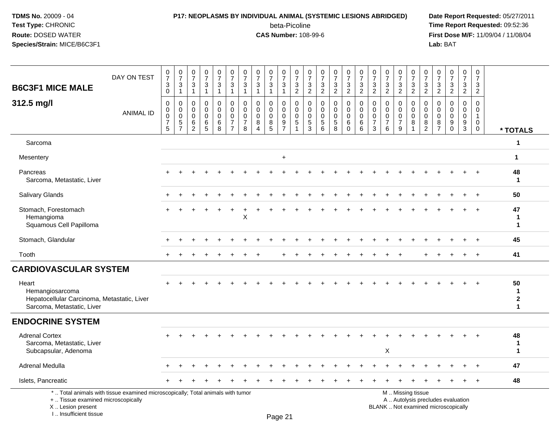### **P17: NEOPLASMS BY INDIVIDUAL ANIMAL (SYSTEMIC LESIONS ABRIDGED) Date Report Requested:** 05/27/2011

beta-Picoline<br>CAS Number: 108-99-6

| <b>B6C3F1 MICE MALE</b>                                                                               | DAY ON TEST                                                                     | $\frac{0}{7}$<br>$\sqrt{3}$<br>$\mathbf 0$                   | $\frac{0}{7}$<br>3<br>1                                | $\frac{0}{7}$<br>3<br>$\mathbf{1}$                  | $\frac{0}{7}$<br>3<br>$\mathbf{1}$                  | $\begin{smallmatrix}0\\7\end{smallmatrix}$<br>3<br>$\mathbf{1}$ | $\begin{array}{c} 0 \\ 7 \end{array}$<br>3<br>$\overline{1}$     | 0<br>$\overline{7}$<br>3<br>$\overline{1}$             | 0<br>$\overline{7}$<br>3<br>$\mathbf{1}$                   | $\frac{0}{7}$<br>3<br>1                   | $\begin{smallmatrix}0\\7\end{smallmatrix}$<br>$\ensuremath{\mathsf{3}}$<br>$\mathbf{1}$ | $\begin{array}{c} 0 \\ 7 \end{array}$<br>$\sqrt{3}$<br>$\overline{2}$ | 0<br>$\overline{7}$<br>3<br>$\overline{2}$                       | $\frac{0}{7}$<br>$\mathbf{3}$<br>$\overline{2}$ | $\frac{0}{7}$<br>3<br>$\overline{2}$               | $\frac{0}{7}$<br>$\ensuremath{\mathsf{3}}$<br>$\overline{2}$ | $\begin{array}{c} 0 \\ 7 \end{array}$<br>3<br>$\overline{2}$ | 0<br>$\overline{7}$<br>3<br>$\overline{2}$          | 0<br>$\overline{7}$<br>$\mathbf{3}$<br>$\overline{2}$            | 0<br>$\overline{7}$<br>3<br>$\overline{2}$ | $\frac{0}{7}$<br>$\ensuremath{\mathsf{3}}$<br>$\overline{2}$        | 0<br>$\overline{7}$<br>$\mathbf{3}$<br>$\overline{2}$         | 0<br>$\overline{7}$<br>3<br>$\overline{2}$              | $\frac{0}{7}$<br>$\sqrt{3}$<br>$\overline{2}$                            | $\mathbf 0$<br>$\overline{7}$<br>3<br>$\overline{2}$           | $\mathbf 0$<br>$\overline{7}$<br>3<br>$\boldsymbol{2}$        |                                        |
|-------------------------------------------------------------------------------------------------------|---------------------------------------------------------------------------------|--------------------------------------------------------------|--------------------------------------------------------|-----------------------------------------------------|-----------------------------------------------------|-----------------------------------------------------------------|------------------------------------------------------------------|--------------------------------------------------------|------------------------------------------------------------|-------------------------------------------|-----------------------------------------------------------------------------------------|-----------------------------------------------------------------------|------------------------------------------------------------------|-------------------------------------------------|----------------------------------------------------|--------------------------------------------------------------|--------------------------------------------------------------|-----------------------------------------------------|------------------------------------------------------------------|--------------------------------------------|---------------------------------------------------------------------|---------------------------------------------------------------|---------------------------------------------------------|--------------------------------------------------------------------------|----------------------------------------------------------------|---------------------------------------------------------------|----------------------------------------|
| 312.5 mg/l                                                                                            | <b>ANIMAL ID</b>                                                                | $\mathbf 0$<br>$\mathbf 0$<br>$\mathbf 0$<br>7<br>$\sqrt{5}$ | $\mathbf 0$<br>0<br>$\mathbf 0$<br>5<br>$\overline{7}$ | $\mathbf 0$<br>$\mathbf 0$<br>$\mathbf 0$<br>6<br>2 | $\mathbf 0$<br>$\mathbf 0$<br>$\mathbf 0$<br>6<br>5 | 0<br>$\overline{0}$<br>$\mathbf 0$<br>6<br>8                    | $\mathbf 0$<br>$\mathbf 0$<br>$\mathbf 0$<br>7<br>$\overline{7}$ | 0<br>$\mathbf 0$<br>$\mathbf 0$<br>$\overline{7}$<br>8 | $\Omega$<br>$\Omega$<br>$\mathbf 0$<br>8<br>$\overline{4}$ | 0<br>$\mathbf 0$<br>$\mathbf 0$<br>8<br>5 | 0<br>0<br>$\mathbf 0$<br>9<br>$\overline{7}$                                            | $\mathbf 0$<br>$\mathbf 0$<br>$\mathbf 0$<br>5                        | $\mathbf 0$<br>$\mathbf 0$<br>$\mathbf 0$<br>$\overline{5}$<br>3 | $\mathbf 0$<br>$\Omega$<br>$\Omega$<br>5<br>6   | $\mathbf 0$<br>0<br>$\mathbf 0$<br>$\sqrt{5}$<br>8 | 0<br>$\mathbf 0$<br>$\mathsf 0$<br>6<br>$\mathbf 0$          | $\mathbf 0$<br>0<br>$\mathbf 0$<br>6<br>6                    | $\Omega$<br>0<br>$\mathbf 0$<br>$\overline{7}$<br>3 | $\mathbf 0$<br>$\mathbf 0$<br>$\mathbf 0$<br>$\overline{7}$<br>6 | 0<br>0<br>$\mathbf 0$<br>7<br>9            | $\mathbf 0$<br>$\mathbf 0$<br>$\overline{0}$<br>8<br>$\overline{1}$ | $\Omega$<br>$\mathbf 0$<br>$\mathbf 0$<br>8<br>$\overline{2}$ | $\Omega$<br>$\Omega$<br>$\Omega$<br>8<br>$\overline{7}$ | $\mathbf 0$<br>$\mathbf 0$<br>$\mathbf 0$<br>9<br>$\Omega$               | $\mathbf 0$<br>$\mathbf 0$<br>$\mathbf 0$<br>9<br>$\mathbf{3}$ | $\Omega$<br>$\mathbf 0$<br>$\overline{1}$<br>0<br>$\mathbf 0$ | * TOTALS                               |
| Sarcoma                                                                                               |                                                                                 |                                                              |                                                        |                                                     |                                                     |                                                                 |                                                                  |                                                        |                                                            |                                           |                                                                                         |                                                                       |                                                                  |                                                 |                                                    |                                                              |                                                              |                                                     |                                                                  |                                            |                                                                     |                                                               |                                                         |                                                                          |                                                                |                                                               | $\mathbf{1}$                           |
| Mesentery                                                                                             |                                                                                 |                                                              |                                                        |                                                     |                                                     |                                                                 |                                                                  |                                                        |                                                            |                                           | $\ddot{}$                                                                               |                                                                       |                                                                  |                                                 |                                                    |                                                              |                                                              |                                                     |                                                                  |                                            |                                                                     |                                                               |                                                         |                                                                          |                                                                |                                                               | $\mathbf{1}$                           |
| Pancreas<br>Sarcoma, Metastatic, Liver                                                                |                                                                                 |                                                              |                                                        |                                                     |                                                     |                                                                 |                                                                  |                                                        |                                                            |                                           |                                                                                         |                                                                       |                                                                  |                                                 |                                                    |                                                              |                                                              |                                                     |                                                                  |                                            |                                                                     |                                                               |                                                         |                                                                          |                                                                |                                                               | 48<br>$\mathbf 1$                      |
| Salivary Glands                                                                                       |                                                                                 |                                                              |                                                        |                                                     |                                                     |                                                                 |                                                                  |                                                        |                                                            |                                           |                                                                                         |                                                                       |                                                                  |                                                 |                                                    |                                                              |                                                              |                                                     |                                                                  |                                            |                                                                     |                                                               |                                                         |                                                                          |                                                                | $\ddot{}$                                                     | 50                                     |
| Stomach, Forestomach<br>Hemangioma<br>Squamous Cell Papilloma                                         |                                                                                 |                                                              |                                                        |                                                     |                                                     |                                                                 |                                                                  | $\mathsf X$                                            |                                                            |                                           |                                                                                         |                                                                       |                                                                  |                                                 |                                                    |                                                              |                                                              |                                                     |                                                                  |                                            |                                                                     |                                                               |                                                         |                                                                          |                                                                | $+$                                                           | 47<br>1<br>$\mathbf 1$                 |
| Stomach, Glandular                                                                                    |                                                                                 |                                                              |                                                        |                                                     |                                                     |                                                                 |                                                                  |                                                        |                                                            |                                           |                                                                                         |                                                                       |                                                                  |                                                 |                                                    |                                                              |                                                              |                                                     |                                                                  |                                            |                                                                     |                                                               |                                                         |                                                                          |                                                                |                                                               | 45                                     |
| Tooth                                                                                                 |                                                                                 |                                                              |                                                        |                                                     | <b>+</b>                                            |                                                                 |                                                                  |                                                        |                                                            |                                           |                                                                                         | ÷                                                                     |                                                                  |                                                 | $\ddot{}$                                          |                                                              | <b>+</b>                                                     |                                                     |                                                                  | $\ddot{}$                                  |                                                                     |                                                               | $\pm$                                                   | $\pm$                                                                    | $+$                                                            | $+$                                                           | 41                                     |
| <b>CARDIOVASCULAR SYSTEM</b>                                                                          |                                                                                 |                                                              |                                                        |                                                     |                                                     |                                                                 |                                                                  |                                                        |                                                            |                                           |                                                                                         |                                                                       |                                                                  |                                                 |                                                    |                                                              |                                                              |                                                     |                                                                  |                                            |                                                                     |                                                               |                                                         |                                                                          |                                                                |                                                               |                                        |
| Heart<br>Hemangiosarcoma<br>Hepatocellular Carcinoma, Metastatic, Liver<br>Sarcoma, Metastatic, Liver |                                                                                 |                                                              |                                                        |                                                     |                                                     |                                                                 |                                                                  |                                                        |                                                            |                                           |                                                                                         |                                                                       |                                                                  |                                                 |                                                    |                                                              |                                                              |                                                     |                                                                  |                                            |                                                                     |                                                               |                                                         |                                                                          |                                                                | $+$                                                           | 50<br>$\mathbf{1}$<br>$\mathbf 2$<br>1 |
| <b>ENDOCRINE SYSTEM</b>                                                                               |                                                                                 |                                                              |                                                        |                                                     |                                                     |                                                                 |                                                                  |                                                        |                                                            |                                           |                                                                                         |                                                                       |                                                                  |                                                 |                                                    |                                                              |                                                              |                                                     |                                                                  |                                            |                                                                     |                                                               |                                                         |                                                                          |                                                                |                                                               |                                        |
| <b>Adrenal Cortex</b><br>Sarcoma, Metastatic, Liver<br>Subcapsular, Adenoma                           |                                                                                 |                                                              |                                                        |                                                     |                                                     |                                                                 |                                                                  |                                                        |                                                            |                                           |                                                                                         |                                                                       |                                                                  |                                                 |                                                    |                                                              |                                                              |                                                     | X                                                                |                                            |                                                                     |                                                               |                                                         |                                                                          |                                                                |                                                               | 48<br>$\mathbf 1$<br>$\mathbf 1$       |
| Adrenal Medulla                                                                                       |                                                                                 |                                                              |                                                        |                                                     |                                                     |                                                                 |                                                                  |                                                        |                                                            |                                           |                                                                                         |                                                                       |                                                                  |                                                 |                                                    |                                                              |                                                              |                                                     |                                                                  |                                            |                                                                     |                                                               |                                                         |                                                                          |                                                                |                                                               | 47                                     |
| Islets, Pancreatic                                                                                    |                                                                                 |                                                              |                                                        |                                                     |                                                     |                                                                 |                                                                  |                                                        |                                                            |                                           |                                                                                         |                                                                       |                                                                  |                                                 |                                                    |                                                              |                                                              |                                                     |                                                                  |                                            |                                                                     |                                                               |                                                         |                                                                          |                                                                | $+$                                                           | 48                                     |
| +  Tissue examined microscopically<br>X  Lesion present<br>I Insufficient tissue                      | *  Total animals with tissue examined microscopically; Total animals with tumor |                                                              |                                                        |                                                     |                                                     |                                                                 |                                                                  |                                                        |                                                            |                                           | $D_{200}$ $21$                                                                          |                                                                       |                                                                  |                                                 |                                                    |                                                              |                                                              |                                                     |                                                                  |                                            | M  Missing tissue                                                   |                                                               |                                                         | A  Autolysis precludes evaluation<br>BLANK  Not examined microscopically |                                                                |                                                               |                                        |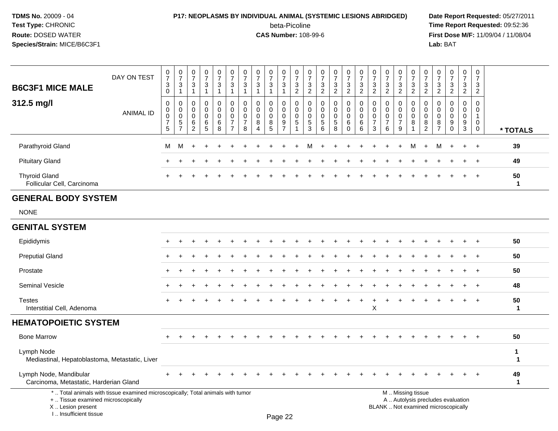### **P17: NEOPLASMS BY INDIVIDUAL ANIMAL (SYSTEMIC LESIONS ABRIDGED) Date Report Requested:** 05/27/2011

beta-Picoline<br>CAS Number: 108-99-6

 **Time Report Requested:** 09:52:36 **First Dose M/F:** 11/09/04 / 11/08/04<br>Lab: BAT **Lab:** BAT

| DAY ON TEST<br><b>B6C3F1 MICE MALE</b>                                                                                                     | 0<br>$\overline{7}$<br>$\ensuremath{\mathsf{3}}$<br>$\boldsymbol{0}$ | $\pmb{0}$<br>$\overline{7}$<br>3<br>$\mathbf{1}$       | 0<br>$\overline{7}$<br>3<br>$\mathbf{1}$ | $\boldsymbol{0}$<br>$\overline{7}$<br>3<br>$\mathbf{1}$ | $\boldsymbol{0}$<br>$\overline{7}$<br>$\frac{3}{1}$     | 0<br>$\overline{7}$<br>$\sqrt{3}$<br>$\mathbf{1}$                   | 0<br>$\overline{7}$<br>3<br>$\mathbf{1}$                   | 0<br>$\overline{7}$<br>$\ensuremath{\mathsf{3}}$<br>$\overline{1}$ | $\boldsymbol{0}$<br>$\overline{7}$<br>$\sqrt{3}$<br>$\mathbf{1}$ | 0<br>$\overline{7}$<br>$\mathsf 3$<br>$\mathbf{1}$         | 0<br>$\overline{7}$<br>$\frac{3}{2}$                             | 0<br>$\overline{7}$<br>3<br>$\boldsymbol{2}$       | 0<br>$\overline{7}$<br>$\frac{3}{2}$                | 0<br>$\overline{7}$<br>3<br>$\overline{2}$ | 0<br>$\overline{7}$<br>$\frac{3}{2}$      | $\pmb{0}$<br>$\overline{7}$<br>$\frac{3}{2}$        | 0<br>$\overline{7}$<br>3<br>$\sqrt{2}$                        | 0<br>$\overline{7}$<br>3<br>$\boldsymbol{2}$                  | 0<br>$\overline{7}$<br>3<br>$\overline{a}$ | $\pmb{0}$<br>$\overline{7}$<br>$\frac{3}{2}$           | 0<br>$\overline{7}$<br>$\frac{3}{2}$                          | 0<br>$\overline{7}$<br>$\frac{3}{2}$                | 0<br>$\overline{7}$<br>$\sqrt{3}$<br>$\overline{2}$ | $\,0\,$<br>$\overline{7}$<br>$\mathbf{3}$<br>$\overline{2}$ | 0<br>$\overline{7}$<br>$\ensuremath{\mathsf{3}}$<br>$\overline{2}$ |                             |
|--------------------------------------------------------------------------------------------------------------------------------------------|----------------------------------------------------------------------|--------------------------------------------------------|------------------------------------------|---------------------------------------------------------|---------------------------------------------------------|---------------------------------------------------------------------|------------------------------------------------------------|--------------------------------------------------------------------|------------------------------------------------------------------|------------------------------------------------------------|------------------------------------------------------------------|----------------------------------------------------|-----------------------------------------------------|--------------------------------------------|-------------------------------------------|-----------------------------------------------------|---------------------------------------------------------------|---------------------------------------------------------------|--------------------------------------------|--------------------------------------------------------|---------------------------------------------------------------|-----------------------------------------------------|-----------------------------------------------------|-------------------------------------------------------------|--------------------------------------------------------------------|-----------------------------|
| 312.5 mg/l<br><b>ANIMAL ID</b>                                                                                                             | $\mathbf 0$<br>$\mathbf 0$<br>$\pmb{0}$<br>$\overline{7}$<br>5       | $\mathbf 0$<br>0<br>$\mathbf 0$<br>5<br>$\overline{7}$ | $\mathbf 0$<br>0<br>0<br>6<br>2          | $\mathbf 0$<br>$\mathbf 0$<br>$\mathbf 0$<br>$\,6$<br>5 | 0<br>$\mathsf{O}\xspace$<br>$\mathbf 0$<br>$\,6\,$<br>8 | $\mathbf 0$<br>$\mathbf 0$<br>0<br>$\overline{7}$<br>$\overline{7}$ | $\Omega$<br>$\Omega$<br>$\mathbf 0$<br>$\overline{7}$<br>8 | $\mathbf 0$<br>$\mathbf 0$<br>$\mathbf 0$<br>8<br>4                | $\mathbf 0$<br>$\mathbf 0$<br>$\mathbf 0$<br>$\bf 8$<br>5        | $\mathbf 0$<br>$\mathbf 0$<br>0<br>$9\,$<br>$\overline{7}$ | $\mathbf 0$<br>$\mathbf 0$<br>$\mathbf 0$<br>5<br>$\overline{1}$ | 0<br>$\mathbf 0$<br>$\mathbf 0$<br>$\sqrt{5}$<br>3 | $\mathbf 0$<br>$\mathbf 0$<br>$\mathbf 0$<br>5<br>6 | 0<br>0<br>0<br>5<br>8                      | 0<br>$\mathbf 0$<br>0<br>6<br>$\mathbf 0$ | $\mathbf 0$<br>$\mathbf 0$<br>$\mathbf 0$<br>6<br>6 | $\Omega$<br>$\mathbf 0$<br>$\mathbf 0$<br>$\overline{7}$<br>3 | $\Omega$<br>$\mathbf 0$<br>$\mathbf 0$<br>$\overline{7}$<br>6 | 0<br>$\Omega$<br>0<br>$\overline{7}$<br>9  | $\mathbf 0$<br>$\mathbf 0$<br>0<br>8<br>$\overline{1}$ | $\mathbf{0}$<br>$\mathbf 0$<br>0<br>$\,8\,$<br>$\overline{2}$ | 0<br>$\Omega$<br>$\mathbf 0$<br>8<br>$\overline{7}$ | $\Omega$<br>$\Omega$<br>0<br>9<br>$\Omega$          | 0<br>$\mathbf 0$<br>0<br>9<br>3                             | $\Omega$<br>$\mathbf 0$<br>$\mathbf{1}$<br>0<br>0                  | * TOTALS                    |
| Parathyroid Gland                                                                                                                          | M                                                                    | M                                                      |                                          |                                                         |                                                         |                                                                     |                                                            |                                                                    |                                                                  |                                                            |                                                                  | м                                                  |                                                     |                                            |                                           |                                                     |                                                               |                                                               |                                            | м                                                      |                                                               | м                                                   |                                                     | $\ddot{}$                                                   | $\ddot{}$                                                          | 39                          |
| <b>Pituitary Gland</b>                                                                                                                     |                                                                      |                                                        |                                          |                                                         |                                                         |                                                                     |                                                            |                                                                    |                                                                  |                                                            |                                                                  |                                                    |                                                     |                                            |                                           |                                                     |                                                               |                                                               |                                            |                                                        |                                                               |                                                     |                                                     |                                                             | $\ddot{}$                                                          | 49                          |
| <b>Thyroid Gland</b><br>Follicular Cell, Carcinoma                                                                                         |                                                                      |                                                        |                                          |                                                         |                                                         |                                                                     |                                                            |                                                                    |                                                                  |                                                            |                                                                  |                                                    |                                                     |                                            |                                           |                                                     |                                                               |                                                               |                                            |                                                        |                                                               |                                                     |                                                     |                                                             |                                                                    | 50<br>$\mathbf{1}$          |
| <b>GENERAL BODY SYSTEM</b>                                                                                                                 |                                                                      |                                                        |                                          |                                                         |                                                         |                                                                     |                                                            |                                                                    |                                                                  |                                                            |                                                                  |                                                    |                                                     |                                            |                                           |                                                     |                                                               |                                                               |                                            |                                                        |                                                               |                                                     |                                                     |                                                             |                                                                    |                             |
| <b>NONE</b>                                                                                                                                |                                                                      |                                                        |                                          |                                                         |                                                         |                                                                     |                                                            |                                                                    |                                                                  |                                                            |                                                                  |                                                    |                                                     |                                            |                                           |                                                     |                                                               |                                                               |                                            |                                                        |                                                               |                                                     |                                                     |                                                             |                                                                    |                             |
| <b>GENITAL SYSTEM</b>                                                                                                                      |                                                                      |                                                        |                                          |                                                         |                                                         |                                                                     |                                                            |                                                                    |                                                                  |                                                            |                                                                  |                                                    |                                                     |                                            |                                           |                                                     |                                                               |                                                               |                                            |                                                        |                                                               |                                                     |                                                     |                                                             |                                                                    |                             |
| Epididymis                                                                                                                                 |                                                                      |                                                        |                                          |                                                         |                                                         |                                                                     |                                                            |                                                                    |                                                                  |                                                            |                                                                  |                                                    |                                                     |                                            |                                           |                                                     |                                                               |                                                               |                                            |                                                        |                                                               |                                                     |                                                     |                                                             |                                                                    | 50                          |
| <b>Preputial Gland</b>                                                                                                                     |                                                                      |                                                        |                                          |                                                         |                                                         |                                                                     |                                                            |                                                                    |                                                                  |                                                            |                                                                  |                                                    |                                                     |                                            |                                           |                                                     |                                                               |                                                               |                                            |                                                        |                                                               |                                                     |                                                     |                                                             |                                                                    | 50                          |
| Prostate                                                                                                                                   |                                                                      |                                                        |                                          |                                                         |                                                         |                                                                     |                                                            |                                                                    |                                                                  |                                                            |                                                                  |                                                    |                                                     |                                            |                                           |                                                     |                                                               |                                                               |                                            |                                                        |                                                               |                                                     |                                                     |                                                             | $\ddot{}$                                                          | 50                          |
| <b>Seminal Vesicle</b>                                                                                                                     |                                                                      |                                                        |                                          |                                                         |                                                         |                                                                     |                                                            |                                                                    |                                                                  |                                                            |                                                                  |                                                    |                                                     |                                            |                                           |                                                     |                                                               |                                                               |                                            |                                                        |                                                               |                                                     |                                                     |                                                             | $\ddot{}$                                                          | 48                          |
| <b>Testes</b><br>Interstitial Cell, Adenoma                                                                                                |                                                                      |                                                        |                                          |                                                         |                                                         |                                                                     |                                                            |                                                                    |                                                                  |                                                            |                                                                  |                                                    |                                                     |                                            |                                           |                                                     | X                                                             |                                                               |                                            |                                                        |                                                               |                                                     |                                                     |                                                             |                                                                    | 50<br>$\mathbf 1$           |
| <b>HEMATOPOIETIC SYSTEM</b>                                                                                                                |                                                                      |                                                        |                                          |                                                         |                                                         |                                                                     |                                                            |                                                                    |                                                                  |                                                            |                                                                  |                                                    |                                                     |                                            |                                           |                                                     |                                                               |                                                               |                                            |                                                        |                                                               |                                                     |                                                     |                                                             |                                                                    |                             |
| <b>Bone Marrow</b>                                                                                                                         |                                                                      |                                                        |                                          |                                                         |                                                         |                                                                     |                                                            |                                                                    |                                                                  |                                                            |                                                                  |                                                    |                                                     |                                            |                                           |                                                     |                                                               |                                                               |                                            |                                                        |                                                               |                                                     |                                                     |                                                             |                                                                    | 50                          |
| Lymph Node<br>Mediastinal, Hepatoblastoma, Metastatic, Liver                                                                               |                                                                      |                                                        |                                          |                                                         |                                                         |                                                                     |                                                            |                                                                    |                                                                  |                                                            |                                                                  |                                                    |                                                     |                                            |                                           |                                                     |                                                               |                                                               |                                            |                                                        |                                                               |                                                     |                                                     |                                                             |                                                                    | $\mathbf{1}$<br>$\mathbf 1$ |
| Lymph Node, Mandibular<br>Carcinoma, Metastatic, Harderian Gland                                                                           |                                                                      |                                                        |                                          |                                                         |                                                         |                                                                     |                                                            |                                                                    |                                                                  |                                                            |                                                                  |                                                    |                                                     |                                            |                                           |                                                     |                                                               |                                                               |                                            |                                                        |                                                               |                                                     |                                                     |                                                             |                                                                    | 49<br>$\mathbf{1}$          |
| *  Total animals with tissue examined microscopically; Total animals with tumor<br>+  Tissue examined microscopically<br>X  Lesion present |                                                                      |                                                        |                                          |                                                         |                                                         |                                                                     |                                                            |                                                                    |                                                                  |                                                            |                                                                  |                                                    |                                                     |                                            |                                           |                                                     |                                                               | BLANK  Not examined microscopically                           |                                            | M  Missing tissue<br>A  Autolysis precludes evaluation |                                                               |                                                     |                                                     |                                                             |                                                                    |                             |

I .. Insufficient tissue

Page 22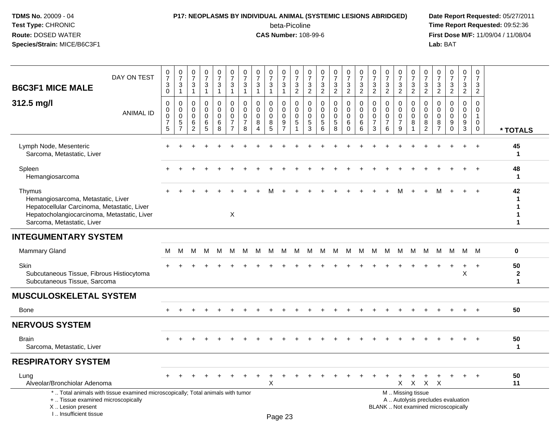### **P17: NEOPLASMS BY INDIVIDUAL ANIMAL (SYSTEMIC LESIONS ABRIDGED) Date Report Requested:** 05/27/2011

beta-Picoline<br>CAS Number: 108-99-6

| DAY ON TEST<br><b>B6C3F1 MICE MALE</b>                                                                                                                                   | $\frac{0}{7}$<br>$\sqrt{3}$<br>$\mathbf 0$                                  | $\frac{0}{7}$<br>3<br>$\mathbf{1}$         | $\frac{0}{7}$<br>3<br>$\mathbf{1}$                     | $\frac{0}{7}$<br>$\mathbf{3}$<br>$\mathbf{1}$     | $\begin{array}{c} 0 \\ 7 \end{array}$<br>$\mathbf{3}$<br>$\overline{1}$ | $\begin{array}{c} 0 \\ 7 \end{array}$<br>$\mathfrak{Z}$<br>$\mathbf{1}$    | $\frac{0}{7}$<br>$\mathbf{3}$<br>$\mathbf{1}$                    | $\frac{0}{7}$<br>3<br>$\mathbf{1}$                                   | $\frac{0}{7}$<br>3<br>$\mathbf{1}$        | $\frac{0}{7}$<br>$\mathbf{3}$<br>$\mathbf{1}$          | $\frac{0}{7}$<br>$\mathbf{3}$<br>$\overline{2}$                            | $\frac{0}{7}$<br>$\mathbf{3}$<br>$\overline{2}$  | $\frac{0}{7}$<br>$\mathbf{3}$<br>$\overline{2}$  | $\frac{0}{7}$<br>3<br>$\overline{2}$                      | $\begin{array}{c} 0 \\ 7 \end{array}$<br>$\mathbf{3}$<br>$\overline{2}$ | $\frac{0}{7}$<br>$\sqrt{3}$<br>$\overline{2}$ | $\frac{0}{7}$<br>$\mathbf{3}$<br>$\overline{2}$                  | $\frac{0}{7}$<br>$\mathbf{3}$<br>$\overline{2}$                   | $\frac{0}{7}$<br>3<br>$\overline{2}$         | $\frac{0}{7}$<br>3<br>$\overline{2}$      | $\pmb{0}$<br>$\boldsymbol{7}$<br>$\mathbf{3}$<br>$\overline{2}$    | $\frac{0}{7}$<br>3<br>$\overline{2}$            | $\begin{array}{c} 0 \\ 7 \end{array}$<br>$\mathbf{3}$<br>$\overline{2}$  | $\frac{0}{7}$<br>3<br>$\overline{2}$                       | $\begin{array}{c} 0 \\ 7 \end{array}$<br>3<br>$\overline{2}$             |                                       |
|--------------------------------------------------------------------------------------------------------------------------------------------------------------------------|-----------------------------------------------------------------------------|--------------------------------------------|--------------------------------------------------------|---------------------------------------------------|-------------------------------------------------------------------------|----------------------------------------------------------------------------|------------------------------------------------------------------|----------------------------------------------------------------------|-------------------------------------------|--------------------------------------------------------|----------------------------------------------------------------------------|--------------------------------------------------|--------------------------------------------------|-----------------------------------------------------------|-------------------------------------------------------------------------|-----------------------------------------------|------------------------------------------------------------------|-------------------------------------------------------------------|----------------------------------------------|-------------------------------------------|--------------------------------------------------------------------|-------------------------------------------------|--------------------------------------------------------------------------|------------------------------------------------------------|--------------------------------------------------------------------------|---------------------------------------|
| 312.5 mg/l<br><b>ANIMAL ID</b>                                                                                                                                           | $\mathbf 0$<br>$\mathbf 0$<br>$\pmb{0}$<br>$\overline{7}$<br>$\overline{5}$ | 0<br>0<br>$\pmb{0}$<br>5<br>$\overline{7}$ | 0<br>$\mathbf 0$<br>$\mathsf 0$<br>6<br>$\overline{c}$ | $\mathbf 0$<br>$\mathbf 0$<br>$\pmb{0}$<br>6<br>5 | $\mathbf 0$<br>$\mathbf 0$<br>$\mathbf 0$<br>6<br>$\bf8$                | $\mathbf 0$<br>$\Omega$<br>$\mathbf 0$<br>$\overline{7}$<br>$\overline{7}$ | $\mathbf 0$<br>$\mathbf 0$<br>$\mathbf 0$<br>$\overline{7}$<br>8 | $\mathbf 0$<br>$\pmb{0}$<br>$\pmb{0}$<br>8<br>$\boldsymbol{\Lambda}$ | $\mathbf 0$<br>0<br>$\mathbf 0$<br>8<br>5 | 0<br>$\mathbf 0$<br>$\mathbf 0$<br>9<br>$\overline{7}$ | $\mathbf 0$<br>$\boldsymbol{0}$<br>$\boldsymbol{0}$<br>$\overline{5}$<br>1 | $\mathbf 0$<br>$\Omega$<br>$\mathbf 0$<br>5<br>3 | $\mathbf 0$<br>$\Omega$<br>$\mathbf 0$<br>5<br>6 | $\mathbf 0$<br>$\Omega$<br>$\mathbf 0$<br>$\sqrt{5}$<br>8 | 0<br>$\mathbf 0$<br>$\pmb{0}$<br>6<br>$\Omega$                          | $\pmb{0}$<br>$\pmb{0}$<br>$\pmb{0}$<br>6<br>6 | $\mathbf 0$<br>$\mathbf 0$<br>$\mathbf 0$<br>$\overline{7}$<br>3 | $\mathbf 0$<br>$\mathbf{0}$<br>$\mathbf 0$<br>$\overline{7}$<br>6 | 0<br>0<br>$\mathbf 0$<br>$\overline{7}$<br>9 | 0<br>$\mathsf 0$<br>$\mathbf 0$<br>8<br>1 | $\mathbf 0$<br>$\pmb{0}$<br>$\mathsf{O}\xspace$<br>8<br>$\sqrt{2}$ | $\mathbf 0$<br>$\mathbf{0}$<br>$\mathbf 0$<br>8 | $\mathbf 0$<br>$\Omega$<br>$\mathbf 0$<br>9<br>$\Omega$                  | $\mathbf 0$<br>$\pmb{0}$<br>$\mathbf 0$<br>9<br>$\sqrt{3}$ | $\mathbf 0$<br>$\mathbf 0$<br>$\mathbf{1}$<br>$\mathbf 0$<br>$\mathbf 0$ | * TOTALS                              |
| Lymph Node, Mesenteric<br>Sarcoma, Metastatic, Liver                                                                                                                     |                                                                             |                                            |                                                        |                                                   |                                                                         |                                                                            |                                                                  |                                                                      |                                           |                                                        |                                                                            |                                                  |                                                  |                                                           |                                                                         |                                               |                                                                  |                                                                   |                                              |                                           |                                                                    |                                                 |                                                                          |                                                            |                                                                          | 45<br>$\mathbf{1}$                    |
| Spleen<br>Hemangiosarcoma                                                                                                                                                |                                                                             |                                            |                                                        |                                                   |                                                                         |                                                                            |                                                                  |                                                                      |                                           |                                                        |                                                                            |                                                  |                                                  |                                                           |                                                                         |                                               |                                                                  |                                                                   |                                              |                                           |                                                                    |                                                 |                                                                          |                                                            |                                                                          | 48<br>-1                              |
| Thymus<br>Hemangiosarcoma, Metastatic, Liver<br>Hepatocellular Carcinoma, Metastatic, Liver<br>Hepatocholangiocarcinoma, Metastatic, Liver<br>Sarcoma, Metastatic, Liver |                                                                             |                                            |                                                        |                                                   |                                                                         | X                                                                          |                                                                  |                                                                      | м                                         |                                                        |                                                                            |                                                  |                                                  |                                                           |                                                                         |                                               |                                                                  |                                                                   | м                                            |                                           |                                                                    |                                                 |                                                                          | $+$                                                        | $+$                                                                      | 42<br>1                               |
| <b>INTEGUMENTARY SYSTEM</b>                                                                                                                                              |                                                                             |                                            |                                                        |                                                   |                                                                         |                                                                            |                                                                  |                                                                      |                                           |                                                        |                                                                            |                                                  |                                                  |                                                           |                                                                         |                                               |                                                                  |                                                                   |                                              |                                           |                                                                    |                                                 |                                                                          |                                                            |                                                                          |                                       |
| <b>Mammary Gland</b>                                                                                                                                                     | М                                                                           | M                                          | м                                                      | M                                                 | M                                                                       | M                                                                          | м                                                                | M                                                                    | M                                         | M                                                      | M                                                                          | M                                                | М                                                | M                                                         | M                                                                       | M                                             | M                                                                | M                                                                 | M                                            | M                                         | M                                                                  | M                                               | M                                                                        | M M                                                        |                                                                          | $\mathbf 0$                           |
| Skin<br>Subcutaneous Tissue, Fibrous Histiocytoma<br>Subcutaneous Tissue, Sarcoma                                                                                        |                                                                             |                                            |                                                        |                                                   |                                                                         |                                                                            |                                                                  |                                                                      |                                           |                                                        |                                                                            |                                                  |                                                  |                                                           |                                                                         |                                               |                                                                  |                                                                   |                                              |                                           |                                                                    |                                                 |                                                                          | $\ddot{}$<br>$\sf X$                                       | $\overline{+}$                                                           | 50<br>$\boldsymbol{2}$<br>$\mathbf 1$ |
| <b>MUSCULOSKELETAL SYSTEM</b>                                                                                                                                            |                                                                             |                                            |                                                        |                                                   |                                                                         |                                                                            |                                                                  |                                                                      |                                           |                                                        |                                                                            |                                                  |                                                  |                                                           |                                                                         |                                               |                                                                  |                                                                   |                                              |                                           |                                                                    |                                                 |                                                                          |                                                            |                                                                          |                                       |
| Bone                                                                                                                                                                     |                                                                             | $\ddot{}$                                  |                                                        |                                                   |                                                                         |                                                                            |                                                                  |                                                                      |                                           |                                                        |                                                                            |                                                  |                                                  |                                                           |                                                                         |                                               |                                                                  |                                                                   |                                              |                                           |                                                                    |                                                 |                                                                          | $\ddot{}$                                                  | $+$                                                                      | 50                                    |
| <b>NERVOUS SYSTEM</b>                                                                                                                                                    |                                                                             |                                            |                                                        |                                                   |                                                                         |                                                                            |                                                                  |                                                                      |                                           |                                                        |                                                                            |                                                  |                                                  |                                                           |                                                                         |                                               |                                                                  |                                                                   |                                              |                                           |                                                                    |                                                 |                                                                          |                                                            |                                                                          |                                       |
| Brain<br>Sarcoma, Metastatic, Liver                                                                                                                                      |                                                                             |                                            |                                                        |                                                   |                                                                         |                                                                            |                                                                  |                                                                      |                                           |                                                        |                                                                            |                                                  |                                                  |                                                           |                                                                         |                                               |                                                                  |                                                                   |                                              |                                           |                                                                    |                                                 |                                                                          |                                                            |                                                                          | 50<br>$\mathbf{1}$                    |
| <b>RESPIRATORY SYSTEM</b>                                                                                                                                                |                                                                             |                                            |                                                        |                                                   |                                                                         |                                                                            |                                                                  |                                                                      |                                           |                                                        |                                                                            |                                                  |                                                  |                                                           |                                                                         |                                               |                                                                  |                                                                   |                                              |                                           |                                                                    |                                                 |                                                                          |                                                            |                                                                          |                                       |
| Lung<br>Alveolar/Bronchiolar Adenoma                                                                                                                                     |                                                                             |                                            |                                                        |                                                   |                                                                         |                                                                            |                                                                  |                                                                      | X                                         |                                                        |                                                                            |                                                  |                                                  |                                                           |                                                                         |                                               |                                                                  |                                                                   | X.                                           | $\boldsymbol{\mathsf{X}}$                 | $\mathsf{X}$                                                       | X                                               |                                                                          |                                                            |                                                                          | 50<br>11                              |
| *  Total animals with tissue examined microscopically; Total animals with tumor<br>+  Tissue examined microscopically<br>X  Lesion present<br>I Insufficient tissue      |                                                                             |                                            |                                                        |                                                   |                                                                         |                                                                            |                                                                  |                                                                      | Page 23                                   |                                                        |                                                                            |                                                  |                                                  |                                                           |                                                                         |                                               |                                                                  |                                                                   |                                              | M  Missing tissue                         |                                                                    |                                                 | A  Autolysis precludes evaluation<br>BLANK  Not examined microscopically |                                                            |                                                                          |                                       |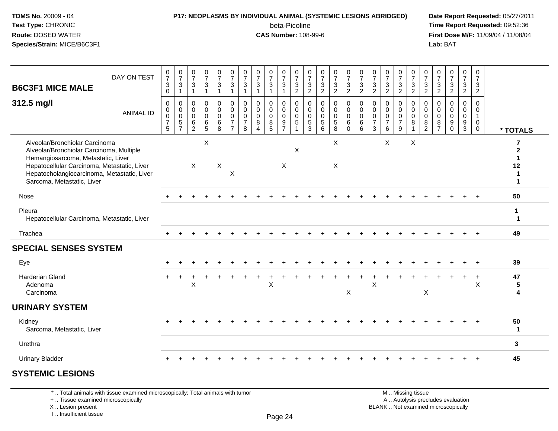### **P17: NEOPLASMS BY INDIVIDUAL ANIMAL (SYSTEMIC LESIONS ABRIDGED) Date Report Requested:** 05/27/2011

beta-Picoline<br>CAS Number: 108-99-6

 **Time Report Requested:** 09:52:36 **First Dose M/F:** 11/09/04 / 11/08/04<br>Lab: BAT **Lab:** BAT

| <b>B6C3F1 MICE MALE</b>                                                                                                                                                                                                                      | DAY ON TEST      | $\frac{0}{7}$<br>$\sqrt{3}$<br>$\mathbf 0$             | $\frac{0}{7}$<br>$\mathbf 3$<br>$\overline{1}$                  | $\frac{0}{7}$<br>$\mathbf{3}$<br>$\overline{1}$                      | $\frac{0}{7}$<br>3                                               | $\frac{0}{7}$<br>$\mathbf{3}$<br>1                      | $\frac{0}{7}$<br>$\mathfrak{Z}$<br>$\overline{A}$                                 | $\frac{0}{7}$<br>$\sqrt{3}$                            | $\frac{0}{7}$<br>$\mathbf{3}$<br>$\overline{1}$         | $\frac{0}{7}$<br>3<br>$\mathbf{1}$        | $\frac{0}{7}$<br>$\mathsf 3$<br>$\mathbf{1}$                             | $\frac{0}{7}$<br>3<br>$\overline{2}$           | $\frac{0}{7}$<br>$\mathbf{3}$<br>$\boldsymbol{2}$ | $\frac{0}{7}$<br>$\frac{3}{2}$                                 | $\frac{0}{7}$<br>3<br>$\overline{2}$                          | $\begin{array}{c} 0 \\ 7 \end{array}$<br>$\sqrt{3}$<br>$\overline{2}$ | $\frac{0}{7}$<br>$\sqrt{3}$<br>$\overline{c}$ | $\frac{0}{7}$<br>$\frac{3}{2}$                                              | $\frac{0}{7}$<br>$\frac{3}{2}$                                   | $\frac{0}{7}$<br>$\frac{3}{2}$                         | $\frac{0}{7}$<br>$\frac{3}{2}$                       | $\frac{0}{7}$<br>3<br>$\overline{a}$                         | $\frac{0}{7}$<br>$\frac{3}{2}$                         | $\frac{0}{7}$<br>$\frac{3}{2}$                    | $\frac{0}{7}$<br>$\mathbf{3}$<br>$\overline{2}$           | 0<br>$\overline{7}$<br>3<br>$\overline{2}$                                 |                                    |
|----------------------------------------------------------------------------------------------------------------------------------------------------------------------------------------------------------------------------------------------|------------------|--------------------------------------------------------|-----------------------------------------------------------------|----------------------------------------------------------------------|------------------------------------------------------------------|---------------------------------------------------------|-----------------------------------------------------------------------------------|--------------------------------------------------------|---------------------------------------------------------|-------------------------------------------|--------------------------------------------------------------------------|------------------------------------------------|---------------------------------------------------|----------------------------------------------------------------|---------------------------------------------------------------|-----------------------------------------------------------------------|-----------------------------------------------|-----------------------------------------------------------------------------|------------------------------------------------------------------|--------------------------------------------------------|------------------------------------------------------|--------------------------------------------------------------|--------------------------------------------------------|---------------------------------------------------|-----------------------------------------------------------|----------------------------------------------------------------------------|------------------------------------|
| 312.5 mg/l                                                                                                                                                                                                                                   | <b>ANIMAL ID</b> | $\mathbf 0$<br>0<br>$\mathbf 0$<br>$\overline{7}$<br>5 | 0<br>$\mathbf 0$<br>$\mathbf 0$<br>$\sqrt{5}$<br>$\overline{7}$ | $\pmb{0}$<br>$\mathbf 0$<br>$\mathbf 0$<br>$\,6\,$<br>$\overline{2}$ | $\boldsymbol{0}$<br>$\overline{0}$<br>$\mathbf{0}$<br>$\,6$<br>5 | 0<br>$\ddot{\mathbf{0}}$<br>$\mathbf 0$<br>$\,6\,$<br>8 | $\pmb{0}$<br>$\ddot{\mathbf{0}}$<br>$\pmb{0}$<br>$\overline{7}$<br>$\overline{7}$ | 0<br>$\mathbf 0$<br>$\mathbf 0$<br>$\overline{7}$<br>8 | $\mathbf 0$<br>$\mathbf 0$<br>$\Omega$<br>8<br>$\Delta$ | 0<br>$\mathbf 0$<br>$\mathbf 0$<br>8<br>5 | 0<br>$\overline{0}$<br>$\mathbf 0$<br>$\boldsymbol{9}$<br>$\overline{7}$ | $\mathbf 0$<br>$\mathbf 0$<br>$\mathbf 0$<br>5 | 0<br>0<br>0<br>$\sqrt{5}$<br>3                    | $\mathbf 0$<br>$\ddot{\mathbf{0}}$<br>$\overline{0}$<br>5<br>6 | 0<br>$\overline{0}$<br>$\overline{0}$<br>$5\phantom{.0}$<br>8 | $\pmb{0}$<br>$\overline{0}$<br>$\mathbf 0$<br>6<br>$\Omega$           | 0<br>$\pmb{0}$<br>$\mathbf 0$<br>6<br>6       | $\mathbf 0$<br>$\mathbf 0$<br>$\mathbf 0$<br>$\overline{7}$<br>$\mathbf{3}$ | $\mathbf 0$<br>$\mathbf 0$<br>$\mathbf 0$<br>$\overline{7}$<br>6 | 0<br>$\mathbf 0$<br>$\mathbf 0$<br>$\overline{7}$<br>9 | 0<br>$\mathbf 0$<br>$\mathbf 0$<br>8<br>$\mathbf{1}$ | 0<br>$\mathbf 0$<br>$\mathbf 0$<br>$\bf 8$<br>$\overline{2}$ | 0<br>$\mathbf 0$<br>$\mathbf 0$<br>8<br>$\overline{7}$ | 0<br>$\mathbf 0$<br>$\mathsf{O}$<br>9<br>$\Omega$ | 0<br>$\overline{0}$<br>$\mathbf 0$<br>9<br>$\overline{3}$ | $\mathbf 0$<br>$\mathbf 0$<br>$\overline{1}$<br>$\mathbf 0$<br>$\mathbf 0$ | * TOTALS                           |
| Alveolar/Bronchiolar Carcinoma<br>Alveolar/Bronchiolar Carcinoma, Multiple<br>Hemangiosarcoma, Metastatic, Liver<br>Hepatocellular Carcinoma, Metastatic, Liver<br>Hepatocholangiocarcinoma, Metastatic, Liver<br>Sarcoma, Metastatic, Liver |                  |                                                        |                                                                 | $\mathsf{X}$                                                         | X                                                                | X                                                       | X                                                                                 |                                                        |                                                         |                                           | X                                                                        | X                                              |                                                   |                                                                | X<br>X                                                        |                                                                       |                                               |                                                                             | X                                                                |                                                        | X                                                    |                                                              |                                                        |                                                   |                                                           |                                                                            | $\mathbf{2}$<br>12<br>1            |
| Nose                                                                                                                                                                                                                                         |                  |                                                        |                                                                 |                                                                      |                                                                  |                                                         |                                                                                   |                                                        |                                                         |                                           |                                                                          |                                                |                                                   |                                                                |                                                               |                                                                       |                                               |                                                                             |                                                                  |                                                        |                                                      |                                                              |                                                        |                                                   |                                                           |                                                                            | 50                                 |
| Pleura<br>Hepatocellular Carcinoma, Metastatic, Liver                                                                                                                                                                                        |                  |                                                        |                                                                 |                                                                      |                                                                  |                                                         |                                                                                   |                                                        |                                                         |                                           |                                                                          |                                                |                                                   |                                                                |                                                               |                                                                       |                                               |                                                                             |                                                                  |                                                        |                                                      |                                                              |                                                        |                                                   |                                                           |                                                                            | 1<br>$\mathbf 1$                   |
| Trachea                                                                                                                                                                                                                                      |                  |                                                        |                                                                 |                                                                      |                                                                  |                                                         |                                                                                   |                                                        |                                                         |                                           |                                                                          |                                                |                                                   |                                                                |                                                               |                                                                       |                                               |                                                                             |                                                                  |                                                        |                                                      |                                                              |                                                        |                                                   |                                                           |                                                                            | 49                                 |
| <b>SPECIAL SENSES SYSTEM</b>                                                                                                                                                                                                                 |                  |                                                        |                                                                 |                                                                      |                                                                  |                                                         |                                                                                   |                                                        |                                                         |                                           |                                                                          |                                                |                                                   |                                                                |                                                               |                                                                       |                                               |                                                                             |                                                                  |                                                        |                                                      |                                                              |                                                        |                                                   |                                                           |                                                                            |                                    |
| Eye                                                                                                                                                                                                                                          |                  |                                                        |                                                                 |                                                                      |                                                                  |                                                         |                                                                                   |                                                        |                                                         |                                           |                                                                          |                                                |                                                   |                                                                |                                                               |                                                                       |                                               |                                                                             |                                                                  |                                                        |                                                      |                                                              |                                                        |                                                   |                                                           |                                                                            | 39                                 |
| <b>Harderian Gland</b><br>Adenoma<br>Carcinoma                                                                                                                                                                                               |                  |                                                        |                                                                 | X                                                                    |                                                                  |                                                         |                                                                                   |                                                        |                                                         | $\boldsymbol{\mathsf{X}}$                 |                                                                          |                                                |                                                   |                                                                |                                                               | X                                                                     |                                               | $\pmb{\times}$                                                              |                                                                  |                                                        |                                                      | X                                                            |                                                        |                                                   |                                                           | $\div$<br>X                                                                | 47<br>5<br>$\overline{\mathbf{4}}$ |
| <b>URINARY SYSTEM</b>                                                                                                                                                                                                                        |                  |                                                        |                                                                 |                                                                      |                                                                  |                                                         |                                                                                   |                                                        |                                                         |                                           |                                                                          |                                                |                                                   |                                                                |                                                               |                                                                       |                                               |                                                                             |                                                                  |                                                        |                                                      |                                                              |                                                        |                                                   |                                                           |                                                                            |                                    |
| Kidney<br>Sarcoma, Metastatic, Liver                                                                                                                                                                                                         |                  |                                                        |                                                                 |                                                                      |                                                                  |                                                         |                                                                                   |                                                        |                                                         |                                           |                                                                          |                                                |                                                   |                                                                |                                                               |                                                                       |                                               |                                                                             |                                                                  |                                                        |                                                      |                                                              |                                                        |                                                   |                                                           |                                                                            | 50<br>$\mathbf 1$                  |
| Urethra                                                                                                                                                                                                                                      |                  |                                                        |                                                                 |                                                                      |                                                                  |                                                         |                                                                                   |                                                        |                                                         |                                           |                                                                          |                                                |                                                   |                                                                |                                                               |                                                                       |                                               |                                                                             |                                                                  |                                                        |                                                      |                                                              |                                                        |                                                   |                                                           |                                                                            | 3                                  |
| <b>Urinary Bladder</b>                                                                                                                                                                                                                       |                  |                                                        |                                                                 |                                                                      |                                                                  |                                                         |                                                                                   |                                                        |                                                         |                                           |                                                                          |                                                |                                                   |                                                                |                                                               |                                                                       |                                               |                                                                             |                                                                  |                                                        |                                                      |                                                              |                                                        |                                                   |                                                           |                                                                            | 45                                 |
|                                                                                                                                                                                                                                              |                  |                                                        |                                                                 |                                                                      |                                                                  |                                                         |                                                                                   |                                                        |                                                         |                                           |                                                                          |                                                |                                                   |                                                                |                                                               |                                                                       |                                               |                                                                             |                                                                  |                                                        |                                                      |                                                              |                                                        |                                                   |                                                           |                                                                            |                                    |

#### **SYSTEMIC LESIONS**

\* .. Total animals with tissue examined microscopically; Total animals with tumor

+ .. Tissue examined microscopically

X .. Lesion present

I .. Insufficient tissue

 M .. Missing tissuey the contract of the contract of the contract of the contract of the contract of  $\mathsf A$  . Autolysis precludes evaluation Lesion present BLANK .. Not examined microscopically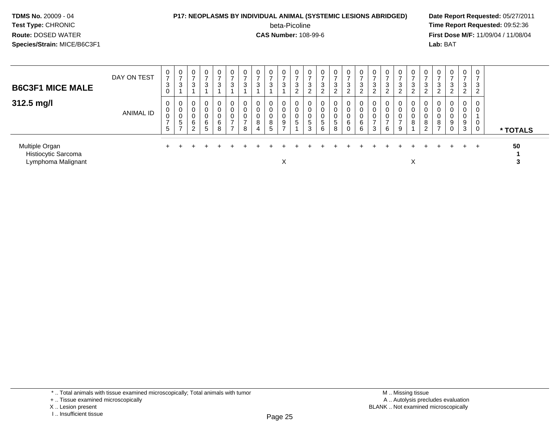#### **P17: NEOPLASMS BY INDIVIDUAL ANIMAL (SYSTEMIC LESIONS ABRIDGED) Date Report Requested:** 05/27/2011

beta-Picoline<br>CAS Number: 108-99-6

 **Time Report Requested:** 09:52:36 **First Dose M/F:** 11/09/04 / 11/08/04<br>Lab: BAT **Lab:** BAT

| <b>B6C3F1 MICE MALE</b>                                     | DAY ON TEST      | $\mathbf{0}$<br>$\overline{ }$<br>3<br>$\mathbf 0$ | 0<br>-<br>3           | $\mathbf 0$<br>3           | 0<br>$\overline{ }$<br>3              | 0<br>$\rightarrow$<br>3 | $\mathbf 0$<br>$\overline{ }$<br>3                        | $\rightarrow$<br>3                | 0<br>3                          | 0<br>-<br>3                    | $\overline{0}$<br>$\overline{ }$<br>3        | 0<br>$\overline{ }$<br>3<br>$\overline{2}$ | 0<br>ົ<br>J<br>⌒      | $\mathbf 0$<br>3<br>2                    | $\mathbf 0$<br>-<br>3<br>$\sim$<br>$\epsilon$ | $\mathbf{0}$<br>3<br>ົ<br>L | $\mathbf 0$<br>$\rightarrow$<br>3<br>ົ<br>$\epsilon$ | 0<br>-<br>3<br>ົ<br>∠   | 0<br>3<br>$\overline{2}$ | $\mathbf{0}$<br>$\sim$<br>ۍ<br>ົ | 0<br>$\rightarrow$<br>3<br>$\epsilon$ | 0<br>$\rightarrow$<br>3<br>$\sim$<br>$\epsilon$ | U<br>3                        | $\mathbf{0}$<br>-<br>3<br>റ<br>$\epsilon$ | $\mathbf{0}$<br>$\rightarrow$<br>3<br>ົ<br>$\sim$ | $\mathbf 0$<br>$\overline{ }$<br>3<br>$\overline{2}$ |          |
|-------------------------------------------------------------|------------------|----------------------------------------------------|-----------------------|----------------------------|---------------------------------------|-------------------------|-----------------------------------------------------------|-----------------------------------|---------------------------------|--------------------------------|----------------------------------------------|--------------------------------------------|-----------------------|------------------------------------------|-----------------------------------------------|-----------------------------|------------------------------------------------------|-------------------------|--------------------------|----------------------------------|---------------------------------------|-------------------------------------------------|-------------------------------|-------------------------------------------|---------------------------------------------------|------------------------------------------------------|----------|
| 312.5 mg/l                                                  | <b>ANIMAL ID</b> | 0<br>0<br>$\mathbf 0$<br>$\overline{7}$<br>5       | 0<br>0<br>υ<br>5<br>- | 0<br>0<br>0<br>6<br>C<br>∠ | $\mathbf 0$<br>0<br>0<br>$\,6\,$<br>5 | 0<br>0<br>0<br>6<br>8   | $\mathbf 0$<br>0<br>0<br>$\overline{7}$<br>$\overline{ }$ | 0<br>n<br>υ<br>$\rightarrow$<br>8 | 0<br>$\mathbf 0$<br>0<br>8<br>4 | 0<br>0<br>8<br>$5\phantom{.0}$ | $\mathbf 0$<br>0<br>0<br>9<br>$\overline{ }$ | 0<br>0<br>0<br>5                           | 0<br>0<br>0<br>5<br>3 | $\mathbf 0$<br>0<br>$5\phantom{.0}$<br>6 | $\mathbf 0$<br>0<br>0<br>5<br>8               | $\mathbf{0}$<br>0<br>6<br>0 | 0<br>$\mathbf 0$<br>0<br>6<br>6                      | 0<br>$\rightarrow$<br>3 | 0<br>0<br>0<br>6         | $\mathbf 0$<br>$\sim$<br>9       | 0<br>8                                | 0<br>0<br>0<br>8<br>ົ<br>∠                      | 0<br>υ<br>8<br>$\overline{ }$ | $\mathbf 0$<br>0<br>0<br>9<br>0           | $\mathbf{0}$<br>0<br>U<br>9<br>3                  | 0<br>0<br>0<br>0                                     | * TOTALS |
| Multiple Organ<br>Histiocytic Sarcoma<br>Lymphoma Malignant |                  |                                                    |                       |                            |                                       |                         |                                                           |                                   |                                 |                                | ᄉ                                            |                                            |                       |                                          |                                               |                             |                                                      |                         |                          |                                  | X                                     |                                                 |                               |                                           | $+$                                               | $+$                                                  | 50       |

\* .. Total animals with tissue examined microscopically; Total animals with tumor

X .. Lesion present

I .. Insufficient tissue

<sup>+ ..</sup> Tissue examined microscopically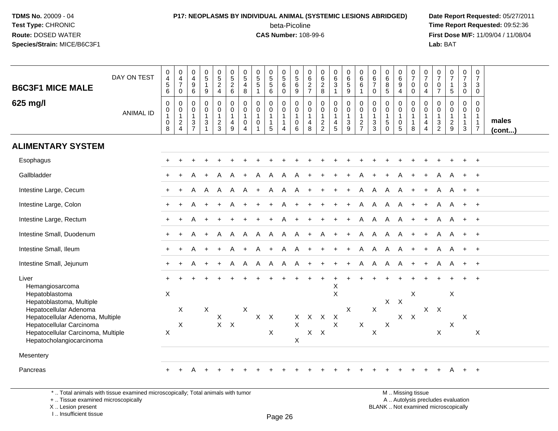### **P17: NEOPLASMS BY INDIVIDUAL ANIMAL (SYSTEMIC LESIONS ABRIDGED) Date Report Requested:** 05/27/2011 beta-Picoline<br>CAS Number: 108-99-6

 **Time Report Requested:** 09:52:36 **First Dose M/F:** 11/09/04 / 11/08/04<br>Lab: BAT **Lab:** BAT

| <b>B6C3F1 MICE MALE</b><br>625 mg/l                                                                                                                                                                                                             | DAY ON TEST<br><b>ANIMAL ID</b> | 0<br>$\overline{4}$<br>$\,$ 5 $\,$<br>6<br>$\mathbf 0$<br>$\mathbf 0$<br>$\mathbf{1}$<br>$\mathsf 0$<br>8 | $\mathbf 0$<br>$\overline{4}$<br>$\overline{7}$<br>$\mathbf 0$<br>0<br>$\mathbf 0$<br>1<br>$\overline{c}$<br>$\overline{4}$ | 0<br>$\overline{\mathbf{4}}$<br>$\begin{array}{c} 9 \\ 6 \end{array}$<br>$\mathbf 0$<br>$\pmb{0}$<br>$\mathbf{1}$<br>$\frac{3}{7}$ | $\begin{array}{c} 0 \\ 5 \end{array}$<br>$\mathbf{1}$<br>9<br>$\mathbf 0$<br>0<br>$\mathbf{1}$<br>$\ensuremath{\mathsf{3}}$<br>$\mathbf{1}$ | $\begin{array}{c} 0 \\ 5 \end{array}$<br>$\frac{2}{4}$<br>$\mathbf 0$<br>0<br>$\mathbf{1}$<br>$\overline{c}$<br>3 | $\begin{array}{c} 0 \\ 5 \end{array}$<br>$\frac{2}{6}$<br>$\mathbf 0$<br>$\mathbf 0$<br>$\overline{1}$<br>$\overline{4}$<br>$9\,$ | $\pmb{0}$<br>$\overline{5}$<br>$\overline{\mathbf{4}}$<br>8<br>$\mathbf 0$<br>$\mathbf 0$<br>$\overline{1}$<br>$\mathbf 0$<br>$\overline{4}$ | $\begin{array}{c} 0 \\ 5 \end{array}$<br>$\sqrt{5}$<br>$\mathbf{1}$<br>$\mathbf 0$<br>$\mathbf 0$<br>$\mathbf{1}$<br>$\mathbf 0$<br>$\mathbf{1}$ | $\begin{array}{c} 0 \\ 5 \end{array}$<br>$\frac{5}{6}$<br>$\mathbf 0$<br>$\mathbf 0$<br>$\mathbf{1}$<br>$\mathbf{1}$<br>5 | $\begin{array}{c} 0 \\ 5 \end{array}$<br>$\,6\,$<br>0<br>0<br>$\mathbf 0$<br>$\mathbf{1}$<br>$\mathbf{1}$<br>$\overline{4}$ | $\begin{array}{c} 0 \\ 5 \end{array}$<br>$^6_9$<br>$\mathbf 0$<br>$\mathbf 0$<br>$\mathbf{1}$<br>$\mathsf 0$<br>$6\phantom{1}$ | 0<br>$\,6$<br>$\frac{2}{7}$<br>$\mathbf 0$<br>$\mathbf 0$<br>$\overline{1}$<br>4<br>8 | 0<br>$\,6\,$<br>$_{8}^{\rm 2}$<br>$\mathbf 0$<br>$\mathbf 0$<br>$\mathbf{1}$<br>$\frac{2}{2}$ | $\begin{array}{c} 0 \\ 6 \end{array}$<br>$\mathbf{3}$<br>$\mathbf 1$<br>$\mathbf 0$<br>0<br>$\mathbf{1}$<br>$\overline{4}$<br>5 | 0<br>6<br>$\overline{5}$<br>9<br>$\mathbf 0$<br>$\mathbf 0$<br>$\overline{1}$<br>$\ensuremath{\mathsf{3}}$<br>$9\,$ | $\pmb{0}$<br>$\,6\,$<br>$\,6\,$<br>$\overline{1}$<br>$\mathbf 0$<br>$\pmb{0}$<br>$\mathbf{1}$<br>$\frac{2}{7}$ | $\begin{array}{c} 0 \\ 6 \end{array}$<br>$\overline{7}$<br>$\mathbf 0$<br>$\mathbf 0$<br>$\mathbf 0$<br>$\overline{1}$<br>$\sqrt{3}$<br>$\overline{3}$ | $\begin{array}{c} 0 \\ 6 \end{array}$<br>8<br>5<br>$\mathbf 0$<br>$\mathbf 0$<br>$\mathbf{1}$<br>$\sqrt{5}$<br>$\mathbf{0}$ | $\pmb{0}$<br>6<br>9<br>$\overline{4}$<br>0<br>$\mathbf 0$<br>$\mathbf{1}$<br>$\pmb{0}$<br>$\overline{5}$ | 0<br>$\overline{7}$<br>$\mathsf{O}\xspace$<br>0<br>$\mathbf 0$<br>$\mathbf 0$<br>$\mathbf{1}$<br>$\mathbf{1}$<br>8 | 0<br>$\overline{7}$<br>0<br>$\overline{4}$<br>$\mathbf 0$<br>$\mathbf 0$<br>$\mathbf{1}$<br>4<br>$\overline{4}$ | 0<br>$\overline{7}$<br>$\mathbf 0$<br>$\overline{7}$<br>$\Omega$<br>$\mathbf{0}$<br>$\mathbf{1}$<br>$\ensuremath{\mathsf{3}}$<br>$\overline{c}$ | $\frac{0}{7}$<br>$\mathbf{1}$<br>$\overline{5}$<br>$\mathbf 0$<br>$\mathbf 0$<br>$\mathbf{1}$<br>$\frac{2}{9}$ | $\begin{array}{c} 0 \\ 7 \end{array}$<br>$\mathbf{3}$<br>$\mathbf{0}$<br>0<br>0<br>$\mathbf{1}$<br>$\mathbf{1}$<br>$\mathbf{3}$ | $\mathbf 0$<br>$\overline{7}$<br>$\mathbf{3}$<br>$\mathbf{0}$<br>$\mathbf 0$<br>$\mathbf 0$<br>$\mathbf{1}$<br>$\overline{1}$<br>$\overline{7}$ | males  |
|-------------------------------------------------------------------------------------------------------------------------------------------------------------------------------------------------------------------------------------------------|---------------------------------|-----------------------------------------------------------------------------------------------------------|-----------------------------------------------------------------------------------------------------------------------------|------------------------------------------------------------------------------------------------------------------------------------|---------------------------------------------------------------------------------------------------------------------------------------------|-------------------------------------------------------------------------------------------------------------------|-----------------------------------------------------------------------------------------------------------------------------------|----------------------------------------------------------------------------------------------------------------------------------------------|--------------------------------------------------------------------------------------------------------------------------------------------------|---------------------------------------------------------------------------------------------------------------------------|-----------------------------------------------------------------------------------------------------------------------------|--------------------------------------------------------------------------------------------------------------------------------|---------------------------------------------------------------------------------------|-----------------------------------------------------------------------------------------------|---------------------------------------------------------------------------------------------------------------------------------|---------------------------------------------------------------------------------------------------------------------|----------------------------------------------------------------------------------------------------------------|--------------------------------------------------------------------------------------------------------------------------------------------------------|-----------------------------------------------------------------------------------------------------------------------------|----------------------------------------------------------------------------------------------------------|--------------------------------------------------------------------------------------------------------------------|-----------------------------------------------------------------------------------------------------------------|-------------------------------------------------------------------------------------------------------------------------------------------------|----------------------------------------------------------------------------------------------------------------|---------------------------------------------------------------------------------------------------------------------------------|-------------------------------------------------------------------------------------------------------------------------------------------------|--------|
| <b>ALIMENTARY SYSTEM</b>                                                                                                                                                                                                                        |                                 |                                                                                                           |                                                                                                                             |                                                                                                                                    |                                                                                                                                             |                                                                                                                   |                                                                                                                                   |                                                                                                                                              |                                                                                                                                                  |                                                                                                                           |                                                                                                                             |                                                                                                                                |                                                                                       |                                                                                               |                                                                                                                                 |                                                                                                                     |                                                                                                                |                                                                                                                                                        |                                                                                                                             |                                                                                                          |                                                                                                                    |                                                                                                                 |                                                                                                                                                 |                                                                                                                |                                                                                                                                 |                                                                                                                                                 | (cont) |
| Esophagus                                                                                                                                                                                                                                       |                                 |                                                                                                           |                                                                                                                             |                                                                                                                                    |                                                                                                                                             |                                                                                                                   |                                                                                                                                   |                                                                                                                                              |                                                                                                                                                  |                                                                                                                           |                                                                                                                             |                                                                                                                                |                                                                                       |                                                                                               |                                                                                                                                 |                                                                                                                     |                                                                                                                |                                                                                                                                                        |                                                                                                                             |                                                                                                          |                                                                                                                    |                                                                                                                 |                                                                                                                                                 |                                                                                                                |                                                                                                                                 |                                                                                                                                                 |        |
| Gallbladder                                                                                                                                                                                                                                     |                                 |                                                                                                           |                                                                                                                             |                                                                                                                                    |                                                                                                                                             | A                                                                                                                 | A                                                                                                                                 |                                                                                                                                              |                                                                                                                                                  | A                                                                                                                         | A                                                                                                                           | A                                                                                                                              |                                                                                       |                                                                                               |                                                                                                                                 |                                                                                                                     |                                                                                                                |                                                                                                                                                        |                                                                                                                             |                                                                                                          |                                                                                                                    |                                                                                                                 | A                                                                                                                                               |                                                                                                                |                                                                                                                                 | $^{+}$                                                                                                                                          |        |
| Intestine Large, Cecum                                                                                                                                                                                                                          |                                 |                                                                                                           |                                                                                                                             |                                                                                                                                    | A                                                                                                                                           | A                                                                                                                 | A                                                                                                                                 |                                                                                                                                              |                                                                                                                                                  | A                                                                                                                         | A                                                                                                                           | A                                                                                                                              |                                                                                       |                                                                                               |                                                                                                                                 |                                                                                                                     | A                                                                                                              | A                                                                                                                                                      | A                                                                                                                           |                                                                                                          |                                                                                                                    |                                                                                                                 |                                                                                                                                                 |                                                                                                                |                                                                                                                                 |                                                                                                                                                 |        |
| Intestine Large, Colon                                                                                                                                                                                                                          |                                 |                                                                                                           |                                                                                                                             | A                                                                                                                                  | $\ddot{+}$                                                                                                                                  |                                                                                                                   | A                                                                                                                                 |                                                                                                                                              |                                                                                                                                                  |                                                                                                                           | A                                                                                                                           |                                                                                                                                |                                                                                       |                                                                                               |                                                                                                                                 |                                                                                                                     | A                                                                                                              | A                                                                                                                                                      | A                                                                                                                           | A                                                                                                        | $+$                                                                                                                | $+$                                                                                                             | A                                                                                                                                               | A                                                                                                              | $+$                                                                                                                             | $+$                                                                                                                                             |        |
| Intestine Large, Rectum                                                                                                                                                                                                                         |                                 | $\ddot{}$                                                                                                 |                                                                                                                             |                                                                                                                                    |                                                                                                                                             |                                                                                                                   |                                                                                                                                   |                                                                                                                                              |                                                                                                                                                  |                                                                                                                           |                                                                                                                             |                                                                                                                                |                                                                                       |                                                                                               |                                                                                                                                 | $+$                                                                                                                 | A                                                                                                              | A                                                                                                                                                      | A                                                                                                                           | A                                                                                                        | $+$                                                                                                                | $+$                                                                                                             | A                                                                                                                                               | A                                                                                                              | $+$                                                                                                                             | $+$                                                                                                                                             |        |
| Intestine Small, Duodenum                                                                                                                                                                                                                       |                                 | $\ddot{}$                                                                                                 | ÷                                                                                                                           |                                                                                                                                    | $+$                                                                                                                                         | A                                                                                                                 | A                                                                                                                                 | A                                                                                                                                            | A                                                                                                                                                | A                                                                                                                         | $\mathsf{A}$                                                                                                                | $\mathsf{A}$                                                                                                                   | $+$                                                                                   | A                                                                                             | $\overline{+}$                                                                                                                  | $+$                                                                                                                 | A                                                                                                              | A                                                                                                                                                      | A                                                                                                                           | A                                                                                                        | $+$                                                                                                                | $+$                                                                                                             | A                                                                                                                                               |                                                                                                                | $\overline{+}$                                                                                                                  | $^{+}$                                                                                                                                          |        |
| Intestine Small, Ileum                                                                                                                                                                                                                          |                                 | $\ddot{}$                                                                                                 | $\ddot{}$                                                                                                                   | A                                                                                                                                  | $\ddot{}$                                                                                                                                   | $+$                                                                                                               | A                                                                                                                                 | $\ddot{}$                                                                                                                                    | A                                                                                                                                                | $+$                                                                                                                       | A                                                                                                                           | A                                                                                                                              | $\overline{+}$                                                                        |                                                                                               | $\ddot{}$                                                                                                                       | $+$                                                                                                                 | A                                                                                                              | $\mathsf{A}$                                                                                                                                           | A                                                                                                                           | A                                                                                                        | $+$                                                                                                                | $+$                                                                                                             | A                                                                                                                                               | A                                                                                                              | $+$                                                                                                                             | $+$                                                                                                                                             |        |
| Intestine Small, Jejunum                                                                                                                                                                                                                        |                                 |                                                                                                           |                                                                                                                             |                                                                                                                                    |                                                                                                                                             |                                                                                                                   | A                                                                                                                                 | A                                                                                                                                            | A                                                                                                                                                | A                                                                                                                         | A                                                                                                                           | A                                                                                                                              |                                                                                       |                                                                                               |                                                                                                                                 | $+$                                                                                                                 | A                                                                                                              | A                                                                                                                                                      | A                                                                                                                           | A                                                                                                        | $+$                                                                                                                | $+$                                                                                                             | A                                                                                                                                               | A                                                                                                              | $+$                                                                                                                             | $+$                                                                                                                                             |        |
| Liver<br>Hemangiosarcoma<br>Hepatoblastoma<br>Hepatoblastoma, Multiple<br>Hepatocellular Adenoma<br>Hepatocellular Adenoma, Multiple<br>Hepatocellular Carcinoma<br>Hepatocellular Carcinoma, Multiple<br>Hepatocholangiocarcinoma<br>Mesentery |                                 | $\pmb{\times}$<br>$\boldsymbol{\mathsf{X}}$                                                               | $\sf X$<br>X                                                                                                                |                                                                                                                                    | X                                                                                                                                           | X<br>$X$ $X$                                                                                                      |                                                                                                                                   | $\mathsf{X}$                                                                                                                                 | $X$ $X$                                                                                                                                          | $\boldsymbol{\mathsf{X}}$                                                                                                 |                                                                                                                             | X<br>$\mathsf X$<br>X                                                                                                          |                                                                                       | X X X<br>$X$ $X$                                                                              | X<br>$\mathsf{X}$<br>$\mathsf X$                                                                                                | $\times$                                                                                                            | $\mathsf X$                                                                                                    | $\mathsf{X}$<br>X                                                                                                                                      | $X$ $X$<br>$\mathsf X$                                                                                                      |                                                                                                          | $\mathsf{X}$<br>$X$ $X$                                                                                            |                                                                                                                 | $X$ $X$<br>$\mathsf X$                                                                                                                          | $\mathsf X$<br>X                                                                                               | $\mathsf X$                                                                                                                     | $\boldsymbol{\mathsf{X}}$                                                                                                                       |        |
| Pancreas                                                                                                                                                                                                                                        |                                 | $+$                                                                                                       |                                                                                                                             | A                                                                                                                                  |                                                                                                                                             |                                                                                                                   |                                                                                                                                   |                                                                                                                                              |                                                                                                                                                  |                                                                                                                           |                                                                                                                             |                                                                                                                                |                                                                                       |                                                                                               |                                                                                                                                 |                                                                                                                     |                                                                                                                |                                                                                                                                                        |                                                                                                                             |                                                                                                          |                                                                                                                    |                                                                                                                 |                                                                                                                                                 | A                                                                                                              | $+$                                                                                                                             | $+$                                                                                                                                             |        |
|                                                                                                                                                                                                                                                 |                                 |                                                                                                           |                                                                                                                             |                                                                                                                                    |                                                                                                                                             |                                                                                                                   |                                                                                                                                   |                                                                                                                                              |                                                                                                                                                  |                                                                                                                           |                                                                                                                             |                                                                                                                                |                                                                                       |                                                                                               |                                                                                                                                 |                                                                                                                     |                                                                                                                |                                                                                                                                                        |                                                                                                                             |                                                                                                          |                                                                                                                    |                                                                                                                 |                                                                                                                                                 |                                                                                                                |                                                                                                                                 |                                                                                                                                                 |        |

\* .. Total animals with tissue examined microscopically; Total animals with tumor

+ .. Tissue examined microscopically

X .. Lesion present

I .. Insufficient tissue

M .. Missing tissue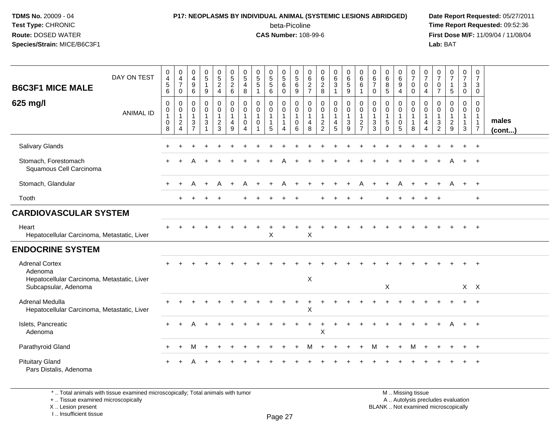# **P17: NEOPLASMS BY INDIVIDUAL ANIMAL (SYSTEMIC LESIONS ABRIDGED) Date Report Requested:** 05/27/2011

beta-Picoline<br>CAS Number: 108-99-6

 **Time Report Requested:** 09:52:36 **First Dose M/F:** 11/09/04 / 11/08/04<br>Lab: BAT **Lab:** BAT

| <b>B6C3F1 MICE MALE</b>                                                         | DAY ON TEST      | 0<br>$\overline{4}$<br>$\sqrt{5}$<br>6                         | 0<br>4<br>$\overline{7}$<br>$\mathbf 0$                          | $\mathbf 0$<br>$\overline{4}$<br>9<br>6                          | $\pmb{0}$<br>$\sqrt{5}$<br>$\mathbf{1}$<br>9                   | 0<br>5<br>$\frac{2}{4}$                           | $\begin{array}{c} 0 \\ 5 \end{array}$<br>$\begin{array}{c} 2 \\ 6 \end{array}$ | 0<br>$\sqrt{5}$<br>4<br>8                              | $\begin{array}{c} 0 \\ 5 \end{array}$<br>$\sqrt{5}$<br>$\mathbf{1}$ | $\begin{array}{c} 0 \\ 5 \end{array}$<br>$\sqrt{5}$<br>6 | $\pmb{0}$<br>$\sqrt{5}$<br>6<br>$\mathbf 0$                                      | 0<br>$\sqrt{5}$<br>$\,6$<br>9                        | 0<br>$\,6\,$<br>$\frac{2}{7}$              | $\begin{array}{c} 0 \\ 6 \end{array}$<br>$\frac{2}{8}$ | $_{\rm 6}^{\rm 0}$<br>$\ensuremath{\mathsf{3}}$<br>$\overline{1}$        | $\pmb{0}$<br>6<br>$\overline{5}$<br>9                           | 0<br>6<br>6<br>$\mathbf{1}$                               | 0<br>$\,6\,$<br>$\overline{7}$<br>$\mathbf 0$                      | $\pmb{0}$<br>$\,6\,$<br>$^8_5$                   | $\boldsymbol{0}$<br>$\,6\,$<br>$\boldsymbol{9}$<br>$\overline{4}$ | $\frac{0}{7}$<br>$\mathbf 0$<br>$\mathbf 0$   | $\frac{0}{7}$<br>$\mathbf 0$<br>$\overline{a}$ | 0<br>$\overline{7}$<br>$\boldsymbol{0}$<br>$\overline{7}$                    | $\frac{0}{7}$<br>$\mathbf{1}$<br>$5\phantom{.0}$        | 0<br>$\overline{7}$<br>$\mathbf{3}$<br>$\mathbf 0$    | $\boldsymbol{0}$<br>$\overline{7}$<br>$\ensuremath{\mathsf{3}}$<br>$\mathbf 0$ |                 |
|---------------------------------------------------------------------------------|------------------|----------------------------------------------------------------|------------------------------------------------------------------|------------------------------------------------------------------|----------------------------------------------------------------|---------------------------------------------------|--------------------------------------------------------------------------------|--------------------------------------------------------|---------------------------------------------------------------------|----------------------------------------------------------|----------------------------------------------------------------------------------|------------------------------------------------------|--------------------------------------------|--------------------------------------------------------|--------------------------------------------------------------------------|-----------------------------------------------------------------|-----------------------------------------------------------|--------------------------------------------------------------------|--------------------------------------------------|-------------------------------------------------------------------|-----------------------------------------------|------------------------------------------------|------------------------------------------------------------------------------|---------------------------------------------------------|-------------------------------------------------------|--------------------------------------------------------------------------------|-----------------|
| 625 mg/l                                                                        | <b>ANIMAL ID</b> | $\mathbf 0$<br>$\mathbf 0$<br>$\mathbf{1}$<br>$\mathbf 0$<br>8 | 0<br>$\mathbf 0$<br>$\mathbf{1}$<br>$\sqrt{2}$<br>$\overline{4}$ | $\mathbf 0$<br>0<br>$\mathbf{1}$<br>$\sqrt{3}$<br>$\overline{7}$ | 0<br>$\mathbf 0$<br>$\mathbf{1}$<br>$\sqrt{3}$<br>$\mathbf{1}$ | $\pmb{0}$<br>0<br>$\mathbf{1}$<br>$\sqrt{2}$<br>3 | 0<br>0<br>$\mathbf{1}$<br>4<br>9                                               | 0<br>0<br>$\mathbf 1$<br>$\mathbf 0$<br>$\overline{4}$ | $\mathbf 0$<br>0<br>$\overline{1}$<br>$\mathbf 0$<br>1              | 0<br>0<br>$\mathbf{1}$<br>$\overline{1}$<br>5            | $\mathbf 0$<br>$\mathbf 0$<br>$\overline{1}$<br>$\overline{1}$<br>$\overline{4}$ | 0<br>$\mathbf 0$<br>$\mathbf{1}$<br>$\mathbf 0$<br>6 | 0<br>$\mathbf 0$<br>$\mathbf{1}$<br>4<br>8 | $\pmb{0}$<br>0<br>1<br>$\sqrt{2}$<br>$\overline{2}$    | $\boldsymbol{0}$<br>$\mathbf 0$<br>$\overline{1}$<br>$\overline{4}$<br>5 | $\pmb{0}$<br>$\mathbf 0$<br>$\overline{1}$<br>$\mathbf{3}$<br>9 | 0<br>$\mathbf 0$<br>1<br>$\overline{c}$<br>$\overline{7}$ | 0<br>$\mathbf 0$<br>$\mathbf{1}$<br>$\ensuremath{\mathsf{3}}$<br>3 | 0<br>0<br>$\mathbf{1}$<br>$\sqrt{5}$<br>$\Omega$ | 0<br>0<br>$\mathbf{1}$<br>$\mathbf 0$<br>5                        | 0<br>0<br>$\mathbf{1}$<br>$\overline{1}$<br>8 | $\mathbf 0$<br>0<br>$\mathbf{1}$<br>4<br>4     | $\mathbf 0$<br>$\mathbf 0$<br>$\mathbf{1}$<br>$\ensuremath{\mathsf{3}}$<br>2 | $\mathbf 0$<br>0<br>$\mathbf{1}$<br>$\overline{c}$<br>9 | 0<br>$\mathbf 0$<br>$\mathbf{1}$<br>$\mathbf{1}$<br>3 | 0<br>$\mathbf 0$<br>$\overline{1}$<br>$\mathbf{1}$<br>$\overline{7}$           | males<br>(cont) |
| Salivary Glands                                                                 |                  |                                                                |                                                                  |                                                                  |                                                                |                                                   |                                                                                |                                                        |                                                                     |                                                          |                                                                                  |                                                      |                                            |                                                        |                                                                          |                                                                 |                                                           |                                                                    |                                                  |                                                                   |                                               |                                                |                                                                              |                                                         | $\div$                                                | $+$                                                                            |                 |
| Stomach, Forestomach<br>Squamous Cell Carcinoma                                 |                  |                                                                |                                                                  |                                                                  |                                                                |                                                   |                                                                                |                                                        |                                                                     |                                                          |                                                                                  |                                                      |                                            |                                                        |                                                                          |                                                                 |                                                           |                                                                    |                                                  |                                                                   |                                               |                                                |                                                                              |                                                         | $+$                                                   | $+$                                                                            |                 |
| Stomach, Glandular                                                              |                  | $\div$                                                         | $+$                                                              | A                                                                | $\ddot{}$                                                      |                                                   |                                                                                |                                                        |                                                                     |                                                          |                                                                                  |                                                      |                                            |                                                        |                                                                          |                                                                 |                                                           |                                                                    |                                                  |                                                                   |                                               |                                                |                                                                              | А                                                       | $+$                                                   | $+$                                                                            |                 |
| Tooth                                                                           |                  |                                                                |                                                                  |                                                                  |                                                                |                                                   |                                                                                |                                                        |                                                                     |                                                          |                                                                                  |                                                      |                                            |                                                        |                                                                          |                                                                 |                                                           |                                                                    |                                                  |                                                                   |                                               |                                                |                                                                              |                                                         |                                                       | $\ddot{}$                                                                      |                 |
| <b>CARDIOVASCULAR SYSTEM</b>                                                    |                  |                                                                |                                                                  |                                                                  |                                                                |                                                   |                                                                                |                                                        |                                                                     |                                                          |                                                                                  |                                                      |                                            |                                                        |                                                                          |                                                                 |                                                           |                                                                    |                                                  |                                                                   |                                               |                                                |                                                                              |                                                         |                                                       |                                                                                |                 |
| Heart<br>Hepatocellular Carcinoma, Metastatic, Liver                            |                  |                                                                |                                                                  |                                                                  |                                                                |                                                   |                                                                                |                                                        |                                                                     | $\mathsf X$                                              |                                                                                  |                                                      | X                                          |                                                        |                                                                          |                                                                 |                                                           |                                                                    |                                                  |                                                                   |                                               |                                                |                                                                              |                                                         |                                                       |                                                                                |                 |
| <b>ENDOCRINE SYSTEM</b>                                                         |                  |                                                                |                                                                  |                                                                  |                                                                |                                                   |                                                                                |                                                        |                                                                     |                                                          |                                                                                  |                                                      |                                            |                                                        |                                                                          |                                                                 |                                                           |                                                                    |                                                  |                                                                   |                                               |                                                |                                                                              |                                                         |                                                       |                                                                                |                 |
| <b>Adrenal Cortex</b><br>Adenoma<br>Hepatocellular Carcinoma, Metastatic, Liver |                  |                                                                |                                                                  |                                                                  |                                                                |                                                   |                                                                                |                                                        |                                                                     |                                                          |                                                                                  |                                                      | $\mathsf X$                                |                                                        |                                                                          |                                                                 |                                                           |                                                                    |                                                  |                                                                   |                                               |                                                |                                                                              |                                                         |                                                       |                                                                                |                 |
| Subcapsular, Adenoma                                                            |                  |                                                                |                                                                  |                                                                  |                                                                |                                                   |                                                                                |                                                        |                                                                     |                                                          |                                                                                  |                                                      |                                            |                                                        |                                                                          |                                                                 |                                                           |                                                                    | $\mathsf X$                                      |                                                                   |                                               |                                                |                                                                              |                                                         | $X$ $X$                                               |                                                                                |                 |
| Adrenal Medulla<br>Hepatocellular Carcinoma, Metastatic, Liver                  |                  |                                                                |                                                                  |                                                                  |                                                                |                                                   |                                                                                |                                                        |                                                                     |                                                          |                                                                                  |                                                      | X                                          |                                                        |                                                                          |                                                                 |                                                           |                                                                    |                                                  |                                                                   |                                               |                                                |                                                                              |                                                         | $+$                                                   | $+$                                                                            |                 |
| Islets, Pancreatic<br>Adenoma                                                   |                  | $\div$                                                         |                                                                  |                                                                  |                                                                |                                                   |                                                                                |                                                        |                                                                     |                                                          |                                                                                  |                                                      |                                            | X                                                      |                                                                          |                                                                 |                                                           |                                                                    |                                                  |                                                                   |                                               |                                                |                                                                              |                                                         | $+$                                                   | $+$                                                                            |                 |
| Parathyroid Gland                                                               |                  |                                                                |                                                                  |                                                                  |                                                                |                                                   |                                                                                |                                                        |                                                                     |                                                          |                                                                                  |                                                      |                                            |                                                        |                                                                          |                                                                 |                                                           |                                                                    |                                                  |                                                                   | M                                             |                                                |                                                                              |                                                         |                                                       |                                                                                |                 |
| <b>Pituitary Gland</b><br>Pars Distalis, Adenoma                                |                  |                                                                |                                                                  |                                                                  |                                                                |                                                   |                                                                                |                                                        |                                                                     |                                                          |                                                                                  |                                                      |                                            |                                                        |                                                                          |                                                                 |                                                           |                                                                    |                                                  |                                                                   |                                               |                                                |                                                                              |                                                         |                                                       |                                                                                |                 |
|                                                                                 |                  |                                                                |                                                                  |                                                                  |                                                                |                                                   |                                                                                |                                                        |                                                                     |                                                          |                                                                                  |                                                      |                                            |                                                        |                                                                          |                                                                 |                                                           |                                                                    |                                                  |                                                                   |                                               |                                                |                                                                              |                                                         |                                                       |                                                                                |                 |

\* .. Total animals with tissue examined microscopically; Total animals with tumor

+ .. Tissue examined microscopically

X .. Lesion present

I .. Insufficient tissue

 M .. Missing tissuey the contract of the contract of the contract of the contract of the contract of  $\mathsf A$  . Autolysis precludes evaluation Lesion present BLANK .. Not examined microscopically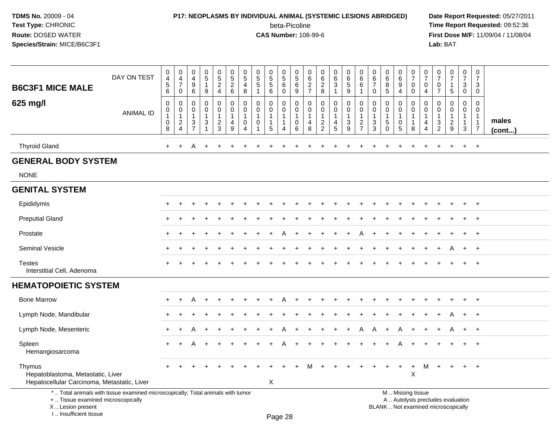### **P17: NEOPLASMS BY INDIVIDUAL ANIMAL (SYSTEMIC LESIONS ABRIDGED) Date Report Requested:** 05/27/2011

beta-Picoline<br>CAS Number: 108-99-6

| <b>B6C3F1 MICE MALE</b>                                                                                                                                             | DAY ON TEST      | $\mathbf 0$<br>$\overline{4}$<br>$\sqrt{5}$<br>6           | 0<br>$\overline{4}$<br>$\overline{7}$<br>0                 | $\mathbf 0$<br>4<br>$\boldsymbol{9}$<br>6                                       | $\pmb{0}$<br>$\sqrt{5}$<br>$\mathbf{1}$<br>9         | $\mathbf 0$<br>$5\phantom{.0}$<br>$\overline{2}$<br>4 | $\pmb{0}$<br>$\frac{5}{2}$<br>6      | 0<br>$\sqrt{5}$<br>$\overline{4}$<br>8                              | $\begin{array}{c} 0 \\ 5 \\ 5 \end{array}$<br>$\mathbf{1}$ | $\begin{array}{c} 0 \\ 5 \\ 5 \end{array}$<br>6                                | 0<br>$\,$ 5 $\,$<br>$\,6\,$<br>$\mathbf 0$                        | $\mathbf 0$<br>$\sqrt{5}$<br>$\,6\,$<br>9                      | $\pmb{0}$<br>6<br>$\overline{2}$<br>$\overline{7}$              | 0<br>$\frac{6}{2}$<br>8                                    | $\pmb{0}$<br>6<br>$\overline{3}$<br>$\mathbf{1}$             | $\pmb{0}$<br>$\,6\,$<br>$\overline{5}$<br>9                              | $\mathbf 0$<br>$\,6\,$<br>6<br>$\mathbf{1}$                                 | $\mathbf 0$<br>$\,6\,$<br>$\overline{7}$<br>$\mathbf 0$ | $\pmb{0}$<br>$\,6\,$<br>8<br>5                    | 0<br>6<br>$\boldsymbol{9}$<br>4                      | $\mathbf 0$<br>$\overline{7}$<br>$\pmb{0}$<br>$\mathbf 0$                                     | 0<br>$\overline{7}$<br>$\mathbf 0$<br>4           | $\pmb{0}$<br>$\overline{7}$<br>$\mathbf 0$<br>$\overline{7}$                | $\pmb{0}$<br>$\overline{7}$<br>$\mathbf{1}$<br>5                               | $\mathbf 0$<br>$\overline{7}$<br>3<br>0                                    | 0<br>$\overline{7}$<br>3<br>0                                      |                 |
|---------------------------------------------------------------------------------------------------------------------------------------------------------------------|------------------|------------------------------------------------------------|------------------------------------------------------------|---------------------------------------------------------------------------------|------------------------------------------------------|-------------------------------------------------------|--------------------------------------|---------------------------------------------------------------------|------------------------------------------------------------|--------------------------------------------------------------------------------|-------------------------------------------------------------------|----------------------------------------------------------------|-----------------------------------------------------------------|------------------------------------------------------------|--------------------------------------------------------------|--------------------------------------------------------------------------|-----------------------------------------------------------------------------|---------------------------------------------------------|---------------------------------------------------|------------------------------------------------------|-----------------------------------------------------------------------------------------------|---------------------------------------------------|-----------------------------------------------------------------------------|--------------------------------------------------------------------------------|----------------------------------------------------------------------------|--------------------------------------------------------------------|-----------------|
| 625 mg/l                                                                                                                                                            | <b>ANIMAL ID</b> | $\mathbf 0$<br>$\pmb{0}$<br>$\mathbf{1}$<br>$\pmb{0}$<br>8 | 0<br>0<br>$\mathbf{1}$<br>$\overline{c}$<br>$\overline{4}$ | $\mathbf 0$<br>$\mathsf{O}$<br>$\overline{1}$<br>$\mathbf{3}$<br>$\overline{7}$ | $\mathbf 0$<br>$\mathbf 0$<br>$\mathbf{1}$<br>3<br>1 | 0<br>$\pmb{0}$<br>1<br>$\overline{c}$<br>3            | 0<br>0<br>1<br>4<br>$\boldsymbol{9}$ | $\mathbf 0$<br>0<br>$\overline{1}$<br>$\mathbf 0$<br>$\overline{4}$ | 0<br>$\pmb{0}$<br>$\mathbf{1}$<br>0                        | $\mathbf 0$<br>$\mathbf 0$<br>$\overline{1}$<br>$\mathbf{1}$<br>$\overline{5}$ | $\mathbf 0$<br>$\mathbf 0$<br>$\mathbf{1}$<br>$\overline{1}$<br>4 | $\mathbf 0$<br>$\mathbf 0$<br>$\mathbf{1}$<br>$\mathbf 0$<br>6 | $\mathbf 0$<br>$\pmb{0}$<br>$\mathbf{1}$<br>$\overline{4}$<br>8 | 0<br>0<br>$\mathbf{1}$<br>$\overline{c}$<br>$\overline{2}$ | 0<br>$\mathsf{O}\xspace$<br>$\mathbf{1}$<br>4<br>$\,$ 5 $\,$ | $\pmb{0}$<br>$\pmb{0}$<br>$\overline{1}$<br>$\sqrt{3}$<br>$\overline{9}$ | $\mathbf 0$<br>$\Omega$<br>$\mathbf{1}$<br>$\overline{c}$<br>$\overline{7}$ | $\Omega$<br>0<br>$\mathbf{1}$<br>$\sqrt{3}$<br>3        | 0<br>$\mathbf 0$<br>$\mathbf{1}$<br>5<br>$\Omega$ | $\mathbf 0$<br>$\mathbf 0$<br>$\mathbf{1}$<br>0<br>5 | $\pmb{0}$<br>$\mathsf{O}\xspace$<br>$\mathbf{1}$<br>$\mathbf{1}$<br>8                         | $\mathbf 0$<br>$\Omega$<br>$\mathbf{1}$<br>4<br>4 | $\mathbf 0$<br>$\Omega$<br>$\overline{1}$<br>$\mathbf{3}$<br>$\overline{2}$ | $\mathbf 0$<br>$\mathbf 0$<br>$\mathbf{1}$<br>$\overline{2}$<br>$\overline{9}$ | $\mathbf 0$<br>$\mathbf 0$<br>$\mathbf{1}$<br>$\mathbf{1}$<br>$\mathbf{3}$ | $\mathbf 0$<br>0<br>$\mathbf{1}$<br>$\mathbf{1}$<br>$\overline{7}$ | males<br>(cont) |
| <b>Thyroid Gland</b>                                                                                                                                                |                  | $\ddot{}$                                                  | $\ddot{}$                                                  | A                                                                               | $\ddot{}$                                            |                                                       |                                      |                                                                     |                                                            |                                                                                |                                                                   |                                                                |                                                                 |                                                            |                                                              |                                                                          |                                                                             |                                                         |                                                   |                                                      |                                                                                               |                                                   |                                                                             | ÷.                                                                             | $\ddot{}$                                                                  | $\ddot{}$                                                          |                 |
| <b>GENERAL BODY SYSTEM</b>                                                                                                                                          |                  |                                                            |                                                            |                                                                                 |                                                      |                                                       |                                      |                                                                     |                                                            |                                                                                |                                                                   |                                                                |                                                                 |                                                            |                                                              |                                                                          |                                                                             |                                                         |                                                   |                                                      |                                                                                               |                                                   |                                                                             |                                                                                |                                                                            |                                                                    |                 |
| <b>NONE</b>                                                                                                                                                         |                  |                                                            |                                                            |                                                                                 |                                                      |                                                       |                                      |                                                                     |                                                            |                                                                                |                                                                   |                                                                |                                                                 |                                                            |                                                              |                                                                          |                                                                             |                                                         |                                                   |                                                      |                                                                                               |                                                   |                                                                             |                                                                                |                                                                            |                                                                    |                 |
| <b>GENITAL SYSTEM</b>                                                                                                                                               |                  |                                                            |                                                            |                                                                                 |                                                      |                                                       |                                      |                                                                     |                                                            |                                                                                |                                                                   |                                                                |                                                                 |                                                            |                                                              |                                                                          |                                                                             |                                                         |                                                   |                                                      |                                                                                               |                                                   |                                                                             |                                                                                |                                                                            |                                                                    |                 |
| Epididymis                                                                                                                                                          |                  |                                                            |                                                            |                                                                                 |                                                      |                                                       |                                      |                                                                     |                                                            |                                                                                |                                                                   |                                                                |                                                                 |                                                            |                                                              |                                                                          |                                                                             |                                                         |                                                   |                                                      |                                                                                               |                                                   |                                                                             |                                                                                |                                                                            | $\div$                                                             |                 |
| <b>Preputial Gland</b>                                                                                                                                              |                  |                                                            |                                                            |                                                                                 |                                                      |                                                       |                                      |                                                                     |                                                            |                                                                                |                                                                   |                                                                |                                                                 |                                                            |                                                              |                                                                          |                                                                             |                                                         |                                                   |                                                      |                                                                                               |                                                   |                                                                             |                                                                                |                                                                            |                                                                    |                 |
| Prostate                                                                                                                                                            |                  |                                                            |                                                            |                                                                                 |                                                      |                                                       |                                      |                                                                     |                                                            |                                                                                |                                                                   |                                                                |                                                                 |                                                            |                                                              |                                                                          |                                                                             |                                                         |                                                   |                                                      |                                                                                               |                                                   |                                                                             |                                                                                |                                                                            | $\pm$                                                              |                 |
| Seminal Vesicle                                                                                                                                                     |                  |                                                            |                                                            |                                                                                 |                                                      |                                                       |                                      |                                                                     |                                                            |                                                                                |                                                                   |                                                                |                                                                 |                                                            |                                                              |                                                                          |                                                                             |                                                         |                                                   |                                                      |                                                                                               |                                                   |                                                                             | A                                                                              | $\ddot{}$                                                                  | $+$                                                                |                 |
| <b>Testes</b><br>Interstitial Cell, Adenoma                                                                                                                         |                  |                                                            |                                                            |                                                                                 |                                                      |                                                       |                                      |                                                                     |                                                            |                                                                                |                                                                   |                                                                |                                                                 |                                                            |                                                              |                                                                          |                                                                             |                                                         |                                                   |                                                      |                                                                                               |                                                   |                                                                             |                                                                                |                                                                            | $\overline{+}$                                                     |                 |
| <b>HEMATOPOIETIC SYSTEM</b>                                                                                                                                         |                  |                                                            |                                                            |                                                                                 |                                                      |                                                       |                                      |                                                                     |                                                            |                                                                                |                                                                   |                                                                |                                                                 |                                                            |                                                              |                                                                          |                                                                             |                                                         |                                                   |                                                      |                                                                                               |                                                   |                                                                             |                                                                                |                                                                            |                                                                    |                 |
| <b>Bone Marrow</b>                                                                                                                                                  |                  |                                                            |                                                            |                                                                                 |                                                      |                                                       |                                      |                                                                     |                                                            |                                                                                |                                                                   |                                                                |                                                                 |                                                            |                                                              |                                                                          |                                                                             |                                                         |                                                   |                                                      |                                                                                               |                                                   |                                                                             |                                                                                |                                                                            | $\overline{1}$                                                     |                 |
| Lymph Node, Mandibular                                                                                                                                              |                  | ÷                                                          |                                                            |                                                                                 |                                                      |                                                       |                                      |                                                                     |                                                            |                                                                                |                                                                   |                                                                |                                                                 |                                                            |                                                              |                                                                          |                                                                             |                                                         |                                                   |                                                      |                                                                                               |                                                   |                                                                             | A                                                                              | $\ddot{}$                                                                  | $+$                                                                |                 |
| Lymph Node, Mesenteric                                                                                                                                              |                  | $\ddot{}$                                                  |                                                            |                                                                                 |                                                      |                                                       |                                      |                                                                     |                                                            |                                                                                |                                                                   |                                                                |                                                                 |                                                            |                                                              |                                                                          | A                                                                           |                                                         |                                                   |                                                      |                                                                                               |                                                   |                                                                             | A                                                                              | $\ddot{}$                                                                  | $+$                                                                |                 |
| Spleen<br>Hemangiosarcoma                                                                                                                                           |                  | $\ddot{}$                                                  |                                                            |                                                                                 | $\ddot{}$                                            |                                                       |                                      |                                                                     |                                                            |                                                                                |                                                                   |                                                                |                                                                 |                                                            |                                                              |                                                                          |                                                                             |                                                         |                                                   |                                                      |                                                                                               |                                                   |                                                                             |                                                                                |                                                                            | $\ddot{}$                                                          |                 |
| Thymus<br>Hepatoblastoma, Metastatic, Liver<br>Hepatocellular Carcinoma, Metastatic, Liver                                                                          |                  |                                                            |                                                            |                                                                                 |                                                      |                                                       |                                      |                                                                     |                                                            | $\boldsymbol{\mathsf{X}}$                                                      |                                                                   |                                                                |                                                                 |                                                            |                                                              |                                                                          |                                                                             |                                                         |                                                   | $\ddot{}$                                            | $\ddot{}$<br>X                                                                                | M                                                 |                                                                             |                                                                                |                                                                            | $\ddot{}$                                                          |                 |
| *  Total animals with tissue examined microscopically; Total animals with tumor<br>+  Tissue examined microscopically<br>X  Lesion present<br>I Insufficient tissue |                  |                                                            |                                                            |                                                                                 |                                                      |                                                       |                                      |                                                                     |                                                            |                                                                                | Page 28                                                           |                                                                |                                                                 |                                                            |                                                              |                                                                          |                                                                             |                                                         |                                                   |                                                      | M  Missing tissue<br>A  Autolysis precludes evaluation<br>BLANK  Not examined microscopically |                                                   |                                                                             |                                                                                |                                                                            |                                                                    |                 |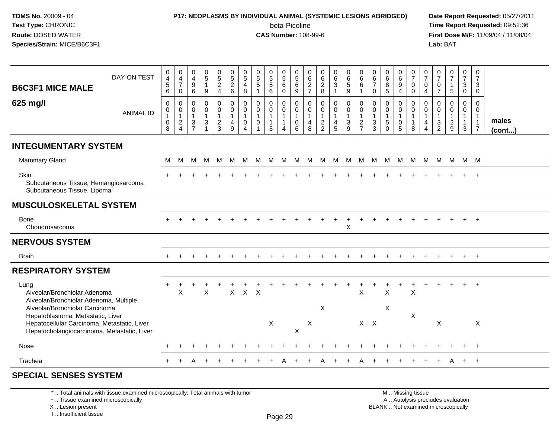### **P17: NEOPLASMS BY INDIVIDUAL ANIMAL (SYSTEMIC LESIONS ABRIDGED) Date Report Requested:** 05/27/2011

beta-Picoline<br>CAS Number: 108-99-6

 **Time Report Requested:** 09:52:36 **First Dose M/F:** 11/09/04 / 11/08/04<br>Lab: BAT **Lab:** BAT

| <b>B6C3F1 MICE MALE</b>                                                                                                                                           | DAY ON TEST      | $\pmb{0}$<br>$\frac{4}{5}$<br>$\,6\,$              | $\pmb{0}$<br>$\frac{4}{7}$<br>0               | $\begin{smallmatrix} 0\\4 \end{smallmatrix}$<br>$\boldsymbol{9}$<br>$\,6\,$     | $^{\rm 0}_{\rm 5}$<br>$\mathbf{1}$<br>9               | $\begin{array}{c} 0 \\ 5 \\ 2 \end{array}$<br>$\overline{4}$ | $\begin{array}{c} 0 \\ 5 \\ 2 \end{array}$<br>$\,6\,$               | $\begin{array}{c} 0 \\ 5 \end{array}$<br>$\overline{4}$<br>$\,8\,$ | $\begin{array}{c} 0 \\ 5 \end{array}$<br>$\sqrt{5}$<br>$\overline{1}$ | $\begin{array}{c} 0 \\ 5 \\ 5 \end{array}$<br>$6\phantom{1}$ | $\begin{array}{c} 0 \\ 5 \\ 6 \end{array}$<br>$\mathbf 0$ | $\begin{array}{c} 0 \\ 5 \end{array}$<br>$\,6\,$<br>$\boldsymbol{9}$ | $062$<br>$77$                                             | $\begin{array}{c} 0 \\ 6 \end{array}$<br>$\frac{2}{8}$                       | $\begin{matrix} 0 \\ 6 \\ 3 \end{matrix}$<br>$\mathbf{1}$        | $\begin{array}{c} 0 \\ 6 \\ 5 \end{array}$<br>9                                  | $_{6}^{\rm 0}$<br>$\,6\,$<br>$\mathbf{1}$                            | $\pmb{0}$<br>$\,6\,$<br>$\overline{7}$<br>$\pmb{0}$                | $\begin{array}{c} 0 \\ 6 \\ 8 \end{array}$<br>$\sqrt{5}$             | $_{6}^{\rm 0}$<br>$\boldsymbol{9}$<br>4                            | $\frac{0}{7}$<br>$\mathsf 0$<br>$\mathsf 0$                     | $\frac{0}{7}$<br>$\mathbf 0$<br>4 | $\frac{0}{7}$<br>$\boldsymbol{0}$<br>$\overline{7}$ | $\frac{0}{7}$<br>$\mathbf{1}$<br>5            | $\frac{0}{7}$<br>$\mathbf{3}$<br>$\mathbf 0$ | 0<br>$\overline{7}$<br>3<br>$\mathbf 0$                                          |                       |
|-------------------------------------------------------------------------------------------------------------------------------------------------------------------|------------------|----------------------------------------------------|-----------------------------------------------|---------------------------------------------------------------------------------|-------------------------------------------------------|--------------------------------------------------------------|---------------------------------------------------------------------|--------------------------------------------------------------------|-----------------------------------------------------------------------|--------------------------------------------------------------|-----------------------------------------------------------|----------------------------------------------------------------------|-----------------------------------------------------------|------------------------------------------------------------------------------|------------------------------------------------------------------|----------------------------------------------------------------------------------|----------------------------------------------------------------------|--------------------------------------------------------------------|----------------------------------------------------------------------|--------------------------------------------------------------------|-----------------------------------------------------------------|-----------------------------------|-----------------------------------------------------|-----------------------------------------------|----------------------------------------------|----------------------------------------------------------------------------------|-----------------------|
| 625 mg/l                                                                                                                                                          | <b>ANIMAL ID</b> | $\mathbf 0$<br>0<br>$\mathbf{1}$<br>$\pmb{0}$<br>8 | 0<br>0<br>$\mathbf{1}$<br>$\overline{c}$<br>4 | $\mathbf 0$<br>0<br>$\mathbf{1}$<br>$\ensuremath{\mathsf{3}}$<br>$\overline{7}$ | $\mathbf 0$<br>0<br>$\mathbf{1}$<br>$\mathbf{3}$<br>1 | 0<br>0<br>$\mathbf{1}$<br>$\overline{c}$<br>3                | $\mathbf 0$<br>$\mathbf 0$<br>$\overline{1}$<br>$\overline{4}$<br>9 | $\mathbf 0$<br>$\mathbf 0$<br>$\overline{1}$<br>$\mathbf 0$<br>4   | $\mathbf 0$<br>$\mathbf 0$<br>$\mathbf{1}$<br>$\mathbf 0$             | 0<br>0<br>$\mathbf{1}$<br>$\mathbf{1}$<br>5                  | 0<br>$\mathbf 0$<br>$\mathbf{1}$<br>$\overline{1}$<br>4   | $\mathbf 0$<br>$\mathbf 0$<br>$\mathbf{1}$<br>$\pmb{0}$<br>6         | $\mathbf 0$<br>0<br>$\overline{1}$<br>$\overline{4}$<br>8 | $\pmb{0}$<br>$\mathbf 0$<br>$\mathbf{1}$<br>$\overline{2}$<br>$\overline{2}$ | 0<br>$\mathbf 0$<br>$\mathbf{1}$<br>$\overline{\mathbf{4}}$<br>5 | $\begin{smallmatrix} 0\\0 \end{smallmatrix}$<br>$\mathbf{1}$<br>$\mathsf 3$<br>9 | 0<br>$\mathbf 0$<br>$\mathbf{1}$<br>$\overline{c}$<br>$\overline{7}$ | $\mathbf 0$<br>0<br>$\mathbf{1}$<br>$\ensuremath{\mathsf{3}}$<br>3 | $\mathbf 0$<br>$\mathbf 0$<br>$\mathbf{1}$<br>$\sqrt{5}$<br>$\Omega$ | 0<br>$\mathbf 0$<br>$\overline{1}$<br>$\pmb{0}$<br>$5\phantom{.0}$ | $\mathbf 0$<br>$\mathbf 0$<br>$\mathbf{1}$<br>$\mathbf{1}$<br>8 | 0<br>0<br>4<br>4                  | $\mathbf 0$<br>0<br>$\mathbf{1}$<br>$\frac{3}{2}$   | 0<br>0<br>$\mathbf{1}$<br>$\overline{c}$<br>9 | 0<br>0<br>$\mathbf{1}$<br>$\mathbf{3}$       | $\mathbf 0$<br>$\mathbf 0$<br>$\overline{1}$<br>$\overline{1}$<br>$\overline{7}$ | males<br>$($ cont $)$ |
| <b>INTEGUMENTARY SYSTEM</b>                                                                                                                                       |                  |                                                    |                                               |                                                                                 |                                                       |                                                              |                                                                     |                                                                    |                                                                       |                                                              |                                                           |                                                                      |                                                           |                                                                              |                                                                  |                                                                                  |                                                                      |                                                                    |                                                                      |                                                                    |                                                                 |                                   |                                                     |                                               |                                              |                                                                                  |                       |
| <b>Mammary Gland</b>                                                                                                                                              |                  | M                                                  | M                                             | M                                                                               | M                                                     | M                                                            | M                                                                   | M                                                                  | M                                                                     | <b>M</b>                                                     | M                                                         |                                                                      |                                                           | M M M M M                                                                    |                                                                  |                                                                                  | M                                                                    |                                                                    | M M                                                                  | M                                                                  | M                                                               | M                                 |                                                     | M M M M                                       |                                              |                                                                                  |                       |
| Skin<br>Subcutaneous Tissue, Hemangiosarcoma<br>Subcutaneous Tissue, Lipoma                                                                                       |                  |                                                    |                                               |                                                                                 |                                                       |                                                              |                                                                     |                                                                    |                                                                       |                                                              |                                                           |                                                                      |                                                           |                                                                              |                                                                  |                                                                                  |                                                                      |                                                                    |                                                                      |                                                                    |                                                                 |                                   |                                                     |                                               |                                              | $\overline{+}$                                                                   |                       |
| <b>MUSCULOSKELETAL SYSTEM</b>                                                                                                                                     |                  |                                                    |                                               |                                                                                 |                                                       |                                                              |                                                                     |                                                                    |                                                                       |                                                              |                                                           |                                                                      |                                                           |                                                                              |                                                                  |                                                                                  |                                                                      |                                                                    |                                                                      |                                                                    |                                                                 |                                   |                                                     |                                               |                                              |                                                                                  |                       |
| Bone<br>Chondrosarcoma                                                                                                                                            |                  |                                                    |                                               |                                                                                 |                                                       |                                                              |                                                                     |                                                                    |                                                                       |                                                              |                                                           |                                                                      |                                                           |                                                                              | $\ddot{}$                                                        | $\ddot{}$<br>$\sf X$                                                             |                                                                      |                                                                    |                                                                      |                                                                    |                                                                 |                                   |                                                     |                                               |                                              | $+$                                                                              |                       |
| <b>NERVOUS SYSTEM</b>                                                                                                                                             |                  |                                                    |                                               |                                                                                 |                                                       |                                                              |                                                                     |                                                                    |                                                                       |                                                              |                                                           |                                                                      |                                                           |                                                                              |                                                                  |                                                                                  |                                                                      |                                                                    |                                                                      |                                                                    |                                                                 |                                   |                                                     |                                               |                                              |                                                                                  |                       |
| <b>Brain</b>                                                                                                                                                      |                  |                                                    |                                               |                                                                                 |                                                       |                                                              |                                                                     |                                                                    |                                                                       |                                                              |                                                           |                                                                      |                                                           |                                                                              |                                                                  |                                                                                  |                                                                      |                                                                    |                                                                      |                                                                    |                                                                 |                                   |                                                     |                                               | $+$                                          | $+$                                                                              |                       |
| <b>RESPIRATORY SYSTEM</b>                                                                                                                                         |                  |                                                    |                                               |                                                                                 |                                                       |                                                              |                                                                     |                                                                    |                                                                       |                                                              |                                                           |                                                                      |                                                           |                                                                              |                                                                  |                                                                                  |                                                                      |                                                                    |                                                                      |                                                                    |                                                                 |                                   |                                                     |                                               |                                              |                                                                                  |                       |
| Lung<br>Alveolar/Bronchiolar Adenoma<br>Alveolar/Bronchiolar Adenoma, Multiple                                                                                    |                  | $\ddot{}$                                          | $\sf X$                                       |                                                                                 | $\mathsf X$                                           |                                                              |                                                                     | $X$ $X$ $X$                                                        |                                                                       |                                                              |                                                           |                                                                      |                                                           | X                                                                            |                                                                  |                                                                                  | $\ddot{}$<br>$\sf X$                                                 |                                                                    | $\pmb{\times}$<br>$\times$                                           |                                                                    | $\sf X$                                                         |                                   |                                                     |                                               |                                              |                                                                                  |                       |
| Alveolar/Bronchiolar Carcinoma<br>Hepatoblastoma, Metastatic, Liver<br>Hepatocellular Carcinoma, Metastatic, Liver<br>Hepatocholangiocarcinoma, Metastatic, Liver |                  |                                                    |                                               |                                                                                 |                                                       |                                                              |                                                                     |                                                                    |                                                                       | $\mathsf X$                                                  |                                                           | X                                                                    | $\boldsymbol{\mathsf{X}}$                                 |                                                                              |                                                                  |                                                                                  |                                                                      | $X$ $X$                                                            |                                                                      |                                                                    | X                                                               |                                   | $\pmb{\times}$                                      |                                               |                                              | $\pmb{\times}$                                                                   |                       |
| Nose                                                                                                                                                              |                  |                                                    |                                               |                                                                                 |                                                       |                                                              |                                                                     |                                                                    |                                                                       |                                                              |                                                           |                                                                      |                                                           |                                                                              |                                                                  |                                                                                  |                                                                      |                                                                    |                                                                      |                                                                    |                                                                 |                                   |                                                     |                                               |                                              | $\pm$                                                                            |                       |
| Trachea                                                                                                                                                           |                  |                                                    |                                               |                                                                                 |                                                       |                                                              |                                                                     |                                                                    |                                                                       |                                                              |                                                           |                                                                      |                                                           |                                                                              |                                                                  |                                                                                  |                                                                      |                                                                    |                                                                      |                                                                    |                                                                 |                                   |                                                     |                                               | $\div$                                       | $\overline{+}$                                                                   |                       |

#### **SPECIAL SENSES SYSTEM**

\* .. Total animals with tissue examined microscopically; Total animals with tumor

+ .. Tissue examined microscopically

X .. Lesion present

I .. Insufficient tissue

 M .. Missing tissuey the contract of the contract of the contract of the contract of the contract of  $\mathsf A$  . Autolysis precludes evaluation Lesion present BLANK .. Not examined microscopically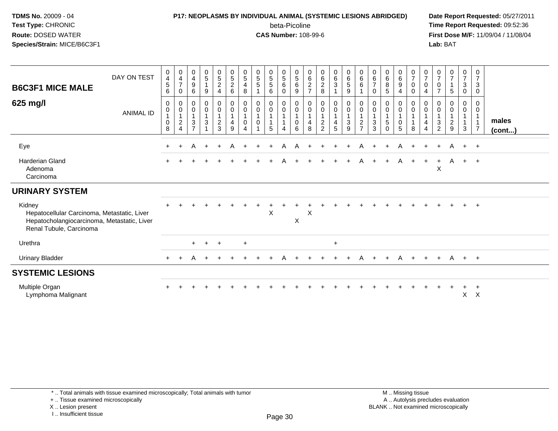### **P17: NEOPLASMS BY INDIVIDUAL ANIMAL (SYSTEMIC LESIONS ABRIDGED) Date Report Requested:** 05/27/2011

beta-Picoline<br>CAS Number: 108-99-6

 **Time Report Requested:** 09:52:36 **First Dose M/F:** 11/09/04 / 11/08/04<br>Lab: BAT **Lab:** BAT

| <b>B6C3F1 MICE MALE</b><br>625 mg/l                                                                                             | DAY ON TEST<br><b>ANIMAL ID</b> | 0<br>$\overline{\mathbf{4}}$<br>$\sqrt{5}$<br>6<br>0<br>$\mathbf 0$<br>$\pmb{0}$<br>8 | $\mathbf 0$<br>$\frac{4}{7}$<br>$\mathbf 0$<br>0<br>$\boldsymbol{0}$<br>$\mathbf{1}$<br>$\overline{c}$<br>$\overline{4}$ | $\boldsymbol{0}$<br>$\overline{\mathbf{4}}$<br>9<br>6<br>0<br>$\mathbf 0$<br>$\mathbf{1}$<br>3<br>$\overline{7}$ | $\begin{array}{c} 0 \\ 5 \end{array}$<br>$\mathbf{1}$<br>9<br>0<br>$\overline{0}$<br>3 | $\begin{array}{c} 0 \\ 5 \end{array}$<br>$\overline{2}$<br>$\overline{4}$<br>$\begin{smallmatrix}0\0\0\end{smallmatrix}$<br>$\mathbf{1}$<br>$\frac{2}{3}$ | $\begin{array}{c} 0 \\ 5 \end{array}$<br>$\overline{c}$<br>$\,6\,$<br>$_{\rm 0}^{\rm 0}$<br>$\mathbf{1}$<br>$\overline{4}$<br>9 | $\begin{array}{c} 0 \\ 5 \end{array}$<br>$\overline{4}$<br>8<br>$\mathbf 0$<br>$\overline{0}$<br>$\overline{1}$<br>0<br>$\boldsymbol{\Lambda}$ | $\begin{array}{c} 0 \\ 5 \end{array}$<br>$\overline{5}$<br>$\mathbf{1}$<br>$\mathbf 0$<br>$\mathsf{O}\xspace$<br>$\mathbf{1}$<br>$\mathbf 0$ | $\begin{array}{c} 0 \\ 5 \end{array}$<br>5<br>6<br>0<br>$\mathbf 0$<br>5 | $\begin{array}{c} 0 \\ 5 \end{array}$<br>$\,6\,$<br>$\mathbf 0$<br>0<br>$\overline{0}$<br>$\overline{1}$<br>$\mathbf{1}$<br>$\overline{4}$ | $\begin{array}{c} 0 \\ 5 \end{array}$<br>$\,6\,$<br>$9\,$<br>$\pmb{0}$<br>$\ddot{\mathbf{0}}$<br>$\mathbf{1}$<br>$\mathsf{O}\xspace$<br>6 | $\begin{matrix} 0 \\ 6 \end{matrix}$<br>$\boldsymbol{2}$<br>$\overline{ }$<br>0<br>0<br>4<br>8 | $\begin{matrix} 0 \\ 6 \\ 2 \end{matrix}$<br>$\,8\,$<br>$\begin{smallmatrix} 0\\0 \end{smallmatrix}$<br>$\mathbf 1$<br>$\frac{2}{2}$ | $\begin{array}{c} 0 \\ 6 \end{array}$<br>$\mathbf{3}$<br>0<br>$\bar{0}$<br>$\mathbf{1}$<br>$\overline{\mathbf{4}}$<br>5 | $\begin{array}{c} 0 \\ 6 \end{array}$<br>$\sqrt{5}$<br>$\boldsymbol{9}$<br>$\pmb{0}$<br>$\overline{0}$<br>$\mathbf{1}$<br>$\ensuremath{\mathsf{3}}$<br>9 | $\begin{array}{c} 0 \\ 6 \end{array}$<br>6<br>0<br>$\pmb{0}$<br>$\mathbf{1}$<br>$\frac{2}{7}$ | $_6^0$<br>$\overline{7}$<br>0<br>0<br>$\pmb{0}$<br>$\mathbf{1}$<br>3<br>3 | $\begin{array}{c} 0 \\ 6 \end{array}$<br>$\bf 8$<br>$\sqrt{5}$<br>0<br>$\pmb{0}$<br>$\sqrt{5}$<br>$\Omega$ | $\begin{array}{c} 0 \\ 6 \end{array}$<br>$\boldsymbol{9}$<br>$\overline{4}$<br>$\begin{matrix} 0 \\ 0 \\ 1 \end{matrix}$<br>$\mathbf 0$<br>$\overline{5}$ | $\frac{0}{7}$<br>$\mathsf 0$<br>$\mathbf 0$<br>0<br>$\mathbf 0$<br>$\mathbf{1}$<br>$\mathbf{1}$<br>8 | $\frac{0}{7}$<br>$\pmb{0}$<br>4<br>0<br>0<br>$\mathbf{1}$<br>4<br>$\overline{4}$ | $\frac{0}{7}$<br>$\mathbf 0$<br>$\overline{7}$<br>0<br>$\mathbf 0$<br>$\mathbf{1}$<br>3<br>$\overline{2}$ | $\frac{0}{7}$<br>$\overline{1}$<br>5<br>0<br>0<br>$\overline{\mathbf{c}}$<br>9 | $\frac{0}{7}$<br>$\mathbf{3}$<br>$\mathbf 0$<br>0<br>$\mathsf{O}$<br>3 | 0<br>$\overline{7}$<br>$\sqrt{3}$<br>$\mathbf 0$<br>0<br>$\mathbf 0$<br>$\overline{1}$<br>$\overline{7}$ | males<br>$($ cont $)$ |
|---------------------------------------------------------------------------------------------------------------------------------|---------------------------------|---------------------------------------------------------------------------------------|--------------------------------------------------------------------------------------------------------------------------|------------------------------------------------------------------------------------------------------------------|----------------------------------------------------------------------------------------|-----------------------------------------------------------------------------------------------------------------------------------------------------------|---------------------------------------------------------------------------------------------------------------------------------|------------------------------------------------------------------------------------------------------------------------------------------------|----------------------------------------------------------------------------------------------------------------------------------------------|--------------------------------------------------------------------------|--------------------------------------------------------------------------------------------------------------------------------------------|-------------------------------------------------------------------------------------------------------------------------------------------|------------------------------------------------------------------------------------------------|--------------------------------------------------------------------------------------------------------------------------------------|-------------------------------------------------------------------------------------------------------------------------|----------------------------------------------------------------------------------------------------------------------------------------------------------|-----------------------------------------------------------------------------------------------|---------------------------------------------------------------------------|------------------------------------------------------------------------------------------------------------|-----------------------------------------------------------------------------------------------------------------------------------------------------------|------------------------------------------------------------------------------------------------------|----------------------------------------------------------------------------------|-----------------------------------------------------------------------------------------------------------|--------------------------------------------------------------------------------|------------------------------------------------------------------------|----------------------------------------------------------------------------------------------------------|-----------------------|
| Eye                                                                                                                             |                                 | $\pm$                                                                                 | $\ddot{}$                                                                                                                | A                                                                                                                | $\ddot{}$                                                                              | $\ddot{}$                                                                                                                                                 | A                                                                                                                               |                                                                                                                                                |                                                                                                                                              | $\ddot{}$                                                                | A                                                                                                                                          | A                                                                                                                                         |                                                                                                |                                                                                                                                      | $\ddot{}$                                                                                                               |                                                                                                                                                          | A                                                                                             | $+$                                                                       | $\pm$                                                                                                      | A                                                                                                                                                         | $+$                                                                                                  | $\ddot{}$                                                                        | $+$                                                                                                       | A                                                                              | $+$ $+$                                                                |                                                                                                          |                       |
| <b>Harderian Gland</b><br>Adenoma<br>Carcinoma                                                                                  |                                 |                                                                                       |                                                                                                                          |                                                                                                                  |                                                                                        |                                                                                                                                                           |                                                                                                                                 |                                                                                                                                                |                                                                                                                                              |                                                                          | A                                                                                                                                          |                                                                                                                                           |                                                                                                |                                                                                                                                      |                                                                                                                         |                                                                                                                                                          | A                                                                                             | $+$                                                                       | $+$                                                                                                        | A                                                                                                                                                         | $+$                                                                                                  | $+$                                                                              | $+$<br>X                                                                                                  | $\mathsf{A}$                                                                   | $+$ $+$                                                                |                                                                                                          |                       |
| <b>URINARY SYSTEM</b>                                                                                                           |                                 |                                                                                       |                                                                                                                          |                                                                                                                  |                                                                                        |                                                                                                                                                           |                                                                                                                                 |                                                                                                                                                |                                                                                                                                              |                                                                          |                                                                                                                                            |                                                                                                                                           |                                                                                                |                                                                                                                                      |                                                                                                                         |                                                                                                                                                          |                                                                                               |                                                                           |                                                                                                            |                                                                                                                                                           |                                                                                                      |                                                                                  |                                                                                                           |                                                                                |                                                                        |                                                                                                          |                       |
| Kidney<br>Hepatocellular Carcinoma, Metastatic, Liver<br>Hepatocholangiocarcinoma, Metastatic, Liver<br>Renal Tubule, Carcinoma |                                 |                                                                                       |                                                                                                                          |                                                                                                                  |                                                                                        |                                                                                                                                                           |                                                                                                                                 |                                                                                                                                                |                                                                                                                                              | $\mathsf{X}$                                                             |                                                                                                                                            | $\mathsf X$                                                                                                                               | X                                                                                              |                                                                                                                                      |                                                                                                                         |                                                                                                                                                          |                                                                                               |                                                                           |                                                                                                            |                                                                                                                                                           |                                                                                                      |                                                                                  |                                                                                                           |                                                                                | $+$                                                                    | $+$                                                                                                      |                       |
| Urethra                                                                                                                         |                                 |                                                                                       |                                                                                                                          | $+$                                                                                                              | $+$                                                                                    | $+$                                                                                                                                                       |                                                                                                                                 | $+$                                                                                                                                            |                                                                                                                                              |                                                                          |                                                                                                                                            |                                                                                                                                           |                                                                                                |                                                                                                                                      | $+$                                                                                                                     |                                                                                                                                                          |                                                                                               |                                                                           |                                                                                                            |                                                                                                                                                           |                                                                                                      |                                                                                  |                                                                                                           |                                                                                |                                                                        |                                                                                                          |                       |
| <b>Urinary Bladder</b>                                                                                                          |                                 | $\pm$                                                                                 |                                                                                                                          |                                                                                                                  |                                                                                        |                                                                                                                                                           |                                                                                                                                 |                                                                                                                                                |                                                                                                                                              |                                                                          |                                                                                                                                            |                                                                                                                                           |                                                                                                |                                                                                                                                      |                                                                                                                         |                                                                                                                                                          | Α                                                                                             |                                                                           | $\ddot{}$                                                                                                  | A                                                                                                                                                         | $+$                                                                                                  | $\ddot{}$                                                                        | $+$                                                                                                       | A + +                                                                          |                                                                        |                                                                                                          |                       |
| <b>SYSTEMIC LESIONS</b>                                                                                                         |                                 |                                                                                       |                                                                                                                          |                                                                                                                  |                                                                                        |                                                                                                                                                           |                                                                                                                                 |                                                                                                                                                |                                                                                                                                              |                                                                          |                                                                                                                                            |                                                                                                                                           |                                                                                                |                                                                                                                                      |                                                                                                                         |                                                                                                                                                          |                                                                                               |                                                                           |                                                                                                            |                                                                                                                                                           |                                                                                                      |                                                                                  |                                                                                                           |                                                                                |                                                                        |                                                                                                          |                       |
| Multiple Organ<br>Lymphoma Malignant                                                                                            |                                 |                                                                                       |                                                                                                                          |                                                                                                                  |                                                                                        |                                                                                                                                                           |                                                                                                                                 |                                                                                                                                                |                                                                                                                                              |                                                                          |                                                                                                                                            |                                                                                                                                           |                                                                                                |                                                                                                                                      |                                                                                                                         |                                                                                                                                                          |                                                                                               |                                                                           |                                                                                                            |                                                                                                                                                           |                                                                                                      |                                                                                  |                                                                                                           | $\ddot{}$                                                                      | $\ddot{}$<br>X                                                         | $^{+}$<br>$\mathsf{X}$                                                                                   |                       |

X .. Lesion present

I .. Insufficient tissue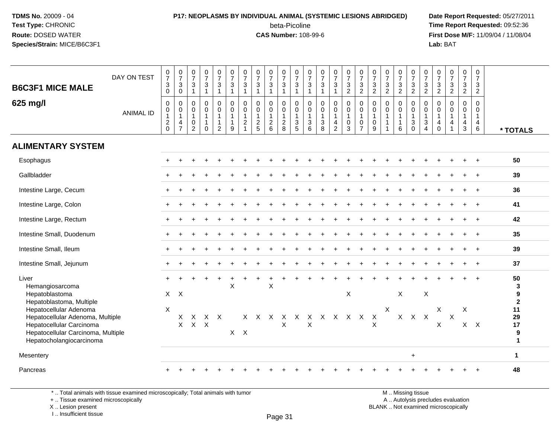### **P17: NEOPLASMS BY INDIVIDUAL ANIMAL (SYSTEMIC LESIONS ABRIDGED) Date Report Requested:** 05/27/2011

beta-Picoline<br>CAS Number: 108-99-6

 **Time Report Requested:** 09:52:36 **First Dose M/F:** 11/09/04 / 11/08/04<br>Lab: BAT **Lab:** BAT

| <b>B6C3F1 MICE MALE</b>                                                                                                                                  | DAY ON TEST      | $\frac{0}{7}$<br>$\sqrt{3}$<br>$\pmb{0}$                 | $\frac{0}{7}$<br>3<br>$\mathbf 0$                          | $\begin{smallmatrix}0\\7\end{smallmatrix}$<br>$\mathsf 3$<br>$\overline{1}$    | $\frac{0}{7}$<br>3<br>$\overline{1}$                 | $\begin{array}{c} 0 \\ 7 \end{array}$<br>$\sqrt{3}$<br>$\overline{1}$          | $\frac{0}{7}$<br>3<br>$\mathbf{1}$ | $\frac{0}{7}$<br>$\mathsf 3$<br>$\mathbf{1}$                         | $\frac{0}{7}$<br>$\mathbf{3}$<br>$\mathbf{1}$     | $\frac{0}{7}$<br>$\mathbf{3}$<br>$\mathbf{1}$        | $\frac{0}{7}$<br>$\ensuremath{\mathsf{3}}$<br>$\mathbf{1}$     | $\frac{0}{7}$<br>$\mathbf{3}$<br>$\overline{1}$     | $\frac{0}{7}$<br>$\mathbf{3}$<br>$\mathbf{1}$               | $\frac{0}{7}$<br>3<br>$\mathbf{1}$ | $\frac{0}{7}$<br>$\ensuremath{\mathsf{3}}$<br>$\mathbf{1}$               | $\frac{0}{7}$<br>3<br>$\overline{2}$ | $\frac{0}{7}$<br>$\frac{3}{2}$                        | $\begin{array}{c} 0 \\ 7 \end{array}$<br>$\frac{3}{2}$     | $\frac{0}{7}$<br>$\frac{3}{2}$                                      | $\frac{0}{7}$<br>$\frac{3}{2}$                        | $\frac{0}{7}$<br>$\sqrt{3}$<br>$\overline{2}$                                         | $\begin{smallmatrix}0\\7\end{smallmatrix}$<br>$\frac{3}{2}$           | $\frac{0}{7}$<br>$\frac{3}{2}$             | $\begin{array}{c} 0 \\ 7 \end{array}$<br>$\frac{3}{2}$               | $\frac{0}{7}$<br>$\sqrt{3}$<br>$\overline{2}$          | $\mathbf 0$<br>$\overline{7}$<br>3<br>$\overline{2}$   |                                     |
|----------------------------------------------------------------------------------------------------------------------------------------------------------|------------------|----------------------------------------------------------|------------------------------------------------------------|--------------------------------------------------------------------------------|------------------------------------------------------|--------------------------------------------------------------------------------|------------------------------------|----------------------------------------------------------------------|---------------------------------------------------|------------------------------------------------------|----------------------------------------------------------------|-----------------------------------------------------|-------------------------------------------------------------|------------------------------------|--------------------------------------------------------------------------|--------------------------------------|-------------------------------------------------------|------------------------------------------------------------|---------------------------------------------------------------------|-------------------------------------------------------|---------------------------------------------------------------------------------------|-----------------------------------------------------------------------|--------------------------------------------|----------------------------------------------------------------------|--------------------------------------------------------|--------------------------------------------------------|-------------------------------------|
| 625 mg/l                                                                                                                                                 | <b>ANIMAL ID</b> | $\mathbf 0$<br>$\pmb{0}$<br>$\mathbf{1}$<br>$^2_{\rm 0}$ | 0<br>0<br>$\mathbf{1}$<br>$\overline{4}$<br>$\overline{7}$ | $\mathbf 0$<br>$\boldsymbol{0}$<br>$\mathbf{1}$<br>$\pmb{0}$<br>$\overline{2}$ | 0<br>$\mathbf 0$<br>$\overline{1}$<br>-1<br>$\Omega$ | $\mathbf 0$<br>$\mathbf 0$<br>$\overline{1}$<br>$\mathbf{1}$<br>$\overline{2}$ | $\mathbf 0$<br>0<br>9              | 0<br>$\mathbf 0$<br>$\mathbf{1}$<br>$\overline{c}$<br>$\overline{1}$ | $\mathbf 0$<br>0<br>$\mathbf{1}$<br>$\frac{2}{5}$ | 0<br>$\mathbf 0$<br>$\mathbf{1}$<br>$^2\phantom{1}6$ | 0<br>$\mathbf 0$<br>$\begin{array}{c} 1 \\ 2 \\ 8 \end{array}$ | 0<br>$\mathbf 0$<br>$\overline{1}$<br>$\frac{3}{5}$ | $\mathbf 0$<br>$\pmb{0}$<br>$\mathbf{1}$<br>$\sqrt{3}$<br>6 | 0<br>0<br>$\mathbf{1}$<br>3<br>8   | $\pmb{0}$<br>$\begin{smallmatrix}0\\1\end{smallmatrix}$<br>$\frac{4}{2}$ | 0<br>0<br>$\mathbf{1}$<br>0<br>3     | 0<br>0<br>$\mathbf{1}$<br>$\pmb{0}$<br>$\overline{7}$ | $\mathbf 0$<br>$\pmb{0}$<br>$\mathbf{1}$<br>$\pmb{0}$<br>9 | $\mathbf 0$<br>$\boldsymbol{0}$<br>$\overline{1}$<br>$\overline{1}$ | 0<br>$\mathbf 0$<br>$\mathbf{1}$<br>$\mathbf{1}$<br>6 | $\mathbf 0$<br>$\mathbf 0$<br>$\overline{1}$<br>$\ensuremath{\mathsf{3}}$<br>$\Omega$ | 0<br>0<br>$\mathbf{1}$<br>$\ensuremath{\mathsf{3}}$<br>$\overline{4}$ | 0<br>0<br>$\mathbf{1}$<br>4<br>$\mathbf 0$ | 0<br>$\mathbf 0$<br>$\mathbf{1}$<br>$\overline{4}$<br>$\overline{1}$ | 0<br>0<br>$\mathbf{1}$<br>$\overline{4}$<br>$\sqrt{3}$ | $\mathbf 0$<br>$\mathbf 0$<br>$\overline{1}$<br>4<br>6 | * TOTALS                            |
| <b>ALIMENTARY SYSTEM</b>                                                                                                                                 |                  |                                                          |                                                            |                                                                                |                                                      |                                                                                |                                    |                                                                      |                                                   |                                                      |                                                                |                                                     |                                                             |                                    |                                                                          |                                      |                                                       |                                                            |                                                                     |                                                       |                                                                                       |                                                                       |                                            |                                                                      |                                                        |                                                        |                                     |
| Esophagus                                                                                                                                                |                  |                                                          |                                                            |                                                                                |                                                      |                                                                                |                                    |                                                                      |                                                   |                                                      |                                                                |                                                     |                                                             |                                    |                                                                          |                                      |                                                       |                                                            |                                                                     |                                                       |                                                                                       |                                                                       |                                            |                                                                      |                                                        |                                                        | 50                                  |
| Gallbladder                                                                                                                                              |                  |                                                          |                                                            |                                                                                |                                                      |                                                                                |                                    |                                                                      |                                                   |                                                      |                                                                |                                                     |                                                             |                                    |                                                                          |                                      |                                                       |                                                            |                                                                     |                                                       |                                                                                       |                                                                       |                                            |                                                                      |                                                        |                                                        | 39                                  |
| Intestine Large, Cecum                                                                                                                                   |                  |                                                          |                                                            |                                                                                |                                                      |                                                                                |                                    |                                                                      |                                                   |                                                      |                                                                |                                                     |                                                             |                                    |                                                                          |                                      |                                                       |                                                            |                                                                     |                                                       |                                                                                       |                                                                       |                                            |                                                                      |                                                        |                                                        | 36                                  |
| Intestine Large, Colon                                                                                                                                   |                  |                                                          |                                                            |                                                                                |                                                      |                                                                                |                                    |                                                                      |                                                   |                                                      |                                                                |                                                     |                                                             |                                    |                                                                          |                                      |                                                       |                                                            |                                                                     |                                                       |                                                                                       |                                                                       |                                            |                                                                      |                                                        |                                                        | 41                                  |
| Intestine Large, Rectum                                                                                                                                  |                  |                                                          |                                                            |                                                                                |                                                      |                                                                                |                                    |                                                                      |                                                   |                                                      |                                                                |                                                     |                                                             |                                    |                                                                          |                                      |                                                       |                                                            |                                                                     |                                                       |                                                                                       |                                                                       |                                            |                                                                      |                                                        |                                                        | 42                                  |
| Intestine Small, Duodenum                                                                                                                                |                  |                                                          |                                                            |                                                                                |                                                      |                                                                                |                                    |                                                                      |                                                   |                                                      |                                                                |                                                     |                                                             |                                    |                                                                          |                                      |                                                       |                                                            |                                                                     |                                                       |                                                                                       |                                                                       |                                            |                                                                      |                                                        |                                                        | 35                                  |
| Intestine Small, Ileum                                                                                                                                   |                  |                                                          |                                                            |                                                                                |                                                      |                                                                                |                                    |                                                                      |                                                   |                                                      |                                                                |                                                     |                                                             |                                    |                                                                          |                                      |                                                       |                                                            |                                                                     |                                                       |                                                                                       |                                                                       |                                            |                                                                      |                                                        |                                                        | 39                                  |
| Intestine Small, Jejunum                                                                                                                                 |                  |                                                          |                                                            |                                                                                |                                                      |                                                                                |                                    |                                                                      |                                                   |                                                      |                                                                |                                                     |                                                             |                                    |                                                                          |                                      |                                                       |                                                            |                                                                     |                                                       |                                                                                       |                                                                       |                                            |                                                                      |                                                        |                                                        | 37                                  |
| Liver<br>Hemangiosarcoma<br>Hepatoblastoma<br>Hepatoblastoma, Multiple                                                                                   |                  | X                                                        | $\times$                                                   |                                                                                |                                                      |                                                                                | X                                  |                                                                      |                                                   | $\pmb{\times}$                                       |                                                                |                                                     |                                                             |                                    |                                                                          | $\boldsymbol{\mathsf{X}}$            |                                                       |                                                            |                                                                     | X                                                     |                                                                                       | $\mathsf X$                                                           |                                            |                                                                      |                                                        |                                                        | 50<br>3<br>9<br>$\bf 2$             |
| Hepatocellular Adenoma<br>Hepatocellular Adenoma, Multiple<br>Hepatocellular Carcinoma<br>Hepatocellular Carcinoma, Multiple<br>Hepatocholangiocarcinoma |                  | X                                                        | X<br>$\mathsf{X}$                                          | $\mathsf{X}$<br>$X$ $X$                                                        |                                                      | X X                                                                            | $X$ $X$                            |                                                                      |                                                   |                                                      | X                                                              |                                                     | $\boldsymbol{\mathsf{X}}$                                   |                                    |                                                                          | X X X X X X X X X X                  |                                                       | $\mathsf X$                                                | X                                                                   | X                                                     | $X$ $X$                                                                               |                                                                       | X<br>X                                     | $\mathsf X$                                                          | X                                                      | $X$ $X$                                                | 11<br>29<br>17<br>9<br>$\mathbf{1}$ |
| Mesentery                                                                                                                                                |                  |                                                          |                                                            |                                                                                |                                                      |                                                                                |                                    |                                                                      |                                                   |                                                      |                                                                |                                                     |                                                             |                                    |                                                                          |                                      |                                                       |                                                            |                                                                     |                                                       | $\ddot{}$                                                                             |                                                                       |                                            |                                                                      |                                                        |                                                        | 1                                   |
| Pancreas                                                                                                                                                 |                  |                                                          |                                                            |                                                                                |                                                      |                                                                                |                                    |                                                                      |                                                   |                                                      |                                                                |                                                     |                                                             |                                    |                                                                          |                                      |                                                       |                                                            |                                                                     |                                                       |                                                                                       |                                                                       |                                            |                                                                      |                                                        |                                                        | 48                                  |

\* .. Total animals with tissue examined microscopically; Total animals with tumor

+ .. Tissue examined microscopically

 Lesion present BLANK .. Not examined microscopicallyX .. Lesion present

I .. Insufficient tissue

M .. Missing tissue y the contract of the contract of the contract of the contract of the contract of  $\mathsf A$  . Autolysis precludes evaluation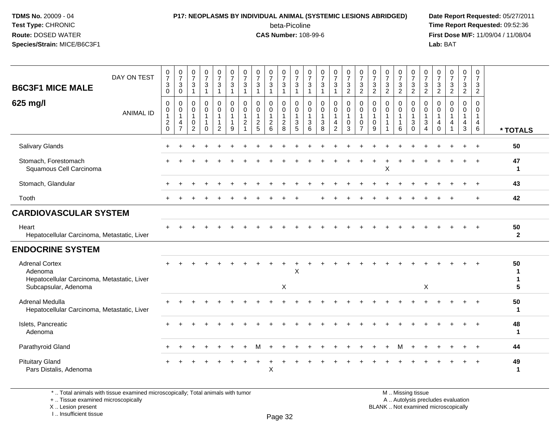### **P17: NEOPLASMS BY INDIVIDUAL ANIMAL (SYSTEMIC LESIONS ABRIDGED) Date Report Requested:** 05/27/2011

beta-Picoline<br>CAS Number: 108-99-6

 **Time Report Requested:** 09:52:36 **First Dose M/F:** 11/09/04 / 11/08/04<br>Lab: BAT **Lab:** BAT

| <b>B6C3F1 MICE MALE</b><br>625 mg/l                                                                     | DAY ON TEST<br><b>ANIMAL ID</b> | $\frac{0}{7}$<br>$\sqrt{3}$<br>$\mathbf 0$<br>$\mathbf 0$<br>$\pmb{0}$<br>$\mathbf{1}$ | $\frac{0}{7}$<br>$\sqrt{3}$<br>$\mathbf 0$<br>0<br>$\mathbf 0$<br>$\overline{1}$<br>4 | $\frac{0}{7}$<br>$\sqrt{3}$<br>$\overline{1}$<br>$\mathbf 0$<br>$\mathbf 0$<br>$\mathbf{1}$<br>$\mathbf 0$ | $\frac{0}{7}$<br>3<br>1<br>$\mathbf 0$<br>0<br>1 | $\frac{0}{7}$<br>$\mathbf{3}$<br>$\overline{1}$<br>$\mathbf 0$<br>$\mathbf 0$<br>$\mathbf{1}$<br>$\overline{1}$ | $\frac{0}{7}$<br>$\sqrt{3}$<br>1<br>$\mathbf 0$<br>$\pmb{0}$<br>1<br>1 | $\frac{0}{7}$<br>$\mathbf{3}$<br>$\overline{1}$<br>$\mathbf 0$<br>$\mathbf 0$<br>$\overline{1}$<br>$\overline{2}$ | $\frac{0}{7}$<br>$\ensuremath{\mathsf{3}}$<br>$\overline{1}$<br>$\mathbf 0$<br>$\mathbf 0$<br>$\mathbf{1}$ | $\frac{0}{7}$<br>3<br>1<br>0<br>$\mathbf 0$<br>1 | $\frac{0}{7}$<br>$\mathbf{3}$<br>$\mathbf{1}$<br>0<br>$\begin{smallmatrix}0\\1\end{smallmatrix}$ | $\frac{0}{7}$<br>$\sqrt{3}$<br>$\mathbf{1}$<br>$\mathbf 0$<br>$\pmb{0}$<br>$\mathbf{1}$<br>$\ensuremath{\mathsf{3}}$ | 0<br>$\overline{7}$<br>3<br>$\mathbf{1}$<br>$\mathbf 0$<br>$\mathbf 0$<br>$\mathbf{1}$<br>3 | $\frac{0}{7}$<br>$\ensuremath{\mathsf{3}}$<br>$\overline{1}$<br>$\mathbf 0$<br>$\pmb{0}$<br>$\mathbf{1}$<br>3 | $\frac{0}{7}$<br>$\mathbf{3}$<br>$\mathbf{1}$<br>0<br>$\mathbf 0$<br>$\mathbf{1}$<br>4 | $\frac{0}{7}$<br>$\mathbf{3}$<br>$\overline{2}$<br>$\mathbf 0$<br>$\mathbf 0$<br>$\mathbf{1}$<br>$\mathbf 0$ | $\frac{0}{7}$<br>$\ensuremath{\mathsf{3}}$<br>$\overline{2}$<br>$\mathbf 0$<br>$\mathbf 0$<br>$\mathbf{1}$<br>$\mathbf 0$ | 0<br>$\boldsymbol{7}$<br>$\mathbf{3}$<br>$\overline{2}$<br>$\mathbf 0$<br>0<br>$\mathbf{1}$<br>0 | $\frac{0}{7}$<br>$\frac{3}{2}$<br>$\mathbf 0$<br>$\mathbf 0$<br>$\overline{1}$<br>$\overline{1}$ | 0<br>$\overline{7}$<br>$\ensuremath{\mathsf{3}}$<br>2<br>0<br>$\mathbf 0$<br>$\mathbf{1}$<br>$\mathbf{1}$ | 0<br>$\overline{7}$<br>$\mathbf{3}$<br>$\overline{2}$<br>0<br>$\mathbf 0$<br>$\mathbf{1}$<br>$\mathbf{3}$ | $\frac{0}{7}$<br>$\mathbf{3}$<br>$\overline{2}$<br>0<br>$\mathsf{O}$<br>$\mathbf{1}$<br>3 | 0<br>$\overline{7}$<br>$\frac{3}{2}$<br>0<br>0<br>$\overline{1}$<br>$\overline{4}$ | $\frac{0}{7}$<br>$\frac{3}{2}$<br>$\mathbf 0$<br>$\mathbf 0$<br>$\mathbf{1}$<br>$\overline{4}$ | $\mathbf 0$<br>$\overline{7}$<br>3<br>$\overline{2}$<br>$\mathbf 0$<br>$\mathbf 0$<br>$\mathbf{1}$<br>4 | $\pmb{0}$<br>$\overline{7}$<br>3<br>$\overline{2}$<br>$\mathbf 0$<br>$\mathbf 0$<br>$\mathbf{1}$<br>$\overline{4}$ |                    |
|---------------------------------------------------------------------------------------------------------|---------------------------------|----------------------------------------------------------------------------------------|---------------------------------------------------------------------------------------|------------------------------------------------------------------------------------------------------------|--------------------------------------------------|-----------------------------------------------------------------------------------------------------------------|------------------------------------------------------------------------|-------------------------------------------------------------------------------------------------------------------|------------------------------------------------------------------------------------------------------------|--------------------------------------------------|--------------------------------------------------------------------------------------------------|----------------------------------------------------------------------------------------------------------------------|---------------------------------------------------------------------------------------------|---------------------------------------------------------------------------------------------------------------|----------------------------------------------------------------------------------------|--------------------------------------------------------------------------------------------------------------|---------------------------------------------------------------------------------------------------------------------------|--------------------------------------------------------------------------------------------------|--------------------------------------------------------------------------------------------------|-----------------------------------------------------------------------------------------------------------|-----------------------------------------------------------------------------------------------------------|-------------------------------------------------------------------------------------------|------------------------------------------------------------------------------------|------------------------------------------------------------------------------------------------|---------------------------------------------------------------------------------------------------------|--------------------------------------------------------------------------------------------------------------------|--------------------|
|                                                                                                         |                                 | $^2_{\rm 0}$                                                                           | $\overline{7}$                                                                        | $\overline{2}$                                                                                             | $\Omega$                                         | $\overline{c}$                                                                                                  | 9                                                                      |                                                                                                                   | $\frac{2}{5}$                                                                                              | $\frac{2}{6}$                                    | $\frac{2}{8}$                                                                                    | $\overline{5}$                                                                                                       | 6                                                                                           | 8                                                                                                             | $\overline{2}$                                                                         | $\overline{3}$                                                                                               | $\overline{7}$                                                                                                            | 9                                                                                                | -1                                                                                               | 6                                                                                                         | $\Omega$                                                                                                  | $\overline{4}$                                                                            | $\mathbf 0$                                                                        |                                                                                                | $\mathbf{3}$                                                                                            | $\,6\,$                                                                                                            | * TOTALS           |
| Salivary Glands                                                                                         |                                 |                                                                                        |                                                                                       |                                                                                                            |                                                  |                                                                                                                 |                                                                        |                                                                                                                   |                                                                                                            |                                                  |                                                                                                  |                                                                                                                      |                                                                                             |                                                                                                               |                                                                                        |                                                                                                              |                                                                                                                           |                                                                                                  |                                                                                                  |                                                                                                           |                                                                                                           |                                                                                           |                                                                                    |                                                                                                |                                                                                                         |                                                                                                                    | 50                 |
| Stomach, Forestomach<br>Squamous Cell Carcinoma                                                         |                                 |                                                                                        |                                                                                       |                                                                                                            |                                                  |                                                                                                                 |                                                                        |                                                                                                                   |                                                                                                            |                                                  |                                                                                                  |                                                                                                                      |                                                                                             |                                                                                                               |                                                                                        |                                                                                                              |                                                                                                                           |                                                                                                  | X                                                                                                |                                                                                                           |                                                                                                           |                                                                                           |                                                                                    |                                                                                                |                                                                                                         |                                                                                                                    | 47<br>$\mathbf 1$  |
| Stomach, Glandular                                                                                      |                                 |                                                                                        |                                                                                       |                                                                                                            |                                                  |                                                                                                                 |                                                                        |                                                                                                                   |                                                                                                            |                                                  |                                                                                                  |                                                                                                                      |                                                                                             |                                                                                                               |                                                                                        |                                                                                                              |                                                                                                                           |                                                                                                  |                                                                                                  |                                                                                                           |                                                                                                           |                                                                                           |                                                                                    |                                                                                                |                                                                                                         | $\ddot{}$                                                                                                          | 43                 |
| Tooth                                                                                                   |                                 |                                                                                        |                                                                                       |                                                                                                            |                                                  |                                                                                                                 |                                                                        |                                                                                                                   |                                                                                                            |                                                  |                                                                                                  |                                                                                                                      |                                                                                             |                                                                                                               |                                                                                        |                                                                                                              |                                                                                                                           |                                                                                                  |                                                                                                  |                                                                                                           |                                                                                                           |                                                                                           |                                                                                    |                                                                                                |                                                                                                         | $\div$                                                                                                             | 42                 |
| <b>CARDIOVASCULAR SYSTEM</b>                                                                            |                                 |                                                                                        |                                                                                       |                                                                                                            |                                                  |                                                                                                                 |                                                                        |                                                                                                                   |                                                                                                            |                                                  |                                                                                                  |                                                                                                                      |                                                                                             |                                                                                                               |                                                                                        |                                                                                                              |                                                                                                                           |                                                                                                  |                                                                                                  |                                                                                                           |                                                                                                           |                                                                                           |                                                                                    |                                                                                                |                                                                                                         |                                                                                                                    |                    |
| Heart<br>Hepatocellular Carcinoma, Metastatic, Liver                                                    |                                 |                                                                                        |                                                                                       |                                                                                                            |                                                  |                                                                                                                 |                                                                        |                                                                                                                   |                                                                                                            |                                                  |                                                                                                  |                                                                                                                      |                                                                                             |                                                                                                               |                                                                                        |                                                                                                              |                                                                                                                           |                                                                                                  |                                                                                                  |                                                                                                           |                                                                                                           |                                                                                           |                                                                                    |                                                                                                |                                                                                                         |                                                                                                                    | 50<br>$\mathbf{2}$ |
| <b>ENDOCRINE SYSTEM</b>                                                                                 |                                 |                                                                                        |                                                                                       |                                                                                                            |                                                  |                                                                                                                 |                                                                        |                                                                                                                   |                                                                                                            |                                                  |                                                                                                  |                                                                                                                      |                                                                                             |                                                                                                               |                                                                                        |                                                                                                              |                                                                                                                           |                                                                                                  |                                                                                                  |                                                                                                           |                                                                                                           |                                                                                           |                                                                                    |                                                                                                |                                                                                                         |                                                                                                                    |                    |
| <b>Adrenal Cortex</b><br>Adenoma<br>Hepatocellular Carcinoma, Metastatic, Liver<br>Subcapsular, Adenoma |                                 |                                                                                        |                                                                                       |                                                                                                            |                                                  |                                                                                                                 |                                                                        |                                                                                                                   |                                                                                                            |                                                  | $\times$                                                                                         | X                                                                                                                    |                                                                                             |                                                                                                               |                                                                                        |                                                                                                              |                                                                                                                           |                                                                                                  |                                                                                                  |                                                                                                           |                                                                                                           | $\boldsymbol{\mathsf{X}}$                                                                 |                                                                                    |                                                                                                |                                                                                                         |                                                                                                                    | 50<br>-1<br>5      |
| Adrenal Medulla<br>Hepatocellular Carcinoma, Metastatic, Liver                                          |                                 |                                                                                        |                                                                                       |                                                                                                            |                                                  |                                                                                                                 |                                                                        |                                                                                                                   |                                                                                                            |                                                  |                                                                                                  |                                                                                                                      |                                                                                             |                                                                                                               |                                                                                        |                                                                                                              |                                                                                                                           |                                                                                                  |                                                                                                  |                                                                                                           |                                                                                                           |                                                                                           |                                                                                    |                                                                                                |                                                                                                         |                                                                                                                    | 50<br>$\mathbf{1}$ |
| Islets, Pancreatic<br>Adenoma                                                                           |                                 |                                                                                        |                                                                                       |                                                                                                            |                                                  |                                                                                                                 |                                                                        |                                                                                                                   |                                                                                                            |                                                  |                                                                                                  |                                                                                                                      |                                                                                             |                                                                                                               |                                                                                        |                                                                                                              |                                                                                                                           |                                                                                                  |                                                                                                  |                                                                                                           |                                                                                                           |                                                                                           |                                                                                    |                                                                                                |                                                                                                         |                                                                                                                    | 48<br>1            |
| Parathyroid Gland                                                                                       |                                 |                                                                                        |                                                                                       |                                                                                                            |                                                  |                                                                                                                 |                                                                        |                                                                                                                   | м                                                                                                          | $\div$                                           |                                                                                                  |                                                                                                                      |                                                                                             |                                                                                                               |                                                                                        |                                                                                                              |                                                                                                                           |                                                                                                  |                                                                                                  | м                                                                                                         | $\ddot{}$                                                                                                 |                                                                                           |                                                                                    |                                                                                                |                                                                                                         | $\overline{+}$                                                                                                     | 44                 |
| <b>Pituitary Gland</b><br>Pars Distalis, Adenoma                                                        |                                 |                                                                                        |                                                                                       |                                                                                                            |                                                  |                                                                                                                 |                                                                        |                                                                                                                   |                                                                                                            | $\ddot{}$<br>X                                   |                                                                                                  |                                                                                                                      |                                                                                             |                                                                                                               |                                                                                        |                                                                                                              |                                                                                                                           |                                                                                                  |                                                                                                  |                                                                                                           |                                                                                                           |                                                                                           |                                                                                    |                                                                                                |                                                                                                         |                                                                                                                    | 49<br>-1           |

\* .. Total animals with tissue examined microscopically; Total animals with tumor

+ .. Tissue examined microscopically

 Lesion present BLANK .. Not examined microscopicallyX .. Lesion present

I .. Insufficient tissue

M .. Missing tissue y the contract of the contract of the contract of the contract of the contract of  $\mathsf A$  . Autolysis precludes evaluation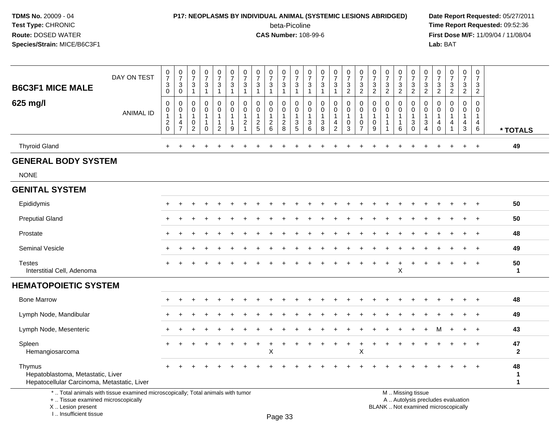I .. Insufficient tissue

### **P17: NEOPLASMS BY INDIVIDUAL ANIMAL (SYSTEMIC LESIONS ABRIDGED) Date Report Requested:** 05/27/2011

beta-Picoline<br>CAS Number: 108-99-6

 **Time Report Requested:** 09:52:36 **First Dose M/F:** 11/09/04 / 11/08/04<br>Lab: BAT **Lab:** BAT

| <b>B6C3F1 MICE MALE</b>                                                                                                                    | DAY ON TEST      | $\frac{0}{7}$<br>3<br>$\mathsf{O}\xspace$ | $\frac{0}{7}$<br>$\sqrt{3}$<br>$\mathbf 0$                                            | $\begin{array}{c} 0 \\ 7 \end{array}$<br>$\sqrt{3}$<br>$\mathbf{1}$ | $\frac{0}{7}$<br>3<br>$\mathbf{1}$                   | $\frac{0}{7}$<br>$\ensuremath{\mathsf{3}}$<br>$\mathbf{1}$         | $\frac{0}{7}$<br>$\ensuremath{\mathsf{3}}$<br>$\mathbf{1}$ | $\frac{0}{7}$<br>3<br>$\mathbf 1$          | $\begin{array}{c} 0 \\ 7 \end{array}$<br>3<br>$\overline{1}$ | $\frac{0}{7}$<br>$\ensuremath{\mathsf{3}}$<br>$\mathbf{1}$ | $\frac{0}{7}$<br>$\ensuremath{\mathsf{3}}$<br>$\mathbf{1}$ | $\frac{0}{7}$<br>3<br>$\mathbf{1}$            | $\frac{0}{7}$<br>$\mathbf{3}$<br>$\mathbf{1}$                                      | $\frac{0}{7}$<br>$\ensuremath{\mathsf{3}}$<br>$\mathbf{1}$                      | $\frac{0}{7}$<br>$\mathbf{3}$<br>$\mathbf{1}$ | $\begin{array}{c} 0 \\ 7 \end{array}$<br>$\sqrt{3}$<br>$\sqrt{2}$         | $\frac{0}{7}$<br>3<br>$\overline{2}$                    | $\frac{0}{7}$<br>3<br>$\overline{2}$ | $\begin{array}{c} 0 \\ 7 \end{array}$<br>$\mathbf{3}$<br>$\overline{2}$ | $\begin{array}{c} 0 \\ 7 \end{array}$<br>$\mathbf{3}$<br>$\boldsymbol{2}$ | $\frac{0}{7}$<br>$\ensuremath{\mathsf{3}}$<br>$\overline{2}$ | 0<br>$\overline{7}$<br>3<br>$\sqrt{2}$     | $\frac{0}{7}$<br>$\ensuremath{\mathsf{3}}$<br>$\overline{2}$   | $\frac{0}{7}$<br>$\ensuremath{\mathsf{3}}$<br>$\overline{2}$ | $\begin{smallmatrix}0\\7\end{smallmatrix}$<br>3<br>$\overline{2}$ | $\pmb{0}$<br>$\overline{7}$<br>3<br>$\overline{2}$                        |                        |
|--------------------------------------------------------------------------------------------------------------------------------------------|------------------|-------------------------------------------|---------------------------------------------------------------------------------------|---------------------------------------------------------------------|------------------------------------------------------|--------------------------------------------------------------------|------------------------------------------------------------|--------------------------------------------|--------------------------------------------------------------|------------------------------------------------------------|------------------------------------------------------------|-----------------------------------------------|------------------------------------------------------------------------------------|---------------------------------------------------------------------------------|-----------------------------------------------|---------------------------------------------------------------------------|---------------------------------------------------------|--------------------------------------|-------------------------------------------------------------------------|---------------------------------------------------------------------------|--------------------------------------------------------------|--------------------------------------------|----------------------------------------------------------------|--------------------------------------------------------------|-------------------------------------------------------------------|---------------------------------------------------------------------------|------------------------|
| 625 mg/l                                                                                                                                   | <b>ANIMAL ID</b> | 0<br>$\pmb{0}$<br>1<br>$^2_{\rm 0}$       | $\mathbf 0$<br>$\boldsymbol{0}$<br>$\overline{1}$<br>$\overline{4}$<br>$\overline{7}$ | 0<br>0<br>$\mathbf{1}$<br>0<br>$\overline{c}$                       | 0<br>$\mathbf 0$<br>$\mathbf{1}$<br>1<br>$\mathbf 0$ | 0<br>$\mathbf 0$<br>$\mathbf{1}$<br>$\mathbf{1}$<br>$\overline{c}$ | 0<br>0<br>$\mathbf{1}$<br>$\mathbf{1}$<br>9                | 0<br>0<br>$\overline{1}$<br>$\overline{2}$ | $\mathbf 0$<br>$\mathbf 0$<br>$\mathbf{1}$<br>$\frac{2}{5}$  | 0<br>$\mathbf 0$<br>$\mathbf{1}$<br>$^2\phantom{1}6$       | 0<br>0<br>$\mathbf{1}$<br>$\frac{2}{8}$                    | 0<br>0<br>$\mathbf{1}$<br>3<br>$\overline{5}$ | $\mathbf 0$<br>0<br>$\overline{1}$<br>$\ensuremath{\mathsf{3}}$<br>$6\overline{6}$ | 0<br>$\mathbf 0$<br>$\mathbf{1}$<br>$\ensuremath{\mathsf{3}}$<br>$\overline{8}$ | 0<br>0<br>$\overline{1}$<br>4<br>$\sqrt{2}$   | $\mathbf 0$<br>$\pmb{0}$<br>$\overline{1}$<br>$\mathbf 0$<br>$\mathbf{3}$ | 0<br>0<br>$\mathbf{1}$<br>$\mathbf 0$<br>$\overline{7}$ | 0<br>0<br>-1<br>$\mathbf 0$<br>9     | $\mathbf 0$<br>0                                                        | $\mathbf 0$<br>$\mathbf 0$<br>$\overline{1}$<br>$\overline{1}$<br>6       | 0<br>0<br>$\overline{1}$<br>$\sqrt{3}$<br>$\mathbf 0$        | $\mathbf 0$<br>0<br>$\mathbf{1}$<br>3<br>4 | $\mathbf 0$<br>$\mathbf 0$<br>$\mathbf{1}$<br>4<br>$\mathbf 0$ | $\mathbf 0$<br>0<br>$\mathbf{1}$<br>4<br>$\overline{1}$      | 0<br>$\overline{0}$<br>$\mathbf{1}$<br>4<br>$\mathbf{3}$          | $\mathbf 0$<br>$\mathbf 0$<br>$\overline{1}$<br>$\overline{4}$<br>$\,6\,$ | * TOTALS               |
| <b>Thyroid Gland</b>                                                                                                                       |                  | $\ddot{}$                                 | +                                                                                     |                                                                     |                                                      |                                                                    | $\overline{1}$                                             |                                            |                                                              |                                                            |                                                            |                                               |                                                                                    |                                                                                 | $\div$                                        |                                                                           |                                                         |                                      | $\ddot{}$                                                               | ÷                                                                         | $\div$                                                       | ÷                                          |                                                                | $\ddot{}$                                                    | $+$                                                               | $\ddot{}$                                                                 | 49                     |
| <b>GENERAL BODY SYSTEM</b>                                                                                                                 |                  |                                           |                                                                                       |                                                                     |                                                      |                                                                    |                                                            |                                            |                                                              |                                                            |                                                            |                                               |                                                                                    |                                                                                 |                                               |                                                                           |                                                         |                                      |                                                                         |                                                                           |                                                              |                                            |                                                                |                                                              |                                                                   |                                                                           |                        |
| <b>NONE</b>                                                                                                                                |                  |                                           |                                                                                       |                                                                     |                                                      |                                                                    |                                                            |                                            |                                                              |                                                            |                                                            |                                               |                                                                                    |                                                                                 |                                               |                                                                           |                                                         |                                      |                                                                         |                                                                           |                                                              |                                            |                                                                |                                                              |                                                                   |                                                                           |                        |
| <b>GENITAL SYSTEM</b>                                                                                                                      |                  |                                           |                                                                                       |                                                                     |                                                      |                                                                    |                                                            |                                            |                                                              |                                                            |                                                            |                                               |                                                                                    |                                                                                 |                                               |                                                                           |                                                         |                                      |                                                                         |                                                                           |                                                              |                                            |                                                                |                                                              |                                                                   |                                                                           |                        |
| Epididymis                                                                                                                                 |                  |                                           |                                                                                       |                                                                     |                                                      |                                                                    |                                                            |                                            |                                                              |                                                            |                                                            |                                               |                                                                                    |                                                                                 |                                               |                                                                           |                                                         |                                      |                                                                         |                                                                           |                                                              |                                            |                                                                |                                                              |                                                                   | $\ddot{}$                                                                 | 50                     |
| <b>Preputial Gland</b>                                                                                                                     |                  |                                           |                                                                                       |                                                                     |                                                      |                                                                    |                                                            |                                            |                                                              |                                                            |                                                            |                                               |                                                                                    |                                                                                 |                                               |                                                                           |                                                         |                                      |                                                                         |                                                                           |                                                              |                                            |                                                                |                                                              |                                                                   |                                                                           | 50                     |
| Prostate                                                                                                                                   |                  |                                           |                                                                                       |                                                                     |                                                      |                                                                    |                                                            |                                            |                                                              |                                                            |                                                            |                                               |                                                                                    |                                                                                 |                                               |                                                                           |                                                         |                                      |                                                                         |                                                                           |                                                              |                                            |                                                                |                                                              | $\div$                                                            | $\overline{+}$                                                            | 48                     |
| Seminal Vesicle                                                                                                                            |                  |                                           |                                                                                       |                                                                     |                                                      |                                                                    |                                                            |                                            |                                                              |                                                            |                                                            |                                               |                                                                                    |                                                                                 |                                               |                                                                           |                                                         |                                      |                                                                         |                                                                           |                                                              |                                            |                                                                |                                                              |                                                                   | $\overline{ }$                                                            | 49                     |
| <b>Testes</b><br>Interstitial Cell, Adenoma                                                                                                |                  |                                           |                                                                                       |                                                                     |                                                      |                                                                    |                                                            |                                            |                                                              |                                                            |                                                            |                                               |                                                                                    |                                                                                 |                                               |                                                                           |                                                         |                                      |                                                                         | $\mathsf X$                                                               |                                                              |                                            |                                                                |                                                              |                                                                   |                                                                           | 50<br>1                |
| <b>HEMATOPOIETIC SYSTEM</b>                                                                                                                |                  |                                           |                                                                                       |                                                                     |                                                      |                                                                    |                                                            |                                            |                                                              |                                                            |                                                            |                                               |                                                                                    |                                                                                 |                                               |                                                                           |                                                         |                                      |                                                                         |                                                                           |                                                              |                                            |                                                                |                                                              |                                                                   |                                                                           |                        |
| <b>Bone Marrow</b>                                                                                                                         |                  |                                           |                                                                                       |                                                                     |                                                      |                                                                    |                                                            |                                            |                                                              |                                                            |                                                            |                                               |                                                                                    |                                                                                 |                                               |                                                                           |                                                         |                                      |                                                                         |                                                                           |                                                              |                                            |                                                                |                                                              |                                                                   |                                                                           | 48                     |
| Lymph Node, Mandibular                                                                                                                     |                  |                                           |                                                                                       |                                                                     |                                                      |                                                                    |                                                            |                                            |                                                              |                                                            |                                                            |                                               |                                                                                    |                                                                                 |                                               |                                                                           |                                                         |                                      |                                                                         |                                                                           |                                                              |                                            |                                                                |                                                              |                                                                   | $\overline{ }$                                                            | 49                     |
| Lymph Node, Mesenteric                                                                                                                     |                  |                                           |                                                                                       |                                                                     |                                                      |                                                                    |                                                            |                                            |                                                              |                                                            |                                                            |                                               |                                                                                    |                                                                                 |                                               |                                                                           |                                                         |                                      |                                                                         |                                                                           |                                                              |                                            |                                                                |                                                              |                                                                   |                                                                           | 43                     |
| Spleen<br>Hemangiosarcoma                                                                                                                  |                  | $\ddot{}$                                 |                                                                                       |                                                                     |                                                      |                                                                    |                                                            |                                            |                                                              | $\mathsf X$                                                |                                                            |                                               |                                                                                    |                                                                                 |                                               |                                                                           | X                                                       |                                      |                                                                         |                                                                           |                                                              |                                            |                                                                |                                                              | $\ddot{}$                                                         | $+$                                                                       | 47<br>$\mathbf{2}$     |
| Thymus<br>Hepatoblastoma, Metastatic, Liver<br>Hepatocellular Carcinoma, Metastatic, Liver                                                 |                  |                                           |                                                                                       |                                                                     |                                                      |                                                                    |                                                            |                                            |                                                              |                                                            |                                                            |                                               |                                                                                    |                                                                                 |                                               |                                                                           |                                                         |                                      |                                                                         |                                                                           |                                                              |                                            |                                                                |                                                              |                                                                   |                                                                           | 48<br>1<br>$\mathbf 1$ |
| *  Total animals with tissue examined microscopically; Total animals with tumor<br>+  Tissue examined microscopically<br>X  Lesion present |                  |                                           |                                                                                       |                                                                     |                                                      |                                                                    |                                                            |                                            |                                                              |                                                            |                                                            |                                               |                                                                                    |                                                                                 |                                               |                                                                           |                                                         |                                      | M  Missing tissue<br>BLANK  Not examined microscopically                |                                                                           | A  Autolysis precludes evaluation                            |                                            |                                                                |                                                              |                                                                   |                                                                           |                        |

Page 33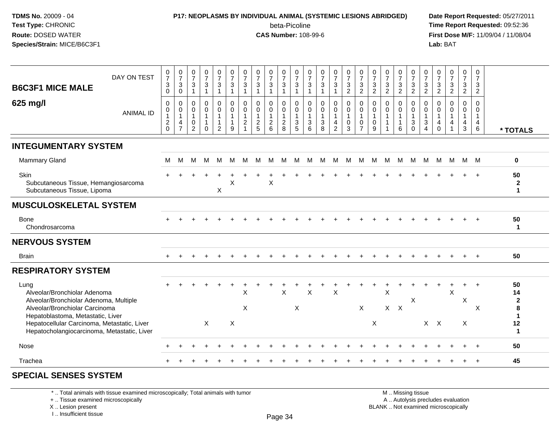### **P17: NEOPLASMS BY INDIVIDUAL ANIMAL (SYSTEMIC LESIONS ABRIDGED) Date Report Requested:** 05/27/2011

beta-Picoline<br>CAS Number: 108-99-6

 **Time Report Requested:** 09:52:36 **First Dose M/F:** 11/09/04 / 11/08/04<br>Lab: BAT **Lab:** BAT

| <b>B6C3F1 MICE MALE</b>                                                                                                                               | DAY ON TEST      | $\frac{0}{7}$<br>$\sqrt{3}$<br>$\mathbf 0$                            | $\frac{0}{7}$<br>$\mathsf 3$<br>0                                  | $\frac{0}{7}$<br>$\mathsf 3$<br>$\mathbf{1}$                              | $\frac{0}{7}$<br>3                   | $\frac{0}{7}$<br>$\ensuremath{\mathsf{3}}$<br>$\overline{1}$                 | $\frac{0}{7}$<br>$\mathbf 3$<br>$\mathbf{1}$                                 | $\frac{0}{7}$<br>3<br>1                   | $\frac{0}{7}$<br>3<br>1                                   | $\begin{array}{c} 0 \\ 7 \end{array}$<br>$\sqrt{3}$<br>$\mathbf{1}$                    | $\frac{0}{7}$<br>$\mathbf{3}$<br>$\overline{1}$                   | $\frac{0}{7}$<br>$\sqrt{3}$<br>$\overline{1}$                            | $\frac{0}{7}$<br>$\mathbf{3}$<br>$\mathbf{1}$               | $\frac{0}{7}$<br>$\mathbf{3}$<br>$\mathbf{1}$                 | $\frac{0}{7}$<br>$\mathbf{3}$<br>$\mathbf{1}$           | $\frac{0}{7}$<br>$\mathbf{3}$<br>$\overline{2}$                                   | $\frac{0}{7}$<br>$\sqrt{3}$<br>$\overline{2}$                             | $\frac{0}{7}$<br>$\mathbf{3}$<br>$\overline{2}$               | $\frac{0}{7}$<br>$\mathbf{3}$<br>$\overline{c}$ | $\frac{0}{7}$<br>$\mathbf{3}$<br>$\overline{c}$ | $\frac{0}{7}$<br>$\frac{3}{2}$                                        | $\frac{0}{7}$<br>$\ensuremath{\mathsf{3}}$<br>$\overline{c}$ | $\frac{0}{7}$<br>$\mathbf{3}$<br>$\overline{2}$            | $\frac{0}{7}$<br>$\mathbf{3}$<br>$\overline{2}$                | $\frac{0}{7}$<br>3<br>$\overline{2}$ | 0<br>$\overline{7}$<br>$\mathbf{3}$<br>$\overline{2}$          |                                               |
|-------------------------------------------------------------------------------------------------------------------------------------------------------|------------------|-----------------------------------------------------------------------|--------------------------------------------------------------------|---------------------------------------------------------------------------|--------------------------------------|------------------------------------------------------------------------------|------------------------------------------------------------------------------|-------------------------------------------|-----------------------------------------------------------|----------------------------------------------------------------------------------------|-------------------------------------------------------------------|--------------------------------------------------------------------------|-------------------------------------------------------------|---------------------------------------------------------------|---------------------------------------------------------|-----------------------------------------------------------------------------------|---------------------------------------------------------------------------|---------------------------------------------------------------|-------------------------------------------------|-------------------------------------------------|-----------------------------------------------------------------------|--------------------------------------------------------------|------------------------------------------------------------|----------------------------------------------------------------|--------------------------------------|----------------------------------------------------------------|-----------------------------------------------|
| 625 mg/l                                                                                                                                              | <b>ANIMAL ID</b> | $\mathbf 0$<br>$\pmb{0}$<br>$\mathbf{1}$<br>$\sqrt{2}$<br>$\mathbf 0$ | 0<br>$\pmb{0}$<br>$\mathbf{1}$<br>$\overline{4}$<br>$\overline{7}$ | $\mathbf 0$<br>$\pmb{0}$<br>$\mathbf{1}$<br>$\mathbf 0$<br>$\overline{2}$ | $\mathbf 0$<br>$\pmb{0}$<br>$\Omega$ | $\pmb{0}$<br>$\pmb{0}$<br>$\overline{1}$<br>$\overline{1}$<br>$\overline{2}$ | $\mathbf 0$<br>$\mathbf 0$<br>$\mathbf{1}$<br>$\mathbf{1}$<br>$\overline{9}$ | $\Omega$<br>$\mathbf 0$<br>$\overline{c}$ | $\mathbf 0$<br>$\pmb{0}$<br>$\mathbf{1}$<br>$\frac{2}{5}$ | $\mathbf 0$<br>$\mathsf{O}\xspace$<br>$\mathbf{1}$<br>$\overline{2}$<br>$6\phantom{a}$ | $\mathbf 0$<br>$\mathbf 0$<br>$\mathbf{1}$<br>$\overline{2}$<br>8 | $\Omega$<br>$\mathsf{O}$<br>$\mathbf{1}$<br>$\sqrt{3}$<br>$\overline{5}$ | $\mathbf 0$<br>$\pmb{0}$<br>$\mathbf{1}$<br>$\sqrt{3}$<br>6 | $\mathbf 0$<br>$\pmb{0}$<br>$\mathbf{1}$<br>$\mathbf{3}$<br>8 | 0<br>$\mathbf 0$<br>$\mathbf{1}$<br>4<br>$\overline{c}$ | 0<br>$\mathsf{O}\xspace$<br>$\mathbf{1}$<br>$\mathsf{O}\xspace$<br>$\mathfrak{Z}$ | $\mathbf 0$<br>$\pmb{0}$<br>$\mathbf{1}$<br>$\mathbf 0$<br>$\overline{7}$ | $\Omega$<br>$\mathbf 0$<br>$\overline{1}$<br>$\mathbf 0$<br>9 | $\Omega$<br>$\mathbf 0$<br>1<br>$\mathbf{1}$    | 0<br>$\mathbf 0$<br>$\mathbf{1}$<br>1<br>6      | 0<br>$\mathsf{O}\xspace$<br>$\mathbf{1}$<br>$\sqrt{3}$<br>$\mathbf 0$ | $\Omega$<br>$\mathbf 0$<br>$\overline{1}$<br>$\sqrt{3}$<br>4 | $\Omega$<br>$\mathbf 0$<br>$\overline{1}$<br>4<br>$\Omega$ | $\Omega$<br>$\mathbf 0$<br>$\mathbf{1}$<br>$\overline{4}$<br>1 | 0<br>0<br>1<br>4<br>3                | $\Omega$<br>$\mathbf 0$<br>$\mathbf{1}$<br>4<br>$6\phantom{a}$ | * TOTALS                                      |
| <b>INTEGUMENTARY SYSTEM</b>                                                                                                                           |                  |                                                                       |                                                                    |                                                                           |                                      |                                                                              |                                                                              |                                           |                                                           |                                                                                        |                                                                   |                                                                          |                                                             |                                                               |                                                         |                                                                                   |                                                                           |                                                               |                                                 |                                                 |                                                                       |                                                              |                                                            |                                                                |                                      |                                                                |                                               |
| <b>Mammary Gland</b>                                                                                                                                  |                  | M                                                                     | M                                                                  | M                                                                         | M                                    | M                                                                            | M                                                                            | М                                         | М                                                         | M                                                                                      | M                                                                 | М                                                                        | M                                                           | M                                                             | M                                                       | M                                                                                 | M                                                                         | M                                                             | M                                               | M                                               | M                                                                     | M                                                            | M                                                          |                                                                | M M M                                |                                                                | $\mathbf 0$                                   |
| Skin<br>Subcutaneous Tissue, Hemangiosarcoma<br>Subcutaneous Tissue, Lipoma                                                                           |                  |                                                                       |                                                                    |                                                                           |                                      | X                                                                            | X                                                                            |                                           |                                                           | X                                                                                      |                                                                   |                                                                          |                                                             |                                                               |                                                         |                                                                                   |                                                                           |                                                               |                                                 |                                                 |                                                                       |                                                              |                                                            |                                                                |                                      |                                                                | 50<br>$\mathbf{2}$<br>1                       |
| <b>MUSCULOSKELETAL SYSTEM</b>                                                                                                                         |                  |                                                                       |                                                                    |                                                                           |                                      |                                                                              |                                                                              |                                           |                                                           |                                                                                        |                                                                   |                                                                          |                                                             |                                                               |                                                         |                                                                                   |                                                                           |                                                               |                                                 |                                                 |                                                                       |                                                              |                                                            |                                                                |                                      |                                                                |                                               |
| <b>Bone</b><br>Chondrosarcoma                                                                                                                         |                  |                                                                       |                                                                    |                                                                           |                                      |                                                                              |                                                                              |                                           |                                                           |                                                                                        |                                                                   |                                                                          |                                                             |                                                               |                                                         |                                                                                   |                                                                           |                                                               |                                                 |                                                 |                                                                       |                                                              |                                                            |                                                                |                                      |                                                                | 50<br>$\mathbf{1}$                            |
| <b>NERVOUS SYSTEM</b>                                                                                                                                 |                  |                                                                       |                                                                    |                                                                           |                                      |                                                                              |                                                                              |                                           |                                                           |                                                                                        |                                                                   |                                                                          |                                                             |                                                               |                                                         |                                                                                   |                                                                           |                                                               |                                                 |                                                 |                                                                       |                                                              |                                                            |                                                                |                                      |                                                                |                                               |
| <b>Brain</b>                                                                                                                                          |                  |                                                                       |                                                                    |                                                                           |                                      |                                                                              |                                                                              |                                           |                                                           |                                                                                        |                                                                   |                                                                          |                                                             |                                                               |                                                         |                                                                                   |                                                                           |                                                               |                                                 |                                                 |                                                                       |                                                              |                                                            |                                                                |                                      | $+$                                                            | 50                                            |
| <b>RESPIRATORY SYSTEM</b>                                                                                                                             |                  |                                                                       |                                                                    |                                                                           |                                      |                                                                              |                                                                              |                                           |                                                           |                                                                                        |                                                                   |                                                                          |                                                             |                                                               |                                                         |                                                                                   |                                                                           |                                                               |                                                 |                                                 |                                                                       |                                                              |                                                            |                                                                |                                      |                                                                |                                               |
| Lung<br>Alveolar/Bronchiolar Adenoma<br>Alveolar/Bronchiolar Adenoma, Multiple<br>Alveolar/Bronchiolar Carcinoma<br>Hepatoblastoma, Metastatic, Liver |                  |                                                                       |                                                                    |                                                                           |                                      |                                                                              |                                                                              | X<br>$\boldsymbol{\mathsf{X}}$            |                                                           |                                                                                        | X                                                                 | X                                                                        | X                                                           |                                                               | X                                                       |                                                                                   | X                                                                         |                                                               | X                                               | $X$ $X$                                         | X                                                                     |                                                              | $X \times$                                                 | X                                                              | $+$<br>X                             | $\ddot{}$<br>$\times$                                          | 50<br>14<br>$\mathbf{2}$<br>8<br>$\mathbf{1}$ |
| Hepatocellular Carcinoma, Metastatic, Liver<br>Hepatocholangiocarcinoma, Metastatic, Liver                                                            |                  |                                                                       |                                                                    |                                                                           | X                                    |                                                                              | X                                                                            |                                           |                                                           |                                                                                        |                                                                   |                                                                          |                                                             |                                                               |                                                         |                                                                                   |                                                                           | X                                                             |                                                 |                                                 |                                                                       |                                                              |                                                            |                                                                | X                                    |                                                                | 12<br>$\mathbf 1$                             |
| Nose                                                                                                                                                  |                  |                                                                       |                                                                    |                                                                           |                                      |                                                                              |                                                                              |                                           |                                                           |                                                                                        |                                                                   |                                                                          |                                                             |                                                               |                                                         |                                                                                   |                                                                           |                                                               |                                                 |                                                 |                                                                       |                                                              |                                                            |                                                                |                                      |                                                                | 50                                            |
| Trachea                                                                                                                                               |                  |                                                                       |                                                                    |                                                                           |                                      |                                                                              |                                                                              |                                           |                                                           |                                                                                        |                                                                   |                                                                          |                                                             |                                                               |                                                         |                                                                                   |                                                                           |                                                               |                                                 |                                                 |                                                                       |                                                              |                                                            |                                                                |                                      |                                                                | 45                                            |
|                                                                                                                                                       |                  |                                                                       |                                                                    |                                                                           |                                      |                                                                              |                                                                              |                                           |                                                           |                                                                                        |                                                                   |                                                                          |                                                             |                                                               |                                                         |                                                                                   |                                                                           |                                                               |                                                 |                                                 |                                                                       |                                                              |                                                            |                                                                |                                      |                                                                |                                               |

#### **SPECIAL SENSES SYSTEM**

\* .. Total animals with tissue examined microscopically; Total animals with tumor

+ .. Tissue examined microscopically

X .. Lesion present

I .. Insufficient tissue

 M .. Missing tissuey the contract of the contract of the contract of the contract of the contract of  $\mathsf A$  . Autolysis precludes evaluation

Lesion present BLANK .. Not examined microscopically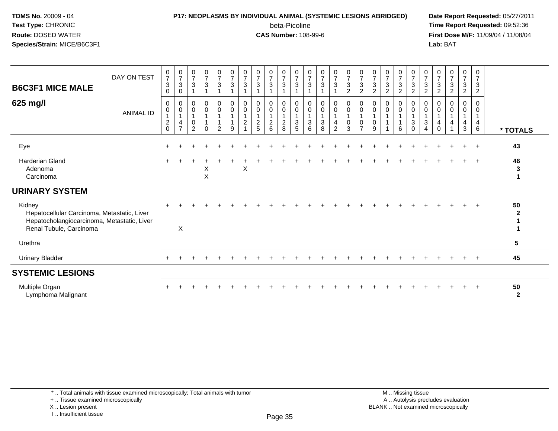### **P17: NEOPLASMS BY INDIVIDUAL ANIMAL (SYSTEMIC LESIONS ABRIDGED) Date Report Requested:** 05/27/2011

beta-Picoline<br>CAS Number: 108-99-6

 **Time Report Requested:** 09:52:36 **First Dose M/F:** 11/09/04 / 11/08/04<br>Lab: BAT **Lab:** BAT

| <b>B6C3F1 MICE MALE</b><br>625 mg/l                                                                                             | DAY ON TEST      | $\frac{0}{7}$<br>$\mathbf{3}$<br>$\Omega$<br>0<br>$\mathbf 0$ | $\frac{0}{7}$<br>$\sqrt{3}$<br>0<br>0<br>$\pmb{0}$ | $\frac{0}{7}$<br>$\sqrt{3}$<br>0<br>$\mathbf 0$ | $\frac{0}{7}$<br>$\mathbf{3}$<br>$_0^0$ | $\frac{0}{7}$<br>$\mathbf{3}$<br>0<br>$\mathsf{O}$ | $\frac{0}{7}$<br>$\mathbf{3}$<br>$_{\rm 0}^{\rm 0}$ | $\frac{0}{7}$<br>$\mathbf{3}$<br>0<br>$\pmb{0}$ | $\frac{0}{7}$<br>$\mathfrak{S}$<br>0<br>$\boldsymbol{0}$ | $\frac{0}{7}$<br>3<br>0<br>$\pmb{0}$  | $\begin{array}{c} 0 \\ 7 \\ 3 \end{array}$<br>0<br>$\boldsymbol{0}$ | $\frac{0}{7}$<br>$\mathbf{3}$<br>$_{\rm 0}^{\rm 0}$ | $\frac{0}{7}$<br>$\mathsf 3$<br>1<br>0<br>$\mathbf 0$ | $\frac{0}{7}$<br>$\mathbf{3}$<br>0<br>$\mathbf 0$ | $\frac{0}{7}$<br>3<br>0<br>0 | $\begin{array}{c} 0 \\ 7 \\ 3 \end{array}$<br>$\overline{c}$<br>$_0^0$ | $\frac{0}{7}$<br>$\sqrt{3}$<br>$\sqrt{2}$<br>$_{\rm 0}^{\rm 0}$ | $\frac{0}{7}$<br>$\sqrt{3}$<br>$\sqrt{2}$<br>0<br>$\mathbf 0$ | $\frac{0}{7}$<br>$\mathfrak{S}$<br>$\boldsymbol{2}$<br>0<br>$\mathbf 0$ | $\frac{0}{7}$<br>3<br>$\overline{2}$<br>0<br>0 | $\begin{array}{c} 0 \\ 7 \\ 3 \end{array}$<br>$\boldsymbol{2}$<br>0<br>$\boldsymbol{0}$ | $\frac{0}{7}$<br>$\mathbf{3}$<br>$\sqrt{2}$<br>0<br>$\pmb{0}$ | $\frac{0}{7}$<br>$\sqrt{3}$<br>$\sqrt{2}$<br>0<br>$\mathbf 0$ | $\frac{0}{7}$<br>$\mathbf{3}$<br>$\overline{c}$<br>$\Omega$<br>$\Omega$ | $\frac{0}{7}$<br>3<br>$\overline{2}$<br>$\Omega$<br>0 | $\frac{0}{7}$<br>$\mathbf{3}$<br>$\overline{2}$<br>0<br>$\Omega$ |                    |
|---------------------------------------------------------------------------------------------------------------------------------|------------------|---------------------------------------------------------------|----------------------------------------------------|-------------------------------------------------|-----------------------------------------|----------------------------------------------------|-----------------------------------------------------|-------------------------------------------------|----------------------------------------------------------|---------------------------------------|---------------------------------------------------------------------|-----------------------------------------------------|-------------------------------------------------------|---------------------------------------------------|------------------------------|------------------------------------------------------------------------|-----------------------------------------------------------------|---------------------------------------------------------------|-------------------------------------------------------------------------|------------------------------------------------|-----------------------------------------------------------------------------------------|---------------------------------------------------------------|---------------------------------------------------------------|-------------------------------------------------------------------------|-------------------------------------------------------|------------------------------------------------------------------|--------------------|
|                                                                                                                                 | <b>ANIMAL ID</b> | $\frac{2}{0}$                                                 | $\overline{1}$<br>$\overline{4}$<br>$\overline{7}$ | $\mathbf{1}$<br>$\boldsymbol{0}$<br>2           | $\Omega$                                | $\overline{2}$                                     | 1<br>$\overline{A}$<br>9                            | $\mathbf{1}$<br>$\boldsymbol{2}$                | $\mathbf{1}$<br>$\overline{c}$<br>5                      | $\overline{1}$<br>$\overline{c}$<br>6 | $\frac{2}{8}$                                                       | $\overline{1}$<br>$\frac{3}{5}$                     | $\mathbf{1}$<br>$\ensuremath{\mathsf{3}}$<br>6        | $\mathbf{1}$<br>$\ensuremath{\mathsf{3}}$<br>8    | 4<br>$\overline{2}$          | 0<br>3                                                                 | $\overline{1}$<br>$\pmb{0}$<br>$\overline{7}$                   | $\mathbf{1}$<br>$\mathbf 0$<br>9                              |                                                                         | 6                                              | $\ensuremath{\mathsf{3}}$<br>$\Omega$                                                   | 1<br>$\sqrt{3}$<br>$\overline{4}$                             | 1<br>4<br>$\Omega$                                            | $\overline{4}$                                                          | 4<br>3                                                | $\overline{4}$<br>6                                              | * TOTALS           |
| Eye                                                                                                                             |                  |                                                               |                                                    |                                                 |                                         |                                                    |                                                     |                                                 |                                                          |                                       |                                                                     |                                                     |                                                       |                                                   |                              |                                                                        |                                                                 |                                                               |                                                                         |                                                |                                                                                         |                                                               |                                                               |                                                                         |                                                       | $\ddot{}$                                                        | 43                 |
| <b>Harderian Gland</b><br>Adenoma<br>Carcinoma                                                                                  |                  |                                                               |                                                    |                                                 | X<br>$\sf X$                            |                                                    |                                                     | X                                               |                                                          |                                       |                                                                     |                                                     |                                                       |                                                   |                              |                                                                        |                                                                 |                                                               |                                                                         |                                                |                                                                                         |                                                               |                                                               |                                                                         |                                                       | $\ddot{}$                                                        | 46<br>3<br>1       |
| <b>URINARY SYSTEM</b>                                                                                                           |                  |                                                               |                                                    |                                                 |                                         |                                                    |                                                     |                                                 |                                                          |                                       |                                                                     |                                                     |                                                       |                                                   |                              |                                                                        |                                                                 |                                                               |                                                                         |                                                |                                                                                         |                                                               |                                                               |                                                                         |                                                       |                                                                  |                    |
| Kidney<br>Hepatocellular Carcinoma, Metastatic, Liver<br>Hepatocholangiocarcinoma, Metastatic, Liver<br>Renal Tubule, Carcinoma |                  |                                                               | X                                                  |                                                 |                                         |                                                    |                                                     |                                                 |                                                          |                                       |                                                                     |                                                     |                                                       |                                                   |                              |                                                                        |                                                                 |                                                               |                                                                         |                                                |                                                                                         |                                                               |                                                               |                                                                         |                                                       |                                                                  | 50<br>$\mathbf{2}$ |
| Urethra                                                                                                                         |                  |                                                               |                                                    |                                                 |                                         |                                                    |                                                     |                                                 |                                                          |                                       |                                                                     |                                                     |                                                       |                                                   |                              |                                                                        |                                                                 |                                                               |                                                                         |                                                |                                                                                         |                                                               |                                                               |                                                                         |                                                       |                                                                  | 5                  |
| <b>Urinary Bladder</b>                                                                                                          |                  |                                                               |                                                    |                                                 |                                         |                                                    |                                                     |                                                 |                                                          |                                       |                                                                     |                                                     |                                                       |                                                   |                              |                                                                        |                                                                 |                                                               |                                                                         |                                                |                                                                                         |                                                               |                                                               |                                                                         |                                                       | $\pm$                                                            | 45                 |
| <b>SYSTEMIC LESIONS</b>                                                                                                         |                  |                                                               |                                                    |                                                 |                                         |                                                    |                                                     |                                                 |                                                          |                                       |                                                                     |                                                     |                                                       |                                                   |                              |                                                                        |                                                                 |                                                               |                                                                         |                                                |                                                                                         |                                                               |                                                               |                                                                         |                                                       |                                                                  |                    |
| Multiple Organ<br>Lymphoma Malignant                                                                                            |                  |                                                               |                                                    |                                                 |                                         |                                                    |                                                     |                                                 |                                                          |                                       |                                                                     |                                                     |                                                       |                                                   |                              |                                                                        |                                                                 |                                                               |                                                                         |                                                |                                                                                         |                                                               |                                                               |                                                                         |                                                       |                                                                  | 50<br>$\mathbf{2}$ |

\* .. Total animals with tissue examined microscopically; Total animals with tumor

+ .. Tissue examined microscopically

X .. Lesion present

I .. Insufficient tissue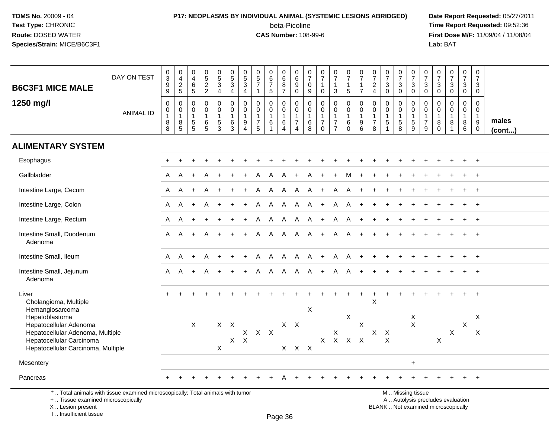# **P17: NEOPLASMS BY INDIVIDUAL ANIMAL (SYSTEMIC LESIONS ABRIDGED) Date Report Requested:** 05/27/2011

beta-Picoline<br>CAS Number: 108-99-6

 **Time Report Requested:** 09:52:36 **First Dose M/F:** 11/09/04 / 11/08/04<br>**Lab:** BAT **Lab:** BAT

| <b>B6C3F1 MICE MALE</b>                                                                                                                        | DAY ON TEST      | $\pmb{0}$<br>$\overline{3}$<br>$\mathsf g$<br>9 | $\mathsf{O}$<br>$\overline{4}$<br>$\frac{2}{5}$    | $\pmb{0}$<br>$\overline{\mathbf{4}}$<br>$\overline{6}$<br>5               | $0$<br>$5$<br>$2$<br>$2$                                              | $\begin{array}{c} 0 \\ 5 \end{array}$<br>$\mathbf{3}$<br>$\overline{4}$  | $\begin{array}{c} 0 \\ 5 \end{array}$<br>$\sqrt{3}$<br>$\overline{4}$ | 0<br>$\overline{5}$<br>$\mathfrak{S}$<br>$\overline{4}$ | $\pmb{0}$<br>$\overline{5}$<br>$\overline{7}$<br>$\mathbf{1}$ | $\begin{array}{c} 0 \\ 6 \end{array}$<br>$\overline{7}$<br>5 | $\begin{array}{c} 0 \\ 6 \end{array}$<br>$\frac{8}{7}$           | 0<br>6<br>9<br>$\mathbf 0$                                                       | 0<br>$\overline{7}$<br>$\mathbf 0$<br>9               | $\begin{smallmatrix}0\\7\end{smallmatrix}$<br>$\mathbf{1}$<br>$\mathbf 0$   | $\frac{0}{7}$<br>$\mathbf{1}$<br>3                                                | $\frac{0}{7}$<br>1<br>5           | $\begin{array}{c} 0 \\ 7 \end{array}$<br>$\overline{1}$<br>$\overline{7}$ | 0<br>$\overline{7}$<br>$\overline{c}$<br>$\overline{4}$ | $\begin{array}{c} 0 \\ 7 \end{array}$<br>$\mathbf{3}$<br>$\mathbf 0$     | $\frac{0}{7}$<br>3<br>$\mathbf 0$                     | $\begin{smallmatrix}0\\7\end{smallmatrix}$<br>$_{0}^{3}$  | $\begin{array}{c} 0 \\ 7 \end{array}$<br>$\sqrt{3}$<br>$\mathbf 0$     | $\frac{0}{7}$<br>$\ensuremath{\mathsf{3}}$<br>$\mathbf 0$ | $\begin{array}{c} 0 \\ 7 \end{array}$<br>$\mathbf{3}$<br>$\mathbf 0$ | $\frac{0}{7}$<br>3<br>$\mathbf 0$          | $\begin{smallmatrix}0\\7\end{smallmatrix}$<br>$\mathfrak{S}$<br>$\mathbf 0$ |                       |
|------------------------------------------------------------------------------------------------------------------------------------------------|------------------|-------------------------------------------------|----------------------------------------------------|---------------------------------------------------------------------------|-----------------------------------------------------------------------|--------------------------------------------------------------------------|-----------------------------------------------------------------------|---------------------------------------------------------|---------------------------------------------------------------|--------------------------------------------------------------|------------------------------------------------------------------|----------------------------------------------------------------------------------|-------------------------------------------------------|-----------------------------------------------------------------------------|-----------------------------------------------------------------------------------|-----------------------------------|---------------------------------------------------------------------------|---------------------------------------------------------|--------------------------------------------------------------------------|-------------------------------------------------------|-----------------------------------------------------------|------------------------------------------------------------------------|-----------------------------------------------------------|----------------------------------------------------------------------|--------------------------------------------|-----------------------------------------------------------------------------|-----------------------|
| 1250 mg/l                                                                                                                                      | <b>ANIMAL ID</b> | $\mathbf 0$<br>$\mathbf 0$<br>1<br>8<br>8       | 0<br>$\mathsf{O}\xspace$<br>$\mathbf{1}$<br>$^8$ 5 | $\mathbf 0$<br>0<br>$\mathbf{1}$<br>$\begin{array}{c} 5 \\ 5 \end{array}$ | $\mathbf 0$<br>$\mathbf 0$<br>$\mathbf{1}$<br>$\,6$<br>$\overline{5}$ | 0<br>$\mathsf{O}\xspace$<br>$\mathbf{1}$<br>$\sqrt{5}$<br>$\overline{3}$ | $\mathsf 0$<br>$\mathbf 0$<br>$\mathbf{1}$<br>6<br>$\mathbf{3}$       | 0<br>$\mathbf 0$<br>1<br>9<br>4                         | $\mathbf 0$<br>$\Omega$<br>-1<br>$\overline{7}$<br>5          | $\Omega$<br>$\mathbf 0$<br>6                                 | $\mathbf 0$<br>$\mathbf 0$<br>$\mathbf 1$<br>6<br>$\overline{4}$ | $\mathbf 0$<br>$\mathbf 0$<br>$\overline{1}$<br>$\overline{7}$<br>$\overline{4}$ | $\Omega$<br>$\mathbf 0$<br>-1<br>$6\phantom{1}6$<br>8 | $\mathbf 0$<br>$\mathbf 0$<br>$\mathbf{1}$<br>$\overline{7}$<br>$\mathbf 0$ | $\mathbf 0$<br>$\overline{0}$<br>$\mathbf{1}$<br>$\overline{7}$<br>$\overline{7}$ | 0<br>$\mathbf 0$<br>6<br>$\Omega$ | $\mathbf 0$<br>$\mathbf 0$<br>$\overline{1}$<br>9<br>$\overline{6}$       | 0<br>$\mathbf 0$<br>$\mathbf{1}$<br>$\overline{7}$<br>8 | $\mathbf 0$<br>$\mathbf 0$<br>$\mathbf{1}$<br>$\sqrt{5}$<br>$\mathbf{1}$ | 0<br>$\mathbf 0$<br>1<br>$\sqrt{5}$<br>$\overline{8}$ | 0<br>$\mathsf{O}\xspace$<br>$\mathbf{1}$<br>$\frac{5}{9}$ | 0<br>$\mathbf 0$<br>$\mathbf{1}$<br>$\overline{7}$<br>$\boldsymbol{9}$ | 0<br>$\mathbf{0}$<br>-1<br>8<br>$\mathbf 0$               | $\mathbf 0$<br>$\Omega$<br>$\mathbf{1}$<br>8<br>$\overline{1}$       | $\mathbf{0}$<br>$\mathbf 0$<br>1<br>8<br>6 | $\mathbf 0$<br>$\Omega$<br>$\mathbf{1}$<br>$9\,$<br>0                       | males<br>$($ cont $)$ |
| <b>ALIMENTARY SYSTEM</b>                                                                                                                       |                  |                                                 |                                                    |                                                                           |                                                                       |                                                                          |                                                                       |                                                         |                                                               |                                                              |                                                                  |                                                                                  |                                                       |                                                                             |                                                                                   |                                   |                                                                           |                                                         |                                                                          |                                                       |                                                           |                                                                        |                                                           |                                                                      |                                            |                                                                             |                       |
| Esophagus                                                                                                                                      |                  |                                                 |                                                    |                                                                           |                                                                       |                                                                          |                                                                       |                                                         |                                                               |                                                              |                                                                  |                                                                                  |                                                       |                                                                             |                                                                                   |                                   |                                                                           |                                                         |                                                                          |                                                       |                                                           |                                                                        |                                                           |                                                                      |                                            | $\ddot{}$                                                                   |                       |
| Gallbladder                                                                                                                                    |                  | A                                               | A                                                  |                                                                           |                                                                       |                                                                          |                                                                       |                                                         |                                                               | A                                                            |                                                                  |                                                                                  |                                                       |                                                                             |                                                                                   | M                                 |                                                                           |                                                         |                                                                          |                                                       |                                                           |                                                                        |                                                           |                                                                      |                                            |                                                                             |                       |
| Intestine Large, Cecum                                                                                                                         |                  | A                                               | A                                                  |                                                                           |                                                                       |                                                                          |                                                                       |                                                         | Α                                                             | A                                                            | A                                                                | A                                                                                | A                                                     | $\ddot{}$                                                                   | A                                                                                 | A                                 |                                                                           |                                                         |                                                                          |                                                       |                                                           |                                                                        |                                                           |                                                                      |                                            |                                                                             |                       |
| Intestine Large, Colon                                                                                                                         |                  | A                                               | Α                                                  | $\pm$                                                                     | A                                                                     |                                                                          |                                                                       |                                                         | Α                                                             | A                                                            | $\mathsf{A}$                                                     | A                                                                                | A                                                     | $+$                                                                         | A                                                                                 | A                                 | $+$                                                                       |                                                         |                                                                          |                                                       |                                                           |                                                                        |                                                           |                                                                      |                                            | $\ddot{}$                                                                   |                       |
| Intestine Large, Rectum                                                                                                                        |                  | A                                               | A                                                  |                                                                           |                                                                       |                                                                          |                                                                       |                                                         | A                                                             | A                                                            | A                                                                | A                                                                                | A                                                     | $\ddot{}$                                                                   | Α                                                                                 | A                                 |                                                                           |                                                         |                                                                          |                                                       |                                                           |                                                                        |                                                           |                                                                      |                                            | $\ddot{}$                                                                   |                       |
| Intestine Small, Duodenum<br>Adenoma                                                                                                           |                  | A                                               | A                                                  |                                                                           |                                                                       |                                                                          |                                                                       |                                                         | A                                                             | A                                                            | A                                                                | $\mathsf{A}$                                                                     | A                                                     | $+$                                                                         | A                                                                                 | A                                 |                                                                           |                                                         |                                                                          |                                                       |                                                           |                                                                        |                                                           |                                                                      |                                            |                                                                             |                       |
| Intestine Small, Ileum                                                                                                                         |                  | $\mathsf{A}$                                    | A                                                  | $\pm$                                                                     | A                                                                     |                                                                          |                                                                       |                                                         | A                                                             | A                                                            | A                                                                | A A +                                                                            |                                                       |                                                                             | $\overline{A}$                                                                    | A                                 | $\ddot{}$                                                                 |                                                         |                                                                          |                                                       |                                                           |                                                                        |                                                           |                                                                      |                                            |                                                                             |                       |
| Intestine Small, Jejunum<br>Adenoma                                                                                                            |                  | A                                               | A                                                  | $\ddot{}$                                                                 | A                                                                     | $\ddot{}$                                                                |                                                                       | ÷                                                       | A                                                             | A                                                            | $\overline{A}$                                                   | $\mathsf{A}$                                                                     | $\mathsf{A}$                                          | $+$                                                                         | $\mathsf{A}$                                                                      | A                                 |                                                                           |                                                         |                                                                          |                                                       |                                                           |                                                                        |                                                           |                                                                      |                                            | $\ddot{}$                                                                   |                       |
| Liver<br>Cholangioma, Multiple<br>Hemangiosarcoma                                                                                              |                  |                                                 |                                                    |                                                                           |                                                                       |                                                                          |                                                                       |                                                         |                                                               |                                                              |                                                                  |                                                                                  | $\mathsf{X}$                                          |                                                                             |                                                                                   |                                   |                                                                           | $\mathsf X$                                             |                                                                          |                                                       |                                                           |                                                                        |                                                           |                                                                      |                                            |                                                                             |                       |
| Hepatoblastoma<br>Hepatocellular Adenoma<br>Hepatocellular Adenoma, Multiple<br>Hepatocellular Carcinoma<br>Hepatocellular Carcinoma, Multiple |                  |                                                 |                                                    | X                                                                         |                                                                       | $\pmb{\times}$                                                           | $X$ $X$<br>$X$ $X$                                                    |                                                         | $X$ $X$ $X$                                                   |                                                              | $X$ $X$<br>X                                                     | $\mathsf{X}$                                                                     | $\mathsf{X}$                                          |                                                                             | X<br>$X$ $X$ $X$ $X$                                                              | X                                 | $\mathsf X$                                                               | $\mathsf{X}$                                            | $\sf X$<br>$\times$                                                      |                                                       | X<br>$\boldsymbol{\mathsf{X}}$                            |                                                                        | X                                                         | $\mathsf{X}$                                                         | X                                          | X<br>$\boldsymbol{\mathsf{X}}$                                              |                       |
| Mesentery                                                                                                                                      |                  |                                                 |                                                    |                                                                           |                                                                       |                                                                          |                                                                       |                                                         |                                                               |                                                              |                                                                  |                                                                                  |                                                       |                                                                             |                                                                                   |                                   |                                                                           |                                                         |                                                                          |                                                       | $+$                                                       |                                                                        |                                                           |                                                                      |                                            |                                                                             |                       |
| Pancreas                                                                                                                                       |                  |                                                 |                                                    |                                                                           |                                                                       |                                                                          |                                                                       |                                                         |                                                               |                                                              |                                                                  |                                                                                  |                                                       |                                                                             |                                                                                   |                                   |                                                                           |                                                         |                                                                          |                                                       |                                                           |                                                                        |                                                           |                                                                      |                                            | $+$                                                                         |                       |
| *  Total animals with tissue examined microscopically; Total animals with tumor                                                                |                  |                                                 |                                                    |                                                                           |                                                                       |                                                                          |                                                                       |                                                         |                                                               |                                                              |                                                                  |                                                                                  |                                                       |                                                                             |                                                                                   |                                   |                                                                           |                                                         |                                                                          |                                                       | M  Missing tissue                                         |                                                                        |                                                           |                                                                      |                                            |                                                                             |                       |

+ .. Tissue examined microscopically

X .. Lesion present

I .. Insufficient tissue

M .. Missing tissue

y the contract of the contract of the contract of the contract of the contract of  $\mathsf A$  . Autolysis precludes evaluation

Lesion present BLANK .. Not examined microscopically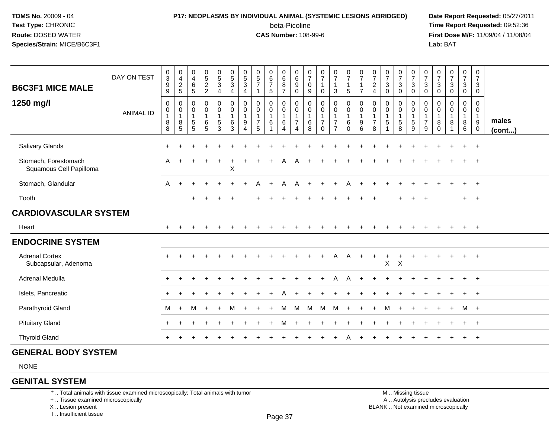### **P17: NEOPLASMS BY INDIVIDUAL ANIMAL (SYSTEMIC LESIONS ABRIDGED) Date Report Requested:** 05/27/2011 beta-Picoline<br>CAS Number: 108-99-6

 **Time Report Requested:** 09:52:36 **First Dose M/F:** 11/09/04 / 11/08/04<br>**Lab:** BAT **Lab:** BAT

| <b>B6C3F1 MICE MALE</b><br>1250 mg/l            | DAY ON TEST<br><b>ANIMAL ID</b> | $\frac{0}{3}$<br>9<br>9<br>$\mathbf 0$<br>0<br>$\mathbf{1}$<br>8<br>8 | $_4^{\rm 0}$<br>$\frac{2}{5}$<br>0<br>0<br>$\overline{1}$<br>$\bf 8$<br>5 | $\begin{smallmatrix}0\\4\end{smallmatrix}$<br>$\,6\,$<br>$\overline{5}$<br>0<br>$\boldsymbol{0}$<br>$\mathbf 1$<br>$\sqrt{5}$<br>5 | $\begin{array}{c} 0 \\ 5 \end{array}$<br>$\frac{2}{2}$<br>0<br>$\pmb{0}$<br>$\mathbf{1}$<br>$\,6$<br>$\sqrt{5}$ | $\begin{array}{c} 0 \\ 5 \\ 3 \end{array}$<br>$\overline{4}$<br>$\pmb{0}$<br>$\pmb{0}$<br>$\mathbf 1$<br>$\mathbf 5$<br>3 | $\begin{array}{c} 0 \\ 5 \\ 3 \end{array}$<br>4<br>0<br>$\mathsf{O}\xspace$<br>$\mathbf{1}$<br>6<br>3 | $\begin{array}{c} 0 \\ 5 \end{array}$<br>$\sqrt{3}$<br>4<br>0<br>0<br>$\mathbf{1}$<br>9<br>$\overline{4}$ | $\begin{array}{c} 0 \\ 5 \\ 7 \end{array}$<br>-1<br>$\mathbf 0$<br>$\boldsymbol{0}$<br>$\mathbf 1$<br>$\overline{7}$<br>5 | $\begin{array}{c} 0 \\ 6 \end{array}$<br>$\overline{7}$<br>5<br>0<br>$\mathsf 0$<br>$\mathbf{1}$<br>$\,6$<br>$\mathbf{1}$ | $\begin{array}{c} 0 \\ 6 \end{array}$<br>$\bf 8$<br>$\overline{7}$<br>0<br>$\mathbf 0$<br>$\mathbf{1}$<br>$\,6\,$<br>$\overline{4}$ | $\begin{array}{c} 0 \\ 6 \end{array}$<br>9<br>0<br>0<br>$\mathsf 0$<br>$\mathbf{1}$<br>$\overline{7}$<br>$\overline{4}$ | $\frac{0}{7}$<br>0<br>9<br>0<br>$\mathbf 0$<br>1<br>$\,6\,$<br>8 | $\frac{0}{7}$<br>$\mathbf{1}$<br>$\mathbf 0$<br>$\boldsymbol{0}$<br>$\pmb{0}$<br>$\overline{1}$<br>$\overline{7}$<br>$\Omega$ | $\frac{0}{7}$<br>1<br>$\mathbf{3}$<br>0<br>$\mathbf 0$<br>$\mathbf{1}$<br>$\overline{7}$<br>$\overline{7}$ | $\frac{0}{7}$<br>$\mathbf{1}$<br>5<br>$\boldsymbol{0}$<br>$\ddot{\mathbf{0}}$<br>$\mathbf 1$<br>6<br>$\mathbf 0$ | $\frac{0}{7}$<br>$\mathbf{1}$<br>$\overline{7}$<br>$\pmb{0}$<br>$\mathsf{O}\xspace$<br>$\mathbf{1}$<br>$\boldsymbol{9}$<br>6 | $\frac{0}{7}$<br>$\boldsymbol{2}$<br>$\overline{4}$<br>0<br>0<br>1<br>$\overline{7}$<br>8 | $\frac{0}{7}$<br>$\mathbf{3}$<br>$\mathbf 0$<br>0<br>$\mathbf 0$<br>$\mathbf{1}$<br>$\sqrt{5}$<br>-1 | $\frac{0}{7}$<br>$\ensuremath{\mathsf{3}}$<br>0<br>0<br>$\pmb{0}$<br>$\mathbf{1}$<br>5<br>8 | $\frac{0}{7}$<br>$\sqrt{3}$<br>$\mathbf 0$<br>0<br>$\mathbf 0$<br>$\begin{array}{c} 1 \\ 5 \end{array}$<br>9 | $\frac{0}{7}$<br>3<br>0<br>0<br>0<br>$\mathbf 1$<br>$\overline{7}$<br>9 | $\frac{0}{7}$<br>3<br>$\mathbf 0$<br>0<br>0<br>1<br>8<br>$\mathbf 0$ | $\begin{smallmatrix}0\\7\end{smallmatrix}$<br>$\mathbf{3}$<br>$\mathbf 0$<br>$\mathbf 0$<br>0<br>-1<br>8<br>-1 | $\begin{smallmatrix}0\\7\end{smallmatrix}$<br>$\ensuremath{\mathsf{3}}$<br>0<br>0<br>$\mathbf 0$<br>$\mathbf{1}$<br>$\bf8$<br>6 | $\frac{0}{7}$<br>$\mathbf{3}$<br>$\mathbf 0$<br>0<br>$\mathbf 0$<br>$\mathbf{1}$<br>$9\,$<br>$\mathbf 0$ | males<br>$($ cont $)$ |
|-------------------------------------------------|---------------------------------|-----------------------------------------------------------------------|---------------------------------------------------------------------------|------------------------------------------------------------------------------------------------------------------------------------|-----------------------------------------------------------------------------------------------------------------|---------------------------------------------------------------------------------------------------------------------------|-------------------------------------------------------------------------------------------------------|-----------------------------------------------------------------------------------------------------------|---------------------------------------------------------------------------------------------------------------------------|---------------------------------------------------------------------------------------------------------------------------|-------------------------------------------------------------------------------------------------------------------------------------|-------------------------------------------------------------------------------------------------------------------------|------------------------------------------------------------------|-------------------------------------------------------------------------------------------------------------------------------|------------------------------------------------------------------------------------------------------------|------------------------------------------------------------------------------------------------------------------|------------------------------------------------------------------------------------------------------------------------------|-------------------------------------------------------------------------------------------|------------------------------------------------------------------------------------------------------|---------------------------------------------------------------------------------------------|--------------------------------------------------------------------------------------------------------------|-------------------------------------------------------------------------|----------------------------------------------------------------------|----------------------------------------------------------------------------------------------------------------|---------------------------------------------------------------------------------------------------------------------------------|----------------------------------------------------------------------------------------------------------|-----------------------|
| <b>Salivary Glands</b>                          |                                 | $\ddot{}$                                                             |                                                                           |                                                                                                                                    |                                                                                                                 |                                                                                                                           |                                                                                                       |                                                                                                           |                                                                                                                           |                                                                                                                           |                                                                                                                                     |                                                                                                                         |                                                                  |                                                                                                                               |                                                                                                            |                                                                                                                  |                                                                                                                              |                                                                                           |                                                                                                      |                                                                                             |                                                                                                              |                                                                         |                                                                      |                                                                                                                |                                                                                                                                 | $\overline{ }$                                                                                           |                       |
| Stomach, Forestomach<br>Squamous Cell Papilloma |                                 | A                                                                     |                                                                           |                                                                                                                                    |                                                                                                                 |                                                                                                                           | $\mathsf X$                                                                                           |                                                                                                           |                                                                                                                           |                                                                                                                           |                                                                                                                                     |                                                                                                                         |                                                                  |                                                                                                                               |                                                                                                            |                                                                                                                  |                                                                                                                              |                                                                                           |                                                                                                      |                                                                                             |                                                                                                              |                                                                         |                                                                      |                                                                                                                |                                                                                                                                 |                                                                                                          |                       |
| Stomach, Glandular                              |                                 | A                                                                     | $+$                                                                       |                                                                                                                                    |                                                                                                                 |                                                                                                                           |                                                                                                       |                                                                                                           |                                                                                                                           |                                                                                                                           |                                                                                                                                     | A                                                                                                                       |                                                                  |                                                                                                                               |                                                                                                            |                                                                                                                  |                                                                                                                              |                                                                                           |                                                                                                      |                                                                                             |                                                                                                              |                                                                         |                                                                      |                                                                                                                |                                                                                                                                 |                                                                                                          |                       |
| Tooth                                           |                                 |                                                                       |                                                                           | $\ddot{}$                                                                                                                          | $\div$                                                                                                          |                                                                                                                           | $\ddot{}$                                                                                             |                                                                                                           |                                                                                                                           |                                                                                                                           |                                                                                                                                     |                                                                                                                         |                                                                  |                                                                                                                               |                                                                                                            |                                                                                                                  |                                                                                                                              |                                                                                           |                                                                                                      |                                                                                             |                                                                                                              |                                                                         |                                                                      |                                                                                                                | $+$                                                                                                                             | $+$                                                                                                      |                       |
| <b>CARDIOVASCULAR SYSTEM</b>                    |                                 |                                                                       |                                                                           |                                                                                                                                    |                                                                                                                 |                                                                                                                           |                                                                                                       |                                                                                                           |                                                                                                                           |                                                                                                                           |                                                                                                                                     |                                                                                                                         |                                                                  |                                                                                                                               |                                                                                                            |                                                                                                                  |                                                                                                                              |                                                                                           |                                                                                                      |                                                                                             |                                                                                                              |                                                                         |                                                                      |                                                                                                                |                                                                                                                                 |                                                                                                          |                       |
| Heart                                           |                                 | $+$                                                                   |                                                                           |                                                                                                                                    |                                                                                                                 |                                                                                                                           |                                                                                                       |                                                                                                           |                                                                                                                           |                                                                                                                           |                                                                                                                                     |                                                                                                                         |                                                                  |                                                                                                                               |                                                                                                            |                                                                                                                  |                                                                                                                              |                                                                                           |                                                                                                      |                                                                                             |                                                                                                              |                                                                         |                                                                      |                                                                                                                | $\ddot{}$                                                                                                                       | $+$                                                                                                      |                       |
| <b>ENDOCRINE SYSTEM</b>                         |                                 |                                                                       |                                                                           |                                                                                                                                    |                                                                                                                 |                                                                                                                           |                                                                                                       |                                                                                                           |                                                                                                                           |                                                                                                                           |                                                                                                                                     |                                                                                                                         |                                                                  |                                                                                                                               |                                                                                                            |                                                                                                                  |                                                                                                                              |                                                                                           |                                                                                                      |                                                                                             |                                                                                                              |                                                                         |                                                                      |                                                                                                                |                                                                                                                                 |                                                                                                          |                       |
| <b>Adrenal Cortex</b><br>Subcapsular, Adenoma   |                                 |                                                                       |                                                                           |                                                                                                                                    |                                                                                                                 |                                                                                                                           |                                                                                                       |                                                                                                           |                                                                                                                           |                                                                                                                           |                                                                                                                                     |                                                                                                                         |                                                                  |                                                                                                                               | Α                                                                                                          | $\mathsf{A}$                                                                                                     | $\ddot{}$                                                                                                                    | $\ddot{}$                                                                                 | $\ddot{}$<br>$\mathsf{X}$                                                                            | +<br>$\boldsymbol{\mathsf{X}}$                                                              |                                                                                                              |                                                                         |                                                                      |                                                                                                                |                                                                                                                                 |                                                                                                          |                       |
| Adrenal Medulla                                 |                                 | $\ddot{}$                                                             |                                                                           |                                                                                                                                    |                                                                                                                 |                                                                                                                           |                                                                                                       |                                                                                                           |                                                                                                                           |                                                                                                                           |                                                                                                                                     |                                                                                                                         |                                                                  |                                                                                                                               |                                                                                                            |                                                                                                                  |                                                                                                                              |                                                                                           |                                                                                                      |                                                                                             |                                                                                                              |                                                                         |                                                                      |                                                                                                                |                                                                                                                                 |                                                                                                          |                       |
| Islets, Pancreatic                              |                                 | $\ddot{}$                                                             |                                                                           |                                                                                                                                    |                                                                                                                 |                                                                                                                           |                                                                                                       |                                                                                                           |                                                                                                                           |                                                                                                                           |                                                                                                                                     |                                                                                                                         |                                                                  |                                                                                                                               |                                                                                                            |                                                                                                                  |                                                                                                                              |                                                                                           |                                                                                                      |                                                                                             |                                                                                                              |                                                                         |                                                                      |                                                                                                                |                                                                                                                                 |                                                                                                          |                       |
| Parathyroid Gland                               |                                 | м                                                                     | $+$                                                                       | М                                                                                                                                  | $\ddot{}$                                                                                                       |                                                                                                                           | М                                                                                                     |                                                                                                           |                                                                                                                           |                                                                                                                           | м                                                                                                                                   | M                                                                                                                       | м                                                                | м                                                                                                                             | M                                                                                                          |                                                                                                                  |                                                                                                                              |                                                                                           | M                                                                                                    |                                                                                             |                                                                                                              |                                                                         |                                                                      |                                                                                                                | M +                                                                                                                             |                                                                                                          |                       |
| <b>Pituitary Gland</b>                          |                                 | $\pm$                                                                 |                                                                           |                                                                                                                                    |                                                                                                                 |                                                                                                                           |                                                                                                       |                                                                                                           |                                                                                                                           |                                                                                                                           |                                                                                                                                     |                                                                                                                         |                                                                  |                                                                                                                               |                                                                                                            |                                                                                                                  |                                                                                                                              |                                                                                           |                                                                                                      |                                                                                             |                                                                                                              |                                                                         |                                                                      |                                                                                                                |                                                                                                                                 |                                                                                                          |                       |
| <b>Thyroid Gland</b>                            |                                 |                                                                       |                                                                           |                                                                                                                                    |                                                                                                                 |                                                                                                                           |                                                                                                       |                                                                                                           |                                                                                                                           |                                                                                                                           |                                                                                                                                     |                                                                                                                         |                                                                  |                                                                                                                               |                                                                                                            |                                                                                                                  |                                                                                                                              |                                                                                           |                                                                                                      |                                                                                             |                                                                                                              |                                                                         |                                                                      |                                                                                                                |                                                                                                                                 |                                                                                                          |                       |

#### **GENERAL BODY SYSTEM**

NONE

#### **GENITAL SYSTEM**

\* .. Total animals with tissue examined microscopically; Total animals with tumor

+ .. Tissue examined microscopically

X .. Lesion present

I .. Insufficient tissue

 M .. Missing tissuey the contract of the contract of the contract of the contract of the contract of  $\mathsf A$  . Autolysis precludes evaluation Lesion present BLANK .. Not examined microscopically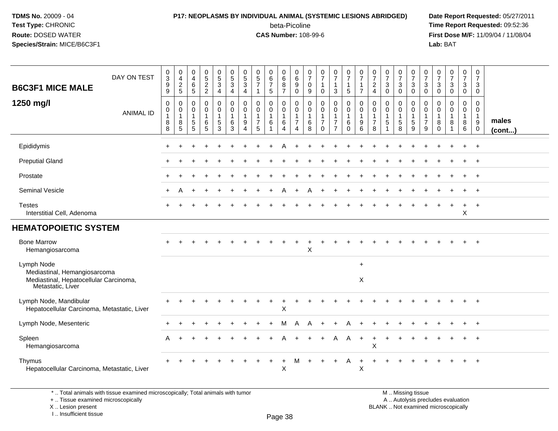# **P17: NEOPLASMS BY INDIVIDUAL ANIMAL (SYSTEMIC LESIONS ABRIDGED) Date Report Requested:** 05/27/2011

beta-Picoline<br>CAS Number: 108-99-6

 **Time Report Requested:** 09:52:36 **First Dose M/F:** 11/09/04 / 11/08/04<br>Lab: BAT **Lab:** BAT

| <b>B6C3F1 MICE MALE</b>                                                                                   | DAY ON TEST                                                                     | 0<br>$\overline{3}$<br>9<br>9                    | 0<br>$\overline{4}$<br>$\frac{2}{5}$                      | $\pmb{0}$<br>$\overline{4}$<br>$\,6\,$<br>$5\phantom{.0}$ | $0$<br>52<br>2                  | $\begin{array}{c} 0 \\ 5 \end{array}$<br>$\mathbf{3}$<br>4 | $\begin{array}{c} 0 \\ 5 \end{array}$<br>$\sqrt{3}$<br>4              | 0<br>$\overline{5}$<br>$\sqrt{3}$<br>4        | $\begin{array}{c} 0 \\ 5 \\ 7 \end{array}$<br>$\mathbf{1}$ | $\begin{array}{c} 0 \\ 6 \end{array}$<br>$\overline{7}$<br>5 | $_{6}^{\rm 0}$<br>8<br>$\overline{7}$ | 0<br>$6\phantom{1}6$<br>$\boldsymbol{9}$<br>$\mathbf 0$   | 0<br>$\overline{7}$<br>$\mathbf 0$<br>9    | $\frac{0}{7}$<br>$\mathbf 0$                                  | $\frac{0}{7}$<br>1<br>3                                   | $\begin{array}{c} 0 \\ 7 \end{array}$<br>$\mathbf{1}$<br>5             | $\frac{0}{7}$<br>$\mathbf{1}$<br>$\overline{7}$             | $\frac{0}{7}$<br>$\boldsymbol{2}$<br>$\overline{4}$ | $\frac{0}{7}$<br>$\sqrt{3}$<br>$\mathbf 0$                       | $\begin{array}{c} 0 \\ 7 \end{array}$<br>$\sqrt{3}$<br>$\mathbf 0$ | $\begin{smallmatrix}0\\7\end{smallmatrix}$<br>$\ensuremath{\mathsf{3}}$<br>$\mathbf 0$ | $\frac{0}{7}$<br>$\mathbf{3}$<br>$\mathsf 0$                 | $\begin{smallmatrix}0\\7\end{smallmatrix}$<br>$\mathsf 3$<br>$\mathbf 0$ | $\begin{array}{c} 0 \\ 7 \end{array}$<br>$\sqrt{3}$<br>$\mathbf 0$ | $\frac{0}{7}$<br>$\ensuremath{\mathsf{3}}$<br>0 | $\frac{0}{7}$<br>3<br>$\mathbf 0$                                            |                       |
|-----------------------------------------------------------------------------------------------------------|---------------------------------------------------------------------------------|--------------------------------------------------|-----------------------------------------------------------|-----------------------------------------------------------|---------------------------------|------------------------------------------------------------|-----------------------------------------------------------------------|-----------------------------------------------|------------------------------------------------------------|--------------------------------------------------------------|---------------------------------------|-----------------------------------------------------------|--------------------------------------------|---------------------------------------------------------------|-----------------------------------------------------------|------------------------------------------------------------------------|-------------------------------------------------------------|-----------------------------------------------------|------------------------------------------------------------------|--------------------------------------------------------------------|----------------------------------------------------------------------------------------|--------------------------------------------------------------|--------------------------------------------------------------------------|--------------------------------------------------------------------|-------------------------------------------------|------------------------------------------------------------------------------|-----------------------|
| 1250 mg/l                                                                                                 | <b>ANIMAL ID</b>                                                                | $\mathbf 0$<br>0<br>$\mathbf{1}$<br>8<br>$\,8\,$ | 0<br>$\mathbf 0$<br>$\overline{1}$<br>8<br>$\overline{5}$ | 0<br>0<br>$\mathbf{1}$<br>$\frac{5}{5}$                   | $\mathbf 0$<br>0<br>1<br>$^6$ 5 | 0<br>$\mathbf 0$<br>-1<br>$\frac{5}{3}$                    | $\mathbf 0$<br>$\pmb{0}$<br>$\overline{1}$<br>$\,6$<br>$\overline{3}$ | 0<br>0<br>$\mathbf{1}$<br>9<br>$\overline{4}$ | 0<br>0<br>$\mathbf{1}$<br>$\boldsymbol{7}$<br>5            | 0<br>$\mathbf 0$<br>$\mathbf{1}$<br>6                        | 0<br>0<br>$\mathbf{1}$<br>6<br>4      | $\mathbf 0$<br>0<br>$\overline{1}$<br>$\overline{7}$<br>4 | $\mathbf 0$<br>0<br>$\mathbf{1}$<br>6<br>8 | $\mathbf 0$<br>$\mathbf 0$<br>1<br>$\overline{7}$<br>$\Omega$ | 0<br>$\mathbf 0$<br>1<br>$\overline{7}$<br>$\overline{7}$ | $\mathbf 0$<br>$\mathbf 0$<br>$\mathbf{1}$<br>6<br>$\ddot{\mathbf{0}}$ | $\mathbf 0$<br>0<br>$\overline{1}$<br>$\boldsymbol{9}$<br>6 | 0<br>0<br>$\overline{1}$<br>$\overline{7}$<br>8     | 0<br>$\mathbf 0$<br>$\mathbf{1}$<br>$\sqrt{5}$<br>$\overline{1}$ | 0<br>$\mathbf 0$<br>$\sqrt{5}$<br>$\overline{8}$                   | 0<br>0<br>$\mathbf{1}$<br>$\frac{5}{9}$                                                | 0<br>0<br>$\mathbf{1}$<br>$\overline{7}$<br>$\boldsymbol{9}$ | $\mathbf 0$<br>0<br>$\overline{1}$<br>8<br>$\mathbf 0$                   | $\mathbf 0$<br>$\mathbf 0$<br>$\mathbf{1}$<br>8<br>$\overline{1}$  | 0<br>$\mathbf 0$<br>1<br>8<br>6                 | $\mathbf 0$<br>$\mathbf 0$<br>$\overline{1}$<br>$9\,$<br>$\ddot{\mathbf{0}}$ | males<br>$($ cont $)$ |
| Epididymis                                                                                                |                                                                                 |                                                  |                                                           |                                                           |                                 |                                                            |                                                                       |                                               |                                                            |                                                              |                                       |                                                           |                                            |                                                               |                                                           |                                                                        |                                                             |                                                     |                                                                  |                                                                    |                                                                                        |                                                              |                                                                          |                                                                    |                                                 |                                                                              |                       |
| <b>Preputial Gland</b>                                                                                    |                                                                                 |                                                  |                                                           |                                                           |                                 |                                                            |                                                                       |                                               |                                                            |                                                              |                                       |                                                           |                                            |                                                               |                                                           |                                                                        |                                                             |                                                     |                                                                  |                                                                    |                                                                                        |                                                              |                                                                          |                                                                    |                                                 |                                                                              |                       |
| Prostate                                                                                                  |                                                                                 |                                                  |                                                           |                                                           |                                 |                                                            |                                                                       |                                               |                                                            |                                                              |                                       |                                                           |                                            |                                                               |                                                           |                                                                        |                                                             |                                                     |                                                                  |                                                                    |                                                                                        |                                                              |                                                                          |                                                                    |                                                 | $\ddot{}$                                                                    |                       |
| Seminal Vesicle                                                                                           |                                                                                 |                                                  |                                                           |                                                           |                                 |                                                            |                                                                       |                                               |                                                            |                                                              |                                       |                                                           |                                            |                                                               |                                                           |                                                                        |                                                             |                                                     |                                                                  |                                                                    |                                                                                        |                                                              |                                                                          |                                                                    |                                                 | $\ddot{}$                                                                    |                       |
| <b>Testes</b><br>Interstitial Cell, Adenoma                                                               |                                                                                 |                                                  |                                                           |                                                           |                                 |                                                            |                                                                       |                                               |                                                            |                                                              |                                       |                                                           |                                            |                                                               |                                                           |                                                                        |                                                             |                                                     |                                                                  |                                                                    |                                                                                        |                                                              |                                                                          |                                                                    | ÷<br>Χ                                          | $\ddot{}$                                                                    |                       |
| <b>HEMATOPOIETIC SYSTEM</b>                                                                               |                                                                                 |                                                  |                                                           |                                                           |                                 |                                                            |                                                                       |                                               |                                                            |                                                              |                                       |                                                           |                                            |                                                               |                                                           |                                                                        |                                                             |                                                     |                                                                  |                                                                    |                                                                                        |                                                              |                                                                          |                                                                    |                                                 |                                                                              |                       |
| <b>Bone Marrow</b><br>Hemangiosarcoma                                                                     |                                                                                 |                                                  |                                                           |                                                           |                                 |                                                            |                                                                       |                                               |                                                            |                                                              |                                       |                                                           | X                                          |                                                               |                                                           |                                                                        |                                                             |                                                     |                                                                  |                                                                    |                                                                                        |                                                              |                                                                          |                                                                    |                                                 | $\ddot{}$                                                                    |                       |
| Lymph Node<br>Mediastinal, Hemangiosarcoma<br>Mediastinal, Hepatocellular Carcinoma,<br>Metastatic, Liver |                                                                                 |                                                  |                                                           |                                                           |                                 |                                                            |                                                                       |                                               |                                                            |                                                              |                                       |                                                           |                                            |                                                               |                                                           |                                                                        | $\ddot{}$<br>Χ                                              |                                                     |                                                                  |                                                                    |                                                                                        |                                                              |                                                                          |                                                                    |                                                 |                                                                              |                       |
| Lymph Node, Mandibular<br>Hepatocellular Carcinoma, Metastatic, Liver                                     |                                                                                 |                                                  |                                                           |                                                           |                                 |                                                            |                                                                       |                                               |                                                            |                                                              | X                                     |                                                           |                                            |                                                               |                                                           |                                                                        |                                                             |                                                     |                                                                  |                                                                    |                                                                                        |                                                              |                                                                          |                                                                    |                                                 |                                                                              |                       |
| Lymph Node, Mesenteric                                                                                    |                                                                                 |                                                  |                                                           |                                                           |                                 |                                                            |                                                                       |                                               |                                                            |                                                              |                                       |                                                           | Α                                          |                                                               |                                                           |                                                                        |                                                             |                                                     |                                                                  |                                                                    |                                                                                        |                                                              |                                                                          |                                                                    |                                                 |                                                                              |                       |
| Spleen<br>Hemangiosarcoma                                                                                 |                                                                                 | A                                                |                                                           |                                                           |                                 |                                                            |                                                                       |                                               |                                                            |                                                              |                                       |                                                           |                                            |                                                               | A                                                         | A                                                                      | $\ddot{}$                                                   | X                                                   |                                                                  |                                                                    |                                                                                        |                                                              |                                                                          |                                                                    |                                                 |                                                                              |                       |
| Thymus<br>Hepatocellular Carcinoma, Metastatic, Liver                                                     |                                                                                 |                                                  |                                                           |                                                           |                                 |                                                            |                                                                       |                                               |                                                            | $\ddot{}$                                                    | $\ddot{}$<br>X                        | M                                                         |                                            |                                                               | $\div$                                                    | A                                                                      | $\ddot{}$<br>X                                              | ÷                                                   |                                                                  |                                                                    |                                                                                        |                                                              |                                                                          |                                                                    |                                                 |                                                                              |                       |
| +  Tissue examined microscopically                                                                        | *  Total animals with tissue examined microscopically; Total animals with tumor |                                                  |                                                           |                                                           |                                 |                                                            |                                                                       |                                               |                                                            |                                                              |                                       |                                                           |                                            |                                                               |                                                           |                                                                        |                                                             |                                                     |                                                                  |                                                                    | M  Missing tissue                                                                      |                                                              |                                                                          | A  Autolysis precludes evaluation                                  |                                                 |                                                                              |                       |

X .. Lesion present

I .. Insufficient tissue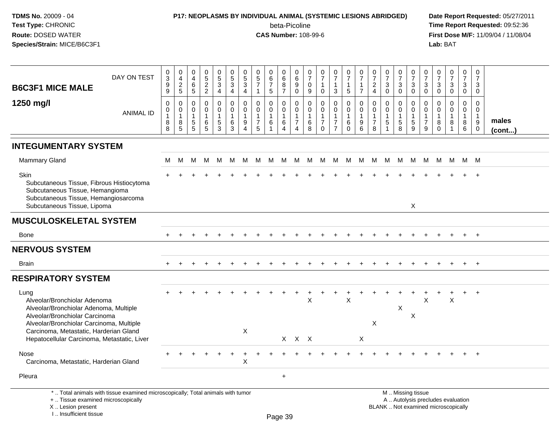# **P17: NEOPLASMS BY INDIVIDUAL ANIMAL (SYSTEMIC LESIONS ABRIDGED) Date Report Requested:** 05/27/2011

beta-Picoline<br>CAS Number: 108-99-6

| DAY ON TEST<br><b>B6C3F1 MICE MALE</b>                                                                                                                                                                                                                | $\pmb{0}$<br>$\overline{3}$<br>9<br>$\boldsymbol{9}$ | $\pmb{0}$<br>$\overline{4}$<br>$\frac{2}{5}$          | 0<br>$\overline{4}$<br>$\,6\,$<br>$\sqrt{5}$                     | $0$<br>52<br>2                                                        | $\begin{array}{c} 0 \\ 5 \\ 3 \end{array}$<br>$\overline{4}$ | $\overline{0}$<br>$\frac{5}{3}$<br>$\overline{4}$                         | 0<br>$\frac{5}{3}$<br>$\overline{4}$                              | $\pmb{0}$<br>$\frac{5}{7}$<br>$\mathbf{1}$                                          | $\begin{array}{c} 0 \\ 6 \\ 7 \end{array}$<br>5 | 0<br>$\overline{6}$<br>8<br>$\overline{7}$ | $\pmb{0}$<br>$6\phantom{a}$<br>$\boldsymbol{9}$<br>$\pmb{0}$         | $\pmb{0}$<br>$\overline{7}$<br>0<br>$9\,$                          | 0<br>$\overline{7}$<br>$\mathbf{1}$<br>$\pmb{0}$                           | $\pmb{0}$<br>$\overline{7}$<br>$\mathbf{1}$<br>3                     | $\pmb{0}$<br>$\overline{7}$<br>$\mathbf{1}$<br>5           | $\frac{0}{7}$<br>$\mathbf{1}$<br>$\overline{7}$                    | $\frac{0}{7}$<br>$\sqrt{2}$<br>$\overline{4}$                     | $\frac{0}{7}$<br>$\ensuremath{\mathsf{3}}$<br>$\pmb{0}$  | 0<br>$\overline{7}$<br>$\mathbf{3}$<br>$\pmb{0}$                           | $\begin{array}{c} 0 \\ 7 \end{array}$<br>$\ensuremath{\mathsf{3}}$<br>$\mathbf 0$ | 0<br>$\overline{7}$<br>3<br>$\mathbf 0$ | $\frac{0}{7}$<br>$\ensuremath{\mathsf{3}}$<br>$\mathsf{O}\xspace$ | $\frac{0}{7}$<br>$\mathbf{3}$<br>$\pmb{0}$                               | $\pmb{0}$<br>$\overline{7}$<br>$\mathbf{3}$<br>$\overline{0}$ | $\mathbf 0$<br>$\overline{7}$<br>3<br>$\mathsf{O}\xspace$                             |                 |
|-------------------------------------------------------------------------------------------------------------------------------------------------------------------------------------------------------------------------------------------------------|------------------------------------------------------|-------------------------------------------------------|------------------------------------------------------------------|-----------------------------------------------------------------------|--------------------------------------------------------------|---------------------------------------------------------------------------|-------------------------------------------------------------------|-------------------------------------------------------------------------------------|-------------------------------------------------|--------------------------------------------|----------------------------------------------------------------------|--------------------------------------------------------------------|----------------------------------------------------------------------------|----------------------------------------------------------------------|------------------------------------------------------------|--------------------------------------------------------------------|-------------------------------------------------------------------|----------------------------------------------------------|----------------------------------------------------------------------------|-----------------------------------------------------------------------------------|-----------------------------------------|-------------------------------------------------------------------|--------------------------------------------------------------------------|---------------------------------------------------------------|---------------------------------------------------------------------------------------|-----------------|
| 1250 mg/l<br><b>ANIMAL ID</b>                                                                                                                                                                                                                         | $\mathbf 0$<br>0<br>$\mathbf{1}$<br>8<br>8           | $\pmb{0}$<br>0<br>$\mathbf{1}$<br>8<br>$\overline{5}$ | $\mathbf 0$<br>0<br>$\mathbf{1}$<br>$\sqrt{5}$<br>$\overline{5}$ | $\mathsf 0$<br>$\mathbf 0$<br>$\mathbf{1}$<br>$\,6$<br>$\overline{5}$ | 0<br>0<br>$\mathbf{1}$<br>$5\phantom{.0}$<br>$\mathbf{3}$    | $\mathbf 0$<br>$\mathbf 0$<br>$\overline{1}$<br>$\,6\,$<br>$\overline{3}$ | $\mathbf 0$<br>$\mathbf 0$<br>$\mathbf{1}$<br>9<br>$\overline{4}$ | $\mathbf 0$<br>$\mathbf 0$<br>$\mathbf{1}$<br>$\begin{array}{c} 7 \\ 5 \end{array}$ | 0<br>$\mathbf 0$<br>$\mathbf{1}$<br>6<br>1      | $\mathbf 0$<br>0<br>$\mathbf{1}$<br>6<br>4 | $\mathbf 0$<br>0<br>$\mathbf{1}$<br>$\overline{7}$<br>$\overline{4}$ | $\mathbf 0$<br>$\mathbf 0$<br>$\mathbf{1}$<br>$6\phantom{1}6$<br>8 | $\mathbf 0$<br>$\mathbf 0$<br>$\overline{1}$<br>$\overline{7}$<br>$\Omega$ | $\pmb{0}$<br>0<br>$\mathbf{1}$<br>$\boldsymbol{7}$<br>$\overline{7}$ | $\pmb{0}$<br>$\pmb{0}$<br>$\mathbf{1}$<br>6<br>$\mathsf 0$ | $\mathbf 0$<br>$\mathsf 0$<br>$\mathbf{1}$<br>9<br>$6\overline{6}$ | $\mathbf 0$<br>$\mathbf 0$<br>$\mathbf{1}$<br>$\overline{7}$<br>8 | $\mathbf 0$<br>$\mathbf 0$<br>$\mathbf{1}$<br>$\sqrt{5}$ | $\mathbf 0$<br>$\mathbf 0$<br>$\mathbf{1}$<br>$\sqrt{5}$<br>$\overline{8}$ | $\mathbf 0$<br>$\mathbf 0$<br>$\mathbf{1}$<br>$\overline{5}$<br>$\boldsymbol{9}$  | $\mathbf 0$<br>0<br>$\overline{7}$<br>9 | $\mathbf 0$<br>0<br>$\overline{1}$<br>$_{0}^{8}$                  | $\mathsf 0$<br>$\mathbf 0$<br>$\mathbf{1}$<br>8<br>$\mathbf{1}$          | 0<br>0<br>$\mathbf{1}$<br>8<br>6                              | $\mathbf 0$<br>$\mathbf 0$<br>$\mathbf{1}$<br>$\boldsymbol{9}$<br>$\mathsf{O}\xspace$ | males<br>(cont) |
| <b>INTEGUMENTARY SYSTEM</b>                                                                                                                                                                                                                           |                                                      |                                                       |                                                                  |                                                                       |                                                              |                                                                           |                                                                   |                                                                                     |                                                 |                                            |                                                                      |                                                                    |                                                                            |                                                                      |                                                            |                                                                    |                                                                   |                                                          |                                                                            |                                                                                   |                                         |                                                                   |                                                                          |                                                               |                                                                                       |                 |
| <b>Mammary Gland</b>                                                                                                                                                                                                                                  | M                                                    | M                                                     | м                                                                | M                                                                     | M                                                            | M                                                                         | M                                                                 | M                                                                                   | M                                               | M                                          | M                                                                    | M                                                                  | М                                                                          | M                                                                    | M                                                          | M                                                                  | M                                                                 | M                                                        | M                                                                          | M                                                                                 | M                                       | M                                                                 | M                                                                        | M M                                                           |                                                                                       |                 |
| Skin<br>Subcutaneous Tissue, Fibrous Histiocytoma<br>Subcutaneous Tissue, Hemangioma<br>Subcutaneous Tissue, Hemangiosarcoma<br>Subcutaneous Tissue, Lipoma                                                                                           |                                                      |                                                       |                                                                  |                                                                       |                                                              |                                                                           |                                                                   |                                                                                     |                                                 |                                            |                                                                      |                                                                    |                                                                            |                                                                      |                                                            |                                                                    |                                                                   |                                                          |                                                                            | $\mathsf{X}$                                                                      |                                         |                                                                   |                                                                          |                                                               |                                                                                       |                 |
| <b>MUSCULOSKELETAL SYSTEM</b>                                                                                                                                                                                                                         |                                                      |                                                       |                                                                  |                                                                       |                                                              |                                                                           |                                                                   |                                                                                     |                                                 |                                            |                                                                      |                                                                    |                                                                            |                                                                      |                                                            |                                                                    |                                                                   |                                                          |                                                                            |                                                                                   |                                         |                                                                   |                                                                          |                                                               |                                                                                       |                 |
| Bone                                                                                                                                                                                                                                                  |                                                      |                                                       |                                                                  |                                                                       |                                                              |                                                                           |                                                                   |                                                                                     |                                                 |                                            |                                                                      |                                                                    |                                                                            |                                                                      |                                                            |                                                                    |                                                                   |                                                          |                                                                            |                                                                                   |                                         |                                                                   |                                                                          | $+$                                                           | $+$                                                                                   |                 |
| <b>NERVOUS SYSTEM</b>                                                                                                                                                                                                                                 |                                                      |                                                       |                                                                  |                                                                       |                                                              |                                                                           |                                                                   |                                                                                     |                                                 |                                            |                                                                      |                                                                    |                                                                            |                                                                      |                                                            |                                                                    |                                                                   |                                                          |                                                                            |                                                                                   |                                         |                                                                   |                                                                          |                                                               |                                                                                       |                 |
| Brain                                                                                                                                                                                                                                                 |                                                      |                                                       |                                                                  |                                                                       |                                                              |                                                                           |                                                                   |                                                                                     |                                                 |                                            |                                                                      |                                                                    |                                                                            |                                                                      |                                                            |                                                                    |                                                                   |                                                          |                                                                            |                                                                                   |                                         |                                                                   | $\pm$                                                                    | $\ddot{}$                                                     | $+$                                                                                   |                 |
| <b>RESPIRATORY SYSTEM</b>                                                                                                                                                                                                                             |                                                      |                                                       |                                                                  |                                                                       |                                                              |                                                                           |                                                                   |                                                                                     |                                                 |                                            |                                                                      |                                                                    |                                                                            |                                                                      |                                                            |                                                                    |                                                                   |                                                          |                                                                            |                                                                                   |                                         |                                                                   |                                                                          |                                                               |                                                                                       |                 |
| Lung<br>Alveolar/Bronchiolar Adenoma<br>Alveolar/Bronchiolar Adenoma, Multiple<br>Alveolar/Bronchiolar Carcinoma<br>Alveolar/Bronchiolar Carcinoma, Multiple<br>Carcinoma, Metastatic, Harderian Gland<br>Hepatocellular Carcinoma, Metastatic, Liver |                                                      |                                                       |                                                                  |                                                                       |                                                              |                                                                           | $\times$                                                          |                                                                                     |                                                 |                                            | $X$ $X$ $X$                                                          | X                                                                  |                                                                            |                                                                      | X                                                          | Χ                                                                  | X                                                                 |                                                          | X                                                                          | X                                                                                 | X                                       |                                                                   | X                                                                        | +                                                             | $+$                                                                                   |                 |
| <b>Nose</b><br>Carcinoma, Metastatic, Harderian Gland                                                                                                                                                                                                 |                                                      |                                                       |                                                                  |                                                                       |                                                              |                                                                           | Χ                                                                 |                                                                                     |                                                 |                                            |                                                                      |                                                                    |                                                                            |                                                                      |                                                            |                                                                    |                                                                   |                                                          |                                                                            |                                                                                   |                                         |                                                                   |                                                                          |                                                               |                                                                                       |                 |
| Pleura                                                                                                                                                                                                                                                |                                                      |                                                       |                                                                  |                                                                       |                                                              |                                                                           |                                                                   |                                                                                     |                                                 | $\ddot{}$                                  |                                                                      |                                                                    |                                                                            |                                                                      |                                                            |                                                                    |                                                                   |                                                          |                                                                            |                                                                                   |                                         |                                                                   |                                                                          |                                                               |                                                                                       |                 |
| *  Total animals with tissue examined microscopically; Total animals with tumor<br>+  Tissue examined microscopically<br>X  Lesion present<br>I Insufficient tissue                                                                                   |                                                      |                                                       |                                                                  |                                                                       |                                                              |                                                                           |                                                                   |                                                                                     |                                                 | Page 39                                    |                                                                      |                                                                    |                                                                            |                                                                      |                                                            |                                                                    |                                                                   |                                                          |                                                                            | M  Missing tissue                                                                 |                                         |                                                                   | A  Autolysis precludes evaluation<br>BLANK  Not examined microscopically |                                                               |                                                                                       |                 |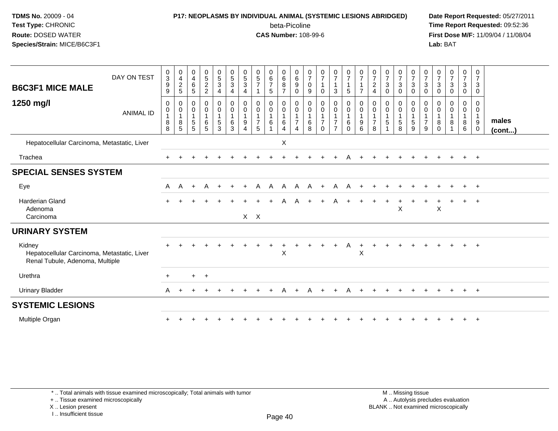#### **P17: NEOPLASMS BY INDIVIDUAL ANIMAL (SYSTEMIC LESIONS ABRIDGED) Date Report Requested:** 05/27/2011

beta-Picoline<br>CAS Number: 108-99-6

 **Time Report Requested:** 09:52:36 **First Dose M/F:** 11/09/04 / 11/08/04<br>Lab: BAT **Lab:** BAT

| <b>B6C3F1 MICE MALE</b>                                                                  | DAY ON TEST      | $_{3}^{\rm 0}$<br>$\boldsymbol{9}$<br>9 | $0$<br>$4$<br>$2$<br>$5$                                                  | $\begin{array}{c} 0 \\ 4 \\ 6 \end{array}$<br>$\sqrt{5}$                            | $\begin{array}{c} 0 \\ 5 \\ 2 \end{array}$<br>$\overline{c}$ | $\begin{array}{c} 0 \\ 5 \\ 3 \end{array}$<br>4         | $\begin{array}{c} 0 \\ 5 \end{array}$<br>$\mathbf{3}$<br>$\overline{4}$ | $\begin{smallmatrix}0\0\5\end{smallmatrix}$<br>$\sqrt{3}$<br>4 | $\begin{array}{c} 0 \\ 5 \\ 7 \end{array}$                        | $\begin{matrix} 0 \\ 6 \\ 7 \end{matrix}$<br>5      | $\begin{array}{c} 0 \\ 6 \end{array}$<br>8<br>$\overline{7}$ | $_{6}^{\rm 0}$<br>$\boldsymbol{9}$<br>0                         | $\frac{0}{7}$<br>$\pmb{0}$<br>9              | $\begin{array}{c} 0 \\ 7 \end{array}$<br>0             | $\frac{0}{7}$<br>$\overline{\mathbf{1}}$<br>$\mathbf{3}$                                 | $\frac{0}{7}$<br>$\overline{1}$<br>5                          | $\frac{0}{7}$                              | $\frac{0}{7}$<br>$\boldsymbol{2}$<br>$\overline{4}$     | $\frac{0}{7}$<br>$\sqrt{3}$<br>$\mathbf 0$ | $\begin{smallmatrix}0\\7\end{smallmatrix}$<br>$\ensuremath{\mathsf{3}}$<br>$\mathbf 0$ | $\frac{0}{7}$<br>$\sqrt{3}$<br>0                    | $\frac{0}{7}$<br>$\sqrt{3}$<br>0             | $\frac{0}{7}$<br>$\sqrt{3}$<br>0                       | $\frac{0}{7}$<br>$\ensuremath{\mathsf{3}}$<br>0                | $\begin{smallmatrix}0\\7\end{smallmatrix}$<br>3<br>0 | 0<br>$\overline{7}$<br>$\ensuremath{\mathsf{3}}$<br>$\mathbf 0$     |                 |
|------------------------------------------------------------------------------------------|------------------|-----------------------------------------|---------------------------------------------------------------------------|-------------------------------------------------------------------------------------|--------------------------------------------------------------|---------------------------------------------------------|-------------------------------------------------------------------------|----------------------------------------------------------------|-------------------------------------------------------------------|-----------------------------------------------------|--------------------------------------------------------------|-----------------------------------------------------------------|----------------------------------------------|--------------------------------------------------------|------------------------------------------------------------------------------------------|---------------------------------------------------------------|--------------------------------------------|---------------------------------------------------------|--------------------------------------------|----------------------------------------------------------------------------------------|-----------------------------------------------------|----------------------------------------------|--------------------------------------------------------|----------------------------------------------------------------|------------------------------------------------------|---------------------------------------------------------------------|-----------------|
| 1250 mg/l                                                                                | <b>ANIMAL ID</b> | 0<br>$\pmb{0}$<br>$\,8\,$<br>8          | 0<br>$\pmb{0}$<br>$\overline{1}$<br>$\begin{array}{c} 8 \\ 5 \end{array}$ | $\pmb{0}$<br>$\begin{smallmatrix}0\\1\end{smallmatrix}$<br>$\sqrt{5}$<br>$\sqrt{5}$ | 0<br>$\mathsf{O}\xspace$<br>1<br>$\,6$<br>$\overline{5}$     | $\pmb{0}$<br>$\pmb{0}$<br>$\mathbf{1}$<br>$\frac{5}{3}$ | $\pmb{0}$<br>$\mathsf 0$<br>$\mathbf{1}$<br>6<br>3                      | 0<br>0<br>9<br>$\boldsymbol{\Lambda}$                          | $\mathbf 0$<br>$\mathbf 0$<br>$\mathbf{1}$<br>$\overline{7}$<br>5 | 0<br>$\pmb{0}$<br>$\mathbf{1}$<br>6<br>$\mathbf{1}$ | 0<br>$\mathbf 0$<br>$\overline{1}$<br>$\,6\,$<br>4           | 0<br>$\mathsf{O}\xspace$<br>$\mathbf{1}$<br>$\overline{7}$<br>4 | 0<br>$\pmb{0}$<br>$\mathbf{1}$<br>$\,6$<br>8 | $\pmb{0}$<br>$\mathbf 0$<br>$\overline{7}$<br>$\Omega$ | $\mathbf 0$<br>$\mathsf{O}\xspace$<br>$\mathbf{1}$<br>$\boldsymbol{7}$<br>$\overline{7}$ | $\pmb{0}$<br>$\pmb{0}$<br>$\mathbf{1}$<br>$\,6\,$<br>$\Omega$ | 0<br>$\mathbf 0$<br>$\mathbf{1}$<br>9<br>6 | 0<br>$\mathbf 0$<br>$\mathbf{1}$<br>$\overline{7}$<br>8 | 0<br>$\pmb{0}$<br>$\mathbf 5$              | 0<br>$\mathbf 0$<br>$\mathbf{1}$<br>$\begin{array}{c} 5 \\ 8 \end{array}$              | 0<br>$\mathbf 0$<br>$\mathbf{1}$<br>$\sqrt{5}$<br>9 | 0<br>$\mathbf 0$<br>1<br>$\overline{7}$<br>9 | 0<br>$\boldsymbol{0}$<br>$\mathbf{1}$<br>8<br>$\Omega$ | 0<br>$\mathsf{O}$<br>$\mathbf{1}$<br>8<br>$\blacktriangleleft$ | 0<br>$\overline{0}$<br>$\bf 8$<br>$6\overline{6}$    | 0<br>$\mathbf 0$<br>$\mathbf{1}$<br>$\boldsymbol{9}$<br>$\mathbf 0$ | males<br>(cont) |
| Hepatocellular Carcinoma, Metastatic, Liver                                              |                  |                                         |                                                                           |                                                                                     |                                                              |                                                         |                                                                         |                                                                |                                                                   |                                                     | $\boldsymbol{\mathsf{X}}$                                    |                                                                 |                                              |                                                        |                                                                                          |                                                               |                                            |                                                         |                                            |                                                                                        |                                                     |                                              |                                                        |                                                                |                                                      |                                                                     |                 |
| Trachea                                                                                  |                  |                                         |                                                                           |                                                                                     |                                                              |                                                         |                                                                         |                                                                |                                                                   |                                                     |                                                              |                                                                 |                                              |                                                        |                                                                                          |                                                               |                                            |                                                         |                                            |                                                                                        |                                                     |                                              |                                                        |                                                                | $+$                                                  | $+$                                                                 |                 |
| <b>SPECIAL SENSES SYSTEM</b>                                                             |                  |                                         |                                                                           |                                                                                     |                                                              |                                                         |                                                                         |                                                                |                                                                   |                                                     |                                                              |                                                                 |                                              |                                                        |                                                                                          |                                                               |                                            |                                                         |                                            |                                                                                        |                                                     |                                              |                                                        |                                                                |                                                      |                                                                     |                 |
| Eye                                                                                      |                  | Α                                       | A                                                                         | $\overline{+}$                                                                      | A                                                            | $\ddot{}$                                               | $\ddot{}$                                                               | $\ddot{}$                                                      | A                                                                 | A                                                   | A                                                            | A                                                               | A                                            | $+$                                                    | A                                                                                        | A                                                             |                                            |                                                         |                                            |                                                                                        |                                                     |                                              |                                                        |                                                                |                                                      | $+$                                                                 |                 |
| <b>Harderian Gland</b><br>Adenoma<br>Carcinoma                                           |                  | $\pm$                                   |                                                                           |                                                                                     |                                                              |                                                         |                                                                         | $X$ $X$                                                        |                                                                   | $\ddot{}$                                           | $\mathsf{A}$                                                 | A                                                               | $+$                                          | $+$                                                    | A                                                                                        | $+$                                                           | $+$                                        | $\ddot{}$                                               | $_{+}$                                     | $\pm$<br>$\sf X$                                                                       |                                                     |                                              | $\sf X$                                                | $\ddot{}$                                                      | $+$                                                  | $+$                                                                 |                 |
| <b>URINARY SYSTEM</b>                                                                    |                  |                                         |                                                                           |                                                                                     |                                                              |                                                         |                                                                         |                                                                |                                                                   |                                                     |                                                              |                                                                 |                                              |                                                        |                                                                                          |                                                               |                                            |                                                         |                                            |                                                                                        |                                                     |                                              |                                                        |                                                                |                                                      |                                                                     |                 |
| Kidney<br>Hepatocellular Carcinoma, Metastatic, Liver<br>Renal Tubule, Adenoma, Multiple |                  |                                         |                                                                           |                                                                                     |                                                              |                                                         |                                                                         |                                                                |                                                                   |                                                     | $\mathsf X$                                                  |                                                                 |                                              |                                                        |                                                                                          |                                                               | $\sf X$                                    |                                                         |                                            |                                                                                        |                                                     |                                              |                                                        |                                                                |                                                      | $\overline{+}$                                                      |                 |
| Urethra                                                                                  |                  | $+$                                     |                                                                           | $+$                                                                                 | $+$                                                          |                                                         |                                                                         |                                                                |                                                                   |                                                     |                                                              |                                                                 |                                              |                                                        |                                                                                          |                                                               |                                            |                                                         |                                            |                                                                                        |                                                     |                                              |                                                        |                                                                |                                                      |                                                                     |                 |
| <b>Urinary Bladder</b>                                                                   |                  | A                                       |                                                                           |                                                                                     |                                                              |                                                         |                                                                         |                                                                |                                                                   |                                                     |                                                              |                                                                 |                                              |                                                        |                                                                                          |                                                               |                                            |                                                         |                                            |                                                                                        |                                                     |                                              |                                                        |                                                                |                                                      | $+$                                                                 |                 |
| <b>SYSTEMIC LESIONS</b>                                                                  |                  |                                         |                                                                           |                                                                                     |                                                              |                                                         |                                                                         |                                                                |                                                                   |                                                     |                                                              |                                                                 |                                              |                                                        |                                                                                          |                                                               |                                            |                                                         |                                            |                                                                                        |                                                     |                                              |                                                        |                                                                |                                                      |                                                                     |                 |
| Multiple Organ                                                                           |                  |                                         |                                                                           |                                                                                     |                                                              |                                                         |                                                                         |                                                                |                                                                   |                                                     |                                                              |                                                                 |                                              |                                                        |                                                                                          |                                                               |                                            |                                                         |                                            |                                                                                        |                                                     |                                              |                                                        |                                                                |                                                      | $\overline{ }$                                                      |                 |

\* .. Total animals with tissue examined microscopically; Total animals with tumor

+ .. Tissue examined microscopically

X .. Lesion present

I .. Insufficient tissue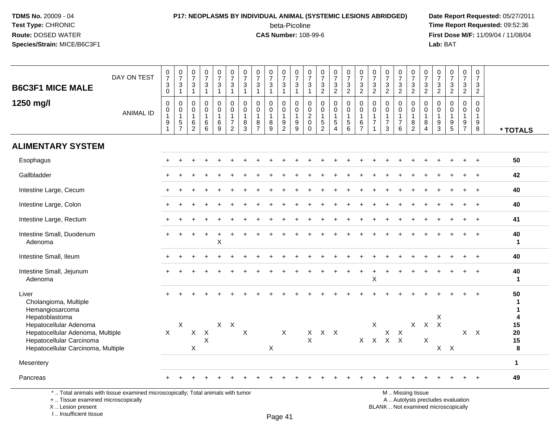#### **P17: NEOPLASMS BY INDIVIDUAL ANIMAL (SYSTEMIC LESIONS ABRIDGED) Date Report Requested:** 05/27/2011

beta-Picoline<br>CAS Number: 108-99-6

 **Time Report Requested:** 09:52:36 **First Dose M/F:** 11/09/04 / 11/08/04<br>Lab: BAT **Lab:** BAT

| <b>B6C3F1 MICE MALE</b>                                                                                                                        | DAY ON TEST      | $\frac{0}{7}$<br>$\sqrt{3}$                                              | $\frac{0}{7}$<br>$\mathbf{3}$                                                      | $\frac{0}{7}$<br>$\ensuremath{\mathsf{3}}$                                    | $\frac{0}{7}$<br>$\mathbf{3}$                                       | $\frac{0}{7}$<br>$\sqrt{3}$                                                  | $\frac{0}{7}$<br>$\mathbf{3}$                                                                | $\frac{0}{7}$<br>$\sqrt{3}$                                       | $\frac{0}{7}$<br>$\ensuremath{\mathsf{3}}$                                               | $\frac{0}{7}$<br>$\sqrt{3}$                                              | $\frac{0}{7}$<br>$\mathbf{3}$                                                         | $\frac{0}{7}$<br>$\mathbf{3}$                                              | $\frac{0}{7}$<br>$\sqrt{3}$                                                  | $\frac{0}{7}$<br>$\mathbf{3}$                                            | $\frac{0}{7}$<br>$\frac{3}{2}$                                           | $\frac{0}{7}$<br>$\sqrt{3}$                                                       | $\frac{0}{7}$<br>$\ensuremath{\mathsf{3}}$                                             | $\frac{0}{7}$<br>$\frac{3}{2}$                                 | $\frac{0}{7}$<br>$\frac{3}{2}$                                                 | $\frac{0}{7}$<br>$\frac{3}{2}$                                      | $\frac{0}{7}$<br>$\mathbf{3}$                                                       | $\frac{0}{7}$<br>$\ensuremath{\mathsf{3}}$                                      | $\frac{0}{7}$<br>$\mathbf{3}$                                                                      | $\frac{0}{7}$<br>$\frac{3}{2}$                                                      | $\begin{array}{c} 0 \\ 7 \end{array}$<br>$\mathbf{3}$                         | $\begin{array}{c} 0 \\ 7 \end{array}$<br>3                       |                            |
|------------------------------------------------------------------------------------------------------------------------------------------------|------------------|--------------------------------------------------------------------------|------------------------------------------------------------------------------------|-------------------------------------------------------------------------------|---------------------------------------------------------------------|------------------------------------------------------------------------------|----------------------------------------------------------------------------------------------|-------------------------------------------------------------------|------------------------------------------------------------------------------------------|--------------------------------------------------------------------------|---------------------------------------------------------------------------------------|----------------------------------------------------------------------------|------------------------------------------------------------------------------|--------------------------------------------------------------------------|--------------------------------------------------------------------------|-----------------------------------------------------------------------------------|----------------------------------------------------------------------------------------|----------------------------------------------------------------|--------------------------------------------------------------------------------|---------------------------------------------------------------------|-------------------------------------------------------------------------------------|---------------------------------------------------------------------------------|----------------------------------------------------------------------------------------------------|-------------------------------------------------------------------------------------|-------------------------------------------------------------------------------|------------------------------------------------------------------|----------------------------|
| 1250 mg/l                                                                                                                                      | <b>ANIMAL ID</b> | $\mathbf 0$<br>$\mathbf 0$<br>0<br>$\mathbf{1}$<br>$\boldsymbol{9}$<br>1 | $\overline{1}$<br>$\mathbf 0$<br>0<br>$\mathbf{1}$<br>$\sqrt{5}$<br>$\overline{7}$ | $\mathbf{1}$<br>$\mathbf 0$<br>0<br>$\mathbf{1}$<br>$\,6\,$<br>$\overline{2}$ | $\mathbf{1}$<br>$\mathbf 0$<br>$\mathbf 0$<br>$\mathbf 1$<br>6<br>6 | $\overline{1}$<br>$\mathbf 0$<br>$\mathbf 0$<br>$\mathbf{1}$<br>$\,6\,$<br>9 | $\mathbf{1}$<br>$\mathbf 0$<br>$\pmb{0}$<br>$\mathbf{1}$<br>$\overline{7}$<br>$\overline{2}$ | $\mathbf{1}$<br>$\Omega$<br>$\mathbf 0$<br>$\mathbf{1}$<br>8<br>3 | $\overline{1}$<br>$\mathbf 0$<br>$\pmb{0}$<br>$\overline{1}$<br>$\bf8$<br>$\overline{7}$ | $\overline{1}$<br>$\mathbf 0$<br>$\mathbf 0$<br>$\overline{1}$<br>$^8_9$ | $\overline{1}$<br>$\mathbf 0$<br>$\mathbf 0$<br>$\overline{1}$<br>9<br>$\overline{2}$ | $\overline{1}$<br>$\mathbf 0$<br>$\mathbf 0$<br>$\mathbf{1}$<br>$9\,$<br>9 | $\overline{1}$<br>$\Omega$<br>0<br>$\overline{c}$<br>$\mathbf 0$<br>$\Omega$ | $\overline{2}$<br>$\mathbf 0$<br>$\mathbf 0$<br>1<br>5<br>$\overline{2}$ | $\mathbf 0$<br>$\pmb{0}$<br>$\mathbf{1}$<br>$\sqrt{5}$<br>$\overline{4}$ | $\overline{2}$<br>$\mathbf 0$<br>$\pmb{0}$<br>$\mathbf{1}$<br>5<br>$\overline{6}$ | $\overline{2}$<br>$\Omega$<br>$\mathbf 0$<br>$\mathbf{1}$<br>$\,6\,$<br>$\overline{7}$ | $\mathbf 0$<br>$\mathbf 0$<br>$\overline{1}$<br>$\overline{7}$ | $\mathbf 0$<br>$\mathbf 0$<br>$\overline{1}$<br>$\overline{7}$<br>$\mathbf{3}$ | $\mathbf 0$<br>$\mathbf 0$<br>$\overline{1}$<br>$\overline{7}$<br>6 | $\overline{2}$<br>$\mathbf 0$<br>$\mathbf 0$<br>$\mathbf{1}$<br>8<br>$\overline{2}$ | $\overline{2}$<br>$\Omega$<br>$\Omega$<br>$\overline{1}$<br>8<br>$\overline{4}$ | $\overline{2}$<br>$\mathbf 0$<br>$\mathbf 0$<br>$\mathbf{1}$<br>$\boldsymbol{9}$<br>$\overline{3}$ | $\mathbf 0$<br>$\mathbf 0$<br>$\mathbf{1}$<br>$\begin{array}{c} 9 \\ 5 \end{array}$ | $\overline{2}$<br>$\mathbf 0$<br>$\mathbf 0$<br>$\mathbf{1}$<br>$\frac{9}{7}$ | $\overline{2}$<br>$\Omega$<br>$\Omega$<br>$\mathbf{1}$<br>9<br>8 | * TOTALS                   |
| <b>ALIMENTARY SYSTEM</b>                                                                                                                       |                  |                                                                          |                                                                                    |                                                                               |                                                                     |                                                                              |                                                                                              |                                                                   |                                                                                          |                                                                          |                                                                                       |                                                                            |                                                                              |                                                                          |                                                                          |                                                                                   |                                                                                        |                                                                |                                                                                |                                                                     |                                                                                     |                                                                                 |                                                                                                    |                                                                                     |                                                                               |                                                                  |                            |
| Esophagus                                                                                                                                      |                  |                                                                          |                                                                                    |                                                                               |                                                                     |                                                                              |                                                                                              |                                                                   |                                                                                          |                                                                          |                                                                                       |                                                                            |                                                                              |                                                                          |                                                                          |                                                                                   |                                                                                        |                                                                |                                                                                |                                                                     |                                                                                     |                                                                                 |                                                                                                    |                                                                                     |                                                                               | $\ddot{}$                                                        | 50                         |
| Gallbladder                                                                                                                                    |                  |                                                                          |                                                                                    |                                                                               |                                                                     |                                                                              |                                                                                              |                                                                   |                                                                                          |                                                                          |                                                                                       |                                                                            |                                                                              |                                                                          |                                                                          |                                                                                   |                                                                                        |                                                                |                                                                                |                                                                     |                                                                                     |                                                                                 |                                                                                                    |                                                                                     |                                                                               |                                                                  | 42                         |
| Intestine Large, Cecum                                                                                                                         |                  |                                                                          |                                                                                    |                                                                               |                                                                     |                                                                              |                                                                                              |                                                                   |                                                                                          |                                                                          |                                                                                       |                                                                            |                                                                              |                                                                          |                                                                          |                                                                                   |                                                                                        |                                                                |                                                                                |                                                                     |                                                                                     |                                                                                 |                                                                                                    |                                                                                     |                                                                               | $+$                                                              | 40                         |
| Intestine Large, Colon                                                                                                                         |                  |                                                                          |                                                                                    |                                                                               |                                                                     |                                                                              |                                                                                              |                                                                   |                                                                                          |                                                                          |                                                                                       |                                                                            |                                                                              |                                                                          |                                                                          |                                                                                   |                                                                                        |                                                                |                                                                                |                                                                     |                                                                                     |                                                                                 |                                                                                                    |                                                                                     |                                                                               | $\ddot{}$                                                        | 40                         |
| Intestine Large, Rectum                                                                                                                        |                  |                                                                          |                                                                                    |                                                                               |                                                                     |                                                                              |                                                                                              |                                                                   |                                                                                          |                                                                          |                                                                                       |                                                                            |                                                                              |                                                                          |                                                                          |                                                                                   |                                                                                        |                                                                |                                                                                |                                                                     |                                                                                     |                                                                                 |                                                                                                    |                                                                                     |                                                                               |                                                                  | 41                         |
| Intestine Small, Duodenum<br>Adenoma                                                                                                           |                  |                                                                          |                                                                                    |                                                                               |                                                                     | $\boldsymbol{\mathsf{X}}$                                                    |                                                                                              |                                                                   |                                                                                          |                                                                          |                                                                                       |                                                                            |                                                                              |                                                                          |                                                                          |                                                                                   |                                                                                        |                                                                |                                                                                |                                                                     |                                                                                     |                                                                                 |                                                                                                    |                                                                                     |                                                                               | $\ddot{+}$                                                       | 40<br>$\blacktriangleleft$ |
| Intestine Small, Ileum                                                                                                                         |                  |                                                                          |                                                                                    |                                                                               |                                                                     |                                                                              |                                                                                              |                                                                   |                                                                                          |                                                                          |                                                                                       |                                                                            |                                                                              |                                                                          |                                                                          |                                                                                   |                                                                                        |                                                                |                                                                                |                                                                     |                                                                                     |                                                                                 |                                                                                                    |                                                                                     |                                                                               |                                                                  | 40                         |
| Intestine Small, Jejunum<br>Adenoma                                                                                                            |                  |                                                                          |                                                                                    |                                                                               |                                                                     |                                                                              |                                                                                              |                                                                   |                                                                                          |                                                                          |                                                                                       |                                                                            |                                                                              |                                                                          |                                                                          |                                                                                   |                                                                                        | X                                                              |                                                                                |                                                                     |                                                                                     |                                                                                 |                                                                                                    |                                                                                     |                                                                               | $\ddot{}$                                                        | 40<br>-1                   |
| Liver<br>Cholangioma, Multiple<br>Hemangiosarcoma                                                                                              |                  |                                                                          |                                                                                    |                                                                               |                                                                     |                                                                              |                                                                                              |                                                                   |                                                                                          |                                                                          |                                                                                       |                                                                            |                                                                              |                                                                          |                                                                          |                                                                                   |                                                                                        |                                                                |                                                                                |                                                                     |                                                                                     |                                                                                 |                                                                                                    |                                                                                     |                                                                               |                                                                  | 50<br>1<br>1               |
| Hepatoblastoma<br>Hepatocellular Adenoma<br>Hepatocellular Adenoma, Multiple<br>Hepatocellular Carcinoma<br>Hepatocellular Carcinoma, Multiple |                  | $\mathsf{X}$                                                             | X                                                                                  | $\mathsf{X}$<br>X                                                             | $\boldsymbol{\mathsf{X}}$<br>$\pmb{\times}$                         |                                                                              | $X$ $X$                                                                                      | X                                                                 |                                                                                          | X                                                                        | $\sf X$                                                                               |                                                                            | $\mathsf{X}$                                                                 | X X X                                                                    |                                                                          |                                                                                   |                                                                                        | X<br>$X$ $X$ $X$ $X$                                           | $\mathsf X$                                                                    | $\mathsf{X}$                                                        | $\mathsf{X}$                                                                        | X                                                                               | X<br>$X$ $X$                                                                                       | $X$ $X$                                                                             |                                                                               | $X$ $X$                                                          | 4<br>15<br>20<br>15<br>8   |
| Mesentery                                                                                                                                      |                  |                                                                          |                                                                                    |                                                                               |                                                                     |                                                                              |                                                                                              |                                                                   |                                                                                          |                                                                          |                                                                                       |                                                                            |                                                                              |                                                                          |                                                                          |                                                                                   |                                                                                        |                                                                |                                                                                |                                                                     |                                                                                     |                                                                                 |                                                                                                    |                                                                                     |                                                                               |                                                                  | $\mathbf{1}$               |
| Pancreas                                                                                                                                       |                  |                                                                          |                                                                                    |                                                                               |                                                                     |                                                                              |                                                                                              |                                                                   |                                                                                          |                                                                          |                                                                                       |                                                                            |                                                                              |                                                                          |                                                                          |                                                                                   |                                                                                        |                                                                |                                                                                |                                                                     |                                                                                     |                                                                                 |                                                                                                    |                                                                                     |                                                                               |                                                                  | 49                         |

+ .. Tissue examined microscopically

X .. Lesion present

I .. Insufficient tissue

M .. Missing tissue

y the contract of the contract of the contract of the contract of the contract of  $\mathsf A$  . Autolysis precludes evaluation Lesion present BLANK .. Not examined microscopically

Page 41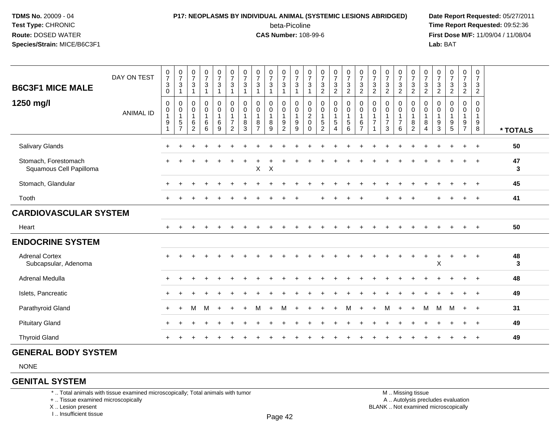# **P17: NEOPLASMS BY INDIVIDUAL ANIMAL (SYSTEMIC LESIONS ABRIDGED) Date Report Requested:** 05/27/2011

beta-Picoline<br>CAS Number: 108-99-6

 **Time Report Requested:** 09:52:36 **First Dose M/F:** 11/09/04 / 11/08/04<br>**Lab:** BAT **Lab:** BAT

| <b>B6C3F1 MICE MALE</b>                         | DAY ON TEST      | $\frac{0}{7}$<br>$\mathbf{3}$<br>0          | $\frac{0}{7}$<br>$\ensuremath{\mathsf{3}}$              | $\frac{0}{7}$<br>$\sqrt{3}$<br>$\overline{1}$                           | $\frac{0}{7}$<br>$\ensuremath{\mathsf{3}}$<br>$\mathbf{1}$ | $\frac{0}{7}$<br>$\ensuremath{\mathsf{3}}$<br>$\mathbf{1}$            | $\begin{smallmatrix}0\\7\end{smallmatrix}$<br>$\ensuremath{\mathsf{3}}$<br>$\mathbf{1}$ | $\frac{0}{7}$<br>$\ensuremath{\mathsf{3}}$ | $\frac{0}{7}$<br>$\sqrt{3}$<br>1                                       | $\frac{0}{7}$<br>3<br>$\mathbf{1}$            | $\frac{0}{7}$<br>$\ensuremath{\mathsf{3}}$<br>$\mathbf{1}$                       | $\frac{0}{7}$<br>3<br>$\mathbf{1}$                   | $\frac{0}{7}$<br>$\ensuremath{\mathsf{3}}$        | $\frac{0}{7}$<br>$\sqrt{3}$<br>$\overline{c}$                              | $\frac{0}{7}$<br>$\ensuremath{\mathsf{3}}$<br>$\overline{c}$    | $\frac{0}{7}$<br>$\ensuremath{\mathsf{3}}$<br>$\overline{2}$                             | $\frac{0}{7}$<br>$\ensuremath{\mathsf{3}}$<br>$\overline{2}$        | $\frac{0}{7}$<br>$\ensuremath{\mathsf{3}}$<br>$\overline{2}$ | $\frac{0}{7}$<br>$\sqrt{3}$<br>$\overline{2}$                     | $\frac{0}{7}$<br>$\ensuremath{\mathsf{3}}$<br>$\overline{2}$ | $\frac{0}{7}$<br>$\ensuremath{\mathsf{3}}$<br>$\overline{2}$ | $\frac{0}{7}$<br>$\ensuremath{\mathsf{3}}$<br>$\overline{2}$ | $\frac{0}{7}$<br>3<br>$\overline{2}$        | $\frac{0}{7}$<br>$\sqrt{3}$<br>$\overline{2}$             | $\begin{smallmatrix}0\\7\end{smallmatrix}$<br>$\ensuremath{\mathsf{3}}$<br>$\overline{2}$ | 0<br>$\overline{7}$<br>$\mathbf{3}$<br>$\overline{2}$        |          |
|-------------------------------------------------|------------------|---------------------------------------------|---------------------------------------------------------|-------------------------------------------------------------------------|------------------------------------------------------------|-----------------------------------------------------------------------|-----------------------------------------------------------------------------------------|--------------------------------------------|------------------------------------------------------------------------|-----------------------------------------------|----------------------------------------------------------------------------------|------------------------------------------------------|---------------------------------------------------|----------------------------------------------------------------------------|-----------------------------------------------------------------|------------------------------------------------------------------------------------------|---------------------------------------------------------------------|--------------------------------------------------------------|-------------------------------------------------------------------|--------------------------------------------------------------|--------------------------------------------------------------|--------------------------------------------------------------|---------------------------------------------|-----------------------------------------------------------|-------------------------------------------------------------------------------------------|--------------------------------------------------------------|----------|
| 1250 mg/l                                       | <b>ANIMAL ID</b> | 0<br>0<br>$\mathbf{1}$<br>9<br>$\mathbf{1}$ | 0<br>0<br>$\mathbf{1}$<br>$\,$ 5 $\,$<br>$\overline{7}$ | $\mathbf 0$<br>$\mathbf 0$<br>$\mathbf{1}$<br>$\,6\,$<br>$\overline{2}$ | 0<br>$\pmb{0}$<br>$\mathbf{1}$<br>$^6_6$                   | $\pmb{0}$<br>$\pmb{0}$<br>$\mathbf{1}$<br>$\,6\,$<br>$\boldsymbol{9}$ | 0<br>$\pmb{0}$<br>$\mathbf{1}$<br>$\overline{7}$<br>$\overline{2}$                      | 0<br>0<br>$\mathbf{1}$<br>$\bf 8$<br>3     | $\mathbf 0$<br>$\mathbf 0$<br>$\mathbf{1}$<br>$\, 8$<br>$\overline{7}$ | 0<br>$\pmb{0}$<br>$\mathbf{1}$<br>$\bf8$<br>9 | $\mathbf 0$<br>$\mathbf 0$<br>$\mathbf{1}$<br>$\boldsymbol{9}$<br>$\overline{c}$ | $\mathbf 0$<br>$\mathbf 0$<br>$\mathbf{1}$<br>9<br>9 | 0<br>0<br>$\overline{c}$<br>$\pmb{0}$<br>$\Omega$ | $\mathbf 0$<br>$\pmb{0}$<br>$\overline{1}$<br>$\sqrt{5}$<br>$\overline{2}$ | 0<br>$\pmb{0}$<br>$\mathbf{1}$<br>$\mathbf 5$<br>$\overline{4}$ | $\pmb{0}$<br>$\ddot{\mathbf{0}}$<br>$\mathbf 1$<br>$\begin{array}{c} 5 \\ 6 \end{array}$ | $\mathbf 0$<br>$\pmb{0}$<br>$\mathbf{1}$<br>$\,6$<br>$\overline{7}$ | $\mathbf 0$<br>0<br>$\mathbf{1}$<br>$\overline{7}$           | $\mathbf 0$<br>$\mathbf 0$<br>$\mathbf{1}$<br>$\overline{7}$<br>3 | 0<br>$\pmb{0}$<br>$\mathbf{1}$<br>$\overline{7}$<br>6        | 0<br>$\mathbf 0$<br>$\mathbf{1}$<br>$\bf8$<br>$\overline{c}$ | 0<br>$\mathbf 0$<br>$\mathbf{1}$<br>8<br>$\overline{4}$      | 0<br>0<br>$\mathbf{1}$<br>9<br>$\mathbf{3}$ | $\mathbf 0$<br>0<br>$\mathbf{1}$<br>$\boldsymbol{9}$<br>5 | 0<br>$\mathbf 0$<br>$\mathbf{1}$<br>$\frac{9}{7}$                                         | $\mathbf 0$<br>$\mathbf 0$<br>$\mathbf{1}$<br>$_{8}^{\rm 9}$ | * TOTALS |
| Salivary Glands                                 |                  | $\pm$                                       |                                                         |                                                                         |                                                            |                                                                       |                                                                                         |                                            |                                                                        |                                               |                                                                                  |                                                      |                                                   |                                                                            |                                                                 |                                                                                          |                                                                     |                                                              |                                                                   |                                                              |                                                              |                                                              |                                             |                                                           |                                                                                           |                                                              | 50       |
| Stomach, Forestomach<br>Squamous Cell Papilloma |                  |                                             |                                                         |                                                                         |                                                            |                                                                       |                                                                                         |                                            | X                                                                      | $\pmb{\times}$                                |                                                                                  |                                                      |                                                   |                                                                            |                                                                 |                                                                                          |                                                                     |                                                              |                                                                   |                                                              |                                                              |                                                              |                                             |                                                           |                                                                                           |                                                              | 47<br>3  |
| Stomach, Glandular                              |                  | ÷                                           |                                                         |                                                                         |                                                            |                                                                       |                                                                                         |                                            |                                                                        |                                               |                                                                                  |                                                      |                                                   |                                                                            |                                                                 |                                                                                          |                                                                     |                                                              |                                                                   |                                                              |                                                              |                                                              |                                             |                                                           |                                                                                           |                                                              | 45       |
| Tooth                                           |                  |                                             |                                                         |                                                                         |                                                            |                                                                       |                                                                                         |                                            |                                                                        |                                               |                                                                                  |                                                      |                                                   |                                                                            |                                                                 |                                                                                          |                                                                     |                                                              |                                                                   |                                                              |                                                              |                                                              |                                             |                                                           |                                                                                           | $\overline{ }$                                               | 41       |
| <b>CARDIOVASCULAR SYSTEM</b>                    |                  |                                             |                                                         |                                                                         |                                                            |                                                                       |                                                                                         |                                            |                                                                        |                                               |                                                                                  |                                                      |                                                   |                                                                            |                                                                 |                                                                                          |                                                                     |                                                              |                                                                   |                                                              |                                                              |                                                              |                                             |                                                           |                                                                                           |                                                              |          |
| Heart                                           |                  | $+$                                         |                                                         |                                                                         |                                                            |                                                                       |                                                                                         |                                            |                                                                        |                                               |                                                                                  |                                                      |                                                   |                                                                            |                                                                 |                                                                                          |                                                                     |                                                              |                                                                   |                                                              |                                                              |                                                              |                                             |                                                           |                                                                                           |                                                              | 50       |
| <b>ENDOCRINE SYSTEM</b>                         |                  |                                             |                                                         |                                                                         |                                                            |                                                                       |                                                                                         |                                            |                                                                        |                                               |                                                                                  |                                                      |                                                   |                                                                            |                                                                 |                                                                                          |                                                                     |                                                              |                                                                   |                                                              |                                                              |                                                              |                                             |                                                           |                                                                                           |                                                              |          |
| <b>Adrenal Cortex</b><br>Subcapsular, Adenoma   |                  | ÷                                           |                                                         |                                                                         |                                                            |                                                                       |                                                                                         |                                            |                                                                        |                                               |                                                                                  |                                                      |                                                   |                                                                            |                                                                 |                                                                                          |                                                                     |                                                              |                                                                   |                                                              |                                                              | $+$                                                          | $\ddot{}$<br>X                              |                                                           | $\ddot{}$                                                                                 | $\overline{+}$                                               | 48<br>3  |
| Adrenal Medulla                                 |                  | $+$                                         |                                                         |                                                                         |                                                            |                                                                       |                                                                                         |                                            |                                                                        |                                               |                                                                                  |                                                      |                                                   |                                                                            |                                                                 |                                                                                          |                                                                     |                                                              |                                                                   |                                                              |                                                              |                                                              |                                             |                                                           |                                                                                           |                                                              | 48       |
| Islets, Pancreatic                              |                  | $+$                                         |                                                         |                                                                         |                                                            |                                                                       |                                                                                         |                                            |                                                                        |                                               |                                                                                  |                                                      |                                                   |                                                                            |                                                                 |                                                                                          |                                                                     |                                                              |                                                                   |                                                              |                                                              |                                                              |                                             |                                                           |                                                                                           |                                                              | 49       |
| Parathyroid Gland                               |                  | $+$                                         | $\ddot{}$                                               | м                                                                       | M                                                          |                                                                       |                                                                                         |                                            |                                                                        |                                               | м                                                                                |                                                      |                                                   |                                                                            |                                                                 | M                                                                                        |                                                                     |                                                              |                                                                   |                                                              |                                                              | м                                                            | M                                           | M                                                         | $\div$                                                                                    | $^{+}$                                                       | 31       |
| <b>Pituitary Gland</b>                          |                  | $\ddot{}$                                   |                                                         |                                                                         |                                                            |                                                                       |                                                                                         |                                            |                                                                        |                                               |                                                                                  |                                                      |                                                   |                                                                            |                                                                 |                                                                                          |                                                                     |                                                              |                                                                   |                                                              |                                                              |                                                              |                                             |                                                           |                                                                                           | $\overline{ }$                                               | 49       |
| <b>Thyroid Gland</b>                            |                  |                                             |                                                         |                                                                         |                                                            |                                                                       |                                                                                         |                                            |                                                                        |                                               |                                                                                  |                                                      |                                                   |                                                                            |                                                                 |                                                                                          |                                                                     |                                                              |                                                                   |                                                              |                                                              |                                                              |                                             |                                                           |                                                                                           |                                                              | 49       |

#### **GENERAL BODY SYSTEM**

NONE

#### **GENITAL SYSTEM**

\* .. Total animals with tissue examined microscopically; Total animals with tumor

+ .. Tissue examined microscopically

X .. Lesion present

I .. Insufficient tissue

 M .. Missing tissuey the contract of the contract of the contract of the contract of the contract of  $\mathsf A$  . Autolysis precludes evaluation Lesion present BLANK .. Not examined microscopically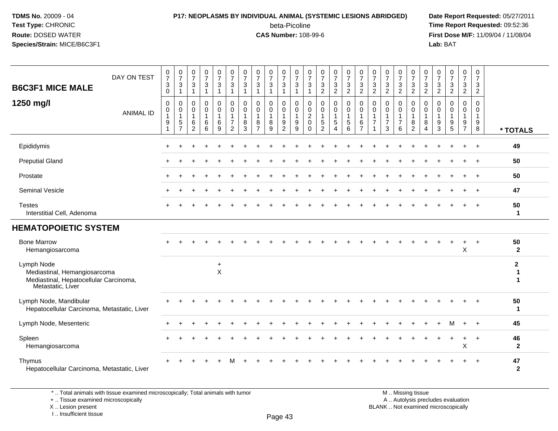#### **P17: NEOPLASMS BY INDIVIDUAL ANIMAL (SYSTEMIC LESIONS ABRIDGED) Date Report Requested:** 05/27/2011

beta-Picoline<br>CAS Number: 108-99-6

 **Time Report Requested:** 09:52:36 **First Dose M/F:** 11/09/04 / 11/08/04<br>Lab: BAT **Lab:** BAT

| <b>B6C3F1 MICE MALE</b><br>1250 mg/l                                                                      | DAY ON TEST<br><b>ANIMAL ID</b> | $\frac{0}{7}$<br>$\sqrt{3}$<br>$\mathbf 0$<br>$\mathbf 0$<br>$\mathbf 0$<br>$\overline{1}$ | $\frac{0}{7}$<br>$\mathbf{3}$<br>$\mathbf{1}$<br>$\mathbf 0$<br>$\mathbf 0$<br>$\overline{1}$ | $\frac{0}{7}$<br>3<br>$\mathbf{1}$<br>$\mathbf 0$<br>$\mathbf 0$<br>$\mathbf{1}$ | $\frac{0}{7}$<br>$\ensuremath{\mathsf{3}}$<br>$\mathbf{1}$<br>0<br>0<br>$\mathbf{1}$ | 0<br>$\boldsymbol{7}$<br>$\mathbf{3}$<br>1<br>0<br>0<br>$\mathbf{1}$ | $\frac{0}{7}$<br>$\mathbf{3}$<br>$\overline{1}$<br>$\mathbf 0$<br>$\mathbf 0$<br>$\overline{1}$ | $\pmb{0}$<br>$\overline{7}$<br>$\mathbf{3}$<br>$\mathbf{1}$<br>$\mathbf 0$<br>$\mathbf 0$<br>$\overline{1}$ | 0<br>$\boldsymbol{7}$<br>$\ensuremath{\mathsf{3}}$<br>$\mathbf{1}$<br>$\mathbf 0$<br>$\pmb{0}$<br>$\mathbf{1}$ | $\frac{0}{7}$<br>3<br>$\mathbf{1}$<br>$\mathbf 0$<br>$\mathbf 0$<br>$\mathbf{1}$ | 0<br>$\boldsymbol{7}$<br>$\mathbf{3}$<br>$\mathbf{1}$<br>0<br>0<br>$\mathbf{1}$ | 0<br>$\overline{7}$<br>$\sqrt{3}$<br>$\overline{1}$<br>$\mathbf 0$<br>$\mathbf 0$<br>$\mathbf{1}$ | $\pmb{0}$<br>$\overline{7}$<br>$\sqrt{3}$<br>$\mathbf{1}$<br>0<br>$\mathbf 0$<br>$\boldsymbol{2}$ | 0<br>$\overline{7}$<br>3<br>$\overline{c}$<br>0<br>$\mathbf 0$<br>$\mathbf{1}$ | $\frac{0}{7}$<br>3<br>$\overline{2}$<br>0<br>0<br>$\mathbf{1}$ | $\mathbf 0$<br>$\boldsymbol{7}$<br>$\mathbf{3}$<br>$\overline{2}$<br>0<br>$\mathbf 0$<br>$\mathbf{1}$ | $\frac{0}{7}$<br>$\sqrt{3}$<br>$\overline{2}$<br>$\mathbf 0$<br>$\pmb{0}$<br>$\overline{1}$ | 0<br>$\overline{7}$<br>$\sqrt{3}$<br>$\overline{2}$<br>0<br>0<br>$\mathbf{1}$ | 0<br>$\overline{7}$<br>$\ensuremath{\mathsf{3}}$<br>$\overline{2}$<br>$\mathbf 0$<br>$\mathbf 0$<br>$\mathbf{1}$ | $\frac{0}{7}$<br>3<br>$\overline{2}$<br>0<br>$\mathbf 0$<br>$\mathbf{1}$ | $\frac{0}{7}$<br>$\mathbf{3}$<br>$\overline{2}$<br>0<br>$\mathsf{O}\xspace$<br>$\mathbf{1}$ | 0<br>$\overline{7}$<br>$\ensuremath{\mathsf{3}}$<br>$\overline{2}$<br>0<br>$\mathsf 0$<br>$\overline{1}$ | 0<br>$\overline{7}$<br>$\mathbf{3}$<br>$\overline{2}$<br>0<br>$\mathbf 0$<br>$\overline{1}$ | $\pmb{0}$<br>$\overline{7}$<br>$\sqrt{3}$<br>$\overline{2}$<br>$\mathbf 0$<br>$\Omega$<br>$\mathbf{1}$ | $\frac{0}{7}$<br>3<br>$\overline{2}$<br>$\mathbf 0$<br>$\mathbf 0$<br>$\mathbf{1}$ | $\pmb{0}$<br>$\overline{7}$<br>$\mathbf{3}$<br>$\overline{c}$<br>$\mathbf 0$<br>$\mathbf 0$<br>$\mathbf{1}$ |                                  |
|-----------------------------------------------------------------------------------------------------------|---------------------------------|--------------------------------------------------------------------------------------------|-----------------------------------------------------------------------------------------------|----------------------------------------------------------------------------------|--------------------------------------------------------------------------------------|----------------------------------------------------------------------|-------------------------------------------------------------------------------------------------|-------------------------------------------------------------------------------------------------------------|----------------------------------------------------------------------------------------------------------------|----------------------------------------------------------------------------------|---------------------------------------------------------------------------------|---------------------------------------------------------------------------------------------------|---------------------------------------------------------------------------------------------------|--------------------------------------------------------------------------------|----------------------------------------------------------------|-------------------------------------------------------------------------------------------------------|---------------------------------------------------------------------------------------------|-------------------------------------------------------------------------------|------------------------------------------------------------------------------------------------------------------|--------------------------------------------------------------------------|---------------------------------------------------------------------------------------------|----------------------------------------------------------------------------------------------------------|---------------------------------------------------------------------------------------------|--------------------------------------------------------------------------------------------------------|------------------------------------------------------------------------------------|-------------------------------------------------------------------------------------------------------------|----------------------------------|
|                                                                                                           |                                 | 9<br>$\overline{1}$                                                                        | $\frac{5}{7}$                                                                                 | 6<br>$\overline{2}$                                                              | 6<br>$\overline{6}$                                                                  | 6<br>9                                                               | $\overline{7}$<br>$\overline{2}$                                                                | 8<br>3                                                                                                      | 8<br>$\overline{7}$                                                                                            | 8<br>9                                                                           | $\frac{9}{2}$                                                                   | $9\,$<br>9                                                                                        | $\mathbf 0$<br>$\Omega$                                                                           | 5<br>$\overline{2}$                                                            | 5<br>$\boldsymbol{\Lambda}$                                    | $\begin{array}{c} 5 \\ 6 \end{array}$                                                                 | $\,6$<br>$\overline{7}$                                                                     | $\overline{7}$<br>1                                                           | $\overline{7}$<br>3                                                                                              | $\overline{7}$<br>6                                                      | $\begin{smallmatrix} 8 \\ 2 \end{smallmatrix}$                                              | 8<br>4                                                                                                   | 9<br>3                                                                                      | 9<br>5                                                                                                 | $\frac{9}{7}$                                                                      | $_{8}^{\rm 9}$                                                                                              | * TOTALS                         |
| Epididymis                                                                                                |                                 |                                                                                            |                                                                                               |                                                                                  |                                                                                      |                                                                      |                                                                                                 |                                                                                                             |                                                                                                                |                                                                                  |                                                                                 |                                                                                                   |                                                                                                   |                                                                                |                                                                |                                                                                                       |                                                                                             |                                                                               |                                                                                                                  |                                                                          |                                                                                             |                                                                                                          |                                                                                             |                                                                                                        |                                                                                    |                                                                                                             | 49                               |
| <b>Preputial Gland</b>                                                                                    |                                 |                                                                                            |                                                                                               |                                                                                  |                                                                                      |                                                                      |                                                                                                 |                                                                                                             |                                                                                                                |                                                                                  |                                                                                 |                                                                                                   |                                                                                                   |                                                                                |                                                                |                                                                                                       |                                                                                             |                                                                               |                                                                                                                  |                                                                          |                                                                                             |                                                                                                          |                                                                                             |                                                                                                        |                                                                                    | $\ddot{}$                                                                                                   | 50                               |
| Prostate                                                                                                  |                                 |                                                                                            |                                                                                               |                                                                                  |                                                                                      |                                                                      |                                                                                                 |                                                                                                             |                                                                                                                |                                                                                  |                                                                                 |                                                                                                   |                                                                                                   |                                                                                |                                                                |                                                                                                       |                                                                                             |                                                                               |                                                                                                                  |                                                                          |                                                                                             |                                                                                                          |                                                                                             |                                                                                                        |                                                                                    |                                                                                                             | 50                               |
| <b>Seminal Vesicle</b>                                                                                    |                                 |                                                                                            |                                                                                               |                                                                                  |                                                                                      |                                                                      |                                                                                                 |                                                                                                             |                                                                                                                |                                                                                  |                                                                                 |                                                                                                   |                                                                                                   |                                                                                |                                                                |                                                                                                       |                                                                                             |                                                                               |                                                                                                                  |                                                                          |                                                                                             |                                                                                                          |                                                                                             |                                                                                                        |                                                                                    | $\overline{ }$                                                                                              | 47                               |
| <b>Testes</b><br>Interstitial Cell, Adenoma                                                               |                                 |                                                                                            |                                                                                               |                                                                                  |                                                                                      |                                                                      |                                                                                                 |                                                                                                             |                                                                                                                |                                                                                  |                                                                                 |                                                                                                   |                                                                                                   |                                                                                |                                                                |                                                                                                       |                                                                                             |                                                                               |                                                                                                                  |                                                                          |                                                                                             |                                                                                                          |                                                                                             |                                                                                                        |                                                                                    | $\overline{1}$                                                                                              | 50<br>$\mathbf 1$                |
| <b>HEMATOPOIETIC SYSTEM</b>                                                                               |                                 |                                                                                            |                                                                                               |                                                                                  |                                                                                      |                                                                      |                                                                                                 |                                                                                                             |                                                                                                                |                                                                                  |                                                                                 |                                                                                                   |                                                                                                   |                                                                                |                                                                |                                                                                                       |                                                                                             |                                                                               |                                                                                                                  |                                                                          |                                                                                             |                                                                                                          |                                                                                             |                                                                                                        |                                                                                    |                                                                                                             |                                  |
| <b>Bone Marrow</b><br>Hemangiosarcoma                                                                     |                                 |                                                                                            |                                                                                               |                                                                                  |                                                                                      |                                                                      |                                                                                                 |                                                                                                             |                                                                                                                |                                                                                  |                                                                                 |                                                                                                   |                                                                                                   |                                                                                |                                                                |                                                                                                       |                                                                                             |                                                                               |                                                                                                                  |                                                                          |                                                                                             |                                                                                                          |                                                                                             |                                                                                                        | $\ddot{}$<br>X                                                                     | $+$                                                                                                         | 50<br>$\overline{2}$             |
| Lymph Node<br>Mediastinal, Hemangiosarcoma<br>Mediastinal, Hepatocellular Carcinoma,<br>Metastatic, Liver |                                 |                                                                                            |                                                                                               |                                                                                  |                                                                                      | $\ddot{}$<br>$\mathsf X$                                             |                                                                                                 |                                                                                                             |                                                                                                                |                                                                                  |                                                                                 |                                                                                                   |                                                                                                   |                                                                                |                                                                |                                                                                                       |                                                                                             |                                                                               |                                                                                                                  |                                                                          |                                                                                             |                                                                                                          |                                                                                             |                                                                                                        |                                                                                    |                                                                                                             | $\mathbf{2}$<br>1<br>$\mathbf 1$ |
| Lymph Node, Mandibular<br>Hepatocellular Carcinoma, Metastatic, Liver                                     |                                 |                                                                                            |                                                                                               |                                                                                  |                                                                                      |                                                                      |                                                                                                 |                                                                                                             |                                                                                                                |                                                                                  |                                                                                 |                                                                                                   |                                                                                                   |                                                                                |                                                                |                                                                                                       |                                                                                             |                                                                               |                                                                                                                  |                                                                          |                                                                                             |                                                                                                          |                                                                                             |                                                                                                        |                                                                                    |                                                                                                             | 50<br>$\mathbf{1}$               |
| Lymph Node, Mesenteric                                                                                    |                                 |                                                                                            |                                                                                               |                                                                                  |                                                                                      |                                                                      |                                                                                                 |                                                                                                             |                                                                                                                |                                                                                  |                                                                                 |                                                                                                   |                                                                                                   |                                                                                |                                                                |                                                                                                       |                                                                                             |                                                                               |                                                                                                                  |                                                                          |                                                                                             |                                                                                                          |                                                                                             | M                                                                                                      | $+$                                                                                | $+$                                                                                                         | 45                               |
| Spleen<br>Hemangiosarcoma                                                                                 |                                 |                                                                                            |                                                                                               |                                                                                  |                                                                                      |                                                                      |                                                                                                 |                                                                                                             |                                                                                                                |                                                                                  |                                                                                 |                                                                                                   |                                                                                                   |                                                                                |                                                                |                                                                                                       |                                                                                             |                                                                               |                                                                                                                  |                                                                          |                                                                                             |                                                                                                          |                                                                                             |                                                                                                        | X                                                                                  | $\overline{+}$                                                                                              | 46<br>$\overline{2}$             |
| Thymus<br>Hepatocellular Carcinoma, Metastatic, Liver                                                     |                                 |                                                                                            |                                                                                               |                                                                                  |                                                                                      |                                                                      |                                                                                                 |                                                                                                             |                                                                                                                |                                                                                  |                                                                                 |                                                                                                   |                                                                                                   |                                                                                |                                                                |                                                                                                       |                                                                                             |                                                                               |                                                                                                                  |                                                                          |                                                                                             |                                                                                                          |                                                                                             |                                                                                                        |                                                                                    |                                                                                                             | 47<br>$\mathbf{2}$               |

\* .. Total animals with tissue examined microscopically; Total animals with tumor

+ .. Tissue examined microscopically

X .. Lesion present

I .. Insufficient tissue

M .. Missing tissue y the contract of the contract of the contract of the contract of the contract of  $\mathsf A$  . Autolysis precludes evaluation Lesion present BLANK .. Not examined microscopically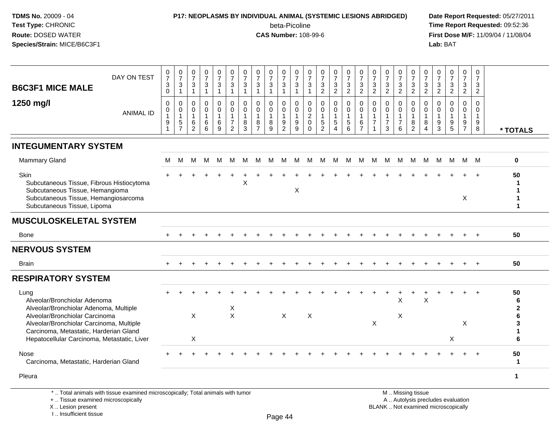#### **P17: NEOPLASMS BY INDIVIDUAL ANIMAL (SYSTEMIC LESIONS ABRIDGED) Date Report Requested:** 05/27/2011

beta-Picoline<br>CAS Number: 108-99-6

 **Time Report Requested:** 09:52:36 **First Dose M/F:** 11/09/04 / 11/08/04<br>Lab: BAT **Lab:** BAT

| <b>B6C3F1 MICE MALE</b>                                                                                                                                     | DAY ON TEST                                                                     | $\begin{array}{c} 0 \\ 7 \end{array}$<br>$\ensuremath{\mathsf{3}}$<br>$\mathbf 0$ | $\begin{matrix} 0 \\ 7 \end{matrix}$<br>$\ensuremath{\mathsf{3}}$<br>$\overline{1}$ | $\frac{0}{7}$<br>3<br>$\mathbf{1}$                | $\frac{0}{7}$<br>3<br>$\mathbf{1}$               | $\begin{array}{c} 0 \\ 7 \end{array}$<br>$\ensuremath{\mathsf{3}}$<br>$\mathbf{1}$ | $\begin{array}{c} 0 \\ 7 \end{array}$<br>$\ensuremath{\mathsf{3}}$<br>$\mathbf{1}$ | $\frac{0}{7}$<br>$\ensuremath{\mathsf{3}}$<br>$\mathbf{1}$ | $\frac{0}{7}$<br>$\ensuremath{\mathsf{3}}$<br>$\overline{1}$         | $\frac{0}{7}$<br>$\ensuremath{\mathsf{3}}$<br>$\mathbf{1}$ | $\frac{0}{7}$<br>$\ensuremath{\mathsf{3}}$<br>$\mathbf{1}$                    | $\frac{0}{7}$<br>3<br>$\mathbf{1}$                | $\frac{0}{7}$<br>$\ensuremath{\mathsf{3}}$<br>$\mathbf{1}$           | $\begin{array}{c} 0 \\ 7 \end{array}$<br>$\frac{3}{2}$ | $\frac{0}{7}$<br>$\frac{3}{2}$                                             | $\frac{0}{7}$<br>$\ensuremath{\mathsf{3}}$<br>$\overline{2}$     | $\frac{0}{7}$<br>$\ensuremath{\mathsf{3}}$<br>$\overline{2}$       | $\frac{0}{7}$<br>$\ensuremath{\mathsf{3}}$<br>$\overline{2}$ | $\frac{0}{7}$<br>3<br>$\overline{2}$        | $\frac{0}{7}$<br>$\ensuremath{\mathsf{3}}$<br>$\overline{2}$   | $\begin{array}{c} 0 \\ 7 \end{array}$<br>$\ensuremath{\mathsf{3}}$<br>$\overline{2}$ | 0<br>$\overline{7}$<br>$\frac{3}{2}$                           | $\frac{0}{7}$<br>$\ensuremath{\mathsf{3}}$<br>$\overline{2}$ | $\begin{array}{c} 0 \\ 7 \end{array}$<br>$\ensuremath{\mathsf{3}}$<br>$\overline{2}$ | 0<br>$\frac{5}{7}$<br>3<br>$\overline{2}$     | 0<br>$\overline{7}$<br>3<br>$\overline{2}$ |                              |
|-------------------------------------------------------------------------------------------------------------------------------------------------------------|---------------------------------------------------------------------------------|-----------------------------------------------------------------------------------|-------------------------------------------------------------------------------------|---------------------------------------------------|--------------------------------------------------|------------------------------------------------------------------------------------|------------------------------------------------------------------------------------|------------------------------------------------------------|----------------------------------------------------------------------|------------------------------------------------------------|-------------------------------------------------------------------------------|---------------------------------------------------|----------------------------------------------------------------------|--------------------------------------------------------|----------------------------------------------------------------------------|------------------------------------------------------------------|--------------------------------------------------------------------|--------------------------------------------------------------|---------------------------------------------|----------------------------------------------------------------|--------------------------------------------------------------------------------------|----------------------------------------------------------------|--------------------------------------------------------------|--------------------------------------------------------------------------------------|-----------------------------------------------|--------------------------------------------|------------------------------|
| 1250 mg/l                                                                                                                                                   | <b>ANIMAL ID</b>                                                                | $\Omega$<br>0<br>$\mathbf{1}$<br>$\boldsymbol{9}$<br>$\overline{1}$               | $\mathbf 0$<br>$\mathbf 0$<br>$\mathbf{1}$<br>$\,$ 5 $\,$<br>$\overline{7}$         | $\Omega$<br>$\mathbf 0$<br>$\mathbf{1}$<br>6<br>2 | $\Omega$<br>$\mathbf 0$<br>$\mathbf 1$<br>6<br>6 | $\Omega$<br>$\mathbf 0$<br>$\mathbf{1}$<br>6<br>9                                  | $\Omega$<br>$\mathbf 0$<br>$\mathbf{1}$<br>$\overline{7}$<br>$\overline{2}$        | $\mathbf{0}$<br>$\mathbf 0$<br>$\overline{1}$<br>8<br>3    | $\Omega$<br>$\mathbf 0$<br>$\mathbf{1}$<br>$\,8\,$<br>$\overline{7}$ | 0<br>$\mathbf 0$<br>$\mathbf{1}$<br>$^8_9$                 | $\Omega$<br>$\mathbf 0$<br>$\mathbf{1}$<br>$\boldsymbol{9}$<br>$\overline{2}$ | $\Omega$<br>$\mathbf 0$<br>$\mathbf{1}$<br>9<br>9 | $\Omega$<br>$\mathbf 0$<br>$\overline{c}$<br>$\mathbf 0$<br>$\Omega$ | $\mathbf 0$<br>$\mathbf 0$<br>1<br>$\frac{5}{2}$       | $\mathbf 0$<br>$\mathbf 0$<br>$\mathbf{1}$<br>$\sqrt{5}$<br>$\overline{4}$ | $\Omega$<br>$\mathbf 0$<br>$\overline{1}$<br>$\overline{5}$<br>6 | $\Omega$<br>$\mathbf 0$<br>$\mathbf{1}$<br>$\,6$<br>$\overline{7}$ | $\Omega$<br>$\mathbf 0$<br>1<br>$\overline{7}$<br>1          | $\Omega$<br>$\Omega$<br>$\overline{7}$<br>3 | $\Omega$<br>$\mathbf 0$<br>$\mathbf{1}$<br>$\overline{7}$<br>6 | $\Omega$<br>$\mathbf 0$<br>$\mathbf{1}$<br>8<br>$\overline{2}$                       | $\Omega$<br>$\mathbf 0$<br>$\mathbf{1}$<br>8<br>$\overline{4}$ | $\Omega$<br>$\Omega$<br>$\overline{1}$<br>$\frac{9}{3}$      | 0<br>$\mathbf{0}$<br>1<br>$\begin{array}{c} 9 \\ 5 \end{array}$                      | $\Omega$<br>$\mathbf 0$<br>1<br>$\frac{9}{7}$ | $\Omega$<br>0<br>$\mathbf{1}$<br>9<br>8    | * TOTALS                     |
| <b>INTEGUMENTARY SYSTEM</b>                                                                                                                                 |                                                                                 |                                                                                   |                                                                                     |                                                   |                                                  |                                                                                    |                                                                                    |                                                            |                                                                      |                                                            |                                                                               |                                                   |                                                                      |                                                        |                                                                            |                                                                  |                                                                    |                                                              |                                             |                                                                |                                                                                      |                                                                |                                                              |                                                                                      |                                               |                                            |                              |
| <b>Mammary Gland</b>                                                                                                                                        |                                                                                 | M                                                                                 | М                                                                                   | м                                                 | M                                                | M                                                                                  | м                                                                                  | м                                                          | м                                                                    | M                                                          | М                                                                             | М                                                 | M                                                                    | M                                                      | M                                                                          | м                                                                | М                                                                  | М                                                            | M                                           | M                                                              | M                                                                                    | M                                                              | M                                                            | M                                                                                    |                                               | M M                                        | $\mathbf 0$                  |
| Skin<br>Subcutaneous Tissue, Fibrous Histiocytoma<br>Subcutaneous Tissue, Hemangioma<br>Subcutaneous Tissue, Hemangiosarcoma<br>Subcutaneous Tissue, Lipoma |                                                                                 |                                                                                   |                                                                                     |                                                   |                                                  |                                                                                    |                                                                                    | $\mathsf X$                                                |                                                                      |                                                            |                                                                               | X                                                 |                                                                      |                                                        |                                                                            |                                                                  |                                                                    |                                                              |                                             |                                                                |                                                                                      |                                                                |                                                              |                                                                                      | $\sf X$                                       |                                            | 50<br>-1<br>1                |
| <b>MUSCULOSKELETAL SYSTEM</b>                                                                                                                               |                                                                                 |                                                                                   |                                                                                     |                                                   |                                                  |                                                                                    |                                                                                    |                                                            |                                                                      |                                                            |                                                                               |                                                   |                                                                      |                                                        |                                                                            |                                                                  |                                                                    |                                                              |                                             |                                                                |                                                                                      |                                                                |                                                              |                                                                                      |                                               |                                            |                              |
| Bone                                                                                                                                                        |                                                                                 |                                                                                   |                                                                                     |                                                   |                                                  |                                                                                    |                                                                                    |                                                            |                                                                      |                                                            |                                                                               |                                                   |                                                                      |                                                        |                                                                            |                                                                  |                                                                    |                                                              |                                             |                                                                |                                                                                      |                                                                |                                                              |                                                                                      |                                               |                                            | 50                           |
| <b>NERVOUS SYSTEM</b>                                                                                                                                       |                                                                                 |                                                                                   |                                                                                     |                                                   |                                                  |                                                                                    |                                                                                    |                                                            |                                                                      |                                                            |                                                                               |                                                   |                                                                      |                                                        |                                                                            |                                                                  |                                                                    |                                                              |                                             |                                                                |                                                                                      |                                                                |                                                              |                                                                                      |                                               |                                            |                              |
| Brain                                                                                                                                                       |                                                                                 |                                                                                   |                                                                                     |                                                   |                                                  |                                                                                    |                                                                                    |                                                            |                                                                      |                                                            |                                                                               |                                                   |                                                                      |                                                        |                                                                            |                                                                  |                                                                    |                                                              |                                             |                                                                |                                                                                      |                                                                |                                                              |                                                                                      |                                               |                                            | 50                           |
| <b>RESPIRATORY SYSTEM</b>                                                                                                                                   |                                                                                 |                                                                                   |                                                                                     |                                                   |                                                  |                                                                                    |                                                                                    |                                                            |                                                                      |                                                            |                                                                               |                                                   |                                                                      |                                                        |                                                                            |                                                                  |                                                                    |                                                              |                                             |                                                                |                                                                                      |                                                                |                                                              |                                                                                      |                                               |                                            |                              |
| Lung<br>Alveolar/Bronchiolar Adenoma<br>Alveolar/Bronchiolar Adenoma, Multiple<br>Alveolar/Bronchiolar Carcinoma                                            |                                                                                 |                                                                                   |                                                                                     | $\sf X$                                           |                                                  |                                                                                    | X<br>$\mathsf{X}$                                                                  |                                                            |                                                                      |                                                            | $\mathsf{X}$                                                                  |                                                   | $\boldsymbol{\mathsf{X}}$                                            |                                                        |                                                                            |                                                                  |                                                                    |                                                              |                                             | $\mathsf X$<br>X                                               |                                                                                      | $\sf X$                                                        |                                                              |                                                                                      |                                               |                                            | 50<br>6<br>$\mathbf{2}$<br>6 |
| Alveolar/Bronchiolar Carcinoma, Multiple<br>Carcinoma, Metastatic, Harderian Gland<br>Hepatocellular Carcinoma, Metastatic, Liver                           |                                                                                 |                                                                                   |                                                                                     | X                                                 |                                                  |                                                                                    |                                                                                    |                                                            |                                                                      |                                                            |                                                                               |                                                   |                                                                      |                                                        |                                                                            |                                                                  |                                                                    | X                                                            |                                             |                                                                |                                                                                      |                                                                |                                                              | X                                                                                    | X                                             |                                            | 3<br>1<br>6                  |
| Nose<br>Carcinoma, Metastatic, Harderian Gland                                                                                                              |                                                                                 |                                                                                   |                                                                                     |                                                   |                                                  |                                                                                    |                                                                                    |                                                            |                                                                      |                                                            |                                                                               |                                                   |                                                                      |                                                        |                                                                            |                                                                  |                                                                    |                                                              |                                             |                                                                |                                                                                      |                                                                |                                                              |                                                                                      |                                               |                                            | 50<br>-1                     |
| Pleura                                                                                                                                                      |                                                                                 |                                                                                   |                                                                                     |                                                   |                                                  |                                                                                    |                                                                                    |                                                            |                                                                      |                                                            |                                                                               |                                                   |                                                                      |                                                        |                                                                            |                                                                  |                                                                    |                                                              |                                             |                                                                |                                                                                      |                                                                |                                                              |                                                                                      |                                               |                                            | $\mathbf{1}$                 |
| +  Tissue examined microscopically                                                                                                                          | *  Total animals with tissue examined microscopically; Total animals with tumor |                                                                                   |                                                                                     |                                                   |                                                  |                                                                                    |                                                                                    |                                                            |                                                                      |                                                            |                                                                               |                                                   |                                                                      |                                                        |                                                                            |                                                                  |                                                                    |                                                              |                                             |                                                                | M  Missing tissue<br>A  Autolysis precludes evaluation                               |                                                                |                                                              |                                                                                      |                                               |                                            |                              |

X .. Lesion present

I .. Insufficient tissue

Page 44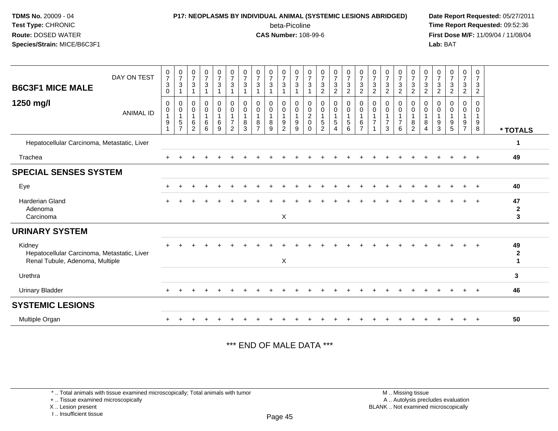#### **P17: NEOPLASMS BY INDIVIDUAL ANIMAL (SYSTEMIC LESIONS ABRIDGED) Date Report Requested:** 05/27/2011

beta-Picoline<br>CAS Number: 108-99-6

 **Time Report Requested:** 09:52:36 **First Dose M/F:** 11/09/04 / 11/08/04<br>**Lab:** BAT **Lab:** BAT

| <b>B6C3F1 MICE MALE</b>                                                                  | DAY ON TEST      | $\frac{0}{7}$<br>$\sqrt{3}$<br>$\mathbf 0$ | $\frac{0}{7}$<br>3                                  | $\frac{0}{7}$<br>$\mathbf{3}$<br>1                                            | $\frac{0}{7}$<br>3         | $\frac{0}{7}$<br>$\mathbf{3}$   | $\frac{0}{7}$<br>$\mathbf{3}$         | $\frac{0}{7}$<br>$\sqrt{3}$<br>$\overline{1}$ | $\frac{0}{7}$<br>$\sqrt{3}$<br>1                      | $\frac{0}{7}$<br>3         | $\frac{0}{7}$<br>$\mathbf{3}$                     | $\frac{0}{7}$<br>$\mathfrak{S}$<br>1     | $\frac{0}{7}$<br>$\mathbf{3}$         | $\frac{0}{7}$<br>$\mathbf{3}$<br>$\overline{c}$     | $\frac{0}{7}$<br>$\mathbf{3}$<br>$\overline{c}$                 | $\frac{0}{7}$<br>$\mathsf 3$<br>$\overline{c}$       | $\frac{0}{7}$<br>$\ensuremath{\mathsf{3}}$<br>$\overline{2}$ | $\frac{0}{7}$<br>$\mathbf{3}$<br>$\overline{2}$ | $\frac{0}{7}$<br>$\sqrt{3}$<br>$\overline{2}$ | $\frac{0}{7}$<br>$\mathbf{3}$<br>$\overline{c}$       | $\frac{0}{7}$<br>$\mathbf{3}$<br>$\overline{c}$           | $\frac{0}{7}$<br>3<br>$\overline{c}$ | $\frac{0}{7}$<br>$\sqrt{3}$<br>$\overline{2}$ | $\frac{0}{7}$<br>$\sqrt{3}$<br>$\overline{c}$                       | $\frac{0}{7}$<br>$\ensuremath{\mathsf{3}}$<br>$\boldsymbol{2}$ | 0<br>$\overline{7}$<br>$\ensuremath{\mathsf{3}}$<br>$\overline{2}$ |                                        |
|------------------------------------------------------------------------------------------|------------------|--------------------------------------------|-----------------------------------------------------|-------------------------------------------------------------------------------|----------------------------|---------------------------------|---------------------------------------|-----------------------------------------------|-------------------------------------------------------|----------------------------|---------------------------------------------------|------------------------------------------|---------------------------------------|-----------------------------------------------------|-----------------------------------------------------------------|------------------------------------------------------|--------------------------------------------------------------|-------------------------------------------------|-----------------------------------------------|-------------------------------------------------------|-----------------------------------------------------------|--------------------------------------|-----------------------------------------------|---------------------------------------------------------------------|----------------------------------------------------------------|--------------------------------------------------------------------|----------------------------------------|
| 1250 mg/l                                                                                | <b>ANIMAL ID</b> | $\mathbf 0$<br>0<br>9                      | 0<br>$\mathbf 0$<br>$\overline{1}$<br>$\frac{5}{7}$ | $\mathbf 0$<br>$\pmb{0}$<br>$\mathbf{1}$<br>$6\phantom{1}6$<br>$\overline{2}$ | 0<br>$\mathsf 0$<br>6<br>6 | 0<br>$\mathbf 0$<br>1<br>6<br>9 | 0<br>$\pmb{0}$<br>$\overline{7}$<br>2 | 0<br>0<br>$\mathbf{1}$<br>8<br>3              | 0<br>$\pmb{0}$<br>$\mathbf{1}$<br>8<br>$\overline{7}$ | 0<br>$\mathbf 0$<br>8<br>9 | 0<br>$\mathbf 0$<br>$\mathbf{1}$<br>$\frac{9}{2}$ | 0<br>$\pmb{0}$<br>$\mathbf{1}$<br>9<br>9 | 0<br>0<br>$\sqrt{2}$<br>0<br>$\Omega$ | 0<br>$\pmb{0}$<br>$\overline{1}$<br>$\sqrt{5}$<br>2 | 0<br>$\pmb{0}$<br>$\mathbf{1}$<br>$\,$ 5 $\,$<br>$\overline{4}$ | 0<br>$\mathsf 0$<br>$\mathbf{1}$<br>$\,$ 5 $\,$<br>6 | 0<br>$\mathsf 0$<br>$\mathbf{1}$<br>6<br>$\overline{7}$      | 0<br>0                                          | 0<br>$\pmb{0}$<br>$\overline{7}$<br>3         | 0<br>$\pmb{0}$<br>$\mathbf{1}$<br>$\overline{7}$<br>6 | 0<br>$\mathbf 0$<br>$\overline{1}$<br>8<br>$\overline{2}$ | 0<br>0<br>8<br>$\overline{4}$        | 0<br>0<br>$\overline{1}$<br>9<br>3            | $\mathbf 0$<br>$\mathbf 0$<br>$\begin{array}{c} 9 \\ 5 \end{array}$ | 0<br>$\mathbf 0$<br>$\overline{1}$<br>$9\,$<br>$\overline{7}$  | 0<br>0<br>$\mathbf{1}$<br>9<br>8                                   | * TOTALS                               |
| Hepatocellular Carcinoma, Metastatic, Liver                                              |                  |                                            |                                                     |                                                                               |                            |                                 |                                       |                                               |                                                       |                            |                                                   |                                          |                                       |                                                     |                                                                 |                                                      |                                                              |                                                 |                                               |                                                       |                                                           |                                      |                                               |                                                                     |                                                                |                                                                    | -1                                     |
| Trachea                                                                                  |                  |                                            |                                                     |                                                                               |                            |                                 |                                       |                                               |                                                       |                            |                                                   |                                          |                                       |                                                     |                                                                 |                                                      |                                                              |                                                 |                                               |                                                       |                                                           |                                      |                                               |                                                                     |                                                                | $\div$                                                             | 49                                     |
| <b>SPECIAL SENSES SYSTEM</b>                                                             |                  |                                            |                                                     |                                                                               |                            |                                 |                                       |                                               |                                                       |                            |                                                   |                                          |                                       |                                                     |                                                                 |                                                      |                                                              |                                                 |                                               |                                                       |                                                           |                                      |                                               |                                                                     |                                                                |                                                                    |                                        |
| Eye                                                                                      |                  |                                            |                                                     |                                                                               |                            |                                 |                                       |                                               |                                                       |                            |                                                   |                                          |                                       |                                                     |                                                                 |                                                      |                                                              |                                                 |                                               |                                                       |                                                           |                                      |                                               |                                                                     |                                                                |                                                                    | 40                                     |
| <b>Harderian Gland</b><br>Adenoma<br>Carcinoma                                           |                  |                                            |                                                     |                                                                               |                            |                                 |                                       |                                               |                                                       |                            | X                                                 |                                          |                                       |                                                     |                                                                 |                                                      |                                                              |                                                 |                                               |                                                       |                                                           |                                      |                                               |                                                                     |                                                                |                                                                    | 47<br>$\boldsymbol{2}$<br>$\mathbf{3}$ |
| <b>URINARY SYSTEM</b>                                                                    |                  |                                            |                                                     |                                                                               |                            |                                 |                                       |                                               |                                                       |                            |                                                   |                                          |                                       |                                                     |                                                                 |                                                      |                                                              |                                                 |                                               |                                                       |                                                           |                                      |                                               |                                                                     |                                                                |                                                                    |                                        |
| Kidney<br>Hepatocellular Carcinoma, Metastatic, Liver<br>Renal Tubule, Adenoma, Multiple |                  |                                            |                                                     |                                                                               |                            |                                 |                                       |                                               |                                                       |                            | X                                                 |                                          |                                       |                                                     |                                                                 |                                                      |                                                              |                                                 |                                               |                                                       |                                                           |                                      |                                               |                                                                     |                                                                |                                                                    | 49<br>$\boldsymbol{2}$<br>1            |
| Urethra                                                                                  |                  |                                            |                                                     |                                                                               |                            |                                 |                                       |                                               |                                                       |                            |                                                   |                                          |                                       |                                                     |                                                                 |                                                      |                                                              |                                                 |                                               |                                                       |                                                           |                                      |                                               |                                                                     |                                                                |                                                                    | 3                                      |
| <b>Urinary Bladder</b>                                                                   |                  |                                            |                                                     |                                                                               |                            |                                 |                                       |                                               |                                                       |                            |                                                   |                                          |                                       |                                                     |                                                                 |                                                      |                                                              |                                                 |                                               |                                                       |                                                           |                                      |                                               |                                                                     |                                                                | $+$                                                                | 46                                     |
| <b>SYSTEMIC LESIONS</b>                                                                  |                  |                                            |                                                     |                                                                               |                            |                                 |                                       |                                               |                                                       |                            |                                                   |                                          |                                       |                                                     |                                                                 |                                                      |                                                              |                                                 |                                               |                                                       |                                                           |                                      |                                               |                                                                     |                                                                |                                                                    |                                        |
| Multiple Organ                                                                           |                  |                                            |                                                     |                                                                               |                            |                                 |                                       |                                               |                                                       |                            |                                                   |                                          |                                       |                                                     |                                                                 |                                                      |                                                              |                                                 |                                               |                                                       |                                                           |                                      |                                               |                                                                     |                                                                |                                                                    | 50                                     |

\*\*\* END OF MALE DATA \*\*\*

\* .. Total animals with tissue examined microscopically; Total animals with tumor

+ .. Tissue examined microscopically

X .. Lesion present

I .. Insufficient tissue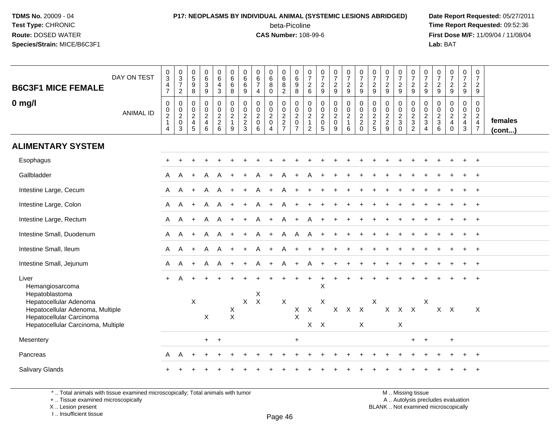### **P17: NEOPLASMS BY INDIVIDUAL ANIMAL (SYSTEMIC LESIONS ABRIDGED) Date Report Requested:** 05/27/2011 beta-Picoline<br>CAS Number: 108-99-6

 **Time Report Requested:** 09:52:36 **First Dose M/F:** 11/09/04 / 11/08/04<br>Lab: BAT **Lab:** BAT

| <b>B6C3F1 MICE FEMALE</b>                                                              | DAY ON TEST      | $\,0\,$<br>$\ensuremath{\mathsf{3}}$<br>$\overline{\mathbf{4}}$<br>$\overline{7}$ | $_{3}^{\rm 0}$<br>$\boldsymbol{7}$<br>$\overline{2}$      | $\begin{array}{c} 0 \\ 5 \end{array}$<br>$\boldsymbol{9}$<br>8         | $\begin{array}{c} 0 \\ 6 \end{array}$<br>$\ensuremath{\mathsf{3}}$<br>$\boldsymbol{9}$        | $\begin{array}{c} 0 \\ 6 \end{array}$<br>$\overline{4}$<br>$\mathbf{3}$ | $\pmb{0}$<br>6<br>$\,6\,$<br>8                          | 0<br>$\,6$<br>$\,6\,$<br>$9\,$              | $\begin{array}{c} 0 \\ 6 \end{array}$<br>$\boldsymbol{7}$<br>$\overline{4}$ | $_6^0$<br>8<br>$\mathbf 0$                                   | 0<br>$\,6$<br>8<br>$\overline{c}$ | $\pmb{0}$<br>6<br>$\boldsymbol{9}$<br>$\,8\,$          | 0<br>$\overline{7}$<br>$\sqrt{2}$<br>$6\phantom{1}$              | $\pmb{0}$<br>$\overline{7}$<br>$\frac{2}{9}$                                          | $\frac{0}{7}$<br>$\frac{2}{9}$                            | $\begin{smallmatrix}0\\7\end{smallmatrix}$<br>$\frac{2}{9}$                    | $\frac{0}{7}$<br>$\frac{2}{9}$                              | $\frac{0}{7}$<br>$\frac{2}{9}$ | $\frac{0}{7}$<br>$\frac{2}{9}$    | $\frac{0}{7}$<br>$\frac{2}{9}$                | $\frac{0}{7}$<br>$\frac{2}{9}$                       | $\frac{0}{7}$<br>$\frac{2}{9}$                         | 0<br>$\overline{7}$<br>$\frac{2}{9}$   | $\begin{array}{c} 0 \\ 7 \end{array}$<br>$\frac{2}{9}$ | $\begin{smallmatrix}0\\7\end{smallmatrix}$<br>$\frac{2}{9}$ | $\pmb{0}$<br>$\overline{7}$<br>$\overline{a}$<br>$9\,$                 |                   |
|----------------------------------------------------------------------------------------|------------------|-----------------------------------------------------------------------------------|-----------------------------------------------------------|------------------------------------------------------------------------|-----------------------------------------------------------------------------------------------|-------------------------------------------------------------------------|---------------------------------------------------------|---------------------------------------------|-----------------------------------------------------------------------------|--------------------------------------------------------------|-----------------------------------|--------------------------------------------------------|------------------------------------------------------------------|---------------------------------------------------------------------------------------|-----------------------------------------------------------|--------------------------------------------------------------------------------|-------------------------------------------------------------|--------------------------------|-----------------------------------|-----------------------------------------------|------------------------------------------------------|--------------------------------------------------------|----------------------------------------|--------------------------------------------------------|-------------------------------------------------------------|------------------------------------------------------------------------|-------------------|
| $0$ mg/l                                                                               | <b>ANIMAL ID</b> | $\pmb{0}$<br>$\begin{matrix} 0 \\ 2 \\ 1 \end{matrix}$<br>$\overline{4}$          | 0<br>$\begin{smallmatrix} 0\\2\\0 \end{smallmatrix}$<br>3 | 0<br>$\mathbf 0$<br>$\overline{2}$<br>$\overline{4}$<br>$\overline{5}$ | $\pmb{0}$<br>$\begin{smallmatrix} 0\\2 \end{smallmatrix}$<br>$\overline{4}$<br>$6\phantom{1}$ | $\mathbf 0$<br>$\frac{0}{2}$<br>6                                       | 0<br>$\mathbf 0$<br>$\overline{2}$<br>$\mathbf{1}$<br>9 | 0<br>0<br>$\overline{2}$<br>$\sqrt{2}$<br>3 | $\mathbf 0$<br>$\begin{array}{c} 0 \\ 2 \\ 0 \\ 6 \end{array}$              | 0<br>0<br>$\overline{2}$<br>$\overline{0}$<br>$\overline{4}$ | 0<br>$_2^0$<br>$\frac{2}{7}$      | 0<br>$\frac{0}{2}$<br>$\overline{0}$<br>$\overline{7}$ | 0<br>$\mathbf 0$<br>$\sqrt{2}$<br>$\mathbf{1}$<br>$\overline{c}$ | $\pmb{0}$<br>$\begin{smallmatrix} 0\\2 \end{smallmatrix}$<br>$\mathsf{O}\xspace$<br>5 | 0<br>$\begin{smallmatrix} 0\\2\\0 \end{smallmatrix}$<br>9 | $\pmb{0}$<br>$\begin{smallmatrix} 0\\2 \end{smallmatrix}$<br>$\mathbf{1}$<br>6 | $\pmb{0}$<br>$\frac{0}{2}$<br>$\overline{2}$<br>$\mathbf 0$ | 0<br>$0$<br>$2$<br>$2$<br>$5$  | $\mathbf 0$<br>$\frac{0}{2}$<br>9 | 0<br>$\mathbf 0$<br>$\frac{2}{3}$<br>$\Omega$ | 0<br>$\begin{array}{c} 0 \\ 2 \\ 3 \\ 2 \end{array}$ | 0<br>$\frac{0}{2}$<br>$\overline{3}$<br>$\overline{4}$ | $\mathbf 0$<br>0<br>$\frac{2}{3}$<br>6 | $\mathbf 0$<br>$\frac{0}{2}$<br>$\Omega$               | 0<br>$\mathbf 0$<br>$\frac{2}{4}$<br>3                      | 0<br>$\mathbf 0$<br>$\overline{2}$<br>$\overline{4}$<br>$\overline{7}$ | females<br>(cont) |
| <b>ALIMENTARY SYSTEM</b>                                                               |                  |                                                                                   |                                                           |                                                                        |                                                                                               |                                                                         |                                                         |                                             |                                                                             |                                                              |                                   |                                                        |                                                                  |                                                                                       |                                                           |                                                                                |                                                             |                                |                                   |                                               |                                                      |                                                        |                                        |                                                        |                                                             |                                                                        |                   |
| Esophagus                                                                              |                  |                                                                                   |                                                           |                                                                        |                                                                                               |                                                                         |                                                         |                                             |                                                                             |                                                              |                                   |                                                        |                                                                  |                                                                                       |                                                           |                                                                                |                                                             |                                |                                   |                                               |                                                      |                                                        |                                        |                                                        |                                                             | $\div$                                                                 |                   |
| Gallbladder                                                                            |                  | A                                                                                 | A                                                         | $+$                                                                    | A                                                                                             | A                                                                       |                                                         |                                             |                                                                             | $\ddot{}$                                                    | A                                 |                                                        |                                                                  |                                                                                       |                                                           |                                                                                |                                                             |                                |                                   |                                               |                                                      |                                                        |                                        |                                                        |                                                             |                                                                        |                   |
| Intestine Large, Cecum                                                                 |                  | A                                                                                 | A                                                         | $+$                                                                    | A                                                                                             | A                                                                       |                                                         |                                             |                                                                             | $+$                                                          | A                                 |                                                        |                                                                  |                                                                                       |                                                           |                                                                                |                                                             |                                |                                   |                                               |                                                      |                                                        |                                        |                                                        |                                                             | $+$                                                                    |                   |
| Intestine Large, Colon                                                                 |                  | A                                                                                 | A                                                         | $+$                                                                    | A                                                                                             | A                                                                       |                                                         | $\ddot{}$                                   |                                                                             | $+$                                                          | A                                 | $+$                                                    |                                                                  |                                                                                       |                                                           |                                                                                |                                                             |                                |                                   |                                               |                                                      |                                                        |                                        |                                                        |                                                             |                                                                        |                   |
| Intestine Large, Rectum                                                                |                  | A                                                                                 | A                                                         | $+$                                                                    | A                                                                                             | A                                                                       |                                                         |                                             |                                                                             | $\ddot{}$                                                    | A                                 |                                                        | A                                                                |                                                                                       |                                                           |                                                                                |                                                             |                                |                                   |                                               |                                                      |                                                        |                                        |                                                        |                                                             |                                                                        |                   |
| Intestine Small, Duodenum                                                              |                  | A                                                                                 | Α                                                         | $+$                                                                    | A                                                                                             | A                                                                       |                                                         |                                             | Α                                                                           | $\ddot{}$                                                    | A                                 | $\mathsf{A}$                                           | A                                                                |                                                                                       |                                                           |                                                                                |                                                             |                                |                                   |                                               |                                                      |                                                        |                                        |                                                        |                                                             | $\ddot{}$                                                              |                   |
| Intestine Small, Ileum                                                                 |                  | A                                                                                 | A                                                         | $+$                                                                    | A                                                                                             | A                                                                       |                                                         |                                             |                                                                             | $\ddot{}$                                                    | A                                 |                                                        |                                                                  |                                                                                       |                                                           |                                                                                |                                                             |                                |                                   |                                               |                                                      |                                                        |                                        |                                                        |                                                             |                                                                        |                   |
| Intestine Small, Jejunum                                                               |                  | A                                                                                 | Α                                                         | $+$                                                                    | A                                                                                             | Α                                                                       | $+$                                                     | $\ddot{}$                                   | A                                                                           | $\ddot{}$                                                    | Α                                 | $+$                                                    | Α                                                                |                                                                                       | $\ddot{}$                                                 | $\ddot{}$                                                                      |                                                             |                                |                                   |                                               |                                                      |                                                        |                                        |                                                        |                                                             | $^{+}$                                                                 |                   |
| Liver<br>Hemangiosarcoma<br>Hepatoblastoma                                             |                  | $+$                                                                               | A                                                         | $\ddot{}$                                                              | $\ddot{}$                                                                                     |                                                                         |                                                         |                                             | X                                                                           |                                                              | $\ddot{}$                         |                                                        | $\ddot{}$                                                        | X                                                                                     |                                                           |                                                                                |                                                             |                                |                                   |                                               |                                                      |                                                        |                                        |                                                        | $\ddot{}$                                                   | $\overline{+}$                                                         |                   |
| Hepatocellular Adenoma<br>Hepatocellular Adenoma, Multiple<br>Hepatocellular Carcinoma |                  |                                                                                   |                                                           | $\boldsymbol{\mathsf{X}}$                                              | X                                                                                             |                                                                         | X<br>$\mathsf{X}$                                       | $\mathsf{X}$                                | $\mathsf{X}$                                                                |                                                              | X                                 | X<br>$\pmb{\times}$                                    | $\mathsf{X}$                                                     | X                                                                                     | $\mathsf{X}$                                              | $X$ $X$                                                                        |                                                             | Χ                              |                                   | X X X                                         |                                                      | Χ                                                      |                                        | $X$ $X$                                                |                                                             | $\boldsymbol{\mathsf{X}}$                                              |                   |
| Hepatocellular Carcinoma, Multiple                                                     |                  |                                                                                   |                                                           |                                                                        |                                                                                               |                                                                         |                                                         |                                             |                                                                             |                                                              |                                   |                                                        | $\mathsf{X}$                                                     | $\mathsf{X}$                                                                          |                                                           |                                                                                | X                                                           |                                |                                   | X                                             |                                                      |                                                        |                                        |                                                        |                                                             |                                                                        |                   |
| Mesentery                                                                              |                  |                                                                                   |                                                           |                                                                        | $+$                                                                                           | $+$                                                                     |                                                         |                                             |                                                                             |                                                              |                                   | $\ddot{}$                                              |                                                                  |                                                                                       |                                                           |                                                                                |                                                             |                                |                                   |                                               | $+$                                                  | $+$                                                    |                                        | $\ddot{}$                                              |                                                             |                                                                        |                   |
| Pancreas                                                                               |                  | A                                                                                 |                                                           |                                                                        |                                                                                               |                                                                         |                                                         |                                             |                                                                             |                                                              |                                   |                                                        |                                                                  |                                                                                       |                                                           |                                                                                |                                                             |                                |                                   |                                               |                                                      |                                                        |                                        |                                                        |                                                             |                                                                        |                   |
| <b>Salivary Glands</b>                                                                 |                  |                                                                                   |                                                           |                                                                        |                                                                                               |                                                                         |                                                         |                                             |                                                                             |                                                              |                                   |                                                        |                                                                  |                                                                                       |                                                           |                                                                                |                                                             |                                |                                   |                                               |                                                      |                                                        |                                        |                                                        |                                                             |                                                                        |                   |

\* .. Total animals with tissue examined microscopically; Total animals with tumor

+ .. Tissue examined microscopically

X .. Lesion present

I .. Insufficient tissue

M .. Missing tissue y the contract of the contract of the contract of the contract of the contract of  $\mathsf A$  . Autolysis precludes evaluation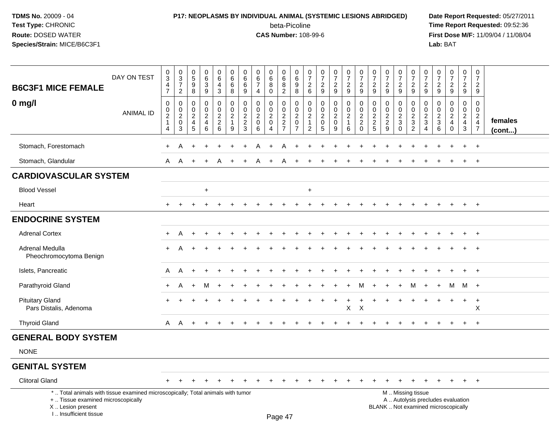## **P17: NEOPLASMS BY INDIVIDUAL ANIMAL (SYSTEMIC LESIONS ABRIDGED) Date Report Requested:** 05/27/2011 beta-Picoline<br>CAS Number: 108-99-6

| <b>B6C3F1 MICE FEMALE</b>                                                                                                                                           | DAY ON TEST      | 0<br>$\overline{3}$<br>$\overline{4}$<br>$\overline{7}$           | $\begin{array}{c} 0 \\ 3 \\ 7 \end{array}$<br>$\overline{c}$ | $\begin{array}{c} 0 \\ 5 \end{array}$<br>9<br>8                       | $\pmb{0}$<br>$\,6\,$<br>$\mathbf{3}$<br>9                           | $\pmb{0}$<br>$6\phantom{a}$<br>$\overline{a}$<br>3 | $\pmb{0}$<br>6<br>6<br>8                                        | 0<br>$6\phantom{a}$<br>$\,6\,$<br>9                                                    | 0<br>$\,6\,$<br>$\overline{7}$<br>$\overline{4}$     | $\begin{array}{c} 0 \\ 6 \\ 8 \end{array}$<br>$\mathbf 0$                 | $\begin{array}{c} 0 \\ 6 \end{array}$<br>$\bf 8$<br>$\overline{2}$ | $\pmb{0}$<br>$6\phantom{a}$<br>9<br>8                                   | $\frac{0}{7}$<br>2<br>$6\phantom{1}$                                 | $\begin{smallmatrix} 0\\7 \end{smallmatrix}$<br>$\overline{2}$<br>9 | $\frac{0}{7}$<br>$\overline{2}$<br>9                   | $\frac{0}{7}$<br>$\overline{2}$<br>9                    | $\begin{array}{c} 0 \\ 7 \\ 2 \end{array}$<br>9 | $\pmb{0}$<br>$\overline{7}$<br>$\overline{2}$<br>9 | $\mathsf 0$<br>$\overline{7}$<br>$\overline{2}$<br>9            | $\begin{array}{c} 0 \\ 7 \end{array}$<br>$\overline{2}$<br>9   | $\begin{array}{c} 0 \\ 7 \end{array}$<br>$\overline{c}$<br>9 | $\frac{0}{7}$<br>$\overline{2}$<br>9                              | $\begin{array}{c} 0 \\ 7 \end{array}$<br>$\overline{2}$<br>9 | $\begin{smallmatrix}0\\7\end{smallmatrix}$<br>$\sqrt{2}$<br>9                | $\frac{0}{7}$<br>$\overline{c}$<br>9                                | $\pmb{0}$<br>$\overline{7}$<br>$\overline{2}$<br>9            |                   |
|---------------------------------------------------------------------------------------------------------------------------------------------------------------------|------------------|-------------------------------------------------------------------|--------------------------------------------------------------|-----------------------------------------------------------------------|---------------------------------------------------------------------|----------------------------------------------------|-----------------------------------------------------------------|----------------------------------------------------------------------------------------|------------------------------------------------------|---------------------------------------------------------------------------|--------------------------------------------------------------------|-------------------------------------------------------------------------|----------------------------------------------------------------------|---------------------------------------------------------------------|--------------------------------------------------------|---------------------------------------------------------|-------------------------------------------------|----------------------------------------------------|-----------------------------------------------------------------|----------------------------------------------------------------|--------------------------------------------------------------|-------------------------------------------------------------------|--------------------------------------------------------------|------------------------------------------------------------------------------|---------------------------------------------------------------------|---------------------------------------------------------------|-------------------|
| $0$ mg/l                                                                                                                                                            | <b>ANIMAL ID</b> | $\mathbf 0$<br>$\mathbf 0$<br>$\overline{c}$<br>$\mathbf{1}$<br>4 | $\pmb{0}$<br>$\pmb{0}$<br>$\overline{c}$<br>$\pmb{0}$<br>3   | $\mathbf 0$<br>$\mathbf 0$<br>$\boldsymbol{2}$<br>$\overline{4}$<br>5 | $\mathbf 0$<br>$\mathbf 0$<br>$\overline{c}$<br>$\overline{4}$<br>6 | $\pmb{0}$<br>$\pmb{0}$<br>$\frac{2}{2}$ 6          | $\pmb{0}$<br>$\mathbf 0$<br>$\overline{c}$<br>$\mathbf{1}$<br>9 | $\pmb{0}$<br>$\mathsf{O}\xspace$<br>$\overline{c}$<br>$\overline{2}$<br>$\overline{3}$ | $\mathbf 0$<br>0<br>$\overline{c}$<br>$\pmb{0}$<br>6 | $\mathbf 0$<br>$\mathbf 0$<br>$\sqrt{2}$<br>$\mathbf 0$<br>$\overline{A}$ | $\pmb{0}$<br>$\mathbf 0$<br>$\frac{2}{2}$<br>7                     | $\pmb{0}$<br>$\mathbf 0$<br>$\sqrt{2}$<br>$\mathbf 0$<br>$\overline{7}$ | $\mathbf 0$<br>0<br>$\overline{c}$<br>$\mathbf{1}$<br>$\overline{c}$ | $\mathbf 0$<br>$\mathbf 0$<br>$^2_{\rm 0}$<br>$\overline{5}$        | $\mathbf 0$<br>0<br>$\overline{c}$<br>$\mathbf 0$<br>9 | 0<br>$\mathbf 0$<br>$\overline{a}$<br>$\mathbf{1}$<br>6 | $\pmb{0}$<br>$\frac{0}{2}$<br>0                 | $\mathbf 0$<br>$\mathbf 0$<br>$\frac{2}{2}$        | $\mathbf 0$<br>$\mathbf 0$<br>$\overline{2}$<br>$\sqrt{2}$<br>9 | $\mathbf 0$<br>0<br>$\overline{c}$<br>$\mathbf{3}$<br>$\Omega$ | 0<br>0<br>$\frac{2}{3}$<br>$\overline{2}$                    | $\pmb{0}$<br>$\mathbf 0$<br>$\overline{c}$<br>$\mathfrak{S}$<br>4 | $\mathbf 0$<br>$\mathbf 0$<br>$\frac{2}{3}$<br>6             | $\mathbf 0$<br>$\mathbf 0$<br>$\boldsymbol{2}$<br>$\overline{4}$<br>$\Omega$ | $\mathbf 0$<br>$\mathsf{O}\xspace$<br>$\frac{2}{4}$<br>$\mathbf{3}$ | $\mathbf 0$<br>$\mathbf 0$<br>$\frac{2}{4}$<br>$\overline{7}$ | females<br>(cont) |
| Stomach, Forestomach                                                                                                                                                |                  | +                                                                 | Α                                                            |                                                                       |                                                                     |                                                    |                                                                 |                                                                                        |                                                      |                                                                           |                                                                    |                                                                         |                                                                      |                                                                     |                                                        |                                                         |                                                 |                                                    |                                                                 |                                                                |                                                              |                                                                   |                                                              |                                                                              |                                                                     | $\overline{1}$                                                |                   |
| Stomach, Glandular                                                                                                                                                  |                  | A                                                                 | A                                                            | $\ddot{}$                                                             |                                                                     | A                                                  |                                                                 |                                                                                        |                                                      |                                                                           | A                                                                  |                                                                         |                                                                      |                                                                     |                                                        |                                                         |                                                 |                                                    |                                                                 |                                                                |                                                              |                                                                   |                                                              |                                                                              | $\ddot{}$                                                           | $\overline{+}$                                                |                   |
| <b>CARDIOVASCULAR SYSTEM</b>                                                                                                                                        |                  |                                                                   |                                                              |                                                                       |                                                                     |                                                    |                                                                 |                                                                                        |                                                      |                                                                           |                                                                    |                                                                         |                                                                      |                                                                     |                                                        |                                                         |                                                 |                                                    |                                                                 |                                                                |                                                              |                                                                   |                                                              |                                                                              |                                                                     |                                                               |                   |
| <b>Blood Vessel</b>                                                                                                                                                 |                  |                                                                   |                                                              |                                                                       | $\ddot{}$                                                           |                                                    |                                                                 |                                                                                        |                                                      |                                                                           |                                                                    |                                                                         | $\ddot{}$                                                            |                                                                     |                                                        |                                                         |                                                 |                                                    |                                                                 |                                                                |                                                              |                                                                   |                                                              |                                                                              |                                                                     |                                                               |                   |
| Heart                                                                                                                                                               |                  | $+$                                                               |                                                              |                                                                       |                                                                     |                                                    |                                                                 |                                                                                        |                                                      |                                                                           |                                                                    |                                                                         |                                                                      |                                                                     |                                                        |                                                         |                                                 |                                                    |                                                                 |                                                                |                                                              |                                                                   |                                                              |                                                                              | $+$                                                                 | $+$                                                           |                   |
| <b>ENDOCRINE SYSTEM</b>                                                                                                                                             |                  |                                                                   |                                                              |                                                                       |                                                                     |                                                    |                                                                 |                                                                                        |                                                      |                                                                           |                                                                    |                                                                         |                                                                      |                                                                     |                                                        |                                                         |                                                 |                                                    |                                                                 |                                                                |                                                              |                                                                   |                                                              |                                                                              |                                                                     |                                                               |                   |
| <b>Adrenal Cortex</b>                                                                                                                                               |                  | $+$                                                               | A                                                            |                                                                       |                                                                     |                                                    |                                                                 |                                                                                        |                                                      |                                                                           |                                                                    |                                                                         |                                                                      |                                                                     |                                                        |                                                         |                                                 |                                                    |                                                                 |                                                                |                                                              |                                                                   |                                                              |                                                                              | $\ddot{}$                                                           | $+$                                                           |                   |
| Adrenal Medulla<br>Pheochromocytoma Benign                                                                                                                          |                  | $\ddot{}$                                                         | А                                                            |                                                                       |                                                                     |                                                    |                                                                 |                                                                                        |                                                      |                                                                           |                                                                    |                                                                         |                                                                      |                                                                     |                                                        |                                                         |                                                 |                                                    |                                                                 |                                                                |                                                              |                                                                   |                                                              |                                                                              |                                                                     | $\overline{+}$                                                |                   |
| Islets, Pancreatic                                                                                                                                                  |                  | A                                                                 | A                                                            | $\div$                                                                |                                                                     |                                                    |                                                                 |                                                                                        |                                                      |                                                                           |                                                                    |                                                                         |                                                                      |                                                                     |                                                        |                                                         |                                                 |                                                    |                                                                 |                                                                |                                                              |                                                                   |                                                              |                                                                              |                                                                     | $\overline{ }$                                                |                   |
| Parathyroid Gland                                                                                                                                                   |                  | $+$                                                               | A                                                            |                                                                       | M                                                                   |                                                    |                                                                 |                                                                                        |                                                      |                                                                           |                                                                    |                                                                         |                                                                      |                                                                     |                                                        |                                                         |                                                 |                                                    |                                                                 |                                                                | M                                                            | $\ddot{}$                                                         | $\pm$                                                        | м                                                                            | M +                                                                 |                                                               |                   |
| <b>Pituitary Gland</b><br>Pars Distalis, Adenoma                                                                                                                    |                  |                                                                   |                                                              |                                                                       |                                                                     |                                                    |                                                                 |                                                                                        |                                                      |                                                                           |                                                                    |                                                                         |                                                                      |                                                                     | $\ddot{}$                                              | $\ddot{}$<br>$\mathsf X$                                | $\ddot{}$<br>$\times$                           |                                                    |                                                                 |                                                                | $\ddot{}$                                                    | $\ddot{}$                                                         |                                                              | $\ddot{}$                                                                    | $+$                                                                 | $+$<br>X                                                      |                   |
| <b>Thyroid Gland</b>                                                                                                                                                |                  | A                                                                 | A                                                            | $\ddot{}$                                                             |                                                                     |                                                    |                                                                 |                                                                                        |                                                      |                                                                           |                                                                    |                                                                         |                                                                      |                                                                     |                                                        |                                                         |                                                 |                                                    |                                                                 |                                                                |                                                              |                                                                   |                                                              |                                                                              | $\ddot{}$                                                           | $\ddot{}$                                                     |                   |
| <b>GENERAL BODY SYSTEM</b>                                                                                                                                          |                  |                                                                   |                                                              |                                                                       |                                                                     |                                                    |                                                                 |                                                                                        |                                                      |                                                                           |                                                                    |                                                                         |                                                                      |                                                                     |                                                        |                                                         |                                                 |                                                    |                                                                 |                                                                |                                                              |                                                                   |                                                              |                                                                              |                                                                     |                                                               |                   |
| <b>NONE</b>                                                                                                                                                         |                  |                                                                   |                                                              |                                                                       |                                                                     |                                                    |                                                                 |                                                                                        |                                                      |                                                                           |                                                                    |                                                                         |                                                                      |                                                                     |                                                        |                                                         |                                                 |                                                    |                                                                 |                                                                |                                                              |                                                                   |                                                              |                                                                              |                                                                     |                                                               |                   |
| <b>GENITAL SYSTEM</b>                                                                                                                                               |                  |                                                                   |                                                              |                                                                       |                                                                     |                                                    |                                                                 |                                                                                        |                                                      |                                                                           |                                                                    |                                                                         |                                                                      |                                                                     |                                                        |                                                         |                                                 |                                                    |                                                                 |                                                                |                                                              |                                                                   |                                                              |                                                                              |                                                                     |                                                               |                   |
| <b>Clitoral Gland</b>                                                                                                                                               |                  | ÷                                                                 |                                                              |                                                                       |                                                                     |                                                    |                                                                 |                                                                                        |                                                      |                                                                           |                                                                    |                                                                         |                                                                      |                                                                     |                                                        |                                                         |                                                 |                                                    |                                                                 |                                                                |                                                              |                                                                   |                                                              |                                                                              | $\ddot{}$                                                           | $+$                                                           |                   |
| *  Total animals with tissue examined microscopically; Total animals with tumor<br>+  Tissue examined microscopically<br>X  Lesion present<br>I Insufficient tissue |                  |                                                                   |                                                              |                                                                       |                                                                     |                                                    |                                                                 |                                                                                        |                                                      |                                                                           | Page 47                                                            |                                                                         |                                                                      |                                                                     |                                                        |                                                         |                                                 |                                                    |                                                                 | M  Missing tissue                                              |                                                              |                                                                   |                                                              | A  Autolysis precludes evaluation<br>BLANK  Not examined microscopically     |                                                                     |                                                               |                   |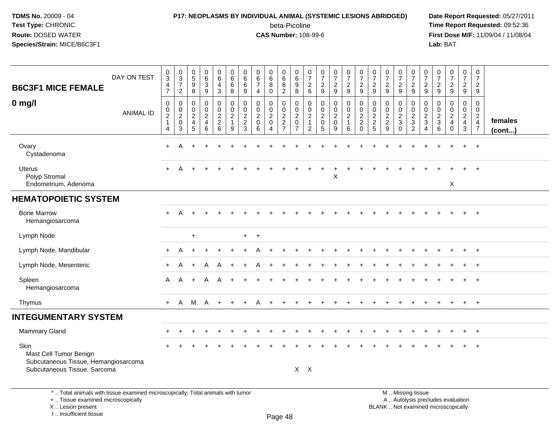# **P17: NEOPLASMS BY INDIVIDUAL ANIMAL (SYSTEMIC LESIONS ABRIDGED) Date Report Requested:** 05/27/2011

beta-Picoline<br>CAS Number: 108-99-6

 **Time Report Requested:** 09:52:36 **First Dose M/F:** 11/09/04 / 11/08/04<br>Lab: BAT **Lab:** BAT

| <b>B6C3F1 MICE FEMALE</b>                                                                                             | DAY ON TEST      | $_{3}^{\rm 0}$<br>$\overline{\mathbf{4}}$<br>$\overline{7}$                                   | $\mathbf 0$<br>$\frac{3}{7}$<br>$\overline{2}$                               | $\begin{array}{c} 0 \\ 5 \end{array}$<br>$\boldsymbol{9}$<br>8      | $\begin{array}{c} 0 \\ 6 \\ 3 \end{array}$<br>9           | $\begin{array}{c} 0 \\ 6 \end{array}$<br>$\overline{4}$<br>3 | $\begin{array}{c} 0 \\ 6 \end{array}$<br>$\,6\,$<br>$\,8\,$ | 0<br>$\,6$<br>6<br>9                                  | $\pmb{0}$<br>$\,6\,$<br>$\overline{7}$<br>$\overline{4}$           | 0<br>$\overline{6}$<br>8<br>$\mathbf 0$                             | $_{6}^{\rm 0}$<br>$\overline{8}$<br>$\overline{2}$ | $\pmb{0}$<br>$\overline{6}$<br>9<br>8                                       | $\frac{0}{7}$<br>$\frac{2}{6}$                                                   | $\begin{array}{c} 0 \\ 7 \end{array}$<br>$\overline{c}$<br>$9\,$ | $\frac{0}{7}$<br>$\frac{2}{9}$ | $\begin{array}{c} 0 \\ 7 \\ 2 \end{array}$<br>9                   | $\begin{array}{c} 0 \\ 7 \\ 2 \end{array}$<br>9                | $\begin{array}{c} 0 \\ 7 \\ 2 \end{array}$<br>9 | $\begin{array}{c} 0 \\ 7 \end{array}$<br>$\sqrt{2}$<br>9 | $\frac{0}{7}$<br>$\boldsymbol{2}$<br>9           | $\begin{array}{c} 0 \\ 7 \\ 2 \end{array}$<br>9                | $\begin{array}{c} 0 \\ 7 \end{array}$<br>$\overline{c}$<br>9      | $\begin{smallmatrix}0\\7\end{smallmatrix}$<br>$\overline{2}$<br>9 | $\frac{0}{7}$<br>$\frac{2}{9}$                                              | $\begin{array}{c} 0 \\ 7 \end{array}$<br>$\sqrt{2}$<br>9            | $\pmb{0}$<br>$\overline{7}$<br>$\overline{2}$<br>9                    |                   |
|-----------------------------------------------------------------------------------------------------------------------|------------------|-----------------------------------------------------------------------------------------------|------------------------------------------------------------------------------|---------------------------------------------------------------------|-----------------------------------------------------------|--------------------------------------------------------------|-------------------------------------------------------------|-------------------------------------------------------|--------------------------------------------------------------------|---------------------------------------------------------------------|----------------------------------------------------|-----------------------------------------------------------------------------|----------------------------------------------------------------------------------|------------------------------------------------------------------|--------------------------------|-------------------------------------------------------------------|----------------------------------------------------------------|-------------------------------------------------|----------------------------------------------------------|--------------------------------------------------|----------------------------------------------------------------|-------------------------------------------------------------------|-------------------------------------------------------------------|-----------------------------------------------------------------------------|---------------------------------------------------------------------|-----------------------------------------------------------------------|-------------------|
| $0$ mg/l                                                                                                              | <b>ANIMAL ID</b> | $\mathbf 0$<br>$\begin{smallmatrix} 0\\2 \end{smallmatrix}$<br>$\mathbf{1}$<br>$\overline{4}$ | $\mathbf 0$<br>$\begin{smallmatrix} 0\\2\\0 \end{smallmatrix}$<br>$\sqrt{3}$ | $\mathbf 0$<br>$\mathbf 0$<br>$\overline{c}$<br>$\overline{4}$<br>5 | 0<br>$\mathbf 0$<br>$\overline{a}$<br>$\overline{4}$<br>6 | $\mathbf 0$<br>$\mathbf 0$<br>$\frac{2}{2}$<br>6             | $\mathbf 0$<br>$\frac{0}{2}$<br>$\mathbf{1}$<br>$9\,$       | $\mathbf 0$<br>0<br>$\overline{2}$<br>$\sqrt{2}$<br>3 | $\Omega$<br>$\boldsymbol{0}$<br>$\overline{2}$<br>$\mathbf 0$<br>6 | 0<br>$\mathbf 0$<br>$\overline{2}$<br>$\mathbf 0$<br>$\overline{4}$ | $\mathbf 0$<br>$\mathbf 0$<br>$\frac{2}{7}$        | $\mathbf 0$<br>$\pmb{0}$<br>$\overline{c}$<br>$\mathsf 0$<br>$\overline{7}$ | $\mathbf 0$<br>$\mathbf 0$<br>$\overline{2}$<br>$\overline{1}$<br>$\overline{2}$ | $\mathbf 0$<br>$\mathbf 0$<br>$\overline{c}$<br>$\pmb{0}$<br>5   | 0<br>$\frac{0}{2}$<br>9        | $\mathbf 0$<br>$\mathsf 0$<br>$\overline{2}$<br>$\mathbf{1}$<br>6 | 0<br>$\pmb{0}$<br>$\overline{a}$<br>$\overline{c}$<br>$\Omega$ | $\mathbf 0$<br>0<br>$\frac{2}{2}$               | $\mathbf 0$<br>$\frac{0}{2}$<br>9                        | 0<br>$\mathbf 0$<br>$\frac{2}{3}$<br>$\mathbf 0$ | $\mathbf 0$<br>$\begin{array}{c} 0 \\ 2 \\ 3 \\ 2 \end{array}$ | $\mathbf 0$<br>$\mathbf 0$<br>$\overline{c}$<br>$\mathbf{3}$<br>4 | 0<br>$\mathbf 0$<br>$\frac{2}{3}$<br>6                            | $\mathbf 0$<br>$^{\rm 0}_{\rm 2}$<br>$\overline{\mathbf{4}}$<br>$\mathbf 0$ | $\mathbf 0$<br>$\ddot{\mathbf{0}}$<br>$\frac{2}{4}$<br>$\mathbf{3}$ | $\Omega$<br>$\mathbf 0$<br>$\begin{array}{c} 2 \\ 4 \\ 7 \end{array}$ | females<br>(cont) |
| Ovary<br>Cystadenoma                                                                                                  |                  | $\ddot{}$                                                                                     |                                                                              |                                                                     |                                                           |                                                              |                                                             |                                                       |                                                                    |                                                                     |                                                    |                                                                             |                                                                                  |                                                                  |                                |                                                                   |                                                                |                                                 |                                                          |                                                  |                                                                |                                                                   |                                                                   |                                                                             |                                                                     |                                                                       |                   |
| <b>Uterus</b><br>Polyp Stromal<br>Endometrium, Adenoma                                                                |                  | $\div$                                                                                        | А                                                                            |                                                                     |                                                           |                                                              |                                                             |                                                       |                                                                    |                                                                     |                                                    |                                                                             |                                                                                  |                                                                  | Χ                              |                                                                   |                                                                |                                                 |                                                          |                                                  |                                                                |                                                                   |                                                                   | X                                                                           |                                                                     | $\div$                                                                |                   |
| <b>HEMATOPOIETIC SYSTEM</b>                                                                                           |                  |                                                                                               |                                                                              |                                                                     |                                                           |                                                              |                                                             |                                                       |                                                                    |                                                                     |                                                    |                                                                             |                                                                                  |                                                                  |                                |                                                                   |                                                                |                                                 |                                                          |                                                  |                                                                |                                                                   |                                                                   |                                                                             |                                                                     |                                                                       |                   |
| <b>Bone Marrow</b><br>Hemangiosarcoma                                                                                 |                  | $+$                                                                                           | A                                                                            |                                                                     |                                                           |                                                              |                                                             |                                                       |                                                                    |                                                                     |                                                    |                                                                             |                                                                                  |                                                                  |                                |                                                                   |                                                                |                                                 |                                                          |                                                  |                                                                |                                                                   |                                                                   |                                                                             |                                                                     | $+$                                                                   |                   |
| Lymph Node                                                                                                            |                  |                                                                                               |                                                                              | $\ddot{}$                                                           |                                                           |                                                              |                                                             | $+$                                                   | $+$                                                                |                                                                     |                                                    |                                                                             |                                                                                  |                                                                  |                                |                                                                   |                                                                |                                                 |                                                          |                                                  |                                                                |                                                                   |                                                                   |                                                                             |                                                                     |                                                                       |                   |
| Lymph Node, Mandibular                                                                                                |                  | $\ddot{}$                                                                                     | A                                                                            |                                                                     |                                                           |                                                              |                                                             |                                                       |                                                                    |                                                                     |                                                    |                                                                             |                                                                                  |                                                                  |                                |                                                                   |                                                                |                                                 |                                                          |                                                  |                                                                |                                                                   |                                                                   |                                                                             |                                                                     | $+$                                                                   |                   |
| Lymph Node, Mesenteric                                                                                                |                  |                                                                                               |                                                                              |                                                                     |                                                           |                                                              |                                                             |                                                       |                                                                    |                                                                     |                                                    |                                                                             |                                                                                  |                                                                  |                                |                                                                   |                                                                |                                                 |                                                          |                                                  |                                                                |                                                                   |                                                                   |                                                                             |                                                                     |                                                                       |                   |
| Spleen<br>Hemangiosarcoma                                                                                             |                  | A                                                                                             | A                                                                            |                                                                     | Α                                                         |                                                              |                                                             |                                                       |                                                                    |                                                                     |                                                    |                                                                             |                                                                                  |                                                                  |                                |                                                                   |                                                                |                                                 |                                                          |                                                  |                                                                |                                                                   |                                                                   |                                                                             |                                                                     |                                                                       |                   |
| Thymus                                                                                                                |                  | $+$                                                                                           | $\mathsf{A}$                                                                 | M                                                                   | A                                                         | $+$                                                          |                                                             |                                                       |                                                                    |                                                                     |                                                    |                                                                             |                                                                                  |                                                                  |                                |                                                                   |                                                                |                                                 |                                                          |                                                  |                                                                |                                                                   |                                                                   |                                                                             |                                                                     | $+$                                                                   |                   |
| <b>INTEGUMENTARY SYSTEM</b>                                                                                           |                  |                                                                                               |                                                                              |                                                                     |                                                           |                                                              |                                                             |                                                       |                                                                    |                                                                     |                                                    |                                                                             |                                                                                  |                                                                  |                                |                                                                   |                                                                |                                                 |                                                          |                                                  |                                                                |                                                                   |                                                                   |                                                                             |                                                                     |                                                                       |                   |
| Mammary Gland                                                                                                         |                  |                                                                                               |                                                                              |                                                                     | $\div$                                                    |                                                              |                                                             |                                                       |                                                                    |                                                                     |                                                    |                                                                             |                                                                                  |                                                                  |                                |                                                                   |                                                                |                                                 |                                                          |                                                  |                                                                |                                                                   |                                                                   |                                                                             | $\ddot{}$                                                           | $+$                                                                   |                   |
| Skin<br>Mast Cell Tumor Benign<br>Subcutaneous Tissue, Hemangiosarcoma<br>Subcutaneous Tissue, Sarcoma                |                  |                                                                                               |                                                                              |                                                                     |                                                           |                                                              |                                                             |                                                       |                                                                    |                                                                     |                                                    |                                                                             | $X$ $X$                                                                          |                                                                  |                                |                                                                   |                                                                |                                                 |                                                          |                                                  |                                                                |                                                                   |                                                                   |                                                                             |                                                                     |                                                                       |                   |
| *  Total animals with tissue examined microscopically; Total animals with tumor<br>+  Tissue examined microscopically |                  |                                                                                               |                                                                              |                                                                     |                                                           |                                                              |                                                             |                                                       |                                                                    |                                                                     |                                                    |                                                                             |                                                                                  |                                                                  |                                |                                                                   |                                                                |                                                 | M  Missing tissue                                        |                                                  |                                                                |                                                                   |                                                                   | A  Autolysis precludes evaluation                                           |                                                                     |                                                                       |                   |

 Lesion present BLANK .. Not examined microscopicallyX .. Lesion present

I .. Insufficient tissue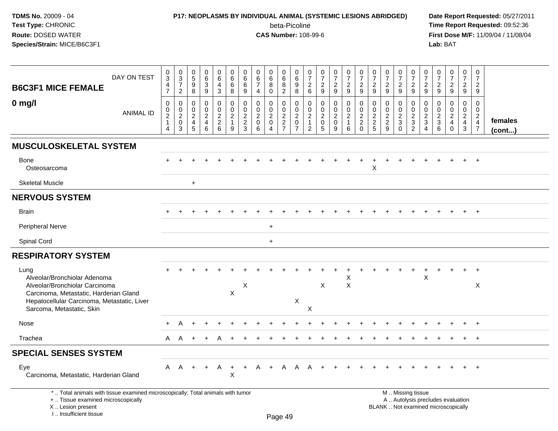I .. Insufficient tissue

# **P17: NEOPLASMS BY INDIVIDUAL ANIMAL (SYSTEMIC LESIONS ABRIDGED) Date Report Requested:** 05/27/2011

beta-Picoline<br>CAS Number: 108-99-6

 **Time Report Requested:** 09:52:36 **First Dose M/F:** 11/09/04 / 11/08/04<br>Lab: BAT **Lab:** BAT

| <b>B6C3F1 MICE FEMALE</b>                                                                                                                                                                    | DAY ON TEST      | $\pmb{0}$<br>$\mathbf{3}$<br>4<br>$\overline{7}$     | $\begin{array}{c} 0 \\ 3 \\ 7 \end{array}$<br>$\overline{c}$                   | $\begin{array}{c} 0 \\ 5 \end{array}$<br>$\boldsymbol{9}$<br>$\, 8$ | 0<br>$\,6\,$<br>$\overline{3}$<br>$\boldsymbol{9}$ | $_{6}^{\rm 0}$<br>4<br>$\mathbf{3}$                         | $\pmb{0}$<br>$\,6\,$<br>$\,6$<br>8                    | 0<br>$\,6$<br>6<br>9                              | $\boldsymbol{0}$<br>$\,6\,$<br>$\overline{7}$<br>$\overline{4}$       | $\pmb{0}$<br>$\,6\,$<br>$\overline{8}$<br>$\mathbf 0$         | $\,0\,$<br>$\,6\,$<br>8<br>$\overline{2}$ | 0<br>$\,6$<br>9<br>8                            | $\frac{0}{7}$<br>$\frac{2}{6}$                             | $\begin{array}{c} 0 \\ 7 \end{array}$<br>$\overline{c}$<br>$\boldsymbol{9}$ | $\begin{array}{c} 0 \\ 7 \end{array}$<br>$\frac{2}{9}$                | $\begin{array}{c} 0 \\ 7 \end{array}$<br>$\overline{2}$<br>$9\,$        | $\frac{0}{7}$<br>$\boldsymbol{2}$<br>9                           | $\begin{array}{c} 0 \\ 7 \end{array}$<br>$\overline{c}$<br>$\boldsymbol{9}$ | $\begin{array}{c} 0 \\ 7 \end{array}$<br>$\boldsymbol{2}$<br>$\boldsymbol{9}$ | $\begin{array}{c} 0 \\ 7 \end{array}$<br>$\frac{2}{9}$            | $\begin{array}{c} 0 \\ 7 \end{array}$<br>$\boldsymbol{2}$<br>$9\,$ | $\pmb{0}$<br>$\overline{7}$<br>$\overline{c}$<br>9                                | $\frac{0}{7}$<br>$\boldsymbol{2}$<br>$\mathsf g$                               | $\frac{0}{7}$<br>$\overline{a}$<br>9                               | $\begin{smallmatrix} 0\\7 \end{smallmatrix}$<br>$\frac{2}{9}$            | $\begin{smallmatrix}0\\7\end{smallmatrix}$<br>$\overline{c}$<br>9                |                   |
|----------------------------------------------------------------------------------------------------------------------------------------------------------------------------------------------|------------------|------------------------------------------------------|--------------------------------------------------------------------------------|---------------------------------------------------------------------|----------------------------------------------------|-------------------------------------------------------------|-------------------------------------------------------|---------------------------------------------------|-----------------------------------------------------------------------|---------------------------------------------------------------|-------------------------------------------|-------------------------------------------------|------------------------------------------------------------|-----------------------------------------------------------------------------|-----------------------------------------------------------------------|-------------------------------------------------------------------------|------------------------------------------------------------------|-----------------------------------------------------------------------------|-------------------------------------------------------------------------------|-------------------------------------------------------------------|--------------------------------------------------------------------|-----------------------------------------------------------------------------------|--------------------------------------------------------------------------------|--------------------------------------------------------------------|--------------------------------------------------------------------------|----------------------------------------------------------------------------------|-------------------|
| $0$ mg/l                                                                                                                                                                                     | <b>ANIMAL ID</b> | 0<br>$\mathbf 0$<br>$\overline{2}$<br>$\overline{4}$ | 0<br>$\begin{smallmatrix} 0\\2 \end{smallmatrix}$<br>$\pmb{0}$<br>$\mathbf{3}$ | $\mathbf 0$<br>$\mathbf 0$<br>$\sqrt{2}$<br>$\overline{a}$<br>5     | 0<br>0<br>$\overline{a}$<br>4<br>$\,6\,$           | 0<br>$\mathsf{O}\xspace$<br>$\overline{2}$<br>$\frac{2}{6}$ | 0<br>$\pmb{0}$<br>$\overline{c}$<br>$\mathbf{1}$<br>9 | $\mathbf 0$<br>0<br>$\sqrt{2}$<br>$\sqrt{2}$<br>3 | $\mathbf 0$<br>$\boldsymbol{0}$<br>$\overline{2}$<br>$\mathbf 0$<br>6 | 0<br>$\mathbf 0$<br>$\sqrt{2}$<br>$\pmb{0}$<br>$\overline{4}$ | 0<br>0<br>$\sqrt{2}$<br>$\frac{2}{7}$     | 0<br>0<br>$\overline{c}$<br>0<br>$\overline{7}$ | 0<br>0<br>$\overline{c}$<br>$\mathbf{1}$<br>$\overline{2}$ | 0<br>$\mathbf 0$<br>$\overline{c}$<br>$\pmb{0}$<br>$\overline{5}$           | 0<br>$\mathbf 0$<br>$\boldsymbol{2}$<br>$\pmb{0}$<br>$\boldsymbol{9}$ | $\mathbf 0$<br>$\mathbf 0$<br>$\overline{2}$<br>$\mathbf{1}$<br>$\,6\,$ | 0<br>$\pmb{0}$<br>$\boldsymbol{2}$<br>$\overline{c}$<br>$\Omega$ | $\mathbf 0$<br>0<br>$\sqrt{2}$<br>$\frac{2}{5}$                             | $\mathbf 0$<br>0<br>$\sqrt{2}$<br>$\overline{c}$<br>9                         | 0<br>$\mathbf 0$<br>$\overline{c}$<br>$\mathbf{3}$<br>$\mathbf 0$ | $\mathbf 0$<br>$\mathbf 0$<br>$\sqrt{2}$<br>$\frac{3}{2}$          | 0<br>$\mathbf 0$<br>$\overline{c}$<br>$\ensuremath{\mathsf{3}}$<br>$\overline{4}$ | $\mathbf 0$<br>0<br>$\sqrt{2}$<br>$\ensuremath{\mathsf{3}}$<br>$6\overline{6}$ | 0<br>0<br>$\overline{a}$<br>$\overline{\mathbf{4}}$<br>$\mathbf 0$ | $\mathbf 0$<br>$\mathbf 0$<br>$\sqrt{2}$<br>$\overline{4}$<br>$\sqrt{3}$ | $\mathbf 0$<br>$\mathbf 0$<br>$\overline{c}$<br>$\overline{4}$<br>$\overline{7}$ | females<br>(cont) |
| <b>MUSCULOSKELETAL SYSTEM</b>                                                                                                                                                                |                  |                                                      |                                                                                |                                                                     |                                                    |                                                             |                                                       |                                                   |                                                                       |                                                               |                                           |                                                 |                                                            |                                                                             |                                                                       |                                                                         |                                                                  |                                                                             |                                                                               |                                                                   |                                                                    |                                                                                   |                                                                                |                                                                    |                                                                          |                                                                                  |                   |
| <b>Bone</b><br>Osteosarcoma                                                                                                                                                                  |                  | $+$                                                  |                                                                                |                                                                     |                                                    |                                                             |                                                       |                                                   |                                                                       |                                                               |                                           |                                                 |                                                            |                                                                             |                                                                       |                                                                         |                                                                  | Χ                                                                           |                                                                               |                                                                   |                                                                    |                                                                                   |                                                                                |                                                                    |                                                                          | $+$                                                                              |                   |
| <b>Skeletal Muscle</b>                                                                                                                                                                       |                  |                                                      |                                                                                | $\ddot{}$                                                           |                                                    |                                                             |                                                       |                                                   |                                                                       |                                                               |                                           |                                                 |                                                            |                                                                             |                                                                       |                                                                         |                                                                  |                                                                             |                                                                               |                                                                   |                                                                    |                                                                                   |                                                                                |                                                                    |                                                                          |                                                                                  |                   |
| <b>NERVOUS SYSTEM</b>                                                                                                                                                                        |                  |                                                      |                                                                                |                                                                     |                                                    |                                                             |                                                       |                                                   |                                                                       |                                                               |                                           |                                                 |                                                            |                                                                             |                                                                       |                                                                         |                                                                  |                                                                             |                                                                               |                                                                   |                                                                    |                                                                                   |                                                                                |                                                                    |                                                                          |                                                                                  |                   |
| <b>Brain</b>                                                                                                                                                                                 |                  |                                                      |                                                                                |                                                                     |                                                    |                                                             |                                                       |                                                   |                                                                       |                                                               |                                           |                                                 |                                                            |                                                                             |                                                                       |                                                                         |                                                                  |                                                                             |                                                                               |                                                                   |                                                                    |                                                                                   |                                                                                |                                                                    |                                                                          |                                                                                  |                   |
| Peripheral Nerve                                                                                                                                                                             |                  |                                                      |                                                                                |                                                                     |                                                    |                                                             |                                                       |                                                   |                                                                       | $\ddot{}$                                                     |                                           |                                                 |                                                            |                                                                             |                                                                       |                                                                         |                                                                  |                                                                             |                                                                               |                                                                   |                                                                    |                                                                                   |                                                                                |                                                                    |                                                                          |                                                                                  |                   |
| Spinal Cord                                                                                                                                                                                  |                  |                                                      |                                                                                |                                                                     |                                                    |                                                             |                                                       |                                                   |                                                                       | $\ddot{}$                                                     |                                           |                                                 |                                                            |                                                                             |                                                                       |                                                                         |                                                                  |                                                                             |                                                                               |                                                                   |                                                                    |                                                                                   |                                                                                |                                                                    |                                                                          |                                                                                  |                   |
| <b>RESPIRATORY SYSTEM</b>                                                                                                                                                                    |                  |                                                      |                                                                                |                                                                     |                                                    |                                                             |                                                       |                                                   |                                                                       |                                                               |                                           |                                                 |                                                            |                                                                             |                                                                       |                                                                         |                                                                  |                                                                             |                                                                               |                                                                   |                                                                    |                                                                                   |                                                                                |                                                                    |                                                                          |                                                                                  |                   |
| Lung<br>Alveolar/Bronchiolar Adenoma<br>Alveolar/Bronchiolar Carcinoma<br>Carcinoma, Metastatic, Harderian Gland<br>Hepatocellular Carcinoma, Metastatic, Liver<br>Sarcoma, Metastatic, Skin |                  |                                                      |                                                                                |                                                                     |                                                    |                                                             | X                                                     | X                                                 |                                                                       |                                                               |                                           | $\pmb{\times}$                                  | $\boldsymbol{\mathsf{X}}$                                  | X                                                                           |                                                                       | Χ<br>$\boldsymbol{\mathsf{X}}$                                          |                                                                  |                                                                             |                                                                               |                                                                   |                                                                    | X                                                                                 |                                                                                |                                                                    | $\ddot{}$                                                                | $+$<br>X                                                                         |                   |
| Nose                                                                                                                                                                                         |                  | $\ddot{}$                                            |                                                                                |                                                                     |                                                    |                                                             |                                                       |                                                   |                                                                       |                                                               |                                           |                                                 |                                                            |                                                                             |                                                                       |                                                                         |                                                                  |                                                                             |                                                                               |                                                                   |                                                                    |                                                                                   |                                                                                |                                                                    |                                                                          | $\overline{+}$                                                                   |                   |
| Trachea                                                                                                                                                                                      |                  | A                                                    | A                                                                              | $\ddot{}$                                                           | $\div$                                             |                                                             |                                                       |                                                   |                                                                       |                                                               |                                           |                                                 |                                                            |                                                                             |                                                                       |                                                                         |                                                                  |                                                                             |                                                                               |                                                                   |                                                                    |                                                                                   |                                                                                |                                                                    | $\pm$                                                                    | $+$                                                                              |                   |
| <b>SPECIAL SENSES SYSTEM</b>                                                                                                                                                                 |                  |                                                      |                                                                                |                                                                     |                                                    |                                                             |                                                       |                                                   |                                                                       |                                                               |                                           |                                                 |                                                            |                                                                             |                                                                       |                                                                         |                                                                  |                                                                             |                                                                               |                                                                   |                                                                    |                                                                                   |                                                                                |                                                                    |                                                                          |                                                                                  |                   |
| Eye<br>Carcinoma, Metastatic, Harderian Gland                                                                                                                                                |                  |                                                      | A A                                                                            | $+$                                                                 | $+$                                                | A                                                           | $+$<br>X                                              | $+$                                               | A                                                                     | $+$                                                           | A                                         | A A                                             |                                                            |                                                                             |                                                                       |                                                                         |                                                                  |                                                                             |                                                                               |                                                                   |                                                                    |                                                                                   |                                                                                |                                                                    |                                                                          | $\overline{1}$                                                                   |                   |
| *  Total animals with tissue examined microscopically; Total animals with tumor<br>+  Tissue examined microscopically<br>X  Lesion present                                                   |                  |                                                      |                                                                                |                                                                     |                                                    |                                                             |                                                       |                                                   |                                                                       |                                                               |                                           |                                                 |                                                            |                                                                             |                                                                       |                                                                         |                                                                  |                                                                             | BLANK  Not examined microscopically                                           |                                                                   | M  Missing tissue<br>A  Autolysis precludes evaluation             |                                                                                   |                                                                                |                                                                    |                                                                          |                                                                                  |                   |

Page 49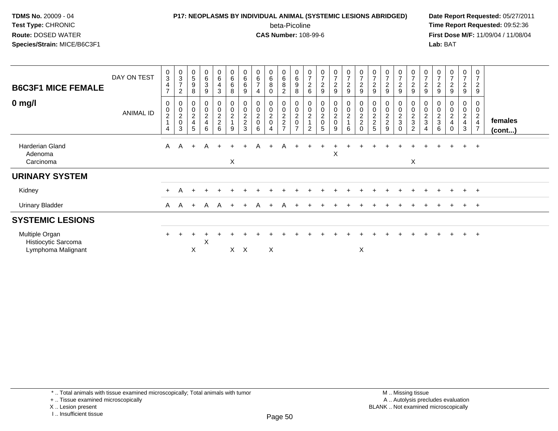## **P17: NEOPLASMS BY INDIVIDUAL ANIMAL (SYSTEMIC LESIONS ABRIDGED) Date Report Requested:** 05/27/2011 beta-Picoline<br>CAS Number: 108-99-6

| <b>B6C3F1 MICE FEMALE</b>                                   | DAY ON TEST      | 0<br>$\sqrt{3}$<br>$\overline{4}$<br>$\overline{7}$ | $_3^{\rm 0}$<br>$\overline{7}$<br>$\overline{c}$                | $\pmb{0}$<br>$\sqrt{5}$<br>$\boldsymbol{9}$<br>8                            | $\begin{array}{c} 0 \\ 6 \\ 3 \end{array}$<br>9 | $_6^0$<br>4<br>3             | $\begin{array}{c} 0 \\ 6 \end{array}$<br>$\,6\,$<br>8 | $\pmb{0}$<br>$\,6\,$<br>$\,6\,$<br>9            | $\boldsymbol{0}$<br>$\,6$<br>$\overline{7}$<br>4                    | 0<br>6<br>8                                      | $\begin{array}{c} 0 \\ 6 \end{array}$<br>8<br>$\overline{2}$ | $\begin{array}{c} 0 \\ 6 \end{array}$<br>$\boldsymbol{9}$<br>8 | $\begin{smallmatrix}0\\7\end{smallmatrix}$<br>$^2\phantom{1}6$   | $\begin{matrix} 0 \\ 7 \\ 2 \end{matrix}$<br>9 | $\frac{0}{7}$<br>$\frac{1}{2}$<br>9 | 0729                                                          | $\frac{0}{7}$<br>$\boldsymbol{2}$<br>$\boldsymbol{9}$ | 0<br>$\overline{z}$<br>$\boldsymbol{2}$<br>9      | $\frac{0}{7}$<br>$\overline{c}$<br>9                | $\begin{array}{c} 0 \\ 7 \end{array}$<br>$\sqrt{2}$<br>9 | $\pmb{0}$<br>$\overline{7}$<br>$\overline{c}$<br>$\boldsymbol{9}$                 | 0<br>$\overline{7}$<br>$\overline{c}$<br>9 | $\frac{0}{7}$<br>$\boldsymbol{2}$<br>$\boldsymbol{9}$ | $\frac{0}{7}$<br>$\overline{2}$<br>9             | $\begin{smallmatrix}0\\7\end{smallmatrix}$<br>$\frac{2}{9}$ | $\mathbf 0$<br>$\overline{7}$<br>$\sqrt{2}$<br>9             |                         |
|-------------------------------------------------------------|------------------|-----------------------------------------------------|-----------------------------------------------------------------|-----------------------------------------------------------------------------|-------------------------------------------------|------------------------------|-------------------------------------------------------|-------------------------------------------------|---------------------------------------------------------------------|--------------------------------------------------|--------------------------------------------------------------|----------------------------------------------------------------|------------------------------------------------------------------|------------------------------------------------|-------------------------------------|---------------------------------------------------------------|-------------------------------------------------------|---------------------------------------------------|-----------------------------------------------------|----------------------------------------------------------|-----------------------------------------------------------------------------------|--------------------------------------------|-------------------------------------------------------|--------------------------------------------------|-------------------------------------------------------------|--------------------------------------------------------------|-------------------------|
| $0$ mg/l                                                    | <b>ANIMAL ID</b> | 0<br>$\pmb{0}$<br>$\sqrt{2}$<br>1<br>$\overline{4}$ | $\boldsymbol{0}$<br>$\pmb{0}$<br>$\sqrt{2}$<br>$\mathbf 0$<br>3 | $\boldsymbol{0}$<br>$\mathop{2}\limits^{\mathbb{O}}$<br>$\overline{4}$<br>5 | $_0^0$<br>$\frac{2}{4}$<br>6                    | 0<br>0<br>$\frac{2}{2}$<br>6 | 0002<br>9                                             | 0<br>$\pmb{0}$<br>$\frac{2}{2}$<br>$\mathbf{3}$ | $\boldsymbol{0}$<br>$\pmb{0}$<br>$\overline{c}$<br>$\mathbf 0$<br>6 | 0<br>$\mathbf 0$<br>$\overline{\mathbf{c}}$<br>0 | 0<br>0<br>$\frac{2}{2}$<br>$\overline{7}$                    | 0<br>$\pmb{0}$<br>$\boldsymbol{2}$<br>$\mathbf 0$              | $\begin{matrix} 0 \\ 0 \\ 2 \\ 1 \end{matrix}$<br>$\overline{2}$ | 0<br>$\pmb{0}$<br>$\frac{2}{0}$<br>5           | 0<br>0<br>$\overline{c}$<br>0<br>9  | $\begin{smallmatrix} 0 \\ 0 \\ 2 \\ 1 \end{smallmatrix}$<br>6 | 0002<br>$\mathbf 0$                                   | $\pmb{0}$<br>$\boldsymbol{2}$<br>$\mathbf 2$<br>5 | 0<br>$\begin{matrix} 0 \\ 2 \\ 2 \end{matrix}$<br>9 | 0<br>$\pmb{0}$<br>$\frac{2}{3}$<br>$\mathbf 0$           | 0<br>$\pmb{0}$<br>$\boldsymbol{2}$<br>$\ensuremath{\mathsf{3}}$<br>$\overline{c}$ | $\pmb{0}$<br>$\frac{2}{3}$<br>4            | 0<br>0<br>$\frac{2}{3}$<br>6                          | 0<br>$\mathsf 0$<br>$\frac{2}{4}$<br>$\mathbf 0$ | $_{\rm 0}^{\rm 0}$<br>$\frac{2}{4}$<br>$\mathbf{3}$         | 0<br>0<br>$\overline{c}$<br>$\overline{4}$<br>$\overline{7}$ | females<br>$($ cont $)$ |
| <b>Harderian Gland</b><br>Adenoma<br>Carcinoma              |                  | $\mathsf{A}$                                        | $\overline{A}$                                                  | $+$                                                                         | A                                               | $+$                          | X                                                     |                                                 | A                                                                   |                                                  | A                                                            |                                                                |                                                                  |                                                | X                                   |                                                               |                                                       |                                                   |                                                     |                                                          | X                                                                                 |                                            |                                                       |                                                  | $\ddot{}$                                                   | $+$                                                          |                         |
| <b>URINARY SYSTEM</b>                                       |                  |                                                     |                                                                 |                                                                             |                                                 |                              |                                                       |                                                 |                                                                     |                                                  |                                                              |                                                                |                                                                  |                                                |                                     |                                                               |                                                       |                                                   |                                                     |                                                          |                                                                                   |                                            |                                                       |                                                  |                                                             |                                                              |                         |
| Kidney                                                      |                  | $+$                                                 | A                                                               |                                                                             |                                                 |                              |                                                       |                                                 |                                                                     |                                                  |                                                              |                                                                |                                                                  |                                                |                                     |                                                               |                                                       |                                                   |                                                     |                                                          |                                                                                   |                                            |                                                       |                                                  | $+$                                                         | $+$                                                          |                         |
| <b>Urinary Bladder</b>                                      |                  | $\mathsf{A}$                                        | $\mathsf{A}$                                                    | $+$                                                                         | A                                               | A                            |                                                       |                                                 | $\mathsf{A}$                                                        |                                                  |                                                              |                                                                |                                                                  |                                                |                                     |                                                               |                                                       |                                                   |                                                     |                                                          |                                                                                   |                                            |                                                       |                                                  | $\pm$                                                       | $+$                                                          |                         |
| <b>SYSTEMIC LESIONS</b>                                     |                  |                                                     |                                                                 |                                                                             |                                                 |                              |                                                       |                                                 |                                                                     |                                                  |                                                              |                                                                |                                                                  |                                                |                                     |                                                               |                                                       |                                                   |                                                     |                                                          |                                                                                   |                                            |                                                       |                                                  |                                                             |                                                              |                         |
| Multiple Organ<br>Histiocytic Sarcoma<br>Lymphoma Malignant |                  |                                                     |                                                                 | X                                                                           | Х                                               |                              | $\times$                                              | $\times$                                        |                                                                     | X                                                |                                                              |                                                                |                                                                  |                                                |                                     |                                                               | X                                                     |                                                   |                                                     |                                                          |                                                                                   |                                            |                                                       |                                                  | $\pm$                                                       | $+$                                                          |                         |

<sup>+ ..</sup> Tissue examined microscopically

X .. Lesion present

I .. Insufficient tissue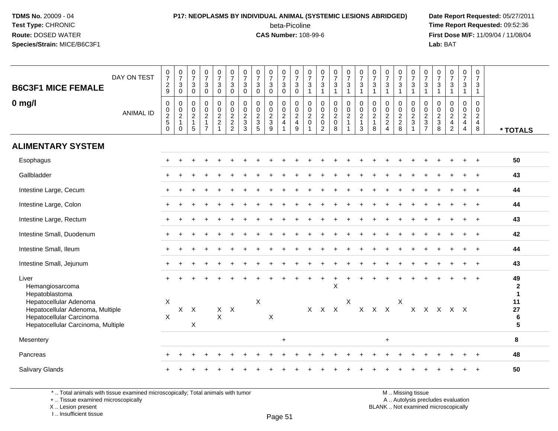# **P17: NEOPLASMS BY INDIVIDUAL ANIMAL (SYSTEMIC LESIONS ABRIDGED) Date Report Requested:** 05/27/2011

beta-Picoline<br>CAS Number: 108-99-6

 **Time Report Requested:** 09:52:36 **First Dose M/F:** 11/09/04 / 11/08/04<br>Lab: BAT **Lab:** BAT

| <b>B6C3F1 MICE FEMALE</b>                                                                                                    | DAY ON TEST      | $\frac{0}{7}$<br>$\overline{c}$<br>9                              | $\frac{0}{7}$<br>3<br>$\mathbf 0$                              | $\begin{smallmatrix}0\\7\end{smallmatrix}$<br>$\mathbf{3}$<br>$\mathbf 0$        | $\frac{0}{7}$<br>$\sqrt{3}$<br>$\mathbf 0$                                               | $\frac{0}{7}$<br>$\mathbf{3}$<br>$\mathbf 0$                                        | $\frac{0}{7}$<br>$\mathbf{3}$<br>0                                           | $\frac{0}{7}$<br>$\sqrt{3}$<br>$\mathbf 0$                  | $\frac{0}{7}$<br>3<br>$\Omega$                     | $\frac{0}{7}$<br>$\mathbf{3}$<br>$\mathbf 0$          | $\frac{0}{7}$<br>$\ensuremath{\mathsf{3}}$<br>$\overline{0}$ | $\frac{0}{7}$<br>$\mathbf{3}$<br>$\mathbf 0$                          | $\frac{0}{7}$<br>$\mathbf{3}$<br>$\overline{1}$                                                    | $\frac{0}{7}$<br>$\mathbf{3}$<br>1                                  | $\frac{0}{7}$<br>$\mathbf{3}$<br>$\mathbf{1}$    | $\frac{0}{7}$<br>3<br>$\mathbf{1}$               | $\frac{0}{7}$<br>$\ensuremath{\mathsf{3}}$<br>$\overline{1}$    | $\frac{0}{7}$<br>$\ensuremath{\mathsf{3}}$                                       | $\frac{0}{7}$<br>$\mathbf 3$<br>$\overline{1}$                | $\frac{0}{7}$<br>$\mathbf{3}$<br>$\mathbf{1}$                                      | 0<br>$\overline{7}$<br>$\mathbf{3}$<br>$\mathbf{1}$                          | $\frac{0}{7}$<br>$\sqrt{3}$<br>$\mathbf{1}$                                                        | $\frac{0}{7}$<br>$\mathbf{3}$<br>$\overline{1}$  | $\frac{0}{7}$<br>$\mathbf{3}$<br>$\mathbf{1}$                                                    | $\begin{array}{c} 0 \\ 7 \end{array}$<br>$\mathbf{3}$<br>1                   | $\mathbf 0$<br>$\overline{7}$<br>3<br>$\overline{1}$                |                                    |
|------------------------------------------------------------------------------------------------------------------------------|------------------|-------------------------------------------------------------------|----------------------------------------------------------------|----------------------------------------------------------------------------------|------------------------------------------------------------------------------------------|-------------------------------------------------------------------------------------|------------------------------------------------------------------------------|-------------------------------------------------------------|----------------------------------------------------|-------------------------------------------------------|--------------------------------------------------------------|-----------------------------------------------------------------------|----------------------------------------------------------------------------------------------------|---------------------------------------------------------------------|--------------------------------------------------|--------------------------------------------------|-----------------------------------------------------------------|----------------------------------------------------------------------------------|---------------------------------------------------------------|------------------------------------------------------------------------------------|------------------------------------------------------------------------------|----------------------------------------------------------------------------------------------------|--------------------------------------------------|--------------------------------------------------------------------------------------------------|------------------------------------------------------------------------------|---------------------------------------------------------------------|------------------------------------|
| $0$ mg/l                                                                                                                     | <b>ANIMAL ID</b> | $\mathbf 0$<br>$\pmb{0}$<br>$\sqrt{2}$<br>$\mathbf 5$<br>$\Omega$ | 0<br>$\pmb{0}$<br>$\boldsymbol{2}$<br>$\mathbf{1}$<br>$\Omega$ | $\mathbf 0$<br>$\begin{smallmatrix} 0\\2 \end{smallmatrix}$<br>$\mathbf{1}$<br>5 | $\mathbf 0$<br>$\mathsf{O}\xspace$<br>$\overline{c}$<br>$\overline{1}$<br>$\overline{7}$ | $\mathbf 0$<br>$\mathop{2}\limits^{\mathbb{O}}$<br>$\overline{c}$<br>$\overline{1}$ | $\mathbf 0$<br>$\mathsf 0$<br>$\sqrt{2}$<br>$\overline{c}$<br>$\overline{2}$ | $\mathbf 0$<br>$\pmb{0}$<br>$\sqrt{2}$<br>$\mathbf{3}$<br>3 | $\mathbf 0$<br>$_{2}^{\rm 0}$<br>$\mathbf{3}$<br>5 | 0<br>$\pmb{0}$<br>$\overline{2}$<br>$\mathbf{3}$<br>9 | $\mathbf 0$<br>$_{2}^{\rm 0}$<br>$\overline{4}$              | $\mathsf{O}\xspace$<br>$\pmb{0}$<br>$\sqrt{2}$<br>$\overline{4}$<br>9 | $\mathbf 0$<br>$\begin{smallmatrix} 0\\2 \end{smallmatrix}$<br>$\mathbf 0$<br>$\blacktriangleleft$ | 0<br>$\mathbf 0$<br>$\overline{c}$<br>$\mathbf 0$<br>$\overline{2}$ | $\mathbf 0$<br>$\frac{0}{2}$<br>$\mathbf 0$<br>8 | 0<br>$\pmb{0}$<br>$\overline{a}$<br>$\mathbf{1}$ | $\mathbf 0$<br>$\pmb{0}$<br>$\overline{c}$<br>$\mathbf{1}$<br>3 | $\mathbf 0$<br>$\begin{smallmatrix} 0\\2 \end{smallmatrix}$<br>$\mathbf{1}$<br>8 | $\mathbf 0$<br>$\mathbf 0$<br>$\frac{2}{2}$<br>$\overline{4}$ | $\mathbf 0$<br>$\begin{smallmatrix} 0\\2 \end{smallmatrix}$<br>$\overline{2}$<br>8 | $\mathbf 0$<br>$\pmb{0}$<br>$\overline{c}$<br>$\ensuremath{\mathsf{3}}$<br>1 | $\mathbf 0$<br>$\boldsymbol{0}$<br>$\boldsymbol{2}$<br>$\ensuremath{\mathsf{3}}$<br>$\overline{7}$ | $\mathbf 0$<br>$\mathbf 0$<br>$\frac{2}{3}$<br>8 | $\mathsf{O}$<br>$\begin{smallmatrix} 0\\2 \end{smallmatrix}$<br>$\overline{4}$<br>$\overline{2}$ | $\mathbf 0$<br>$\pmb{0}$<br>$\boldsymbol{2}$<br>$\overline{\mathbf{4}}$<br>4 | $\mathbf 0$<br>$\mathbf 0$<br>$\overline{c}$<br>$\overline{4}$<br>8 | * TOTALS                           |
| <b>ALIMENTARY SYSTEM</b>                                                                                                     |                  |                                                                   |                                                                |                                                                                  |                                                                                          |                                                                                     |                                                                              |                                                             |                                                    |                                                       |                                                              |                                                                       |                                                                                                    |                                                                     |                                                  |                                                  |                                                                 |                                                                                  |                                                               |                                                                                    |                                                                              |                                                                                                    |                                                  |                                                                                                  |                                                                              |                                                                     |                                    |
| Esophagus                                                                                                                    |                  |                                                                   |                                                                |                                                                                  |                                                                                          |                                                                                     |                                                                              |                                                             |                                                    |                                                       |                                                              |                                                                       |                                                                                                    |                                                                     |                                                  |                                                  |                                                                 |                                                                                  |                                                               |                                                                                    |                                                                              |                                                                                                    |                                                  |                                                                                                  |                                                                              |                                                                     | 50                                 |
| Gallbladder                                                                                                                  |                  |                                                                   |                                                                |                                                                                  |                                                                                          |                                                                                     |                                                                              |                                                             |                                                    |                                                       |                                                              |                                                                       |                                                                                                    |                                                                     |                                                  |                                                  |                                                                 |                                                                                  |                                                               |                                                                                    |                                                                              |                                                                                                    |                                                  |                                                                                                  |                                                                              |                                                                     | 43                                 |
| Intestine Large, Cecum                                                                                                       |                  |                                                                   |                                                                |                                                                                  |                                                                                          |                                                                                     |                                                                              |                                                             |                                                    |                                                       |                                                              |                                                                       |                                                                                                    |                                                                     |                                                  |                                                  |                                                                 |                                                                                  |                                                               |                                                                                    |                                                                              |                                                                                                    |                                                  |                                                                                                  |                                                                              |                                                                     | 44                                 |
| Intestine Large, Colon                                                                                                       |                  |                                                                   |                                                                |                                                                                  |                                                                                          |                                                                                     |                                                                              |                                                             |                                                    |                                                       |                                                              |                                                                       |                                                                                                    |                                                                     |                                                  |                                                  |                                                                 |                                                                                  |                                                               |                                                                                    |                                                                              |                                                                                                    |                                                  |                                                                                                  |                                                                              |                                                                     | 44                                 |
| Intestine Large, Rectum                                                                                                      |                  |                                                                   |                                                                |                                                                                  |                                                                                          |                                                                                     |                                                                              |                                                             |                                                    |                                                       |                                                              |                                                                       |                                                                                                    |                                                                     |                                                  |                                                  |                                                                 |                                                                                  |                                                               |                                                                                    |                                                                              |                                                                                                    |                                                  |                                                                                                  |                                                                              |                                                                     | 43                                 |
| Intestine Small, Duodenum                                                                                                    |                  |                                                                   |                                                                |                                                                                  |                                                                                          |                                                                                     |                                                                              |                                                             |                                                    |                                                       |                                                              |                                                                       |                                                                                                    |                                                                     |                                                  |                                                  |                                                                 |                                                                                  |                                                               |                                                                                    |                                                                              |                                                                                                    |                                                  |                                                                                                  |                                                                              | $\ddot{}$                                                           | 42                                 |
| Intestine Small, Ileum                                                                                                       |                  |                                                                   |                                                                |                                                                                  |                                                                                          |                                                                                     |                                                                              |                                                             |                                                    |                                                       |                                                              |                                                                       |                                                                                                    |                                                                     |                                                  |                                                  |                                                                 |                                                                                  |                                                               |                                                                                    |                                                                              |                                                                                                    |                                                  |                                                                                                  |                                                                              |                                                                     | 44                                 |
| Intestine Small, Jejunum                                                                                                     |                  |                                                                   |                                                                |                                                                                  |                                                                                          |                                                                                     |                                                                              |                                                             |                                                    |                                                       |                                                              |                                                                       |                                                                                                    |                                                                     |                                                  |                                                  |                                                                 |                                                                                  |                                                               |                                                                                    |                                                                              |                                                                                                    |                                                  |                                                                                                  |                                                                              | $\ddot{}$                                                           | 43                                 |
| Liver<br>Hemangiosarcoma<br>Hepatoblastoma                                                                                   |                  |                                                                   |                                                                |                                                                                  |                                                                                          |                                                                                     |                                                                              |                                                             |                                                    |                                                       |                                                              |                                                                       |                                                                                                    |                                                                     | X                                                |                                                  |                                                                 |                                                                                  |                                                               |                                                                                    |                                                                              |                                                                                                    |                                                  |                                                                                                  |                                                                              |                                                                     | 49<br>$\mathbf{2}$<br>$\mathbf{1}$ |
| Hepatocellular Adenoma<br>Hepatocellular Adenoma, Multiple<br>Hepatocellular Carcinoma<br>Hepatocellular Carcinoma, Multiple |                  | X<br>X                                                            |                                                                | $X$ $X$<br>$\boldsymbol{\mathsf{X}}$                                             |                                                                                          | $X$ $X$<br>$\mathsf{X}$                                                             |                                                                              |                                                             | X                                                  | X                                                     |                                                              |                                                                       |                                                                                                    | X X X                                                               |                                                  | $\times$                                         |                                                                 | X X X                                                                            |                                                               | $\boldsymbol{\mathsf{X}}$                                                          |                                                                              |                                                                                                    | X X X X X                                        |                                                                                                  |                                                                              |                                                                     | 11<br>27<br>6<br>5                 |
| Mesentery                                                                                                                    |                  |                                                                   |                                                                |                                                                                  |                                                                                          |                                                                                     |                                                                              |                                                             |                                                    |                                                       | $\ddot{}$                                                    |                                                                       |                                                                                                    |                                                                     |                                                  |                                                  |                                                                 |                                                                                  | $\ddot{}$                                                     |                                                                                    |                                                                              |                                                                                                    |                                                  |                                                                                                  |                                                                              |                                                                     | 8                                  |
| Pancreas                                                                                                                     |                  |                                                                   |                                                                |                                                                                  |                                                                                          |                                                                                     |                                                                              |                                                             |                                                    |                                                       |                                                              |                                                                       |                                                                                                    |                                                                     |                                                  |                                                  |                                                                 |                                                                                  |                                                               |                                                                                    |                                                                              |                                                                                                    |                                                  |                                                                                                  |                                                                              |                                                                     | 48                                 |
| Salivary Glands                                                                                                              |                  |                                                                   |                                                                |                                                                                  |                                                                                          |                                                                                     |                                                                              |                                                             |                                                    |                                                       |                                                              |                                                                       |                                                                                                    |                                                                     |                                                  |                                                  |                                                                 |                                                                                  |                                                               |                                                                                    |                                                                              |                                                                                                    |                                                  |                                                                                                  |                                                                              |                                                                     | 50                                 |

\* .. Total animals with tissue examined microscopically; Total animals with tumor

+ .. Tissue examined microscopically

X .. Lesion present

I .. Insufficient tissue

M .. Missing tissue

y the contract of the contract of the contract of the contract of the contract of  $\mathsf A$  . Autolysis precludes evaluation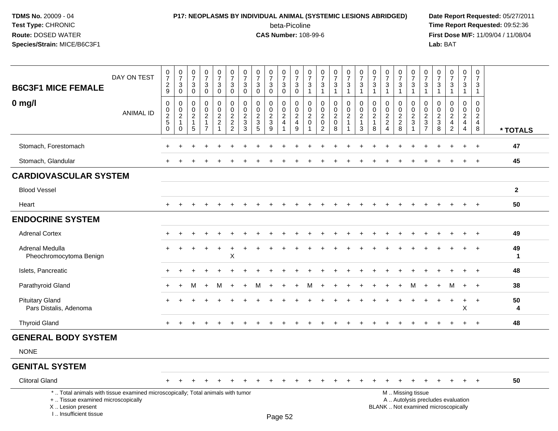# **P17: NEOPLASMS BY INDIVIDUAL ANIMAL (SYSTEMIC LESIONS ABRIDGED) Date Report Requested:** 05/27/2011

beta-Picoline<br>CAS Number: 108-99-6

| <b>B6C3F1 MICE FEMALE</b>                                                                                                                                           | DAY ON TEST      | $\begin{array}{c} 0 \\ 7 \end{array}$<br>$\frac{2}{9}$ | $\frac{0}{7}$<br>$\sqrt{3}$<br>$\mathbf 0$                        | $\,0\,$<br>$\overline{7}$<br>$\mathbf{3}$<br>$\mathbf 0$       | $\frac{0}{7}$<br>3<br>$\mathbf 0$                                | $\frac{0}{7}$<br>3<br>0                | $\begin{smallmatrix} 0\\7 \end{smallmatrix}$<br>$\mathbf{3}$<br>$\mathbf 0$ | $\frac{0}{7}$<br>$\mathbf{3}$<br>0                                  | $\begin{array}{c} 0 \\ 7 \end{array}$<br>3<br>$\mathbf 0$ | $\frac{0}{7}$<br>$\mathbf{3}$<br>$\mathbf 0$  | $\frac{0}{7}$<br>3<br>0                       | $\frac{0}{7}$<br>$\mathbf{3}$<br>$\mathbf 0$                      | $\frac{0}{7}$<br>3<br>$\mathbf{1}$                  | $\boldsymbol{0}$<br>$\overline{7}$<br>$\mathbf{3}$<br>$\mathbf{1}$     | $\frac{0}{7}$<br>3<br>$\mathbf{1}$                           | $\frac{0}{7}$<br>$\mathbf{3}$<br>$\mathbf{1}$      | $\begin{array}{c} 0 \\ 7 \end{array}$<br>3<br>$\overline{1}$        | $\frac{0}{7}$<br>3<br>$\mathbf{1}$                             | $\frac{0}{7}$<br>$\mathbf{3}$<br>$\mathbf{1}$      | $\begin{array}{c} 0 \\ 7 \end{array}$<br>$\mathbf{3}$<br>1 | $\begin{array}{c} 0 \\ 7 \end{array}$<br>3<br>$\mathbf{1}$ | 0<br>$\overline{7}$<br>$\mathbf{3}$<br>$\overline{1}$      | 0<br>$\overline{7}$<br>3<br>$\mathbf{1}$                     | $\frac{0}{7}$<br>$\mathbf{3}$<br>$\mathbf{1}$                              | $\frac{0}{7}$<br>3<br>$\mathbf 1$                                             | $\begin{smallmatrix} 0\\7 \end{smallmatrix}$<br>3<br>$\mathbf{1}$ |                   |
|---------------------------------------------------------------------------------------------------------------------------------------------------------------------|------------------|--------------------------------------------------------|-------------------------------------------------------------------|----------------------------------------------------------------|------------------------------------------------------------------|----------------------------------------|-----------------------------------------------------------------------------|---------------------------------------------------------------------|-----------------------------------------------------------|-----------------------------------------------|-----------------------------------------------|-------------------------------------------------------------------|-----------------------------------------------------|------------------------------------------------------------------------|--------------------------------------------------------------|----------------------------------------------------|---------------------------------------------------------------------|----------------------------------------------------------------|----------------------------------------------------|------------------------------------------------------------|------------------------------------------------------------|------------------------------------------------------------|--------------------------------------------------------------|----------------------------------------------------------------------------|-------------------------------------------------------------------------------|-------------------------------------------------------------------|-------------------|
| $0$ mg/l                                                                                                                                                            | <b>ANIMAL ID</b> | $\mathbf 0$<br>0<br>$\frac{2}{5}$<br>$\mathbf 0$       | 0<br>$\pmb{0}$<br>$\overline{2}$<br>$\overline{1}$<br>$\mathbf 0$ | $\Omega$<br>$\mathbf 0$<br>$\overline{c}$<br>$\mathbf{1}$<br>5 | $\Omega$<br>$\mathbf 0$<br>$\overline{2}$<br>1<br>$\overline{7}$ | 0<br>$\mathbf 0$<br>$\frac{2}{2}$<br>1 | $\mathbf 0$<br>$\mathbf 0$<br>$\frac{2}{2}$<br>$\overline{2}$               | $\mathbf 0$<br>$\mathsf{O}\xspace$<br>$\frac{2}{3}$<br>$\mathbf{3}$ | $\mathbf 0$<br>$\mathbf 0$<br>$\frac{2}{3}$<br>5          | $\Omega$<br>$\mathbf 0$<br>$\frac{2}{3}$<br>9 | $\Omega$<br>0<br>$\sqrt{2}$<br>$\overline{4}$ | 0<br>$\mathsf{O}\xspace$<br>$\overline{2}$<br>$\overline{4}$<br>9 | $\Omega$<br>0<br>$\overline{c}$<br>$\mathbf 0$<br>1 | $\Omega$<br>$\mathbf 0$<br>$\sqrt{2}$<br>$\mathbf 0$<br>$\overline{2}$ | $\mathbf 0$<br>$\mathbf 0$<br>$\sqrt{2}$<br>$\mathbf 0$<br>8 | 0<br>$\mathbf 0$<br>$\overline{c}$<br>$\mathbf{1}$ | $\mathbf 0$<br>$\mathbf 0$<br>$\overline{c}$<br>$\overline{1}$<br>3 | $\Omega$<br>$\mathbf 0$<br>$\overline{c}$<br>$\mathbf{1}$<br>8 | $\Omega$<br>0<br>$\sqrt{2}$<br>$\overline{c}$<br>Δ | $\Omega$<br>$\mathbf 0$<br>$\frac{2}{2}$<br>8              | $\Omega$<br>$\mathbf 0$<br>$\frac{2}{3}$                   | $\Omega$<br>$\mathbf 0$<br>$\frac{2}{3}$<br>$\overline{7}$ | $\Omega$<br>$\mathbf 0$<br>$\overline{c}$<br>$\sqrt{3}$<br>8 | $\Omega$<br>$\Omega$<br>$\overline{c}$<br>$\overline{4}$<br>$\overline{2}$ | $\Omega$<br>$\mathbf 0$<br>$\overline{a}$<br>$\overline{4}$<br>$\overline{4}$ | $\mathbf 0$<br>$\mathbf 0$<br>$\sqrt{2}$<br>$\overline{4}$<br>8   | * TOTALS          |
| Stomach, Forestomach                                                                                                                                                |                  |                                                        |                                                                   |                                                                |                                                                  |                                        |                                                                             |                                                                     |                                                           |                                               |                                               |                                                                   |                                                     |                                                                        |                                                              |                                                    |                                                                     |                                                                |                                                    |                                                            |                                                            |                                                            |                                                              |                                                                            |                                                                               | $\ddot{}$                                                         | 47                |
| Stomach, Glandular                                                                                                                                                  |                  | $\pm$                                                  |                                                                   |                                                                |                                                                  |                                        | ÷                                                                           |                                                                     |                                                           |                                               | ÷                                             |                                                                   | $\div$                                              |                                                                        |                                                              | ÷                                                  |                                                                     |                                                                |                                                    |                                                            | ÷                                                          |                                                            |                                                              |                                                                            | $\ddot{}$                                                                     | $+$                                                               | 45                |
| <b>CARDIOVASCULAR SYSTEM</b>                                                                                                                                        |                  |                                                        |                                                                   |                                                                |                                                                  |                                        |                                                                             |                                                                     |                                                           |                                               |                                               |                                                                   |                                                     |                                                                        |                                                              |                                                    |                                                                     |                                                                |                                                    |                                                            |                                                            |                                                            |                                                              |                                                                            |                                                                               |                                                                   |                   |
| <b>Blood Vessel</b>                                                                                                                                                 |                  |                                                        |                                                                   |                                                                |                                                                  |                                        |                                                                             |                                                                     |                                                           |                                               |                                               |                                                                   |                                                     |                                                                        |                                                              |                                                    |                                                                     |                                                                |                                                    |                                                            |                                                            |                                                            |                                                              |                                                                            |                                                                               |                                                                   | $\mathbf{2}$      |
| Heart                                                                                                                                                               |                  | $+$                                                    |                                                                   |                                                                |                                                                  |                                        |                                                                             |                                                                     |                                                           |                                               |                                               |                                                                   |                                                     |                                                                        |                                                              |                                                    |                                                                     |                                                                |                                                    |                                                            |                                                            |                                                            |                                                              |                                                                            | $\ddot{}$                                                                     | $\overline{+}$                                                    | 50                |
| <b>ENDOCRINE SYSTEM</b>                                                                                                                                             |                  |                                                        |                                                                   |                                                                |                                                                  |                                        |                                                                             |                                                                     |                                                           |                                               |                                               |                                                                   |                                                     |                                                                        |                                                              |                                                    |                                                                     |                                                                |                                                    |                                                            |                                                            |                                                            |                                                              |                                                                            |                                                                               |                                                                   |                   |
| <b>Adrenal Cortex</b>                                                                                                                                               |                  |                                                        |                                                                   |                                                                |                                                                  |                                        |                                                                             |                                                                     |                                                           |                                               |                                               |                                                                   |                                                     |                                                                        |                                                              |                                                    |                                                                     |                                                                |                                                    |                                                            |                                                            |                                                            |                                                              |                                                                            |                                                                               |                                                                   | 49                |
| <b>Adrenal Medulla</b><br>Pheochromocytoma Benign                                                                                                                   |                  |                                                        |                                                                   |                                                                |                                                                  |                                        | X                                                                           |                                                                     |                                                           |                                               |                                               |                                                                   |                                                     |                                                                        |                                                              |                                                    |                                                                     |                                                                |                                                    |                                                            |                                                            |                                                            |                                                              |                                                                            |                                                                               | $\overline{1}$                                                    | 49<br>$\mathbf 1$ |
| Islets, Pancreatic                                                                                                                                                  |                  |                                                        |                                                                   |                                                                |                                                                  |                                        |                                                                             |                                                                     |                                                           |                                               |                                               |                                                                   |                                                     |                                                                        |                                                              |                                                    |                                                                     |                                                                |                                                    |                                                            |                                                            |                                                            |                                                              |                                                                            | $\ddot{}$                                                                     | $\ddot{}$                                                         | 48                |
| Parathyroid Gland                                                                                                                                                   |                  |                                                        |                                                                   | м                                                              | $\ddot{}$                                                        | м                                      | $\ddot{}$                                                                   |                                                                     | м                                                         |                                               |                                               |                                                                   | м                                                   |                                                                        |                                                              |                                                    |                                                                     |                                                                |                                                    |                                                            |                                                            |                                                            |                                                              | м                                                                          | $\div$                                                                        | $\ddot{}$                                                         | 38                |
| <b>Pituitary Gland</b><br>Pars Distalis, Adenoma                                                                                                                    |                  |                                                        |                                                                   |                                                                |                                                                  |                                        |                                                                             |                                                                     |                                                           |                                               |                                               |                                                                   |                                                     |                                                                        |                                                              |                                                    |                                                                     |                                                                |                                                    |                                                            |                                                            |                                                            |                                                              |                                                                            | Х                                                                             | $\ddot{}$                                                         | 50<br>4           |
| <b>Thyroid Gland</b>                                                                                                                                                |                  |                                                        |                                                                   |                                                                |                                                                  |                                        |                                                                             |                                                                     |                                                           |                                               |                                               |                                                                   |                                                     |                                                                        |                                                              |                                                    |                                                                     |                                                                |                                                    |                                                            |                                                            |                                                            |                                                              |                                                                            | $\ddot{}$                                                                     | $+$                                                               | 48                |
| <b>GENERAL BODY SYSTEM</b>                                                                                                                                          |                  |                                                        |                                                                   |                                                                |                                                                  |                                        |                                                                             |                                                                     |                                                           |                                               |                                               |                                                                   |                                                     |                                                                        |                                                              |                                                    |                                                                     |                                                                |                                                    |                                                            |                                                            |                                                            |                                                              |                                                                            |                                                                               |                                                                   |                   |
| <b>NONE</b>                                                                                                                                                         |                  |                                                        |                                                                   |                                                                |                                                                  |                                        |                                                                             |                                                                     |                                                           |                                               |                                               |                                                                   |                                                     |                                                                        |                                                              |                                                    |                                                                     |                                                                |                                                    |                                                            |                                                            |                                                            |                                                              |                                                                            |                                                                               |                                                                   |                   |
| <b>GENITAL SYSTEM</b>                                                                                                                                               |                  |                                                        |                                                                   |                                                                |                                                                  |                                        |                                                                             |                                                                     |                                                           |                                               |                                               |                                                                   |                                                     |                                                                        |                                                              |                                                    |                                                                     |                                                                |                                                    |                                                            |                                                            |                                                            |                                                              |                                                                            |                                                                               |                                                                   |                   |
| <b>Clitoral Gland</b>                                                                                                                                               |                  |                                                        |                                                                   |                                                                |                                                                  |                                        |                                                                             |                                                                     |                                                           |                                               |                                               |                                                                   |                                                     |                                                                        |                                                              |                                                    |                                                                     |                                                                |                                                    |                                                            |                                                            |                                                            |                                                              |                                                                            |                                                                               |                                                                   | 50                |
| *  Total animals with tissue examined microscopically; Total animals with tumor<br>+  Tissue examined microscopically<br>X  Lesion present<br>I Insufficient tissue |                  |                                                        |                                                                   |                                                                |                                                                  |                                        |                                                                             |                                                                     |                                                           |                                               | Dano 52                                       |                                                                   |                                                     |                                                                        |                                                              |                                                    |                                                                     |                                                                |                                                    |                                                            | M  Missing tissue                                          |                                                            |                                                              | A  Autolysis precludes evaluation<br>BLANK  Not examined microscopically   |                                                                               |                                                                   |                   |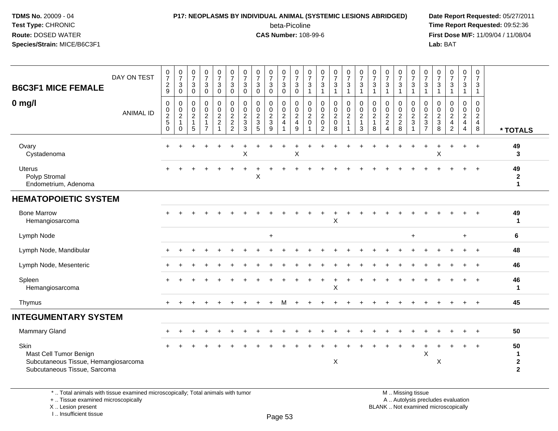### **P17: NEOPLASMS BY INDIVIDUAL ANIMAL (SYSTEMIC LESIONS ABRIDGED) Date Report Requested:** 05/27/2011

beta-Picoline<br>CAS Number: 108-99-6

 **Time Report Requested:** 09:52:36 **First Dose M/F:** 11/09/04 / 11/08/04<br>Lab: BAT **Lab:** BAT

| <b>B6C3F1 MICE FEMALE</b><br>$0$ mg/l                                                                  | DAY ON TEST<br><b>ANIMAL ID</b> | $\frac{0}{7}$<br>$\sqrt{2}$<br>9<br>$\pmb{0}$<br>$\frac{0}{2}$<br>$\mathbf 0$ | $\begin{smallmatrix}0\\7\end{smallmatrix}$<br>$\mathbf{3}$<br>$\mathbf 0$<br>0<br>$\pmb{0}$<br>$\sqrt{2}$<br>$\mathbf{1}$<br>0 | $\begin{smallmatrix}0\\7\end{smallmatrix}$<br>$\sqrt{3}$<br>$\mathbf 0$<br>$\pmb{0}$<br>$\pmb{0}$<br>$\sqrt{2}$<br>$\mathbf{1}$<br>5 | $\frac{0}{7}$<br>$\mathbf{3}$<br>$\mathbf 0$<br>$\pmb{0}$<br>$_2^0$<br>$\mathbf{1}$<br>$\overline{7}$ | $\frac{0}{7}$<br>$\ensuremath{\mathsf{3}}$<br>$\mathsf{O}\xspace$<br>$\mathbf 0$<br>$\frac{0}{2}$<br>$\overline{1}$ | $\begin{array}{c} 0 \\ 7 \end{array}$<br>$\mathbf{3}$<br>$\mathbf 0$<br>$\pmb{0}$<br>$\begin{array}{c} 0 \\ 2 \\ 2 \\ 2 \end{array}$ | $\begin{array}{c} 0 \\ 7 \end{array}$<br>3<br>$\mathbf 0$<br>0<br>$\boldsymbol{0}$<br>$\frac{2}{3}$<br>3 | $\frac{0}{7}$<br>$\ensuremath{\mathsf{3}}$<br>$\mathbf 0$<br>0<br>$\pmb{0}$<br>$\frac{2}{3}$<br>5 | $\frac{0}{7}$<br>$\mathbf{3}$<br>$\mathbf 0$<br>$\pmb{0}$<br>$\frac{0}{2}$<br>9 | $\begin{array}{c} 0 \\ 7 \end{array}$<br>$\ensuremath{\mathsf{3}}$<br>$\mathbf 0$<br>0<br>$\frac{0}{2}$ | $\frac{0}{7}$<br>$\ensuremath{\mathsf{3}}$<br>$\mathbf 0$<br>0<br>$\begin{smallmatrix} 0\\2 \end{smallmatrix}$<br>$\overline{\mathbf{4}}$<br>$9\,$ | $\frac{0}{7}$<br>3<br>1<br>0<br>$\mathbf 0$<br>$\boldsymbol{2}$<br>$\boldsymbol{0}$ | $\frac{0}{7}$<br>$\mathbf{3}$<br>$\mathbf{1}$<br>0<br>$\pmb{0}$<br>$\frac{2}{0}$<br>$\overline{2}$ | $\frac{0}{7}$<br>$\ensuremath{\mathsf{3}}$<br>$\mathbf{1}$<br>$\pmb{0}$<br>$\frac{0}{2}$<br>8 | $\begin{smallmatrix}0\\7\end{smallmatrix}$<br>$\mathsf 3$<br>$\mathbf{1}$<br>$\mathbf 0$<br>$\mathbf 0$<br>$\overline{2}$<br>$\overline{1}$ | $\frac{0}{7}$<br>$\ensuremath{\mathsf{3}}$<br>$\overline{1}$<br>$\pmb{0}$<br>$\frac{0}{2}$<br>$\mathbf{1}$<br>$\mathbf{3}$ | $\frac{0}{7}$<br>3<br>$\mathbf 1$<br>0<br>$\boldsymbol{0}$<br>$\overline{2}$<br>$\mathbf{1}$<br>8 | $\begin{smallmatrix}0\\7\end{smallmatrix}$<br>$\ensuremath{\mathsf{3}}$<br>$\mathbf{1}$<br>0<br>$\frac{0}{2}$<br>$\boldsymbol{\Lambda}$ | $\frac{0}{7}$<br>$\ensuremath{\mathsf{3}}$<br>$\mathbf{1}$<br>0<br>$\begin{array}{c} 0 \\ 2 \\ 2 \\ 8 \end{array}$ | $\begin{array}{c} 0 \\ 7 \end{array}$<br>$\mathbf{3}$<br>$\overline{1}$<br>0<br>$\frac{0}{2}$ | $\frac{0}{7}$<br>$\sqrt{3}$<br>$\overline{1}$<br>0<br>$\frac{0}{2}$<br>$\frac{2}{7}$ | $\frac{0}{7}$<br>$\sqrt{3}$<br>$\mathbf{1}$<br>$\mathbf 0$<br>$\mathbf 0$<br>$\frac{2}{3}$<br>8 | $\begin{smallmatrix}0\\7\end{smallmatrix}$<br>$\ensuremath{\mathsf{3}}$<br>$\mathbf{1}$<br>$\mathbf 0$<br>$\mathbf 0$<br>$\frac{2}{4}$<br>$\overline{2}$ | $\frac{0}{7}$<br>$\mathbf{3}$<br>$\mathbf{1}$<br>0<br>$\frac{0}{2}$<br>$\overline{4}$ | 0<br>$\overline{7}$<br>3<br>$\mathbf{1}$<br>0<br>$\mathsf{O}\xspace$<br>$\frac{2}{4}$<br>8 | * TOTALS                                  |
|--------------------------------------------------------------------------------------------------------|---------------------------------|-------------------------------------------------------------------------------|--------------------------------------------------------------------------------------------------------------------------------|--------------------------------------------------------------------------------------------------------------------------------------|-------------------------------------------------------------------------------------------------------|---------------------------------------------------------------------------------------------------------------------|--------------------------------------------------------------------------------------------------------------------------------------|----------------------------------------------------------------------------------------------------------|---------------------------------------------------------------------------------------------------|---------------------------------------------------------------------------------|---------------------------------------------------------------------------------------------------------|----------------------------------------------------------------------------------------------------------------------------------------------------|-------------------------------------------------------------------------------------|----------------------------------------------------------------------------------------------------|-----------------------------------------------------------------------------------------------|---------------------------------------------------------------------------------------------------------------------------------------------|----------------------------------------------------------------------------------------------------------------------------|---------------------------------------------------------------------------------------------------|-----------------------------------------------------------------------------------------------------------------------------------------|--------------------------------------------------------------------------------------------------------------------|-----------------------------------------------------------------------------------------------|--------------------------------------------------------------------------------------|-------------------------------------------------------------------------------------------------|----------------------------------------------------------------------------------------------------------------------------------------------------------|---------------------------------------------------------------------------------------|--------------------------------------------------------------------------------------------|-------------------------------------------|
| Ovary<br>Cystadenoma                                                                                   |                                 |                                                                               |                                                                                                                                |                                                                                                                                      |                                                                                                       |                                                                                                                     |                                                                                                                                      | X                                                                                                        |                                                                                                   |                                                                                 |                                                                                                         | $\times$                                                                                                                                           |                                                                                     |                                                                                                    |                                                                                               |                                                                                                                                             |                                                                                                                            |                                                                                                   |                                                                                                                                         |                                                                                                                    |                                                                                               |                                                                                      | Χ                                                                                               |                                                                                                                                                          | $\ddot{}$                                                                             | $\ddot{}$                                                                                  | 49<br>3                                   |
| <b>Uterus</b><br>Polyp Stromal<br>Endometrium, Adenoma                                                 |                                 |                                                                               |                                                                                                                                |                                                                                                                                      |                                                                                                       |                                                                                                                     |                                                                                                                                      |                                                                                                          | X                                                                                                 |                                                                                 |                                                                                                         |                                                                                                                                                    |                                                                                     |                                                                                                    |                                                                                               |                                                                                                                                             |                                                                                                                            |                                                                                                   |                                                                                                                                         |                                                                                                                    |                                                                                               |                                                                                      |                                                                                                 |                                                                                                                                                          |                                                                                       |                                                                                            | 49<br>$\boldsymbol{2}$<br>$\mathbf{1}$    |
| <b>HEMATOPOIETIC SYSTEM</b>                                                                            |                                 |                                                                               |                                                                                                                                |                                                                                                                                      |                                                                                                       |                                                                                                                     |                                                                                                                                      |                                                                                                          |                                                                                                   |                                                                                 |                                                                                                         |                                                                                                                                                    |                                                                                     |                                                                                                    |                                                                                               |                                                                                                                                             |                                                                                                                            |                                                                                                   |                                                                                                                                         |                                                                                                                    |                                                                                               |                                                                                      |                                                                                                 |                                                                                                                                                          |                                                                                       |                                                                                            |                                           |
| <b>Bone Marrow</b><br>Hemangiosarcoma                                                                  |                                 |                                                                               |                                                                                                                                |                                                                                                                                      |                                                                                                       |                                                                                                                     |                                                                                                                                      |                                                                                                          |                                                                                                   |                                                                                 |                                                                                                         |                                                                                                                                                    |                                                                                     |                                                                                                    | $\pmb{\times}$                                                                                |                                                                                                                                             |                                                                                                                            |                                                                                                   |                                                                                                                                         |                                                                                                                    |                                                                                               |                                                                                      |                                                                                                 |                                                                                                                                                          |                                                                                       |                                                                                            | 49<br>$\mathbf 1$                         |
| Lymph Node                                                                                             |                                 |                                                                               |                                                                                                                                |                                                                                                                                      |                                                                                                       |                                                                                                                     |                                                                                                                                      |                                                                                                          |                                                                                                   | $\ddot{}$                                                                       |                                                                                                         |                                                                                                                                                    |                                                                                     |                                                                                                    |                                                                                               |                                                                                                                                             |                                                                                                                            |                                                                                                   |                                                                                                                                         |                                                                                                                    | $\ddot{}$                                                                                     |                                                                                      |                                                                                                 |                                                                                                                                                          | $\ddot{}$                                                                             |                                                                                            | 6                                         |
| Lymph Node, Mandibular                                                                                 |                                 |                                                                               |                                                                                                                                |                                                                                                                                      |                                                                                                       |                                                                                                                     |                                                                                                                                      |                                                                                                          |                                                                                                   |                                                                                 |                                                                                                         |                                                                                                                                                    |                                                                                     |                                                                                                    |                                                                                               |                                                                                                                                             |                                                                                                                            |                                                                                                   |                                                                                                                                         |                                                                                                                    |                                                                                               |                                                                                      |                                                                                                 |                                                                                                                                                          |                                                                                       |                                                                                            | 48                                        |
| Lymph Node, Mesenteric                                                                                 |                                 |                                                                               |                                                                                                                                |                                                                                                                                      |                                                                                                       |                                                                                                                     |                                                                                                                                      |                                                                                                          |                                                                                                   |                                                                                 |                                                                                                         |                                                                                                                                                    |                                                                                     |                                                                                                    |                                                                                               |                                                                                                                                             |                                                                                                                            |                                                                                                   |                                                                                                                                         |                                                                                                                    |                                                                                               |                                                                                      |                                                                                                 |                                                                                                                                                          |                                                                                       |                                                                                            | 46                                        |
| Spleen<br>Hemangiosarcoma                                                                              |                                 |                                                                               |                                                                                                                                |                                                                                                                                      |                                                                                                       |                                                                                                                     |                                                                                                                                      |                                                                                                          |                                                                                                   |                                                                                 |                                                                                                         |                                                                                                                                                    |                                                                                     |                                                                                                    | X                                                                                             |                                                                                                                                             |                                                                                                                            |                                                                                                   |                                                                                                                                         |                                                                                                                    |                                                                                               |                                                                                      |                                                                                                 |                                                                                                                                                          |                                                                                       |                                                                                            | 46<br>1                                   |
| Thymus                                                                                                 |                                 |                                                                               |                                                                                                                                |                                                                                                                                      |                                                                                                       |                                                                                                                     |                                                                                                                                      |                                                                                                          |                                                                                                   |                                                                                 |                                                                                                         |                                                                                                                                                    |                                                                                     |                                                                                                    |                                                                                               |                                                                                                                                             |                                                                                                                            |                                                                                                   |                                                                                                                                         |                                                                                                                    |                                                                                               |                                                                                      |                                                                                                 |                                                                                                                                                          |                                                                                       |                                                                                            | 45                                        |
| <b>INTEGUMENTARY SYSTEM</b>                                                                            |                                 |                                                                               |                                                                                                                                |                                                                                                                                      |                                                                                                       |                                                                                                                     |                                                                                                                                      |                                                                                                          |                                                                                                   |                                                                                 |                                                                                                         |                                                                                                                                                    |                                                                                     |                                                                                                    |                                                                                               |                                                                                                                                             |                                                                                                                            |                                                                                                   |                                                                                                                                         |                                                                                                                    |                                                                                               |                                                                                      |                                                                                                 |                                                                                                                                                          |                                                                                       |                                                                                            |                                           |
| <b>Mammary Gland</b>                                                                                   |                                 |                                                                               |                                                                                                                                |                                                                                                                                      |                                                                                                       |                                                                                                                     |                                                                                                                                      |                                                                                                          |                                                                                                   |                                                                                 |                                                                                                         |                                                                                                                                                    |                                                                                     |                                                                                                    |                                                                                               |                                                                                                                                             |                                                                                                                            |                                                                                                   |                                                                                                                                         |                                                                                                                    |                                                                                               |                                                                                      |                                                                                                 |                                                                                                                                                          |                                                                                       |                                                                                            | 50                                        |
| Skin<br>Mast Cell Tumor Benign<br>Subcutaneous Tissue, Hemangiosarcoma<br>Subcutaneous Tissue, Sarcoma |                                 |                                                                               |                                                                                                                                |                                                                                                                                      |                                                                                                       |                                                                                                                     |                                                                                                                                      |                                                                                                          |                                                                                                   |                                                                                 |                                                                                                         |                                                                                                                                                    |                                                                                     |                                                                                                    | X                                                                                             |                                                                                                                                             |                                                                                                                            |                                                                                                   |                                                                                                                                         |                                                                                                                    |                                                                                               | $\mathsf X$                                                                          | X                                                                                               |                                                                                                                                                          |                                                                                       | $\ddot{}$                                                                                  | 50<br>1<br>$\mathbf{2}$<br>$\overline{2}$ |

\* .. Total animals with tissue examined microscopically; Total animals with tumor

+ .. Tissue examined microscopically

X .. Lesion present

I .. Insufficient tissue

M .. Missing tissue y the contract of the contract of the contract of the contract of the contract of  $\mathsf A$  . Autolysis precludes evaluation Lesion present BLANK .. Not examined microscopically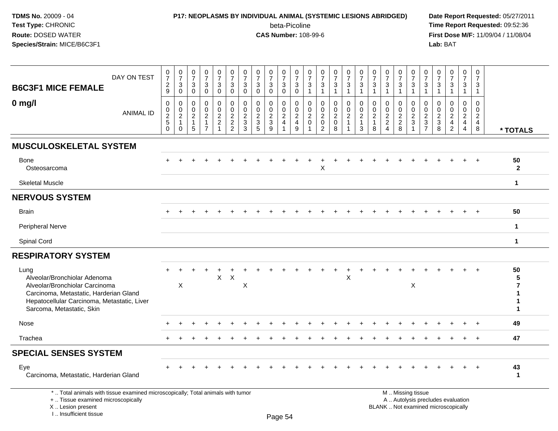I .. Insufficient tissue

## **P17: NEOPLASMS BY INDIVIDUAL ANIMAL (SYSTEMIC LESIONS ABRIDGED) Date Report Requested:** 05/27/2011

beta-Picoline<br>CAS Number: 108-99-6

| <b>B6C3F1 MICE FEMALE</b>                                                                                                                                                                    | DAY ON TEST      | $\begin{smallmatrix}0\\7\end{smallmatrix}$<br>$\frac{2}{9}$     | $\frac{0}{7}$<br>$\mathbf{3}$<br>$\overline{0}$                        | $\frac{0}{7}$<br>3<br>$\mathbf 0$                                                | $\frac{0}{7}$<br>3<br>$\mathsf{O}\xspace$                 | 0<br>$\overline{7}$<br>$_0^3$                             | $\frac{0}{7}$<br>$\mathbf{3}$<br>$\ddot{\mathbf{0}}$      | $\pmb{0}$<br>$\overline{7}$<br>3<br>$\mathbf 0$        | $\frac{0}{7}$<br>$\mathbf{3}$<br>$\mathbf 0$                        | $\pmb{0}$<br>$\overline{7}$<br>$\sqrt{3}$<br>$\mathbf 0$ | 0<br>$\overline{7}$<br>3<br>$\overline{0}$                                                  | $\frac{0}{7}$<br>3<br>$\overline{0}$                                   | 0<br>$\overline{7}$<br>$\ensuremath{\mathsf{3}}$<br>$\mathbf{1}$ | $\frac{0}{7}$<br>$\ensuremath{\mathsf{3}}$<br>$\mathbf{1}$            | $\frac{0}{7}$<br>$\frac{3}{1}$                 | $\frac{0}{7}$<br>$\mathsf 3$<br>$\overline{1}$                | 0<br>$\overline{7}$<br>3<br>$\mathbf{1}$               | $\frac{0}{7}$<br>$\sqrt{3}$<br>$\mathbf{1}$                       | $\frac{0}{7}$<br>3<br>$\mathbf{1}$                  | 0<br>$\overline{7}$<br>3<br>$\mathbf{1}$   | $\mathbf 0$<br>$\overline{7}$<br>$\sqrt{3}$<br>$\overline{1}$ | 0<br>$\overline{7}$<br>$\mathbf{3}$<br>$\mathbf{1}$ | 0<br>$\overline{7}$<br>3<br>$\mathbf{1}$                     | $\frac{0}{7}$<br>$\mathbf{3}$<br>$\mathbf{1}$                            | 0<br>$\overline{7}$<br>3<br>$\mathbf{1}$                      | 0<br>$\overline{7}$<br>3<br>$\mathbf{1}$                         |                            |
|----------------------------------------------------------------------------------------------------------------------------------------------------------------------------------------------|------------------|-----------------------------------------------------------------|------------------------------------------------------------------------|----------------------------------------------------------------------------------|-----------------------------------------------------------|-----------------------------------------------------------|-----------------------------------------------------------|--------------------------------------------------------|---------------------------------------------------------------------|----------------------------------------------------------|---------------------------------------------------------------------------------------------|------------------------------------------------------------------------|------------------------------------------------------------------|-----------------------------------------------------------------------|------------------------------------------------|---------------------------------------------------------------|--------------------------------------------------------|-------------------------------------------------------------------|-----------------------------------------------------|--------------------------------------------|---------------------------------------------------------------|-----------------------------------------------------|--------------------------------------------------------------|--------------------------------------------------------------------------|---------------------------------------------------------------|------------------------------------------------------------------|----------------------------|
| $0$ mg/l                                                                                                                                                                                     | <b>ANIMAL ID</b> | $\mathsf 0$<br>$\mathsf{O}\xspace$<br>$\frac{2}{5}$<br>$\Omega$ | $\mathbf 0$<br>$\pmb{0}$<br>$\overline{2}$<br>$\mathbf{1}$<br>$\Omega$ | $\mathbf 0$<br>$\mathbf 0$<br>$\boldsymbol{2}$<br>$\mathbf{1}$<br>$\overline{5}$ | 0<br>$\mathbf 0$<br>$\overline{c}$<br>1<br>$\overline{7}$ | 0<br>$\mathbf 0$<br>$\overline{c}$<br>$\overline{a}$<br>1 | $\pmb{0}$<br>$\pmb{0}$<br>$\overline{c}$<br>$\frac{2}{2}$ | $\mathbf 0$<br>$\mathbf 0$<br>$\overline{c}$<br>3<br>3 | $\mathbf 0$<br>$\mathbf 0$<br>$\overline{2}$<br>$\overline{3}$<br>5 | 0<br>$\mathbf 0$<br>$\frac{2}{3}$                        | $\mathbf 0$<br>$\mathsf 0$<br>$\boldsymbol{2}$<br>$\overline{\mathbf{4}}$<br>$\overline{1}$ | $\mathbf 0$<br>0<br>$\overline{c}$<br>$\overline{4}$<br>$\overline{9}$ | 0<br>$\mathbf 0$<br>$\overline{c}$<br>$\pmb{0}$                  | 0<br>$\mathbf 0$<br>$\boldsymbol{2}$<br>$\mathbf 0$<br>$\overline{2}$ | $\mathbf 0$<br>$\pmb{0}$<br>$\frac{2}{0}$<br>8 | $\mathbf 0$<br>$\mathbf 0$<br>$\frac{2}{1}$<br>$\overline{1}$ | $\mathbf 0$<br>$\mathbf 0$<br>$\overline{2}$<br>1<br>3 | $\mathbf 0$<br>$\mathbf 0$<br>$\overline{2}$<br>$\mathbf{1}$<br>8 | 0<br>$\mathbf 0$<br>$\frac{2}{2}$<br>$\overline{4}$ | 0<br>$\mathbf 0$<br>$\sqrt{2}$<br>$_{8}^2$ | $\mathbf 0$<br>$\mathbf 0$<br>$\frac{2}{3}$<br>$\overline{1}$ | 0<br>$\Omega$<br>$\overline{c}$<br>$\frac{3}{7}$    | $\Omega$<br>$\mathbf 0$<br>$\overline{c}$<br>$\sqrt{3}$<br>8 | 0<br>$\mathbf 0$<br>$\overline{c}$<br>$\frac{4}{2}$                      | $\mathbf 0$<br>$\mathbf 0$<br>$\frac{2}{4}$<br>$\overline{4}$ | $\Omega$<br>$\mathbf 0$<br>$\overline{a}$<br>$\overline{4}$<br>8 | * TOTALS                   |
| <b>MUSCULOSKELETAL SYSTEM</b>                                                                                                                                                                |                  |                                                                 |                                                                        |                                                                                  |                                                           |                                                           |                                                           |                                                        |                                                                     |                                                          |                                                                                             |                                                                        |                                                                  |                                                                       |                                                |                                                               |                                                        |                                                                   |                                                     |                                            |                                                               |                                                     |                                                              |                                                                          |                                                               |                                                                  |                            |
| <b>Bone</b><br>Osteosarcoma                                                                                                                                                                  |                  |                                                                 |                                                                        |                                                                                  |                                                           |                                                           |                                                           |                                                        |                                                                     |                                                          |                                                                                             |                                                                        |                                                                  | X                                                                     |                                                |                                                               |                                                        |                                                                   |                                                     |                                            |                                                               |                                                     |                                                              |                                                                          |                                                               |                                                                  | 50<br>$\overline{2}$       |
| <b>Skeletal Muscle</b>                                                                                                                                                                       |                  |                                                                 |                                                                        |                                                                                  |                                                           |                                                           |                                                           |                                                        |                                                                     |                                                          |                                                                                             |                                                                        |                                                                  |                                                                       |                                                |                                                               |                                                        |                                                                   |                                                     |                                            |                                                               |                                                     |                                                              |                                                                          |                                                               |                                                                  | 1                          |
| <b>NERVOUS SYSTEM</b>                                                                                                                                                                        |                  |                                                                 |                                                                        |                                                                                  |                                                           |                                                           |                                                           |                                                        |                                                                     |                                                          |                                                                                             |                                                                        |                                                                  |                                                                       |                                                |                                                               |                                                        |                                                                   |                                                     |                                            |                                                               |                                                     |                                                              |                                                                          |                                                               |                                                                  |                            |
| <b>Brain</b>                                                                                                                                                                                 |                  |                                                                 |                                                                        |                                                                                  |                                                           |                                                           |                                                           |                                                        |                                                                     |                                                          |                                                                                             |                                                                        |                                                                  |                                                                       |                                                |                                                               |                                                        |                                                                   |                                                     |                                            |                                                               |                                                     |                                                              |                                                                          |                                                               |                                                                  | 50                         |
| Peripheral Nerve                                                                                                                                                                             |                  |                                                                 |                                                                        |                                                                                  |                                                           |                                                           |                                                           |                                                        |                                                                     |                                                          |                                                                                             |                                                                        |                                                                  |                                                                       |                                                |                                                               |                                                        |                                                                   |                                                     |                                            |                                                               |                                                     |                                                              |                                                                          |                                                               |                                                                  | $\mathbf{1}$               |
| Spinal Cord                                                                                                                                                                                  |                  |                                                                 |                                                                        |                                                                                  |                                                           |                                                           |                                                           |                                                        |                                                                     |                                                          |                                                                                             |                                                                        |                                                                  |                                                                       |                                                |                                                               |                                                        |                                                                   |                                                     |                                            |                                                               |                                                     |                                                              |                                                                          |                                                               |                                                                  | $\mathbf{1}$               |
| <b>RESPIRATORY SYSTEM</b>                                                                                                                                                                    |                  |                                                                 |                                                                        |                                                                                  |                                                           |                                                           |                                                           |                                                        |                                                                     |                                                          |                                                                                             |                                                                        |                                                                  |                                                                       |                                                |                                                               |                                                        |                                                                   |                                                     |                                            |                                                               |                                                     |                                                              |                                                                          |                                                               |                                                                  |                            |
| Lung<br>Alveolar/Bronchiolar Adenoma<br>Alveolar/Bronchiolar Carcinoma<br>Carcinoma, Metastatic, Harderian Gland<br>Hepatocellular Carcinoma, Metastatic, Liver<br>Sarcoma, Metastatic, Skin |                  | ÷.                                                              | $\boldsymbol{\mathsf{X}}$                                              |                                                                                  |                                                           | $\mathsf{X}$                                              | $\boldsymbol{\mathsf{X}}$                                 | $\mathsf X$                                            |                                                                     |                                                          |                                                                                             |                                                                        |                                                                  |                                                                       |                                                | X                                                             |                                                        |                                                                   |                                                     |                                            | X                                                             |                                                     |                                                              |                                                                          | $+$                                                           | $+$                                                              | 50<br>7<br>1<br>1<br>1     |
| Nose                                                                                                                                                                                         |                  |                                                                 |                                                                        |                                                                                  |                                                           |                                                           |                                                           |                                                        |                                                                     |                                                          |                                                                                             |                                                                        |                                                                  |                                                                       |                                                |                                                               |                                                        |                                                                   |                                                     |                                            |                                                               |                                                     |                                                              |                                                                          |                                                               |                                                                  | 49                         |
| Trachea                                                                                                                                                                                      |                  |                                                                 |                                                                        |                                                                                  |                                                           |                                                           |                                                           |                                                        |                                                                     |                                                          |                                                                                             |                                                                        |                                                                  |                                                                       |                                                |                                                               |                                                        |                                                                   |                                                     |                                            |                                                               |                                                     |                                                              |                                                                          | $\ddot{}$                                                     | $+$                                                              | 47                         |
| <b>SPECIAL SENSES SYSTEM</b>                                                                                                                                                                 |                  |                                                                 |                                                                        |                                                                                  |                                                           |                                                           |                                                           |                                                        |                                                                     |                                                          |                                                                                             |                                                                        |                                                                  |                                                                       |                                                |                                                               |                                                        |                                                                   |                                                     |                                            |                                                               |                                                     |                                                              |                                                                          |                                                               |                                                                  |                            |
| Eye<br>Carcinoma, Metastatic, Harderian Gland                                                                                                                                                |                  |                                                                 |                                                                        |                                                                                  |                                                           |                                                           |                                                           |                                                        |                                                                     |                                                          |                                                                                             |                                                                        |                                                                  |                                                                       |                                                |                                                               |                                                        |                                                                   |                                                     |                                            |                                                               |                                                     |                                                              |                                                                          |                                                               |                                                                  | 43<br>$\blacktriangleleft$ |
| *  Total animals with tissue examined microscopically; Total animals with tumor<br>+  Tissue examined microscopically<br>X  Lesion present                                                   |                  |                                                                 |                                                                        |                                                                                  |                                                           |                                                           |                                                           |                                                        |                                                                     |                                                          |                                                                                             |                                                                        |                                                                  |                                                                       |                                                |                                                               |                                                        |                                                                   |                                                     |                                            | M  Missing tissue                                             |                                                     |                                                              | A  Autolysis precludes evaluation<br>BLANK  Not examined microscopically |                                                               |                                                                  |                            |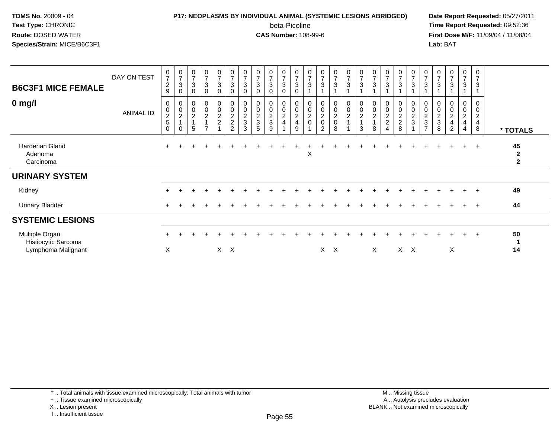## **P17: NEOPLASMS BY INDIVIDUAL ANIMAL (SYSTEMIC LESIONS ABRIDGED) Date Report Requested:** 05/27/2011

beta-Picoline<br>CAS Number: 108-99-6

| <b>B6C3F1 MICE FEMALE</b><br>$0$ mg/l                       | DAY ON TEST<br>ANIMAL ID | $\frac{0}{7}$<br>$\overline{c}$<br>$9\,$<br>0<br>$\mathbf 0$ | $\frac{0}{7}$<br>$\sqrt{3}$<br>0<br>$\begin{smallmatrix} 0\\0\\2 \end{smallmatrix}$ | $\pmb{0}$<br>$\overline{7}$<br>3<br>$\Omega$<br>0<br>$\pmb{0}$ | $\frac{0}{7}$<br>3<br>$\Omega$<br>$_0^0$ | $\frac{0}{7}$<br>$\ensuremath{\mathsf{3}}$<br>0<br>$_{\rm 0}^{\rm 0}$ | $\frac{0}{7}$<br>$\ensuremath{\mathsf{3}}$<br>$\mathbf 0$<br>$\begin{smallmatrix} 0\\0 \end{smallmatrix}$ | $\frac{0}{7}$<br>3<br>$\mathbf 0$<br>$\begin{array}{c} 0 \\ 0 \\ 2 \\ 3 \end{array}$ | $\frac{0}{7}$<br>$\mathbf{3}$<br>$\Omega$<br>$\begin{array}{c} 0 \\ 0 \\ 2 \\ 3 \end{array}$ | $\mathbf 0$<br>$\overline{7}$<br>3<br>$\Omega$<br>0<br>$\pmb{0}$ | $\begin{array}{c} 0 \\ 7 \end{array}$<br>$\ensuremath{\mathsf{3}}$<br>$\Omega$<br>0<br>$\bar{0}$ | $\frac{0}{7}$<br>3<br>$\Omega$<br>$\begin{matrix} 0 \\ 0 \\ 2 \end{matrix}$ | $\frac{0}{7}$<br>$\sqrt{3}$<br>$\begin{smallmatrix}0\0\0\end{smallmatrix}$ | $\frac{0}{7}$<br>$\sqrt{3}$<br>$\begin{matrix} 0 \\ 0 \\ 2 \\ 0 \end{matrix}$ | $\frac{0}{7}$<br>3<br>0<br>$\bar{0}$ | $\frac{0}{7}$<br>$\ensuremath{\mathsf{3}}$<br>$_{\rm 0}^{\rm 0}$ | $\frac{0}{7}$<br>3<br>$\begin{smallmatrix} 0\\0\\2 \end{smallmatrix}$ | 0<br>$\overline{z}$<br>3<br>0<br>$\pmb{0}$ | $\frac{0}{7}$<br>$\sqrt{3}$<br>0<br>$\ddot{\mathbf{0}}$ | $\frac{0}{7}$<br>$\sqrt{3}$<br>0<br>$\mathbf 0$ | $\mathbf 0$<br>$\overline{7}$<br>$\ensuremath{\mathsf{3}}$<br>0<br>$\pmb{0}$ | $\frac{0}{7}$<br>3<br>0<br>$\boldsymbol{0}$ | $\frac{0}{7}$<br>3<br>$\pmb{0}$ | $\frac{0}{7}$<br>$\ensuremath{\mathsf{3}}$<br>$\begin{smallmatrix} 0\\0 \end{smallmatrix}$ | $\begin{array}{c} 0 \\ 7 \end{array}$<br>3<br>0<br>$\bar{0}$ | $\mathbf 0$<br>$\overline{7}$<br>$\sqrt{3}$<br>0<br>$\overline{0}$ |                                                   |
|-------------------------------------------------------------|--------------------------|--------------------------------------------------------------|-------------------------------------------------------------------------------------|----------------------------------------------------------------|------------------------------------------|-----------------------------------------------------------------------|-----------------------------------------------------------------------------------------------------------|--------------------------------------------------------------------------------------|----------------------------------------------------------------------------------------------|------------------------------------------------------------------|--------------------------------------------------------------------------------------------------|-----------------------------------------------------------------------------|----------------------------------------------------------------------------|-------------------------------------------------------------------------------|--------------------------------------|------------------------------------------------------------------|-----------------------------------------------------------------------|--------------------------------------------|---------------------------------------------------------|-------------------------------------------------|------------------------------------------------------------------------------|---------------------------------------------|---------------------------------|--------------------------------------------------------------------------------------------|--------------------------------------------------------------|--------------------------------------------------------------------|---------------------------------------------------|
|                                                             |                          | $\frac{2}{5}$<br>$\mathbf 0$                                 | $\overline{1}$                                                                      | $\overline{c}$<br>1<br>5                                       | $\overline{c}$                           | $\frac{2}{2}$                                                         | $\frac{2}{2}$<br>$\overline{2}$                                                                           | 3                                                                                    | 5                                                                                            | $\frac{2}{3}$<br>9                                               | $\frac{2}{4}$                                                                                    | $\overline{4}$<br>9                                                         | $\frac{2}{0}$                                                              | $\overline{2}$                                                                | $\frac{2}{0}$<br>8                   | $\frac{2}{1}$                                                    | $\overline{1}$<br>3                                                   | $\boldsymbol{2}$<br>8                      | $\frac{2}{2}$                                           | $_2^2$<br>8                                     | $\boldsymbol{2}$<br>3                                                        | $\frac{2}{3}$<br>$\overline{ }$             | $\frac{2}{3}$<br>8              | $\boldsymbol{2}$<br>$\overline{\mathbf{4}}$<br>2                                           | $\frac{2}{4}$<br>4                                           | $\overline{c}$<br>$\overline{\mathbf{4}}$<br>8                     | * TOTALS                                          |
| Harderian Gland<br>Adenoma<br>Carcinoma                     |                          | $\pm$                                                        |                                                                                     |                                                                |                                          |                                                                       |                                                                                                           |                                                                                      |                                                                                              |                                                                  |                                                                                                  |                                                                             | Х                                                                          |                                                                               |                                      |                                                                  |                                                                       |                                            |                                                         |                                                 |                                                                              |                                             |                                 |                                                                                            | $+$                                                          | $+$                                                                | 45<br>$\boldsymbol{2}$<br>$\overline{\mathbf{2}}$ |
| <b>URINARY SYSTEM</b>                                       |                          |                                                              |                                                                                     |                                                                |                                          |                                                                       |                                                                                                           |                                                                                      |                                                                                              |                                                                  |                                                                                                  |                                                                             |                                                                            |                                                                               |                                      |                                                                  |                                                                       |                                            |                                                         |                                                 |                                                                              |                                             |                                 |                                                                                            |                                                              |                                                                    |                                                   |
| Kidney                                                      |                          |                                                              |                                                                                     |                                                                |                                          |                                                                       |                                                                                                           |                                                                                      |                                                                                              |                                                                  |                                                                                                  |                                                                             |                                                                            |                                                                               |                                      |                                                                  |                                                                       |                                            |                                                         |                                                 |                                                                              |                                             |                                 |                                                                                            |                                                              | $\overline{ }$                                                     | 49                                                |
| <b>Urinary Bladder</b>                                      |                          |                                                              |                                                                                     |                                                                |                                          |                                                                       |                                                                                                           |                                                                                      |                                                                                              |                                                                  |                                                                                                  |                                                                             |                                                                            |                                                                               |                                      |                                                                  |                                                                       |                                            |                                                         |                                                 |                                                                              |                                             |                                 |                                                                                            |                                                              | $+$                                                                | 44                                                |
| <b>SYSTEMIC LESIONS</b>                                     |                          |                                                              |                                                                                     |                                                                |                                          |                                                                       |                                                                                                           |                                                                                      |                                                                                              |                                                                  |                                                                                                  |                                                                             |                                                                            |                                                                               |                                      |                                                                  |                                                                       |                                            |                                                         |                                                 |                                                                              |                                             |                                 |                                                                                            |                                                              |                                                                    |                                                   |
| Multiple Organ<br>Histiocytic Sarcoma<br>Lymphoma Malignant |                          | X                                                            |                                                                                     |                                                                |                                          |                                                                       | $X$ $X$                                                                                                   |                                                                                      |                                                                                              |                                                                  |                                                                                                  |                                                                             |                                                                            | $\times$                                                                      | $\times$                             |                                                                  |                                                                       | $\times$                                   |                                                         |                                                 | $X \times$                                                                   |                                             |                                 | X                                                                                          | $\ddot{}$                                                    | $+$                                                                | 50<br>14                                          |

<sup>+ ..</sup> Tissue examined microscopically

X .. Lesion present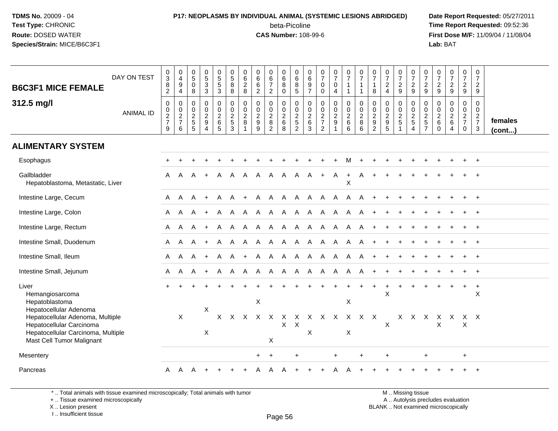# **P17: NEOPLASMS BY INDIVIDUAL ANIMAL (SYSTEMIC LESIONS ABRIDGED) Date Report Requested:** 05/27/2011

beta-Picoline<br>CAS Number: 108-99-6

 **Time Report Requested:** 09:52:36 **First Dose M/F:** 11/09/04 / 11/08/04<br>Lab: BAT **Lab:** BAT

| <b>B6C3F1 MICE FEMALE</b>                                                                                                                                 | DAY ON TEST      | $_3^0$<br>$\bf 8$<br>$\overline{c}$                | 0<br>$\overline{4}$<br>$\boldsymbol{9}$<br>$\overline{4}$      | $\begin{array}{c} 0 \\ 5 \end{array}$<br>$\mathbf 0$<br>8 | $\begin{array}{c} 0 \\ 5 \\ 3 \end{array}$                          | $\begin{array}{c} 0 \\ 5 \\ 3 \end{array}$             | $\begin{array}{c} 0 \\ 5 \end{array}$<br>8<br>8                        | 0<br>6<br>$\overline{c}$<br>8                                    | $066$<br>06<br>2                                                    | $\begin{array}{c} 0 \\ 6 \\ 7 \end{array}$<br>$\overline{2}$           | $\begin{array}{c} 0 \\ 6 \end{array}$<br>8<br>0            | 0<br>$\overline{6}$<br>$\begin{array}{c} 8 \\ 5 \end{array}$ | 0<br>$\,6\,$<br>9<br>$\overline{7}$                | $\begin{smallmatrix}0\\7\end{smallmatrix}$<br>$\mathbf 0$<br>$\mathbf 0$       | $\frac{0}{7}$<br>0<br>4                                              | $\begin{array}{c} 0 \\ 7 \end{array}$<br>$\mathbf{1}$<br>$\mathbf{1}$     | $\begin{array}{c} 0 \\ 7 \end{array}$                            | $\begin{array}{c} 0 \\ 7 \end{array}$<br>$\mathbf{1}$<br>8 | $\frac{0}{7}$<br>$\frac{2}{4}$            | $\frac{0}{7}$<br>$\frac{2}{9}$               | $\frac{0}{7}$<br>$\frac{2}{9}$       | $\frac{0}{7}$<br>$\overline{c}$<br>$\overline{9}$             | $\frac{0}{7}$<br>$\frac{2}{9}$                                      | $\begin{smallmatrix} 0\\7 \end{smallmatrix}$<br>$\frac{2}{9}$ | $\frac{0}{7}$<br>$\frac{2}{9}$       | $\mathbf 0$<br>$\overline{7}$<br>$\overline{2}$<br>9                |                         |
|-----------------------------------------------------------------------------------------------------------------------------------------------------------|------------------|----------------------------------------------------|----------------------------------------------------------------|-----------------------------------------------------------|---------------------------------------------------------------------|--------------------------------------------------------|------------------------------------------------------------------------|------------------------------------------------------------------|---------------------------------------------------------------------|------------------------------------------------------------------------|------------------------------------------------------------|--------------------------------------------------------------|----------------------------------------------------|--------------------------------------------------------------------------------|----------------------------------------------------------------------|---------------------------------------------------------------------------|------------------------------------------------------------------|------------------------------------------------------------|-------------------------------------------|----------------------------------------------|--------------------------------------|---------------------------------------------------------------|---------------------------------------------------------------------|---------------------------------------------------------------|--------------------------------------|---------------------------------------------------------------------|-------------------------|
| 312.5 mg/l                                                                                                                                                | <b>ANIMAL ID</b> | $\mathbf 0$<br>$\pmb{0}$<br>$\frac{2}{7}$<br>$9\,$ | 0<br>$\boldsymbol{0}$<br>$\overline{c}$<br>$\overline{7}$<br>6 | $\Omega$<br>0<br>$\sqrt{2}$<br>$\,$ 5 $\,$<br>5           | $\mathbf 0$<br>$\pmb{0}$<br>$\overline{c}$<br>$\boldsymbol{9}$<br>4 | $\mathbf 0$<br>$\mathbf 0$<br>$\overline{c}$<br>$^6$ 5 | $\mathbf 0$<br>$\pmb{0}$<br>$\overline{c}$<br>$\sqrt{5}$<br>$\sqrt{3}$ | $\mathbf 0$<br>$\mathbf 0$<br>$\overline{2}$<br>8<br>$\mathbf 1$ | $\mathbf 0$<br>$\pmb{0}$<br>$\overline{2}$<br>$\boldsymbol{9}$<br>9 | $\Omega$<br>$\mathbf 0$<br>$\overline{a}$<br>$\bf 8$<br>$\overline{2}$ | $\mathbf 0$<br>$\mathsf 0$<br>$\overline{c}$<br>$\,6$<br>8 | $\mathbf 0$<br>$\frac{0}{2}$<br>$\overline{2}$               | 0<br>$\mathbf 0$<br>$\overline{2}$<br>$\,6\,$<br>3 | $\mathbf 0$<br>$\pmb{0}$<br>$\overline{2}$<br>$\overline{7}$<br>$\overline{2}$ | 0<br>$\pmb{0}$<br>$\overline{c}$<br>$\boldsymbol{9}$<br>$\mathbf{1}$ | $\mathbf 0$<br>$\mathsf 0$<br>$\overline{2}$<br>$\,6\,$<br>$6\phantom{1}$ | $\mathbf 0$<br>$\pmb{0}$<br>$\overline{2}$<br>$\bf 8$<br>$\,6\,$ | 0<br>$\pmb{0}$<br>$\frac{2}{9}$                            | $\mathbf 0$<br>$\mathsf 0$<br>$rac{2}{9}$ | 0<br>0<br>$\overline{c}$<br>$\mathbf 5$<br>1 | 0<br>$\frac{0}{2}$<br>$\overline{4}$ | $\mathbf 0$<br>$\mathbf 0$<br>$\overline{c}$<br>$\frac{5}{7}$ | $\Omega$<br>$\mathbf 0$<br>$\overline{c}$<br>$\,6\,$<br>$\mathbf 0$ | $\mathbf 0$<br>$\frac{0}{2}$<br>4                             | 0<br>$\mathbf 0$<br>$rac{2}{7}$<br>0 | $\mathbf 0$<br>$\mathbf 0$<br>$\overline{2}$<br>$\overline{7}$<br>3 | females<br>$($ cont $)$ |
| <b>ALIMENTARY SYSTEM</b>                                                                                                                                  |                  |                                                    |                                                                |                                                           |                                                                     |                                                        |                                                                        |                                                                  |                                                                     |                                                                        |                                                            |                                                              |                                                    |                                                                                |                                                                      |                                                                           |                                                                  |                                                            |                                           |                                              |                                      |                                                               |                                                                     |                                                               |                                      |                                                                     |                         |
| Esophagus                                                                                                                                                 |                  |                                                    |                                                                |                                                           |                                                                     |                                                        |                                                                        |                                                                  |                                                                     |                                                                        |                                                            |                                                              |                                                    |                                                                                |                                                                      | м                                                                         |                                                                  |                                                            |                                           |                                              |                                      |                                                               |                                                                     |                                                               |                                      |                                                                     |                         |
| Gallbladder<br>Hepatoblastoma, Metastatic, Liver                                                                                                          |                  | A                                                  | A                                                              | A                                                         | $\div$                                                              | A                                                      | A                                                                      | A                                                                | A                                                                   | A                                                                      | A                                                          | A                                                            | A                                                  | $+$                                                                            | $\mathsf{A}$                                                         | $\ddot{}$<br>X                                                            | A                                                                |                                                            |                                           |                                              |                                      |                                                               |                                                                     |                                                               |                                      |                                                                     |                         |
| Intestine Large, Cecum                                                                                                                                    |                  | A                                                  | A                                                              | A                                                         | $+$                                                                 | $\mathsf{A}$                                           | $\mathsf{A}$                                                           | $+$                                                              | $\mathsf{A}$                                                        |                                                                        |                                                            |                                                              |                                                    |                                                                                |                                                                      | A A A A A A A                                                             |                                                                  |                                                            |                                           |                                              |                                      |                                                               |                                                                     |                                                               |                                      |                                                                     |                         |
| Intestine Large, Colon                                                                                                                                    |                  | A                                                  | A                                                              | A                                                         | $+$                                                                 | A                                                      | A                                                                      | A                                                                | A                                                                   | $\mathsf{A}$                                                           | A A                                                        | A A                                                          |                                                    | A A A                                                                          |                                                                      | A                                                                         | A                                                                |                                                            |                                           |                                              |                                      |                                                               |                                                                     |                                                               |                                      |                                                                     |                         |
| Intestine Large, Rectum                                                                                                                                   |                  | A                                                  | A                                                              | A                                                         | $+$                                                                 | $\mathsf{A}$                                           | $\mathsf{A}$                                                           | $\mathsf{A}$                                                     | $\mathsf{A}$                                                        |                                                                        |                                                            |                                                              |                                                    | A A A A A A                                                                    |                                                                      | A                                                                         | A                                                                |                                                            |                                           |                                              |                                      |                                                               |                                                                     |                                                               |                                      |                                                                     |                         |
| Intestine Small, Duodenum                                                                                                                                 |                  | A                                                  | A                                                              | A                                                         | $+$                                                                 | A                                                      | $\mathsf{A}$                                                           | $\mathsf{A}$                                                     |                                                                     | A A A A                                                                |                                                            |                                                              |                                                    | A A A                                                                          |                                                                      | A                                                                         | A                                                                |                                                            |                                           |                                              |                                      |                                                               |                                                                     |                                                               |                                      |                                                                     |                         |
| Intestine Small, Ileum                                                                                                                                    |                  | A                                                  | $\mathsf{A}$                                                   | A                                                         | $+$                                                                 | A                                                      | A                                                                      | $+$                                                              |                                                                     |                                                                        |                                                            |                                                              |                                                    |                                                                                |                                                                      | A A A A A A A A                                                           |                                                                  | $+$                                                        |                                           |                                              |                                      |                                                               |                                                                     |                                                               |                                      | $^{+}$                                                              |                         |
| Intestine Small, Jejunum                                                                                                                                  |                  | A                                                  | A                                                              | A                                                         | $\ddot{}$                                                           | A                                                      | $\mathsf{A}$                                                           | $\mathsf{A}$                                                     | $\mathsf{A}$                                                        | A                                                                      |                                                            | A A                                                          |                                                    | A A A                                                                          |                                                                      | $\mathsf{A}$                                                              | A                                                                |                                                            |                                           |                                              |                                      |                                                               |                                                                     |                                                               |                                      |                                                                     |                         |
| Liver<br>Hemangiosarcoma<br>Hepatoblastoma                                                                                                                |                  | $\pm$                                              |                                                                |                                                           | $\ddot{}$                                                           | ÷                                                      |                                                                        |                                                                  | X                                                                   |                                                                        |                                                            |                                                              |                                                    |                                                                                | $\ddot{}$                                                            | +<br>X                                                                    | $\ddot{}$                                                        | $\ddot{}$                                                  | $\ddot{}$<br>Χ                            | $\ddot{}$                                    |                                      | $\div$                                                        |                                                                     |                                                               | $\ddot{}$                            | $\ddot{}$<br>X                                                      |                         |
| Hepatocellular Adenoma<br>Hepatocellular Adenoma, Multiple<br>Hepatocellular Carcinoma<br>Hepatocellular Carcinoma, Multiple<br>Mast Cell Tumor Malignant |                  |                                                    | $\times$                                                       |                                                           | X<br>X                                                              | $\times$                                               | $\times$                                                               | $\times$                                                         | $\times$                                                            | $\mathsf{X}$<br>X                                                      | X<br>X                                                     | X<br>$\mathsf{X}$                                            | X                                                  | X X X                                                                          |                                                                      | $\sf X$<br>X                                                              | X X                                                              |                                                            | $\pmb{\times}$                            | X.                                           | X                                    | X                                                             | х<br>$\mathsf X$                                                    | X                                                             | X<br>$\sf X$                         | X                                                                   |                         |
| Mesentery                                                                                                                                                 |                  |                                                    |                                                                |                                                           |                                                                     |                                                        |                                                                        |                                                                  | $+$                                                                 | $\overline{ }$                                                         |                                                            |                                                              |                                                    |                                                                                | $\ddot{}$                                                            |                                                                           |                                                                  |                                                            | $\ddot{}$                                 |                                              |                                      | $\ddot{}$                                                     |                                                                     |                                                               | $\ddot{}$                            |                                                                     |                         |
| Pancreas                                                                                                                                                  |                  | A                                                  | A                                                              | A                                                         | $\overline{+}$                                                      | $\pm$                                                  | $\ddot{}$                                                              | $\ddot{}$                                                        | A                                                                   | A                                                                      | A                                                          |                                                              | +                                                  |                                                                                | A                                                                    |                                                                           |                                                                  |                                                            |                                           |                                              |                                      |                                                               |                                                                     |                                                               | +                                    | $\overline{+}$                                                      |                         |

\* .. Total animals with tissue examined microscopically; Total animals with tumor

+ .. Tissue examined microscopically

X .. Lesion present

I .. Insufficient tissue

M .. Missing tissue y the contract of the contract of the contract of the contract of the contract of  $\mathsf A$  . Autolysis precludes evaluation Lesion present BLANK .. Not examined microscopically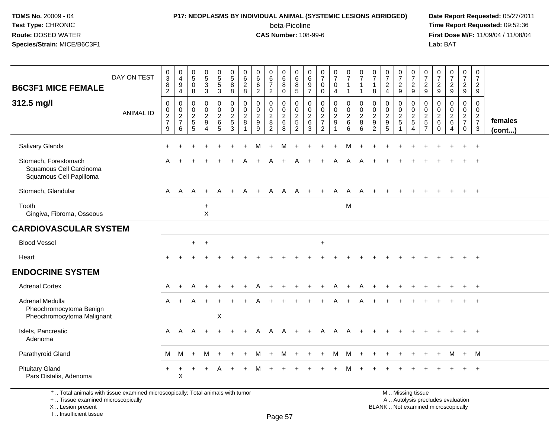# **P17: NEOPLASMS BY INDIVIDUAL ANIMAL (SYSTEMIC LESIONS ABRIDGED) Date Report Requested:** 05/27/2011

beta-Picoline<br>CAS Number: 108-99-6

 **Time Report Requested:** 09:52:36 **First Dose M/F:** 11/09/04 / 11/08/04<br>Lab: BAT **Lab:** BAT

| <b>B6C3F1 MICE FEMALE</b><br>312.5 mg/l                                    | DAY ON TEST      | $_3^0$<br>$\bf 8$<br>$\overline{2}$<br>$\pmb{0}$<br>$\pmb{0}$ | $\boldsymbol{0}$<br>$\overline{\mathbf{4}}$<br>$\boldsymbol{9}$<br>$\overline{4}$<br>$\mathbf 0$<br>$\mathbf 0$ | 0<br>$\overline{5}$<br>$\mathbf 0$<br>8<br>0<br>$\mathbf 0$ | $\begin{array}{c} 0 \\ 5 \end{array}$<br>$\ensuremath{\mathsf{3}}$<br>$\mathbf{3}$<br>0<br>$\pmb{0}$ | $\begin{array}{c} 0 \\ 5 \\ 5 \end{array}$<br>$\mathbf{3}$<br>0<br>$\pmb{0}$ | $\begin{array}{c} 0 \\ 5 \end{array}$<br>8<br>8<br>$\pmb{0}$<br>$\mathsf{O}\xspace$ | 0<br>$\,6\,$<br>$\overline{c}$<br>8<br>0<br>0 | $\pmb{0}$<br>$6\phantom{a}$<br>$\,6\,$<br>$\overline{2}$<br>0<br>$\pmb{0}$ | 0<br>$\,6\,$<br>$\overline{7}$<br>$\sqrt{2}$<br>0<br>$\mathbf 0$ | $\pmb{0}$<br>$\,6$<br>8<br>$\mathbf 0$<br>0<br>$\mathsf{O}\xspace$ | 0<br>$\,6\,$<br>$\bf 8$<br>$\overline{5}$<br>0<br>$\mathsf{O}\xspace$ | 0<br>$\begin{array}{c} 6 \\ 9 \\ 7 \end{array}$<br>$\pmb{0}$<br>$\boldsymbol{0}$ | $\begin{smallmatrix}0\\7\end{smallmatrix}$<br>$\pmb{0}$<br>$\mathsf{O}\xspace$<br>$\pmb{0}$<br>$\pmb{0}$ | $\frac{0}{7}$<br>0<br>$\overline{4}$<br>0<br>$\pmb{0}$ | $\begin{array}{c} 0 \\ 7 \end{array}$<br>$\mathbf{1}$<br>$\mathbf{1}$<br>$\pmb{0}$<br>$\mathbf 0$ | $\frac{0}{7}$<br>1<br>$\mathbf{1}$<br>0<br>$\pmb{0}$ | $\begin{smallmatrix}0\\7\end{smallmatrix}$<br>$\mathbf{1}$<br>8<br>$\mathbf 0$<br>$\mathbf 0$ | $\frac{0}{7}$<br>$\overline{c}$<br>$\overline{4}$<br>0<br>$\mathbf 0$ | $\frac{0}{7}$<br>$\frac{2}{9}$<br>$\mathbf 0$<br>$\mathsf 0$ | $\frac{0}{7}$<br>$\sqrt{2}$<br>9<br>0<br>$\mathbf 0$ | $\frac{0}{7}$<br>$\overline{c}$<br>9<br>0<br>$\mathbf 0$ | $\frac{0}{7}$<br>$\overline{c}$<br>9<br>0<br>0 | $\frac{0}{7}$<br>$\overline{a}$<br>9<br>0<br>$\pmb{0}$ | $\begin{smallmatrix}0\\7\end{smallmatrix}$<br>$\overline{2}$<br>9<br>0<br>$\mathbf 0$ | $\pmb{0}$<br>$\overline{7}$<br>$\overline{2}$<br>9<br>$\mathbf 0$<br>$\mathbf 0$ |                   |
|----------------------------------------------------------------------------|------------------|---------------------------------------------------------------|-----------------------------------------------------------------------------------------------------------------|-------------------------------------------------------------|------------------------------------------------------------------------------------------------------|------------------------------------------------------------------------------|-------------------------------------------------------------------------------------|-----------------------------------------------|----------------------------------------------------------------------------|------------------------------------------------------------------|--------------------------------------------------------------------|-----------------------------------------------------------------------|----------------------------------------------------------------------------------|----------------------------------------------------------------------------------------------------------|--------------------------------------------------------|---------------------------------------------------------------------------------------------------|------------------------------------------------------|-----------------------------------------------------------------------------------------------|-----------------------------------------------------------------------|--------------------------------------------------------------|------------------------------------------------------|----------------------------------------------------------|------------------------------------------------|--------------------------------------------------------|---------------------------------------------------------------------------------------|----------------------------------------------------------------------------------|-------------------|
|                                                                            | <b>ANIMAL ID</b> | $\frac{2}{7}$<br>$\boldsymbol{9}$                             | $\frac{2}{7}$<br>$\,6\,$                                                                                        | $\overline{c}$<br>$\sqrt{5}$<br>5                           | $\boldsymbol{2}$<br>$9\,$<br>$\overline{4}$                                                          | $\frac{2}{6}$<br>5                                                           | $\overline{c}$<br>5<br>3                                                            | $\overline{c}$<br>8                           | $\frac{2}{9}$<br>9                                                         | $\frac{2}{8}$<br>$\sqrt{2}$                                      | $\sqrt{2}$<br>$\,6\,$<br>8                                         | $\frac{2}{5}$<br>$\overline{2}$                                       | $\frac{2}{6}$<br>$\mathsf 3$                                                     | $\frac{2}{7}$<br>$\overline{c}$                                                                          | $\sqrt{2}$<br>$\boldsymbol{9}$<br>1                    | $\boldsymbol{2}$<br>6<br>$\,6\,$                                                                  | $\frac{2}{8}$<br>6                                   | $\frac{2}{9}$<br>$\overline{2}$                                                               | $\frac{2}{9}$<br>$\sqrt{5}$                                           | $\frac{2}{5}$<br>$\overline{1}$                              | $\frac{2}{5}$<br>$\overline{4}$                      | $\frac{2}{5}$<br>$\overline{7}$                          | $^2\phantom{1}6$<br>$\mathbf 0$                | $\frac{2}{6}$<br>$\overline{4}$                        | $\frac{2}{7}$<br>$\mathbf 0$                                                          | $\frac{2}{7}$<br>$\mathbf{3}$                                                    | females<br>(cont) |
| <b>Salivary Glands</b>                                                     |                  |                                                               |                                                                                                                 |                                                             |                                                                                                      |                                                                              |                                                                                     |                                               |                                                                            |                                                                  | M                                                                  |                                                                       |                                                                                  |                                                                                                          |                                                        | M                                                                                                 |                                                      |                                                                                               |                                                                       |                                                              |                                                      |                                                          |                                                |                                                        |                                                                                       | $\ddot{}$                                                                        |                   |
| Stomach, Forestomach<br>Squamous Cell Carcinoma<br>Squamous Cell Papilloma |                  | A                                                             |                                                                                                                 |                                                             |                                                                                                      |                                                                              |                                                                                     |                                               |                                                                            |                                                                  |                                                                    | А                                                                     |                                                                                  |                                                                                                          | A                                                      | A                                                                                                 | Α                                                    |                                                                                               |                                                                       |                                                              |                                                      |                                                          |                                                |                                                        |                                                                                       | $\ddot{}$                                                                        |                   |
| Stomach, Glandular                                                         |                  | A                                                             | $\mathsf{A}$                                                                                                    | $\mathsf{A}$                                                | $+$                                                                                                  | A                                                                            | $\ddot{}$                                                                           | A                                             | $+$                                                                        | A                                                                | A                                                                  | A                                                                     | $+$                                                                              | $+$                                                                                                      | $\mathsf{A}$                                           | $\mathsf{A}$                                                                                      | A                                                    |                                                                                               |                                                                       |                                                              |                                                      |                                                          |                                                |                                                        |                                                                                       | $+$                                                                              |                   |
| Tooth<br>Gingiva, Fibroma, Osseous                                         |                  |                                                               |                                                                                                                 |                                                             | $\ddot{}$<br>$\times$                                                                                |                                                                              |                                                                                     |                                               |                                                                            |                                                                  |                                                                    |                                                                       |                                                                                  |                                                                                                          |                                                        | M                                                                                                 |                                                      |                                                                                               |                                                                       |                                                              |                                                      |                                                          |                                                |                                                        |                                                                                       |                                                                                  |                   |
| <b>CARDIOVASCULAR SYSTEM</b>                                               |                  |                                                               |                                                                                                                 |                                                             |                                                                                                      |                                                                              |                                                                                     |                                               |                                                                            |                                                                  |                                                                    |                                                                       |                                                                                  |                                                                                                          |                                                        |                                                                                                   |                                                      |                                                                                               |                                                                       |                                                              |                                                      |                                                          |                                                |                                                        |                                                                                       |                                                                                  |                   |
| <b>Blood Vessel</b>                                                        |                  |                                                               |                                                                                                                 | $+$                                                         | $+$                                                                                                  |                                                                              |                                                                                     |                                               |                                                                            |                                                                  |                                                                    |                                                                       |                                                                                  | $\ddot{}$                                                                                                |                                                        |                                                                                                   |                                                      |                                                                                               |                                                                       |                                                              |                                                      |                                                          |                                                |                                                        |                                                                                       |                                                                                  |                   |
| Heart                                                                      |                  |                                                               |                                                                                                                 |                                                             |                                                                                                      |                                                                              |                                                                                     |                                               |                                                                            |                                                                  |                                                                    |                                                                       |                                                                                  |                                                                                                          |                                                        |                                                                                                   |                                                      |                                                                                               |                                                                       |                                                              |                                                      |                                                          |                                                |                                                        |                                                                                       | $+$                                                                              |                   |
| <b>ENDOCRINE SYSTEM</b>                                                    |                  |                                                               |                                                                                                                 |                                                             |                                                                                                      |                                                                              |                                                                                     |                                               |                                                                            |                                                                  |                                                                    |                                                                       |                                                                                  |                                                                                                          |                                                        |                                                                                                   |                                                      |                                                                                               |                                                                       |                                                              |                                                      |                                                          |                                                |                                                        |                                                                                       |                                                                                  |                   |
| <b>Adrenal Cortex</b>                                                      |                  | A                                                             | $+$                                                                                                             | A                                                           | $+$                                                                                                  |                                                                              |                                                                                     |                                               |                                                                            |                                                                  |                                                                    |                                                                       |                                                                                  |                                                                                                          | A                                                      | $+$                                                                                               | А                                                    |                                                                                               |                                                                       |                                                              |                                                      |                                                          |                                                |                                                        |                                                                                       | $+$                                                                              |                   |
| Adrenal Medulla<br>Pheochromocytoma Benign<br>Pheochromocytoma Malignant   |                  | A                                                             | $+$                                                                                                             |                                                             |                                                                                                      | X                                                                            |                                                                                     |                                               |                                                                            |                                                                  |                                                                    |                                                                       |                                                                                  |                                                                                                          |                                                        |                                                                                                   |                                                      |                                                                                               |                                                                       |                                                              |                                                      |                                                          |                                                |                                                        |                                                                                       |                                                                                  |                   |
| Islets, Pancreatic<br>Adenoma                                              |                  | A                                                             | A                                                                                                               | A                                                           | $+$                                                                                                  |                                                                              | ÷                                                                                   | $\pm$                                         | A                                                                          | A                                                                | A                                                                  |                                                                       |                                                                                  | A                                                                                                        | A                                                      |                                                                                                   |                                                      |                                                                                               |                                                                       |                                                              |                                                      |                                                          |                                                |                                                        |                                                                                       | $\ddot{}$                                                                        |                   |
| Parathyroid Gland                                                          |                  | M                                                             | M                                                                                                               | $\ddot{}$                                                   | M                                                                                                    | $+$                                                                          | $\ddot{}$                                                                           | $+$                                           | M                                                                          | $+$                                                              | M                                                                  | $+$                                                                   | $+$                                                                              | $+$                                                                                                      | M                                                      | M                                                                                                 | $+$                                                  | $\ddot{}$                                                                                     | $\ddot{}$                                                             | $\ddot{}$                                                    | $\ddot{}$                                            | $\ddot{}$                                                | $+$                                            | M                                                      | $+$                                                                                   | M                                                                                |                   |
| <b>Pituitary Gland</b><br>Pars Distalis, Adenoma                           |                  | $+$                                                           | +<br>X                                                                                                          | ٠                                                           | $\ddot{}$                                                                                            | A                                                                            | ÷                                                                                   |                                               |                                                                            |                                                                  |                                                                    |                                                                       |                                                                                  |                                                                                                          |                                                        |                                                                                                   |                                                      |                                                                                               |                                                                       |                                                              |                                                      |                                                          |                                                |                                                        |                                                                                       | $\ddot{}$                                                                        |                   |

\* .. Total animals with tissue examined microscopically; Total animals with tumor

+ .. Tissue examined microscopically

X .. Lesion present

I .. Insufficient tissue

 M .. Missing tissuey the contract of the contract of the contract of the contract of the contract of  $\mathsf A$  . Autolysis precludes evaluation Lesion present BLANK .. Not examined microscopically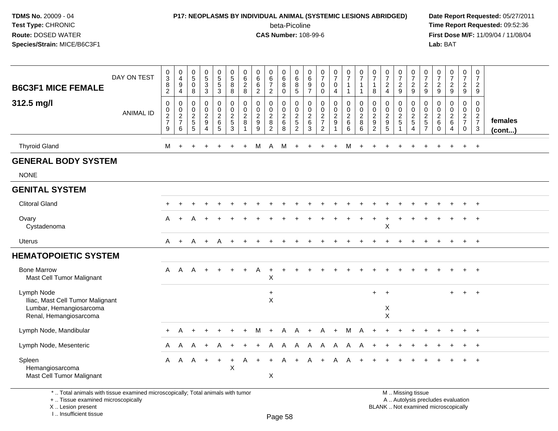#### **P17: NEOPLASMS BY INDIVIDUAL ANIMAL (SYSTEMIC LESIONS ABRIDGED) Date Report Requested:** 05/27/2011

beta-Picoline<br>CAS Number: 108-99-6

 **Time Report Requested:** 09:52:36 **First Dose M/F:** 11/09/04 / 11/08/04<br>Lab: BAT **Lab:** BAT

| <b>B6C3F1 MICE FEMALE</b><br>312.5 mg/l                                                             | DAY ON TEST<br><b>ANIMAL ID</b> | $_{3}^{\rm 0}$<br>$\frac{8}{2}$<br>$\pmb{0}$<br>$\frac{0}{2}$<br>9 | $\begin{smallmatrix}0\\4\end{smallmatrix}$<br>$\boldsymbol{9}$<br>$\overline{4}$<br>$\pmb{0}$<br>$\frac{0}{2}$<br>6 | $\begin{array}{c} 0 \\ 5 \end{array}$<br>$\mathbf 0$<br>8<br>$\boldsymbol{0}$<br>$\boldsymbol{0}$<br>$\frac{2}{5}$<br>5 | $\begin{array}{c} 0 \\ 5 \end{array}$<br>$\ensuremath{\mathsf{3}}$<br>$\mathbf{3}$<br>$\pmb{0}$<br>$\pmb{0}$<br>$\overline{c}$<br>$\boldsymbol{9}$<br>$\overline{4}$ | $\begin{array}{c} 0 \\ 5 \\ 5 \end{array}$<br>3<br>0<br>$\mathbf 0$<br>$\overline{c}$<br>$\,6\,$<br>5 | $\begin{array}{c} 0 \\ 5 \end{array}$<br>8<br>8<br>$\pmb{0}$<br>$\frac{0}{2}$<br>3 | 0<br>$\,6\,$<br>$_{\rm 8}^2$<br>0<br>$\mathbf 0$<br>$\overline{2}$<br>8 | $\pmb{0}$<br>$\,6\,$<br>$^6_2$<br>$\pmb{0}$<br>$\pmb{0}$<br>$\boldsymbol{2}$<br>$\boldsymbol{9}$<br>9 | $\begin{array}{c} 0 \\ 6 \\ 7 \end{array}$<br>$\sqrt{2}$<br>$\mathbf 0$<br>$\pmb{0}$<br>$\overline{2}$<br>$\bf 8$<br>$\overline{2}$ | $\begin{matrix} 0 \\ 6 \\ 8 \end{matrix}$<br>$\mathbf 0$<br>0<br>$\mathbf 0$<br>$\frac{2}{6}$<br>8 | $\pmb{0}$<br>$\,6\,$<br>8<br>$\sqrt{5}$<br>$\mathbf 0$<br>$\pmb{0}$<br>$\overline{c}$<br>$\sqrt{5}$<br>$\overline{2}$ | 0<br>$\,6\,$<br>$\boldsymbol{9}$<br>$\overline{7}$<br>0<br>$\mathbf 0$<br>$\sqrt{2}$<br>$\,6\,$<br>3 | $\frac{0}{7}$<br>$\mathbf 0$<br>$\mathbf 0$<br>$\pmb{0}$<br>$\mathbf 0$<br>$\frac{2}{7}$<br>$\overline{2}$ | $\frac{0}{7}$<br>$\mathsf{O}$<br>4<br>0<br>0<br>$\overline{a}$<br>$\boldsymbol{9}$<br>$\overline{1}$ | $\frac{0}{7}$<br>$\mathbf{1}$<br>$\overline{1}$<br>$\pmb{0}$<br>$\pmb{0}$<br>$\overline{2}$<br>$\,6\,$<br>$\,6\,$ | $\frac{0}{7}$<br>$\mathbf{1}$<br>$\mathbf{1}$<br>$\mathbf 0$<br>$\frac{0}{2}$<br>$\, 8$<br>6 | $\frac{0}{7}$<br>$\overline{1}$<br>8<br>$\mathbf 0$<br>$\boldsymbol{0}$<br>$\sqrt{2}$<br>$\boldsymbol{9}$<br>$\overline{2}$ | $\frac{0}{7}$<br>$\frac{2}{4}$<br>$\pmb{0}$<br>$\mathbf 0$<br>$\frac{2}{9}$<br>$5\phantom{1}$ | $\frac{0}{7}$<br>$\frac{2}{9}$<br>0<br>$\mathbf 0$<br>$\frac{2}{5}$<br>1 | $\frac{0}{7}$<br>$\frac{2}{9}$<br>$\pmb{0}$<br>$\frac{0}{2}$<br>5<br>$\overline{4}$ | 0<br>$\overline{7}$<br>$\overline{\mathbf{c}}$<br>9<br>0<br>0<br>$\overline{a}$<br>5<br>$\overline{7}$ | $\frac{0}{7}$<br>$\frac{2}{9}$<br>0<br>0<br>$^2\phantom{1}6$<br>$\mathbf 0$ | $\begin{smallmatrix}0\\7\end{smallmatrix}$<br>$\frac{2}{9}$<br>$\mathsf 0$<br>$\mathbf 0$<br>$\overline{c}$<br>$\,6\,$<br>$\overline{4}$ | $\frac{0}{7}$<br>$\frac{2}{9}$<br>$\pmb{0}$<br>$\mathbf 0$<br>$\frac{2}{7}$<br>$\mathbf 0$ | $\pmb{0}$<br>$\overline{7}$<br>$\overline{2}$<br>9<br>0<br>$\mathbf 0$<br>$\frac{2}{7}$<br>$\mathbf{3}$ | females<br>(cont) |
|-----------------------------------------------------------------------------------------------------|---------------------------------|--------------------------------------------------------------------|---------------------------------------------------------------------------------------------------------------------|-------------------------------------------------------------------------------------------------------------------------|----------------------------------------------------------------------------------------------------------------------------------------------------------------------|-------------------------------------------------------------------------------------------------------|------------------------------------------------------------------------------------|-------------------------------------------------------------------------|-------------------------------------------------------------------------------------------------------|-------------------------------------------------------------------------------------------------------------------------------------|----------------------------------------------------------------------------------------------------|-----------------------------------------------------------------------------------------------------------------------|------------------------------------------------------------------------------------------------------|------------------------------------------------------------------------------------------------------------|------------------------------------------------------------------------------------------------------|-------------------------------------------------------------------------------------------------------------------|----------------------------------------------------------------------------------------------|-----------------------------------------------------------------------------------------------------------------------------|-----------------------------------------------------------------------------------------------|--------------------------------------------------------------------------|-------------------------------------------------------------------------------------|--------------------------------------------------------------------------------------------------------|-----------------------------------------------------------------------------|------------------------------------------------------------------------------------------------------------------------------------------|--------------------------------------------------------------------------------------------|---------------------------------------------------------------------------------------------------------|-------------------|
| <b>Thyroid Gland</b>                                                                                |                                 | M                                                                  | $\overline{ }$                                                                                                      |                                                                                                                         |                                                                                                                                                                      |                                                                                                       |                                                                                    |                                                                         | м                                                                                                     | A                                                                                                                                   | М                                                                                                  |                                                                                                                       |                                                                                                      |                                                                                                            |                                                                                                      | м                                                                                                                 |                                                                                              |                                                                                                                             |                                                                                               |                                                                          |                                                                                     |                                                                                                        |                                                                             |                                                                                                                                          | +                                                                                          | $+$                                                                                                     |                   |
| <b>GENERAL BODY SYSTEM</b>                                                                          |                                 |                                                                    |                                                                                                                     |                                                                                                                         |                                                                                                                                                                      |                                                                                                       |                                                                                    |                                                                         |                                                                                                       |                                                                                                                                     |                                                                                                    |                                                                                                                       |                                                                                                      |                                                                                                            |                                                                                                      |                                                                                                                   |                                                                                              |                                                                                                                             |                                                                                               |                                                                          |                                                                                     |                                                                                                        |                                                                             |                                                                                                                                          |                                                                                            |                                                                                                         |                   |
| <b>NONE</b>                                                                                         |                                 |                                                                    |                                                                                                                     |                                                                                                                         |                                                                                                                                                                      |                                                                                                       |                                                                                    |                                                                         |                                                                                                       |                                                                                                                                     |                                                                                                    |                                                                                                                       |                                                                                                      |                                                                                                            |                                                                                                      |                                                                                                                   |                                                                                              |                                                                                                                             |                                                                                               |                                                                          |                                                                                     |                                                                                                        |                                                                             |                                                                                                                                          |                                                                                            |                                                                                                         |                   |
| <b>GENITAL SYSTEM</b>                                                                               |                                 |                                                                    |                                                                                                                     |                                                                                                                         |                                                                                                                                                                      |                                                                                                       |                                                                                    |                                                                         |                                                                                                       |                                                                                                                                     |                                                                                                    |                                                                                                                       |                                                                                                      |                                                                                                            |                                                                                                      |                                                                                                                   |                                                                                              |                                                                                                                             |                                                                                               |                                                                          |                                                                                     |                                                                                                        |                                                                             |                                                                                                                                          |                                                                                            |                                                                                                         |                   |
| <b>Clitoral Gland</b>                                                                               |                                 |                                                                    |                                                                                                                     |                                                                                                                         |                                                                                                                                                                      |                                                                                                       |                                                                                    |                                                                         |                                                                                                       |                                                                                                                                     |                                                                                                    |                                                                                                                       |                                                                                                      |                                                                                                            |                                                                                                      |                                                                                                                   |                                                                                              |                                                                                                                             |                                                                                               |                                                                          |                                                                                     |                                                                                                        |                                                                             |                                                                                                                                          |                                                                                            | $+$                                                                                                     |                   |
| Ovary<br>Cystadenoma                                                                                |                                 | A                                                                  |                                                                                                                     |                                                                                                                         |                                                                                                                                                                      |                                                                                                       |                                                                                    |                                                                         |                                                                                                       |                                                                                                                                     |                                                                                                    |                                                                                                                       |                                                                                                      |                                                                                                            |                                                                                                      |                                                                                                                   |                                                                                              |                                                                                                                             | X                                                                                             |                                                                          |                                                                                     |                                                                                                        |                                                                             |                                                                                                                                          |                                                                                            | $\overline{+}$                                                                                          |                   |
| <b>Uterus</b>                                                                                       |                                 | A                                                                  | $+$                                                                                                                 | A                                                                                                                       | $\ddot{}$                                                                                                                                                            | A                                                                                                     |                                                                                    |                                                                         |                                                                                                       |                                                                                                                                     |                                                                                                    |                                                                                                                       |                                                                                                      |                                                                                                            |                                                                                                      |                                                                                                                   |                                                                                              |                                                                                                                             |                                                                                               |                                                                          |                                                                                     |                                                                                                        |                                                                             |                                                                                                                                          |                                                                                            | $+$                                                                                                     |                   |
| <b>HEMATOPOIETIC SYSTEM</b>                                                                         |                                 |                                                                    |                                                                                                                     |                                                                                                                         |                                                                                                                                                                      |                                                                                                       |                                                                                    |                                                                         |                                                                                                       |                                                                                                                                     |                                                                                                    |                                                                                                                       |                                                                                                      |                                                                                                            |                                                                                                      |                                                                                                                   |                                                                                              |                                                                                                                             |                                                                                               |                                                                          |                                                                                     |                                                                                                        |                                                                             |                                                                                                                                          |                                                                                            |                                                                                                         |                   |
| <b>Bone Marrow</b><br>Mast Cell Tumor Malignant                                                     |                                 | A                                                                  | $\mathsf{A}$                                                                                                        | A                                                                                                                       | $+$                                                                                                                                                                  |                                                                                                       |                                                                                    |                                                                         | A                                                                                                     | $\overline{1}$<br>Χ                                                                                                                 |                                                                                                    |                                                                                                                       |                                                                                                      |                                                                                                            |                                                                                                      |                                                                                                                   |                                                                                              |                                                                                                                             |                                                                                               |                                                                          |                                                                                     |                                                                                                        |                                                                             |                                                                                                                                          |                                                                                            | $+$                                                                                                     |                   |
| Lymph Node<br>Iliac, Mast Cell Tumor Malignant<br>Lumbar, Hemangiosarcoma<br>Renal, Hemangiosarcoma |                                 |                                                                    |                                                                                                                     |                                                                                                                         |                                                                                                                                                                      |                                                                                                       |                                                                                    |                                                                         |                                                                                                       | $\ddot{}$<br>X                                                                                                                      |                                                                                                    |                                                                                                                       |                                                                                                      |                                                                                                            |                                                                                                      |                                                                                                                   |                                                                                              | $+$                                                                                                                         | $+$<br>X<br>$\pmb{\times}$                                                                    |                                                                          |                                                                                     |                                                                                                        |                                                                             | $\ddot{}$                                                                                                                                | $+$                                                                                        | $+$                                                                                                     |                   |
| Lymph Node, Mandibular                                                                              |                                 | $+$                                                                | Α                                                                                                                   |                                                                                                                         |                                                                                                                                                                      |                                                                                                       |                                                                                    |                                                                         | M                                                                                                     |                                                                                                                                     | A                                                                                                  | A                                                                                                                     |                                                                                                      |                                                                                                            | $\ddot{}$                                                                                            | M                                                                                                                 | A                                                                                            |                                                                                                                             |                                                                                               |                                                                          |                                                                                     |                                                                                                        |                                                                             |                                                                                                                                          |                                                                                            | $\overline{+}$                                                                                          |                   |
| Lymph Node, Mesenteric                                                                              |                                 | A                                                                  | A                                                                                                                   | A                                                                                                                       |                                                                                                                                                                      |                                                                                                       |                                                                                    |                                                                         |                                                                                                       | Α                                                                                                                                   | A                                                                                                  | A                                                                                                                     | A                                                                                                    | A                                                                                                          | A                                                                                                    | A                                                                                                                 | A                                                                                            |                                                                                                                             |                                                                                               |                                                                          |                                                                                     |                                                                                                        |                                                                             |                                                                                                                                          |                                                                                            |                                                                                                         |                   |
| Spleen<br>Hemangiosarcoma<br>Mast Cell Tumor Malignant                                              |                                 | $\mathsf{A}$                                                       | $\mathsf{A}$                                                                                                        | A                                                                                                                       | $+$                                                                                                                                                                  | $+$                                                                                                   | $\ddot{}$<br>$\boldsymbol{\mathsf{X}}$                                             | A                                                                       | $\pm$                                                                                                 | $\ddot{}$<br>X                                                                                                                      | A                                                                                                  | $+$                                                                                                                   | Α                                                                                                    | $\ddot{}$                                                                                                  | A                                                                                                    | A                                                                                                                 |                                                                                              |                                                                                                                             |                                                                                               |                                                                          |                                                                                     |                                                                                                        |                                                                             |                                                                                                                                          |                                                                                            | $\overline{+}$                                                                                          |                   |

\* .. Total animals with tissue examined microscopically; Total animals with tumor

+ .. Tissue examined microscopically

X .. Lesion present

I .. Insufficient tissue

M .. Missing tissue

y the contract of the contract of the contract of the contract of the contract of  $\mathsf A$  . Autolysis precludes evaluation Lesion present BLANK .. Not examined microscopically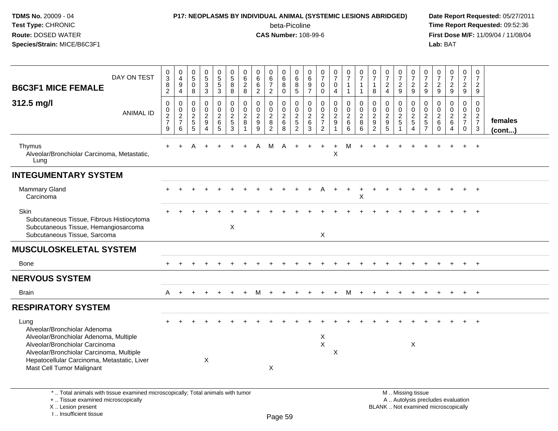#### **P17: NEOPLASMS BY INDIVIDUAL ANIMAL (SYSTEMIC LESIONS ABRIDGED) Date Report Requested:** 05/27/2011

beta-Picoline<br>CAS Number: 108-99-6

| DAY ON TEST<br><b>B6C3F1 MICE FEMALE</b>                                                                                                                                                                                                 | $\frac{0}{3}$<br>8<br>$\overline{2}$ | $\pmb{0}$<br>$\overline{4}$<br>$\boldsymbol{9}$<br>4 | $\begin{array}{c} 0 \\ 5 \end{array}$<br>$\mathbf 0$<br>8 | 0<br>$\overline{5}$<br>3<br>$\mathfrak{Z}$   | $\mathbf 0$<br>$\overline{5}$<br>$\sqrt{5}$<br>$\mathbf{3}$ | $\mathbf 0$<br>$\overline{5}$<br>8<br>8 | 0<br>$6\phantom{a}$<br>$\overline{2}$<br>8  | $\pmb{0}$<br>$\overline{6}$<br>$\,6\,$<br>$\overline{c}$ | $\mathbf 0$<br>$6\overline{6}$<br>$\overline{7}$<br>$\overline{2}$ | $\pmb{0}$<br>$\,6\,$<br>8<br>$\Omega$                            | $\mathbf 0$<br>$6\phantom{1}6$<br>8<br>$\overline{5}$         | 0<br>$\,6\,$<br>$\boldsymbol{9}$<br>$\overline{7}$ | $\frac{0}{7}$<br>$\mathbf 0$<br>0                             | $\begin{array}{c} 0 \\ 7 \end{array}$<br>$\mathbf 0$<br>4 | $\pmb{0}$<br>$\overline{7}$<br>$\mathbf{1}$<br>$\mathbf{1}$ | 0<br>$\overline{7}$<br>$\overline{1}$<br>$\overline{1}$ | 0<br>$\overline{7}$<br>$\overline{1}$<br>8           | $\frac{0}{7}$<br>$\overline{2}$<br>4 | $\frac{0}{7}$<br>$\overline{2}$<br>9              | $\begin{array}{c} 0 \\ 7 \end{array}$<br>$\overline{2}$<br>9                                  | 0<br>$\overline{7}$<br>$\overline{2}$<br>9                     | $\frac{0}{7}$<br>$\overline{2}$<br>9                            | $\pmb{0}$<br>$\overline{7}$<br>$\overline{2}$<br>9  | $\mathbf 0$<br>$\overline{7}$<br>$\overline{2}$<br>9  | $\mathbf 0$<br>$\overline{7}$<br>$\overline{2}$<br>9 |                   |
|------------------------------------------------------------------------------------------------------------------------------------------------------------------------------------------------------------------------------------------|--------------------------------------|------------------------------------------------------|-----------------------------------------------------------|----------------------------------------------|-------------------------------------------------------------|-----------------------------------------|---------------------------------------------|----------------------------------------------------------|--------------------------------------------------------------------|------------------------------------------------------------------|---------------------------------------------------------------|----------------------------------------------------|---------------------------------------------------------------|-----------------------------------------------------------|-------------------------------------------------------------|---------------------------------------------------------|------------------------------------------------------|--------------------------------------|---------------------------------------------------|-----------------------------------------------------------------------------------------------|----------------------------------------------------------------|-----------------------------------------------------------------|-----------------------------------------------------|-------------------------------------------------------|------------------------------------------------------|-------------------|
| 312.5 mg/l<br><b>ANIMAL ID</b>                                                                                                                                                                                                           | 0<br>0<br>$\frac{2}{7}$<br>9         | $\mathbf 0$<br>0<br>$\frac{2}{7}$<br>6               | $\mathbf 0$<br>0<br>$\frac{2}{5}$<br>5                    | 0<br>$\pmb{0}$<br>$\boldsymbol{2}$<br>9<br>4 | $\mathbf 0$<br>$\mathbf 0$<br>$\sqrt{2}$<br>6<br>$\sqrt{5}$ | 0<br>0<br>$\frac{2}{5}$<br>3            | $\Omega$<br>$\Omega$<br>$\overline{2}$<br>8 | $\mathbf 0$<br>0<br>$\frac{2}{9}$<br>9                   | $\mathbf 0$<br>$\mathbf 0$<br>$\frac{2}{8}$<br>$\overline{2}$      | $\mathbf 0$<br>$\mathsf{O}\xspace$<br>$\sqrt{2}$<br>$\,6\,$<br>8 | $\mathbf 0$<br>$\mathbf 0$<br>$\frac{2}{5}$<br>$\overline{2}$ | 0<br>0<br>$\overline{c}$<br>6<br>3                 | $\mathbf 0$<br>$\mathbf 0$<br>$\frac{2}{7}$<br>$\overline{c}$ | 0<br>$\mathbf 0$<br>$\frac{2}{9}$<br>$\mathbf{1}$         | $\mathbf 0$<br>$\pmb{0}$<br>$\frac{2}{6}$<br>$\,6\,$        | $\mathbf 0$<br>$\Omega$<br>$\sqrt{2}$<br>8<br>6         | 0<br>$\mathbf{0}$<br>$\frac{2}{9}$<br>$\overline{2}$ | 0<br>0<br>$\frac{2}{9}$<br>5         | 0<br>$\pmb{0}$<br>$\frac{2}{5}$<br>$\overline{1}$ | $\mathbf 0$<br>$\pmb{0}$<br>$\frac{2}{5}$<br>$\overline{4}$                                   | $\mathbf 0$<br>$\mathbf{0}$<br>$\frac{2}{5}$<br>$\overline{7}$ | $\mathbf 0$<br>$\mathsf{O}\xspace$<br>$\frac{2}{6}$<br>$\Omega$ | 0<br>$\mathbf 0$<br>$\frac{2}{6}$<br>$\overline{4}$ | $\mathbf 0$<br>$\Omega$<br>$rac{2}{7}$<br>$\mathbf 0$ | $\mathbf 0$<br>0<br>$\frac{2}{7}$<br>3               | females<br>(cont) |
| Thymus<br>Alveolar/Bronchiolar Carcinoma, Metastatic,<br>Lung                                                                                                                                                                            | $\ddot{}$                            |                                                      |                                                           |                                              |                                                             |                                         |                                             |                                                          | M                                                                  |                                                                  |                                                               |                                                    |                                                               | $\pmb{\times}$                                            | M                                                           |                                                         |                                                      |                                      |                                                   |                                                                                               |                                                                |                                                                 |                                                     |                                                       |                                                      |                   |
| <b>INTEGUMENTARY SYSTEM</b>                                                                                                                                                                                                              |                                      |                                                      |                                                           |                                              |                                                             |                                         |                                             |                                                          |                                                                    |                                                                  |                                                               |                                                    |                                                               |                                                           |                                                             |                                                         |                                                      |                                      |                                                   |                                                                                               |                                                                |                                                                 |                                                     |                                                       |                                                      |                   |
| Mammary Gland<br>Carcinoma                                                                                                                                                                                                               |                                      |                                                      |                                                           |                                              |                                                             |                                         |                                             |                                                          |                                                                    |                                                                  |                                                               |                                                    |                                                               |                                                           |                                                             | X                                                       |                                                      |                                      |                                                   |                                                                                               |                                                                |                                                                 |                                                     |                                                       |                                                      |                   |
| <b>Skin</b><br>Subcutaneous Tissue, Fibrous Histiocytoma<br>Subcutaneous Tissue, Hemangiosarcoma<br>Subcutaneous Tissue, Sarcoma                                                                                                         |                                      |                                                      |                                                           |                                              |                                                             | X                                       |                                             |                                                          |                                                                    |                                                                  |                                                               |                                                    | X                                                             |                                                           |                                                             |                                                         |                                                      |                                      |                                                   |                                                                                               |                                                                |                                                                 |                                                     |                                                       |                                                      |                   |
| <b>MUSCULOSKELETAL SYSTEM</b>                                                                                                                                                                                                            |                                      |                                                      |                                                           |                                              |                                                             |                                         |                                             |                                                          |                                                                    |                                                                  |                                                               |                                                    |                                                               |                                                           |                                                             |                                                         |                                                      |                                      |                                                   |                                                                                               |                                                                |                                                                 |                                                     |                                                       |                                                      |                   |
| Bone                                                                                                                                                                                                                                     |                                      |                                                      |                                                           |                                              |                                                             |                                         |                                             |                                                          |                                                                    |                                                                  |                                                               |                                                    |                                                               |                                                           |                                                             |                                                         |                                                      |                                      |                                                   |                                                                                               |                                                                |                                                                 |                                                     |                                                       |                                                      |                   |
| <b>NERVOUS SYSTEM</b>                                                                                                                                                                                                                    |                                      |                                                      |                                                           |                                              |                                                             |                                         |                                             |                                                          |                                                                    |                                                                  |                                                               |                                                    |                                                               |                                                           |                                                             |                                                         |                                                      |                                      |                                                   |                                                                                               |                                                                |                                                                 |                                                     |                                                       |                                                      |                   |
| <b>Brain</b>                                                                                                                                                                                                                             | A                                    | $+$                                                  |                                                           |                                              |                                                             |                                         |                                             | M                                                        |                                                                    |                                                                  |                                                               |                                                    |                                                               | $+$                                                       | м                                                           |                                                         |                                                      |                                      |                                                   |                                                                                               |                                                                |                                                                 |                                                     |                                                       | $+$                                                  |                   |
| <b>RESPIRATORY SYSTEM</b>                                                                                                                                                                                                                |                                      |                                                      |                                                           |                                              |                                                             |                                         |                                             |                                                          |                                                                    |                                                                  |                                                               |                                                    |                                                               |                                                           |                                                             |                                                         |                                                      |                                      |                                                   |                                                                                               |                                                                |                                                                 |                                                     |                                                       |                                                      |                   |
| Lung<br>Alveolar/Bronchiolar Adenoma<br>Alveolar/Bronchiolar Adenoma, Multiple<br>Alveolar/Bronchiolar Carcinoma<br>Alveolar/Bronchiolar Carcinoma, Multiple<br>Hepatocellular Carcinoma, Metastatic, Liver<br>Mast Cell Tumor Malignant |                                      |                                                      |                                                           | $\boldsymbol{\mathsf{X}}$                    |                                                             |                                         |                                             |                                                          | X                                                                  |                                                                  |                                                               |                                                    | X<br>$\mathsf{X}$                                             | Χ                                                         |                                                             |                                                         |                                                      |                                      |                                                   | X                                                                                             |                                                                |                                                                 |                                                     |                                                       | $\overline{+}$                                       |                   |
| *  Total animals with tissue examined microscopically; Total animals with tumor<br>+  Tissue examined microscopically<br>X  Lesion present<br>I Insufficient tissue                                                                      |                                      |                                                      |                                                           |                                              |                                                             |                                         |                                             |                                                          |                                                                    | $D_{200}$ $E_0$                                                  |                                                               |                                                    |                                                               |                                                           |                                                             |                                                         |                                                      |                                      |                                                   | M  Missing tissue<br>A  Autolysis precludes evaluation<br>BLANK  Not examined microscopically |                                                                |                                                                 |                                                     |                                                       |                                                      |                   |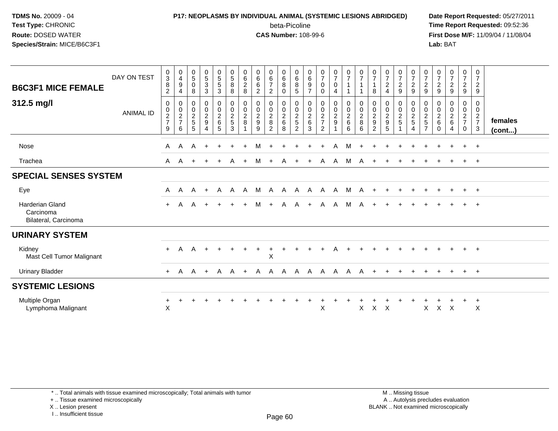### **P17: NEOPLASMS BY INDIVIDUAL ANIMAL (SYSTEMIC LESIONS ABRIDGED) Date Report Requested:** 05/27/2011 beta-Picoline<br>CAS Number: 108-99-6

 **Time Report Requested:** 09:52:36 **First Dose M/F:** 11/09/04 / 11/08/04<br>Lab: BAT **Lab:** BAT

| <b>B6C3F1 MICE FEMALE</b>                                   | DAY ON TEST      | $\begin{array}{c} 0 \\ 3 \\ 8 \end{array}$<br>$\overline{c}$ | $\begin{smallmatrix}0\0\4\end{smallmatrix}$<br>$\boldsymbol{9}$<br>$\overline{4}$ | 0<br>$\,$ 5 $\,$<br>0<br>8   | $\begin{array}{c} 0 \\ 5 \\ 3 \end{array}$     | $\begin{array}{c} 0 \\ 5 \\ 5 \end{array}$<br>$\sqrt{3}$ | $\begin{array}{c} 0 \\ 5 \end{array}$<br>$\,8\,$<br>8   | 0<br>$\,6\,$<br>$\begin{array}{c} 2 \\ 8 \end{array}$ | 0<br>$\,6$<br>6<br>$\sqrt{2}$                             | $\begin{array}{c} 0 \\ 6 \\ 7 \end{array}$<br>$\overline{2}$           | 0<br>$\,6\,$<br>8<br>$\mathbf 0$          | $\begin{array}{c} 0 \\ 6 \\ 5 \end{array}$ | 0<br>$\,6\,$<br>$\boldsymbol{9}$<br>$\overline{7}$ | $\frac{0}{7}$<br>$\mathbf 0$<br>$\mathbf 0$       | $\frac{0}{7}$<br>0<br>4         | $\frac{0}{7}$<br>$\mathbf{1}$ | $\frac{0}{7}$                       | $\frac{0}{7}$<br>$\overline{1}$<br>8                                   | $\begin{array}{c} 0 \\ 7 \\ 2 \end{array}$<br>$\overline{4}$ | $\frac{0}{7}$<br>$\frac{2}{9}$                  | 0<br>$\boldsymbol{7}$<br>$\frac{2}{9}$ | 0<br>$\boldsymbol{7}$<br>$\frac{2}{9}$          | $\frac{0}{7}$<br>$\frac{2}{9}$                 | $\frac{0}{7}$<br>$\frac{2}{9}$       | $\frac{0}{7}$<br>$\frac{2}{9}$                 | 0<br>$\overline{7}$<br>$\overline{2}$<br>9        |                         |
|-------------------------------------------------------------|------------------|--------------------------------------------------------------|-----------------------------------------------------------------------------------|------------------------------|------------------------------------------------|----------------------------------------------------------|---------------------------------------------------------|-------------------------------------------------------|-----------------------------------------------------------|------------------------------------------------------------------------|-------------------------------------------|--------------------------------------------|----------------------------------------------------|---------------------------------------------------|---------------------------------|-------------------------------|-------------------------------------|------------------------------------------------------------------------|--------------------------------------------------------------|-------------------------------------------------|----------------------------------------|-------------------------------------------------|------------------------------------------------|--------------------------------------|------------------------------------------------|---------------------------------------------------|-------------------------|
| 312.5 mg/l                                                  | <b>ANIMAL ID</b> | 0<br>$\,0\,$<br>$\frac{2}{7}$<br>9                           | 0<br>$\pmb{0}$<br>$\frac{2}{7}$<br>6                                              | 0<br>0<br>$\frac{2}{5}$<br>5 | $\mathbf 0$<br>$\frac{0}{2}$<br>$\overline{4}$ | 0<br>$\frac{0}{2}$ 6<br>5                                | $\pmb{0}$<br>$\pmb{0}$<br>$\frac{2}{5}$<br>$\mathbf{3}$ | 0<br>$\mathbf 0$<br>$_{8}^2$                          | 0<br>$\begin{smallmatrix} 0\\2\\9 \end{smallmatrix}$<br>9 | 0<br>$\begin{smallmatrix} 0\\2\\8 \end{smallmatrix}$<br>$\overline{2}$ | 0<br>$\mathbf 0$<br>$^2\phantom{1}6$<br>8 | $\mathbf 0$<br>$\frac{0}{2}$<br>2          | 0<br>$\mathbf 0$<br>$^2$ 6<br>3                    | 0<br>$\pmb{0}$<br>$\frac{2}{7}$<br>$\overline{2}$ | 0<br>$\pmb{0}$<br>$\frac{2}{9}$ | 0<br>$\frac{0}{2}$<br>6       | 0<br>$\pmb{0}$<br>$_{\rm 8}^2$<br>6 | 0<br>$\begin{smallmatrix} 0\\2\\9 \end{smallmatrix}$<br>$\overline{2}$ | 0<br>$\begin{smallmatrix} 0\\2\\9 \end{smallmatrix}$<br>5    | 0<br>$\pmb{0}$<br>$\frac{2}{5}$<br>$\mathbf{1}$ | 0<br>$\pmb{0}$<br>$rac{2}{5}$<br>4     | 0<br>$\pmb{0}$<br>$rac{2}{5}$<br>$\overline{7}$ | 0<br>$\pmb{0}$<br>$^2\phantom{1}6$<br>$\Omega$ | 0<br>$\pmb{0}$<br>$\frac{2}{6}$<br>4 | 0<br>$\pmb{0}$<br>$\frac{2}{7}$<br>$\mathbf 0$ | 0<br>$\mathbf 0$<br>$\frac{2}{7}$<br>$\mathbf{3}$ | females<br>$($ cont $)$ |
| <b>Nose</b>                                                 |                  | A                                                            | A                                                                                 | A                            |                                                |                                                          |                                                         |                                                       | м                                                         |                                                                        |                                           |                                            |                                                    |                                                   | A                               | M                             |                                     |                                                                        |                                                              |                                                 |                                        |                                                 |                                                |                                      |                                                | $+$                                               |                         |
| Trachea                                                     |                  | A                                                            | A                                                                                 |                              |                                                |                                                          |                                                         | $\ddot{}$                                             | M                                                         | $+$                                                                    | A                                         |                                            | $+$                                                |                                                   | A A                             | M                             | $\mathsf{A}$                        |                                                                        |                                                              |                                                 |                                        |                                                 |                                                |                                      |                                                | $+$                                               |                         |
| <b>SPECIAL SENSES SYSTEM</b>                                |                  |                                                              |                                                                                   |                              |                                                |                                                          |                                                         |                                                       |                                                           |                                                                        |                                           |                                            |                                                    |                                                   |                                 |                               |                                     |                                                                        |                                                              |                                                 |                                        |                                                 |                                                |                                      |                                                |                                                   |                         |
| Eye                                                         |                  | $\mathsf{A}$                                                 | A                                                                                 | A                            | $+$                                            | A                                                        | A                                                       | A                                                     | M                                                         | A                                                                      |                                           | A A                                        |                                                    | A A A                                             |                                 | M                             | A                                   |                                                                        |                                                              |                                                 |                                        |                                                 |                                                |                                      | $\pm$                                          | $+$                                               |                         |
| <b>Harderian Gland</b><br>Carcinoma<br>Bilateral, Carcinoma |                  | $+$                                                          | A                                                                                 | A                            |                                                |                                                          |                                                         |                                                       | м                                                         |                                                                        | A                                         | A                                          | $+$                                                | A                                                 | A                               | M                             | A                                   |                                                                        |                                                              |                                                 |                                        |                                                 |                                                |                                      |                                                | $+$                                               |                         |
| <b>URINARY SYSTEM</b>                                       |                  |                                                              |                                                                                   |                              |                                                |                                                          |                                                         |                                                       |                                                           |                                                                        |                                           |                                            |                                                    |                                                   |                                 |                               |                                     |                                                                        |                                                              |                                                 |                                        |                                                 |                                                |                                      |                                                |                                                   |                         |
| Kidney<br>Mast Cell Tumor Malignant                         |                  | $+$                                                          | A                                                                                 | A                            |                                                | $\div$                                                   |                                                         |                                                       |                                                           | $\mathsf X$                                                            |                                           |                                            |                                                    |                                                   |                                 |                               |                                     |                                                                        |                                                              |                                                 |                                        |                                                 |                                                |                                      | $+$                                            | $+$                                               |                         |
| <b>Urinary Bladder</b>                                      |                  | $+$                                                          | $\mathsf{A}$                                                                      | A                            | $+$                                            | $\mathsf{A}$                                             | A                                                       | $+$                                                   |                                                           | A A                                                                    | $\mathsf{A}$                              | $\mathsf{A}$                               | A                                                  | $\mathsf{A}$                                      | A                               | $\mathsf{A}$                  | A                                   | $+$                                                                    |                                                              |                                                 |                                        |                                                 |                                                |                                      | $+$                                            | $+$                                               |                         |
| <b>SYSTEMIC LESIONS</b>                                     |                  |                                                              |                                                                                   |                              |                                                |                                                          |                                                         |                                                       |                                                           |                                                                        |                                           |                                            |                                                    |                                                   |                                 |                               |                                     |                                                                        |                                                              |                                                 |                                        |                                                 |                                                |                                      |                                                |                                                   |                         |
| Multiple Organ<br>Lymphoma Malignant                        |                  | $+$<br>X                                                     | $\ddot{}$                                                                         | $\pm$                        |                                                |                                                          |                                                         |                                                       |                                                           |                                                                        |                                           |                                            |                                                    | X                                                 |                                 |                               | X                                   | $\mathsf{X}$                                                           | $\times$                                                     |                                                 |                                        | X                                               | $\mathsf{X}$                                   | $\times$                             |                                                | $\ddot{}$<br>X                                    |                         |

\* .. Total animals with tissue examined microscopically; Total animals with tumor

+ .. Tissue examined microscopically

X .. Lesion present

I .. Insufficient tissue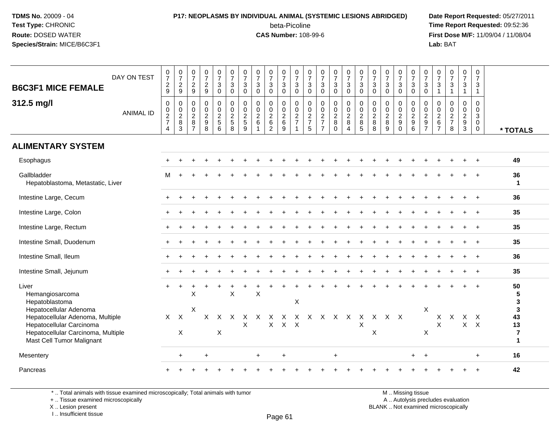### **P17: NEOPLASMS BY INDIVIDUAL ANIMAL (SYSTEMIC LESIONS ABRIDGED) Date Report Requested:** 05/27/2011

beta-Picoline<br>CAS Number: 108-99-6

 **Time Report Requested:** 09:52:36 **First Dose M/F:** 11/09/04 / 11/08/04<br>Lab: BAT **Lab:** BAT

| DAY ON TEST<br><b>B6C3F1 MICE FEMALE</b><br>312.5 mg/l                                                                                                    | $\frac{0}{7}$<br>$\frac{2}{9}$<br>$\pmb{0}$ | $\frac{0}{7}$<br>$\overline{2}$<br>9<br>0 | $\frac{0}{7}$<br>$\sqrt{2}$<br>9<br>$\boldsymbol{0}$            | $\frac{0}{7}$<br>$\overline{2}$<br>9<br>0              | $\begin{array}{c} 0 \\ 7 \end{array}$<br>$\mathbf{3}$<br>$\mathbf 0$<br>$\pmb{0}$ | $\frac{0}{7}$<br>$\mathbf{3}$<br>$\Omega$<br>$\mathbf 0$ | 0<br>$\overline{7}$<br>$\mathbf{3}$<br>$\Omega$<br>0 | $\begin{array}{c} 0 \\ 7 \end{array}$<br>$\ensuremath{\mathsf{3}}$<br>$\mathbf{0}$<br>$\mathbf 0$ | $\frac{0}{7}$<br>$\ensuremath{\mathsf{3}}$<br>$\Omega$<br>0 | $\begin{array}{c} 0 \\ 7 \end{array}$<br>$\mathbf{3}$<br>$\mathbf{0}$<br>$\mathbf 0$ | $\begin{smallmatrix}0\\7\end{smallmatrix}$<br>3<br>$\mathbf 0$<br>0 | $\frac{0}{7}$<br>$\mathsf 3$<br>$\mathbf 0$<br>$\mathbf 0$ | $\frac{0}{7}$<br>$\mathbf{3}$<br>$\Omega$<br>$\mathsf{O}$ | $\frac{0}{7}$<br>$\mathbf{3}$<br>$\mathbf 0$<br>$\pmb{0}$ | $\begin{array}{c} 0 \\ 7 \end{array}$<br>$\ensuremath{\mathsf{3}}$<br>$\mathbf 0$<br>$\mathsf{O}\xspace$ | $\frac{0}{7}$<br>$\mathbf{3}$<br>$\mathbf 0$<br>$\mathbf 0$ | $\frac{0}{7}$<br>$\mathbf{3}$<br>$\Omega$<br>$\mathbf 0$ | $\begin{matrix}0\\7\end{matrix}$<br>$\mathbf{3}$<br>$\Omega$<br>0 | $\frac{0}{7}$<br>$\mathbf{3}$<br>$\mathbf 0$<br>$\mathbf 0$ | 0<br>$\overline{7}$<br>$\mathbf{3}$<br>$\Omega$<br>0 | 0<br>$\overline{7}$<br>3<br>$\Omega$<br>0 | $\begin{array}{c} 0 \\ 7 \end{array}$<br>$\ensuremath{\mathsf{3}}$<br>0 | $\begin{array}{c} 0 \\ 7 \end{array}$<br>$\mathsf 3$<br>$\mathbf{1}$<br>$\mathbf 0$ | $\frac{0}{7}$<br>$\mathbf 3$<br>$\overline{1}$<br>$\mathbf 0$ | 0<br>$\overline{7}$<br>3<br>$\overline{1}$<br>$\mathbf 0$ |                                                            |
|-----------------------------------------------------------------------------------------------------------------------------------------------------------|---------------------------------------------|-------------------------------------------|-----------------------------------------------------------------|--------------------------------------------------------|-----------------------------------------------------------------------------------|----------------------------------------------------------|------------------------------------------------------|---------------------------------------------------------------------------------------------------|-------------------------------------------------------------|--------------------------------------------------------------------------------------|---------------------------------------------------------------------|------------------------------------------------------------|-----------------------------------------------------------|-----------------------------------------------------------|----------------------------------------------------------------------------------------------------------|-------------------------------------------------------------|----------------------------------------------------------|-------------------------------------------------------------------|-------------------------------------------------------------|------------------------------------------------------|-------------------------------------------|-------------------------------------------------------------------------|-------------------------------------------------------------------------------------|---------------------------------------------------------------|-----------------------------------------------------------|------------------------------------------------------------|
| <b>ANIMAL ID</b>                                                                                                                                          | $\frac{0}{2}$<br>$\overline{4}$             | $\overline{0}$<br>$\frac{2}{8}$<br>3      | $\boldsymbol{0}$<br>$\overline{2}$<br>$\,8\,$<br>$\overline{7}$ | $\mathbf 0$<br>$\boldsymbol{2}$<br>$\overline{9}$<br>8 | $\frac{0}{2}$<br>$\,6\,$                                                          | $\frac{0}{2}$<br>$\overline{5}$<br>8                     | $\pmb{0}$<br>$\boldsymbol{2}$<br>$\overline{5}$<br>9 | $\frac{0}{2}$<br>$\overline{6}$                                                                   | $\mathbf 0$<br>$\frac{2}{6}$<br>$\overline{2}$              | $\frac{0}{2}$ 6<br>9                                                                 | $\mathbf 0$<br>$\frac{2}{7}$                                        | $\begin{array}{c} 0 \\ 2 \\ 7 \\ 5 \end{array}$            | $\frac{0}{2}$<br>$\overline{7}$                           | $\frac{0}{2}$<br>0                                        | $\frac{0}{2}$<br>$\overline{8}$<br>$\overline{4}$                                                        | $\mathbf 0$<br>$\frac{2}{8}$<br>$\overline{5}$              | $\begin{array}{c} 0 \\ 2 \\ 8 \end{array}$<br>8          | $\mathbf 0$<br>$\frac{2}{8}$<br>9                                 | $\frac{0}{2}$<br>$\mathbf 0$                                | $\mathsf 0$<br>$\frac{2}{9}$<br>$\overline{6}$       | $\pmb{0}$<br>$\frac{2}{9}$                | $\pmb{0}$<br>$\frac{2}{6}$<br>$\overline{7}$                            | $\mathbf 0$<br>$\frac{2}{7}$<br>8                                                   | $\mathbf 0$<br>$\overline{2}$<br>$\boldsymbol{9}$<br>3        | 0<br>3<br>0<br>$\mathbf 0$                                | * TOTALS                                                   |
| <b>ALIMENTARY SYSTEM</b>                                                                                                                                  |                                             |                                           |                                                                 |                                                        |                                                                                   |                                                          |                                                      |                                                                                                   |                                                             |                                                                                      |                                                                     |                                                            |                                                           |                                                           |                                                                                                          |                                                             |                                                          |                                                                   |                                                             |                                                      |                                           |                                                                         |                                                                                     |                                                               |                                                           |                                                            |
| Esophagus                                                                                                                                                 |                                             |                                           |                                                                 |                                                        |                                                                                   |                                                          |                                                      |                                                                                                   |                                                             |                                                                                      |                                                                     |                                                            |                                                           |                                                           |                                                                                                          |                                                             |                                                          |                                                                   |                                                             |                                                      |                                           |                                                                         |                                                                                     |                                                               |                                                           | 49                                                         |
| Gallbladder<br>Hepatoblastoma, Metastatic, Liver                                                                                                          | м                                           |                                           |                                                                 |                                                        |                                                                                   |                                                          |                                                      |                                                                                                   |                                                             |                                                                                      |                                                                     |                                                            |                                                           |                                                           |                                                                                                          |                                                             |                                                          |                                                                   |                                                             |                                                      |                                           |                                                                         |                                                                                     |                                                               |                                                           | 36<br>$\mathbf{1}$                                         |
| Intestine Large, Cecum                                                                                                                                    |                                             |                                           |                                                                 |                                                        |                                                                                   |                                                          |                                                      |                                                                                                   |                                                             |                                                                                      |                                                                     |                                                            |                                                           |                                                           |                                                                                                          |                                                             |                                                          |                                                                   |                                                             |                                                      |                                           |                                                                         |                                                                                     |                                                               |                                                           | 36                                                         |
| Intestine Large, Colon                                                                                                                                    |                                             |                                           |                                                                 |                                                        |                                                                                   |                                                          |                                                      |                                                                                                   |                                                             |                                                                                      |                                                                     |                                                            |                                                           |                                                           |                                                                                                          |                                                             |                                                          |                                                                   |                                                             |                                                      |                                           |                                                                         |                                                                                     |                                                               |                                                           | 35                                                         |
| Intestine Large, Rectum                                                                                                                                   |                                             |                                           |                                                                 |                                                        |                                                                                   |                                                          |                                                      |                                                                                                   |                                                             |                                                                                      |                                                                     |                                                            |                                                           |                                                           |                                                                                                          |                                                             |                                                          |                                                                   |                                                             |                                                      |                                           |                                                                         |                                                                                     |                                                               | $+$                                                       | 35                                                         |
| Intestine Small, Duodenum                                                                                                                                 |                                             |                                           |                                                                 |                                                        |                                                                                   |                                                          |                                                      |                                                                                                   |                                                             |                                                                                      |                                                                     |                                                            |                                                           |                                                           |                                                                                                          |                                                             |                                                          |                                                                   |                                                             |                                                      |                                           |                                                                         |                                                                                     |                                                               |                                                           | 35                                                         |
| Intestine Small, Ileum                                                                                                                                    |                                             |                                           |                                                                 |                                                        |                                                                                   |                                                          |                                                      |                                                                                                   |                                                             |                                                                                      |                                                                     |                                                            |                                                           |                                                           |                                                                                                          |                                                             |                                                          |                                                                   |                                                             |                                                      |                                           |                                                                         |                                                                                     |                                                               |                                                           | 36                                                         |
| Intestine Small, Jejunum                                                                                                                                  |                                             |                                           |                                                                 |                                                        |                                                                                   |                                                          |                                                      |                                                                                                   |                                                             |                                                                                      |                                                                     |                                                            |                                                           |                                                           |                                                                                                          |                                                             |                                                          |                                                                   |                                                             |                                                      |                                           |                                                                         |                                                                                     |                                                               |                                                           | 35                                                         |
| Liver<br>Hemangiosarcoma<br>Hepatoblastoma                                                                                                                | $\ddot{}$                                   |                                           | X                                                               |                                                        |                                                                                   | $\sf X$                                                  |                                                      | X                                                                                                 |                                                             |                                                                                      | X                                                                   |                                                            |                                                           |                                                           |                                                                                                          |                                                             |                                                          |                                                                   |                                                             |                                                      |                                           |                                                                         |                                                                                     |                                                               |                                                           | 50<br>5<br>3                                               |
| Hepatocellular Adenoma<br>Hepatocellular Adenoma, Multiple<br>Hepatocellular Carcinoma<br>Hepatocellular Carcinoma, Multiple<br>Mast Cell Tumor Malignant | X                                           | $\mathsf{X}$<br>$\times$                  | X                                                               | X                                                      | $\mathsf{X}$<br>X                                                                 | X                                                        | X.<br>X                                              | $\times$                                                                                          | X<br>$\mathsf{X}$                                           | X<br>$X$ $X$                                                                         | X                                                                   | $\mathsf{X}$                                               | $\mathsf{X}$                                              | $\mathsf{X}$                                              | $\mathsf{X}$                                                                                             | $\times$<br>X                                               | $\mathsf{X}$<br>$\times$                                 | $X$ $X$                                                           |                                                             |                                                      | $\boldsymbol{\mathsf{X}}$<br>X            | X<br>X                                                                  | X                                                                                   | X<br>$\mathsf{X}$                                             | $\mathsf{X}$<br>$\mathsf{X}$                              | $\mathbf{3}$<br>43<br>13<br>$\overline{7}$<br>$\mathbf{1}$ |
| Mesentery                                                                                                                                                 |                                             | $\ddot{}$                                 |                                                                 | $\ddot{}$                                              |                                                                                   |                                                          |                                                      | $\ddot{}$                                                                                         |                                                             | $\ddot{}$                                                                            |                                                                     |                                                            |                                                           | $+$                                                       |                                                                                                          |                                                             |                                                          |                                                                   |                                                             | $+$                                                  | $+$                                       |                                                                         |                                                                                     |                                                               | $\ddot{}$                                                 | 16                                                         |
| Pancreas                                                                                                                                                  |                                             |                                           |                                                                 |                                                        |                                                                                   |                                                          |                                                      |                                                                                                   |                                                             |                                                                                      |                                                                     |                                                            |                                                           |                                                           |                                                                                                          |                                                             |                                                          |                                                                   |                                                             |                                                      |                                           |                                                                         |                                                                                     |                                                               |                                                           | 42                                                         |

\* .. Total animals with tissue examined microscopically; Total animals with tumor

+ .. Tissue examined microscopically

X .. Lesion present

I .. Insufficient tissue

M .. Missing tissue

y the contract of the contract of the contract of the contract of the contract of  $\mathsf A$  . Autolysis precludes evaluation Lesion present BLANK .. Not examined microscopically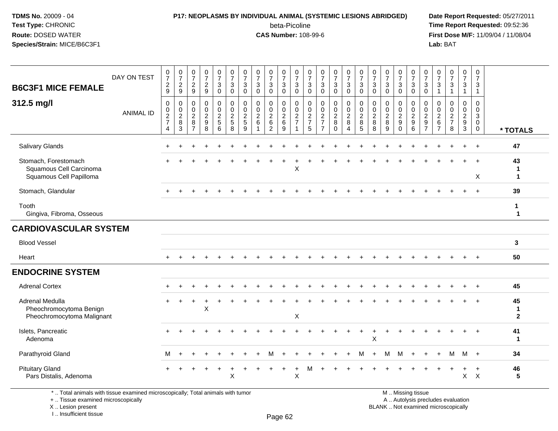#### **P17: NEOPLASMS BY INDIVIDUAL ANIMAL (SYSTEMIC LESIONS ABRIDGED) Date Report Requested:** 05/27/2011

beta-Picoline<br>CAS Number: 108-99-6

 **Time Report Requested:** 09:52:36 **First Dose M/F:** 11/09/04 / 11/08/04<br>Lab: BAT **Lab:** BAT

| <b>B6C3F1 MICE FEMALE</b><br>312.5 mg/l                                    | DAY ON TEST<br><b>ANIMAL ID</b> | $\frac{0}{7}$<br>$\frac{2}{9}$<br>$\pmb{0}$<br>$\begin{array}{c} 0 \\ 2 \\ 7 \end{array}$ | $\frac{0}{7}$<br>$\frac{2}{9}$<br>$\pmb{0}$<br>$\mathbf 0$ | $\frac{0}{7}$<br>$\frac{2}{9}$<br>$\mathbf 0$<br>$\pmb{0}$ | $\frac{0}{7}$<br>$\frac{2}{9}$<br>$\pmb{0}$<br>$\pmb{0}$ | $\frac{0}{7}$<br>3<br>$\overline{0}$<br>0<br>$\mathbf 0$ | $\frac{0}{7}$<br>$\sqrt{3}$<br>$\overline{0}$<br>$\pmb{0}$<br>$\pmb{0}$ | $\frac{0}{7}$<br>$\sqrt{3}$<br>$\mathbf 0$<br>$\mathbf 0$<br>0 | $\begin{array}{c} 0 \\ 7 \end{array}$<br>$\sqrt{3}$<br>$\mathbf 0$<br>$\pmb{0}$<br>$\pmb{0}$ | $\frac{0}{7}$<br>3<br>$\mathbf 0$<br>$\mathbf 0$<br>$\mathbf 0$ | $\frac{0}{7}$<br>$\mathbf{3}$<br>$\overline{0}$<br>0<br>$\mathsf{O}$ | $\frac{0}{7}$<br>$_{0}^{3}$<br>$\pmb{0}$<br>$\boldsymbol{0}$ | $\frac{0}{7}$<br>$\sqrt{3}$<br>$\mathbf 0$<br>$\mathbf 0$<br>0 | $\begin{smallmatrix}0\\7\end{smallmatrix}$<br>$\ensuremath{\mathsf{3}}$<br>$\mathbf 0$<br>$\mathbf 0$<br>$\pmb{0}$ | $\frac{0}{7}$<br>3<br>$\mathbf 0$<br>0<br>$\mathsf 0$ | $\frac{0}{7}$<br>$\mathbf{3}$<br>$\overline{0}$<br>0<br>$\mathbf 0$ | $\frac{0}{7}$<br>$_{0}^{3}$<br>$\pmb{0}$<br>$\frac{0}{2}$ | $\frac{0}{7}$<br>$\sqrt{3}$<br>$\mathbf 0$<br>$\mathbf 0$<br>$\mathbf 0$ | $\begin{array}{c} 0 \\ 7 \end{array}$<br>$\sqrt{3}$<br>$\mathbf 0$<br>$\mathbf 0$<br>$\mathbf 0$ | $\frac{0}{7}$<br>3<br>$\Omega$<br>0<br>0 | $\frac{0}{7}$<br>$\frac{3}{0}$<br>0<br>0 | $\frac{0}{7}$<br>$\mathsf 3$<br>$\overline{0}$<br>$\mathbf 0$<br>$\boldsymbol{0}$ | $\frac{0}{7}$<br>3<br>$\mathbf{1}$<br>$\mathbf 0$<br>0 | $\frac{0}{7}$<br>$\sqrt{3}$<br>$\mathbf{1}$<br>$\mathbf 0$<br>$\mathbf 0$ | $\frac{0}{7}$<br>3<br>$\mathbf{1}$<br>0<br>0 | $\begin{smallmatrix}0\\7\end{smallmatrix}$<br>3<br>$\mathbf{1}$<br>$\mathbf 0$<br>0<br>3 |                         |
|----------------------------------------------------------------------------|---------------------------------|-------------------------------------------------------------------------------------------|------------------------------------------------------------|------------------------------------------------------------|----------------------------------------------------------|----------------------------------------------------------|-------------------------------------------------------------------------|----------------------------------------------------------------|----------------------------------------------------------------------------------------------|-----------------------------------------------------------------|----------------------------------------------------------------------|--------------------------------------------------------------|----------------------------------------------------------------|--------------------------------------------------------------------------------------------------------------------|-------------------------------------------------------|---------------------------------------------------------------------|-----------------------------------------------------------|--------------------------------------------------------------------------|--------------------------------------------------------------------------------------------------|------------------------------------------|------------------------------------------|-----------------------------------------------------------------------------------|--------------------------------------------------------|---------------------------------------------------------------------------|----------------------------------------------|------------------------------------------------------------------------------------------|-------------------------|
|                                                                            |                                 | $\overline{4}$                                                                            | $\frac{2}{8}$<br>3                                         | $\frac{2}{8}$<br>$\overline{7}$                            | $\frac{2}{9}$<br>$\overline{8}$                          | $\frac{2}{5}$<br>6                                       | $\frac{2}{5}$<br>8                                                      | $\frac{2}{5}$<br>9                                             | $\frac{2}{6}$<br>$\overline{1}$                                                              | $\frac{2}{6}$<br>$\overline{2}$                                 | $\frac{2}{6}$<br>9                                                   | $\frac{2}{7}$<br>1                                           | $\frac{2}{7}$<br>5                                             | $\frac{2}{7}$<br>$\overline{7}$                                                                                    | $\frac{2}{8}$<br>$\Omega$                             | $\frac{2}{8}$<br>$\overline{4}$                                     | $\overline{5}$                                            | $\frac{2}{8}$<br>8                                                       | $\frac{2}{8}$<br>9                                                                               | $\frac{2}{9}$<br>$\Omega$                | $\frac{2}{9}$<br>$\overline{6}$          | $\frac{2}{9}$                                                                     | $\frac{2}{6}$<br>$\overline{7}$                        | $\frac{2}{7}$<br>8                                                        | $\frac{2}{3}$                                | $\mathbf 0$<br>$\mathbf 0$                                                               | * TOTALS                |
| Salivary Glands                                                            |                                 |                                                                                           |                                                            |                                                            |                                                          |                                                          |                                                                         |                                                                |                                                                                              |                                                                 |                                                                      |                                                              |                                                                |                                                                                                                    |                                                       |                                                                     |                                                           |                                                                          |                                                                                                  |                                          |                                          |                                                                                   |                                                        |                                                                           |                                              | $\div$                                                                                   | 47                      |
| Stomach, Forestomach<br>Squamous Cell Carcinoma<br>Squamous Cell Papilloma |                                 |                                                                                           |                                                            |                                                            |                                                          |                                                          |                                                                         |                                                                |                                                                                              |                                                                 |                                                                      | X                                                            |                                                                |                                                                                                                    |                                                       |                                                                     |                                                           |                                                                          |                                                                                                  |                                          |                                          |                                                                                   |                                                        |                                                                           |                                              | $+$<br>X                                                                                 | 43<br>1<br>1            |
| Stomach, Glandular                                                         |                                 |                                                                                           |                                                            |                                                            |                                                          |                                                          |                                                                         |                                                                |                                                                                              |                                                                 |                                                                      |                                                              |                                                                |                                                                                                                    |                                                       |                                                                     |                                                           |                                                                          |                                                                                                  |                                          |                                          |                                                                                   |                                                        |                                                                           |                                              | $+$                                                                                      | 39                      |
| Tooth<br>Gingiva, Fibroma, Osseous                                         |                                 |                                                                                           |                                                            |                                                            |                                                          |                                                          |                                                                         |                                                                |                                                                                              |                                                                 |                                                                      |                                                              |                                                                |                                                                                                                    |                                                       |                                                                     |                                                           |                                                                          |                                                                                                  |                                          |                                          |                                                                                   |                                                        |                                                                           |                                              |                                                                                          | 1<br>1                  |
| <b>CARDIOVASCULAR SYSTEM</b>                                               |                                 |                                                                                           |                                                            |                                                            |                                                          |                                                          |                                                                         |                                                                |                                                                                              |                                                                 |                                                                      |                                                              |                                                                |                                                                                                                    |                                                       |                                                                     |                                                           |                                                                          |                                                                                                  |                                          |                                          |                                                                                   |                                                        |                                                                           |                                              |                                                                                          |                         |
| <b>Blood Vessel</b>                                                        |                                 |                                                                                           |                                                            |                                                            |                                                          |                                                          |                                                                         |                                                                |                                                                                              |                                                                 |                                                                      |                                                              |                                                                |                                                                                                                    |                                                       |                                                                     |                                                           |                                                                          |                                                                                                  |                                          |                                          |                                                                                   |                                                        |                                                                           |                                              |                                                                                          | 3                       |
| Heart                                                                      |                                 |                                                                                           |                                                            |                                                            |                                                          |                                                          |                                                                         |                                                                |                                                                                              |                                                                 |                                                                      |                                                              |                                                                |                                                                                                                    |                                                       |                                                                     |                                                           |                                                                          |                                                                                                  |                                          |                                          |                                                                                   |                                                        |                                                                           |                                              |                                                                                          | 50                      |
| <b>ENDOCRINE SYSTEM</b>                                                    |                                 |                                                                                           |                                                            |                                                            |                                                          |                                                          |                                                                         |                                                                |                                                                                              |                                                                 |                                                                      |                                                              |                                                                |                                                                                                                    |                                                       |                                                                     |                                                           |                                                                          |                                                                                                  |                                          |                                          |                                                                                   |                                                        |                                                                           |                                              |                                                                                          |                         |
| <b>Adrenal Cortex</b>                                                      |                                 |                                                                                           |                                                            |                                                            |                                                          |                                                          |                                                                         |                                                                |                                                                                              |                                                                 |                                                                      |                                                              |                                                                |                                                                                                                    |                                                       |                                                                     |                                                           |                                                                          |                                                                                                  |                                          |                                          |                                                                                   |                                                        |                                                                           |                                              |                                                                                          | 45                      |
| Adrenal Medulla<br>Pheochromocytoma Benign<br>Pheochromocytoma Malignant   |                                 |                                                                                           |                                                            |                                                            | X                                                        |                                                          |                                                                         |                                                                |                                                                                              |                                                                 |                                                                      | X                                                            |                                                                |                                                                                                                    |                                                       |                                                                     |                                                           |                                                                          |                                                                                                  |                                          |                                          |                                                                                   |                                                        |                                                                           |                                              |                                                                                          | 45<br>1<br>$\mathbf{2}$ |
| Islets, Pancreatic<br>Adenoma                                              |                                 |                                                                                           |                                                            |                                                            |                                                          |                                                          |                                                                         |                                                                |                                                                                              |                                                                 |                                                                      |                                                              |                                                                |                                                                                                                    |                                                       |                                                                     |                                                           | X                                                                        |                                                                                                  |                                          |                                          |                                                                                   |                                                        |                                                                           |                                              | $\overline{+}$                                                                           | 41<br>$\mathbf 1$       |
| Parathyroid Gland                                                          |                                 | М                                                                                         | $\ddot{}$                                                  |                                                            |                                                          |                                                          |                                                                         |                                                                |                                                                                              |                                                                 |                                                                      |                                                              |                                                                |                                                                                                                    |                                                       |                                                                     | м                                                         | $\ddot{}$                                                                | M                                                                                                | M                                        | $+$                                      | $\overline{+}$                                                                    | $\ddot{}$                                              | M                                                                         | M                                            | $+$                                                                                      | 34                      |
| <b>Pituitary Gland</b><br>Pars Distalis, Adenoma                           |                                 |                                                                                           |                                                            |                                                            |                                                          | $\div$                                                   | X                                                                       |                                                                |                                                                                              |                                                                 | $\ddot{}$                                                            | $\ddot{}$<br>X                                               | м                                                              |                                                                                                                    |                                                       |                                                                     |                                                           |                                                                          |                                                                                                  |                                          |                                          |                                                                                   |                                                        |                                                                           | $\ddot{}$<br>$\mathsf{X}$                    | $\ddot{}$<br>$\mathsf{X}$                                                                | 46<br>5                 |

\* .. Total animals with tissue examined microscopically; Total animals with tumor

+ .. Tissue examined microscopically

X .. Lesion present

I .. Insufficient tissue

y the contract of the contract of the contract of the contract of the contract of  $\mathsf A$  . Autolysis precludes evaluation

M .. Missing tissue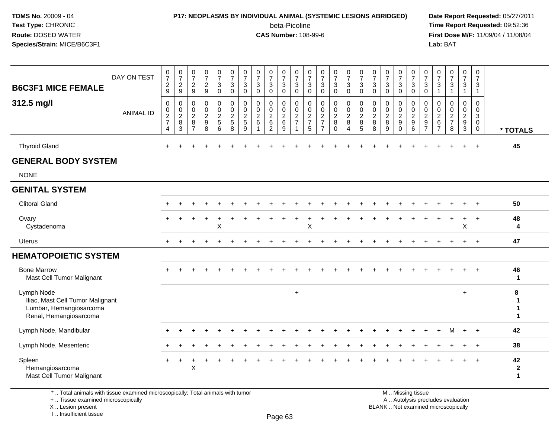#### **P17: NEOPLASMS BY INDIVIDUAL ANIMAL (SYSTEMIC LESIONS ABRIDGED) Date Report Requested:** 05/27/2011

beta-Picoline<br>CAS Number: 108-99-6

 **Time Report Requested:** 09:52:36 **First Dose M/F:** 11/09/04 / 11/08/04<br>Lab: BAT **Lab:** BAT

| <b>B6C3F1 MICE FEMALE</b>                                                                           | DAY ON TEST      | $\frac{0}{7}$<br>$\frac{2}{9}$               | $\frac{0}{7}$<br>$\frac{2}{9}$                                          | $\frac{0}{7}$<br>$\frac{2}{9}$                                  | $\frac{0}{7}$<br>$\frac{2}{9}$                                        | $\frac{0}{7}$<br>3<br>0                      | $\frac{0}{7}$<br>3<br>$\mathbf 0$    | $\frac{0}{7}$<br>$\ensuremath{\mathsf{3}}$<br>0        | $\frac{0}{7}$<br>$\sqrt{3}$<br>$\mathbf 0$    | $\frac{0}{7}$<br>$\mathbf 3$<br>0                             | $\frac{0}{7}$<br>$\sqrt{3}$<br>$\mathbf 0$ | $\frac{0}{7}$<br>$\sqrt{3}$<br>$\mathbf 0$        | $\frac{0}{7}$<br>3<br>0                         | $\frac{0}{7}$<br>$\sqrt{3}$<br>$\mathbf 0$                             | $\frac{0}{7}$<br>$\mathbf{3}$<br>0    | $\frac{0}{7}$<br>3<br>0                      | $\frac{0}{7}$<br>$\sqrt{3}$<br>$\mathbf 0$                            | $\frac{0}{7}$<br>3<br>$\mathbf 0$                 | $\frac{0}{7}$<br>$\sqrt{3}$<br>$\mathbf 0$   | $\frac{0}{7}$<br>3<br>0                | $\frac{0}{7}$<br>$\sqrt{3}$<br>$\mathbf 0$ | $\frac{0}{7}$<br>$\sqrt{3}$<br>$\mathbf 0$                               | $\frac{0}{7}$<br>3<br>$\mathbf 1$                                | $\frac{0}{7}$<br>$\ensuremath{\mathsf{3}}$<br>$\overline{1}$ | 0<br>$\overline{7}$<br>$\mathbf{3}$<br>$\mathbf{1}$                    | $\pmb{0}$<br>$\overline{7}$<br>3<br>$\mathbf{1}$    |                                       |
|-----------------------------------------------------------------------------------------------------|------------------|----------------------------------------------|-------------------------------------------------------------------------|-----------------------------------------------------------------|-----------------------------------------------------------------------|----------------------------------------------|--------------------------------------|--------------------------------------------------------|-----------------------------------------------|---------------------------------------------------------------|--------------------------------------------|---------------------------------------------------|-------------------------------------------------|------------------------------------------------------------------------|---------------------------------------|----------------------------------------------|-----------------------------------------------------------------------|---------------------------------------------------|----------------------------------------------|----------------------------------------|--------------------------------------------|--------------------------------------------------------------------------|------------------------------------------------------------------|--------------------------------------------------------------|------------------------------------------------------------------------|-----------------------------------------------------|---------------------------------------|
| 312.5 mg/l                                                                                          | <b>ANIMAL ID</b> | $\pmb{0}$<br>$\frac{0}{2}$<br>$\overline{4}$ | $\pmb{0}$<br>$\begin{array}{c} 0 \\ 2 \\ 8 \end{array}$<br>$\mathbf{3}$ | 0<br>$\mathbf 0$<br>$\overline{c}$<br>$\bf 8$<br>$\overline{7}$ | $\mathbf 0$<br>$\mathbf 0$<br>$\overline{2}$<br>$\boldsymbol{9}$<br>8 | 0<br>$\mathbf 0$<br>$\overline{c}$<br>5<br>6 | 0<br>$\pmb{0}$<br>$\frac{2}{5}$<br>8 | $\mathbf 0$<br>$\mathbf 0$<br>$\overline{2}$<br>5<br>9 | $\mathbf 0$<br>0<br>$\overline{2}$<br>$\,6\,$ | $\mathbf 0$<br>$\mathbf 0$<br>$\frac{2}{6}$<br>$\overline{2}$ | 0<br>0<br>$\sqrt{2}$<br>$\,6\,$<br>9       | 0<br>$\mathbf 0$<br>$\frac{2}{7}$<br>$\mathbf{1}$ | 0<br>0<br>$\overline{c}$<br>$\overline{7}$<br>5 | 0<br>$\mathbf 0$<br>$\overline{2}$<br>$\overline{7}$<br>$\overline{7}$ | 0<br>$_2^0$<br>$\bf 8$<br>$\mathbf 0$ | 0<br>$\mathbf 0$<br>$\overline{2}$<br>8<br>4 | $\pmb{0}$<br>$\begin{array}{c} 0 \\ 2 \\ 8 \end{array}$<br>$\sqrt{5}$ | $\mathbf 0$<br>0<br>$\overline{2}$<br>$\, 8$<br>8 | $\mathbf 0$<br>0<br>$\overline{2}$<br>8<br>9 | 0<br>0<br>$\frac{2}{9}$<br>$\mathbf 0$ | 0<br>$\pmb{0}$<br>$\frac{2}{9}$<br>6       | 0<br>$\mathbf 0$<br>$\overline{2}$<br>$\boldsymbol{9}$<br>$\overline{7}$ | $\mathbf 0$<br>$\mathbf 0$<br>$^2\phantom{1}6$<br>$\overline{7}$ | $\mathbf 0$<br>$\mathbf 0$<br>$\frac{2}{7}$<br>$\bf8$        | 0<br>$\mathbf 0$<br>$\overline{2}$<br>$\boldsymbol{9}$<br>$\mathbf{3}$ | 0<br>$\mathbf 0$<br>3<br>$\mathbf 0$<br>$\mathbf 0$ | * TOTALS                              |
| <b>Thyroid Gland</b>                                                                                |                  | $+$                                          |                                                                         |                                                                 |                                                                       |                                              |                                      |                                                        |                                               |                                                               |                                            |                                                   |                                                 |                                                                        |                                       |                                              |                                                                       |                                                   |                                              |                                        |                                            |                                                                          |                                                                  |                                                              | $\ddot{}$                                                              | $\ddot{\phantom{1}}$                                | 45                                    |
| <b>GENERAL BODY SYSTEM</b>                                                                          |                  |                                              |                                                                         |                                                                 |                                                                       |                                              |                                      |                                                        |                                               |                                                               |                                            |                                                   |                                                 |                                                                        |                                       |                                              |                                                                       |                                                   |                                              |                                        |                                            |                                                                          |                                                                  |                                                              |                                                                        |                                                     |                                       |
| <b>NONE</b>                                                                                         |                  |                                              |                                                                         |                                                                 |                                                                       |                                              |                                      |                                                        |                                               |                                                               |                                            |                                                   |                                                 |                                                                        |                                       |                                              |                                                                       |                                                   |                                              |                                        |                                            |                                                                          |                                                                  |                                                              |                                                                        |                                                     |                                       |
| <b>GENITAL SYSTEM</b>                                                                               |                  |                                              |                                                                         |                                                                 |                                                                       |                                              |                                      |                                                        |                                               |                                                               |                                            |                                                   |                                                 |                                                                        |                                       |                                              |                                                                       |                                                   |                                              |                                        |                                            |                                                                          |                                                                  |                                                              |                                                                        |                                                     |                                       |
| <b>Clitoral Gland</b>                                                                               |                  |                                              |                                                                         |                                                                 |                                                                       |                                              |                                      |                                                        |                                               |                                                               |                                            |                                                   |                                                 |                                                                        |                                       |                                              |                                                                       |                                                   |                                              |                                        |                                            |                                                                          |                                                                  |                                                              |                                                                        | $\ddot{}$                                           | 50                                    |
| Ovary<br>Cystadenoma                                                                                |                  |                                              |                                                                         |                                                                 |                                                                       | X                                            |                                      |                                                        |                                               |                                                               |                                            |                                                   | X                                               |                                                                        |                                       |                                              |                                                                       |                                                   |                                              |                                        |                                            |                                                                          |                                                                  |                                                              | +<br>$\sf X$                                                           | $\ddot{}$                                           | 48<br>4                               |
| Uterus                                                                                              |                  |                                              |                                                                         |                                                                 |                                                                       |                                              |                                      |                                                        |                                               |                                                               |                                            |                                                   |                                                 |                                                                        |                                       |                                              |                                                                       |                                                   |                                              |                                        |                                            |                                                                          |                                                                  |                                                              |                                                                        | $\ddot{}$                                           | 47                                    |
| <b>HEMATOPOIETIC SYSTEM</b>                                                                         |                  |                                              |                                                                         |                                                                 |                                                                       |                                              |                                      |                                                        |                                               |                                                               |                                            |                                                   |                                                 |                                                                        |                                       |                                              |                                                                       |                                                   |                                              |                                        |                                            |                                                                          |                                                                  |                                                              |                                                                        |                                                     |                                       |
| <b>Bone Marrow</b><br>Mast Cell Tumor Malignant                                                     |                  |                                              |                                                                         |                                                                 |                                                                       |                                              |                                      |                                                        |                                               |                                                               |                                            |                                                   |                                                 |                                                                        |                                       |                                              |                                                                       |                                                   |                                              |                                        |                                            |                                                                          |                                                                  |                                                              | $\ddot{}$                                                              | $+$                                                 | 46<br>$\mathbf 1$                     |
| Lymph Node<br>Iliac, Mast Cell Tumor Malignant<br>Lumbar, Hemangiosarcoma<br>Renal, Hemangiosarcoma |                  |                                              |                                                                         |                                                                 |                                                                       |                                              |                                      |                                                        |                                               |                                                               |                                            | $\ddot{}$                                         |                                                 |                                                                        |                                       |                                              |                                                                       |                                                   |                                              |                                        |                                            |                                                                          |                                                                  |                                                              | $\ddot{}$                                                              |                                                     | 8<br>1<br>$\mathbf{1}$                |
| Lymph Node, Mandibular                                                                              |                  |                                              |                                                                         |                                                                 |                                                                       |                                              |                                      |                                                        |                                               |                                                               |                                            |                                                   |                                                 |                                                                        |                                       |                                              |                                                                       |                                                   |                                              |                                        |                                            |                                                                          |                                                                  |                                                              | $\ddot{}$                                                              | $+$                                                 | 42                                    |
| Lymph Node, Mesenteric                                                                              |                  |                                              |                                                                         |                                                                 |                                                                       |                                              |                                      |                                                        |                                               |                                                               |                                            |                                                   |                                                 |                                                                        |                                       |                                              |                                                                       |                                                   |                                              |                                        |                                            |                                                                          |                                                                  |                                                              |                                                                        | $\ddot{}$                                           | 38                                    |
| Spleen<br>Hemangiosarcoma<br>Mast Cell Tumor Malignant                                              |                  | $\pm$                                        |                                                                         | X                                                               |                                                                       |                                              |                                      |                                                        |                                               |                                                               |                                            |                                                   |                                                 |                                                                        |                                       |                                              |                                                                       |                                                   |                                              |                                        |                                            |                                                                          |                                                                  |                                                              | $\ddot{}$                                                              | $+$                                                 | 42<br>$\boldsymbol{2}$<br>$\mathbf 1$ |
| *  Total animals with tissue examined microscopically; Total animals with tumor                     |                  |                                              |                                                                         |                                                                 |                                                                       |                                              |                                      |                                                        |                                               |                                                               |                                            |                                                   |                                                 |                                                                        |                                       |                                              |                                                                       |                                                   |                                              |                                        | M  Missing tissue                          |                                                                          |                                                                  |                                                              |                                                                        |                                                     |                                       |

+ .. Tissue examined microscopically

X .. Lesion present

I .. Insufficient tissue

Page 63

y the contract of the contract of the contract of the contract of the contract of  $\mathsf A$  . Autolysis precludes evaluation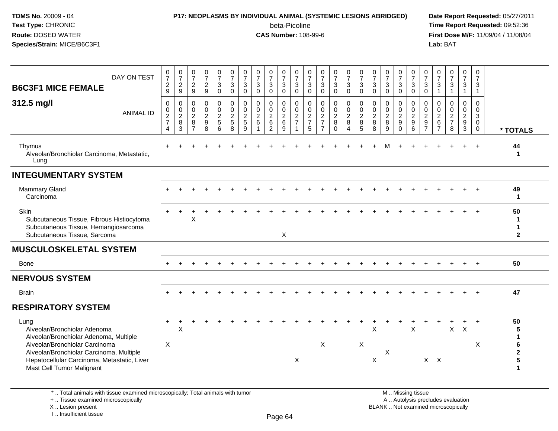#### **P17: NEOPLASMS BY INDIVIDUAL ANIMAL (SYSTEMIC LESIONS ABRIDGED) Date Report Requested:** 05/27/2011

beta-Picoline<br>CAS Number: 108-99-6

| DAY ON TEST<br><b>B6C3F1 MICE FEMALE</b>                                                                                                                                                                                                 | $\frac{0}{7}$<br>$\boldsymbol{2}$<br>9                | $\frac{0}{7}$<br>$\sqrt{2}$<br>9                         | $\frac{0}{7}$<br>$\sqrt{2}$<br>9                                       | $\frac{0}{7}$<br>$\frac{2}{9}$            | $\begin{smallmatrix} 0\\7 \end{smallmatrix}$<br>$\mathbf{3}$<br>$\mathbf 0$ | $\frac{0}{7}$<br>$\sqrt{3}$<br>$\mathbf 0$       | $\pmb{0}$<br>$\overline{7}$<br>3<br>0                        | $\frac{0}{7}$<br>3<br>$\mathbf 0$                            | $\frac{0}{7}$<br>3<br>$\mathbf 0$                | $\begin{smallmatrix} 0\\7 \end{smallmatrix}$<br>3<br>0 | $\begin{array}{c} 0 \\ 7 \end{array}$<br>$\mathbf{3}$<br>$\mathbf 0$ | $\frac{0}{7}$<br>3<br>$\mathbf 0$                     | $\frac{0}{7}$<br>$\sqrt{3}$<br>$\mathbf 0$                 | $\frac{0}{7}$<br>3<br>$\mathbf 0$                   | $\frac{0}{7}$<br>3<br>0                                                     | $\frac{0}{7}$<br>$\mathbf{3}$<br>$\mathbf 0$                     | $\begin{array}{c} 0 \\ 7 \end{array}$<br>$\sqrt{3}$<br>$\mathbf 0$ | $\begin{matrix} 0 \\ 7 \end{matrix}$<br>$\sqrt{3}$<br>$\mathbf 0$ | $\frac{0}{7}$<br>3<br>$\mathbf 0$                        | $\frac{0}{7}$<br>$\sqrt{3}$<br>$\mathbf 0$                        | $\pmb{0}$<br>$\overline{7}$<br>$\mathbf{3}$<br>$\mathbf 0$                          | $\begin{smallmatrix}0\\7\end{smallmatrix}$<br>3<br>$\overline{1}$ | $\begin{array}{c} 0 \\ 7 \end{array}$<br>$\sqrt{3}$<br>$\overline{1}$ | $\frac{0}{7}$<br>3<br>$\mathbf{1}$                               | $\frac{0}{7}$<br>3<br>$\overline{1}$                                     |                                            |
|------------------------------------------------------------------------------------------------------------------------------------------------------------------------------------------------------------------------------------------|-------------------------------------------------------|----------------------------------------------------------|------------------------------------------------------------------------|-------------------------------------------|-----------------------------------------------------------------------------|--------------------------------------------------|--------------------------------------------------------------|--------------------------------------------------------------|--------------------------------------------------|--------------------------------------------------------|----------------------------------------------------------------------|-------------------------------------------------------|------------------------------------------------------------|-----------------------------------------------------|-----------------------------------------------------------------------------|------------------------------------------------------------------|--------------------------------------------------------------------|-------------------------------------------------------------------|----------------------------------------------------------|-------------------------------------------------------------------|-------------------------------------------------------------------------------------|-------------------------------------------------------------------|-----------------------------------------------------------------------|------------------------------------------------------------------|--------------------------------------------------------------------------|--------------------------------------------|
| 312.5 mg/l<br><b>ANIMAL ID</b>                                                                                                                                                                                                           | 0<br>$\mathbf 0$<br>$\sqrt{2}$<br>$\overline{7}$<br>4 | $\mathbf 0$<br>$\mathbf 0$<br>$\boldsymbol{2}$<br>8<br>3 | $\mathbf{0}$<br>$\mathbf 0$<br>$\boldsymbol{2}$<br>8<br>$\overline{7}$ | 0<br>0<br>$\frac{2}{9}$<br>$\overline{8}$ | 0<br>$\mathbf 0$<br>$\overline{2}$<br>$\sqrt{5}$<br>$6^{\circ}$             | $\mathbf 0$<br>$\mathbf 0$<br>$\frac{2}{5}$<br>8 | $\Omega$<br>$\mathbf 0$<br>$\overline{c}$<br>$\sqrt{5}$<br>9 | $\Omega$<br>$\mathbf 0$<br>$\overline{2}$<br>$6\phantom{1}6$ | $\Omega$<br>0<br>$\frac{2}{6}$<br>$\overline{2}$ | 0<br>$\mathbf 0$<br>$\frac{2}{6}$<br>9                 | $\Omega$<br>$\mathbf 0$<br>$\sqrt{2}$<br>$\overline{7}$              | $\Omega$<br>$\mathsf{O}\xspace$<br>$\frac{2}{7}$<br>5 | $\Omega$<br>$\mathbf 0$<br>$\frac{2}{7}$<br>$\overline{7}$ | $\mathbf 0$<br>0<br>$\overline{2}$<br>8<br>$\Omega$ | $\mathbf 0$<br>$\mathsf{O}\xspace$<br>$\overline{2}$<br>8<br>$\overline{A}$ | $\Omega$<br>$\pmb{0}$<br>$\sqrt{2}$<br>$\bf 8$<br>$\overline{5}$ | $\mathbf 0$<br>$\mathbf 0$<br>$\frac{2}{8}$<br>8                   | $\Omega$<br>$\pmb{0}$<br>$\overline{2}$<br>8<br>9                 | 0<br>0<br>$\overline{2}$<br>$\boldsymbol{9}$<br>$\Omega$ | $\mathbf 0$<br>$\pmb{0}$<br>$\overline{2}$<br>9<br>$\overline{6}$ | $\Omega$<br>$\mathsf{O}\xspace$<br>$\sqrt{2}$<br>$\boldsymbol{9}$<br>$\overline{7}$ | $\Omega$<br>$\mathbf 0$<br>$\frac{2}{6}$<br>$\overline{7}$        | $\Omega$<br>$\pmb{0}$<br>$\frac{2}{7}$<br>8                           | $\Omega$<br>$\mathbf 0$<br>$\overline{2}$<br>9<br>$\overline{3}$ | $\mathbf 0$<br>$\mathbf 0$<br>$\mathbf{3}$<br>$\mathbf 0$<br>$\mathbf 0$ | * TOTALS                                   |
| Thymus<br>Alveolar/Bronchiolar Carcinoma, Metastatic,<br>Lung                                                                                                                                                                            |                                                       |                                                          |                                                                        |                                           |                                                                             |                                                  |                                                              |                                                              |                                                  |                                                        |                                                                      |                                                       |                                                            |                                                     |                                                                             |                                                                  |                                                                    | м                                                                 |                                                          |                                                                   |                                                                                     |                                                                   |                                                                       |                                                                  |                                                                          | 44<br>-1                                   |
| <b>INTEGUMENTARY SYSTEM</b>                                                                                                                                                                                                              |                                                       |                                                          |                                                                        |                                           |                                                                             |                                                  |                                                              |                                                              |                                                  |                                                        |                                                                      |                                                       |                                                            |                                                     |                                                                             |                                                                  |                                                                    |                                                                   |                                                          |                                                                   |                                                                                     |                                                                   |                                                                       |                                                                  |                                                                          |                                            |
| Mammary Gland<br>Carcinoma                                                                                                                                                                                                               |                                                       |                                                          |                                                                        |                                           |                                                                             |                                                  |                                                              |                                                              |                                                  |                                                        |                                                                      |                                                       |                                                            |                                                     |                                                                             |                                                                  |                                                                    |                                                                   |                                                          |                                                                   |                                                                                     |                                                                   |                                                                       |                                                                  |                                                                          | 49<br>$\mathbf{1}$                         |
| Skin<br>Subcutaneous Tissue, Fibrous Histiocytoma<br>Subcutaneous Tissue, Hemangiosarcoma<br>Subcutaneous Tissue, Sarcoma                                                                                                                |                                                       |                                                          | X                                                                      |                                           |                                                                             |                                                  |                                                              |                                                              |                                                  | X                                                      |                                                                      |                                                       |                                                            |                                                     |                                                                             |                                                                  |                                                                    |                                                                   |                                                          |                                                                   |                                                                                     |                                                                   |                                                                       |                                                                  |                                                                          | 50<br>1<br>1<br>$\mathbf{2}$               |
| <b>MUSCULOSKELETAL SYSTEM</b>                                                                                                                                                                                                            |                                                       |                                                          |                                                                        |                                           |                                                                             |                                                  |                                                              |                                                              |                                                  |                                                        |                                                                      |                                                       |                                                            |                                                     |                                                                             |                                                                  |                                                                    |                                                                   |                                                          |                                                                   |                                                                                     |                                                                   |                                                                       |                                                                  |                                                                          |                                            |
| <b>Bone</b>                                                                                                                                                                                                                              |                                                       |                                                          |                                                                        |                                           |                                                                             |                                                  |                                                              |                                                              |                                                  |                                                        |                                                                      |                                                       |                                                            |                                                     |                                                                             |                                                                  |                                                                    |                                                                   |                                                          |                                                                   |                                                                                     |                                                                   |                                                                       |                                                                  |                                                                          | 50                                         |
| <b>NERVOUS SYSTEM</b>                                                                                                                                                                                                                    |                                                       |                                                          |                                                                        |                                           |                                                                             |                                                  |                                                              |                                                              |                                                  |                                                        |                                                                      |                                                       |                                                            |                                                     |                                                                             |                                                                  |                                                                    |                                                                   |                                                          |                                                                   |                                                                                     |                                                                   |                                                                       |                                                                  |                                                                          |                                            |
| <b>Brain</b>                                                                                                                                                                                                                             | $+$                                                   |                                                          |                                                                        |                                           |                                                                             |                                                  |                                                              |                                                              |                                                  | $\div$                                                 |                                                                      |                                                       |                                                            | $\overline{ }$                                      | $+$                                                                         | $\pm$                                                            | $\pm$                                                              |                                                                   | $\pm$                                                    | $\pm$                                                             | $\pm$                                                                               |                                                                   |                                                                       | $+$                                                              | $+$                                                                      | 47                                         |
| <b>RESPIRATORY SYSTEM</b>                                                                                                                                                                                                                |                                                       |                                                          |                                                                        |                                           |                                                                             |                                                  |                                                              |                                                              |                                                  |                                                        |                                                                      |                                                       |                                                            |                                                     |                                                                             |                                                                  |                                                                    |                                                                   |                                                          |                                                                   |                                                                                     |                                                                   |                                                                       |                                                                  |                                                                          |                                            |
| Lung<br>Alveolar/Bronchiolar Adenoma<br>Alveolar/Bronchiolar Adenoma, Multiple<br>Alveolar/Bronchiolar Carcinoma<br>Alveolar/Bronchiolar Carcinoma, Multiple<br>Hepatocellular Carcinoma, Metastatic, Liver<br>Mast Cell Tumor Malignant | $\div$<br>X                                           | $\mathsf X$                                              |                                                                        |                                           |                                                                             |                                                  |                                                              |                                                              |                                                  |                                                        | X                                                                    |                                                       | $\sf X$                                                    |                                                     |                                                                             | $\times$                                                         | X<br>X                                                             | X                                                                 |                                                          | $\sf X$                                                           | $X$ $X$                                                                             |                                                                   | $\mathsf{X}$                                                          | +<br>X                                                           | $\ddot{}$<br>$\times$                                                    | 50<br>5<br>1<br>6<br>$\mathbf 2$<br>5<br>1 |
| *  Total animals with tissue examined microscopically; Total animals with tumor<br>+  Tissue examined microscopically<br>X  Lesion present<br>I Insufficient tissue                                                                      |                                                       |                                                          |                                                                        |                                           |                                                                             |                                                  |                                                              |                                                              |                                                  | $D_{200}$ $64$                                         |                                                                      |                                                       |                                                            |                                                     |                                                                             |                                                                  |                                                                    | BLANK  Not examined microscopically                               |                                                          | M  Missing tissue                                                 |                                                                                     |                                                                   | A  Autolysis precludes evaluation                                     |                                                                  |                                                                          |                                            |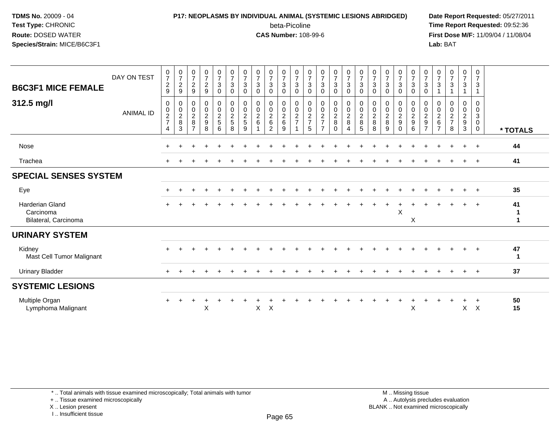### **P17: NEOPLASMS BY INDIVIDUAL ANIMAL (SYSTEMIC LESIONS ABRIDGED) Date Report Requested:** 05/27/2011 beta-Picoline<br>CAS Number: 108-99-6

 **Time Report Requested:** 09:52:36 **First Dose M/F:** 11/09/04 / 11/08/04<br>Lab: BAT **Lab:** BAT

| <b>B6C3F1 MICE FEMALE</b>                                   | DAY ON TEST      | 0<br>$\overline{7}$<br>$\overline{2}$<br>9                        | $\frac{0}{7}$<br>$\overline{2}$<br>9                            | $\frac{0}{7}$<br>$\sqrt{2}$<br>9                                          | 0<br>7<br>$\overline{2}$<br>9                | $\frac{0}{7}$<br>$\mathbf{3}$<br>$\mathbf 0$ | $\frac{0}{7}$<br>3<br>$\mathbf 0$ | $\frac{0}{7}$<br>3<br>$\mathbf 0$      | $\frac{0}{7}$<br>$\sqrt{3}$<br>$\mathbf{0}$                                  | 0<br>7<br>3<br>$\Omega$                                       | $\frac{0}{7}$<br>$\sqrt{3}$<br>$\mathbf 0$ | $\frac{0}{7}$<br>$\mathbf{3}$<br>$\mathbf 0$ | $\frac{0}{7}$<br>$\sqrt{3}$<br>$\mathbf 0$           | $\frac{0}{7}$<br>$\sqrt{3}$<br>$\Omega$      | $\frac{0}{7}$<br>3<br>$\Omega$                        | $\frac{0}{7}$<br>3<br>$\mathbf 0$    | $\frac{0}{7}$<br>3<br>$\mathbf 0$ | $\frac{0}{7}$<br>$\mathbf{3}$<br>$\mathbf 0$         | $\frac{0}{7}$<br>$\sqrt{3}$<br>$\Omega$ | 0<br>$\overline{7}$<br>3<br>$\Omega$                                   | $\frac{0}{7}$<br>$\mathbf{3}$<br>$\mathbf 0$                 | $\frac{0}{7}$<br>$\sqrt{3}$<br>$\mathbf 0$                    | 0<br>$\overline{7}$<br>3           | $\frac{0}{7}$<br>$\sqrt{3}$            | $\frac{0}{7}$<br>3                                          | $\frac{0}{7}$<br>$\mathbf{3}$<br>1                             |          |
|-------------------------------------------------------------|------------------|-------------------------------------------------------------------|-----------------------------------------------------------------|---------------------------------------------------------------------------|----------------------------------------------|----------------------------------------------|-----------------------------------|----------------------------------------|------------------------------------------------------------------------------|---------------------------------------------------------------|--------------------------------------------|----------------------------------------------|------------------------------------------------------|----------------------------------------------|-------------------------------------------------------|--------------------------------------|-----------------------------------|------------------------------------------------------|-----------------------------------------|------------------------------------------------------------------------|--------------------------------------------------------------|---------------------------------------------------------------|------------------------------------|----------------------------------------|-------------------------------------------------------------|----------------------------------------------------------------|----------|
| 312.5 mg/l                                                  | <b>ANIMAL ID</b> | 0<br>$\begin{array}{c} 0 \\ 2 \\ 7 \end{array}$<br>$\overline{4}$ | 0<br>$\begin{array}{c} 0 \\ 2 \\ 8 \end{array}$<br>$\mathbf{3}$ | $\pmb{0}$<br>$\begin{array}{c} 0 \\ 2 \\ 8 \end{array}$<br>$\overline{7}$ | 0<br>$\mathsf 0$<br>$\overline{a}$<br>9<br>8 | $\pmb{0}$<br>$\pmb{0}$<br>$\frac{2}{5}$<br>6 | 0<br>$\frac{0}{2}$<br>8           | 0<br>$\mathbf 0$<br>$\frac{2}{5}$<br>9 | $\pmb{0}$<br>$\pmb{0}$<br>$\overline{2}$<br>$6\phantom{a}$<br>$\overline{1}$ | 0<br>$\mathbf 0$<br>$\overline{c}$<br>$\,6$<br>$\overline{2}$ | 0<br>$\mathbf 0$<br>$\frac{2}{6}$<br>9     | 0<br>$\frac{0}{2}$                           | 0<br>$\begin{array}{c} 0 \\ 2 \\ 7 \end{array}$<br>5 | $\pmb{0}$<br>$\frac{0}{2}$<br>$\overline{7}$ | 0<br>$\mathsf{O}\xspace$<br>$\frac{2}{8}$<br>$\Omega$ | 0<br>$\frac{0}{2}$<br>$\overline{4}$ | 0<br>$\frac{0}{2}$<br>5           | 0<br>$\begin{array}{c} 0 \\ 2 \\ 8 \end{array}$<br>8 | 0<br>$\mathbf 0$<br>$\frac{2}{8}$<br>9  | 0<br>$\mathbf 0$<br>$\overline{c}$<br>$\boldsymbol{9}$<br>$\mathbf{0}$ | $\pmb{0}$<br>$\begin{array}{c} 0 \\ 2 \\ 9 \end{array}$<br>6 | 0<br>$^{\rm 0}_{\rm 2}$<br>$\boldsymbol{9}$<br>$\overline{7}$ | 0<br>0<br>$^2$ 6<br>$\overline{7}$ | 0<br>$\mathbf 0$<br>$\frac{2}{7}$<br>8 | 0<br>$\mathbf 0$<br>$\overline{a}$<br>$\boldsymbol{9}$<br>3 | 0<br>$\mathbf 0$<br>$\mathbf{3}$<br>$\mathbf 0$<br>$\mathbf 0$ | * TOTALS |
| Nose                                                        |                  |                                                                   |                                                                 |                                                                           |                                              |                                              |                                   |                                        |                                                                              |                                                               |                                            |                                              |                                                      |                                              |                                                       |                                      |                                   |                                                      |                                         |                                                                        |                                                              |                                                               |                                    |                                        |                                                             | $\overline{+}$                                                 | 44       |
| Trachea                                                     |                  |                                                                   |                                                                 |                                                                           |                                              |                                              |                                   |                                        |                                                                              |                                                               |                                            |                                              |                                                      |                                              |                                                       |                                      |                                   |                                                      |                                         |                                                                        |                                                              |                                                               |                                    |                                        |                                                             |                                                                | 41       |
| <b>SPECIAL SENSES SYSTEM</b>                                |                  |                                                                   |                                                                 |                                                                           |                                              |                                              |                                   |                                        |                                                                              |                                                               |                                            |                                              |                                                      |                                              |                                                       |                                      |                                   |                                                      |                                         |                                                                        |                                                              |                                                               |                                    |                                        |                                                             |                                                                |          |
| Eye                                                         |                  | $\pm$                                                             |                                                                 |                                                                           |                                              |                                              |                                   |                                        |                                                                              |                                                               |                                            |                                              |                                                      |                                              |                                                       |                                      |                                   |                                                      |                                         |                                                                        |                                                              |                                                               |                                    |                                        |                                                             | $+$                                                            | 35       |
| <b>Harderian Gland</b><br>Carcinoma<br>Bilateral, Carcinoma |                  |                                                                   |                                                                 |                                                                           |                                              |                                              |                                   |                                        |                                                                              |                                                               |                                            |                                              |                                                      |                                              |                                                       |                                      |                                   |                                                      |                                         | $\times$                                                               | X                                                            |                                                               |                                    |                                        |                                                             |                                                                | 41       |
| <b>URINARY SYSTEM</b>                                       |                  |                                                                   |                                                                 |                                                                           |                                              |                                              |                                   |                                        |                                                                              |                                                               |                                            |                                              |                                                      |                                              |                                                       |                                      |                                   |                                                      |                                         |                                                                        |                                                              |                                                               |                                    |                                        |                                                             |                                                                |          |
| Kidney<br>Mast Cell Tumor Malignant                         |                  |                                                                   |                                                                 |                                                                           |                                              |                                              |                                   |                                        |                                                                              |                                                               |                                            |                                              |                                                      |                                              |                                                       |                                      |                                   |                                                      |                                         |                                                                        |                                                              |                                                               |                                    |                                        |                                                             |                                                                | 47       |
| <b>Urinary Bladder</b>                                      |                  |                                                                   |                                                                 |                                                                           |                                              |                                              |                                   |                                        |                                                                              |                                                               |                                            |                                              |                                                      |                                              |                                                       |                                      |                                   |                                                      |                                         |                                                                        |                                                              |                                                               |                                    |                                        | $\ddot{}$                                                   | $\overline{+}$                                                 | 37       |
| <b>SYSTEMIC LESIONS</b>                                     |                  |                                                                   |                                                                 |                                                                           |                                              |                                              |                                   |                                        |                                                                              |                                                               |                                            |                                              |                                                      |                                              |                                                       |                                      |                                   |                                                      |                                         |                                                                        |                                                              |                                                               |                                    |                                        |                                                             |                                                                |          |
| Multiple Organ<br>Lymphoma Malignant                        |                  | $+$                                                               |                                                                 |                                                                           | X                                            |                                              |                                   |                                        | $\mathsf{X}$                                                                 | $\mathsf X$                                                   |                                            |                                              |                                                      |                                              |                                                       |                                      |                                   |                                                      |                                         |                                                                        | X                                                            |                                                               |                                    |                                        | $\mathsf{X}$                                                | $\div$<br>$\boldsymbol{\mathsf{X}}$                            | 50<br>15 |

\* .. Total animals with tissue examined microscopically; Total animals with tumor

+ .. Tissue examined microscopically

X .. Lesion present

I .. Insufficient tissue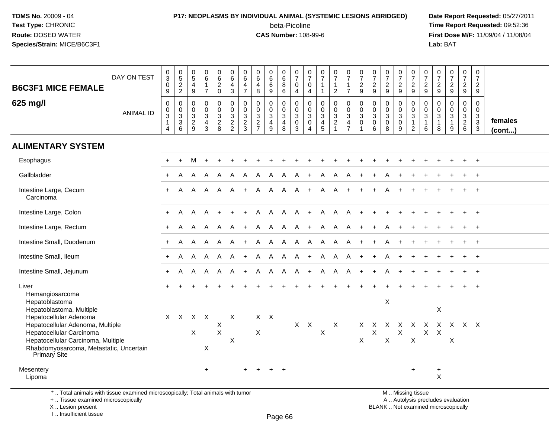## **P17: NEOPLASMS BY INDIVIDUAL ANIMAL (SYSTEMIC LESIONS ABRIDGED) Date Report Requested:** 05/27/2011 beta-Picoline<br>CAS Number: 108-99-6

 **Time Report Requested:** 09:52:36 **First Dose M/F:** 11/09/04 / 11/08/04<br>**Lab:** BAT **Lab:** BAT

| <b>B6C3F1 MICE FEMALE</b>                                                                                                    | DAY ON TEST      | $\frac{0}{3}$<br>$\overline{0}$<br>9                       | 0522                                                                       | $\begin{array}{c} 0 \\ 5 \end{array}$<br>$\overline{4}$<br>9 | $\mathbf 0$<br>$\overline{6}$<br>$\overline{1}$<br>$\overline{7}$            | $\mathbf 0$<br>$\overline{6}$<br>$\overline{2}$<br>$\mathsf{O}\xspace$ | $\pmb{0}$<br>$\overline{6}$<br>4<br>$\mathbf{3}$               | 0<br>$\overline{6}$<br>4<br>$\overline{7}$                                     | $\mathbf 0$<br>$6\overline{6}$<br>$\overline{4}$<br>8 | 0<br>$\overline{6}$<br>$\,6\,$<br>$9\,$ | $\mathbf 0$<br>$\overline{6}$<br>$\bf 8$<br>$6\phantom{1}$ | 0<br>$\overline{7}$<br>0<br>$\overline{4}$                    | 0<br>$\overline{7}$<br>$\mathbf 0$<br>$\overline{4}$   | $\frac{0}{7}$<br>1<br>$\mathbf{1}$                                                               | $\frac{0}{7}$<br>$\mathbf{1}$<br>$\overline{2}$                 | $\begin{array}{c} 0 \\ 7 \end{array}$<br>$\mathbf{1}$<br>$\overline{7}$                   | $\frac{0}{7}$<br>$\sqrt{2}$<br>$\boldsymbol{9}$           | $\begin{array}{c} 0 \\ 7 \end{array}$<br>$\frac{2}{9}$                    | $\frac{0}{7}$<br>$\sqrt{2}$<br>9                   | $\frac{0}{7}$<br>$\sqrt{2}$<br>$9\,$               | $\frac{0}{7}$<br>$\sqrt{2}$<br>9                                                        | $\frac{0}{7}$<br>$\overline{c}$<br>9 | $\begin{smallmatrix}0\\7\end{smallmatrix}$<br>$\frac{2}{9}$ | $\begin{smallmatrix}0\\7\end{smallmatrix}$<br>$\frac{2}{9}$                          | $\begin{array}{c} 0 \\ 7 \end{array}$<br>$\frac{2}{9}$ | $\frac{0}{7}$<br>$\sqrt{2}$<br>9            |                   |
|------------------------------------------------------------------------------------------------------------------------------|------------------|------------------------------------------------------------|----------------------------------------------------------------------------|--------------------------------------------------------------|------------------------------------------------------------------------------|------------------------------------------------------------------------|----------------------------------------------------------------|--------------------------------------------------------------------------------|-------------------------------------------------------|-----------------------------------------|------------------------------------------------------------|---------------------------------------------------------------|--------------------------------------------------------|--------------------------------------------------------------------------------------------------|-----------------------------------------------------------------|-------------------------------------------------------------------------------------------|-----------------------------------------------------------|---------------------------------------------------------------------------|----------------------------------------------------|----------------------------------------------------|-----------------------------------------------------------------------------------------|--------------------------------------|-------------------------------------------------------------|--------------------------------------------------------------------------------------|--------------------------------------------------------|---------------------------------------------|-------------------|
| 625 mg/l                                                                                                                     | <b>ANIMAL ID</b> | 0<br>0<br>$\ensuremath{\mathsf{3}}$<br>$\overline{1}$<br>4 | $\pmb{0}$<br>$\pmb{0}$<br>$\overline{3}$<br>$\ensuremath{\mathsf{3}}$<br>6 | 0<br>0<br>$\ensuremath{\mathsf{3}}$<br>$\frac{2}{9}$         | $\mathbf 0$<br>$\mathbf 0$<br>$\mathbf{3}$<br>$\overline{4}$<br>$\mathbf{3}$ | 0<br>$\mathbf 0$<br>$\mathsf 3$<br>$\frac{2}{8}$                       | 0<br>$\mathbf 0$<br>$\ensuremath{\mathsf{3}}$<br>$\frac{2}{2}$ | $\pmb{0}$<br>$\mathsf{O}\xspace$<br>$\ensuremath{\mathsf{3}}$<br>$\frac{2}{3}$ | 0<br>0<br>$\mathbf{3}$<br>$\frac{2}{7}$               | 0<br>0<br>$\sqrt{3}$<br>4<br>9          | $\mathbf 0$<br>$\mathbf 0$<br>$\mathsf 3$<br>4<br>8        | 0<br>$\mathbf 0$<br>$\sqrt{3}$<br>$\mathbf 0$<br>$\mathbf{3}$ | 0<br>$\mathbf 0$<br>3<br>$\mathbf 0$<br>$\overline{4}$ | $\mathbf 0$<br>$\mathbf 0$<br>$\ensuremath{\mathsf{3}}$<br>$\begin{array}{c} 4 \\ 5 \end{array}$ | 0<br>$\mathsf{O}\xspace$<br>3<br>$\overline{a}$<br>$\mathbf{1}$ | 0<br>$\ddot{\mathbf{0}}$<br>$\ensuremath{\mathsf{3}}$<br>$\overline{4}$<br>$\overline{7}$ | $\pmb{0}$<br>$\pmb{0}$<br>$\sqrt{3}$<br>0<br>$\mathbf{1}$ | $\mathbf 0$<br>$\mathbf 0$<br>$\ensuremath{\mathsf{3}}$<br>$\pmb{0}$<br>6 | 0<br>$\mathbf 0$<br>$\sqrt{3}$<br>$\mathbf 0$<br>8 | 0<br>$\mathbf 0$<br>$\sqrt{3}$<br>$\mathbf 0$<br>9 | 0<br>$\mathsf{O}\xspace$<br>$\ensuremath{\mathsf{3}}$<br>$\mathbf{1}$<br>$\overline{2}$ | 0<br>0<br>3<br>$\mathbf{1}$<br>6     | 0<br>0<br>$\ensuremath{\mathsf{3}}$<br>$\mathbf{1}$<br>8    | $\mathbf 0$<br>$\ddot{\mathbf{0}}$<br>$\ensuremath{\mathsf{3}}$<br>$\mathbf{1}$<br>9 | 0<br>$\mathbf 0$<br>$\frac{3}{2}$ 6                    | $\mathbf 0$<br>$\mathbf 0$<br>$\frac{3}{3}$ | females<br>(cont) |
| <b>ALIMENTARY SYSTEM</b>                                                                                                     |                  |                                                            |                                                                            |                                                              |                                                                              |                                                                        |                                                                |                                                                                |                                                       |                                         |                                                            |                                                               |                                                        |                                                                                                  |                                                                 |                                                                                           |                                                           |                                                                           |                                                    |                                                    |                                                                                         |                                      |                                                             |                                                                                      |                                                        |                                             |                   |
| Esophagus                                                                                                                    |                  |                                                            |                                                                            | м                                                            |                                                                              |                                                                        |                                                                |                                                                                |                                                       |                                         |                                                            |                                                               |                                                        |                                                                                                  |                                                                 |                                                                                           |                                                           |                                                                           |                                                    |                                                    |                                                                                         |                                      |                                                             |                                                                                      |                                                        | $\overline{+}$                              |                   |
| Gallbladder                                                                                                                  |                  | $\ddot{}$                                                  | A                                                                          | A                                                            | A                                                                            | A                                                                      |                                                                | A                                                                              | A                                                     | A                                       | A                                                          | A                                                             |                                                        |                                                                                                  | A                                                               |                                                                                           |                                                           |                                                                           |                                                    |                                                    |                                                                                         |                                      |                                                             |                                                                                      |                                                        |                                             |                   |
| Intestine Large, Cecum<br>Carcinoma                                                                                          |                  | $+$                                                        | A                                                                          | A                                                            | A                                                                            | A                                                                      | A                                                              | $\ddot{}$                                                                      | A                                                     | A                                       | A                                                          | A                                                             | $\ddot{}$                                              | A                                                                                                | A                                                               | $+$                                                                                       |                                                           |                                                                           |                                                    |                                                    |                                                                                         |                                      |                                                             |                                                                                      |                                                        | $\overline{+}$                              |                   |
| Intestine Large, Colon                                                                                                       |                  | $+$                                                        | A                                                                          | A                                                            | A                                                                            | $+$                                                                    |                                                                |                                                                                | A                                                     | $\overline{A}$                          | <b>A</b>                                                   | A                                                             | $+$                                                    |                                                                                                  | A A                                                             | A                                                                                         | $\div$                                                    |                                                                           |                                                    |                                                    |                                                                                         |                                      |                                                             |                                                                                      |                                                        |                                             |                   |
| Intestine Large, Rectum                                                                                                      |                  | $+$                                                        | A                                                                          | A                                                            | A                                                                            | A                                                                      | A                                                              | $\ddot{}$                                                                      | A                                                     | A                                       | A                                                          | $\mathsf{A}$                                                  | $+$                                                    | A                                                                                                | A                                                               | A                                                                                         | $\ddot{}$                                                 |                                                                           |                                                    |                                                    |                                                                                         |                                      |                                                             |                                                                                      | $+$                                                    | $+$                                         |                   |
| Intestine Small, Duodenum                                                                                                    |                  | $+$                                                        | A                                                                          | A                                                            | A                                                                            | A                                                                      | A                                                              | $+$                                                                            | A                                                     | A                                       | $\mathsf{A}$                                               | $\mathsf{A}$                                                  | $\mathsf{A}$                                           | A                                                                                                | $\mathsf{A}$                                                    | A                                                                                         |                                                           |                                                                           |                                                    |                                                    |                                                                                         |                                      |                                                             |                                                                                      |                                                        | $\overline{+}$                              |                   |
| Intestine Small, Ileum                                                                                                       |                  | $+$                                                        | A                                                                          | A                                                            |                                                                              | A A                                                                    | A                                                              | $+$                                                                            | A                                                     | A                                       | <b>A</b>                                                   | $\mathsf{A}$                                                  | $+$                                                    | A                                                                                                | A                                                               | A                                                                                         | $+$                                                       |                                                                           |                                                    |                                                    |                                                                                         |                                      |                                                             |                                                                                      |                                                        | $^{+}$                                      |                   |
| Intestine Small, Jejunum                                                                                                     |                  | $+$                                                        | A                                                                          | A                                                            | A                                                                            | A                                                                      | A                                                              | $+$                                                                            | A                                                     | A                                       | A                                                          | $\mathsf{A}$                                                  | $+$                                                    | A                                                                                                | A                                                               | A                                                                                         | $+$                                                       | $+$                                                                       | A                                                  |                                                    |                                                                                         |                                      |                                                             |                                                                                      |                                                        | $\overline{+}$                              |                   |
| Liver<br>Hemangiosarcoma<br>Hepatoblastoma                                                                                   |                  |                                                            |                                                                            |                                                              |                                                                              |                                                                        |                                                                |                                                                                |                                                       |                                         |                                                            |                                                               |                                                        |                                                                                                  |                                                                 |                                                                                           |                                                           |                                                                           | $\boldsymbol{\mathsf{X}}$                          |                                                    |                                                                                         |                                      |                                                             |                                                                                      |                                                        |                                             |                   |
| Hepatoblastoma, Multiple                                                                                                     |                  |                                                            |                                                                            |                                                              |                                                                              |                                                                        |                                                                |                                                                                |                                                       |                                         |                                                            |                                                               |                                                        |                                                                                                  |                                                                 |                                                                                           |                                                           |                                                                           |                                                    |                                                    |                                                                                         |                                      | X                                                           |                                                                                      |                                                        |                                             |                   |
| Hepatocellular Adenoma<br>Hepatocellular Adenoma, Multiple<br>Hepatocellular Carcinoma<br>Hepatocellular Carcinoma, Multiple |                  | $\mathsf{X}$                                               | $\mathsf{X}$                                                               | X                                                            | $X$ $X$                                                                      | х<br>$\mathsf X$                                                       | $\times$<br>$\boldsymbol{\mathsf{X}}$                          |                                                                                | $X \times$<br>X                                       |                                         |                                                            |                                                               | $X$ $X$                                                | X                                                                                                | Χ                                                               |                                                                                           | X.<br>$\sf X$                                             | X<br>X                                                                    | X<br>X                                             | X<br>Χ                                             | $\mathsf{X}$<br>X                                                                       | $\mathsf{X}$<br>$\mathsf{X}$         | X                                                           | X X X X<br>X                                                                         |                                                        |                                             |                   |
| Rhabdomyosarcoma, Metastatic, Uncertain<br>Primary Site                                                                      |                  |                                                            |                                                                            |                                                              | X                                                                            |                                                                        |                                                                |                                                                                |                                                       |                                         |                                                            |                                                               |                                                        |                                                                                                  |                                                                 |                                                                                           |                                                           |                                                                           |                                                    |                                                    |                                                                                         |                                      |                                                             |                                                                                      |                                                        |                                             |                   |
| Mesentery<br>Lipoma                                                                                                          |                  |                                                            |                                                                            |                                                              | $+$                                                                          |                                                                        |                                                                |                                                                                |                                                       | $\pm$                                   | $+$                                                        |                                                               |                                                        |                                                                                                  |                                                                 |                                                                                           |                                                           |                                                                           |                                                    |                                                    | $\ddot{}$                                                                               |                                      | $\ddot{}$<br>X                                              |                                                                                      |                                                        |                                             |                   |
| *  Total animals with tissue examined microscopically; Total animals with tumor                                              |                  |                                                            |                                                                            |                                                              |                                                                              |                                                                        |                                                                |                                                                                |                                                       |                                         |                                                            |                                                               |                                                        |                                                                                                  |                                                                 |                                                                                           |                                                           |                                                                           |                                                    |                                                    | M  Missing tissue                                                                       |                                      |                                                             |                                                                                      |                                                        |                                             |                   |

+ .. Tissue examined microscopically

X .. Lesion present

I .. Insufficient tissue

 M .. Missing tissuey the contract of the contract of the contract of the contract of the contract of  $\mathsf A$  . Autolysis precludes evaluation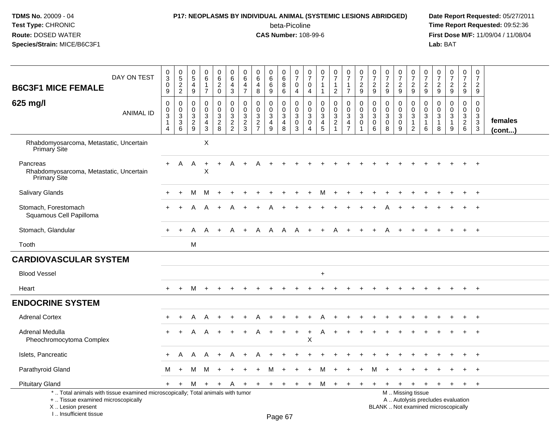#### **P17: NEOPLASMS BY INDIVIDUAL ANIMAL (SYSTEMIC LESIONS ABRIDGED) Date Report Requested:** 05/27/2011

beta-Picoline<br>CAS Number: 108-99-6

| DAY ON TEST<br><b>B6C3F1 MICE FEMALE</b>                                                                                                                             | $\pmb{0}$<br>$\overline{3}$<br>$\mathbf 0$<br>9                                         | $\begin{array}{c} 0 \\ 5 \end{array}$<br>$\overline{c}$<br>$\overline{2}$ | $\mathbf 0$<br>$\sqrt{5}$<br>4<br>9                              | $\mathbf 0$<br>$\,6\,$<br>$\mathbf{1}$<br>$\overline{7}$                   | $\mathbf 0$<br>6<br>$\overline{c}$<br>$\mathbf 0$ | 0<br>$\,6\,$<br>4<br>3                         | 0<br>$\,6$<br>$\overline{4}$<br>$\overline{7}$            | $\pmb{0}$<br>$6\phantom{a}$<br>$\overline{4}$<br>8                       | $\boldsymbol{0}$<br>$6\phantom{a}$<br>6<br>9                 | $\mathbf 0$<br>$\,6\,$<br>8<br>6                                | 0<br>$\overline{7}$<br>$\overline{0}$<br>4          | $\pmb{0}$<br>$\overline{7}$<br>0<br>4                        | 0<br>$\overline{7}$<br>$\mathbf{1}$<br>1            | $\pmb{0}$<br>$\overline{7}$<br>$\mathbf{1}$<br>$\overline{2}$ | $\pmb{0}$<br>$\overline{7}$<br>$\mathbf{1}$<br>$\overline{7}$            | 0<br>$\overline{7}$<br>$\overline{2}$<br>9 | 0<br>$\overline{7}$<br>$\sqrt{2}$<br>9                    | $\pmb{0}$<br>$\overline{7}$<br>$\overline{c}$<br>9 | $\pmb{0}$<br>$\overline{7}$<br>$\overline{c}$<br>9   | $\pmb{0}$<br>$\overline{7}$<br>$\overline{c}$<br>9                                            | 0<br>$\overline{7}$<br>$\overline{2}$<br>9            | $\pmb{0}$<br>$\overline{7}$<br>$\sqrt{2}$<br>9               | $\pmb{0}$<br>$\overline{7}$<br>$\overline{c}$<br>9              | $\pmb{0}$<br>$\overline{7}$<br>$\overline{2}$<br>9     | $\mathbf 0$<br>$\overline{7}$<br>$\overline{2}$<br>9   |                   |
|----------------------------------------------------------------------------------------------------------------------------------------------------------------------|-----------------------------------------------------------------------------------------|---------------------------------------------------------------------------|------------------------------------------------------------------|----------------------------------------------------------------------------|---------------------------------------------------|------------------------------------------------|-----------------------------------------------------------|--------------------------------------------------------------------------|--------------------------------------------------------------|-----------------------------------------------------------------|-----------------------------------------------------|--------------------------------------------------------------|-----------------------------------------------------|---------------------------------------------------------------|--------------------------------------------------------------------------|--------------------------------------------|-----------------------------------------------------------|----------------------------------------------------|------------------------------------------------------|-----------------------------------------------------------------------------------------------|-------------------------------------------------------|--------------------------------------------------------------|-----------------------------------------------------------------|--------------------------------------------------------|--------------------------------------------------------|-------------------|
| 625 mg/l<br>ANIMAL ID                                                                                                                                                | $\mathbf 0$<br>$\pmb{0}$<br>$\ensuremath{\mathsf{3}}$<br>$\mathbf{1}$<br>$\overline{4}$ | 0<br>$\mathbf 0$<br>$\mathbf{3}$<br>$\mathbf{3}$<br>6                     | $\mathbf 0$<br>$\mathbf 0$<br>$\mathbf 3$<br>$\overline{2}$<br>9 | $\mathbf 0$<br>$\mathbf 0$<br>$\mathbf{3}$<br>$\overline{4}$<br>$\sqrt{3}$ | 0<br>$\mathbf 0$<br>3<br>$\overline{2}$<br>8      | $\pmb{0}$<br>$\mathbf 0$<br>3<br>$\frac{2}{2}$ | $\mathbf 0$<br>$\mathbf 0$<br>$\sqrt{3}$<br>$\frac{2}{3}$ | $\pmb{0}$<br>$\pmb{0}$<br>$\sqrt{3}$<br>$\overline{2}$<br>$\overline{7}$ | 0<br>$\boldsymbol{0}$<br>$\mathbf{3}$<br>$\overline{4}$<br>9 | $\mathbf 0$<br>$\mathbf 0$<br>$\sqrt{3}$<br>$\overline{4}$<br>8 | $\mathbf 0$<br>$\mathbf 0$<br>3<br>$\mathbf 0$<br>3 | $\mathbf 0$<br>$\mathbf 0$<br>$\sqrt{3}$<br>$\mathbf 0$<br>4 | $\mathbf 0$<br>$\Omega$<br>3<br>$\overline{4}$<br>5 | 0<br>$\mathbf 0$<br>$\sqrt{3}$<br>$\overline{2}$<br>-1        | $\pmb{0}$<br>$\pmb{0}$<br>$\sqrt{3}$<br>$\overline{4}$<br>$\overline{7}$ | $\mathbf 0$<br>$\Omega$<br>3<br>$\Omega$   | $\mathbf 0$<br>$\Omega$<br>$\sqrt{3}$<br>$\mathbf 0$<br>6 | 0<br>$\mathbf 0$<br>3<br>$\mathbf 0$<br>8          | 0<br>$\mathbf 0$<br>$\mathbf{3}$<br>$\mathbf 0$<br>9 | $\pmb{0}$<br>$\mathbf 0$<br>$\sqrt{3}$<br>$\mathbf{1}$<br>$\overline{2}$                      | $\mathbf 0$<br>$\mathbf{0}$<br>3<br>$\mathbf{1}$<br>6 | $\mathbf 0$<br>$\Omega$<br>$\sqrt{3}$<br>$\overline{1}$<br>8 | $\mathbf 0$<br>$\mathbf 0$<br>$\mathbf{3}$<br>$\mathbf{1}$<br>9 | $\mathbf 0$<br>$\mathbf 0$<br>3<br>$\overline{2}$<br>6 | $\mathbf 0$<br>$\mathbf 0$<br>3<br>$\overline{3}$<br>3 | females<br>(cont) |
| Rhabdomyosarcoma, Metastatic, Uncertain<br>Primary Site                                                                                                              |                                                                                         |                                                                           |                                                                  | X                                                                          |                                                   |                                                |                                                           |                                                                          |                                                              |                                                                 |                                                     |                                                              |                                                     |                                                               |                                                                          |                                            |                                                           |                                                    |                                                      |                                                                                               |                                                       |                                                              |                                                                 |                                                        |                                                        |                   |
| Pancreas<br>Rhabdomyosarcoma, Metastatic, Uncertain<br>Primary Site                                                                                                  | $+$                                                                                     | A                                                                         | A                                                                | $\ddot{}$<br>X                                                             | $\ddot{}$                                         | A                                              |                                                           |                                                                          |                                                              |                                                                 |                                                     |                                                              |                                                     |                                                               |                                                                          |                                            |                                                           |                                                    |                                                      |                                                                                               |                                                       |                                                              |                                                                 |                                                        | $\ddot{}$                                              |                   |
| Salivary Glands                                                                                                                                                      |                                                                                         |                                                                           | м                                                                | м                                                                          |                                                   |                                                |                                                           |                                                                          |                                                              |                                                                 |                                                     |                                                              |                                                     |                                                               |                                                                          |                                            |                                                           |                                                    |                                                      |                                                                                               |                                                       |                                                              |                                                                 |                                                        |                                                        |                   |
| Stomach, Forestomach<br>Squamous Cell Papilloma                                                                                                                      | +                                                                                       |                                                                           |                                                                  | A                                                                          |                                                   |                                                |                                                           |                                                                          |                                                              |                                                                 |                                                     |                                                              |                                                     |                                                               |                                                                          |                                            |                                                           |                                                    |                                                      |                                                                                               |                                                       |                                                              |                                                                 |                                                        |                                                        |                   |
| Stomach, Glandular                                                                                                                                                   | $\ddot{}$                                                                               | $+$                                                                       | A                                                                | A                                                                          | $\div$                                            | A                                              | $+$                                                       | A                                                                        | A                                                            | A                                                               | A                                                   |                                                              |                                                     | A                                                             |                                                                          |                                            |                                                           |                                                    |                                                      |                                                                                               |                                                       |                                                              |                                                                 |                                                        |                                                        |                   |
| Tooth                                                                                                                                                                |                                                                                         |                                                                           | M                                                                |                                                                            |                                                   |                                                |                                                           |                                                                          |                                                              |                                                                 |                                                     |                                                              |                                                     |                                                               |                                                                          |                                            |                                                           |                                                    |                                                      |                                                                                               |                                                       |                                                              |                                                                 |                                                        |                                                        |                   |
| <b>CARDIOVASCULAR SYSTEM</b>                                                                                                                                         |                                                                                         |                                                                           |                                                                  |                                                                            |                                                   |                                                |                                                           |                                                                          |                                                              |                                                                 |                                                     |                                                              |                                                     |                                                               |                                                                          |                                            |                                                           |                                                    |                                                      |                                                                                               |                                                       |                                                              |                                                                 |                                                        |                                                        |                   |
| <b>Blood Vessel</b>                                                                                                                                                  |                                                                                         |                                                                           |                                                                  |                                                                            |                                                   |                                                |                                                           |                                                                          |                                                              |                                                                 |                                                     |                                                              | $\ddot{}$                                           |                                                               |                                                                          |                                            |                                                           |                                                    |                                                      |                                                                                               |                                                       |                                                              |                                                                 |                                                        |                                                        |                   |
| Heart                                                                                                                                                                | $+$                                                                                     | $+$                                                                       | M                                                                | $+$                                                                        | $\ddot{}$                                         | $\pm$                                          |                                                           |                                                                          |                                                              |                                                                 |                                                     |                                                              | $+$                                                 | $\ddot{}$                                                     | $\pm$                                                                    | $\ddot{}$                                  |                                                           | $\overline{+}$                                     | $\div$                                               | $\div$                                                                                        |                                                       |                                                              | $+$                                                             | $+$                                                    | $^{+}$                                                 |                   |
| <b>ENDOCRINE SYSTEM</b>                                                                                                                                              |                                                                                         |                                                                           |                                                                  |                                                                            |                                                   |                                                |                                                           |                                                                          |                                                              |                                                                 |                                                     |                                                              |                                                     |                                                               |                                                                          |                                            |                                                           |                                                    |                                                      |                                                                                               |                                                       |                                                              |                                                                 |                                                        |                                                        |                   |
| <b>Adrenal Cortex</b>                                                                                                                                                |                                                                                         | ÷                                                                         | A                                                                | A                                                                          |                                                   |                                                |                                                           |                                                                          |                                                              |                                                                 |                                                     |                                                              | Α                                                   |                                                               |                                                                          |                                            |                                                           |                                                    |                                                      |                                                                                               |                                                       |                                                              |                                                                 |                                                        |                                                        |                   |
| Adrenal Medulla<br>Pheochromocytoma Complex                                                                                                                          | $\ddot{}$                                                                               |                                                                           | A                                                                | A                                                                          |                                                   |                                                |                                                           |                                                                          |                                                              |                                                                 | $\ddot{}$                                           | $\ddot{}$<br>Χ                                               | A                                                   | $\ddot{}$                                                     |                                                                          |                                            |                                                           |                                                    |                                                      |                                                                                               |                                                       |                                                              |                                                                 |                                                        | $\ddot{}$                                              |                   |
| Islets, Pancreatic                                                                                                                                                   | $\ddot{}$                                                                               | A                                                                         | A                                                                | A                                                                          | $\div$                                            | Α                                              |                                                           |                                                                          |                                                              |                                                                 |                                                     |                                                              |                                                     |                                                               |                                                                          |                                            |                                                           |                                                    |                                                      |                                                                                               |                                                       |                                                              |                                                                 |                                                        | $\overline{+}$                                         |                   |
| Parathyroid Gland                                                                                                                                                    | М                                                                                       | $+$                                                                       | м                                                                | M                                                                          | $\ddot{}$                                         | $\ddot{}$                                      |                                                           | $\ddot{}$                                                                | м                                                            |                                                                 |                                                     |                                                              | М                                                   | $\ddot{}$                                                     | $\ddot{}$                                                                | $+$                                        | м                                                         | $\ddot{}$                                          | $\ddot{}$                                            | $\ddot{}$                                                                                     |                                                       |                                                              |                                                                 |                                                        | $\overline{+}$                                         |                   |
| <b>Pituitary Gland</b>                                                                                                                                               | $+$                                                                                     | $\ddot{}$                                                                 | М                                                                | $+$                                                                        | $+$                                               | A                                              | $\ddot{}$                                                 | $+$                                                                      | $+$                                                          | $+$                                                             | $+$                                                 | $+$                                                          | м                                                   | $\ddot{}$                                                     | $\pm$                                                                    | $\pm$                                      |                                                           |                                                    | $+$                                                  | $\ddot{}$                                                                                     | $\ddot{}$                                             | $+$                                                          | $+$                                                             | $+$                                                    | $+$                                                    |                   |
| *  Total animals with tissue examined microscopically; Total animals with tumor<br>+  Tissue examined microscopically<br>X  Lesion present<br>L. Insufficient tissue |                                                                                         |                                                                           |                                                                  |                                                                            |                                                   |                                                |                                                           |                                                                          | Dao 67                                                       |                                                                 |                                                     |                                                              |                                                     |                                                               |                                                                          |                                            |                                                           |                                                    |                                                      | M  Missing tissue<br>A  Autolysis precludes evaluation<br>BLANK  Not examined microscopically |                                                       |                                                              |                                                                 |                                                        |                                                        |                   |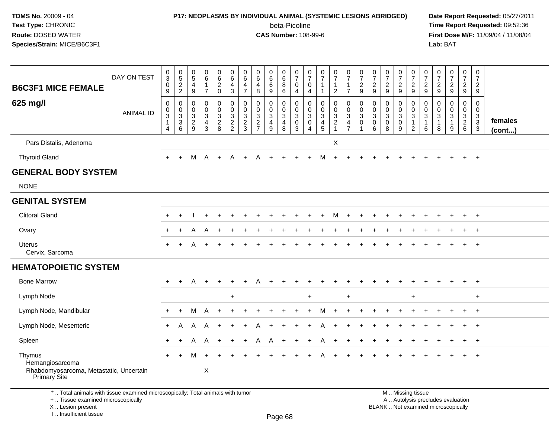#### **P17: NEOPLASMS BY INDIVIDUAL ANIMAL (SYSTEMIC LESIONS ABRIDGED) Date Report Requested:** 05/27/2011

beta-Picoline<br>CAS Number: 108-99-6

 **Time Report Requested:** 09:52:36 **First Dose M/F:** 11/09/04 / 11/08/04<br>Lab: BAT **Lab:** BAT

| <b>B6C3F1 MICE FEMALE</b>                                                            | DAY ON TEST      | $_3^0$<br>$\pmb{0}$<br>9                                | $\begin{array}{c} 0 \\ 5 \end{array}$<br>$\frac{2}{2}$        | $\frac{0}{5}$<br>4<br>$\boldsymbol{9}$                     | 0<br>$\,6\,$<br>$\mathbf{1}$<br>$\overline{7}$                     | 0<br>$\,6\,$<br>$\frac{2}{0}$                         | 0<br>$\,6\,$<br>4<br>$\mathbf{3}$                | 0<br>6<br>4<br>$\overline{7}$                    | $\begin{array}{c} 0 \\ 6 \end{array}$<br>$\overline{\mathbf{4}}$<br>$\,8\,$ | $\pmb{0}$<br>$\,6\,$<br>6<br>$\boldsymbol{9}$         | $\pmb{0}$<br>$\,6\,$<br>8<br>$\,6\,$                                       | 0<br>$\overline{7}$<br>0<br>4           | 0<br>$\overline{7}$<br>0<br>4                                                          | $\frac{0}{7}$<br>$\mathbf{1}$<br>$\mathbf{1}$          | 0<br>$\overline{7}$<br>$\mathbf{1}$<br>$\overline{2}$           | $\frac{0}{7}$<br>$\overline{1}$<br>$\overline{7}$                             | $\frac{0}{7}$<br>$\frac{2}{9}$                      | $\boldsymbol{0}$<br>$\boldsymbol{7}$<br>$\frac{2}{9}$                     | $\frac{0}{7}$<br>$\frac{2}{9}$            | $\pmb{0}$<br>$\boldsymbol{7}$<br>$\frac{2}{9}$                | $\boldsymbol{0}$<br>$\overline{7}$<br>$\frac{2}{9}$                           | 0<br>$\overline{7}$<br>$\frac{2}{9}$          | 0<br>$\boldsymbol{7}$<br>$\frac{2}{9}$               | $\frac{0}{7}$<br>$\frac{2}{9}$     | 0<br>$\overline{7}$<br>$\frac{2}{9}$                       | $\pmb{0}$<br>$\overline{7}$<br>$\overline{2}$<br>9 |                         |
|--------------------------------------------------------------------------------------|------------------|---------------------------------------------------------|---------------------------------------------------------------|------------------------------------------------------------|--------------------------------------------------------------------|-------------------------------------------------------|--------------------------------------------------|--------------------------------------------------|-----------------------------------------------------------------------------|-------------------------------------------------------|----------------------------------------------------------------------------|-----------------------------------------|----------------------------------------------------------------------------------------|--------------------------------------------------------|-----------------------------------------------------------------|-------------------------------------------------------------------------------|-----------------------------------------------------|---------------------------------------------------------------------------|-------------------------------------------|---------------------------------------------------------------|-------------------------------------------------------------------------------|-----------------------------------------------|------------------------------------------------------|------------------------------------|------------------------------------------------------------|----------------------------------------------------|-------------------------|
| 625 mg/l                                                                             | <b>ANIMAL ID</b> | 0<br>$\mathbf 0$<br>$\overline{3}$<br>$\mathbf{1}$<br>4 | $\mathbf 0$<br>0<br>$\mathbf{3}$<br>$\overline{3}$<br>$\,6\,$ | $\mathbf 0$<br>$\mathsf{O}$<br>$\sqrt{3}$<br>$\frac{2}{9}$ | 0<br>$\mathbf 0$<br>$\mathbf{3}$<br>$\overline{4}$<br>$\mathbf{3}$ | 0<br>$\mathbf 0$<br>$\sqrt{3}$<br>$\overline{2}$<br>8 | $\mathbf 0$<br>$\mathbf 0$<br>3<br>$\frac{2}{2}$ | $\mathbf 0$<br>$\mathbf 0$<br>3<br>$\frac{2}{3}$ | $\mathbf 0$<br>$\mathbf 0$<br>$_2^3$<br>$\overline{7}$                      | 0<br>$\mathbf 0$<br>$\sqrt{3}$<br>$\overline{a}$<br>9 | $\pmb{0}$<br>$\mathsf 0$<br>$\overline{3}$<br>$\overline{\mathbf{4}}$<br>8 | 0<br>$\mathbf 0$<br>3<br>$\pmb{0}$<br>3 | 0<br>$\mathbf 0$<br>$\ensuremath{\mathsf{3}}$<br>$\mathbf 0$<br>$\boldsymbol{\Lambda}$ | 0<br>0<br>$\mathbf{3}$<br>$\overline{\mathbf{4}}$<br>5 | 0<br>$\mathbf 0$<br>$\ensuremath{\mathsf{3}}$<br>$\overline{2}$ | $\mathbf 0$<br>$\mathbf 0$<br>$\mathbf 3$<br>$\overline{4}$<br>$\overline{7}$ | $\mathbf 0$<br>$\mathbf 0$<br>3<br>$\mathbf 0$<br>1 | $\mathbf 0$<br>$\mathbf 0$<br>$\ensuremath{\mathsf{3}}$<br>$\pmb{0}$<br>6 | 0<br>$\mathbf 0$<br>3<br>$\mathbf 0$<br>8 | 0<br>$\mathbf 0$<br>$\overline{3}$<br>$\overline{0}$<br>$9\,$ | 0<br>$\mathbf 0$<br>$\ensuremath{\mathsf{3}}$<br>$\overline{1}$<br>$\sqrt{2}$ | 0<br>$\mathbf{0}$<br>3<br>$\overline{1}$<br>6 | $\mathbf 0$<br>$\mathbf 0$<br>3<br>$\mathbf{1}$<br>8 | 0<br>$\overline{0}$<br>3<br>1<br>9 | 0<br>0<br>$\ensuremath{\mathsf{3}}$<br>$\overline{2}$<br>6 | 0<br>$\mathbf 0$<br>$\frac{3}{3}$                  | females<br>$($ cont $)$ |
| Pars Distalis, Adenoma                                                               |                  |                                                         |                                                               |                                                            |                                                                    |                                                       |                                                  |                                                  |                                                                             |                                                       |                                                                            |                                         |                                                                                        |                                                        | X                                                               |                                                                               |                                                     |                                                                           |                                           |                                                               |                                                                               |                                               |                                                      |                                    |                                                            |                                                    |                         |
| <b>Thyroid Gland</b>                                                                 |                  |                                                         |                                                               | М                                                          | A                                                                  | $\ddot{}$                                             | Α                                                |                                                  |                                                                             |                                                       |                                                                            |                                         |                                                                                        | м                                                      |                                                                 |                                                                               |                                                     |                                                                           |                                           |                                                               |                                                                               |                                               |                                                      |                                    |                                                            | $\overline{+}$                                     |                         |
| <b>GENERAL BODY SYSTEM</b>                                                           |                  |                                                         |                                                               |                                                            |                                                                    |                                                       |                                                  |                                                  |                                                                             |                                                       |                                                                            |                                         |                                                                                        |                                                        |                                                                 |                                                                               |                                                     |                                                                           |                                           |                                                               |                                                                               |                                               |                                                      |                                    |                                                            |                                                    |                         |
| <b>NONE</b>                                                                          |                  |                                                         |                                                               |                                                            |                                                                    |                                                       |                                                  |                                                  |                                                                             |                                                       |                                                                            |                                         |                                                                                        |                                                        |                                                                 |                                                                               |                                                     |                                                                           |                                           |                                                               |                                                                               |                                               |                                                      |                                    |                                                            |                                                    |                         |
| <b>GENITAL SYSTEM</b>                                                                |                  |                                                         |                                                               |                                                            |                                                                    |                                                       |                                                  |                                                  |                                                                             |                                                       |                                                                            |                                         |                                                                                        |                                                        |                                                                 |                                                                               |                                                     |                                                                           |                                           |                                                               |                                                                               |                                               |                                                      |                                    |                                                            |                                                    |                         |
| <b>Clitoral Gland</b>                                                                |                  | $\div$                                                  |                                                               |                                                            |                                                                    |                                                       |                                                  |                                                  |                                                                             |                                                       |                                                                            |                                         |                                                                                        |                                                        |                                                                 |                                                                               |                                                     |                                                                           |                                           |                                                               |                                                                               |                                               |                                                      |                                    |                                                            | $\overline{+}$                                     |                         |
| Ovary                                                                                |                  | $\pm$                                                   |                                                               |                                                            | A                                                                  |                                                       |                                                  |                                                  |                                                                             |                                                       |                                                                            |                                         |                                                                                        |                                                        |                                                                 |                                                                               |                                                     |                                                                           |                                           |                                                               |                                                                               |                                               |                                                      |                                    |                                                            | $^{+}$                                             |                         |
| <b>Uterus</b><br>Cervix, Sarcoma                                                     |                  | $+$                                                     | $\ddot{}$                                                     |                                                            | $\ddot{}$                                                          |                                                       |                                                  |                                                  |                                                                             |                                                       |                                                                            |                                         |                                                                                        |                                                        |                                                                 |                                                                               |                                                     |                                                                           |                                           |                                                               |                                                                               |                                               |                                                      |                                    | $+$                                                        | $+$                                                |                         |
| <b>HEMATOPOIETIC SYSTEM</b>                                                          |                  |                                                         |                                                               |                                                            |                                                                    |                                                       |                                                  |                                                  |                                                                             |                                                       |                                                                            |                                         |                                                                                        |                                                        |                                                                 |                                                                               |                                                     |                                                                           |                                           |                                                               |                                                                               |                                               |                                                      |                                    |                                                            |                                                    |                         |
| <b>Bone Marrow</b>                                                                   |                  |                                                         |                                                               | A                                                          |                                                                    |                                                       |                                                  |                                                  |                                                                             |                                                       |                                                                            |                                         |                                                                                        |                                                        |                                                                 |                                                                               |                                                     |                                                                           |                                           |                                                               |                                                                               |                                               |                                                      |                                    |                                                            | $+$                                                |                         |
| Lymph Node                                                                           |                  |                                                         |                                                               |                                                            |                                                                    |                                                       | $\ddot{}$                                        |                                                  |                                                                             |                                                       |                                                                            |                                         | $\ddot{}$                                                                              |                                                        |                                                                 | $+$                                                                           |                                                     |                                                                           |                                           |                                                               | $\ddot{}$                                                                     |                                               |                                                      |                                    |                                                            | $\ddot{}$                                          |                         |
| Lymph Node, Mandibular                                                               |                  | $+$                                                     | $\ddot{}$                                                     | м                                                          | A                                                                  |                                                       |                                                  |                                                  |                                                                             |                                                       |                                                                            |                                         |                                                                                        | M                                                      |                                                                 |                                                                               |                                                     |                                                                           |                                           |                                                               |                                                                               |                                               |                                                      |                                    | $+$                                                        | $+$                                                |                         |
| Lymph Node, Mesenteric                                                               |                  | $\ddot{}$                                               | A                                                             | A                                                          | A                                                                  |                                                       |                                                  |                                                  |                                                                             |                                                       |                                                                            |                                         |                                                                                        |                                                        |                                                                 |                                                                               |                                                     |                                                                           |                                           |                                                               |                                                                               |                                               |                                                      |                                    |                                                            | $\overline{+}$                                     |                         |
| Spleen                                                                               |                  | $\ddot{}$                                               | $\ddot{}$                                                     | A                                                          | Α                                                                  |                                                       |                                                  |                                                  | A                                                                           | A                                                     |                                                                            |                                         |                                                                                        |                                                        |                                                                 |                                                                               |                                                     |                                                                           |                                           |                                                               |                                                                               |                                               |                                                      |                                    |                                                            | $+$                                                |                         |
| Thymus<br>Hemangiosarcoma<br>Rhabdomyosarcoma, Metastatic, Uncertain<br>Primary Site |                  | $\ddot{}$                                               |                                                               |                                                            | X                                                                  |                                                       |                                                  |                                                  |                                                                             |                                                       |                                                                            |                                         |                                                                                        |                                                        |                                                                 |                                                                               |                                                     |                                                                           |                                           |                                                               |                                                                               |                                               |                                                      |                                    |                                                            | $\overline{+}$                                     |                         |
| *  Total animals with tissue examined microscopically; Total animals with tumor      |                  |                                                         |                                                               |                                                            |                                                                    |                                                       |                                                  |                                                  |                                                                             |                                                       |                                                                            |                                         |                                                                                        |                                                        |                                                                 |                                                                               |                                                     |                                                                           | M  Missing tissue                         |                                                               |                                                                               |                                               |                                                      |                                    |                                                            |                                                    |                         |

+ .. Tissue examined microscopically

X .. Lesion present

I .. Insufficient tissue

y the contract of the contract of the contract of the contract of the contract of  $\mathsf A$  . Autolysis precludes evaluation Lesion present BLANK .. Not examined microscopically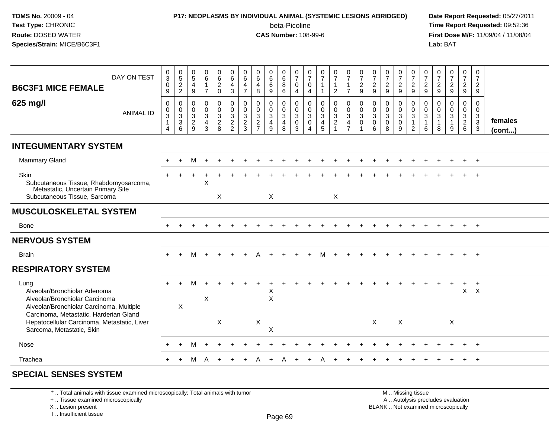## **P17: NEOPLASMS BY INDIVIDUAL ANIMAL (SYSTEMIC LESIONS ABRIDGED) Date Report Requested:** 05/27/2011

beta-Picoline<br>CAS Number: 108-99-6

 **Time Report Requested:** 09:52:36 **First Dose M/F:** 11/09/04 / 11/08/04<br>**Lab:** BAT **Lab:** BAT

| DAY ON TEST<br><b>B6C3F1 MICE FEMALE</b><br>625 mg/l                                                                                                         | $_{3}^{\rm 0}$<br>$\pmb{0}$<br>9<br>$\mathbf 0$                 | $\begin{array}{c} 0 \\ 5 \\ 2 \end{array}$<br>$\sqrt{2}$<br>$\mathbf 0$ | $\begin{matrix} 0 \\ 5 \end{matrix}$<br>$\overline{4}$<br>$\boldsymbol{9}$<br>$\mathbf 0$ | $_{6}^{\rm 0}$<br>$\mathbf{1}$<br>$\overline{7}$<br>$\pmb{0}$ | $\begin{matrix} 0 \\ 6 \\ 2 \end{matrix}$<br>$\mathbf 0$<br>0 | $\begin{array}{c} 0 \\ 6 \end{array}$<br>$\overline{4}$<br>$\mathbf{3}$ | 0<br>$\,6\,$<br>$\overline{4}$<br>$\overline{7}$<br>0 | 0<br>$\,6\,$<br>4<br>8<br>$\mathbf 0$                | 0<br>$6\phantom{a}$<br>$\,6\,$<br>9<br>0 | $\begin{smallmatrix}0\0\0\end{smallmatrix}$<br>8<br>$6\phantom{1}$<br>0 | $\frac{0}{7}$<br>$\pmb{0}$<br>$\overline{4}$<br>$\mathbf 0$ | $\frac{0}{7}$<br>$\mathbf 0$<br>$\overline{4}$<br>$\mathbf 0$ | $\frac{0}{7}$<br>$\mathbf{1}$<br>$\mathbf{1}$<br>$\mathbf 0$ | $\frac{0}{7}$<br>1<br>$\overline{c}$<br>0                               | $\begin{array}{c} 0 \\ 7 \\ 1 \end{array}$<br>$\overline{7}$                           | $\frac{0}{7}$<br>$\overline{c}$<br>9<br>$\pmb{0}$         | $\frac{0}{7}$<br>$\frac{2}{9}$<br>0             | $\frac{0}{7}$<br>$\frac{2}{9}$<br>$\mathbf 0$     | $\frac{0}{7}$<br>$\boldsymbol{2}$<br>9<br>0     | $\frac{0}{7}$<br>$\overline{c}$<br>9<br>$\mathbf 0$             | $\frac{0}{7}$<br>$\overline{c}$<br>9<br>$\mathbf 0$ | $\frac{0}{7}$<br>$\frac{2}{9}$<br>0     | $\frac{0}{7}$<br>$\frac{2}{9}$<br>$\mathbf 0$              | $\frac{0}{7}$<br>$\frac{2}{9}$<br>$\mathbf 0$ | 0<br>$\overline{7}$<br>$\overline{2}$<br>9<br>$\mathbf 0$ |                         |
|--------------------------------------------------------------------------------------------------------------------------------------------------------------|-----------------------------------------------------------------|-------------------------------------------------------------------------|-------------------------------------------------------------------------------------------|---------------------------------------------------------------|---------------------------------------------------------------|-------------------------------------------------------------------------|-------------------------------------------------------|------------------------------------------------------|------------------------------------------|-------------------------------------------------------------------------|-------------------------------------------------------------|---------------------------------------------------------------|--------------------------------------------------------------|-------------------------------------------------------------------------|----------------------------------------------------------------------------------------|-----------------------------------------------------------|-------------------------------------------------|---------------------------------------------------|-------------------------------------------------|-----------------------------------------------------------------|-----------------------------------------------------|-----------------------------------------|------------------------------------------------------------|-----------------------------------------------|-----------------------------------------------------------|-------------------------|
| <b>ANIMAL ID</b>                                                                                                                                             | $\mathbf 0$<br>$\overline{3}$<br>$\mathbf{1}$<br>$\overline{4}$ | $\mathbf 0$<br>$\overline{3}$<br>$\ensuremath{\mathsf{3}}$<br>6         | $\frac{0}{3}$<br>9                                                                        | $\mathsf{O}\xspace$<br>$\overline{3}$<br>$\overline{4}$<br>3  | $\mathsf{O}\xspace$<br>$\overline{3}$<br>$\overline{a}$<br>8  | $\begin{matrix} 0 \\ 0 \\ 3 \\ 2 \end{matrix}$<br>$\overline{2}$        | $\mathbf 0$<br>$\mathbf{3}$<br>$\sqrt{2}$<br>3        | $\mathbf 0$<br>$\overline{3}$<br>2<br>$\overline{7}$ | $\mathbf 0$<br>$\overline{3}$<br>4<br>9  | $\mathbf 0$<br>$\overline{3}$<br>$\overline{4}$<br>8                    | $\pmb{0}$<br>$\overline{3}$<br>$\mathsf 0$<br>3             | $\begin{matrix}0\\3\\0\end{matrix}$<br>$\overline{4}$         | $\mathbf 0$<br>$\overline{3}$<br>$\overline{4}$<br>5         | $\mathsf{O}\xspace$<br>$\overline{3}$<br>$\overline{2}$<br>$\mathbf{1}$ | $\begin{matrix} 0 \\ 0 \\ 3 \end{matrix}$<br>$\overline{\mathbf{4}}$<br>$\overline{7}$ | $\mathsf{O}\xspace$<br>$\overline{3}$<br>$\mathbf 0$<br>1 | $\mathbf 0$<br>$\mathbf{3}$<br>$\mathbf 0$<br>6 | $\mathsf 0$<br>$\overline{3}$<br>$\mathbf 0$<br>8 | $\mathbf 0$<br>$\mathbf{3}$<br>$\mathbf 0$<br>9 | $\mathbf 0$<br>$\overline{3}$<br>$\mathbf{1}$<br>$\overline{2}$ | 0<br>$\mathbf{3}$<br>$\mathbf{1}$<br>6              | 0<br>$\mathsf 3$<br>$\overline{1}$<br>8 | $\mathsf{O}\xspace$<br>$\overline{3}$<br>$\mathbf{1}$<br>9 | $\mathbf 0$<br>$\frac{3}{2}$ 6                | $\mathbf 0$<br>$\frac{3}{3}$                              | females<br>$($ cont $)$ |
| <b>INTEGUMENTARY SYSTEM</b>                                                                                                                                  |                                                                 |                                                                         |                                                                                           |                                                               |                                                               |                                                                         |                                                       |                                                      |                                          |                                                                         |                                                             |                                                               |                                                              |                                                                         |                                                                                        |                                                           |                                                 |                                                   |                                                 |                                                                 |                                                     |                                         |                                                            |                                               |                                                           |                         |
| <b>Mammary Gland</b>                                                                                                                                         | $\ddot{}$                                                       | $\ddot{}$                                                               | м                                                                                         | $\ddot{}$                                                     |                                                               |                                                                         |                                                       |                                                      |                                          |                                                                         |                                                             |                                                               |                                                              |                                                                         |                                                                                        |                                                           |                                                 |                                                   |                                                 |                                                                 |                                                     |                                         |                                                            |                                               | $+$                                                       |                         |
| Skin<br>Subcutaneous Tissue, Rhabdomyosarcoma,<br>Metastatic, Uncertain Primary Site<br>Subcutaneous Tissue, Sarcoma                                         |                                                                 |                                                                         |                                                                                           | X                                                             | X                                                             |                                                                         |                                                       |                                                      | X                                        |                                                                         |                                                             |                                                               |                                                              | $\times$                                                                |                                                                                        |                                                           |                                                 |                                                   |                                                 |                                                                 |                                                     |                                         |                                                            |                                               |                                                           |                         |
| <b>MUSCULOSKELETAL SYSTEM</b>                                                                                                                                |                                                                 |                                                                         |                                                                                           |                                                               |                                                               |                                                                         |                                                       |                                                      |                                          |                                                                         |                                                             |                                                               |                                                              |                                                                         |                                                                                        |                                                           |                                                 |                                                   |                                                 |                                                                 |                                                     |                                         |                                                            |                                               |                                                           |                         |
| Bone                                                                                                                                                         |                                                                 |                                                                         |                                                                                           |                                                               |                                                               |                                                                         |                                                       |                                                      |                                          |                                                                         |                                                             |                                                               |                                                              |                                                                         |                                                                                        |                                                           |                                                 |                                                   |                                                 |                                                                 |                                                     |                                         |                                                            |                                               | $+$                                                       |                         |
| <b>NERVOUS SYSTEM</b>                                                                                                                                        |                                                                 |                                                                         |                                                                                           |                                                               |                                                               |                                                                         |                                                       |                                                      |                                          |                                                                         |                                                             |                                                               |                                                              |                                                                         |                                                                                        |                                                           |                                                 |                                                   |                                                 |                                                                 |                                                     |                                         |                                                            |                                               |                                                           |                         |
| <b>Brain</b>                                                                                                                                                 |                                                                 |                                                                         | м                                                                                         |                                                               |                                                               |                                                                         |                                                       |                                                      |                                          |                                                                         |                                                             |                                                               | м                                                            |                                                                         |                                                                                        |                                                           |                                                 |                                                   |                                                 |                                                                 |                                                     |                                         |                                                            |                                               | $+$                                                       |                         |
| <b>RESPIRATORY SYSTEM</b>                                                                                                                                    |                                                                 |                                                                         |                                                                                           |                                                               |                                                               |                                                                         |                                                       |                                                      |                                          |                                                                         |                                                             |                                                               |                                                              |                                                                         |                                                                                        |                                                           |                                                 |                                                   |                                                 |                                                                 |                                                     |                                         |                                                            |                                               |                                                           |                         |
| Lung<br>Alveolar/Bronchiolar Adenoma<br>Alveolar/Bronchiolar Carcinoma<br>Alveolar/Bronchiolar Carcinoma, Multiple<br>Carcinoma, Metastatic, Harderian Gland |                                                                 | $\mathsf X$                                                             | М                                                                                         | $\sf X$                                                       |                                                               |                                                                         |                                                       |                                                      | X<br>$\sf X$                             |                                                                         |                                                             |                                                               |                                                              |                                                                         |                                                                                        |                                                           |                                                 |                                                   |                                                 |                                                                 |                                                     |                                         |                                                            |                                               | $\ddot{}$<br>$X$ $X$                                      |                         |
| Hepatocellular Carcinoma, Metastatic, Liver<br>Sarcoma, Metastatic, Skin                                                                                     |                                                                 |                                                                         |                                                                                           |                                                               | X                                                             |                                                                         |                                                       | $\mathsf X$                                          | X                                        |                                                                         |                                                             |                                                               |                                                              |                                                                         |                                                                                        |                                                           | $\mathsf{X}$                                    |                                                   | X                                               |                                                                 |                                                     |                                         | X                                                          |                                               |                                                           |                         |
| Nose                                                                                                                                                         |                                                                 |                                                                         |                                                                                           |                                                               |                                                               |                                                                         |                                                       |                                                      |                                          |                                                                         |                                                             |                                                               |                                                              |                                                                         |                                                                                        |                                                           |                                                 |                                                   |                                                 |                                                                 |                                                     |                                         |                                                            |                                               |                                                           |                         |
| Trachea                                                                                                                                                      |                                                                 |                                                                         | м                                                                                         |                                                               |                                                               |                                                                         |                                                       |                                                      |                                          |                                                                         |                                                             |                                                               |                                                              |                                                                         |                                                                                        |                                                           |                                                 |                                                   |                                                 |                                                                 |                                                     |                                         |                                                            |                                               |                                                           |                         |

#### **SPECIAL SENSES SYSTEM**

\* .. Total animals with tissue examined microscopically; Total animals with tumor

+ .. Tissue examined microscopically

X .. Lesion present

I .. Insufficient tissue

 M .. Missing tissuey the contract of the contract of the contract of the contract of the contract of  $\mathsf A$  . Autolysis precludes evaluation Lesion present BLANK .. Not examined microscopically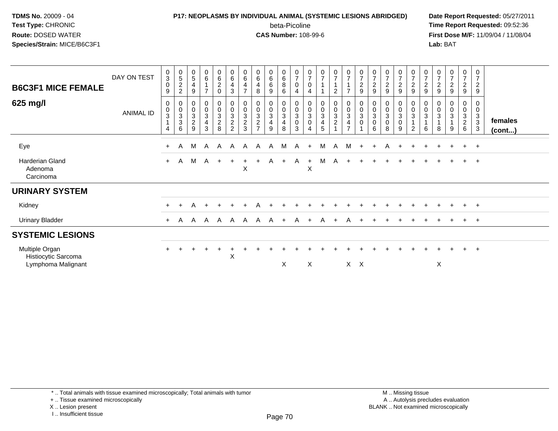## **P17: NEOPLASMS BY INDIVIDUAL ANIMAL (SYSTEMIC LESIONS ABRIDGED) Date Report Requested:** 05/27/2011

beta-Picoline<br>CAS Number: 108-99-6

| <b>B6C3F1 MICE FEMALE</b>                                   | DAY ON TEST | $\begin{smallmatrix}0\3\0\end{smallmatrix}$<br>$\boldsymbol{9}$ | 0522                                            | $\begin{array}{c} 0 \\ 5 \end{array}$<br>$\overline{4}$<br>$9\,$ | $\begin{array}{c} 0 \\ 6 \end{array}$<br>$\mathbf{1}$<br>$\overline{7}$ | 0<br>$\frac{6}{2}$<br>$\Omega$      | $_{6}^{\rm 0}$<br>4<br>$\mathbf{3}$                  | $\begin{array}{c} 0 \\ 6 \end{array}$<br>$\overline{\mathbf{4}}$<br>$\overline{ }$ | 0<br>$6\phantom{a}$<br>4<br>8                                               | $\begin{matrix} 0 \\ 6 \\ 6 \end{matrix}$<br>9                    | $\begin{matrix}0\\6\\8\end{matrix}$<br>6 | $\frac{0}{7}$<br>$\boldsymbol{0}$<br>4                          | $\frac{0}{7}$<br>0                            | $\frac{0}{7}$                                                                         | $\frac{0}{7}$<br>$\overline{2}$                 | $\frac{0}{7}$<br>$\overline{z}$                                | $\begin{smallmatrix}0\\7\end{smallmatrix}$<br>$\frac{2}{9}$                | $\frac{0}{7}$<br>$\overline{c}$<br>9  | $\begin{array}{c} 0 \\ 7 \end{array}$<br>$\sqrt{2}$<br>9 | $\frac{0}{7}$<br>$\frac{2}{9}$                   | $\frac{0}{7}$<br>$\overline{c}$<br>9  | $\frac{0}{7}$<br>$\frac{2}{9}$                      | $\frac{0}{7}$<br>$\overline{c}$<br>9                             | $\frac{0}{7}$<br>$\overline{c}$<br>9 | $\frac{0}{7}$<br>$\overline{a}$<br>9          | $\frac{0}{7}$<br>$\overline{c}$<br>9 |                   |
|-------------------------------------------------------------|-------------|-----------------------------------------------------------------|-------------------------------------------------|------------------------------------------------------------------|-------------------------------------------------------------------------|-------------------------------------|------------------------------------------------------|------------------------------------------------------------------------------------|-----------------------------------------------------------------------------|-------------------------------------------------------------------|------------------------------------------|-----------------------------------------------------------------|-----------------------------------------------|---------------------------------------------------------------------------------------|-------------------------------------------------|----------------------------------------------------------------|----------------------------------------------------------------------------|---------------------------------------|----------------------------------------------------------|--------------------------------------------------|---------------------------------------|-----------------------------------------------------|------------------------------------------------------------------|--------------------------------------|-----------------------------------------------|--------------------------------------|-------------------|
| 625 mg/l                                                    | ANIMAL ID   | 0<br>$_{3}^{\rm 0}$<br>$\mathbf{1}$<br>$\overline{4}$           | 0<br>$\begin{array}{c} 0 \\ 3 \\ 6 \end{array}$ | $0003$<br>$29$                                                   | 000343                                                                  | 0<br>$\frac{0}{3}$<br>$\frac{2}{8}$ | 0<br>$\begin{array}{c} 0 \\ 3 \\ 2 \\ 2 \end{array}$ | $\begin{smallmatrix} 0\\0 \end{smallmatrix}$<br>$\frac{3}{2}$                      | 0<br>$\pmb{0}$<br>$\ensuremath{\mathsf{3}}$<br>$\sqrt{2}$<br>$\overline{ }$ | $\boldsymbol{0}$<br>$\frac{0}{3}$<br>$\overline{\mathbf{4}}$<br>9 | 0<br>$_{3}^{\rm 0}$<br>4<br>8            | $\boldsymbol{0}$<br>$\pmb{0}$<br>$\mathbf{3}$<br>$\pmb{0}$<br>3 | 0<br>$\mathbf 0$<br>$\sqrt{3}$<br>$\mathbf 0$ | $\pmb{0}$<br>$\mathbf 0$<br>$\ensuremath{\mathsf{3}}$<br>$\overline{\mathbf{4}}$<br>5 | $\begin{array}{c} 0 \\ 0 \\ 3 \\ 2 \end{array}$ | $\begin{smallmatrix} 0\\0\\3 \end{smallmatrix}$<br>$rac{4}{7}$ | $\begin{smallmatrix}0\\0\\3\end{smallmatrix}$<br>$\pmb{0}$<br>$\mathbf{1}$ | 0<br>$\pmb{0}$<br>3<br>$\pmb{0}$<br>6 | $\pmb{0}$<br>$\overline{3}$<br>$\mathbf 0$<br>8          | 0<br>$\pmb{0}$<br>$\mathbf{3}$<br>$\pmb{0}$<br>9 | 0<br>$\pmb{0}$<br>3<br>$\overline{2}$ | 0<br>$\mathbf 0$<br>$\sqrt{3}$<br>$\mathbf{1}$<br>6 | 0<br>$\pmb{0}$<br>$\ensuremath{\mathsf{3}}$<br>$\mathbf{1}$<br>8 | 0<br>$\pmb{0}$<br>3<br>9             | 0<br>0<br>$\mathbf{3}$<br>$\overline{a}$<br>6 | 0<br>$\pmb{0}$<br>$_3^3$<br>3        | females<br>(cont) |
| Eye                                                         |             | $+$                                                             | A                                               | м                                                                | A                                                                       | A                                   | $\mathsf{A}$                                         | A                                                                                  | A                                                                           | A                                                                 | м                                        | A                                                               | $\ddot{}$                                     | M                                                                                     | A                                               | м                                                              | $+$                                                                        | ÷                                     | A                                                        |                                                  | $+$                                   |                                                     |                                                                  |                                      |                                               | $+$                                  |                   |
| <b>Harderian Gland</b><br>Adenoma<br>Carcinoma              |             | $+$                                                             | $\mathsf{A}$                                    |                                                                  | M A +                                                                   |                                     | $+$                                                  | $+$<br>X                                                                           | $+$                                                                         |                                                                   | A +                                      | A                                                               | $+$<br>X                                      | M                                                                                     | <b>A</b>                                        | $+$                                                            | $\pm$                                                                      |                                       |                                                          | $\pm$                                            |                                       |                                                     |                                                                  |                                      | $\ddot{}$                                     | $+$                                  |                   |
| <b>URINARY SYSTEM</b>                                       |             |                                                                 |                                                 |                                                                  |                                                                         |                                     |                                                      |                                                                                    |                                                                             |                                                                   |                                          |                                                                 |                                               |                                                                                       |                                                 |                                                                |                                                                            |                                       |                                                          |                                                  |                                       |                                                     |                                                                  |                                      |                                               |                                      |                   |
| Kidney                                                      |             | $+$                                                             | $+$                                             | A                                                                |                                                                         |                                     |                                                      | ÷                                                                                  |                                                                             |                                                                   |                                          |                                                                 |                                               |                                                                                       |                                                 |                                                                |                                                                            |                                       |                                                          |                                                  |                                       |                                                     |                                                                  |                                      | $\pm$                                         | $+$                                  |                   |
| <b>Urinary Bladder</b>                                      |             | $+$                                                             | A                                               | $\mathsf{A}$                                                     |                                                                         |                                     |                                                      |                                                                                    | $A$ $A$ $A$ $A$ $A$ $A$ $+$                                                 |                                                                   |                                          | A                                                               | $\overline{+}$                                | A                                                                                     | $+$                                             | A                                                              |                                                                            |                                       |                                                          |                                                  |                                       |                                                     |                                                                  |                                      |                                               | $+$                                  |                   |
| <b>SYSTEMIC LESIONS</b>                                     |             |                                                                 |                                                 |                                                                  |                                                                         |                                     |                                                      |                                                                                    |                                                                             |                                                                   |                                          |                                                                 |                                               |                                                                                       |                                                 |                                                                |                                                                            |                                       |                                                          |                                                  |                                       |                                                     |                                                                  |                                      |                                               |                                      |                   |
| Multiple Organ<br>Histiocytic Sarcoma<br>Lymphoma Malignant |             | $+$                                                             |                                                 |                                                                  |                                                                         |                                     | X                                                    |                                                                                    |                                                                             |                                                                   | X                                        |                                                                 | $\boldsymbol{\mathsf{X}}$                     |                                                                                       |                                                 |                                                                | $X$ $X$                                                                    |                                       |                                                          |                                                  |                                       |                                                     | X                                                                |                                      |                                               | $\ddot{}$                            |                   |
|                                                             |             |                                                                 |                                                 |                                                                  |                                                                         |                                     |                                                      |                                                                                    |                                                                             |                                                                   |                                          |                                                                 |                                               |                                                                                       |                                                 |                                                                |                                                                            |                                       |                                                          |                                                  |                                       |                                                     |                                                                  |                                      |                                               |                                      |                   |

<sup>+ ..</sup> Tissue examined microscopically

X .. Lesion present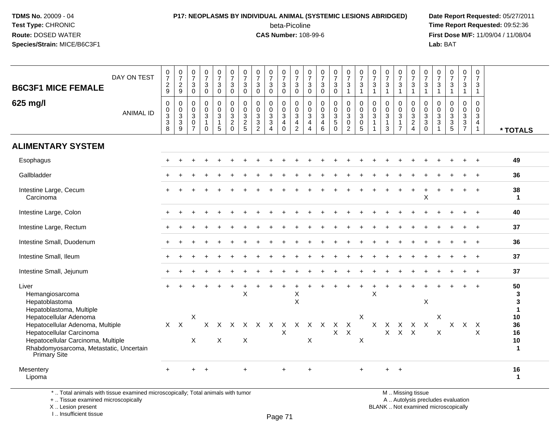# **P17: NEOPLASMS BY INDIVIDUAL ANIMAL (SYSTEMIC LESIONS ABRIDGED) Date Report Requested:** 05/27/2011

beta-Picoline<br>CAS Number: 108-99-6

 **Time Report Requested:** 09:52:36 **First Dose M/F:** 11/09/04 / 11/08/04<br>Lab: BAT **Lab:** BAT

| <b>B6C3F1 MICE FEMALE</b><br>625 mg/l                                                                                                                                                          | DAY ON TEST<br><b>ANIMAL ID</b> | $\pmb{0}$<br>$\overline{7}$<br>$\boldsymbol{2}$<br>9<br>$\mathbf 0$<br>$\boldsymbol{0}$<br>$\overline{3}$<br>$\overline{3}$<br>8 | $\frac{0}{7}$<br>$\frac{2}{9}$<br>0<br>$\mathbf 0$<br>$\mathbf{3}$<br>$\overline{3}$<br>9 | $\frac{0}{7}$<br>$\mathbf{3}$<br>$\mathbf 0$<br>$\mathbf 0$<br>$\Omega$<br>$\mathbf{3}$<br>$\mathbf 0$<br>$\overline{7}$ | $\frac{0}{7}$<br>$\ensuremath{\mathsf{3}}$<br>$\mathbf 0$<br>0<br>$\pmb{0}$<br>$\overline{3}$<br>$\mathbf{1}$<br>$\Omega$ | $\mathbf 0$<br>$\overline{7}$<br>$\mathbf{3}$<br>$\mathbf{0}$<br>0<br>$\mathbf 0$<br>$\mathsf 3$<br>$\overline{1}$<br>5 | $\frac{0}{7}$<br>$\mathbf{3}$<br>$\mathbf 0$<br>$\mathbf 0$<br>$\mathbf 0$<br>$\mathbf 3$<br>$\overline{2}$<br>$\mathbf 0$ | $\begin{matrix} 0 \\ 7 \end{matrix}$<br>3<br>$\mathbf 0$<br>$\mathbf 0$<br>$\mathbf{0}$<br>$\mathbf{3}$<br>$\frac{2}{5}$ | $\frac{0}{7}$<br>$\mathbf{3}$<br>$\mathbf 0$<br>$\mathbf 0$<br>$\mathbf 0$<br>$\frac{3}{3}$<br>$\overline{2}$ | $\frac{0}{7}$<br>3<br>$\mathbf 0$<br>$\mathbf 0$<br>$\mathbf 0$<br>$\mathbf{3}$<br>$\overline{3}$<br>$\overline{4}$ | $\frac{0}{7}$<br>$\mathbf{3}$<br>$\mathbf 0$<br>$\mathbf 0$<br>$\pmb{0}$<br>$\overline{3}$<br>$\overline{4}$<br>$\mathbf 0$ | $\begin{array}{c} 0 \\ 7 \end{array}$<br>$\ensuremath{\mathsf{3}}$<br>$\mathbf 0$<br>0<br>$\mathbf 0$<br>$\sqrt{3}$<br>$\overline{4}$<br>$\overline{2}$ | $\frac{0}{7}$<br>$\sqrt{3}$<br>$\mathbf 0$<br>0<br>$\Omega$<br>3<br>$\overline{4}$<br>$\overline{4}$ | $\frac{0}{7}$<br>$\mathbf{3}$<br>$\mathbf 0$<br>$\mathbf 0$<br>$\mathbf 0$<br>$\mathbf{3}$<br>$\overline{4}$<br>6 | $\frac{0}{7}$<br>3<br>$\mathbf 0$<br>0<br>$\mathbf 0$<br>$\mathbf{3}$<br>$\overline{5}$<br>$\Omega$ | $\frac{0}{7}$<br>$\sqrt{3}$<br>$\overline{1}$<br>0<br>$\mathbf 0$<br>$\mathbf{3}$<br>$\mathbf 0$<br>$\overline{2}$ | $\frac{0}{7}$<br>$\sqrt{3}$<br>$\mathbf{1}$<br>$\mathbf 0$<br>$\pmb{0}$<br>$\overline{3}$<br>$\mathbf 0$<br>5 | $\pmb{0}$<br>$\overline{7}$<br>$\mathbf{3}$<br>$\mathbf{1}$<br>$\mathbf 0$<br>$\mathbf{0}$<br>$\mathbf{3}$<br>$\overline{1}$ | $\frac{0}{7}$<br>$\mathbf{3}$<br>$\overline{1}$<br>$\mathbf 0$<br>$\mathbf 0$<br>$\mathbf{3}$<br>$\mathbf{1}$<br>3 | $\begin{array}{c} 0 \\ 7 \end{array}$<br>$\mathbf 3$<br>$\mathbf{1}$<br>0<br>$\mathbf 0$<br>$\sqrt{3}$<br>$\mathbf{1}$<br>$\overline{7}$ | 0<br>$\overline{7}$<br>3<br>$\mathbf{1}$<br>$\mathbf 0$<br>$\mathbf 0$<br>$\mathbf{3}$<br>$\frac{2}{4}$ | $\frac{0}{7}$<br>3<br>$\mathbf{1}$<br>0<br>$\mathbf 0$<br>$_3^3$<br>$\mathbf 0$ | 0<br>$\overline{7}$<br>$\ensuremath{\mathsf{3}}$<br>$\overline{1}$<br>$\mathbf 0$<br>$\pmb{0}$<br>$\frac{3}{3}$<br>$\overline{1}$ | $\frac{0}{7}$<br>$\ensuremath{\mathsf{3}}$<br>$\mathbf{1}$<br>0<br>$\mathsf 0$<br>$\frac{3}{3}$ | $\mathbf 0$<br>$\overline{7}$<br>$\mathbf{3}$<br>$\overline{1}$<br>0<br>$\pmb{0}$<br>$\sqrt{3}$<br>$\frac{3}{7}$ | 0<br>$\overline{7}$<br>3<br>$\overline{1}$<br>$\mathbf 0$<br>$\mathbf 0$<br>$\mathbf{3}$<br>$\overline{4}$<br>$\mathbf{1}$ | * TOTALS                               |
|------------------------------------------------------------------------------------------------------------------------------------------------------------------------------------------------|---------------------------------|----------------------------------------------------------------------------------------------------------------------------------|-------------------------------------------------------------------------------------------|--------------------------------------------------------------------------------------------------------------------------|---------------------------------------------------------------------------------------------------------------------------|-------------------------------------------------------------------------------------------------------------------------|----------------------------------------------------------------------------------------------------------------------------|--------------------------------------------------------------------------------------------------------------------------|---------------------------------------------------------------------------------------------------------------|---------------------------------------------------------------------------------------------------------------------|-----------------------------------------------------------------------------------------------------------------------------|---------------------------------------------------------------------------------------------------------------------------------------------------------|------------------------------------------------------------------------------------------------------|-------------------------------------------------------------------------------------------------------------------|-----------------------------------------------------------------------------------------------------|--------------------------------------------------------------------------------------------------------------------|---------------------------------------------------------------------------------------------------------------|------------------------------------------------------------------------------------------------------------------------------|--------------------------------------------------------------------------------------------------------------------|------------------------------------------------------------------------------------------------------------------------------------------|---------------------------------------------------------------------------------------------------------|---------------------------------------------------------------------------------|-----------------------------------------------------------------------------------------------------------------------------------|-------------------------------------------------------------------------------------------------|------------------------------------------------------------------------------------------------------------------|----------------------------------------------------------------------------------------------------------------------------|----------------------------------------|
| <b>ALIMENTARY SYSTEM</b>                                                                                                                                                                       |                                 |                                                                                                                                  |                                                                                           |                                                                                                                          |                                                                                                                           |                                                                                                                         |                                                                                                                            |                                                                                                                          |                                                                                                               |                                                                                                                     |                                                                                                                             |                                                                                                                                                         |                                                                                                      |                                                                                                                   |                                                                                                     |                                                                                                                    |                                                                                                               |                                                                                                                              |                                                                                                                    |                                                                                                                                          |                                                                                                         |                                                                                 |                                                                                                                                   |                                                                                                 |                                                                                                                  |                                                                                                                            |                                        |
| Esophagus                                                                                                                                                                                      |                                 |                                                                                                                                  |                                                                                           |                                                                                                                          |                                                                                                                           |                                                                                                                         |                                                                                                                            |                                                                                                                          |                                                                                                               |                                                                                                                     |                                                                                                                             |                                                                                                                                                         |                                                                                                      |                                                                                                                   |                                                                                                     |                                                                                                                    |                                                                                                               |                                                                                                                              |                                                                                                                    |                                                                                                                                          |                                                                                                         |                                                                                 |                                                                                                                                   |                                                                                                 |                                                                                                                  |                                                                                                                            | 49                                     |
| Gallbladder                                                                                                                                                                                    |                                 |                                                                                                                                  |                                                                                           |                                                                                                                          |                                                                                                                           |                                                                                                                         |                                                                                                                            |                                                                                                                          |                                                                                                               |                                                                                                                     |                                                                                                                             |                                                                                                                                                         |                                                                                                      |                                                                                                                   |                                                                                                     |                                                                                                                    |                                                                                                               |                                                                                                                              |                                                                                                                    |                                                                                                                                          |                                                                                                         |                                                                                 |                                                                                                                                   |                                                                                                 |                                                                                                                  |                                                                                                                            | 36                                     |
| Intestine Large, Cecum<br>Carcinoma                                                                                                                                                            |                                 |                                                                                                                                  |                                                                                           |                                                                                                                          |                                                                                                                           |                                                                                                                         |                                                                                                                            |                                                                                                                          |                                                                                                               |                                                                                                                     |                                                                                                                             |                                                                                                                                                         |                                                                                                      |                                                                                                                   |                                                                                                     |                                                                                                                    |                                                                                                               |                                                                                                                              |                                                                                                                    |                                                                                                                                          |                                                                                                         | X                                                                               |                                                                                                                                   |                                                                                                 |                                                                                                                  |                                                                                                                            | 38<br>$\mathbf{1}$                     |
| Intestine Large, Colon                                                                                                                                                                         |                                 |                                                                                                                                  |                                                                                           |                                                                                                                          |                                                                                                                           |                                                                                                                         |                                                                                                                            |                                                                                                                          |                                                                                                               |                                                                                                                     |                                                                                                                             |                                                                                                                                                         |                                                                                                      |                                                                                                                   |                                                                                                     |                                                                                                                    |                                                                                                               |                                                                                                                              |                                                                                                                    |                                                                                                                                          |                                                                                                         |                                                                                 |                                                                                                                                   |                                                                                                 |                                                                                                                  |                                                                                                                            | 40                                     |
| Intestine Large, Rectum                                                                                                                                                                        |                                 |                                                                                                                                  |                                                                                           |                                                                                                                          |                                                                                                                           |                                                                                                                         |                                                                                                                            |                                                                                                                          |                                                                                                               |                                                                                                                     |                                                                                                                             |                                                                                                                                                         |                                                                                                      |                                                                                                                   |                                                                                                     |                                                                                                                    |                                                                                                               |                                                                                                                              |                                                                                                                    |                                                                                                                                          |                                                                                                         |                                                                                 |                                                                                                                                   |                                                                                                 |                                                                                                                  |                                                                                                                            | 37                                     |
| Intestine Small, Duodenum                                                                                                                                                                      |                                 |                                                                                                                                  |                                                                                           |                                                                                                                          |                                                                                                                           |                                                                                                                         |                                                                                                                            |                                                                                                                          |                                                                                                               |                                                                                                                     |                                                                                                                             |                                                                                                                                                         |                                                                                                      |                                                                                                                   |                                                                                                     |                                                                                                                    |                                                                                                               |                                                                                                                              |                                                                                                                    |                                                                                                                                          |                                                                                                         |                                                                                 |                                                                                                                                   |                                                                                                 |                                                                                                                  |                                                                                                                            | 36                                     |
| Intestine Small, Ileum                                                                                                                                                                         |                                 |                                                                                                                                  |                                                                                           |                                                                                                                          |                                                                                                                           |                                                                                                                         |                                                                                                                            |                                                                                                                          |                                                                                                               |                                                                                                                     |                                                                                                                             |                                                                                                                                                         |                                                                                                      |                                                                                                                   |                                                                                                     |                                                                                                                    |                                                                                                               |                                                                                                                              |                                                                                                                    |                                                                                                                                          |                                                                                                         |                                                                                 |                                                                                                                                   |                                                                                                 |                                                                                                                  |                                                                                                                            | 37                                     |
| Intestine Small, Jejunum                                                                                                                                                                       |                                 |                                                                                                                                  |                                                                                           |                                                                                                                          |                                                                                                                           |                                                                                                                         |                                                                                                                            |                                                                                                                          |                                                                                                               |                                                                                                                     |                                                                                                                             |                                                                                                                                                         |                                                                                                      |                                                                                                                   |                                                                                                     |                                                                                                                    |                                                                                                               |                                                                                                                              |                                                                                                                    |                                                                                                                                          |                                                                                                         |                                                                                 |                                                                                                                                   |                                                                                                 |                                                                                                                  |                                                                                                                            | 37                                     |
| Liver<br>Hemangiosarcoma<br>Hepatoblastoma<br>Hepatoblastoma, Multiple                                                                                                                         |                                 |                                                                                                                                  |                                                                                           |                                                                                                                          |                                                                                                                           |                                                                                                                         |                                                                                                                            | $\pmb{\times}$                                                                                                           |                                                                                                               |                                                                                                                     |                                                                                                                             | X<br>$\sf X$                                                                                                                                            |                                                                                                      |                                                                                                                   |                                                                                                     |                                                                                                                    |                                                                                                               | $\mathsf X$                                                                                                                  |                                                                                                                    |                                                                                                                                          |                                                                                                         | $\sf X$                                                                         |                                                                                                                                   |                                                                                                 |                                                                                                                  |                                                                                                                            | 50<br>3<br>3<br>$\mathbf 1$            |
| Hepatocellular Adenoma<br>Hepatocellular Adenoma, Multiple<br>Hepatocellular Carcinoma<br>Hepatocellular Carcinoma, Multiple<br>Rhabdomyosarcoma, Metastatic, Uncertain<br><b>Primary Site</b> |                                 | $X$ $X$                                                                                                                          |                                                                                           | Χ<br>$\pmb{\times}$                                                                                                      | X                                                                                                                         | X<br>$\mathsf{X}$                                                                                                       | $\times$                                                                                                                   | $\boldsymbol{\mathsf{X}}$                                                                                                | X X X                                                                                                         |                                                                                                                     | X<br>X                                                                                                                      | X                                                                                                                                                       | $\mathsf X$                                                                                          | $X \times X$                                                                                                      | $\boldsymbol{X}$<br>$\mathsf{X}$                                                                    | $\mathsf{X}$<br>$\boldsymbol{\mathsf{X}}$                                                                          | $\pmb{\times}$<br>$\mathsf X$                                                                                 | $\mathsf{X}$                                                                                                                 | $\mathsf{X}$<br>$\mathsf{X}$                                                                                       | $\boldsymbol{\mathsf{X}}$<br>$X$ $X$                                                                                                     | X X                                                                                                     |                                                                                 | X<br>X                                                                                                                            |                                                                                                 | $X$ $X$                                                                                                          | $\mathsf{X}$<br>X                                                                                                          | 10<br>36<br>16<br>$10$<br>$\mathbf{1}$ |
| Mesentery<br>Lipoma                                                                                                                                                                            |                                 | $+$                                                                                                                              |                                                                                           | $+$                                                                                                                      | $\overline{+}$                                                                                                            |                                                                                                                         |                                                                                                                            | $+$                                                                                                                      |                                                                                                               |                                                                                                                     | $\ddot{}$                                                                                                                   |                                                                                                                                                         | $+$                                                                                                  |                                                                                                                   |                                                                                                     |                                                                                                                    |                                                                                                               |                                                                                                                              |                                                                                                                    | $+$                                                                                                                                      |                                                                                                         |                                                                                 |                                                                                                                                   |                                                                                                 |                                                                                                                  |                                                                                                                            | 16<br>$\mathbf 1$                      |

\* .. Total animals with tissue examined microscopically; Total animals with tumor

+ .. Tissue examined microscopically

X .. Lesion present

I .. Insufficient tissue

 M .. Missing tissuey the contract of the contract of the contract of the contract of the contract of  $\mathsf A$  . Autolysis precludes evaluation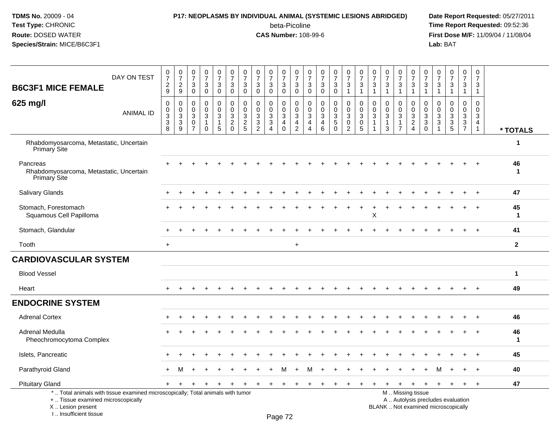# **P17: NEOPLASMS BY INDIVIDUAL ANIMAL (SYSTEMIC LESIONS ABRIDGED) Date Report Requested:** 05/27/2011

beta-Picoline<br>CAS Number: 108-99-6

| <b>B6C3F1 MICE FEMALE</b>                                                                                                                                           | DAY ON TEST      | 0<br>$\overline{7}$<br>$\overline{c}$<br>9 | $\begin{array}{c} 0 \\ 7 \end{array}$<br>$\sqrt{2}$<br>9 | $\pmb{0}$<br>$\overline{7}$<br>$\ensuremath{\mathsf{3}}$<br>$\mathbf 0$   | $\frac{0}{7}$<br>$\ensuremath{\mathsf{3}}$<br>$\mathbf 0$ | $\frac{0}{7}$<br>$\mathbf{3}$<br>$\mathbf 0$                    | $\frac{0}{7}$<br>$\sqrt{3}$<br>$\boldsymbol{0}$           | $\frac{0}{7}$<br>$\ensuremath{\mathsf{3}}$<br>$\mathbf 0$ | 0<br>$\overline{7}$<br>$\ensuremath{\mathsf{3}}$<br>$\mathbf 0$                           | $\frac{0}{7}$<br>$\ensuremath{\mathsf{3}}$<br>$\mathbf 0$                                    | 0<br>$\overline{7}$<br>$\mathsf 3$<br>$\mathbf 0$      | $\pmb{0}$<br>$\overline{7}$<br>$\ensuremath{\mathsf{3}}$<br>$\mathbf 0$      | $\pmb{0}$<br>$\overline{7}$<br>$\sqrt{3}$<br>$\mathbf 0$            | 0<br>$\overline{7}$<br>3<br>$\mathbf 0$      | $\frac{0}{7}$<br>3<br>$\mathbf 0$                          | $\begin{smallmatrix}0\\7\end{smallmatrix}$<br>$\ensuremath{\mathsf{3}}$<br>$\mathbf{1}$ | $\frac{0}{7}$<br>$\ensuremath{\mathsf{3}}$<br>$\mathbf{1}$                               | $\frac{0}{7}$<br>3<br>$\mathbf{1}$ | $\pmb{0}$<br>$\overline{7}$<br>$\ensuremath{\mathsf{3}}$<br>$\mathbf{1}$   | $\pmb{0}$<br>$\overline{7}$<br>$\sqrt{3}$<br>$\mathbf{1}$ | 0<br>$\overline{7}$<br>$\ensuremath{\mathsf{3}}$<br>$\mathbf{1}$ | $\frac{0}{7}$<br>$\ensuremath{\mathsf{3}}$<br>$\mathbf{1}$                                        | 0<br>$\overline{7}$<br>3<br>$\mathbf{1}$ | $\begin{smallmatrix} 0\\7 \end{smallmatrix}$<br>$\ensuremath{\mathsf{3}}$<br>$\overline{1}$ | $\pmb{0}$<br>$\overline{7}$<br>$\mathsf 3$<br>$\mathbf{1}$ | 0<br>$\overline{7}$<br>$\sqrt{3}$<br>$\mathbf{1}$                 |                    |
|---------------------------------------------------------------------------------------------------------------------------------------------------------------------|------------------|--------------------------------------------|----------------------------------------------------------|---------------------------------------------------------------------------|-----------------------------------------------------------|-----------------------------------------------------------------|-----------------------------------------------------------|-----------------------------------------------------------|-------------------------------------------------------------------------------------------|----------------------------------------------------------------------------------------------|--------------------------------------------------------|------------------------------------------------------------------------------|---------------------------------------------------------------------|----------------------------------------------|------------------------------------------------------------|-----------------------------------------------------------------------------------------|------------------------------------------------------------------------------------------|------------------------------------|----------------------------------------------------------------------------|-----------------------------------------------------------|------------------------------------------------------------------|---------------------------------------------------------------------------------------------------|------------------------------------------|---------------------------------------------------------------------------------------------|------------------------------------------------------------|-------------------------------------------------------------------|--------------------|
| 625 mg/l                                                                                                                                                            | <b>ANIMAL ID</b> | $\mathbf 0$<br>0<br>3<br>$\sqrt{3}$<br>8   | 0<br>$\mathsf 0$<br>$\mathbf{3}$<br>$\frac{3}{9}$        | $\mathbf 0$<br>$\mathbf 0$<br>$\mathbf{3}$<br>$\pmb{0}$<br>$\overline{7}$ | $\mathbf 0$<br>$\mathbf 0$<br>$\mathbf{3}$<br>$\mathbf 0$ | $\mathbf 0$<br>$\mathbf 0$<br>3<br>$\overline{1}$<br>$\sqrt{5}$ | $\mathbf 0$<br>$\mathbf 0$<br>$\sqrt{3}$<br>$\frac{2}{0}$ | 0<br>$\mathbf 0$<br>3<br>$rac{2}{5}$                      | $\mathbf 0$<br>$\mathbf 0$<br>$\mathbf{3}$<br>$\ensuremath{\mathsf{3}}$<br>$\overline{2}$ | 0<br>$\mathbf 0$<br>$\ensuremath{\mathsf{3}}$<br>$\ensuremath{\mathsf{3}}$<br>$\overline{4}$ | 0<br>$\mathbf 0$<br>3<br>$\overline{4}$<br>$\mathbf 0$ | $\mathbf 0$<br>$\mathbf 0$<br>$\sqrt{3}$<br>$\overline{4}$<br>$\overline{2}$ | $\mathbf 0$<br>$\mathbf 0$<br>3<br>$\overline{4}$<br>$\overline{4}$ | 0<br>$\mathbf 0$<br>3<br>4<br>$6\phantom{1}$ | 0<br>$\mathbf 0$<br>3<br>$\sqrt{5}$<br>$\ddot{\mathbf{0}}$ | 0<br>$\mathbf 0$<br>$\sqrt{3}$<br>$\mathsf{O}\xspace$<br>$\overline{2}$                 | $\mathbf 0$<br>$\mathbf 0$<br>$\ensuremath{\mathsf{3}}$<br>$\mathbf 0$<br>$\overline{5}$ | 0<br>$\mathbf 0$<br>3<br>-1        | $\mathbf 0$<br>$\mathbf 0$<br>$\mathbf{3}$<br>$\mathbf{1}$<br>$\mathbf{3}$ | 0<br>$\mathbf 0$<br>3<br>1<br>$\overline{7}$              | 0<br>$\mathbf 0$<br>$\frac{3}{2}$                                | $\mathbf 0$<br>$\mathbf 0$<br>$\ensuremath{\mathsf{3}}$<br>$\ensuremath{\mathsf{3}}$<br>$\bar{0}$ | 0<br>$\mathbf 0$<br>3<br>$\sqrt{3}$      | $\mathbf 0$<br>$\mathbf 0$<br>$\sqrt{3}$<br>$\frac{3}{5}$                                   | 0<br>$\mathbf 0$<br>3<br>$\frac{3}{7}$                     | $\mathbf 0$<br>$\mathbf 0$<br>3<br>$\overline{4}$<br>$\mathbf{1}$ | * TOTALS           |
| Rhabdomyosarcoma, Metastatic, Uncertain<br>Primary Site                                                                                                             |                  |                                            |                                                          |                                                                           |                                                           |                                                                 |                                                           |                                                           |                                                                                           |                                                                                              |                                                        |                                                                              |                                                                     |                                              |                                                            |                                                                                         |                                                                                          |                                    |                                                                            |                                                           |                                                                  |                                                                                                   |                                          |                                                                                             |                                                            |                                                                   | $\mathbf 1$        |
| Pancreas<br>Rhabdomyosarcoma, Metastatic, Uncertain<br><b>Primary Site</b>                                                                                          |                  |                                            |                                                          |                                                                           |                                                           |                                                                 |                                                           |                                                           |                                                                                           |                                                                                              |                                                        |                                                                              |                                                                     |                                              |                                                            |                                                                                         |                                                                                          |                                    |                                                                            |                                                           |                                                                  |                                                                                                   |                                          |                                                                                             |                                                            |                                                                   | 46<br>-1           |
| <b>Salivary Glands</b>                                                                                                                                              |                  |                                            |                                                          |                                                                           |                                                           |                                                                 |                                                           |                                                           |                                                                                           |                                                                                              |                                                        |                                                                              |                                                                     |                                              |                                                            |                                                                                         |                                                                                          |                                    |                                                                            |                                                           |                                                                  |                                                                                                   |                                          |                                                                                             |                                                            |                                                                   | 47                 |
| Stomach, Forestomach<br>Squamous Cell Papilloma                                                                                                                     |                  |                                            |                                                          |                                                                           |                                                           |                                                                 |                                                           |                                                           |                                                                                           |                                                                                              |                                                        |                                                                              |                                                                     |                                              |                                                            |                                                                                         |                                                                                          | X                                  |                                                                            |                                                           |                                                                  |                                                                                                   |                                          |                                                                                             |                                                            |                                                                   | 45<br>$\mathbf{1}$ |
| Stomach, Glandular                                                                                                                                                  |                  |                                            |                                                          |                                                                           |                                                           |                                                                 |                                                           |                                                           |                                                                                           |                                                                                              |                                                        |                                                                              |                                                                     |                                              |                                                            |                                                                                         |                                                                                          |                                    |                                                                            |                                                           |                                                                  |                                                                                                   |                                          |                                                                                             |                                                            |                                                                   | 41                 |
| Tooth                                                                                                                                                               |                  | $\ddot{}$                                  |                                                          |                                                                           |                                                           |                                                                 |                                                           |                                                           |                                                                                           |                                                                                              |                                                        | $\ddot{}$                                                                    |                                                                     |                                              |                                                            |                                                                                         |                                                                                          |                                    |                                                                            |                                                           |                                                                  |                                                                                                   |                                          |                                                                                             |                                                            |                                                                   | $\mathbf{2}$       |
| <b>CARDIOVASCULAR SYSTEM</b>                                                                                                                                        |                  |                                            |                                                          |                                                                           |                                                           |                                                                 |                                                           |                                                           |                                                                                           |                                                                                              |                                                        |                                                                              |                                                                     |                                              |                                                            |                                                                                         |                                                                                          |                                    |                                                                            |                                                           |                                                                  |                                                                                                   |                                          |                                                                                             |                                                            |                                                                   |                    |
| <b>Blood Vessel</b>                                                                                                                                                 |                  |                                            |                                                          |                                                                           |                                                           |                                                                 |                                                           |                                                           |                                                                                           |                                                                                              |                                                        |                                                                              |                                                                     |                                              |                                                            |                                                                                         |                                                                                          |                                    |                                                                            |                                                           |                                                                  |                                                                                                   |                                          |                                                                                             |                                                            |                                                                   | $\mathbf{1}$       |
| Heart                                                                                                                                                               |                  |                                            |                                                          |                                                                           |                                                           |                                                                 |                                                           |                                                           |                                                                                           |                                                                                              |                                                        |                                                                              |                                                                     |                                              |                                                            |                                                                                         |                                                                                          |                                    |                                                                            |                                                           |                                                                  |                                                                                                   |                                          |                                                                                             |                                                            |                                                                   | 49                 |
| <b>ENDOCRINE SYSTEM</b>                                                                                                                                             |                  |                                            |                                                          |                                                                           |                                                           |                                                                 |                                                           |                                                           |                                                                                           |                                                                                              |                                                        |                                                                              |                                                                     |                                              |                                                            |                                                                                         |                                                                                          |                                    |                                                                            |                                                           |                                                                  |                                                                                                   |                                          |                                                                                             |                                                            |                                                                   |                    |
| <b>Adrenal Cortex</b>                                                                                                                                               |                  |                                            |                                                          |                                                                           |                                                           |                                                                 |                                                           |                                                           |                                                                                           |                                                                                              |                                                        |                                                                              |                                                                     |                                              |                                                            |                                                                                         |                                                                                          |                                    |                                                                            |                                                           |                                                                  |                                                                                                   |                                          |                                                                                             |                                                            |                                                                   | 46                 |
| <b>Adrenal Medulla</b><br>Pheochromocytoma Complex                                                                                                                  |                  |                                            |                                                          |                                                                           |                                                           |                                                                 |                                                           |                                                           |                                                                                           |                                                                                              |                                                        |                                                                              |                                                                     |                                              |                                                            |                                                                                         |                                                                                          |                                    |                                                                            |                                                           |                                                                  |                                                                                                   |                                          |                                                                                             |                                                            |                                                                   | 46<br>1            |
| Islets, Pancreatic                                                                                                                                                  |                  |                                            |                                                          |                                                                           |                                                           |                                                                 |                                                           |                                                           |                                                                                           |                                                                                              |                                                        |                                                                              |                                                                     |                                              |                                                            |                                                                                         |                                                                                          |                                    |                                                                            |                                                           |                                                                  |                                                                                                   |                                          |                                                                                             |                                                            |                                                                   | 45                 |
| Parathyroid Gland                                                                                                                                                   |                  |                                            | м                                                        |                                                                           |                                                           |                                                                 |                                                           |                                                           |                                                                                           |                                                                                              |                                                        |                                                                              | м                                                                   |                                              |                                                            |                                                                                         |                                                                                          |                                    |                                                                            |                                                           |                                                                  |                                                                                                   |                                          |                                                                                             |                                                            |                                                                   | 40                 |
| <b>Pituitary Gland</b>                                                                                                                                              |                  |                                            |                                                          |                                                                           |                                                           |                                                                 |                                                           |                                                           | +                                                                                         | $\div$                                                                                       | ٠                                                      |                                                                              |                                                                     |                                              |                                                            |                                                                                         |                                                                                          |                                    |                                                                            | $\ddot{}$                                                 | $\ddot{}$                                                        | $^{+}$                                                                                            | $^{+}$                                   | $\ddot{}$                                                                                   | $\ddot{}$                                                  | $\overline{+}$                                                    | 47                 |
| *  Total animals with tissue examined microscopically; Total animals with tumor<br>+  Tissue examined microscopically<br>X  Lesion present<br>I Insufficient tissue |                  |                                            |                                                          |                                                                           |                                                           |                                                                 |                                                           |                                                           |                                                                                           |                                                                                              | $D200$ 72                                              |                                                                              |                                                                     |                                              |                                                            |                                                                                         |                                                                                          |                                    |                                                                            |                                                           | M  Missing tissue                                                |                                                                                                   |                                          | A  Autolysis precludes evaluation<br>BLANK  Not examined microscopically                    |                                                            |                                                                   |                    |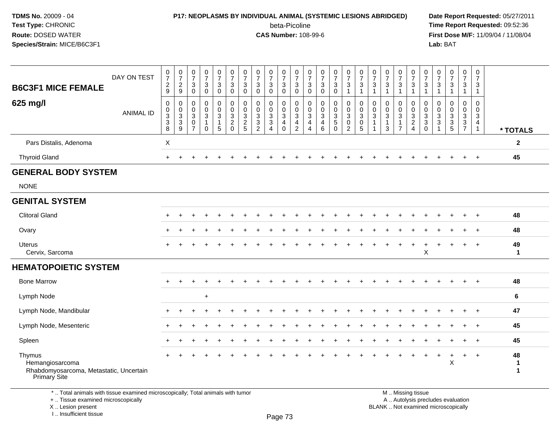## **P17: NEOPLASMS BY INDIVIDUAL ANIMAL (SYSTEMIC LESIONS ABRIDGED) Date Report Requested:** 05/27/2011

beta-Picoline<br>CAS Number: 108-99-6

 **Time Report Requested:** 09:52:36 **First Dose M/F:** 11/09/04 / 11/08/04<br>Lab: BAT **Lab:** BAT

| <b>B6C3F1 MICE FEMALE</b><br>625 mg/l                                                | DAY ON TEST<br><b>ANIMAL ID</b> | $\frac{0}{7}$<br>$\overline{c}$<br>9<br>$\mathsf{O}\xspace$<br>$\pmb{0}$<br>$\frac{3}{8}$ | $\frac{0}{7}$<br>$\frac{2}{9}$<br>$\mathbf 0$<br>0<br>$\ensuremath{\mathsf{3}}$<br>$\ensuremath{\mathsf{3}}$ | $\frac{0}{7}$<br>$\mathbf 3$<br>$\Omega$<br>$\mathbf 0$<br>$\mathbf 0$<br>$\mathbf 3$<br>$\mathbf 0$ | $\frac{0}{7}$<br>$\mathsf 3$<br>$\mathbf 0$<br>0<br>$\mathbf 0$<br>$\mathbf{3}$<br>$\mathbf{1}$ | $\frac{0}{7}$<br>$\mathbf{3}$<br>$\mathbf 0$<br>$\pmb{0}$<br>$\mathbf 0$<br>$\mathbf{3}$<br>$\mathbf{1}$ | $\frac{0}{7}$<br>$\mathbf{3}$<br>$\mathbf 0$<br>$\mathbf 0$<br>0<br>$\frac{3}{2}$ | $\begin{array}{c} 0 \\ 7 \end{array}$<br>$\ensuremath{\mathsf{3}}$<br>$\mathbf{0}$<br>0<br>0<br>$\frac{3}{2}$ | $\frac{0}{7}$<br>$\ensuremath{\mathsf{3}}$<br>$\mathbf 0$<br>$\mathbf 0$<br>$\mathbf 0$<br>$\frac{3}{2}$ | $\frac{0}{7}$<br>$\mathbf 3$<br>$\mathbf 0$<br>0<br>$\mathbf 0$<br>$\sqrt{3}$<br>$\sqrt{3}$ | $\frac{0}{7}$<br>$\ensuremath{\mathsf{3}}$<br>$\Omega$<br>$\pmb{0}$<br>$\mathsf 0$<br>$\sqrt{3}$<br>$\overline{a}$ | 0<br>$\overline{7}$<br>$\ensuremath{\mathsf{3}}$<br>$\mathbf 0$<br>0<br>$\mathbf 0$<br>3<br>4 | $\frac{0}{7}$<br>$\sqrt{3}$<br>$\Omega$<br>0<br>$\mathbf 0$<br>$\sqrt{3}$<br>$\overline{a}$ | $\frac{0}{7}$<br>$\sqrt{3}$<br>$\Omega$<br>0<br>$\pmb{0}$<br>$\mathbf{3}$<br>$\overline{4}$ | $\frac{0}{7}$<br>$\ensuremath{\mathsf{3}}$<br>$\mathbf 0$<br>0<br>0<br>$\ensuremath{\mathsf{3}}$<br>$\,$ 5 $\,$ | $\frac{0}{7}$<br>$\mathbf{3}$<br>$\overline{1}$<br>$\mathbf 0$<br>$\mathbf 0$<br>$\mathbf 3$<br>$\mathbf 0$ | $\frac{0}{7}$<br>$\sqrt{3}$<br>$\mathbf{1}$<br>0<br>0<br>$\mathbf{3}$<br>$\pmb{0}$ | $\frac{0}{7}$<br>$\ensuremath{\mathsf{3}}$<br>$\mathbf{1}$<br>$\boldsymbol{0}$<br>$\mathbf 0$<br>$\sqrt{3}$<br>$\mathbf{1}$ | $\frac{0}{7}$<br>$\mathbf{3}$<br>$\mathbf 1$<br>0<br>$\mathbf 0$<br>$\mathbf{3}$<br>$\mathbf{1}$ | $\frac{0}{7}$<br>$\ensuremath{\mathsf{3}}$<br>$\mathbf{1}$<br>0<br>$_3^0$<br>$\mathbf{1}$ | $\begin{array}{c} 0 \\ 7 \end{array}$<br>$\ensuremath{\mathsf{3}}$<br>$\mathbf{1}$<br>0<br>$\mathbf 0$<br>$\frac{3}{2}$ | $\frac{0}{7}$<br>3<br>$\overline{1}$<br>0<br>$\mathbf 0$<br>$\sqrt{3}$<br>$_0^3$ | $\frac{0}{7}$<br>$\ensuremath{\mathsf{3}}$<br>$\overline{1}$<br>0<br>$\mathbf 0$<br>$\sqrt{3}$<br>$\sqrt{3}$ | $\frac{0}{7}$<br>$\mathbf{3}$<br>1<br>0<br>$\mathbf 0$<br>$\mathbf{3}$<br>$\frac{3}{5}$ | $\mathbf 0$<br>$\overline{7}$<br>$\mathbf{3}$<br>$\mathbf{1}$<br>0<br>0<br>$\ensuremath{\mathsf{3}}$<br>$\frac{3}{7}$ | $\pmb{0}$<br>$\overline{7}$<br>$\mathbf{3}$<br>$\mathbf{1}$<br>0<br>$\mathbf 0$<br>$\mathbf{3}$<br>$\overline{4}$ |                                   |
|--------------------------------------------------------------------------------------|---------------------------------|-------------------------------------------------------------------------------------------|--------------------------------------------------------------------------------------------------------------|------------------------------------------------------------------------------------------------------|-------------------------------------------------------------------------------------------------|----------------------------------------------------------------------------------------------------------|-----------------------------------------------------------------------------------|---------------------------------------------------------------------------------------------------------------|----------------------------------------------------------------------------------------------------------|---------------------------------------------------------------------------------------------|--------------------------------------------------------------------------------------------------------------------|-----------------------------------------------------------------------------------------------|---------------------------------------------------------------------------------------------|---------------------------------------------------------------------------------------------|-----------------------------------------------------------------------------------------------------------------|-------------------------------------------------------------------------------------------------------------|------------------------------------------------------------------------------------|-----------------------------------------------------------------------------------------------------------------------------|--------------------------------------------------------------------------------------------------|-------------------------------------------------------------------------------------------|-------------------------------------------------------------------------------------------------------------------------|----------------------------------------------------------------------------------|--------------------------------------------------------------------------------------------------------------|-----------------------------------------------------------------------------------------|-----------------------------------------------------------------------------------------------------------------------|-------------------------------------------------------------------------------------------------------------------|-----------------------------------|
|                                                                                      |                                 |                                                                                           | $\overline{9}$                                                                                               | $\overline{7}$                                                                                       | $\mathbf 0$                                                                                     | 5                                                                                                        | $\mathbf 0$                                                                       |                                                                                                               |                                                                                                          | $\overline{4}$                                                                              | $\mathbf 0$                                                                                                        | $\overline{c}$                                                                                | $\overline{4}$                                                                              | $6\phantom{a}$                                                                              | $\mathbf 0$                                                                                                     | $\overline{2}$                                                                                              | 5                                                                                  | $\mathbf{1}$                                                                                                                | 3                                                                                                | $\overline{7}$                                                                            |                                                                                                                         |                                                                                  | $\overline{1}$                                                                                               |                                                                                         |                                                                                                                       | $\mathbf{1}$                                                                                                      | * TOTALS                          |
| Pars Distalis, Adenoma                                                               |                                 | X                                                                                         |                                                                                                              |                                                                                                      |                                                                                                 |                                                                                                          |                                                                                   |                                                                                                               |                                                                                                          |                                                                                             |                                                                                                                    |                                                                                               |                                                                                             |                                                                                             |                                                                                                                 |                                                                                                             |                                                                                    |                                                                                                                             |                                                                                                  |                                                                                           |                                                                                                                         |                                                                                  |                                                                                                              |                                                                                         |                                                                                                                       |                                                                                                                   | $\mathbf{2}$                      |
| <b>Thyroid Gland</b>                                                                 |                                 | $\ddot{}$                                                                                 |                                                                                                              |                                                                                                      |                                                                                                 |                                                                                                          |                                                                                   |                                                                                                               |                                                                                                          |                                                                                             |                                                                                                                    |                                                                                               |                                                                                             |                                                                                             |                                                                                                                 |                                                                                                             |                                                                                    |                                                                                                                             |                                                                                                  |                                                                                           |                                                                                                                         |                                                                                  |                                                                                                              |                                                                                         | $\ddot{}$                                                                                                             | $\overline{+}$                                                                                                    | 45                                |
| <b>GENERAL BODY SYSTEM</b>                                                           |                                 |                                                                                           |                                                                                                              |                                                                                                      |                                                                                                 |                                                                                                          |                                                                                   |                                                                                                               |                                                                                                          |                                                                                             |                                                                                                                    |                                                                                               |                                                                                             |                                                                                             |                                                                                                                 |                                                                                                             |                                                                                    |                                                                                                                             |                                                                                                  |                                                                                           |                                                                                                                         |                                                                                  |                                                                                                              |                                                                                         |                                                                                                                       |                                                                                                                   |                                   |
| <b>NONE</b>                                                                          |                                 |                                                                                           |                                                                                                              |                                                                                                      |                                                                                                 |                                                                                                          |                                                                                   |                                                                                                               |                                                                                                          |                                                                                             |                                                                                                                    |                                                                                               |                                                                                             |                                                                                             |                                                                                                                 |                                                                                                             |                                                                                    |                                                                                                                             |                                                                                                  |                                                                                           |                                                                                                                         |                                                                                  |                                                                                                              |                                                                                         |                                                                                                                       |                                                                                                                   |                                   |
| <b>GENITAL SYSTEM</b>                                                                |                                 |                                                                                           |                                                                                                              |                                                                                                      |                                                                                                 |                                                                                                          |                                                                                   |                                                                                                               |                                                                                                          |                                                                                             |                                                                                                                    |                                                                                               |                                                                                             |                                                                                             |                                                                                                                 |                                                                                                             |                                                                                    |                                                                                                                             |                                                                                                  |                                                                                           |                                                                                                                         |                                                                                  |                                                                                                              |                                                                                         |                                                                                                                       |                                                                                                                   |                                   |
| <b>Clitoral Gland</b>                                                                |                                 |                                                                                           |                                                                                                              |                                                                                                      |                                                                                                 |                                                                                                          |                                                                                   |                                                                                                               |                                                                                                          |                                                                                             |                                                                                                                    |                                                                                               |                                                                                             |                                                                                             |                                                                                                                 |                                                                                                             |                                                                                    |                                                                                                                             |                                                                                                  |                                                                                           |                                                                                                                         |                                                                                  |                                                                                                              |                                                                                         |                                                                                                                       | $\ddot{}$                                                                                                         | 48                                |
| Ovary                                                                                |                                 |                                                                                           |                                                                                                              |                                                                                                      |                                                                                                 |                                                                                                          |                                                                                   |                                                                                                               |                                                                                                          |                                                                                             |                                                                                                                    |                                                                                               |                                                                                             |                                                                                             |                                                                                                                 |                                                                                                             |                                                                                    |                                                                                                                             |                                                                                                  |                                                                                           |                                                                                                                         |                                                                                  |                                                                                                              |                                                                                         |                                                                                                                       | $\overline{ }$                                                                                                    | 48                                |
| <b>Uterus</b><br>Cervix, Sarcoma                                                     |                                 |                                                                                           |                                                                                                              |                                                                                                      |                                                                                                 |                                                                                                          |                                                                                   |                                                                                                               |                                                                                                          |                                                                                             |                                                                                                                    |                                                                                               |                                                                                             |                                                                                             |                                                                                                                 |                                                                                                             |                                                                                    |                                                                                                                             |                                                                                                  |                                                                                           | ÷.                                                                                                                      | +<br>X                                                                           |                                                                                                              |                                                                                         |                                                                                                                       | $\overline{ }$                                                                                                    | 49<br>$\mathbf{1}$                |
| <b>HEMATOPOIETIC SYSTEM</b>                                                          |                                 |                                                                                           |                                                                                                              |                                                                                                      |                                                                                                 |                                                                                                          |                                                                                   |                                                                                                               |                                                                                                          |                                                                                             |                                                                                                                    |                                                                                               |                                                                                             |                                                                                             |                                                                                                                 |                                                                                                             |                                                                                    |                                                                                                                             |                                                                                                  |                                                                                           |                                                                                                                         |                                                                                  |                                                                                                              |                                                                                         |                                                                                                                       |                                                                                                                   |                                   |
| <b>Bone Marrow</b>                                                                   |                                 |                                                                                           |                                                                                                              |                                                                                                      |                                                                                                 |                                                                                                          |                                                                                   |                                                                                                               |                                                                                                          |                                                                                             |                                                                                                                    |                                                                                               |                                                                                             |                                                                                             |                                                                                                                 |                                                                                                             |                                                                                    |                                                                                                                             |                                                                                                  |                                                                                           |                                                                                                                         |                                                                                  |                                                                                                              |                                                                                         |                                                                                                                       | $\ddot{}$                                                                                                         | 48                                |
| Lymph Node                                                                           |                                 |                                                                                           |                                                                                                              |                                                                                                      | $\ddot{}$                                                                                       |                                                                                                          |                                                                                   |                                                                                                               |                                                                                                          |                                                                                             |                                                                                                                    |                                                                                               |                                                                                             |                                                                                             |                                                                                                                 |                                                                                                             |                                                                                    |                                                                                                                             |                                                                                                  |                                                                                           |                                                                                                                         |                                                                                  |                                                                                                              |                                                                                         |                                                                                                                       |                                                                                                                   | 6                                 |
| Lymph Node, Mandibular                                                               |                                 |                                                                                           |                                                                                                              |                                                                                                      |                                                                                                 |                                                                                                          |                                                                                   |                                                                                                               |                                                                                                          |                                                                                             |                                                                                                                    |                                                                                               |                                                                                             |                                                                                             |                                                                                                                 |                                                                                                             |                                                                                    |                                                                                                                             |                                                                                                  |                                                                                           |                                                                                                                         |                                                                                  |                                                                                                              |                                                                                         |                                                                                                                       |                                                                                                                   | 47                                |
| Lymph Node, Mesenteric                                                               |                                 | $\ddot{}$                                                                                 |                                                                                                              |                                                                                                      |                                                                                                 |                                                                                                          |                                                                                   |                                                                                                               |                                                                                                          |                                                                                             |                                                                                                                    |                                                                                               |                                                                                             |                                                                                             |                                                                                                                 |                                                                                                             |                                                                                    |                                                                                                                             |                                                                                                  |                                                                                           |                                                                                                                         |                                                                                  |                                                                                                              |                                                                                         | $\ddot{}$                                                                                                             | $+$                                                                                                               | 45                                |
| Spleen                                                                               |                                 |                                                                                           |                                                                                                              |                                                                                                      |                                                                                                 |                                                                                                          |                                                                                   |                                                                                                               |                                                                                                          |                                                                                             |                                                                                                                    |                                                                                               |                                                                                             |                                                                                             |                                                                                                                 |                                                                                                             |                                                                                    |                                                                                                                             |                                                                                                  |                                                                                           |                                                                                                                         |                                                                                  |                                                                                                              |                                                                                         |                                                                                                                       | $\overline{ }$                                                                                                    | 45                                |
| Thymus<br>Hemangiosarcoma<br>Rhabdomyosarcoma, Metastatic, Uncertain<br>Primary Site |                                 |                                                                                           |                                                                                                              |                                                                                                      |                                                                                                 |                                                                                                          |                                                                                   |                                                                                                               |                                                                                                          |                                                                                             |                                                                                                                    |                                                                                               |                                                                                             |                                                                                             |                                                                                                                 |                                                                                                             |                                                                                    |                                                                                                                             |                                                                                                  |                                                                                           |                                                                                                                         |                                                                                  | ÷                                                                                                            | $\ddot{}$<br>X                                                                          | $+$                                                                                                                   | $\ddot{}$                                                                                                         | 48<br>$\mathbf 1$<br>$\mathbf{1}$ |

\* .. Total animals with tissue examined microscopically; Total animals with tumor

+ .. Tissue examined microscopically

X .. Lesion present

I .. Insufficient tissue

 M .. Missing tissuey the contract of the contract of the contract of the contract of the contract of  $\mathsf A$  . Autolysis precludes evaluation

Lesion present BLANK .. Not examined microscopically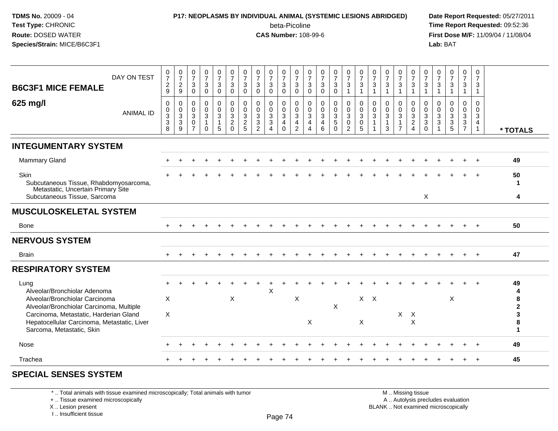### **P17: NEOPLASMS BY INDIVIDUAL ANIMAL (SYSTEMIC LESIONS ABRIDGED) Date Report Requested:** 05/27/2011

beta-Picoline<br>CAS Number: 108-99-6

 **Time Report Requested:** 09:52:36 **First Dose M/F:** 11/09/04 / 11/08/04<br>Lab: BAT **Lab:** BAT

| DAY ON TEST<br><b>B6C3F1 MICE FEMALE</b>                                                                                                                       | $\frac{0}{7}$<br>$\boldsymbol{2}$<br>$9\,$                      | $\frac{0}{7}$<br>$\overline{c}$<br>9                             | $\frac{0}{7}$<br>$\mathbf{3}$<br>$\mathbf 0$                  | $\frac{0}{7}$<br>$\mathbf{3}$<br>$\mathbf 0$ | $\frac{0}{7}$<br>$\mathsf 3$<br>0                           | $\frac{0}{7}$<br>$\sqrt{3}$<br>$\mathbf 0$                               | 0<br>$\overline{7}$<br>3<br>$\mathbf 0$      | $\frac{0}{7}$<br>$\mathbf{3}$<br>$\mathbf 0$           | $\frac{0}{7}$<br>$\sqrt{3}$<br>$\mathbf 0$ | $\begin{smallmatrix}0\\7\end{smallmatrix}$<br>$\sqrt{3}$<br>0 | 0<br>$\overline{7}$<br>$\sqrt{3}$<br>$\mathbf 0$      | $\frac{0}{7}$<br>3<br>$\mathbf 0$                                  | $\frac{0}{7}$<br>$\mathbf{3}$<br>$\mathbf 0$                    | $\frac{0}{7}$<br>3<br>0                | $\frac{0}{7}$<br>$\mathbf{3}$<br>$\overline{1}$        | $\frac{0}{7}$<br>$\sqrt{3}$                                | $\frac{0}{7}$<br>$\mathbf 3$<br>$\overline{1}$ | $\frac{0}{7}$<br>$\sqrt{3}$<br>$\mathbf{1}$           | $\frac{0}{7}$<br>3<br>1                 | $\frac{0}{7}$<br>$\mathbf{3}$<br>$\overline{1}$                      | $\boldsymbol{0}$<br>$\overline{7}$<br>$\sqrt{3}$<br>1                   | 0<br>$\overline{7}$<br>$\mathbf{3}$<br>-1      | $\frac{0}{7}$<br>$\sqrt{3}$<br>$\mathbf{1}$ | 0<br>$\overline{7}$<br>3<br>1                | 0<br>$\overline{7}$<br>$\mathbf{3}$<br>$\mathbf{1}$                |             |
|----------------------------------------------------------------------------------------------------------------------------------------------------------------|-----------------------------------------------------------------|------------------------------------------------------------------|---------------------------------------------------------------|----------------------------------------------|-------------------------------------------------------------|--------------------------------------------------------------------------|----------------------------------------------|--------------------------------------------------------|--------------------------------------------|---------------------------------------------------------------|-------------------------------------------------------|--------------------------------------------------------------------|-----------------------------------------------------------------|----------------------------------------|--------------------------------------------------------|------------------------------------------------------------|------------------------------------------------|-------------------------------------------------------|-----------------------------------------|----------------------------------------------------------------------|-------------------------------------------------------------------------|------------------------------------------------|---------------------------------------------|----------------------------------------------|--------------------------------------------------------------------|-------------|
| 625 mg/l<br><b>ANIMAL ID</b>                                                                                                                                   | $\mathbf 0$<br>$\mathbf 0$<br>$\overline{3}$<br>$\sqrt{3}$<br>8 | 0<br>$\mathbf 0$<br>$\ensuremath{\mathsf{3}}$<br>$\sqrt{3}$<br>9 | $\mathbf 0$<br>$\mathbf 0$<br>3<br>$\Omega$<br>$\overline{7}$ | 0<br>$\mathbf 0$<br>3<br>$\Omega$            | $\pmb{0}$<br>$\pmb{0}$<br>$\mathbf{3}$<br>$\mathbf{1}$<br>5 | $\pmb{0}$<br>$\ddot{\mathbf{0}}$<br>$\sqrt{3}$<br>$\sqrt{2}$<br>$\Omega$ | 0<br>$\mathbf 0$<br>3<br>$\overline{2}$<br>5 | $\mathbf 0$<br>$\mathbf 0$<br>3<br>3<br>$\overline{2}$ | 0<br>0<br>3<br>3<br>4                      | 0<br>$\mathsf{O}\xspace$<br>3<br>$\overline{4}$<br>$\Omega$   | 0<br>$\mathbf 0$<br>$\sqrt{3}$<br>4<br>$\overline{2}$ | 0<br>$\mathbf 0$<br>$\sqrt{3}$<br>$\overline{4}$<br>$\overline{4}$ | $\pmb{0}$<br>$\mathsf 0$<br>$\mathbf{3}$<br>$\overline{a}$<br>6 | 0<br>$\mathbf 0$<br>3<br>5<br>$\Omega$ | 0<br>$\mathbf 0$<br>3<br>$\mathbf 0$<br>$\overline{2}$ | 0<br>$\ddot{\mathbf{0}}$<br>$\sqrt{3}$<br>$\mathbf 0$<br>5 | 0<br>$\mathbf 0$<br>$\mathbf 3$                | 0<br>$\mathbf 0$<br>$\mathbf{3}$<br>$\mathbf{1}$<br>3 | 0<br>$\mathbf 0$<br>3<br>$\overline{7}$ | 0<br>$\pmb{0}$<br>$\overline{3}$<br>$\overline{c}$<br>$\overline{4}$ | 0<br>$\mathbf 0$<br>$\ensuremath{\mathsf{3}}$<br>$\sqrt{3}$<br>$\Omega$ | 0<br>$\mathbf 0$<br>$\sqrt{3}$<br>$\mathbf{3}$ | 0<br>$\mathbf 0$<br>3<br>$\mathbf{3}$<br>5  | 0<br>$\mathbf 0$<br>3<br>3<br>$\overline{7}$ | 0<br>$\mathbf 0$<br>$\mathbf{3}$<br>$\overline{4}$<br>$\mathbf{1}$ | * TOTALS    |
| <b>INTEGUMENTARY SYSTEM</b>                                                                                                                                    |                                                                 |                                                                  |                                                               |                                              |                                                             |                                                                          |                                              |                                                        |                                            |                                                               |                                                       |                                                                    |                                                                 |                                        |                                                        |                                                            |                                                |                                                       |                                         |                                                                      |                                                                         |                                                |                                             |                                              |                                                                    |             |
| <b>Mammary Gland</b>                                                                                                                                           |                                                                 |                                                                  |                                                               |                                              |                                                             |                                                                          |                                              |                                                        |                                            |                                                               |                                                       |                                                                    |                                                                 |                                        |                                                        |                                                            |                                                |                                                       |                                         |                                                                      |                                                                         |                                                |                                             |                                              |                                                                    | 49          |
| Skin<br>Subcutaneous Tissue, Rhabdomyosarcoma,<br>Metastatic, Uncertain Primary Site                                                                           |                                                                 |                                                                  |                                                               |                                              |                                                             |                                                                          |                                              |                                                        |                                            |                                                               |                                                       |                                                                    |                                                                 |                                        |                                                        |                                                            |                                                |                                                       |                                         |                                                                      |                                                                         |                                                |                                             |                                              |                                                                    | 50<br>-1    |
| Subcutaneous Tissue, Sarcoma                                                                                                                                   |                                                                 |                                                                  |                                                               |                                              |                                                             |                                                                          |                                              |                                                        |                                            |                                                               |                                                       |                                                                    |                                                                 |                                        |                                                        |                                                            |                                                |                                                       |                                         |                                                                      | X                                                                       |                                                |                                             |                                              |                                                                    | 4           |
| <b>MUSCULOSKELETAL SYSTEM</b>                                                                                                                                  |                                                                 |                                                                  |                                                               |                                              |                                                             |                                                                          |                                              |                                                        |                                            |                                                               |                                                       |                                                                    |                                                                 |                                        |                                                        |                                                            |                                                |                                                       |                                         |                                                                      |                                                                         |                                                |                                             |                                              |                                                                    |             |
| Bone                                                                                                                                                           |                                                                 |                                                                  |                                                               |                                              |                                                             |                                                                          |                                              |                                                        |                                            |                                                               |                                                       |                                                                    |                                                                 |                                        |                                                        |                                                            |                                                |                                                       |                                         |                                                                      |                                                                         |                                                |                                             |                                              |                                                                    | 50          |
| <b>NERVOUS SYSTEM</b>                                                                                                                                          |                                                                 |                                                                  |                                                               |                                              |                                                             |                                                                          |                                              |                                                        |                                            |                                                               |                                                       |                                                                    |                                                                 |                                        |                                                        |                                                            |                                                |                                                       |                                         |                                                                      |                                                                         |                                                |                                             |                                              |                                                                    |             |
| <b>Brain</b>                                                                                                                                                   |                                                                 |                                                                  |                                                               |                                              |                                                             |                                                                          |                                              |                                                        |                                            |                                                               |                                                       |                                                                    |                                                                 |                                        |                                                        |                                                            |                                                |                                                       |                                         |                                                                      |                                                                         |                                                |                                             |                                              |                                                                    | 47          |
| <b>RESPIRATORY SYSTEM</b>                                                                                                                                      |                                                                 |                                                                  |                                                               |                                              |                                                             |                                                                          |                                              |                                                        |                                            |                                                               |                                                       |                                                                    |                                                                 |                                        |                                                        |                                                            |                                                |                                                       |                                         |                                                                      |                                                                         |                                                |                                             |                                              |                                                                    |             |
| Lung<br>Alveolar/Bronchiolar Adenoma<br>Alveolar/Bronchiolar Carcinoma                                                                                         | X                                                               |                                                                  |                                                               |                                              |                                                             | X                                                                        |                                              |                                                        | X                                          |                                                               | $\mathsf X$                                           |                                                                    |                                                                 |                                        |                                                        | $X$ $X$                                                    |                                                |                                                       |                                         |                                                                      |                                                                         |                                                | $\boldsymbol{\mathsf{X}}$                   |                                              |                                                                    | 49<br>8     |
| Alveolar/Bronchiolar Carcinoma, Multiple<br>Carcinoma, Metastatic, Harderian Gland<br>Hepatocellular Carcinoma, Metastatic, Liver<br>Sarcoma, Metastatic, Skin | X                                                               |                                                                  |                                                               |                                              |                                                             |                                                                          |                                              |                                                        |                                            |                                                               |                                                       | X                                                                  |                                                                 | X                                      |                                                        | X                                                          |                                                |                                                       |                                         | $X$ $X$<br>$\times$                                                  |                                                                         |                                                |                                             |                                              |                                                                    | 2<br>3<br>8 |
| Nose                                                                                                                                                           |                                                                 |                                                                  |                                                               |                                              |                                                             |                                                                          |                                              |                                                        |                                            |                                                               |                                                       |                                                                    |                                                                 |                                        |                                                        |                                                            |                                                |                                                       |                                         |                                                                      |                                                                         |                                                |                                             |                                              |                                                                    | 49          |
| Trachea                                                                                                                                                        |                                                                 |                                                                  |                                                               |                                              |                                                             |                                                                          |                                              |                                                        |                                            |                                                               |                                                       |                                                                    |                                                                 |                                        |                                                        |                                                            |                                                |                                                       |                                         |                                                                      |                                                                         |                                                |                                             |                                              |                                                                    | 45          |
|                                                                                                                                                                |                                                                 |                                                                  |                                                               |                                              |                                                             |                                                                          |                                              |                                                        |                                            |                                                               |                                                       |                                                                    |                                                                 |                                        |                                                        |                                                            |                                                |                                                       |                                         |                                                                      |                                                                         |                                                |                                             |                                              |                                                                    |             |

#### **SPECIAL SENSES SYSTEM**

\* .. Total animals with tissue examined microscopically; Total animals with tumor

+ .. Tissue examined microscopically

 Lesion present BLANK .. Not examined microscopicallyX .. Lesion present

I .. Insufficient tissue

 M .. Missing tissuey the contract of the contract of the contract of the contract of the contract of  $\mathsf A$  . Autolysis precludes evaluation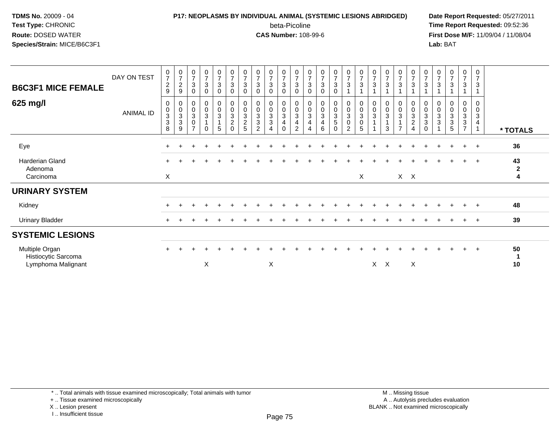# **P17: NEOPLASMS BY INDIVIDUAL ANIMAL (SYSTEMIC LESIONS ABRIDGED) Date Report Requested:** 05/27/2011

beta-Picoline<br>CAS Number: 108-99-6

 **Time Report Requested:** 09:52:36 **First Dose M/F:** 11/09/04 / 11/08/04<br>Lab: BAT **Lab:** BAT

| <b>B6C3F1 MICE FEMALE</b><br>625 mg/l                       | DAY ON TEST<br>ANIMAL ID | $\mathbf 0$<br>$\overline{7}$<br>$\overline{c}$<br>9<br>0<br>$\pmb{0}$<br>3<br>3<br>8 | $\begin{array}{c} 0 \\ 7 \\ 2 \end{array}$<br>9<br>$\pmb{0}$<br>$\frac{0}{3}$<br>9 | $\frac{0}{7}$<br>$\mathbf{3}$<br>$\mathbf 0$<br>0<br>$\pmb{0}$<br>$\ensuremath{\mathsf{3}}$<br>0<br>$\overline{ }$ | $\frac{0}{7}$<br>$\mathbf{3}$<br>0<br>0<br>0<br>3<br>$\Omega$ | $\frac{0}{7}$<br>$\mathbf{3}$<br>$\mathbf 0$<br>$\begin{smallmatrix}0\\0\\3\end{smallmatrix}$<br>$\overline{1}$<br>5 | $\frac{0}{7}$<br>3<br>0<br>0<br>$\pmb{0}$<br>$\sqrt{3}$<br>$\overline{c}$<br>$\Omega$ | $\frac{0}{7}$<br>$\ensuremath{\mathsf{3}}$<br>$\mathbf 0$<br>$\mathbf 0$<br>$\pmb{0}$<br>$\sqrt{3}$<br>$\overline{c}$<br>5 | $\frac{0}{7}$<br>$\mathbf{3}$<br>$\Omega$<br>0<br>$\pmb{0}$<br>$\mathbf{3}$<br>$\ensuremath{\mathsf{3}}$<br>$\overline{2}$ | $\frac{0}{7}$<br>$\mathbf{3}$<br>0<br>0<br>0<br>$\sqrt{3}$<br>$\sqrt{3}$<br>$\overline{4}$ | $\frac{0}{7}$<br>$\sqrt{3}$<br>$\mathbf 0$<br>$\begin{smallmatrix} 0\\0\\3 \end{smallmatrix}$<br>$\overline{4}$<br>$\Omega$ | $\frac{0}{7}$<br>3<br>0<br>0<br>$\pmb{0}$<br>$\ensuremath{\mathsf{3}}$<br>4<br>2 | $\frac{0}{7}$<br>3<br>0<br>0<br>$\pmb{0}$<br>$\ensuremath{\mathsf{3}}$<br>4<br>4 | $\frac{0}{7}$<br>$\mathbf{3}$<br>0<br>0<br>0<br>3<br>4<br>6 | $\frac{0}{7}$<br>$\sqrt{3}$<br>$\mathbf 0$<br>0<br>$\pmb{0}$<br>$\ensuremath{\mathsf{3}}$<br>$\,$ 5 $\,$<br>$\Omega$ | $\frac{0}{7}$<br>3<br>$\begin{smallmatrix} 0\\0 \end{smallmatrix}$<br>$\sqrt{3}$<br>$\pmb{0}$<br>2 | $\frac{0}{7}$<br>$\mathbf{3}$<br>0<br>$\pmb{0}$<br>$\ensuremath{\mathsf{3}}$<br>$\mathbf 0$<br>5 | $\frac{0}{7}$<br>3<br>0<br>$\pmb{0}$<br>$\sqrt{3}$ | $\frac{0}{7}$<br>3<br>0<br>0<br>3<br>3 | $\frac{0}{7}$<br>$\mathbf{3}$<br>$_{\rm 0}^{\rm 0}$<br>$\mathfrak{S}$<br>$\overline{7}$ | $\frac{0}{7}$<br>3<br>0<br>$\pmb{0}$<br>$\mathbf{3}$<br>$\boldsymbol{2}$<br>$\overline{4}$ | $\frac{0}{7}$<br>3<br>0<br>$\pmb{0}$<br>$\sqrt{3}$<br>$\mathbf{3}$<br>$\Omega$ | $\frac{0}{7}$<br>$\sqrt{3}$<br>0<br>$\pmb{0}$<br>$\sqrt{3}$<br>$\ensuremath{\mathsf{3}}$ | $\mathbf 0$<br>$\overline{7}$<br>$\mathbf{3}$<br>$\mathbf 0$<br>$\mathbf 0$<br>$\mathbf{3}$<br>3<br>5 | $\frac{0}{7}$<br>3<br>0<br>$\pmb{0}$<br>$\sqrt{3}$<br>$\frac{3}{7}$ | 0<br>$\overline{7}$<br>3<br>0<br>$\mathbf 0$<br>$\mathbf{3}$<br>4 | * TOTALS                  |
|-------------------------------------------------------------|--------------------------|---------------------------------------------------------------------------------------|------------------------------------------------------------------------------------|--------------------------------------------------------------------------------------------------------------------|---------------------------------------------------------------|----------------------------------------------------------------------------------------------------------------------|---------------------------------------------------------------------------------------|----------------------------------------------------------------------------------------------------------------------------|----------------------------------------------------------------------------------------------------------------------------|--------------------------------------------------------------------------------------------|-----------------------------------------------------------------------------------------------------------------------------|----------------------------------------------------------------------------------|----------------------------------------------------------------------------------|-------------------------------------------------------------|----------------------------------------------------------------------------------------------------------------------|----------------------------------------------------------------------------------------------------|--------------------------------------------------------------------------------------------------|----------------------------------------------------|----------------------------------------|-----------------------------------------------------------------------------------------|--------------------------------------------------------------------------------------------|--------------------------------------------------------------------------------|------------------------------------------------------------------------------------------|-------------------------------------------------------------------------------------------------------|---------------------------------------------------------------------|-------------------------------------------------------------------|---------------------------|
| Eye                                                         |                          | $\pm$                                                                                 |                                                                                    |                                                                                                                    |                                                               |                                                                                                                      |                                                                                       |                                                                                                                            |                                                                                                                            |                                                                                            |                                                                                                                             |                                                                                  |                                                                                  |                                                             |                                                                                                                      |                                                                                                    |                                                                                                  |                                                    |                                        |                                                                                         |                                                                                            |                                                                                |                                                                                          |                                                                                                       | $+$                                                                 | $+$                                                               | 36                        |
| Harderian Gland<br>Adenoma<br>Carcinoma                     |                          | $\mathsf{X}$                                                                          |                                                                                    |                                                                                                                    |                                                               |                                                                                                                      |                                                                                       |                                                                                                                            |                                                                                                                            |                                                                                            |                                                                                                                             |                                                                                  |                                                                                  |                                                             |                                                                                                                      |                                                                                                    | $\mathsf{X}$                                                                                     |                                                    |                                        | $X$ $X$                                                                                 |                                                                                            |                                                                                |                                                                                          |                                                                                                       | $+$                                                                 | $+$                                                               | 43<br>$\overline{2}$<br>4 |
| <b>URINARY SYSTEM</b>                                       |                          |                                                                                       |                                                                                    |                                                                                                                    |                                                               |                                                                                                                      |                                                                                       |                                                                                                                            |                                                                                                                            |                                                                                            |                                                                                                                             |                                                                                  |                                                                                  |                                                             |                                                                                                                      |                                                                                                    |                                                                                                  |                                                    |                                        |                                                                                         |                                                                                            |                                                                                |                                                                                          |                                                                                                       |                                                                     |                                                                   |                           |
| Kidney                                                      |                          |                                                                                       |                                                                                    |                                                                                                                    |                                                               |                                                                                                                      |                                                                                       |                                                                                                                            |                                                                                                                            |                                                                                            |                                                                                                                             |                                                                                  |                                                                                  |                                                             |                                                                                                                      |                                                                                                    |                                                                                                  |                                                    |                                        |                                                                                         |                                                                                            |                                                                                |                                                                                          |                                                                                                       |                                                                     |                                                                   | 48                        |
| <b>Urinary Bladder</b>                                      |                          | $\ddot{}$                                                                             |                                                                                    |                                                                                                                    |                                                               |                                                                                                                      |                                                                                       |                                                                                                                            |                                                                                                                            |                                                                                            |                                                                                                                             |                                                                                  |                                                                                  |                                                             |                                                                                                                      |                                                                                                    |                                                                                                  |                                                    |                                        |                                                                                         |                                                                                            |                                                                                |                                                                                          |                                                                                                       | $\pm$                                                               | $^{+}$                                                            | 39                        |
| <b>SYSTEMIC LESIONS</b>                                     |                          |                                                                                       |                                                                                    |                                                                                                                    |                                                               |                                                                                                                      |                                                                                       |                                                                                                                            |                                                                                                                            |                                                                                            |                                                                                                                             |                                                                                  |                                                                                  |                                                             |                                                                                                                      |                                                                                                    |                                                                                                  |                                                    |                                        |                                                                                         |                                                                                            |                                                                                |                                                                                          |                                                                                                       |                                                                     |                                                                   |                           |
| Multiple Organ<br>Histiocytic Sarcoma<br>Lymphoma Malignant |                          | ÷                                                                                     |                                                                                    |                                                                                                                    | X                                                             |                                                                                                                      |                                                                                       |                                                                                                                            |                                                                                                                            | X                                                                                          |                                                                                                                             |                                                                                  |                                                                                  |                                                             |                                                                                                                      |                                                                                                    |                                                                                                  | $X$ $X$                                            |                                        |                                                                                         | X                                                                                          |                                                                                |                                                                                          |                                                                                                       |                                                                     | $+$                                                               | 50<br>1<br>10             |

I .. Insufficient tissue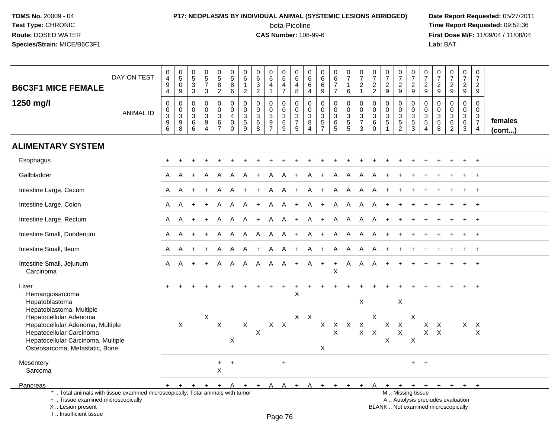# **P17: NEOPLASMS BY INDIVIDUAL ANIMAL (SYSTEMIC LESIONS ABRIDGED) Date Report Requested:** 05/27/2011 beta-Picoline<br>CAS Number: 108-99-6

| <b>B6C3F1 MICE FEMALE</b>                                                                                                                                           | DAY ON TEST      | $\,0\,$<br>$\overline{4}$<br>$\boldsymbol{9}$<br>$\overline{4}$        | $\begin{array}{c} 0 \\ 5 \\ 0 \end{array}$<br>9                              | $\begin{smallmatrix}0\5\3\end{smallmatrix}$<br>3                               | $\begin{array}{c} 0 \\ 5 \\ 7 \end{array}$<br>3                                  | $\begin{array}{c} 0 \\ 5 \\ 8 \end{array}$<br>$\overline{2}$ | $\pmb{0}$<br>$\overline{5}$<br>8<br>6                                      | 0<br>$\,6\,$<br>$\mathbf{1}$<br>$\overline{c}$         | $\begin{matrix} 0 \\ 6 \\ 3 \\ 2 \end{matrix}$       | $_{6}^{\rm 0}$<br>$\overline{4}$<br>$\mathbf{1}$                  | $\pmb{0}$<br>$6\overline{6}$<br>4<br>$\overline{7}$ | $\pmb{0}$<br>6<br>$\overline{a}$<br>8          | 0<br>$\,6\,$<br>6<br>4                               | 0<br>$\,6\,$<br>6<br>9                                                                  | 0<br>$\frac{6}{7}$<br>$\overline{7}$ | $\frac{0}{7}$<br>$\mathbf{1}$<br>6                                              | $\frac{0}{7}$<br>$\boldsymbol{2}$<br>$\mathbf{1}$ | $\begin{array}{c} 0 \\ 7 \\ 2 \end{array}$<br>$\overline{2}$                              | $\begin{array}{c} 0 \\ 7 \end{array}$<br>$\overline{2}$<br>9                 | $\frac{0}{7}$<br>$\sqrt{2}$<br>9          | $\pmb{0}$<br>$\overline{7}$<br>$\overline{2}$<br>9 | $\frac{0}{7}$<br>$\overline{2}$<br>9       | $\begin{array}{c} 0 \\ 7 \end{array}$<br>$\overline{c}$<br>9 | $\begin{array}{c} 0 \\ 7 \\ 2 \end{array}$<br>9                          | $\frac{0}{7}$<br>$\overline{c}$<br>9    | $\pmb{0}$<br>$\overline{7}$<br>$\overline{2}$<br>9            |                   |
|---------------------------------------------------------------------------------------------------------------------------------------------------------------------|------------------|------------------------------------------------------------------------|------------------------------------------------------------------------------|--------------------------------------------------------------------------------|----------------------------------------------------------------------------------|--------------------------------------------------------------|----------------------------------------------------------------------------|--------------------------------------------------------|------------------------------------------------------|-------------------------------------------------------------------|-----------------------------------------------------|------------------------------------------------|------------------------------------------------------|-----------------------------------------------------------------------------------------|--------------------------------------|---------------------------------------------------------------------------------|---------------------------------------------------|-------------------------------------------------------------------------------------------|------------------------------------------------------------------------------|-------------------------------------------|----------------------------------------------------|--------------------------------------------|--------------------------------------------------------------|--------------------------------------------------------------------------|-----------------------------------------|---------------------------------------------------------------|-------------------|
| 1250 mg/l                                                                                                                                                           | <b>ANIMAL ID</b> | $\mathbf 0$<br>0<br>$\ensuremath{\mathsf{3}}$<br>$\boldsymbol{9}$<br>6 | $\pmb{0}$<br>$\pmb{0}$<br>$\ensuremath{\mathsf{3}}$<br>$\boldsymbol{9}$<br>8 | $\mathbf 0$<br>$\mathbf 0$<br>$\ensuremath{\mathsf{3}}$<br>$6\phantom{1}$<br>6 | $\mathbf 0$<br>$\mathbf 0$<br>$\mathbf{3}$<br>$\boldsymbol{9}$<br>$\overline{4}$ | $\pmb{0}$<br>$\mathbf 0$<br>$^3$ 6<br>$\overline{7}$         | $\mathbf 0$<br>$\mathbf 0$<br>$\overline{4}$<br>$\mathbf 0$<br>$\mathbf 0$ | $\mathbf 0$<br>$\mathbf 0$<br>3<br>$\overline{5}$<br>9 | $\mathbf 0$<br>$\pmb{0}$<br>$^3$ 6<br>$\overline{8}$ | $\mathbf 0$<br>$\mathbf 0$<br>$\mathbf{3}$<br>9<br>$\overline{7}$ | $\mathbf 0$<br>$\mathbf 0$<br>$\sqrt{3}$<br>6<br>9  | $\pmb{0}$<br>$\mathbf 0$<br>$\frac{3}{7}$<br>5 | $\mathbf 0$<br>$\mathbf 0$<br>$\mathbf{3}$<br>8<br>4 | $\mathbf 0$<br>$\mathbf 0$<br>$\ensuremath{\mathsf{3}}$<br>$\sqrt{5}$<br>$\overline{7}$ | 0<br>0<br>$\mathbf{3}$<br>6<br>5     | $\mathbf 0$<br>$\mathbf 0$<br>$\ensuremath{\mathsf{3}}$<br>$5\phantom{.0}$<br>5 | $\mathbf 0$<br>$\pmb{0}$<br>$\frac{3}{7}$<br>3    | $\mathbf 0$<br>$\mathbf 0$<br>$\ensuremath{\mathsf{3}}$<br>$6\phantom{1}$<br>$\mathbf{0}$ | $\mathbf 0$<br>$\mathbf 0$<br>$\sqrt{3}$<br>$\overline{5}$<br>$\overline{ }$ | 0<br>0<br>$\frac{3}{5}$<br>$\overline{2}$ | $\mathbf 0$<br>$\mathbf 0$<br>$\frac{3}{5}$<br>3   | 0<br>$\mathbf 0$<br>$\mathbf{3}$<br>5<br>4 | $\mathbf 0$<br>$\mathbf 0$<br>$\frac{3}{5}$                  | $\mathsf 0$<br>$\mathbf 0$<br>$\overline{3}$ 6<br>$\overline{2}$         | 0<br>0<br>$\frac{3}{6}$<br>$\mathbf{3}$ | $\mathbf 0$<br>$\mathbf 0$<br>$\frac{3}{7}$<br>$\overline{4}$ | females<br>(cont) |
| <b>ALIMENTARY SYSTEM</b>                                                                                                                                            |                  |                                                                        |                                                                              |                                                                                |                                                                                  |                                                              |                                                                            |                                                        |                                                      |                                                                   |                                                     |                                                |                                                      |                                                                                         |                                      |                                                                                 |                                                   |                                                                                           |                                                                              |                                           |                                                    |                                            |                                                              |                                                                          |                                         |                                                               |                   |
| Esophagus                                                                                                                                                           |                  |                                                                        |                                                                              |                                                                                |                                                                                  |                                                              |                                                                            |                                                        |                                                      |                                                                   |                                                     |                                                |                                                      |                                                                                         |                                      |                                                                                 |                                                   |                                                                                           |                                                                              |                                           |                                                    |                                            |                                                              |                                                                          |                                         |                                                               |                   |
| Gallbladder                                                                                                                                                         |                  | A                                                                      | A                                                                            |                                                                                | A                                                                                | A                                                            | A                                                                          | A                                                      |                                                      | A                                                                 | A                                                   |                                                | A                                                    |                                                                                         | A                                    | A                                                                               | A                                                 | A                                                                                         |                                                                              |                                           |                                                    |                                            |                                                              |                                                                          |                                         |                                                               |                   |
| Intestine Large, Cecum                                                                                                                                              |                  | A                                                                      | A                                                                            |                                                                                | $\ddot{}$                                                                        | A                                                            | A                                                                          |                                                        |                                                      | A                                                                 | A                                                   | $+$                                            | A                                                    | $+$                                                                                     | A                                    | A                                                                               | A                                                 | A                                                                                         |                                                                              |                                           |                                                    |                                            |                                                              |                                                                          |                                         |                                                               |                   |
| Intestine Large, Colon                                                                                                                                              |                  | A                                                                      | A                                                                            | $\pm$                                                                          | $+$                                                                              | A                                                            | A                                                                          | A                                                      | $+$                                                  | A                                                                 | A +                                                 |                                                |                                                      | A +                                                                                     | <b>A</b>                             | <b>A</b>                                                                        | A.                                                | A                                                                                         |                                                                              |                                           |                                                    |                                            |                                                              |                                                                          |                                         |                                                               |                   |
| Intestine Large, Rectum                                                                                                                                             |                  | A                                                                      | A                                                                            | $+$                                                                            | $+$                                                                              | A                                                            | $\mathsf{A}$                                                               | A                                                      | $\ddot{}$                                            | A                                                                 | A                                                   | $+$                                            | A                                                    | $+$                                                                                     | $\mathsf{A}$                         | A                                                                               | A                                                 | A                                                                                         |                                                                              | $\ddot{}$                                 |                                                    |                                            |                                                              |                                                                          |                                         | $+$                                                           |                   |
| Intestine Small, Duodenum                                                                                                                                           |                  | A                                                                      | A                                                                            |                                                                                | $+$                                                                              | A                                                            | A                                                                          | A                                                      | A                                                    | $\mathsf{A}$                                                      | <b>A</b>                                            | $+$                                            | A                                                    | $+$                                                                                     | <b>A</b>                             |                                                                                 | A A                                               | A                                                                                         | $+$                                                                          |                                           |                                                    |                                            |                                                              |                                                                          |                                         | $+$                                                           |                   |
| Intestine Small, Ileum                                                                                                                                              |                  | A                                                                      | A                                                                            |                                                                                | $+$                                                                              | A                                                            | A                                                                          | A                                                      | $\ddot{}$                                            | A                                                                 | A                                                   | $+$                                            | A                                                    | $+$                                                                                     | $\mathsf{A}$                         | $\overline{A}$                                                                  | $\mathsf{A}$                                      | A                                                                                         | $\ddot{}$                                                                    |                                           |                                                    |                                            |                                                              |                                                                          | $+$                                     | $\ddot{}$                                                     |                   |
| Intestine Small, Jejunum<br>Carcinoma                                                                                                                               |                  | A                                                                      | A                                                                            |                                                                                |                                                                                  | A                                                            | A                                                                          |                                                        | A A                                                  | AA                                                                |                                                     | $+$                                            |                                                      | $A +$                                                                                   | $+$<br>X                             | $\mathsf{A}$                                                                    | $\mathsf{A}$                                      | A                                                                                         |                                                                              |                                           |                                                    |                                            |                                                              |                                                                          |                                         |                                                               |                   |
| Liver<br>Hemangiosarcoma<br>Hepatoblastoma<br>Hepatoblastoma, Multiple                                                                                              |                  |                                                                        |                                                                              |                                                                                |                                                                                  |                                                              |                                                                            |                                                        |                                                      |                                                                   |                                                     | $\sf X$                                        |                                                      |                                                                                         |                                      |                                                                                 | X                                                 |                                                                                           |                                                                              | $\pmb{\times}$                            |                                                    |                                            |                                                              |                                                                          |                                         | $+$                                                           |                   |
| Hepatocellular Adenoma<br>Hepatocellular Adenoma, Multiple<br>Hepatocellular Carcinoma<br>Hepatocellular Carcinoma, Multiple<br>Osteosarcoma, Metastatic, Bone      |                  |                                                                        | $\mathsf X$                                                                  |                                                                                | X                                                                                | $\mathsf X$                                                  | X                                                                          | $\mathsf X$                                            | X                                                    | $X$ $X$                                                           |                                                     |                                                | $X \times X$                                         | X                                                                                       | X X X X<br>$\mathsf{X}$              |                                                                                 |                                                   | $\times$<br>$X$ $X$                                                                       | $\mathsf{X}^-$<br>X                                                          | $\mathsf X$<br>$\mathsf X$                | X<br>$\times$                                      | X<br>$\mathsf{X}$                          | $\mathsf{X}$<br>$\mathsf{X}$                                 |                                                                          |                                         | $X$ $X$<br>X                                                  |                   |
| Mesentery<br>Sarcoma                                                                                                                                                |                  |                                                                        |                                                                              |                                                                                |                                                                                  | $+$<br>$\mathsf X$                                           | $+$                                                                        |                                                        |                                                      |                                                                   | $+$                                                 |                                                |                                                      |                                                                                         |                                      |                                                                                 |                                                   |                                                                                           |                                                                              |                                           | $+$                                                | $+$                                        |                                                              |                                                                          |                                         |                                                               |                   |
| Pancreas                                                                                                                                                            |                  |                                                                        | $+$ $+$ $+$                                                                  |                                                                                | $+$                                                                              |                                                              | + A                                                                        |                                                        |                                                      | + + A A + A + +                                                   |                                                     |                                                |                                                      |                                                                                         |                                      | $+$                                                                             |                                                   |                                                                                           |                                                                              |                                           |                                                    | + A + + + +                                | $+$                                                          | $+$                                                                      | $+$                                     | $+$                                                           |                   |
| *  Total animals with tissue examined microscopically; Total animals with tumor<br>+  Tissue examined microscopically<br>X  Lesion present<br>I Insufficient tissue |                  |                                                                        |                                                                              |                                                                                |                                                                                  |                                                              |                                                                            |                                                        |                                                      | Page 76                                                           |                                                     |                                                |                                                      |                                                                                         |                                      |                                                                                 |                                                   |                                                                                           |                                                                              |                                           | M  Missing tissue                                  |                                            |                                                              | A  Autolysis precludes evaluation<br>BLANK  Not examined microscopically |                                         |                                                               |                   |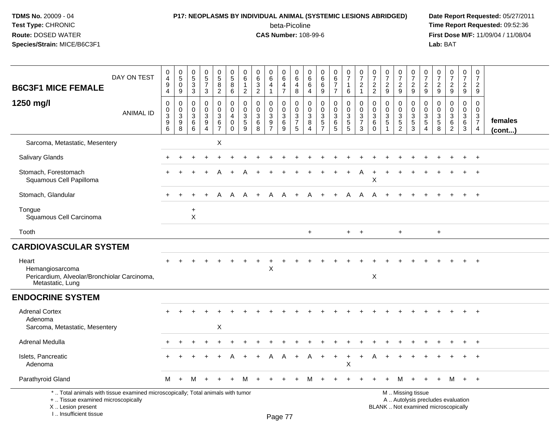# **P17: NEOPLASMS BY INDIVIDUAL ANIMAL (SYSTEMIC LESIONS ABRIDGED) Date Report Requested:** 05/27/2011

beta-Picoline<br>CAS Number: 108-99-6

| <b>B6C3F1 MICE FEMALE</b>                                                                                                                                           | DAY ON TEST      | $\mathbf 0$<br>$\overline{4}$<br>$\boldsymbol{9}$<br>$\overline{4}$ | $\pmb{0}$<br>$\overline{5}$<br>$\mathbf 0$<br>9         | $\pmb{0}$<br>$\overline{5}$<br>$\sqrt{3}$<br>3                          | $\begin{array}{c} 0 \\ 5 \\ 7 \end{array}$<br>$\mathbf{3}$                     | $\begin{array}{c} 0 \\ 5 \end{array}$<br>8<br>$\overline{2}$ | $\pmb{0}$<br>$\overline{5}$<br>$\bf 8$<br>6                             | 0<br>6<br>$\overline{1}$<br>$\overline{2}$         | 0<br>$\,6\,$<br>$\mathbf{3}$<br>$\overline{c}$    | 0<br>$6\overline{6}$<br>$\overline{4}$<br>1                 | 0<br>$\,6\,$<br>4<br>$\overline{7}$           | $\mathbf 0$<br>$\,6\,$<br>$\overline{4}$<br>8                                  | $\pmb{0}$<br>$\,6\,$<br>6<br>$\overline{4}$                               | 0<br>$\,6\,$<br>6<br>9                                                   | 0<br>$rac{6}{7}$<br>$\overline{7}$    | $\pmb{0}$<br>$\overline{7}$<br>$\mathbf{1}$<br>6                         | $\begin{smallmatrix}0\\7\end{smallmatrix}$<br>$\overline{c}$<br>$\mathbf{1}$ | 0<br>$\overline{7}$<br>$\overline{2}$<br>$\overline{2}$     | $\frac{0}{7}$<br>$\boldsymbol{2}$<br>$9\,$  | 0<br>$\overline{7}$<br>$\overline{c}$<br>9                       | $\pmb{0}$<br>$\overline{7}$<br>$\boldsymbol{2}$<br>9               | $\pmb{0}$<br>$\overline{7}$<br>$\overline{2}$<br>9 | 0<br>$\overline{7}$<br>$\overline{2}$<br>9 | $\frac{0}{7}$<br>$\overline{c}$<br>9                                         | $\pmb{0}$<br>$\overline{7}$<br>$\overline{2}$<br>9   | $\mathbf 0$<br>$\overline{7}$<br>$\overline{2}$<br>9                        |                         |
|---------------------------------------------------------------------------------------------------------------------------------------------------------------------|------------------|---------------------------------------------------------------------|---------------------------------------------------------|-------------------------------------------------------------------------|--------------------------------------------------------------------------------|--------------------------------------------------------------|-------------------------------------------------------------------------|----------------------------------------------------|---------------------------------------------------|-------------------------------------------------------------|-----------------------------------------------|--------------------------------------------------------------------------------|---------------------------------------------------------------------------|--------------------------------------------------------------------------|---------------------------------------|--------------------------------------------------------------------------|------------------------------------------------------------------------------|-------------------------------------------------------------|---------------------------------------------|------------------------------------------------------------------|--------------------------------------------------------------------|----------------------------------------------------|--------------------------------------------|------------------------------------------------------------------------------|------------------------------------------------------|-----------------------------------------------------------------------------|-------------------------|
| 1250 mg/l                                                                                                                                                           | <b>ANIMAL ID</b> | $\pmb{0}$<br>$\mathbf 0$<br>$\ensuremath{\mathsf{3}}$<br>9<br>6     | 0<br>$\mathbf 0$<br>$\ensuremath{\mathsf{3}}$<br>9<br>8 | $\mathbf 0$<br>$\mathbf 0$<br>$\ensuremath{\mathsf{3}}$<br>$\,6\,$<br>6 | $\mathbf 0$<br>$\mathbf 0$<br>$\mathbf{3}$<br>$\overline{9}$<br>$\overline{4}$ | 0<br>0<br>3<br>6<br>$\overline{7}$                           | $\mathbf 0$<br>$\mathbf 0$<br>$\overline{4}$<br>$\mathbf 0$<br>$\Omega$ | $\mathbf 0$<br>$\mathbf 0$<br>3<br>$\sqrt{5}$<br>9 | $\mathbf 0$<br>$\Omega$<br>$\mathbf{3}$<br>6<br>8 | 0<br>$\mathbf 0$<br>3<br>$\boldsymbol{9}$<br>$\overline{7}$ | $\pmb{0}$<br>$\mathbf 0$<br>3<br>$\,6\,$<br>9 | $\mathbf 0$<br>$\mathbf 0$<br>$\ensuremath{\mathsf{3}}$<br>$\overline{7}$<br>5 | $\mathbf 0$<br>$\mathbf 0$<br>$\mathbf{3}$<br>8<br>$\boldsymbol{\Lambda}$ | $\mathbf 0$<br>$\mathbf 0$<br>$\sqrt{3}$<br>$\sqrt{5}$<br>$\overline{7}$ | 0<br>$\mathbf 0$<br>3<br>$\,6\,$<br>5 | $\mathbf 0$<br>$\mathbf 0$<br>$\begin{array}{c} 3 \\ 5 \\ 5 \end{array}$ | $\pmb{0}$<br>$\mathbf 0$<br>$\mathbf{3}$<br>$\overline{7}$<br>3              | $\mathbf 0$<br>$\mathbf 0$<br>$\mathbf{3}$<br>6<br>$\Omega$ | $\mathbf 0$<br>$\mathbf 0$<br>$\frac{3}{5}$ | 0<br>$\mathbf 0$<br>$\mathbf{3}$<br>$\sqrt{5}$<br>$\overline{c}$ | $\mathbf 0$<br>$\overline{0}$<br>$\sqrt{3}$<br>$\overline{5}$<br>3 | 0<br>0<br>$\mathbf{3}$<br>$\overline{5}$<br>4      | 0<br>$\Omega$<br>3<br>$\,$ 5 $\,$<br>8     | $\mathbf 0$<br>$\mathbf 0$<br>$\sqrt{3}$<br>$6\phantom{a}$<br>$\overline{c}$ | $\mathbf 0$<br>$\mathbf 0$<br>$\mathbf{3}$<br>6<br>3 | $\mathbf 0$<br>$\Omega$<br>$\mathbf{3}$<br>$\overline{7}$<br>$\overline{4}$ | females<br>$($ cont $)$ |
| Sarcoma, Metastatic, Mesentery                                                                                                                                      |                  |                                                                     |                                                         |                                                                         |                                                                                | X                                                            |                                                                         |                                                    |                                                   |                                                             |                                               |                                                                                |                                                                           |                                                                          |                                       |                                                                          |                                                                              |                                                             |                                             |                                                                  |                                                                    |                                                    |                                            |                                                                              |                                                      |                                                                             |                         |
| <b>Salivary Glands</b>                                                                                                                                              |                  |                                                                     |                                                         |                                                                         |                                                                                |                                                              |                                                                         |                                                    |                                                   |                                                             |                                               |                                                                                |                                                                           |                                                                          |                                       |                                                                          |                                                                              |                                                             |                                             |                                                                  |                                                                    |                                                    |                                            |                                                                              |                                                      | $+$                                                                         |                         |
| Stomach, Forestomach<br>Squamous Cell Papilloma                                                                                                                     |                  |                                                                     |                                                         |                                                                         |                                                                                |                                                              |                                                                         |                                                    |                                                   |                                                             |                                               |                                                                                |                                                                           |                                                                          |                                       |                                                                          | A                                                                            | Х                                                           |                                             |                                                                  |                                                                    |                                                    |                                            |                                                                              |                                                      | $\ddot{}$                                                                   |                         |
| Stomach, Glandular                                                                                                                                                  |                  |                                                                     | ÷                                                       |                                                                         | $\ddot{}$                                                                      | A                                                            | A                                                                       | A                                                  | $\ddot{}$                                         | Α                                                           | A                                             | $+$                                                                            | A                                                                         | $\ddot{}$                                                                | $\ddot{}$                             | A                                                                        | Α                                                                            | A                                                           |                                             | $\ddot{}$                                                        |                                                                    |                                                    |                                            |                                                                              | $+$                                                  | $+$                                                                         |                         |
| Tongue<br>Squamous Cell Carcinoma                                                                                                                                   |                  |                                                                     |                                                         | $\ddot{}$<br>$\mathsf{X}$                                               |                                                                                |                                                              |                                                                         |                                                    |                                                   |                                                             |                                               |                                                                                |                                                                           |                                                                          |                                       |                                                                          |                                                                              |                                                             |                                             |                                                                  |                                                                    |                                                    |                                            |                                                                              |                                                      |                                                                             |                         |
| Tooth                                                                                                                                                               |                  |                                                                     |                                                         |                                                                         |                                                                                |                                                              |                                                                         |                                                    |                                                   |                                                             |                                               |                                                                                | $\ddot{}$                                                                 |                                                                          |                                       | $+$                                                                      | $+$                                                                          |                                                             |                                             | $\ddot{}$                                                        |                                                                    |                                                    | $\ddot{}$                                  |                                                                              |                                                      |                                                                             |                         |
| <b>CARDIOVASCULAR SYSTEM</b>                                                                                                                                        |                  |                                                                     |                                                         |                                                                         |                                                                                |                                                              |                                                                         |                                                    |                                                   |                                                             |                                               |                                                                                |                                                                           |                                                                          |                                       |                                                                          |                                                                              |                                                             |                                             |                                                                  |                                                                    |                                                    |                                            |                                                                              |                                                      |                                                                             |                         |
| Heart<br>Hemangiosarcoma<br>Pericardium, Alveolar/Bronchiolar Carcinoma,<br>Metastatic, Lung                                                                        |                  |                                                                     |                                                         |                                                                         |                                                                                |                                                              |                                                                         |                                                    |                                                   | X                                                           |                                               |                                                                                |                                                                           |                                                                          |                                       |                                                                          |                                                                              | X                                                           |                                             |                                                                  |                                                                    |                                                    |                                            |                                                                              |                                                      |                                                                             |                         |
| <b>ENDOCRINE SYSTEM</b>                                                                                                                                             |                  |                                                                     |                                                         |                                                                         |                                                                                |                                                              |                                                                         |                                                    |                                                   |                                                             |                                               |                                                                                |                                                                           |                                                                          |                                       |                                                                          |                                                                              |                                                             |                                             |                                                                  |                                                                    |                                                    |                                            |                                                                              |                                                      |                                                                             |                         |
| <b>Adrenal Cortex</b><br>Adenoma<br>Sarcoma, Metastatic, Mesentery                                                                                                  |                  |                                                                     |                                                         |                                                                         |                                                                                | X                                                            |                                                                         |                                                    |                                                   |                                                             |                                               |                                                                                |                                                                           |                                                                          |                                       |                                                                          |                                                                              |                                                             |                                             |                                                                  |                                                                    |                                                    |                                            |                                                                              | $\pm$                                                | $+$                                                                         |                         |
| <b>Adrenal Medulla</b>                                                                                                                                              |                  |                                                                     |                                                         |                                                                         |                                                                                |                                                              |                                                                         |                                                    |                                                   |                                                             |                                               |                                                                                |                                                                           |                                                                          |                                       |                                                                          |                                                                              |                                                             |                                             |                                                                  |                                                                    |                                                    |                                            |                                                                              |                                                      | $\div$                                                                      |                         |
| Islets, Pancreatic<br>Adenoma                                                                                                                                       |                  |                                                                     |                                                         |                                                                         |                                                                                |                                                              |                                                                         |                                                    |                                                   |                                                             |                                               |                                                                                |                                                                           |                                                                          | $\ddot{}$                             | $\mathsf X$                                                              |                                                                              |                                                             |                                             |                                                                  |                                                                    |                                                    |                                            |                                                                              |                                                      |                                                                             |                         |
| Parathyroid Gland                                                                                                                                                   |                  | М                                                                   | $+$                                                     | M                                                                       |                                                                                |                                                              |                                                                         | м                                                  |                                                   |                                                             |                                               |                                                                                |                                                                           |                                                                          |                                       |                                                                          |                                                                              |                                                             |                                             | м                                                                |                                                                    |                                                    |                                            | м                                                                            | $+$                                                  | $+$                                                                         |                         |
| *  Total animals with tissue examined microscopically; Total animals with tumor<br>+  Tissue examined microscopically<br>X  Lesion present<br>I Insufficient tissue |                  |                                                                     |                                                         |                                                                         |                                                                                |                                                              |                                                                         |                                                    |                                                   |                                                             | <b>Dogo</b> 77                                |                                                                                |                                                                           |                                                                          |                                       |                                                                          |                                                                              |                                                             |                                             |                                                                  | M  Missing tissue                                                  |                                                    |                                            | A  Autolysis precludes evaluation<br>BLANK  Not examined microscopically     |                                                      |                                                                             |                         |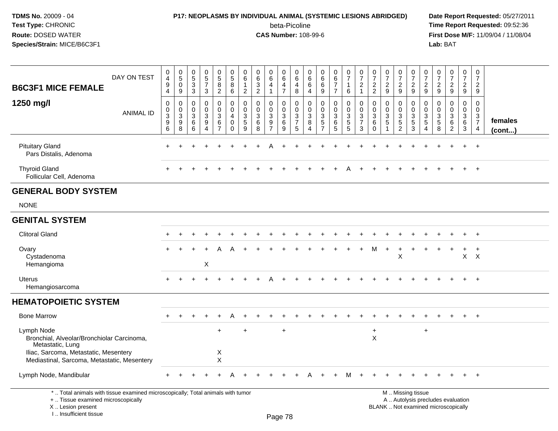# **P17: NEOPLASMS BY INDIVIDUAL ANIMAL (SYSTEMIC LESIONS ABRIDGED) Date Report Requested:** 05/27/2011

beta-Picoline<br>CAS Number: 108-99-6

| DAY ON TEST<br><b>B6C3F1 MICE FEMALE</b>                                                                                                                             | $\mathbf 0$<br>$\overline{\mathbf{4}}$<br>$\boldsymbol{9}$<br>4        | $\begin{smallmatrix}0\5\0\end{smallmatrix}$<br>9                    | $\,0\,$<br>$\frac{5}{3}$<br>$\mathbf{3}$                      | $\begin{array}{c} 0 \\ 5 \\ 7 \end{array}$<br>3                                  | $\begin{array}{c} 0 \\ 5 \\ 8 \end{array}$<br>$\overline{2}$                                         | $\pmb{0}$<br>$\frac{5}{8}$<br>6                                            | 0<br>$\,6\,$<br>$\mathbf{1}$<br>$\overline{2}$ | $\pmb{0}$<br>$\,6\,$<br>$\overline{3}$<br>$\overline{2}$ | $\pmb{0}$<br>$\,6\,$<br>$\overline{4}$<br>$\mathbf{1}$ | $\pmb{0}$<br>6<br>4<br>$\overline{7}$         | $\boldsymbol{0}$<br>$\,6\,$<br>$\overline{4}$<br>8 | 0<br>$\,6\,$<br>6<br>4          | $\mathbf 0$<br>$\,6\,$<br>6<br>9                                         | $\pmb{0}$<br>6<br>$\overline{7}$<br>$\overline{7}$      | $\pmb{0}$<br>$\overline{7}$<br>$\mathbf{1}$<br>6                      | $\frac{0}{7}$<br>$\overline{c}$<br>$\mathbf{1}$                                           | $\pmb{0}$<br>$\overline{7}$<br>$\overline{2}$<br>$\overline{2}$                | $\pmb{0}$<br>$\overline{7}$<br>$\sqrt{2}$<br>9                        | $\frac{0}{7}$<br>$\boldsymbol{2}$<br>9                                            | $\pmb{0}$<br>$\overline{7}$<br>$\overline{c}$<br>9                | 0<br>$\overline{7}$<br>$\overline{2}$<br>9                               | $\pmb{0}$<br>$\overline{7}$<br>$\overline{c}$<br>9               | $\begin{smallmatrix}0\\7\end{smallmatrix}$<br>$\mathbf 2$<br>$\boldsymbol{9}$      | $\pmb{0}$<br>$\overline{7}$<br>$\overline{2}$<br>9        | $\mathbf 0$<br>$\overline{7}$<br>$\boldsymbol{2}$<br>9                         |                   |
|----------------------------------------------------------------------------------------------------------------------------------------------------------------------|------------------------------------------------------------------------|---------------------------------------------------------------------|---------------------------------------------------------------|----------------------------------------------------------------------------------|------------------------------------------------------------------------------------------------------|----------------------------------------------------------------------------|------------------------------------------------|----------------------------------------------------------|--------------------------------------------------------|-----------------------------------------------|----------------------------------------------------|---------------------------------|--------------------------------------------------------------------------|---------------------------------------------------------|-----------------------------------------------------------------------|-------------------------------------------------------------------------------------------|--------------------------------------------------------------------------------|-----------------------------------------------------------------------|-----------------------------------------------------------------------------------|-------------------------------------------------------------------|--------------------------------------------------------------------------|------------------------------------------------------------------|------------------------------------------------------------------------------------|-----------------------------------------------------------|--------------------------------------------------------------------------------|-------------------|
| 1250 mg/l<br><b>ANIMAL ID</b>                                                                                                                                        | $\mathbf 0$<br>0<br>$\ensuremath{\mathsf{3}}$<br>$\boldsymbol{9}$<br>6 | $\mathbf 0$<br>$\pmb{0}$<br>$\overline{3}$<br>$\boldsymbol{9}$<br>8 | $\mathbf 0$<br>0<br>$\ensuremath{\mathsf{3}}$<br>$\,6\,$<br>6 | $\mathbf 0$<br>$\mathbf 0$<br>$\ensuremath{\mathsf{3}}$<br>$\boldsymbol{9}$<br>4 | $\mathsf{O}\xspace$<br>$\mathsf{O}\xspace$<br>$\ensuremath{\mathsf{3}}$<br>$\,6\,$<br>$\overline{7}$ | $\mathbf 0$<br>$\mathbf 0$<br>$\overline{4}$<br>$\mathbf 0$<br>$\mathbf 0$ | 0<br>$\mathbf 0$<br>3<br>$\sqrt{5}$<br>9       | $\mathbf 0$<br>0<br>$\ensuremath{\mathsf{3}}$<br>6<br>8  | $\mathbf 0$<br>0<br>$\sqrt{3}$<br>9<br>$\overline{7}$  | 0<br>0<br>$\ensuremath{\mathsf{3}}$<br>6<br>9 | $\mathbf 0$<br>$\mathbf 0$<br>$\frac{3}{7}$<br>5   | $\mathbf 0$<br>0<br>3<br>8<br>4 | $\mathbf 0$<br>$\mathbf 0$<br>$\sqrt{3}$<br>$\sqrt{5}$<br>$\overline{7}$ | $\mathbf 0$<br>0<br>$\ensuremath{\mathsf{3}}$<br>6<br>5 | $\mathbf 0$<br>0<br>$\ensuremath{\mathsf{3}}$<br>$5\phantom{.0}$<br>5 | $\mathbf 0$<br>$\pmb{0}$<br>$\ensuremath{\mathsf{3}}$<br>$\overline{7}$<br>$\mathfrak{Z}$ | $\mathbf 0$<br>$\mathbf 0$<br>$\ensuremath{\mathsf{3}}$<br>$\,6\,$<br>$\Omega$ | $\mathbf 0$<br>$\mathbf 0$<br>$\ensuremath{\mathsf{3}}$<br>$\sqrt{5}$ | 0<br>$\mathbf 0$<br>$\ensuremath{\mathsf{3}}$<br>$\overline{5}$<br>$\overline{c}$ | 0<br>$\mathbf 0$<br>$\ensuremath{\mathsf{3}}$<br>$\,$ 5 $\,$<br>3 | $\mathbf 0$<br>0<br>3<br>5<br>4                                          | $\mathbf 0$<br>0<br>$\ensuremath{\mathsf{3}}$<br>$\sqrt{5}$<br>8 | $\pmb{0}$<br>$\mathbf 0$<br>$\ensuremath{\mathsf{3}}$<br>$\,6\,$<br>$\overline{2}$ | 0<br>$\mathbf 0$<br>$\sqrt{3}$<br>$\,6\,$<br>$\mathbf{3}$ | $\mathbf 0$<br>$\mathbf 0$<br>$\mathbf{3}$<br>$\overline{7}$<br>$\overline{4}$ | females<br>(cont) |
| <b>Pituitary Gland</b><br>Pars Distalis, Adenoma                                                                                                                     | ÷                                                                      |                                                                     |                                                               |                                                                                  |                                                                                                      |                                                                            |                                                |                                                          |                                                        |                                               |                                                    |                                 |                                                                          |                                                         |                                                                       |                                                                                           |                                                                                |                                                                       |                                                                                   |                                                                   |                                                                          |                                                                  |                                                                                    | $\ddot{}$                                                 | $+$                                                                            |                   |
| <b>Thyroid Gland</b><br>Follicular Cell, Adenoma                                                                                                                     |                                                                        |                                                                     |                                                               |                                                                                  |                                                                                                      |                                                                            |                                                |                                                          |                                                        |                                               |                                                    |                                 |                                                                          |                                                         |                                                                       |                                                                                           |                                                                                |                                                                       |                                                                                   |                                                                   |                                                                          |                                                                  |                                                                                    |                                                           | $\overline{+}$                                                                 |                   |
| <b>GENERAL BODY SYSTEM</b>                                                                                                                                           |                                                                        |                                                                     |                                                               |                                                                                  |                                                                                                      |                                                                            |                                                |                                                          |                                                        |                                               |                                                    |                                 |                                                                          |                                                         |                                                                       |                                                                                           |                                                                                |                                                                       |                                                                                   |                                                                   |                                                                          |                                                                  |                                                                                    |                                                           |                                                                                |                   |
| <b>NONE</b>                                                                                                                                                          |                                                                        |                                                                     |                                                               |                                                                                  |                                                                                                      |                                                                            |                                                |                                                          |                                                        |                                               |                                                    |                                 |                                                                          |                                                         |                                                                       |                                                                                           |                                                                                |                                                                       |                                                                                   |                                                                   |                                                                          |                                                                  |                                                                                    |                                                           |                                                                                |                   |
| <b>GENITAL SYSTEM</b>                                                                                                                                                |                                                                        |                                                                     |                                                               |                                                                                  |                                                                                                      |                                                                            |                                                |                                                          |                                                        |                                               |                                                    |                                 |                                                                          |                                                         |                                                                       |                                                                                           |                                                                                |                                                                       |                                                                                   |                                                                   |                                                                          |                                                                  |                                                                                    |                                                           |                                                                                |                   |
| <b>Clitoral Gland</b>                                                                                                                                                |                                                                        |                                                                     |                                                               |                                                                                  |                                                                                                      |                                                                            |                                                |                                                          |                                                        |                                               |                                                    |                                 |                                                                          |                                                         |                                                                       |                                                                                           |                                                                                |                                                                       |                                                                                   |                                                                   |                                                                          |                                                                  |                                                                                    |                                                           | $+$                                                                            |                   |
| Ovary<br>Cystadenoma                                                                                                                                                 |                                                                        |                                                                     |                                                               |                                                                                  |                                                                                                      |                                                                            |                                                |                                                          |                                                        |                                               |                                                    |                                 |                                                                          |                                                         |                                                                       | $\ddot{}$                                                                                 | м                                                                              | $\ddot{}$                                                             | $\ddot{}$<br>X                                                                    |                                                                   |                                                                          |                                                                  |                                                                                    | $\ddot{}$<br>X                                            | $\ddot{}$<br>$\mathsf{X}$                                                      |                   |
| Hemangioma                                                                                                                                                           |                                                                        |                                                                     |                                                               | X                                                                                |                                                                                                      |                                                                            |                                                |                                                          |                                                        |                                               |                                                    |                                 |                                                                          |                                                         |                                                                       |                                                                                           |                                                                                |                                                                       |                                                                                   |                                                                   |                                                                          |                                                                  |                                                                                    |                                                           |                                                                                |                   |
| Uterus<br>Hemangiosarcoma                                                                                                                                            |                                                                        |                                                                     |                                                               |                                                                                  |                                                                                                      |                                                                            |                                                |                                                          |                                                        |                                               |                                                    |                                 |                                                                          |                                                         |                                                                       |                                                                                           |                                                                                |                                                                       |                                                                                   |                                                                   |                                                                          |                                                                  |                                                                                    |                                                           | $\overline{+}$                                                                 |                   |
| <b>HEMATOPOIETIC SYSTEM</b>                                                                                                                                          |                                                                        |                                                                     |                                                               |                                                                                  |                                                                                                      |                                                                            |                                                |                                                          |                                                        |                                               |                                                    |                                 |                                                                          |                                                         |                                                                       |                                                                                           |                                                                                |                                                                       |                                                                                   |                                                                   |                                                                          |                                                                  |                                                                                    |                                                           |                                                                                |                   |
| <b>Bone Marrow</b>                                                                                                                                                   |                                                                        |                                                                     |                                                               | $\div$                                                                           | $\ddot{}$                                                                                            |                                                                            |                                                |                                                          |                                                        |                                               |                                                    |                                 |                                                                          |                                                         |                                                                       |                                                                                           |                                                                                |                                                                       |                                                                                   |                                                                   |                                                                          |                                                                  |                                                                                    | $+$                                                       | $+$                                                                            |                   |
| Lymph Node<br>Bronchial, Alveolar/Bronchiolar Carcinoma,<br>Metastatic, Lung<br>Iliac, Sarcoma, Metastatic, Mesentery<br>Mediastinal, Sarcoma, Metastatic, Mesentery |                                                                        |                                                                     |                                                               |                                                                                  | $\div$<br>Χ<br>X                                                                                     |                                                                            | $\ddot{}$                                      |                                                          |                                                        | $\ddot{}$                                     |                                                    |                                 |                                                                          |                                                         |                                                                       |                                                                                           | $\ddot{}$<br>$\pmb{\times}$                                                    |                                                                       |                                                                                   |                                                                   | $\ddot{}$                                                                |                                                                  |                                                                                    |                                                           |                                                                                |                   |
| Lymph Node, Mandibular                                                                                                                                               |                                                                        |                                                                     |                                                               |                                                                                  |                                                                                                      |                                                                            |                                                |                                                          |                                                        |                                               |                                                    |                                 |                                                                          |                                                         |                                                                       |                                                                                           |                                                                                |                                                                       |                                                                                   |                                                                   |                                                                          |                                                                  |                                                                                    |                                                           |                                                                                |                   |
| *  Total animals with tissue examined microscopically; Total animals with tumor<br>+  Tissue examined microscopically<br>X  Lesion present<br>I Insufficient tissue  |                                                                        |                                                                     |                                                               |                                                                                  |                                                                                                      |                                                                            |                                                |                                                          |                                                        | Page 78                                       |                                                    |                                 |                                                                          |                                                         |                                                                       |                                                                                           |                                                                                |                                                                       |                                                                                   | M  Missing tissue                                                 | A  Autolysis precludes evaluation<br>BLANK  Not examined microscopically |                                                                  |                                                                                    |                                                           |                                                                                |                   |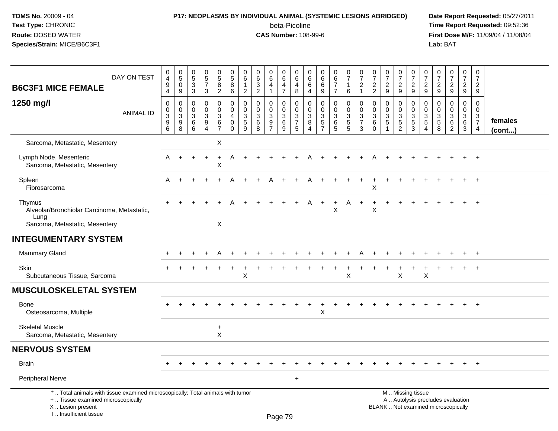### **P17: NEOPLASMS BY INDIVIDUAL ANIMAL (SYSTEMIC LESIONS ABRIDGED) Date Report Requested:** 05/27/2011

beta-Picoline<br>CAS Number: 108-99-6

| DAY ON TEST<br><b>B6C3F1 MICE FEMALE</b>                                                                                                                            | $\mathbf 0$<br>$\overline{\mathbf{4}}$<br>9<br>4                                 | $\pmb{0}$<br>$\overline{5}$<br>$\mathbf 0$<br>9 | 0<br>$\overline{5}$<br>$\mathbf{3}$<br>$\mathbf{3}$ | $\begin{array}{c} 0 \\ 5 \\ 7 \end{array}$<br>3                                | $\begin{smallmatrix} 0\\5 \end{smallmatrix}$<br>8<br>$\overline{2}$    | $\mathbf 0$<br>$\sqrt{5}$<br>8<br>6                                     | 0<br>6<br>$\mathbf{1}$<br>$\overline{2}$           | $\pmb{0}$<br>$\,6\,$<br>$\sqrt{3}$<br>$\overline{2}$       | $\pmb{0}$<br>$6\overline{6}$<br>$\overline{4}$<br>1 | $\mathbf 0$<br>6<br>4<br>$\overline{7}$ | $\mathbf 0$<br>$\,6\,$<br>4<br>8                 | 0<br>6<br>6<br>4             | $\mathbf 0$<br>6<br>6<br>9            | 0<br>$6\phantom{a}$<br>$\overline{7}$<br>$\overline{7}$ | $\pmb{0}$<br>$\overline{7}$<br>$\mathbf{1}$<br>6       | $\pmb{0}$<br>$\overline{7}$<br>$\boldsymbol{2}$<br>$\mathbf 1$  | $\pmb{0}$<br>$\overline{7}$<br>$\overline{2}$<br>$\overline{2}$ | $\pmb{0}$<br>$\overline{7}$<br>$\overline{2}$<br>9                        | $\pmb{0}$<br>$\overline{7}$<br>$\overline{c}$<br>9                            | $\pmb{0}$<br>$\overline{7}$<br>$\overline{2}$<br>9 | $\pmb{0}$<br>$\overline{7}$<br>$\overline{2}$<br>9   | 0<br>$\overline{7}$<br>$\overline{2}$<br>9 | $\begin{smallmatrix} 0\\7 \end{smallmatrix}$<br>$\overline{2}$<br>9      | $\mathbf 0$<br>$\overline{7}$<br>$\overline{2}$<br>9 | $\pmb{0}$<br>$\overline{7}$<br>$\overline{2}$<br>9     |                         |
|---------------------------------------------------------------------------------------------------------------------------------------------------------------------|----------------------------------------------------------------------------------|-------------------------------------------------|-----------------------------------------------------|--------------------------------------------------------------------------------|------------------------------------------------------------------------|-------------------------------------------------------------------------|----------------------------------------------------|------------------------------------------------------------|-----------------------------------------------------|-----------------------------------------|--------------------------------------------------|------------------------------|---------------------------------------|---------------------------------------------------------|--------------------------------------------------------|-----------------------------------------------------------------|-----------------------------------------------------------------|---------------------------------------------------------------------------|-------------------------------------------------------------------------------|----------------------------------------------------|------------------------------------------------------|--------------------------------------------|--------------------------------------------------------------------------|------------------------------------------------------|--------------------------------------------------------|-------------------------|
| 1250 mg/l<br><b>ANIMAL ID</b>                                                                                                                                       | $\mathbf 0$<br>$\mathbf 0$<br>$\ensuremath{\mathsf{3}}$<br>$\boldsymbol{9}$<br>6 | 0<br>$\mathbf 0$<br>$\sqrt{3}$<br>9<br>8        | $\mathbf 0$<br>$\Omega$<br>3<br>6<br>6              | $\mathbf 0$<br>$\mathbf 0$<br>$\sqrt{3}$<br>$\boldsymbol{9}$<br>$\overline{4}$ | $\mathbf 0$<br>$\mathbf 0$<br>$\mathsf 3$<br>$\,6\,$<br>$\overline{7}$ | $\mathbf 0$<br>$\mathbf 0$<br>$\overline{4}$<br>$\mathbf 0$<br>$\Omega$ | $\mathbf 0$<br>$\mathbf 0$<br>3<br>$\sqrt{5}$<br>9 | $\mathbf 0$<br>$\mathbf 0$<br>$\mathbf{3}$<br>$\,6\,$<br>8 | $\mathbf 0$<br>$\Omega$<br>3<br>9                   | 0<br>$\mathbf 0$<br>3<br>$\,6$<br>9     | $\mathbf 0$<br>$\mathbf 0$<br>$\frac{3}{7}$<br>5 | 0<br>$\Omega$<br>3<br>8<br>4 | 0<br>$\Omega$<br>$\sqrt{3}$<br>5<br>7 | 0<br>0<br>3<br>6<br>5                                   | $\mathbf 0$<br>$\mathbf 0$<br>3<br>$\overline{5}$<br>5 | $\mathbf 0$<br>$\mathbf 0$<br>$\sqrt{3}$<br>$\overline{7}$<br>3 | 0<br>$\mathbf 0$<br>$\mathbf 3$<br>6<br>$\Omega$                | $\mathbf 0$<br>$\mathbf{0}$<br>$\sqrt{3}$<br>$\sqrt{5}$<br>$\overline{1}$ | 0<br>$\mathbf 0$<br>$\ensuremath{\mathsf{3}}$<br>$\sqrt{5}$<br>$\overline{c}$ | 0<br>0<br>$\frac{3}{5}$<br>3                       | 0<br>$\Omega$<br>$\mathbf{3}$<br>5<br>$\overline{4}$ | 0<br>$\Omega$<br>3<br>$\sqrt{5}$<br>8      | $\mathbf 0$<br>$\mathbf 0$<br>$\sqrt{3}$<br>$\,6\,$<br>$\overline{2}$    | 0<br>$\Omega$<br>3<br>$\,6\,$<br>3                   | $\mathbf 0$<br>$\mathbf 0$<br>3<br>$\overline{7}$<br>4 | females<br>$($ cont $)$ |
| Sarcoma, Metastatic, Mesentery                                                                                                                                      |                                                                                  |                                                 |                                                     |                                                                                | X                                                                      |                                                                         |                                                    |                                                            |                                                     |                                         |                                                  |                              |                                       |                                                         |                                                        |                                                                 |                                                                 |                                                                           |                                                                               |                                                    |                                                      |                                            |                                                                          |                                                      |                                                        |                         |
| Lymph Node, Mesenteric<br>Sarcoma, Metastatic, Mesentery                                                                                                            | A                                                                                | $\ddot{}$                                       | $+$                                                 | $+$                                                                            | $\ddot{}$<br>X                                                         | A                                                                       | $\ddot{}$                                          |                                                            |                                                     |                                         |                                                  |                              |                                       |                                                         |                                                        |                                                                 |                                                                 |                                                                           |                                                                               |                                                    |                                                      |                                            |                                                                          |                                                      | $\ddot{}$                                              |                         |
| Spleen<br>Fibrosarcoma                                                                                                                                              | A                                                                                | $\ddot{}$                                       |                                                     |                                                                                |                                                                        |                                                                         |                                                    |                                                            |                                                     |                                         |                                                  |                              |                                       |                                                         |                                                        |                                                                 | X                                                               |                                                                           |                                                                               |                                                    |                                                      |                                            |                                                                          |                                                      | $+$                                                    |                         |
| Thymus<br>Alveolar/Bronchiolar Carcinoma, Metastatic,<br>Lung                                                                                                       |                                                                                  |                                                 |                                                     |                                                                                |                                                                        |                                                                         |                                                    |                                                            |                                                     |                                         |                                                  | A                            | $\ddot{}$                             | $\ddot{}$<br>X                                          | A                                                      | $\ddot{}$                                                       | X                                                               |                                                                           |                                                                               |                                                    |                                                      |                                            |                                                                          |                                                      | $\overline{+}$                                         |                         |
| Sarcoma, Metastatic, Mesentery                                                                                                                                      |                                                                                  |                                                 |                                                     |                                                                                | X                                                                      |                                                                         |                                                    |                                                            |                                                     |                                         |                                                  |                              |                                       |                                                         |                                                        |                                                                 |                                                                 |                                                                           |                                                                               |                                                    |                                                      |                                            |                                                                          |                                                      |                                                        |                         |
| <b>INTEGUMENTARY SYSTEM</b>                                                                                                                                         |                                                                                  |                                                 |                                                     |                                                                                |                                                                        |                                                                         |                                                    |                                                            |                                                     |                                         |                                                  |                              |                                       |                                                         |                                                        |                                                                 |                                                                 |                                                                           |                                                                               |                                                    |                                                      |                                            |                                                                          |                                                      |                                                        |                         |
| <b>Mammary Gland</b>                                                                                                                                                |                                                                                  |                                                 |                                                     |                                                                                |                                                                        |                                                                         |                                                    |                                                            |                                                     |                                         |                                                  |                              |                                       |                                                         |                                                        |                                                                 |                                                                 |                                                                           |                                                                               |                                                    |                                                      |                                            |                                                                          |                                                      |                                                        |                         |
| Skin<br>Subcutaneous Tissue, Sarcoma                                                                                                                                |                                                                                  |                                                 |                                                     |                                                                                |                                                                        |                                                                         | X                                                  |                                                            |                                                     |                                         |                                                  |                              |                                       |                                                         | X                                                      |                                                                 |                                                                 |                                                                           | X                                                                             |                                                    | Χ                                                    |                                            |                                                                          |                                                      |                                                        |                         |
| <b>MUSCULOSKELETAL SYSTEM</b>                                                                                                                                       |                                                                                  |                                                 |                                                     |                                                                                |                                                                        |                                                                         |                                                    |                                                            |                                                     |                                         |                                                  |                              |                                       |                                                         |                                                        |                                                                 |                                                                 |                                                                           |                                                                               |                                                    |                                                      |                                            |                                                                          |                                                      |                                                        |                         |
| Bone<br>Osteosarcoma, Multiple                                                                                                                                      |                                                                                  |                                                 |                                                     |                                                                                |                                                                        |                                                                         |                                                    |                                                            |                                                     |                                         |                                                  |                              | X                                     |                                                         |                                                        |                                                                 |                                                                 |                                                                           |                                                                               |                                                    |                                                      |                                            |                                                                          |                                                      | $+$                                                    |                         |
| <b>Skeletal Muscle</b><br>Sarcoma, Metastatic, Mesentery                                                                                                            |                                                                                  |                                                 |                                                     |                                                                                | $\ddot{}$<br>X                                                         |                                                                         |                                                    |                                                            |                                                     |                                         |                                                  |                              |                                       |                                                         |                                                        |                                                                 |                                                                 |                                                                           |                                                                               |                                                    |                                                      |                                            |                                                                          |                                                      |                                                        |                         |
| <b>NERVOUS SYSTEM</b>                                                                                                                                               |                                                                                  |                                                 |                                                     |                                                                                |                                                                        |                                                                         |                                                    |                                                            |                                                     |                                         |                                                  |                              |                                       |                                                         |                                                        |                                                                 |                                                                 |                                                                           |                                                                               |                                                    |                                                      |                                            |                                                                          |                                                      |                                                        |                         |
| <b>Brain</b>                                                                                                                                                        |                                                                                  |                                                 |                                                     |                                                                                |                                                                        |                                                                         |                                                    |                                                            |                                                     |                                         |                                                  |                              |                                       |                                                         |                                                        |                                                                 |                                                                 |                                                                           |                                                                               |                                                    |                                                      |                                            |                                                                          | $\ddot{}$                                            | $^{+}$                                                 |                         |
| Peripheral Nerve                                                                                                                                                    |                                                                                  |                                                 |                                                     |                                                                                |                                                                        |                                                                         |                                                    |                                                            |                                                     |                                         | $\ddot{}$                                        |                              |                                       |                                                         |                                                        |                                                                 |                                                                 |                                                                           |                                                                               |                                                    |                                                      |                                            |                                                                          |                                                      |                                                        |                         |
| *  Total animals with tissue examined microscopically; Total animals with tumor<br>+  Tissue examined microscopically<br>X  Lesion present<br>I Insufficient tissue |                                                                                  |                                                 |                                                     |                                                                                |                                                                        |                                                                         |                                                    |                                                            |                                                     | $D_{200}$ 70                            |                                                  |                              |                                       |                                                         |                                                        |                                                                 |                                                                 |                                                                           |                                                                               | M  Missing tissue                                  |                                                      |                                            | A  Autolysis precludes evaluation<br>BLANK  Not examined microscopically |                                                      |                                                        |                         |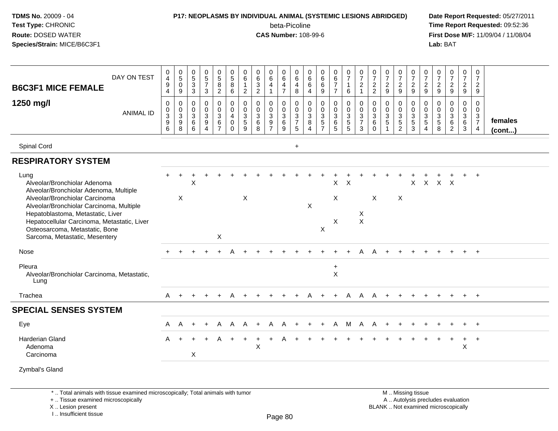#### **P17: NEOPLASMS BY INDIVIDUAL ANIMAL (SYSTEMIC LESIONS ABRIDGED) Date Report Requested:** 05/27/2011

beta-Picoline<br>CAS Number: 108-99-6

 **Time Report Requested:** 09:52:36 **First Dose M/F:** 11/09/04 / 11/08/04<br>Lab: BAT **Lab:** BAT

| DAY ON TEST<br><b>B6C3F1 MICE FEMALE</b>                                                                                                                                                                                           | 0<br>$\overline{4}$<br>9<br>$\overline{4}$                  | $\begin{array}{c} 0 \\ 5 \end{array}$<br>$\mathbf 0$<br>9 | $\begin{matrix} 0 \\ 5 \end{matrix}$<br>$\sqrt{3}$<br>$\overline{3}$ | $\begin{array}{c} 0 \\ 5 \\ 7 \end{array}$<br>3           | $\begin{array}{c} 0 \\ 5 \\ 8 \end{array}$<br>$\overline{2}$ | $\begin{array}{c} 0 \\ 5 \end{array}$<br>$\bf 8$<br>6        | 0<br>6<br>$\mathbf{1}$<br>$\overline{2}$  | 0<br>$\,6\,$<br>$\ensuremath{\mathsf{3}}$<br>$\overline{2}$ | $\begin{array}{c} 0 \\ 6 \end{array}$<br>4<br>$\mathbf{1}$ | $\begin{array}{c} 0 \\ 6 \end{array}$<br>$\overline{4}$<br>$\overline{7}$ | 0<br>$\overline{6}$<br>4<br>8        | $\begin{matrix} 0 \\ 6 \end{matrix}$<br>6<br>$\overline{4}$         | 0<br>$\overline{6}$<br>6<br>9                     | $\begin{array}{c} 0 \\ 6 \end{array}$<br>$\overline{7}$<br>$\overline{7}$ | $\frac{0}{7}$<br>$\mathbf{1}$<br>6                   | $\frac{0}{7}$<br>$\overline{a}$<br>$\mathbf{1}$           | $\frac{0}{7}$<br>$\frac{2}{2}$ | $\frac{0}{7}$<br>$\frac{2}{9}$                                       | $\frac{0}{7}$<br>$\overline{2}$<br>9                      | $\frac{0}{7}$<br>$\frac{2}{9}$                            | $\frac{0}{7}$<br>$\overline{c}$<br>9                            | $\frac{0}{7}$<br>$\frac{2}{9}$ | $\frac{0}{7}$<br>$\frac{2}{9}$                                                  | $\begin{smallmatrix}0\\7\end{smallmatrix}$<br>$\frac{2}{9}$ | 0<br>$\overline{7}$<br>$\overline{2}$<br>9                                     |                         |
|------------------------------------------------------------------------------------------------------------------------------------------------------------------------------------------------------------------------------------|-------------------------------------------------------------|-----------------------------------------------------------|----------------------------------------------------------------------|-----------------------------------------------------------|--------------------------------------------------------------|--------------------------------------------------------------|-------------------------------------------|-------------------------------------------------------------|------------------------------------------------------------|---------------------------------------------------------------------------|--------------------------------------|---------------------------------------------------------------------|---------------------------------------------------|---------------------------------------------------------------------------|------------------------------------------------------|-----------------------------------------------------------|--------------------------------|----------------------------------------------------------------------|-----------------------------------------------------------|-----------------------------------------------------------|-----------------------------------------------------------------|--------------------------------|---------------------------------------------------------------------------------|-------------------------------------------------------------|--------------------------------------------------------------------------------|-------------------------|
| 1250 mg/l<br><b>ANIMAL ID</b>                                                                                                                                                                                                      | 0<br>$\mathbf 0$<br>$\overline{3}$<br>$\boldsymbol{9}$<br>6 | 0<br>$\mathbf 0$<br>$\overline{3}$<br>9<br>8              | 0<br>$\pmb{0}$<br>$\overline{3}$<br>$\frac{6}{6}$                    | 0<br>$_{3}^{\rm 0}$<br>$\boldsymbol{9}$<br>$\overline{4}$ | 0<br>$\mathbf 0$<br>$\overline{3}$<br>$rac{6}{7}$            | 0<br>$\pmb{0}$<br>$\overline{4}$<br>$\pmb{0}$<br>$\mathbf 0$ | 0<br>0<br>$\mathbf{3}$<br>$\sqrt{5}$<br>9 | 0<br>$\mathbf 0$<br>$\overline{3}$<br>$\,6\,$<br>8          | 0<br>$\mathbf 0$<br>$\overline{3}$<br>$\frac{9}{7}$        | 0<br>$\mathbf 0$<br>$\overline{3}$<br>$\,6\,$<br>9                        | 0<br>$\pmb{0}$<br>$\frac{3}{7}$<br>5 | 0<br>$\boldsymbol{0}$<br>$\overline{3}$<br>$\, 8$<br>$\overline{4}$ | 0<br>$\pmb{0}$<br>$\overline{3}$<br>$\frac{5}{7}$ | 0<br>$\mathbf 0$<br>$\mathbf{3}$<br>$^6_5$                                | 0<br>$\begin{array}{c} 0 \\ 3 \\ 5 \\ 5 \end{array}$ | 0<br>$\mathbf 0$<br>$\overline{3}$<br>$\overline{7}$<br>3 | 0<br>0<br>3<br>6<br>$\Omega$   | $\mathbf 0$<br>$\pmb{0}$<br>$\frac{3}{5}$<br>$\overline{\mathbf{1}}$ | 0<br>0<br>$\overline{3}$<br>$\,$ 5 $\,$<br>$\overline{2}$ | 0<br>$\mathbf 0$<br>$\overline{3}$<br>$\overline{5}$<br>3 | 0<br>$\mathbf 0$<br>$\sqrt{3}$<br>$\,$ 5 $\,$<br>$\overline{4}$ | 0<br>0<br>$\frac{3}{5}$        | 0<br>$\begin{smallmatrix} 0\\ 3 \end{smallmatrix}$<br>$\,6\,$<br>$\overline{2}$ | 0<br>$\overline{0}$<br>$\overline{3}$<br>$\,6\,$<br>3       | $\mathbf 0$<br>$\mathbf{0}$<br>$\mathbf 3$<br>$\overline{7}$<br>$\overline{4}$ | females<br>$($ cont $)$ |
| Spinal Cord                                                                                                                                                                                                                        |                                                             |                                                           |                                                                      |                                                           |                                                              |                                                              |                                           |                                                             |                                                            |                                                                           | $\ddot{}$                            |                                                                     |                                                   |                                                                           |                                                      |                                                           |                                |                                                                      |                                                           |                                                           |                                                                 |                                |                                                                                 |                                                             |                                                                                |                         |
| <b>RESPIRATORY SYSTEM</b>                                                                                                                                                                                                          |                                                             |                                                           |                                                                      |                                                           |                                                              |                                                              |                                           |                                                             |                                                            |                                                                           |                                      |                                                                     |                                                   |                                                                           |                                                      |                                                           |                                |                                                                      |                                                           |                                                           |                                                                 |                                |                                                                                 |                                                             |                                                                                |                         |
| Lung<br>Alveolar/Bronchiolar Adenoma<br>Alveolar/Bronchiolar Adenoma, Multiple                                                                                                                                                     |                                                             |                                                           | X                                                                    |                                                           |                                                              |                                                              |                                           |                                                             |                                                            |                                                                           |                                      |                                                                     |                                                   | X                                                                         | $\times$                                             |                                                           |                                |                                                                      |                                                           | X                                                         | $\mathsf{X}$                                                    | $X$ $X$                        |                                                                                 |                                                             |                                                                                |                         |
| Alveolar/Bronchiolar Carcinoma<br>Alveolar/Bronchiolar Carcinoma, Multiple<br>Hepatoblastoma, Metastatic, Liver<br>Hepatocellular Carcinoma, Metastatic, Liver<br>Osteosarcoma, Metastatic, Bone<br>Sarcoma, Metastatic, Mesentery |                                                             | $\sf X$                                                   |                                                                      |                                                           | X                                                            |                                                              | $\times$                                  |                                                             |                                                            |                                                                           |                                      | $\boldsymbol{\mathsf{X}}$                                           | X                                                 | X<br>X                                                                    |                                                      | X<br>$\mathsf{X}$                                         | $\pmb{\times}$                 |                                                                      | X                                                         |                                                           |                                                                 |                                |                                                                                 |                                                             |                                                                                |                         |
| Nose                                                                                                                                                                                                                               |                                                             |                                                           |                                                                      |                                                           |                                                              |                                                              |                                           |                                                             |                                                            |                                                                           |                                      |                                                                     |                                                   |                                                                           |                                                      |                                                           |                                |                                                                      |                                                           |                                                           |                                                                 |                                |                                                                                 |                                                             | $+$                                                                            |                         |
| Pleura<br>Alveolar/Bronchiolar Carcinoma, Metastatic,<br>Lung                                                                                                                                                                      |                                                             |                                                           |                                                                      |                                                           |                                                              |                                                              |                                           |                                                             |                                                            |                                                                           |                                      |                                                                     |                                                   | $\ddot{}$<br>$\mathsf{x}$                                                 |                                                      |                                                           |                                |                                                                      |                                                           |                                                           |                                                                 |                                |                                                                                 |                                                             |                                                                                |                         |
| Trachea                                                                                                                                                                                                                            | A                                                           |                                                           |                                                                      |                                                           |                                                              |                                                              |                                           |                                                             |                                                            |                                                                           |                                      |                                                                     |                                                   |                                                                           | A                                                    | A                                                         | А                              |                                                                      |                                                           |                                                           |                                                                 |                                |                                                                                 |                                                             | $\ddot{}$                                                                      |                         |
| <b>SPECIAL SENSES SYSTEM</b>                                                                                                                                                                                                       |                                                             |                                                           |                                                                      |                                                           |                                                              |                                                              |                                           |                                                             |                                                            |                                                                           |                                      |                                                                     |                                                   |                                                                           |                                                      |                                                           |                                |                                                                      |                                                           |                                                           |                                                                 |                                |                                                                                 |                                                             |                                                                                |                         |
| Eye                                                                                                                                                                                                                                | A                                                           | A                                                         |                                                                      | $\ddot{}$                                                 | A                                                            | A                                                            | A                                         |                                                             | A                                                          | A                                                                         |                                      |                                                                     | ÷.                                                | A                                                                         | M                                                    | A                                                         | A                              |                                                                      |                                                           |                                                           |                                                                 |                                |                                                                                 |                                                             | $+$                                                                            |                         |
| <b>Harderian Gland</b><br>Adenoma<br>Carcinoma                                                                                                                                                                                     | A                                                           |                                                           | X                                                                    |                                                           |                                                              |                                                              |                                           | $\mathsf{X}$                                                |                                                            |                                                                           |                                      |                                                                     |                                                   |                                                                           |                                                      |                                                           |                                |                                                                      |                                                           |                                                           |                                                                 |                                |                                                                                 | +<br>$\pmb{\times}$                                         | $+$                                                                            |                         |
| Zymbal's Gland                                                                                                                                                                                                                     |                                                             |                                                           |                                                                      |                                                           |                                                              |                                                              |                                           |                                                             |                                                            |                                                                           |                                      |                                                                     |                                                   |                                                                           |                                                      |                                                           |                                |                                                                      |                                                           |                                                           |                                                                 |                                |                                                                                 |                                                             |                                                                                |                         |

\* .. Total animals with tissue examined microscopically; Total animals with tumor

+ .. Tissue examined microscopically

X .. Lesion present

I .. Insufficient tissue

 M .. Missing tissuey the contract of the contract of the contract of the contract of the contract of  $\mathsf A$  . Autolysis precludes evaluation Lesion present BLANK .. Not examined microscopically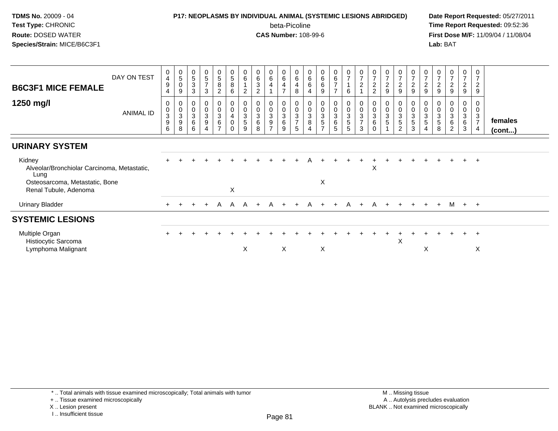### **P17: NEOPLASMS BY INDIVIDUAL ANIMAL (SYSTEMIC LESIONS ABRIDGED) Date Report Requested:** 05/27/2011

beta-Picoline<br>CAS Number: 108-99-6

| DAY ON TEST                                 | 0<br>$\overline{\mathbf{4}}$<br>$\boldsymbol{9}$                         | $\begin{matrix} 0 \\ 5 \\ 0 \end{matrix}$<br>9 | $\mathbf 0$<br>$\,$ 5 $\,$<br>$\sqrt{3}$<br>3 | $\begin{array}{c} 0 \\ 5 \end{array}$<br>$\overline{z}$<br>3 | $\frac{0}{5}$<br>8<br>$\overline{c}$                         | $\pmb{0}$<br>5<br>$\bf 8$<br>6                            | $0\over 6$<br>$\overline{2}$               | $\begin{matrix} 0 \\ 6 \\ 3 \end{matrix}$<br>$\overline{c}$ | $\begin{array}{c} 0 \\ 6 \end{array}$<br>$\overline{4}$           | $\begin{array}{c} 0 \\ 6 \end{array}$<br>$\overline{4}$<br>$\overline{7}$ | $\begin{array}{c} 0 \\ 6 \end{array}$<br>$\overline{4}$<br>8 | 0<br>$\,6\,$<br>6<br>4                           | $\begin{array}{c} 0 \\ 6 \end{array}$<br>6<br>9                   | $\begin{array}{c} 0 \\ 6 \\ 7 \end{array}$<br>$\overline{ }$ | $\frac{0}{7}$<br>6    | $\frac{0}{7}$<br>$\overline{2}$                     | $\frac{0}{7}$<br>$\overline{c}$<br>$\overline{2}$                 | $\mathbf 0$<br>$\overline{7}$<br>$\boldsymbol{2}$<br>9 | 0<br>$\overline{ }$<br>$\overline{c}$<br>9 | $\begin{array}{c} 0 \\ 7 \end{array}$<br>$\boldsymbol{2}$<br>9 | $\frac{0}{7}$<br>$\sqrt{2}$<br>$\boldsymbol{9}$ | $\frac{0}{7}$<br>$\boldsymbol{2}$<br>$\boldsymbol{9}$     | $\frac{0}{7}$<br>$\overline{2}$<br>9 | 0<br>$\overline{7}$<br>$\boldsymbol{2}$<br>9 | 0<br>7<br>$\overline{c}$<br>9                         |                         |
|---------------------------------------------|--------------------------------------------------------------------------|------------------------------------------------|-----------------------------------------------|--------------------------------------------------------------|--------------------------------------------------------------|-----------------------------------------------------------|--------------------------------------------|-------------------------------------------------------------|-------------------------------------------------------------------|---------------------------------------------------------------------------|--------------------------------------------------------------|--------------------------------------------------|-------------------------------------------------------------------|--------------------------------------------------------------|-----------------------|-----------------------------------------------------|-------------------------------------------------------------------|--------------------------------------------------------|--------------------------------------------|----------------------------------------------------------------|-------------------------------------------------|-----------------------------------------------------------|--------------------------------------|----------------------------------------------|-------------------------------------------------------|-------------------------|
| <b>ANIMAL ID</b>                            | 0<br>$\begin{smallmatrix}0\3 \end{smallmatrix}$<br>$\boldsymbol{9}$<br>6 | 0<br>0<br>3<br>9<br>8                          | 0<br>$\pmb{0}$<br>$\sqrt{3}$<br>$\,6\,$<br>6  | $\begin{matrix} 0 \\ 0 \\ 3 \end{matrix}$<br>$\overline{9}$  | 0<br>$\overline{0}$<br>3<br>$6\phantom{a}$<br>$\overline{ }$ | 0<br>$\pmb{0}$<br>$\overline{4}$<br>$\pmb{0}$<br>$\Omega$ | 0<br>$\bar{0}$<br>3<br>$\overline{5}$<br>9 | $\ddot{\mathbf{0}}$<br>$\sqrt{3}$<br>6<br>8                 | $\begin{smallmatrix} 0\\0\\3 \end{smallmatrix}$<br>$\overline{9}$ | $\begin{matrix} 0 \\ 0 \\ 3 \\ 6 \end{matrix}$<br>9                       | $\begin{array}{c} 0 \\ 0 \\ 3 \\ 7 \end{array}$<br>5         | 0<br>$\pmb{0}$<br>$\ensuremath{\mathsf{3}}$<br>8 | $\begin{array}{c} 0 \\ 0 \\ 3 \\ 5 \end{array}$<br>$\overline{ }$ | $\begin{array}{c} 0 \\ 0 \\ 3 \\ 6 \end{array}$<br>5         | 0<br>0<br>3<br>5<br>5 | $\begin{matrix} 0 \\ 0 \\ 3 \\ 7 \end{matrix}$<br>3 | $\begin{matrix} 0 \\ 0 \end{matrix}$<br>$\overline{3}$<br>$\,6\,$ | 0<br>$\overline{0}$<br>$\sqrt{3}$<br>5                 | 0<br>3<br>5<br>$\overline{2}$              | 0<br>$\bar{0}$<br>$\mathbf{3}$<br>5<br>3                       | 0<br>0<br>3<br>5<br>4                           | 0<br>$\mathbf 0$<br>$\overline{3}$<br>$\overline{5}$<br>8 | 0<br>$\overline{0}$<br>3<br>6<br>2   | 0<br>$\pmb{0}$<br>$\sqrt{3}$<br>$\,6\,$<br>3 | 0<br>$\pmb{0}$<br>$\mathbf{3}$<br>$\overline{7}$<br>4 | females<br>$($ cont $)$ |
|                                             |                                                                          |                                                |                                               |                                                              |                                                              |                                                           |                                            |                                                             |                                                                   |                                                                           |                                                              |                                                  |                                                                   |                                                              |                       |                                                     |                                                                   |                                                        |                                            |                                                                |                                                 |                                                           |                                      |                                              |                                                       |                         |
| Alveolar/Bronchiolar Carcinoma, Metastatic, |                                                                          |                                                |                                               |                                                              |                                                              |                                                           |                                            |                                                             |                                                                   |                                                                           |                                                              |                                                  |                                                                   |                                                              |                       |                                                     | X                                                                 |                                                        |                                            |                                                                |                                                 |                                                           |                                      | $+$                                          | $^+$                                                  |                         |
|                                             |                                                                          |                                                |                                               |                                                              |                                                              | X                                                         |                                            |                                                             |                                                                   |                                                                           |                                                              |                                                  |                                                                   |                                                              |                       |                                                     |                                                                   |                                                        |                                            |                                                                |                                                 |                                                           |                                      |                                              |                                                       |                         |
|                                             | $+$                                                                      | $\pm$                                          | $+$                                           | $+$                                                          |                                                              |                                                           |                                            | $+$                                                         |                                                                   |                                                                           |                                                              |                                                  |                                                                   | $+$                                                          |                       |                                                     |                                                                   |                                                        |                                            |                                                                |                                                 | $+$                                                       |                                      |                                              |                                                       |                         |
|                                             |                                                                          |                                                |                                               |                                                              |                                                              |                                                           |                                            |                                                             |                                                                   |                                                                           |                                                              |                                                  |                                                                   |                                                              |                       |                                                     |                                                                   |                                                        |                                            |                                                                |                                                 |                                                           |                                      |                                              |                                                       |                         |
|                                             |                                                                          |                                                |                                               |                                                              |                                                              |                                                           |                                            |                                                             |                                                                   |                                                                           |                                                              |                                                  |                                                                   |                                                              |                       |                                                     |                                                                   |                                                        | Χ                                          |                                                                |                                                 |                                                           |                                      |                                              | $\div$                                                |                         |
|                                             | Osteosarcoma, Metastatic, Bone                                           |                                                |                                               |                                                              |                                                              |                                                           |                                            | X                                                           | A A A                                                             |                                                                           | A +<br>X                                                     | $+$                                              |                                                                   | X<br>A                                                       |                       | X                                                   | A +                                                               |                                                        |                                            | A + +                                                          | $+$                                             | X                                                         | $+$                                  |                                              |                                                       | M + +<br>X              |

I .. Insufficient tissue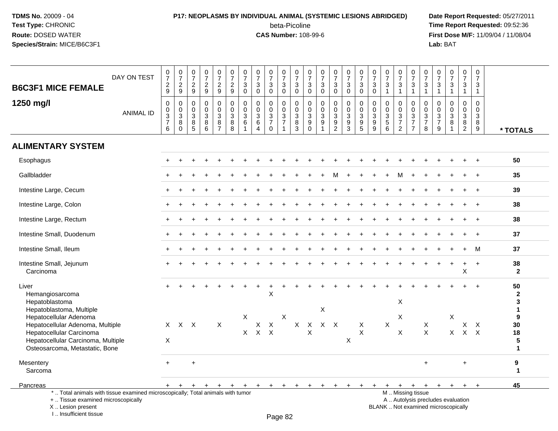# **P17: NEOPLASMS BY INDIVIDUAL ANIMAL (SYSTEMIC LESIONS ABRIDGED) Date Report Requested:** 05/27/2011

beta-Picoline<br>CAS Number: 108-99-6

| <b>B6C3F1 MICE FEMALE</b>                                                                                                                                           | DAY ON TEST      | $\begin{array}{c} 0 \\ 7 \end{array}$<br>$\frac{2}{9}$                           | $\frac{0}{7}$<br>$\frac{2}{9}$        | $\frac{0}{7}$<br>$\frac{2}{9}$                                       | $\frac{0}{7}$<br>$\frac{2}{9}$                                          | $\begin{smallmatrix}0\\7\end{smallmatrix}$<br>$\frac{2}{9}$ | 0<br>$\overline{7}$<br>$\frac{2}{9}$                    | $\frac{0}{7}$<br>$\ensuremath{\mathsf{3}}$<br>$\mathbf 0$ | $\frac{0}{7}$<br>$\mathsf 3$<br>$\mathbf 0$                                    | $\frac{0}{7}$<br>3<br>$\mathbf 0$                          | $\frac{0}{7}$<br>$_{0}^{3}$                                   | $\pmb{0}$<br>$\overline{7}$<br>$_{0}^{3}$                       | $\frac{0}{7}$<br>$\ensuremath{\mathsf{3}}$<br>$\mathbf 0$ | $\frac{0}{7}$<br>$\sqrt{3}$<br>$\mathbf 0$                       | $\frac{0}{7}$<br>$\mathbf{3}$<br>$\mathbf 0$                | $\frac{0}{7}$<br>$_{0}^{3}$                                                          | $\frac{0}{7}$<br>$\ensuremath{\mathsf{3}}$<br>$\mathbf 0$ | 0<br>$\overline{7}$<br>$\mathsf 3$<br>$\mathbf 0$                             | 0<br>$\overline{7}$<br>$\mathbf 3$<br>$\overline{1}$           | $\frac{0}{7}$<br>$\ensuremath{\mathsf{3}}$<br>$\mathbf{1}$         | 0<br>$\overline{7}$<br>$\frac{3}{1}$                          | $\frac{0}{7}$<br>$\mathbf{3}$<br>$\mathbf{1}$       | $\frac{0}{7}$<br>$\ensuremath{\mathsf{3}}$<br>$\mathbf{1}$ | $\frac{0}{7}$<br>$\frac{3}{1}$                                           | $\frac{0}{7}$<br>$\mathbf{3}$<br>$\overline{1}$             | 0<br>$\overline{7}$<br>$\mathsf 3$<br>$\mathbf{1}$          |                                                       |
|---------------------------------------------------------------------------------------------------------------------------------------------------------------------|------------------|----------------------------------------------------------------------------------|---------------------------------------|----------------------------------------------------------------------|-------------------------------------------------------------------------|-------------------------------------------------------------|---------------------------------------------------------|-----------------------------------------------------------|--------------------------------------------------------------------------------|------------------------------------------------------------|---------------------------------------------------------------|-----------------------------------------------------------------|-----------------------------------------------------------|------------------------------------------------------------------|-------------------------------------------------------------|--------------------------------------------------------------------------------------|-----------------------------------------------------------|-------------------------------------------------------------------------------|----------------------------------------------------------------|--------------------------------------------------------------------|---------------------------------------------------------------|-----------------------------------------------------|------------------------------------------------------------|--------------------------------------------------------------------------|-------------------------------------------------------------|-------------------------------------------------------------|-------------------------------------------------------|
| 1250 mg/l                                                                                                                                                           | <b>ANIMAL ID</b> | $\boldsymbol{0}$<br>$\begin{array}{c} 0 \\ 3 \\ 7 \end{array}$<br>$6\phantom{a}$ | 0<br>0<br>$\sqrt{3}$<br>8<br>$\Omega$ | $\mathbf 0$<br>$\Omega$<br>$\mathbf{3}$<br>$\bf 8$<br>$\overline{5}$ | $\mathsf 0$<br>$\mathsf 0$<br>$\mathbf{3}$<br>$\bf 8$<br>$\overline{6}$ | $\mathbf 0$<br>$\mathbf 0$<br>$\mathbf{3}$<br>$\frac{8}{7}$ | $\mathbf 0$<br>$\pmb{0}$<br>$\sqrt{3}$<br>$\frac{8}{8}$ | $\mathbf 0$<br>0<br>3<br>6<br>$\mathbf{1}$                | $\mathbf 0$<br>$\mathbf 0$<br>$\mathbf{3}$<br>$6\phantom{a}$<br>$\overline{4}$ | $\mathbf 0$<br>$\Omega$<br>3<br>$\overline{7}$<br>$\Omega$ | $\mathbf 0$<br>$\mathbf 0$<br>$\frac{3}{7}$<br>$\overline{1}$ | $\mathbf 0$<br>$\mathsf 0$<br>$\sqrt{3}$<br>$\overline{8}$<br>3 | 0<br>0<br>$\mathbf{3}$<br>$\boldsymbol{9}$<br>$\Omega$    | $\mathbf 0$<br>$\Omega$<br>3<br>$\overline{9}$<br>$\overline{1}$ | $\mathbf 0$<br>$\mathbf 0$<br>$\mathbf{3}$<br>$\frac{9}{2}$ | $\mathbf 0$<br>$\ddot{\mathbf{0}}$<br>$\sqrt{3}$<br>$\overline{9}$<br>$\overline{3}$ | $\pmb{0}$<br>$\pmb{0}$<br>$\sqrt{3}$<br>$\frac{9}{5}$     | $\mathbf 0$<br>$\Omega$<br>$\mathbf{3}$<br>$\boldsymbol{9}$<br>$\overline{9}$ | $\mathbf 0$<br>$\Omega$<br>$\mathbf{3}$<br>$\overline{5}$<br>6 | 0<br>$\mathbf 0$<br>$\sqrt{3}$<br>$\overline{7}$<br>$\overline{2}$ | $\mathbf 0$<br>$\mathbf 0$<br>$\frac{3}{7}$<br>$\overline{7}$ | $\mathbf 0$<br>$\Omega$<br>3<br>$\overline{7}$<br>8 | $\mathbf 0$<br>$\Omega$<br>$\frac{3}{7}$<br>$\overline{9}$ | $\mathbf 0$<br>$\mathbf 0$<br>$\mathfrak{S}$<br>$\overline{8}$           | $\mathbf 0$<br>$\mathbf 0$<br>$\mathbf{3}$<br>$\frac{8}{2}$ | $\mathbf 0$<br>$\mathbf 0$<br>$\mathbf{3}$<br>$\bf{8}$<br>9 | * TOTALS                                              |
| <b>ALIMENTARY SYSTEM</b>                                                                                                                                            |                  |                                                                                  |                                       |                                                                      |                                                                         |                                                             |                                                         |                                                           |                                                                                |                                                            |                                                               |                                                                 |                                                           |                                                                  |                                                             |                                                                                      |                                                           |                                                                               |                                                                |                                                                    |                                                               |                                                     |                                                            |                                                                          |                                                             |                                                             |                                                       |
| Esophagus                                                                                                                                                           |                  |                                                                                  |                                       |                                                                      |                                                                         |                                                             |                                                         |                                                           |                                                                                |                                                            |                                                               |                                                                 |                                                           |                                                                  |                                                             |                                                                                      |                                                           |                                                                               |                                                                |                                                                    |                                                               |                                                     |                                                            |                                                                          |                                                             | $\overline{+}$                                              | 50                                                    |
| Gallbladder                                                                                                                                                         |                  |                                                                                  |                                       |                                                                      |                                                                         |                                                             |                                                         |                                                           |                                                                                |                                                            |                                                               |                                                                 |                                                           |                                                                  |                                                             |                                                                                      |                                                           |                                                                               |                                                                |                                                                    |                                                               |                                                     |                                                            |                                                                          |                                                             |                                                             | 35                                                    |
| Intestine Large, Cecum                                                                                                                                              |                  |                                                                                  |                                       |                                                                      |                                                                         |                                                             |                                                         |                                                           |                                                                                |                                                            |                                                               |                                                                 |                                                           |                                                                  |                                                             |                                                                                      |                                                           |                                                                               |                                                                |                                                                    |                                                               |                                                     |                                                            |                                                                          |                                                             |                                                             | 39                                                    |
| Intestine Large, Colon                                                                                                                                              |                  |                                                                                  |                                       |                                                                      |                                                                         |                                                             |                                                         |                                                           |                                                                                |                                                            |                                                               |                                                                 |                                                           |                                                                  |                                                             |                                                                                      |                                                           |                                                                               |                                                                |                                                                    |                                                               |                                                     |                                                            |                                                                          |                                                             |                                                             | 38                                                    |
| Intestine Large, Rectum                                                                                                                                             |                  |                                                                                  |                                       |                                                                      |                                                                         |                                                             |                                                         |                                                           |                                                                                |                                                            |                                                               |                                                                 |                                                           |                                                                  |                                                             |                                                                                      |                                                           |                                                                               |                                                                |                                                                    |                                                               |                                                     |                                                            |                                                                          |                                                             |                                                             | 38                                                    |
| Intestine Small, Duodenum                                                                                                                                           |                  |                                                                                  |                                       |                                                                      |                                                                         |                                                             |                                                         |                                                           |                                                                                |                                                            |                                                               |                                                                 |                                                           |                                                                  |                                                             |                                                                                      |                                                           |                                                                               |                                                                |                                                                    |                                                               |                                                     |                                                            |                                                                          |                                                             |                                                             | 37                                                    |
| Intestine Small, Ileum                                                                                                                                              |                  |                                                                                  |                                       |                                                                      |                                                                         |                                                             |                                                         |                                                           |                                                                                |                                                            |                                                               |                                                                 |                                                           |                                                                  |                                                             |                                                                                      |                                                           |                                                                               |                                                                |                                                                    |                                                               |                                                     |                                                            |                                                                          |                                                             | M                                                           | 37                                                    |
| Intestine Small, Jejunum<br>Carcinoma                                                                                                                               |                  |                                                                                  |                                       |                                                                      |                                                                         |                                                             |                                                         |                                                           |                                                                                |                                                            |                                                               |                                                                 |                                                           |                                                                  |                                                             |                                                                                      |                                                           |                                                                               |                                                                |                                                                    |                                                               |                                                     |                                                            |                                                                          | +<br>$\sf X$                                                | $+$                                                         | 38<br>$\mathbf{2}$                                    |
| Liver<br>Hemangiosarcoma<br>Hepatoblastoma<br>Hepatoblastoma, Multiple                                                                                              |                  |                                                                                  |                                       |                                                                      |                                                                         |                                                             |                                                         |                                                           |                                                                                | $\overline{\mathsf{X}}$                                    |                                                               |                                                                 |                                                           | X                                                                |                                                             |                                                                                      |                                                           |                                                                               |                                                                | $\mathsf X$                                                        |                                                               |                                                     |                                                            |                                                                          |                                                             |                                                             | 50<br>$\boldsymbol{2}$<br>$\mathbf{3}$<br>$\mathbf 1$ |
| Hepatocellular Adenoma<br>Hepatocellular Adenoma, Multiple<br>Hepatocellular Carcinoma<br>Hepatocellular Carcinoma, Multiple<br>Osteosarcoma, Metastatic, Bone      |                  | X                                                                                | $X$ $X$ $X$                           |                                                                      |                                                                         | X                                                           |                                                         | X<br>$\mathsf{X}$                                         |                                                                                | $\begin{array}{ccc} x & x \\ x & x \end{array}$            | X                                                             | $\mathsf{X}$                                                    | $\times$                                                  | X X X                                                            |                                                             | $\times$                                                                             | X<br>$\pmb{\times}$                                       |                                                                               | $\mathsf X$                                                    | X<br>$\boldsymbol{\mathsf{X}}$                                     |                                                               | X<br>$\mathsf{X}$                                   |                                                            | X<br>$\mathsf{X}$                                                        | X                                                           | $\mathsf{X}$<br>$X$ $X$                                     | 9<br>30<br>18<br>5<br>$\mathbf{1}$                    |
| Mesentery<br>Sarcoma                                                                                                                                                |                  | $+$                                                                              |                                       | $\ddot{}$                                                            |                                                                         |                                                             |                                                         |                                                           |                                                                                |                                                            |                                                               |                                                                 |                                                           |                                                                  |                                                             |                                                                                      |                                                           |                                                                               |                                                                |                                                                    |                                                               | $\ddot{}$                                           |                                                            |                                                                          | $\ddot{}$                                                   |                                                             | 9<br>$\mathbf 1$                                      |
| Pancreas                                                                                                                                                            |                  |                                                                                  |                                       |                                                                      |                                                                         |                                                             |                                                         |                                                           |                                                                                | $\div$                                                     |                                                               |                                                                 |                                                           |                                                                  |                                                             |                                                                                      |                                                           |                                                                               |                                                                | $\ddot{}$                                                          | $\ddot{}$                                                     | $+$                                                 | $+$                                                        | $\div$                                                                   | $\ddot{}$                                                   |                                                             | 45                                                    |
| *  Total animals with tissue examined microscopically; Total animals with tumor<br>+  Tissue examined microscopically<br>X  Lesion present<br>I Insufficient tissue |                  |                                                                                  |                                       |                                                                      |                                                                         |                                                             |                                                         |                                                           |                                                                                |                                                            | $D_{200}$ 82                                                  |                                                                 |                                                           |                                                                  |                                                             |                                                                                      |                                                           |                                                                               |                                                                |                                                                    | M  Missing tissue                                             |                                                     |                                                            | A  Autolysis precludes evaluation<br>BLANK  Not examined microscopically |                                                             |                                                             |                                                       |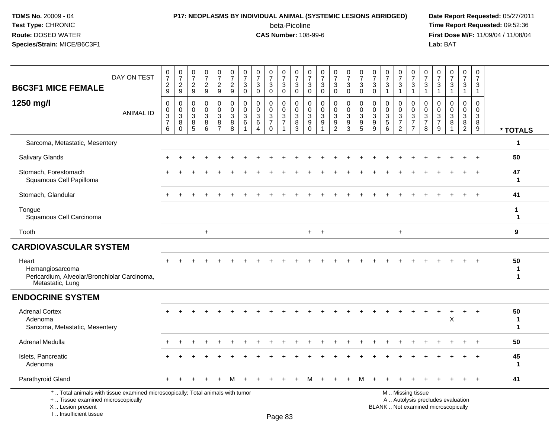### **P17: NEOPLASMS BY INDIVIDUAL ANIMAL (SYSTEMIC LESIONS ABRIDGED) Date Report Requested:** 05/27/2011

beta-Picoline<br>CAS Number: 108-99-6

| <b>B6C3F1 MICE FEMALE</b>                                                                                                                                           | DAY ON TEST      | $\frac{0}{7}$<br>$\overline{c}$<br>$9\,$                             | $\frac{0}{7}$<br>$\frac{2}{9}$                      | $\frac{0}{7}$<br>$\overline{c}$<br>9              | $\frac{0}{7}$<br>$\overline{c}$<br>9                 | $\begin{array}{c} 0 \\ 7 \end{array}$<br>$\overline{2}$<br>9 | $\frac{0}{7}$<br>$\overline{c}$<br>9                              | $\pmb{0}$<br>$\overline{7}$<br>$\mathbf{3}$<br>$\mathbf 0$ | $\boldsymbol{0}$<br>$\overline{7}$<br>3<br>$\mathbf 0$      | 0<br>$\overline{7}$<br>3<br>$\mathbf 0$                                | $\,0\,$<br>$\overline{7}$<br>3<br>$\mathbf 0$    | 0<br>$\overline{7}$<br>3<br>$\mathbf 0$    | 0<br>$\overline{7}$<br>$\mathbf{3}$<br>$\mathbf 0$            | $\frac{0}{7}$<br>3<br>$\mathbf 0$                          | $\begin{array}{c} 0 \\ 7 \end{array}$<br>3<br>$\mathbf 0$      | $\begin{array}{c} 0 \\ 7 \end{array}$<br>$\mathbf{3}$<br>$\mathbf 0$ | 0<br>$\overline{7}$<br>3<br>$\mathbf 0$ | $\frac{0}{7}$<br>$\mathbf{3}$<br>$\mathbf 0$                   | $\frac{0}{7}$<br>3<br>$\mathbf{1}$        | $\begin{array}{c} 0 \\ 7 \end{array}$<br>3<br>$\overline{1}$         | $\frac{0}{7}$<br>$\sqrt{3}$<br>$\overline{1}$                                                 | 0<br>$\overline{7}$<br>3<br>$\overline{1}$       | 0<br>$\overline{7}$<br>3<br>$\overline{1}$       | $\frac{0}{7}$<br>3<br>1                         | $\boldsymbol{0}$<br>$\overline{7}$<br>3<br>$\mathbf{1}$        | 0<br>$\overline{7}$<br>$\mathbf{3}$<br>$\mathbf{1}$ |                                  |
|---------------------------------------------------------------------------------------------------------------------------------------------------------------------|------------------|----------------------------------------------------------------------|-----------------------------------------------------|---------------------------------------------------|------------------------------------------------------|--------------------------------------------------------------|-------------------------------------------------------------------|------------------------------------------------------------|-------------------------------------------------------------|------------------------------------------------------------------------|--------------------------------------------------|--------------------------------------------|---------------------------------------------------------------|------------------------------------------------------------|----------------------------------------------------------------|----------------------------------------------------------------------|-----------------------------------------|----------------------------------------------------------------|-------------------------------------------|----------------------------------------------------------------------|-----------------------------------------------------------------------------------------------|--------------------------------------------------|--------------------------------------------------|-------------------------------------------------|----------------------------------------------------------------|-----------------------------------------------------|----------------------------------|
| 1250 mg/l                                                                                                                                                           | <b>ANIMAL ID</b> | 0<br>$\mathbf 0$<br>$\ensuremath{\mathsf{3}}$<br>$\overline{7}$<br>6 | 0<br>$\mathbf 0$<br>$\mathbf 3$<br>8<br>$\mathbf 0$ | $\mathbf 0$<br>$\Omega$<br>$\mathbf{3}$<br>8<br>5 | $\mathbf 0$<br>$\mathbf 0$<br>$\mathbf{3}$<br>8<br>6 | 0<br>$\mathbf 0$<br>$\sqrt{3}$<br>8<br>$\overline{7}$        | $\mathbf 0$<br>$\mathbf 0$<br>$\ensuremath{\mathsf{3}}$<br>8<br>8 | $\mathbf 0$<br>$\Omega$<br>$\mathbf{3}$<br>6               | $\mathbf 0$<br>$\mathbf 0$<br>$\mathbf{3}$<br>6<br>$\Delta$ | $\mathbf 0$<br>$\mathbf 0$<br>$\sqrt{3}$<br>$\overline{7}$<br>$\Omega$ | 0<br>$\mathbf 0$<br>$\sqrt{3}$<br>$\overline{7}$ | 0<br>$\mathbf 0$<br>$\mathbf{3}$<br>8<br>3 | 0<br>$\Omega$<br>$\mathbf{3}$<br>$\boldsymbol{9}$<br>$\Omega$ | $\mathbf 0$<br>$\mathbf 0$<br>$\sqrt{3}$<br>$\overline{9}$ | 0<br>$\mathbf 0$<br>$\ensuremath{\mathsf{3}}$<br>$\frac{9}{2}$ | $\mathbf 0$<br>$\mathbf 0$<br>$\sqrt{3}$<br>9<br>3                   | 0<br>$\mathbf 0$<br>3<br>9<br>5         | $\mathbf 0$<br>$\Omega$<br>$\sqrt{3}$<br>$\boldsymbol{9}$<br>9 | 0<br>$\Omega$<br>3<br>$\overline{5}$<br>6 | 0<br>$\mathbf 0$<br>$\mathbf{3}$<br>$\overline{7}$<br>$\overline{2}$ | $\mathbf 0$<br>$\mathbf 0$<br>$\mathbf{3}$<br>$\overline{7}$<br>$\overline{7}$                | $\Omega$<br>$\Omega$<br>3<br>$\overline{7}$<br>8 | $\Omega$<br>$\Omega$<br>3<br>$\overline{7}$<br>9 | $\mathbf 0$<br>$\mathbf 0$<br>$\mathbf{3}$<br>8 | $\mathbf 0$<br>$\Omega$<br>$\mathbf{3}$<br>8<br>$\overline{2}$ | $\mathbf 0$<br>$\mathbf 0$<br>3<br>8<br>9           | * TOTALS                         |
| Sarcoma, Metastatic, Mesentery                                                                                                                                      |                  |                                                                      |                                                     |                                                   |                                                      |                                                              |                                                                   |                                                            |                                                             |                                                                        |                                                  |                                            |                                                               |                                                            |                                                                |                                                                      |                                         |                                                                |                                           |                                                                      |                                                                                               |                                                  |                                                  |                                                 |                                                                |                                                     | 1                                |
| <b>Salivary Glands</b>                                                                                                                                              |                  |                                                                      |                                                     |                                                   |                                                      |                                                              |                                                                   |                                                            |                                                             |                                                                        |                                                  |                                            |                                                               |                                                            |                                                                |                                                                      |                                         |                                                                |                                           |                                                                      |                                                                                               |                                                  |                                                  |                                                 |                                                                | $\ddot{}$                                           | 50                               |
| Stomach, Forestomach<br>Squamous Cell Papilloma                                                                                                                     |                  |                                                                      |                                                     |                                                   |                                                      |                                                              |                                                                   |                                                            |                                                             |                                                                        |                                                  |                                            |                                                               |                                                            |                                                                |                                                                      |                                         |                                                                |                                           |                                                                      |                                                                                               |                                                  |                                                  |                                                 |                                                                | $\pm$                                               | 47<br>$\mathbf{1}$               |
| Stomach, Glandular                                                                                                                                                  |                  |                                                                      |                                                     |                                                   |                                                      |                                                              |                                                                   |                                                            |                                                             |                                                                        |                                                  |                                            |                                                               |                                                            |                                                                |                                                                      |                                         |                                                                |                                           |                                                                      |                                                                                               |                                                  |                                                  |                                                 |                                                                | $\ddot{}$                                           | 41                               |
| Tongue<br>Squamous Cell Carcinoma                                                                                                                                   |                  |                                                                      |                                                     |                                                   |                                                      |                                                              |                                                                   |                                                            |                                                             |                                                                        |                                                  |                                            |                                                               |                                                            |                                                                |                                                                      |                                         |                                                                |                                           |                                                                      |                                                                                               |                                                  |                                                  |                                                 |                                                                |                                                     | 1<br>$\mathbf 1$                 |
| Tooth                                                                                                                                                               |                  |                                                                      |                                                     |                                                   | $+$                                                  |                                                              |                                                                   |                                                            |                                                             |                                                                        |                                                  |                                            | $+$                                                           | $+$                                                        |                                                                |                                                                      |                                         |                                                                |                                           | $\ddot{}$                                                            |                                                                                               |                                                  |                                                  |                                                 |                                                                |                                                     | 9                                |
| <b>CARDIOVASCULAR SYSTEM</b>                                                                                                                                        |                  |                                                                      |                                                     |                                                   |                                                      |                                                              |                                                                   |                                                            |                                                             |                                                                        |                                                  |                                            |                                                               |                                                            |                                                                |                                                                      |                                         |                                                                |                                           |                                                                      |                                                                                               |                                                  |                                                  |                                                 |                                                                |                                                     |                                  |
| Heart<br>Hemangiosarcoma<br>Pericardium, Alveolar/Bronchiolar Carcinoma,<br>Metastatic, Lung                                                                        |                  |                                                                      |                                                     |                                                   |                                                      |                                                              |                                                                   |                                                            |                                                             |                                                                        |                                                  |                                            |                                                               |                                                            |                                                                |                                                                      |                                         |                                                                |                                           |                                                                      |                                                                                               |                                                  |                                                  |                                                 |                                                                |                                                     | 50<br>$\mathbf 1$<br>$\mathbf 1$ |
| <b>ENDOCRINE SYSTEM</b>                                                                                                                                             |                  |                                                                      |                                                     |                                                   |                                                      |                                                              |                                                                   |                                                            |                                                             |                                                                        |                                                  |                                            |                                                               |                                                            |                                                                |                                                                      |                                         |                                                                |                                           |                                                                      |                                                                                               |                                                  |                                                  |                                                 |                                                                |                                                     |                                  |
| <b>Adrenal Cortex</b><br>Adenoma<br>Sarcoma, Metastatic, Mesentery                                                                                                  |                  |                                                                      |                                                     |                                                   |                                                      |                                                              |                                                                   |                                                            |                                                             |                                                                        |                                                  |                                            |                                                               |                                                            |                                                                |                                                                      |                                         |                                                                |                                           |                                                                      |                                                                                               |                                                  |                                                  | X                                               |                                                                | $\ddot{}$                                           | 50<br>1<br>1                     |
| Adrenal Medulla                                                                                                                                                     |                  |                                                                      |                                                     |                                                   |                                                      |                                                              |                                                                   |                                                            |                                                             |                                                                        |                                                  |                                            |                                                               |                                                            |                                                                |                                                                      |                                         |                                                                |                                           |                                                                      |                                                                                               |                                                  |                                                  |                                                 |                                                                |                                                     | 50                               |
| Islets, Pancreatic<br>Adenoma                                                                                                                                       |                  |                                                                      |                                                     |                                                   |                                                      |                                                              |                                                                   |                                                            |                                                             |                                                                        |                                                  |                                            |                                                               |                                                            |                                                                |                                                                      |                                         |                                                                |                                           |                                                                      |                                                                                               |                                                  |                                                  |                                                 |                                                                |                                                     | 45<br>$\mathbf 1$                |
| Parathyroid Gland                                                                                                                                                   |                  |                                                                      |                                                     |                                                   |                                                      |                                                              |                                                                   |                                                            |                                                             |                                                                        |                                                  |                                            |                                                               |                                                            |                                                                |                                                                      | м                                       |                                                                |                                           |                                                                      |                                                                                               |                                                  |                                                  |                                                 |                                                                | $\div$                                              | 41                               |
| *  Total animals with tissue examined microscopically; Total animals with tumor<br>+  Tissue examined microscopically<br>X  Lesion present<br>I Insufficient tissue |                  |                                                                      |                                                     |                                                   |                                                      |                                                              |                                                                   |                                                            |                                                             |                                                                        | Dogo 92                                          |                                            |                                                               |                                                            |                                                                |                                                                      |                                         |                                                                |                                           |                                                                      | M  Missing tissue<br>A  Autolysis precludes evaluation<br>BLANK  Not examined microscopically |                                                  |                                                  |                                                 |                                                                |                                                     |                                  |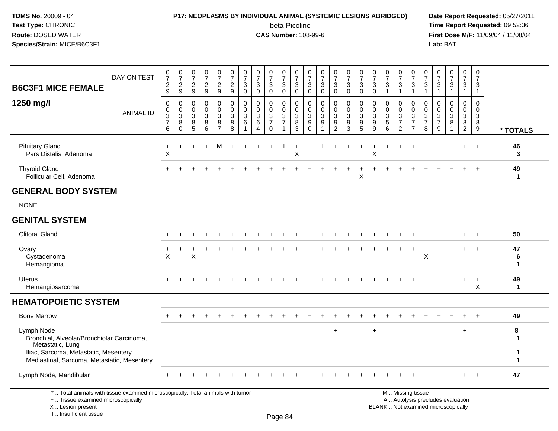## **P17: NEOPLASMS BY INDIVIDUAL ANIMAL (SYSTEMIC LESIONS ABRIDGED) Date Report Requested:** 05/27/2011

beta-Picoline<br>CAS Number: 108-99-6

| DAY ON TEST<br><b>B6C3F1 MICE FEMALE</b>                                                                                                                            | 0<br>$\overline{7}$<br>$\overline{c}$<br>9                           | $\begin{array}{c} 0 \\ 7 \end{array}$<br>$\overline{c}$<br>$9\,$                | 0<br>$\overline{7}$<br>$\overline{2}$<br>9 | $\pmb{0}$<br>$\overline{7}$<br>$\overline{c}$<br>$\boldsymbol{9}$ | $\pmb{0}$<br>$\overline{7}$<br>$\overline{a}$<br>$\boldsymbol{9}$ | $\mathbf 0$<br>$\overline{7}$<br>$\overline{c}$<br>9 | $\pmb{0}$<br>$\overline{7}$<br>3<br>$\mathbf 0$ | 0<br>$\overline{7}$<br>$\ensuremath{\mathsf{3}}$<br>$\mathsf{O}\xspace$ | $\boldsymbol{0}$<br>$\overline{7}$<br>3<br>$\mathbf 0$ | $\frac{0}{7}$<br>$_0^3$                            | $\pmb{0}$<br>$\overline{7}$<br>$_{\rm 0}^3$          | 0<br>$\overline{7}$<br>3<br>$\mathbf 0$           | $\mathbf 0$<br>$\overline{7}$<br>$\mathbf{3}$<br>$\mathbf 0$ | 0<br>$\overline{7}$<br>3<br>$\pmb{0}$        | 0<br>$\overline{7}$<br>$_0^3$                                   | $\,0\,$<br>$\overline{7}$<br>$\sqrt{3}$<br>$\mathsf{O}\xspace$ | 0<br>$\overline{7}$<br>$\ensuremath{\mathsf{3}}$<br>$\pmb{0}$ | $\begin{array}{c} 0 \\ 7 \end{array}$<br>$\sqrt{3}$<br>$\mathbf{1}$ | $\pmb{0}$<br>$\overline{7}$<br>$\mathbf{3}$<br>$\overline{1}$                | 0<br>$\overline{7}$<br>$\sqrt{3}$<br>$\mathbf{1}$                              | $\mathbf 0$<br>$\overline{7}$<br>3<br>$\mathbf{1}$ | 0<br>$\overline{7}$<br>3<br>$\mathbf{1}$               | 0<br>$\overline{7}$<br>3<br>$\mathbf{1}$                                 | $\pmb{0}$<br>$\overline{7}$<br>3<br>$\mathbf{1}$               | $\mathbf 0$<br>$\overline{7}$<br>3<br>$\mathbf{1}$ |                         |
|---------------------------------------------------------------------------------------------------------------------------------------------------------------------|----------------------------------------------------------------------|---------------------------------------------------------------------------------|--------------------------------------------|-------------------------------------------------------------------|-------------------------------------------------------------------|------------------------------------------------------|-------------------------------------------------|-------------------------------------------------------------------------|--------------------------------------------------------|----------------------------------------------------|------------------------------------------------------|---------------------------------------------------|--------------------------------------------------------------|----------------------------------------------|-----------------------------------------------------------------|----------------------------------------------------------------|---------------------------------------------------------------|---------------------------------------------------------------------|------------------------------------------------------------------------------|--------------------------------------------------------------------------------|----------------------------------------------------|--------------------------------------------------------|--------------------------------------------------------------------------|----------------------------------------------------------------|----------------------------------------------------|-------------------------|
| 1250 mg/l<br><b>ANIMAL ID</b>                                                                                                                                       | $\mathbf 0$<br>0<br>$\ensuremath{\mathsf{3}}$<br>$\overline{7}$<br>6 | $\mathbf 0$<br>$\pmb{0}$<br>$\ensuremath{\mathsf{3}}$<br>$\bf 8$<br>$\mathbf 0$ | $\mathbf 0$<br>$\mathbf 0$<br>3<br>8<br>5  | $\mathbf 0$<br>0<br>3<br>$\,8\,$<br>6                             | 0<br>$\mathbf 0$<br>$\mathbf{3}$<br>8<br>$\overline{7}$           | $\mathbf 0$<br>$\mathbf 0$<br>3<br>8<br>8            | $\mathbf 0$<br>$\mathbf 0$<br>3<br>6            | $\mathbf 0$<br>$\Omega$<br>3<br>$\,6$<br>$\Delta$                       | 0<br>$\Omega$<br>3<br>$\overline{7}$<br>$\Omega$       | $\mathbf 0$<br>0<br>$\mathbf{3}$<br>$\overline{7}$ | $\mathbf 0$<br>$\mathbf 0$<br>3<br>8<br>$\mathbf{3}$ | $\mathbf 0$<br>0<br>$\mathbf{3}$<br>9<br>$\Omega$ | $\mathbf 0$<br>$\Omega$<br>$\sqrt{3}$<br>9<br>$\overline{1}$ | 0<br>$\mathbf 0$<br>3<br>9<br>$\overline{2}$ | $\mathbf 0$<br>$\mathsf 0$<br>$\mathbf{3}$<br>9<br>$\mathbf{3}$ | $\mathbf 0$<br>0<br>3<br>9<br>5                                | $\mathbf 0$<br>0<br>3<br>9<br>9                               | $\mathbf 0$<br>$\mathbf 0$<br>$\mathbf{3}$<br>$\sqrt{5}$<br>6       | $\mathbf 0$<br>$\mathbf 0$<br>$\sqrt{3}$<br>$\overline{7}$<br>$\overline{2}$ | $\mathbf 0$<br>$\mathbf 0$<br>$\mathbf{3}$<br>$\overline{7}$<br>$\overline{7}$ | $\mathbf 0$<br>0<br>3<br>$\overline{7}$<br>8       | $\mathbf 0$<br>$\mathbf 0$<br>3<br>$\overline{7}$<br>9 | 0<br>$\mathbf 0$<br>3<br>8                                               | $\mathbf 0$<br>$\overline{0}$<br>$\mathbf{3}$<br>$\frac{8}{2}$ | $\mathbf 0$<br>$\mathbf 0$<br>3<br>8<br>9          | * TOTALS                |
| <b>Pituitary Gland</b><br>Pars Distalis, Adenoma                                                                                                                    | $\ddot{}$<br>$\mathsf X$                                             |                                                                                 |                                            |                                                                   | М                                                                 |                                                      |                                                 |                                                                         |                                                        |                                                    | $\mathsf X$                                          |                                                   |                                                              |                                              |                                                                 |                                                                | X                                                             |                                                                     |                                                                              |                                                                                |                                                    |                                                        |                                                                          |                                                                | $\overline{+}$                                     | 46<br>3                 |
| <b>Thyroid Gland</b><br>Follicular Cell, Adenoma                                                                                                                    |                                                                      |                                                                                 |                                            |                                                                   |                                                                   |                                                      |                                                 |                                                                         |                                                        |                                                    |                                                      |                                                   |                                                              |                                              |                                                                 | X                                                              |                                                               |                                                                     |                                                                              |                                                                                |                                                    |                                                        |                                                                          |                                                                |                                                    | 49<br>$\mathbf{1}$      |
| <b>GENERAL BODY SYSTEM</b>                                                                                                                                          |                                                                      |                                                                                 |                                            |                                                                   |                                                                   |                                                      |                                                 |                                                                         |                                                        |                                                    |                                                      |                                                   |                                                              |                                              |                                                                 |                                                                |                                                               |                                                                     |                                                                              |                                                                                |                                                    |                                                        |                                                                          |                                                                |                                                    |                         |
| <b>NONE</b>                                                                                                                                                         |                                                                      |                                                                                 |                                            |                                                                   |                                                                   |                                                      |                                                 |                                                                         |                                                        |                                                    |                                                      |                                                   |                                                              |                                              |                                                                 |                                                                |                                                               |                                                                     |                                                                              |                                                                                |                                                    |                                                        |                                                                          |                                                                |                                                    |                         |
| <b>GENITAL SYSTEM</b>                                                                                                                                               |                                                                      |                                                                                 |                                            |                                                                   |                                                                   |                                                      |                                                 |                                                                         |                                                        |                                                    |                                                      |                                                   |                                                              |                                              |                                                                 |                                                                |                                                               |                                                                     |                                                                              |                                                                                |                                                    |                                                        |                                                                          |                                                                |                                                    |                         |
| <b>Clitoral Gland</b>                                                                                                                                               |                                                                      |                                                                                 |                                            |                                                                   |                                                                   |                                                      |                                                 |                                                                         |                                                        |                                                    |                                                      |                                                   |                                                              |                                              |                                                                 |                                                                |                                                               |                                                                     |                                                                              |                                                                                |                                                    |                                                        |                                                                          |                                                                | $\ddot{}$                                          | 50                      |
| Ovary<br>Cystadenoma<br>Hemangioma                                                                                                                                  | X                                                                    |                                                                                 | X                                          |                                                                   |                                                                   |                                                      |                                                 |                                                                         |                                                        |                                                    |                                                      |                                                   |                                                              |                                              |                                                                 |                                                                |                                                               |                                                                     |                                                                              |                                                                                | Χ                                                  |                                                        |                                                                          |                                                                | $\overline{+}$                                     | 47<br>6<br>$\mathbf{1}$ |
| <b>Uterus</b><br>Hemangiosarcoma                                                                                                                                    |                                                                      |                                                                                 |                                            |                                                                   |                                                                   |                                                      |                                                 |                                                                         |                                                        |                                                    |                                                      |                                                   |                                                              |                                              |                                                                 |                                                                |                                                               |                                                                     |                                                                              |                                                                                |                                                    |                                                        |                                                                          | $\ddot{}$                                                      | $+$<br>X                                           | 49<br>$\mathbf{1}$      |
| <b>HEMATOPOIETIC SYSTEM</b>                                                                                                                                         |                                                                      |                                                                                 |                                            |                                                                   |                                                                   |                                                      |                                                 |                                                                         |                                                        |                                                    |                                                      |                                                   |                                                              |                                              |                                                                 |                                                                |                                                               |                                                                     |                                                                              |                                                                                |                                                    |                                                        |                                                                          |                                                                |                                                    |                         |
| <b>Bone Marrow</b>                                                                                                                                                  |                                                                      |                                                                                 |                                            |                                                                   |                                                                   |                                                      |                                                 |                                                                         |                                                        |                                                    |                                                      |                                                   |                                                              |                                              |                                                                 |                                                                |                                                               |                                                                     |                                                                              |                                                                                |                                                    |                                                        |                                                                          |                                                                |                                                    | 49                      |
| Lymph Node<br>Bronchial, Alveolar/Bronchiolar Carcinoma,<br>Metastatic, Lung<br>Iliac, Sarcoma, Metastatic, Mesentery                                               |                                                                      |                                                                                 |                                            |                                                                   |                                                                   |                                                      |                                                 |                                                                         |                                                        |                                                    |                                                      |                                                   |                                                              | $\div$                                       |                                                                 |                                                                | $\ddot{}$                                                     |                                                                     |                                                                              |                                                                                |                                                    |                                                        |                                                                          | $\ddot{}$                                                      |                                                    | 8<br>-1<br>1            |
| Mediastinal, Sarcoma, Metastatic, Mesentery                                                                                                                         |                                                                      |                                                                                 |                                            |                                                                   |                                                                   |                                                      |                                                 |                                                                         |                                                        |                                                    |                                                      |                                                   |                                                              |                                              |                                                                 |                                                                |                                                               |                                                                     |                                                                              |                                                                                |                                                    |                                                        |                                                                          |                                                                |                                                    | $\mathbf 1$             |
| Lymph Node, Mandibular                                                                                                                                              |                                                                      |                                                                                 |                                            |                                                                   |                                                                   |                                                      |                                                 |                                                                         |                                                        |                                                    |                                                      |                                                   |                                                              |                                              |                                                                 |                                                                |                                                               |                                                                     |                                                                              |                                                                                |                                                    |                                                        |                                                                          |                                                                |                                                    | 47                      |
| *  Total animals with tissue examined microscopically; Total animals with tumor<br>+  Tissue examined microscopically<br>X  Lesion present<br>I Insufficient tissue |                                                                      |                                                                                 |                                            |                                                                   |                                                                   |                                                      |                                                 |                                                                         |                                                        | $D_{200}$ $94$                                     |                                                      |                                                   |                                                              |                                              |                                                                 |                                                                |                                                               |                                                                     | M  Missing tissue                                                            |                                                                                |                                                    |                                                        | A  Autolysis precludes evaluation<br>BLANK  Not examined microscopically |                                                                |                                                    |                         |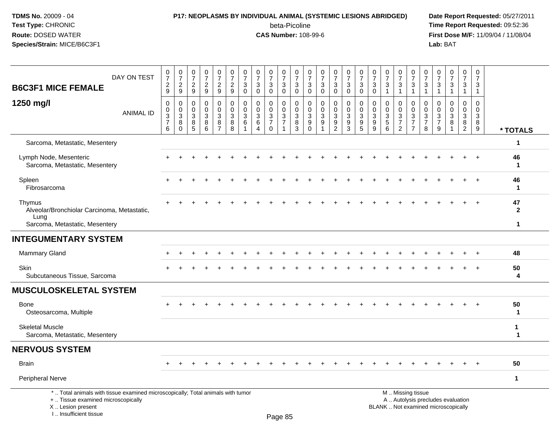# **P17: NEOPLASMS BY INDIVIDUAL ANIMAL (SYSTEMIC LESIONS ABRIDGED) Date Report Requested:** 05/27/2011

beta-Picoline<br>CAS Number: 108-99-6

| DAY ON TEST<br><b>B6C3F1 MICE FEMALE</b>                                                                                                                            | $\frac{0}{7}$<br>$\overline{2}$<br>9 | $\begin{array}{c} 0 \\ 7 \end{array}$<br>$\overline{c}$<br>$\boldsymbol{9}$ | 0<br>$\overline{7}$<br>$\overline{2}$<br>$9\,$ | $\begin{array}{c} 0 \\ 7 \end{array}$<br>$\sqrt{2}$<br>$\boldsymbol{9}$ | 0<br>$\overline{7}$<br>$\overline{2}$<br>9    | 0<br>$\overline{7}$<br>$\overline{c}$<br>$\overline{9}$ | $\frac{0}{7}$<br>3<br>$\mathbf 0$          | 0<br>$\overline{7}$<br>3<br>$\mathbf 0$       | $\frac{0}{7}$<br>3<br>$\mathbf 0$                              | $\mathbf 0$<br>$\overline{7}$<br>$\mathbf{3}$<br>$\mathbf 0$ | 0<br>$\overline{7}$<br>3<br>$\mathbf 0$              | 0<br>$\overline{7}$<br>3<br>$\mathbf 0$          | 0<br>$\overline{7}$<br>3<br>$\mathbf 0$            | $\frac{0}{7}$<br>3<br>0            | $\begin{array}{c} 0 \\ 7 \end{array}$<br>$\mathbf{3}$<br>$\pmb{0}$ | $\frac{0}{7}$<br>$\sqrt{3}$<br>$\mathbf 0$           | 0<br>$\overline{7}$<br>$\mathbf{3}$<br>$\mathbf 0$ | $\frac{0}{7}$<br>3<br>$\mathbf{1}$        | 0<br>$\overline{7}$<br>3<br>1                              | $\frac{0}{7}$<br>$\mathbf{3}$<br>$\mathbf{1}$                        | $\frac{0}{7}$<br>$\mathbf{3}$<br>$\mathbf{1}$       | 0<br>$\overline{7}$<br>3<br>$\overline{1}$ | $\frac{0}{7}$<br>$\mathbf{3}$<br>$\overline{1}$                          | 0<br>$\overline{7}$<br>3<br>$\mathbf{1}$ | $\mathbf 0$<br>$\overline{7}$<br>3<br>$\overline{1}$ |                             |
|---------------------------------------------------------------------------------------------------------------------------------------------------------------------|--------------------------------------|-----------------------------------------------------------------------------|------------------------------------------------|-------------------------------------------------------------------------|-----------------------------------------------|---------------------------------------------------------|--------------------------------------------|-----------------------------------------------|----------------------------------------------------------------|--------------------------------------------------------------|------------------------------------------------------|--------------------------------------------------|----------------------------------------------------|------------------------------------|--------------------------------------------------------------------|------------------------------------------------------|----------------------------------------------------|-------------------------------------------|------------------------------------------------------------|----------------------------------------------------------------------|-----------------------------------------------------|--------------------------------------------|--------------------------------------------------------------------------|------------------------------------------|------------------------------------------------------|-----------------------------|
| 1250 mg/l<br><b>ANIMAL ID</b>                                                                                                                                       | 0<br>0<br>3<br>$\overline{7}$<br>6   | 0<br>$\boldsymbol{0}$<br>$\ensuremath{\mathsf{3}}$<br>8<br>$\mathbf 0$      | $\mathbf 0$<br>$\mathbf 0$<br>3<br>8<br>5      | $\mathbf 0$<br>$\mathbf 0$<br>$\mathbf{3}$<br>8<br>6                    | 0<br>0<br>$\mathbf{3}$<br>8<br>$\overline{7}$ | $\mathbf 0$<br>0<br>$\mathbf{3}$<br>8<br>8              | $\mathbf 0$<br>0<br>3<br>6<br>$\mathbf{1}$ | 0<br>0<br>$\mathbf{3}$<br>6<br>$\overline{4}$ | $\mathbf 0$<br>0<br>$\mathbf{3}$<br>$\overline{7}$<br>$\Omega$ | $\mathbf 0$<br>0<br>$\mathsf 3$<br>$\overline{7}$            | $\mathbf 0$<br>$\mathbf 0$<br>$\mathbf{3}$<br>8<br>3 | $\mathbf 0$<br>$\mathbf 0$<br>3<br>9<br>$\Omega$ | $\mathbf 0$<br>$\mathbf 0$<br>$\sqrt{3}$<br>9<br>1 | 0<br>0<br>3<br>9<br>$\overline{2}$ | $\mathbf 0$<br>$\mathbf 0$<br>$\mathbf{3}$<br>9<br>$\mathbf{3}$    | $\mathbf 0$<br>$\mathbf 0$<br>$\mathbf{3}$<br>9<br>5 | $\mathbf 0$<br>0<br>3<br>9<br>9                    | 0<br>0<br>$\mathbf{3}$<br>$\sqrt{5}$<br>6 | 0<br>0<br>$\mathbf{3}$<br>$\overline{7}$<br>$\overline{2}$ | $\mathbf 0$<br>0<br>$\mathbf{3}$<br>$\overline{7}$<br>$\overline{7}$ | $\Omega$<br>$\mathbf 0$<br>3<br>$\overline{7}$<br>8 | $\Omega$<br>0<br>3<br>7<br>9               | $\mathbf 0$<br>0<br>$\mathbf{3}$<br>8                                    | 0<br>0<br>3<br>8<br>$\overline{2}$       | $\Omega$<br>$\mathbf 0$<br>3<br>8<br>9               | * TOTALS                    |
| Sarcoma, Metastatic, Mesentery                                                                                                                                      |                                      |                                                                             |                                                |                                                                         |                                               |                                                         |                                            |                                               |                                                                |                                                              |                                                      |                                                  |                                                    |                                    |                                                                    |                                                      |                                                    |                                           |                                                            |                                                                      |                                                     |                                            |                                                                          |                                          |                                                      | 1                           |
| Lymph Node, Mesenteric<br>Sarcoma, Metastatic, Mesentery                                                                                                            |                                      |                                                                             |                                                |                                                                         |                                               |                                                         |                                            |                                               |                                                                |                                                              |                                                      |                                                  |                                                    |                                    |                                                                    |                                                      |                                                    |                                           |                                                            |                                                                      |                                                     |                                            |                                                                          |                                          |                                                      | 46<br>$\mathbf 1$           |
| Spleen<br>Fibrosarcoma                                                                                                                                              |                                      |                                                                             |                                                |                                                                         |                                               |                                                         |                                            |                                               |                                                                |                                                              |                                                      |                                                  |                                                    |                                    |                                                                    |                                                      |                                                    |                                           |                                                            |                                                                      |                                                     |                                            |                                                                          | ÷.                                       | $+$                                                  | 46<br>1                     |
| Thymus<br>Alveolar/Bronchiolar Carcinoma, Metastatic,<br>Lung                                                                                                       |                                      |                                                                             |                                                |                                                                         |                                               |                                                         |                                            |                                               |                                                                |                                                              |                                                      |                                                  |                                                    |                                    |                                                                    |                                                      |                                                    |                                           |                                                            |                                                                      |                                                     |                                            |                                                                          |                                          |                                                      | 47<br>$\mathbf{2}$          |
| Sarcoma, Metastatic, Mesentery                                                                                                                                      |                                      |                                                                             |                                                |                                                                         |                                               |                                                         |                                            |                                               |                                                                |                                                              |                                                      |                                                  |                                                    |                                    |                                                                    |                                                      |                                                    |                                           |                                                            |                                                                      |                                                     |                                            |                                                                          |                                          |                                                      | $\mathbf{1}$                |
| <b>INTEGUMENTARY SYSTEM</b>                                                                                                                                         |                                      |                                                                             |                                                |                                                                         |                                               |                                                         |                                            |                                               |                                                                |                                                              |                                                      |                                                  |                                                    |                                    |                                                                    |                                                      |                                                    |                                           |                                                            |                                                                      |                                                     |                                            |                                                                          |                                          |                                                      |                             |
| Mammary Gland                                                                                                                                                       |                                      |                                                                             |                                                |                                                                         |                                               |                                                         |                                            |                                               |                                                                |                                                              |                                                      |                                                  |                                                    |                                    |                                                                    |                                                      |                                                    |                                           |                                                            |                                                                      |                                                     |                                            |                                                                          |                                          |                                                      | 48                          |
| <b>Skin</b><br>Subcutaneous Tissue, Sarcoma                                                                                                                         |                                      |                                                                             |                                                |                                                                         |                                               |                                                         |                                            |                                               |                                                                |                                                              |                                                      |                                                  |                                                    |                                    |                                                                    |                                                      |                                                    |                                           |                                                            |                                                                      |                                                     |                                            |                                                                          |                                          |                                                      | 50<br>4                     |
| <b>MUSCULOSKELETAL SYSTEM</b>                                                                                                                                       |                                      |                                                                             |                                                |                                                                         |                                               |                                                         |                                            |                                               |                                                                |                                                              |                                                      |                                                  |                                                    |                                    |                                                                    |                                                      |                                                    |                                           |                                                            |                                                                      |                                                     |                                            |                                                                          |                                          |                                                      |                             |
| Bone<br>Osteosarcoma, Multiple                                                                                                                                      |                                      |                                                                             |                                                |                                                                         |                                               |                                                         |                                            |                                               |                                                                |                                                              |                                                      |                                                  |                                                    |                                    |                                                                    |                                                      |                                                    |                                           |                                                            |                                                                      |                                                     |                                            |                                                                          |                                          |                                                      | 50<br>$\mathbf 1$           |
| <b>Skeletal Muscle</b><br>Sarcoma, Metastatic, Mesentery                                                                                                            |                                      |                                                                             |                                                |                                                                         |                                               |                                                         |                                            |                                               |                                                                |                                                              |                                                      |                                                  |                                                    |                                    |                                                                    |                                                      |                                                    |                                           |                                                            |                                                                      |                                                     |                                            |                                                                          |                                          |                                                      | $\mathbf{1}$<br>$\mathbf 1$ |
| <b>NERVOUS SYSTEM</b>                                                                                                                                               |                                      |                                                                             |                                                |                                                                         |                                               |                                                         |                                            |                                               |                                                                |                                                              |                                                      |                                                  |                                                    |                                    |                                                                    |                                                      |                                                    |                                           |                                                            |                                                                      |                                                     |                                            |                                                                          |                                          |                                                      |                             |
| <b>Brain</b>                                                                                                                                                        |                                      |                                                                             |                                                |                                                                         |                                               |                                                         |                                            |                                               |                                                                |                                                              |                                                      |                                                  |                                                    |                                    |                                                                    |                                                      |                                                    |                                           |                                                            |                                                                      |                                                     |                                            |                                                                          |                                          |                                                      | 50                          |
| Peripheral Nerve                                                                                                                                                    |                                      |                                                                             |                                                |                                                                         |                                               |                                                         |                                            |                                               |                                                                |                                                              |                                                      |                                                  |                                                    |                                    |                                                                    |                                                      |                                                    |                                           |                                                            |                                                                      |                                                     |                                            |                                                                          |                                          |                                                      | $\mathbf{1}$                |
| *  Total animals with tissue examined microscopically; Total animals with tumor<br>+  Tissue examined microscopically<br>X  Lesion present<br>I Insufficient tissue |                                      |                                                                             |                                                |                                                                         |                                               |                                                         |                                            |                                               |                                                                | Dogo <b>QE</b>                                               |                                                      |                                                  |                                                    |                                    |                                                                    |                                                      |                                                    |                                           |                                                            | M  Missing tissue                                                    |                                                     |                                            | A  Autolysis precludes evaluation<br>BLANK  Not examined microscopically |                                          |                                                      |                             |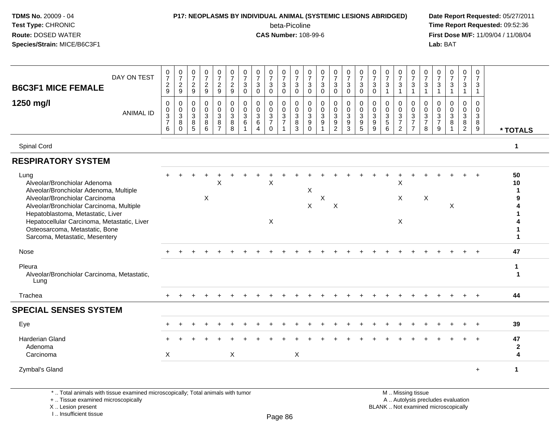## **P17: NEOPLASMS BY INDIVIDUAL ANIMAL (SYSTEMIC LESIONS ABRIDGED) Date Report Requested:** 05/27/2011

beta-Picoline<br>CAS Number: 108-99-6

 **Time Report Requested:** 09:52:36 **First Dose M/F:** 11/09/04 / 11/08/04<br>Lab: BAT **Lab:** BAT

| DAY ON TEST<br><b>B6C3F1 MICE FEMALE</b>                                                                                                                                                                                           | $\frac{0}{7}$<br>$\frac{2}{9}$                                 | $\frac{0}{7}$<br>$\overline{c}$<br>9           | 0<br>$\overline{7}$<br>$\overline{2}$<br>9          | $\frac{0}{7}$<br>$\overline{2}$<br>9                     | $\frac{0}{7}$<br>$\overline{a}$<br>9                                | $\begin{array}{c} 0 \\ 7 \end{array}$<br>$\overline{a}$<br>9 | $\frac{0}{7}$<br>$\sqrt{3}$<br>$\mathbf 0$               | 0<br>$\overline{7}$<br>3<br>$\mathbf 0$                            | $\frac{0}{7}$<br>3<br>$\mathbf 0$                                        | $\frac{0}{7}$<br>3<br>$\mathbf 0$                            | $\begin{array}{c} 0 \\ 7 \end{array}$<br>3<br>$\mathbf 0$ | $\boldsymbol{0}$<br>$\overline{7}$<br>$\mathbf{3}$<br>$\mathbf 0$        | $\frac{0}{7}$<br>$\mathbf{3}$<br>$\mathbf 0$ | $\frac{0}{7}$<br>$\mathbf{3}$<br>$\mathbf 0$                | $\frac{0}{7}$<br>3<br>$\mathbf 0$                    | $\frac{0}{7}$<br>$\mathbf{3}$<br>$\mathbf 0$      | $\begin{array}{c} 0 \\ 7 \end{array}$<br>$\mathbf{3}$<br>$\mathbf 0$ | $\frac{0}{7}$<br>3<br>$\overline{1}$                          | $\frac{0}{7}$<br>$\sqrt{3}$<br>$\overline{1}$                  | $\frac{0}{7}$<br>3<br>$\overline{1}$                                              | 0<br>$\overline{7}$<br>$\mathbf{3}$<br>$\mathbf{1}$   | 0<br>$\overline{7}$<br>3<br>$\mathbf{1}$                       | $\frac{0}{7}$<br>3<br>$\overline{1}$ | 0<br>$\overline{7}$<br>3<br>$\mathbf{1}$                          | 0<br>$\overline{7}$<br>$\mathbf{3}$<br>$\mathbf{1}$  |                         |
|------------------------------------------------------------------------------------------------------------------------------------------------------------------------------------------------------------------------------------|----------------------------------------------------------------|------------------------------------------------|-----------------------------------------------------|----------------------------------------------------------|---------------------------------------------------------------------|--------------------------------------------------------------|----------------------------------------------------------|--------------------------------------------------------------------|--------------------------------------------------------------------------|--------------------------------------------------------------|-----------------------------------------------------------|--------------------------------------------------------------------------|----------------------------------------------|-------------------------------------------------------------|------------------------------------------------------|---------------------------------------------------|----------------------------------------------------------------------|---------------------------------------------------------------|----------------------------------------------------------------|-----------------------------------------------------------------------------------|-------------------------------------------------------|----------------------------------------------------------------|--------------------------------------|-------------------------------------------------------------------|------------------------------------------------------|-------------------------|
| 1250 mg/l<br><b>ANIMAL ID</b>                                                                                                                                                                                                      | $\mathbf 0$<br>$\begin{array}{c} 0 \\ 3 \\ 7 \end{array}$<br>6 | $\mathbf 0$<br>$_{3}^{\rm 0}$<br>8<br>$\Omega$ | $\mathbf 0$<br>$\mathbf 0$<br>$\mathbf 3$<br>8<br>5 | $\mathbf 0$<br>$\mathbf 0$<br>$\mathsf 3$<br>$\bf8$<br>6 | $\mathsf{O}$<br>$\mathsf{O}$<br>$\mathbf{3}$<br>8<br>$\overline{7}$ | 0<br>$\overline{0}$<br>3<br>8<br>8                           | $\mathbf 0$<br>$_{3}^{\rm 0}$<br>$\,6$<br>$\overline{1}$ | $\mathbf{0}$<br>$\mathbf 0$<br>$\mathbf{3}$<br>6<br>$\overline{4}$ | $\mathbf 0$<br>$\mathbf 0$<br>$\mathbf{3}$<br>$\overline{7}$<br>$\Omega$ | $\mathbf 0$<br>$\mathbf 0$<br>$\mathbf{3}$<br>$\overline{7}$ | $\mathbf 0$<br>0<br>$\mathbf{3}$<br>8<br>3                | $\mathbf 0$<br>$\mathsf 0$<br>$\sqrt{3}$<br>$\boldsymbol{9}$<br>$\Omega$ | $\mathbf 0$<br>$_{3}^{\rm 0}$<br>9           | $\mathbf 0$<br>$\mathbf 0$<br>$\mathbf{3}$<br>$\frac{9}{2}$ | $\mathbf 0$<br>$\mathbf 0$<br>$\mathbf{3}$<br>9<br>3 | 0<br>$\mathbf 0$<br>$\mathbf{3}$<br>$\frac{9}{5}$ | $\mathbf 0$<br>$\mathbf 0$<br>3<br>9<br>9                            | $\mathbf 0$<br>$\mathbf 0$<br>$\mathbf{3}$<br>$\sqrt{5}$<br>6 | $\mathbf 0$<br>$\begin{array}{c} 0 \\ 3 \\ 7 \end{array}$<br>2 | 0<br>$\mathbf 0$<br>$\ensuremath{\mathsf{3}}$<br>$\overline{7}$<br>$\overline{7}$ | $\mathbf 0$<br>$\boldsymbol{0}$<br>$\frac{3}{7}$<br>8 | $\Omega$<br>$\mathbf 0$<br>$\mathbf{3}$<br>$\overline{7}$<br>9 | $\Omega$<br>$\mathbf 0$<br>3<br>8    | $\mathbf 0$<br>$\mathbf 0$<br>$\mathbf{3}$<br>8<br>$\overline{2}$ | $\mathbf 0$<br>$\mathbf 0$<br>$\mathbf{3}$<br>8<br>9 | * TOTALS                |
| Spinal Cord                                                                                                                                                                                                                        |                                                                |                                                |                                                     |                                                          |                                                                     |                                                              |                                                          |                                                                    |                                                                          |                                                              |                                                           |                                                                          |                                              |                                                             |                                                      |                                                   |                                                                      |                                                               |                                                                |                                                                                   |                                                       |                                                                |                                      |                                                                   |                                                      | $\mathbf{1}$            |
| <b>RESPIRATORY SYSTEM</b>                                                                                                                                                                                                          |                                                                |                                                |                                                     |                                                          |                                                                     |                                                              |                                                          |                                                                    |                                                                          |                                                              |                                                           |                                                                          |                                              |                                                             |                                                      |                                                   |                                                                      |                                                               |                                                                |                                                                                   |                                                       |                                                                |                                      |                                                                   |                                                      |                         |
| Lung<br>Alveolar/Bronchiolar Adenoma<br>Alveolar/Bronchiolar Adenoma, Multiple                                                                                                                                                     |                                                                |                                                |                                                     |                                                          | X                                                                   |                                                              |                                                          |                                                                    | X                                                                        |                                                              |                                                           | $\boldsymbol{\mathsf{X}}$                                                |                                              |                                                             |                                                      |                                                   |                                                                      |                                                               | X                                                              |                                                                                   |                                                       |                                                                |                                      |                                                                   |                                                      | 50<br>10                |
| Alveolar/Bronchiolar Carcinoma<br>Alveolar/Bronchiolar Carcinoma, Multiple<br>Hepatoblastoma, Metastatic, Liver<br>Hepatocellular Carcinoma, Metastatic, Liver<br>Osteosarcoma, Metastatic, Bone<br>Sarcoma, Metastatic, Mesentery |                                                                |                                                |                                                     | X                                                        |                                                                     |                                                              |                                                          |                                                                    | $\boldsymbol{\mathsf{X}}$                                                |                                                              |                                                           | X                                                                        | $\mathsf X$                                  | $\boldsymbol{\mathsf{X}}$                                   |                                                      |                                                   |                                                                      |                                                               | X<br>X                                                         |                                                                                   | $\boldsymbol{\mathsf{X}}$                             |                                                                | X                                    |                                                                   |                                                      | 9<br>1                  |
| Nose                                                                                                                                                                                                                               |                                                                |                                                |                                                     |                                                          |                                                                     |                                                              |                                                          |                                                                    |                                                                          |                                                              |                                                           |                                                                          |                                              |                                                             |                                                      |                                                   |                                                                      |                                                               |                                                                |                                                                                   |                                                       |                                                                |                                      |                                                                   |                                                      | 47                      |
| Pleura<br>Alveolar/Bronchiolar Carcinoma, Metastatic,<br>Lung                                                                                                                                                                      |                                                                |                                                |                                                     |                                                          |                                                                     |                                                              |                                                          |                                                                    |                                                                          |                                                              |                                                           |                                                                          |                                              |                                                             |                                                      |                                                   |                                                                      |                                                               |                                                                |                                                                                   |                                                       |                                                                |                                      |                                                                   |                                                      | 1<br>$\mathbf 1$        |
| Trachea                                                                                                                                                                                                                            |                                                                |                                                |                                                     |                                                          |                                                                     |                                                              |                                                          |                                                                    |                                                                          |                                                              |                                                           |                                                                          |                                              |                                                             |                                                      |                                                   |                                                                      |                                                               |                                                                |                                                                                   |                                                       |                                                                |                                      |                                                                   | $+$                                                  | 44                      |
| <b>SPECIAL SENSES SYSTEM</b>                                                                                                                                                                                                       |                                                                |                                                |                                                     |                                                          |                                                                     |                                                              |                                                          |                                                                    |                                                                          |                                                              |                                                           |                                                                          |                                              |                                                             |                                                      |                                                   |                                                                      |                                                               |                                                                |                                                                                   |                                                       |                                                                |                                      |                                                                   |                                                      |                         |
| Eye                                                                                                                                                                                                                                |                                                                |                                                |                                                     |                                                          |                                                                     |                                                              |                                                          |                                                                    |                                                                          |                                                              |                                                           |                                                                          |                                              |                                                             |                                                      |                                                   |                                                                      |                                                               |                                                                |                                                                                   |                                                       |                                                                |                                      |                                                                   |                                                      | 39                      |
| <b>Harderian Gland</b><br>Adenoma<br>Carcinoma                                                                                                                                                                                     | X                                                              |                                                |                                                     |                                                          |                                                                     | $\mathsf X$                                                  |                                                          |                                                                    |                                                                          |                                                              | $\mathsf X$                                               |                                                                          |                                              |                                                             |                                                      |                                                   |                                                                      |                                                               |                                                                |                                                                                   |                                                       |                                                                |                                      |                                                                   |                                                      | 47<br>$\mathbf{2}$<br>4 |
| Zymbal's Gland                                                                                                                                                                                                                     |                                                                |                                                |                                                     |                                                          |                                                                     |                                                              |                                                          |                                                                    |                                                                          |                                                              |                                                           |                                                                          |                                              |                                                             |                                                      |                                                   |                                                                      |                                                               |                                                                |                                                                                   |                                                       |                                                                |                                      |                                                                   | $+$                                                  | $\mathbf 1$             |

\* .. Total animals with tissue examined microscopically; Total animals with tumor

+ .. Tissue examined microscopically

X .. Lesion present

I .. Insufficient tissue

 M .. Missing tissuey the contract of the contract of the contract of the contract of the contract of  $\mathsf A$  . Autolysis precludes evaluation Lesion present BLANK .. Not examined microscopically